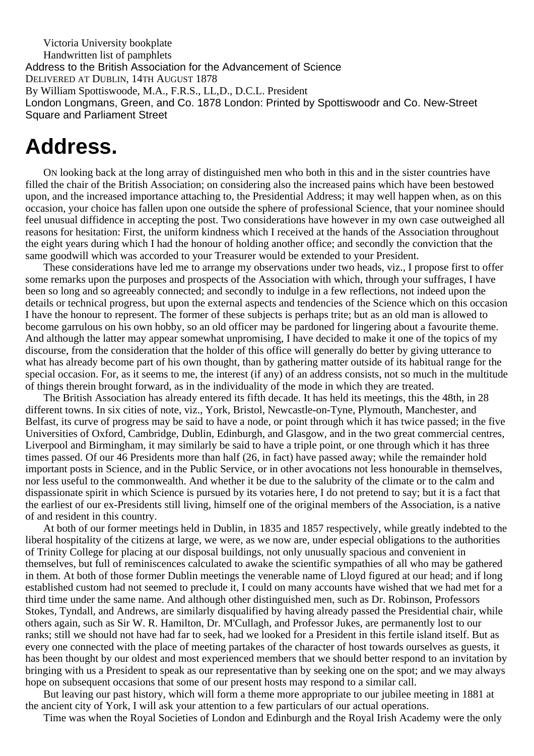Victoria University bookplate Handwritten list of pamphlets Address to the British Association for the Advancement of Science DELIVERED AT DUBLIN, 14TH AUGUST 1878 By William Spottiswoode, M.A., F.R.S., LL,D., D.C.L. President London Longmans, Green, and Co. 1878 London: Printed by Spottiswoodr and Co. New-Street Square and Parliament Street

### **Address.**

ON looking back at the long array of distinguished men who both in this and in the sister countries have filled the chair of the British Association; on considering also the increased pains which have been bestowed upon, and the increased importance attaching to, the Presidential Address; it may well happen when, as on this occasion, your choice has fallen upon one outside the sphere of professional Science, that your nominee should feel unusual diffidence in accepting the post. Two considerations have however in my own case outweighed all reasons for hesitation: First, the uniform kindness which I received at the hands of the Association throughout the eight years during which I had the honour of holding another office; and secondly the conviction that the same goodwill which was accorded to your Treasurer would be extended to your President.

These considerations have led me to arrange my observations under two heads, viz., I propose first to offer some remarks upon the purposes and prospects of the Association with which, through your suffrages, I have been so long and so agreeably connected; and secondly to indulge in a few reflections, not indeed upon the details or technical progress, but upon the external aspects and tendencies of the Science which on this occasion I have the honour to represent. The former of these subjects is perhaps trite; but as an old man is allowed to become garrulous on his own hobby, so an old officer may be pardoned for lingering about a favourite theme. And although the latter may appear somewhat unpromising, I have decided to make it one of the topics of my discourse, from the consideration that the holder of this office will generally do better by giving utterance to what has already become part of his own thought, than by gathering matter outside of its habitual range for the special occasion. For, as it seems to me, the interest (if any) of an address consists, not so much in the multitude of things therein brought forward, as in the individuality of the mode in which they are treated.

The British Association has already entered its fifth decade. It has held its meetings, this the 48th, in 28 different towns. In six cities of note, viz., York, Bristol, Newcastle-on-Tyne, Plymouth, Manchester, and Belfast, its curve of progress may be said to have a node, or point through which it has twice passed; in the five Universities of Oxford, Cambridge, Dublin, Edinburgh, and Glasgow, and in the two great commercial centres, Liverpool and Birmingham, it may similarly be said to have a triple point, or one through which it has three times passed. Of our 46 Presidents more than half (26, in fact) have passed away; while the remainder hold important posts in Science, and in the Public Service, or in other avocations not less honourable in themselves, nor less useful to the commonwealth. And whether it be due to the salubrity of the climate or to the calm and dispassionate spirit in which Science is pursued by its votaries here, I do not pretend to say; but it is a fact that the earliest of our ex-Presidents still living, himself one of the original members of the Association, is a native of and resident in this country.

At both of our former meetings held in Dublin, in 1835 and 1857 respectively, while greatly indebted to the liberal hospitality of the citizens at large, we were, as we now are, under especial obligations to the authorities of Trinity College for placing at our disposal buildings, not only unusually spacious and convenient in themselves, but full of reminiscences calculated to awake the scientific sympathies of all who may be gathered in them. At both of those former Dublin meetings the venerable name of Lloyd figured at our head; and if long established custom had not seemed to preclude it, I could on many accounts have wished that we had met for a third time under the same name. And although other distinguished men, such as Dr. Robinson, Professors Stokes, Tyndall, and Andrews, are similarly disqualified by having already passed the Presidential chair, while others again, such as Sir W. R. Hamilton, Dr. M'Cullagh, and Professor Jukes, are permanently lost to our ranks; still we should not have had far to seek, had we looked for a President in this fertile island itself. But as every one connected with the place of meeting partakes of the character of host towards ourselves as guests, it has been thought by our oldest and most experienced members that we should better respond to an invitation by bringing with us a President to speak as our representative than by seeking one on the spot; and we may always hope on subsequent occasions that some of our present hosts may respond to a similar call.

But leaving our past history, which will form a theme more appropriate to our jubilee meeting in 1881 at the ancient city of York, I will ask your attention to a few particulars of our actual operations.

Time was when the Royal Societies of London and Edinburgh and the Royal Irish Academy were the only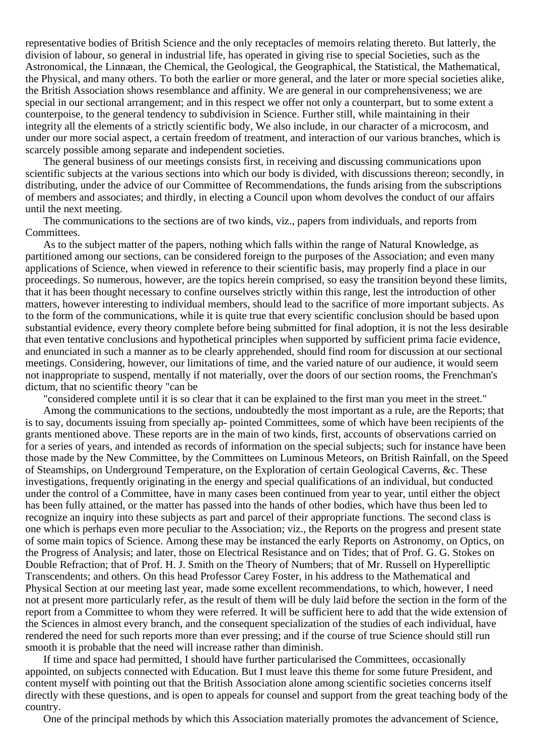representative bodies of British Science and the only receptacles of memoirs relating thereto. But latterly, the division of labour, so general in industrial life, has operated in giving rise to special Societies, such as the Astronomical, the Linnæan, the Chemical, the Geological, the Geographical, the Statistical, the Mathematical, the Physical, and many others. To both the earlier or more general, and the later or more special societies alike, the British Association shows resemblance and affinity. We are general in our comprehensiveness; we are special in our sectional arrangement; and in this respect we offer not only a counterpart, but to some extent a counterpoise, to the general tendency to subdivision in Science. Further still, while maintaining in their integrity all the elements of a strictly scientific body, We also include, in our character of a microcosm, and under our more social aspect, a certain freedom of treatment, and interaction of our various branches, which is scarcely possible among separate and independent societies.

The general business of our meetings consists first, in receiving and discussing communications upon scientific subjects at the various sections into which our body is divided, with discussions thereon; secondly, in distributing, under the advice of our Committee of Recommendations, the funds arising from the subscriptions of members and associates; and thirdly, in electing a Council upon whom devolves the conduct of our affairs until the next meeting.

The communications to the sections are of two kinds, viz., papers from individuals, and reports from Committees.

As to the subject matter of the papers, nothing which falls within the range of Natural Knowledge, as partitioned among our sections, can be considered foreign to the purposes of the Association; and even many applications of Science, when viewed in reference to their scientific basis, may properly find a place in our proceedings. So numerous, however, are the topics herein comprised, so easy the transition beyond these limits, that it has been thought necessary to confine ourselves strictly within this range, lest the introduction of other matters, however interesting to individual members, should lead to the sacrifice of more important subjects. As to the form of the communications, while it is quite true that every scientific conclusion should be based upon substantial evidence, every theory complete before being submitted for final adoption, it is not the less desirable that even tentative conclusions and hypothetical principles when supported by sufficient prima facie evidence, and enunciated in such a manner as to be clearly apprehended, should find room for discussion at our sectional meetings. Considering, however, our limitations of time, and the varied nature of our audience, it would seem not inappropriate to suspend, mentally if not materially, over the doors of our section rooms, the Frenchman's dictum, that no scientific theory "can be

"considered complete until it is so clear that it can be explained to the first man you meet in the street."

Among the communications to the sections, undoubtedly the most important as a rule, are the Reports; that is to say, documents issuing from specially ap- pointed Committees, some of which have been recipients of the grants mentioned above. These reports are in the main of two kinds, first, accounts of observations carried on for a series of years, and intended as records of information on the special subjects; such for instance have been those made by the New Committee, by the Committees on Luminous Meteors, on British Rainfall, on the Speed of Steamships, on Underground Temperature, on the Exploration of certain Geological Caverns, &c. These investigations, frequently originating in the energy and special qualifications of an individual, but conducted under the control of a Committee, have in many cases been continued from year to year, until either the object has been fully attained, or the matter has passed into the hands of other bodies, which have thus been led to recognize an inquiry into these subjects as part and parcel of their appropriate functions. The second class is one which is perhaps even more peculiar to the Association; viz., the Reports on the progress and present state of some main topics of Science. Among these may be instanced the early Reports on Astronomy, on Optics, on the Progress of Analysis; and later, those on Electrical Resistance and on Tides; that of Prof. G. G. Stokes on Double Refraction; that of Prof. H. J. Smith on the Theory of Numbers; that of Mr. Russell on Hyperelliptic Transcendents; and others. On this head Professor Carey Foster, in his address to the Mathematical and Physical Section at our meeting last year, made some excellent recommendations, to which, however, I need not at present more particularly refer, as the result of them will be duly laid before the section in the form of the report from a Committee to whom they were referred. It will be sufficient here to add that the wide extension of the Sciences in almost every branch, and the consequent specialization of the studies of each individual, have rendered the need for such reports more than ever pressing; and if the course of true Science should still run smooth it is probable that the need will increase rather than diminish.

If time and space had permitted, I should have further particularised the Committees, occasionally appointed, on subjects connected with Education. But I must leave this theme for some future President, and content myself with pointing out that the British Association alone among scientific societies concerns itself directly with these questions, and is open to appeals for counsel and support from the great teaching body of the country.

One of the principal methods by which this Association materially promotes the advancement of Science,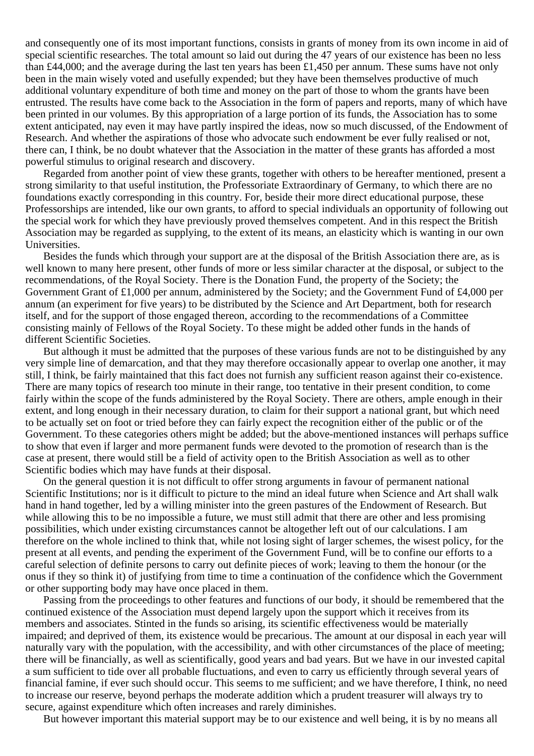and consequently one of its most important functions, consists in grants of money from its own income in aid of special scientific researches. The total amount so laid out during the 47 years of our existence has been no less than £44,000; and the average during the last ten years has been £1,450 per annum. These sums have not only been in the main wisely voted and usefully expended; but they have been themselves productive of much additional voluntary expenditure of both time and money on the part of those to whom the grants have been entrusted. The results have come back to the Association in the form of papers and reports, many of which have been printed in our volumes. By this appropriation of a large portion of its funds, the Association has to some extent anticipated, nay even it may have partly inspired the ideas, now so much discussed, of the Endowment of Research. And whether the aspirations of those who advocate such endowment be ever fully realised or not, there can, I think, be no doubt whatever that the Association in the matter of these grants has afforded a most powerful stimulus to original research and discovery.

Regarded from another point of view these grants, together with others to be hereafter mentioned, present a strong similarity to that useful institution, the Professoriate Extraordinary of Germany, to which there are no foundations exactly corresponding in this country. For, beside their more direct educational purpose, these Professorships are intended, like our own grants, to afford to special individuals an opportunity of following out the special work for which they have previously proved themselves competent. And in this respect the British Association may be regarded as supplying, to the extent of its means, an elasticity which is wanting in our own Universities.

Besides the funds which through your support are at the disposal of the British Association there are, as is well known to many here present, other funds of more or less similar character at the disposal, or subject to the recommendations, of the Royal Society. There is the Donation Fund, the property of the Society; the Government Grant of £1,000 per annum, administered by the Society; and the Government Fund of £4,000 per annum (an experiment for five years) to be distributed by the Science and Art Department, both for research itself, and for the support of those engaged thereon, according to the recommendations of a Committee consisting mainly of Fellows of the Royal Society. To these might be added other funds in the hands of different Scientific Societies.

But although it must be admitted that the purposes of these various funds are not to be distinguished by any very simple line of demarcation, and that they may therefore occasionally appear to overlap one another, it may still, I think, be fairly maintained that this fact does not furnish any sufficient reason against their co-existence. There are many topics of research too minute in their range, too tentative in their present condition, to come fairly within the scope of the funds administered by the Royal Society. There are others, ample enough in their extent, and long enough in their necessary duration, to claim for their support a national grant, but which need to be actually set on foot or tried before they can fairly expect the recognition either of the public or of the Government. To these categories others might be added; but the above-mentioned instances will perhaps suffice to show that even if larger and more permanent funds were devoted to the promotion of research than is the case at present, there would still be a field of activity open to the British Association as well as to other Scientific bodies which may have funds at their disposal.

On the general question it is not difficult to offer strong arguments in favour of permanent national Scientific Institutions; nor is it difficult to picture to the mind an ideal future when Science and Art shall walk hand in hand together, led by a willing minister into the green pastures of the Endowment of Research. But while allowing this to be no impossible a future, we must still admit that there are other and less promising possibilities, which under existing circumstances cannot be altogether left out of our calculations. I am therefore on the whole inclined to think that, while not losing sight of larger schemes, the wisest policy, for the present at all events, and pending the experiment of the Government Fund, will be to confine our efforts to a careful selection of definite persons to carry out definite pieces of work; leaving to them the honour (or the onus if they so think it) of justifying from time to time a continuation of the confidence which the Government or other supporting body may have once placed in them.

Passing from the proceedings to other features and functions of our body, it should be remembered that the continued existence of the Association must depend largely upon the support which it receives from its members and associates. Stinted in the funds so arising, its scientific effectiveness would be materially impaired; and deprived of them, its existence would be precarious. The amount at our disposal in each year will naturally vary with the population, with the accessibility, and with other circumstances of the place of meeting; there will be financially, as well as scientifically, good years and bad years. But we have in our invested capital a sum sufficient to tide over all probable fluctuations, and even to carry us efficiently through several years of financial famine, if ever such should occur. This seems to me sufficient; and we have therefore, I think, no need to increase our reserve, beyond perhaps the moderate addition which a prudent treasurer will always try to secure, against expenditure which often increases and rarely diminishes.

But however important this material support may be to our existence and well being, it is by no means all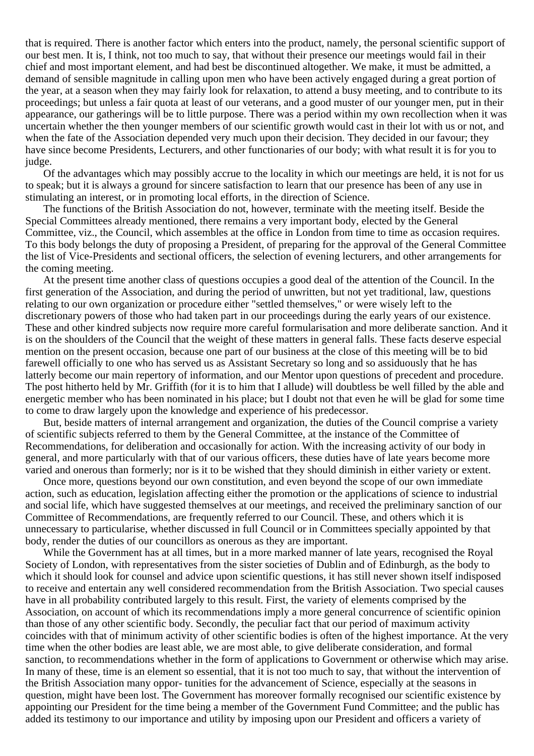that is required. There is another factor which enters into the product, namely, the personal scientific support of our best men. It is, I think, not too much to say, that without their presence our meetings would fail in their chief and most important element, and had best be discontinued altogether. We make, it must be admitted, a demand of sensible magnitude in calling upon men who have been actively engaged during a great portion of the year, at a season when they may fairly look for relaxation, to attend a busy meeting, and to contribute to its proceedings; but unless a fair quota at least of our veterans, and a good muster of our younger men, put in their appearance, our gatherings will be to little purpose. There was a period within my own recollection when it was uncertain whether the then younger members of our scientific growth would cast in their lot with us or not, and when the fate of the Association depended very much upon their decision. They decided in our favour; they have since become Presidents, Lecturers, and other functionaries of our body; with what result it is for you to judge.

Of the advantages which may possibly accrue to the locality in which our meetings are held, it is not for us to speak; but it is always a ground for sincere satisfaction to learn that our presence has been of any use in stimulating an interest, or in promoting local efforts, in the direction of Science.

The functions of the British Association do not, however, terminate with the meeting itself. Beside the Special Committees already mentioned, there remains a very important body, elected by the General Committee, viz., the Council, which assembles at the office in London from time to time as occasion requires. To this body belongs the duty of proposing a President, of preparing for the approval of the General Committee the list of Vice-Presidents and sectional officers, the selection of evening lecturers, and other arrangements for the coming meeting.

At the present time another class of questions occupies a good deal of the attention of the Council. In the first generation of the Association, and during the period of unwritten, but not yet traditional, law, questions relating to our own organization or procedure either "settled themselves," or were wisely left to the discretionary powers of those who had taken part in our proceedings during the early years of our existence. These and other kindred subjects now require more careful formularisation and more deliberate sanction. And it is on the shoulders of the Council that the weight of these matters in general falls. These facts deserve especial mention on the present occasion, because one part of our business at the close of this meeting will be to bid farewell officially to one who has served us as Assistant Secretary so long and so assiduously that he has latterly become our main repertory of information, and our Mentor upon questions of precedent and procedure. The post hitherto held by Mr. Griffith (for it is to him that I allude) will doubtless be well filled by the able and energetic member who has been nominated in his place; but I doubt not that even he will be glad for some time to come to draw largely upon the knowledge and experience of his predecessor.

But, beside matters of internal arrangement and organization, the duties of the Council comprise a variety of scientific subjects referred to them by the General Committee, at the instance of the Committee of Recommendations, for deliberation and occasionally for action. With the increasing activity of our body in general, and more particularly with that of our various officers, these duties have of late years become more varied and onerous than formerly; nor is it to be wished that they should diminish in either variety or extent.

Once more, questions beyond our own constitution, and even beyond the scope of our own immediate action, such as education, legislation affecting either the promotion or the applications of science to industrial and social life, which have suggested themselves at our meetings, and received the preliminary sanction of our Committee of Recommendations, are frequently referred to our Council. These, and others which it is unnecessary to particularise, whether discussed in full Council or in Committees specially appointed by that body, render the duties of our councillors as onerous as they are important.

While the Government has at all times, but in a more marked manner of late years, recognised the Royal Society of London, with representatives from the sister societies of Dublin and of Edinburgh, as the body to which it should look for counsel and advice upon scientific questions, it has still never shown itself indisposed to receive and entertain any well considered recommendation from the British Association. Two special causes have in all probability contributed largely to this result. First, the variety of elements comprised by the Association, on account of which its recommendations imply a more general concurrence of scientific opinion than those of any other scientific body. Secondly, the peculiar fact that our period of maximum activity coincides with that of minimum activity of other scientific bodies is often of the highest importance. At the very time when the other bodies are least able, we are most able, to give deliberate consideration, and formal sanction, to recommendations whether in the form of applications to Government or otherwise which may arise. In many of these, time is an element so essential, that it is not too much to say, that without the intervention of the British Association many oppor- tunities for the advancement of Science, especially at the seasons in question, might have been lost. The Government has moreover formally recognised our scientific existence by appointing our President for the time being a member of the Government Fund Committee; and the public has added its testimony to our importance and utility by imposing upon our President and officers a variety of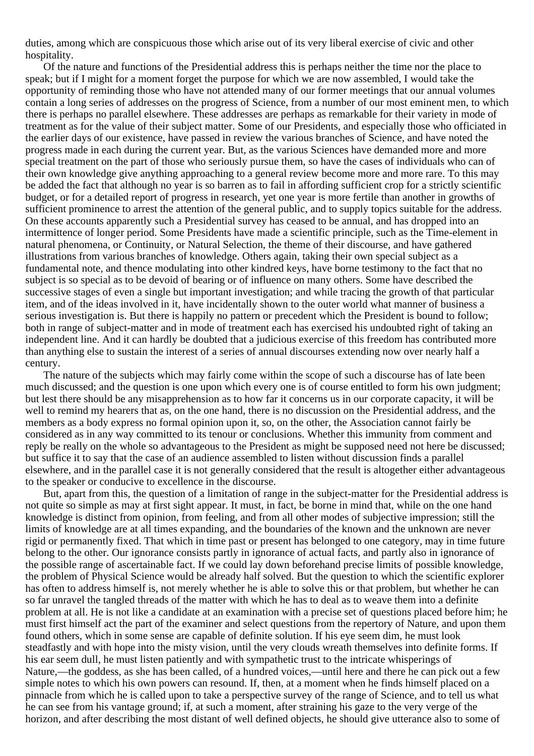duties, among which are conspicuous those which arise out of its very liberal exercise of civic and other hospitality.

Of the nature and functions of the Presidential address this is perhaps neither the time nor the place to speak; but if I might for a moment forget the purpose for which we are now assembled, I would take the opportunity of reminding those who have not attended many of our former meetings that our annual volumes contain a long series of addresses on the progress of Science, from a number of our most eminent men, to which there is perhaps no parallel elsewhere. These addresses are perhaps as remarkable for their variety in mode of treatment as for the value of their subject matter. Some of our Presidents, and especially those who officiated in the earlier days of our existence, have passed in review the various branches of Science, and have noted the progress made in each during the current year. But, as the various Sciences have demanded more and more special treatment on the part of those who seriously pursue them, so have the cases of individuals who can of their own knowledge give anything approaching to a general review become more and more rare. To this may be added the fact that although no year is so barren as to fail in affording sufficient crop for a strictly scientific budget, or for a detailed report of progress in research, yet one year is more fertile than another in growths of sufficient prominence to arrest the attention of the general public, and to supply topics suitable for the address. On these accounts apparently such a Presidential survey has ceased to be annual, and has dropped into an intermittence of longer period. Some Presidents have made a scientific principle, such as the Time-element in natural phenomena, or Continuity, or Natural Selection, the theme of their discourse, and have gathered illustrations from various branches of knowledge. Others again, taking their own special subject as a fundamental note, and thence modulating into other kindred keys, have borne testimony to the fact that no subject is so special as to be devoid of bearing or of influence on many others. Some have described the successive stages of even a single but important investigation; and while tracing the growth of that particular item, and of the ideas involved in it, have incidentally shown to the outer world what manner of business a serious investigation is. But there is happily no pattern or precedent which the President is bound to follow; both in range of subject-matter and in mode of treatment each has exercised his undoubted right of taking an independent line. And it can hardly be doubted that a judicious exercise of this freedom has contributed more than anything else to sustain the interest of a series of annual discourses extending now over nearly half a century.

The nature of the subjects which may fairly come within the scope of such a discourse has of late been much discussed; and the question is one upon which every one is of course entitled to form his own judgment; but lest there should be any misapprehension as to how far it concerns us in our corporate capacity, it will be well to remind my hearers that as, on the one hand, there is no discussion on the Presidential address, and the members as a body express no formal opinion upon it, so, on the other, the Association cannot fairly be considered as in any way committed to its tenour or conclusions. Whether this immunity from comment and reply be really on the whole so advantageous to the President as might be supposed need not here be discussed; but suffice it to say that the case of an audience assembled to listen without discussion finds a parallel elsewhere, and in the parallel case it is not generally considered that the result is altogether either advantageous to the speaker or conducive to excellence in the discourse.

But, apart from this, the question of a limitation of range in the subject-matter for the Presidential address is not quite so simple as may at first sight appear. It must, in fact, be borne in mind that, while on the one hand knowledge is distinct from opinion, from feeling, and from all other modes of subjective impression; still the limits of knowledge are at all times expanding, and the boundaries of the known and the unknown are never rigid or permanently fixed. That which in time past or present has belonged to one category, may in time future belong to the other. Our ignorance consists partly in ignorance of actual facts, and partly also in ignorance of the possible range of ascertainable fact. If we could lay down beforehand precise limits of possible knowledge, the problem of Physical Science would be already half solved. But the question to which the scientific explorer has often to address himself is, not merely whether he is able to solve this or that problem, but whether he can so far unravel the tangled threads of the matter with which he has to deal as to weave them into a definite problem at all. He is not like a candidate at an examination with a precise set of questions placed before him; he must first himself act the part of the examiner and select questions from the repertory of Nature, and upon them found others, which in some sense are capable of definite solution. If his eye seem dim, he must look steadfastly and with hope into the misty vision, until the very clouds wreath themselves into definite forms. If his ear seem dull, he must listen patiently and with sympathetic trust to the intricate whisperings of Nature,—the goddess, as she has been called, of a hundred voices,—until here and there he can pick out a few simple notes to which his own powers can resound. If, then, at a moment when he finds himself placed on a pinnacle from which he is called upon to take a perspective survey of the range of Science, and to tell us what he can see from his vantage ground; if, at such a moment, after straining his gaze to the very verge of the horizon, and after describing the most distant of well defined objects, he should give utterance also to some of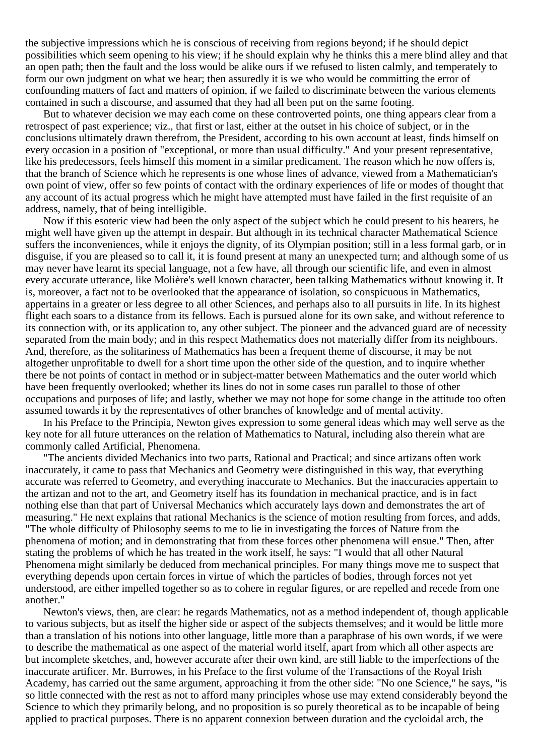the subjective impressions which he is conscious of receiving from regions beyond; if he should depict possibilities which seem opening to his view; if he should explain why he thinks this a mere blind alley and that an open path; then the fault and the loss would be alike ours if we refused to listen calmly, and temperately to form our own judgment on what we hear; then assuredly it is we who would be committing the error of confounding matters of fact and matters of opinion, if we failed to discriminate between the various elements contained in such a discourse, and assumed that they had all been put on the same footing.

But to whatever decision we may each come on these controverted points, one thing appears clear from a retrospect of past experience; viz., that first or last, either at the outset in his choice of subject, or in the conclusions ultimately drawn therefrom, the President, according to his own account at least, finds himself on every occasion in a position of "exceptional, or more than usual difficulty." And your present representative, like his predecessors, feels himself this moment in a similar predicament. The reason which he now offers is, that the branch of Science which he represents is one whose lines of advance, viewed from a Mathematician's own point of view, offer so few points of contact with the ordinary experiences of life or modes of thought that any account of its actual progress which he might have attempted must have failed in the first requisite of an address, namely, that of being intelligible.

Now if this esoteric view had been the only aspect of the subject which he could present to his hearers, he might well have given up the attempt in despair. But although in its technical character Mathematical Science suffers the inconveniences, while it enjoys the dignity, of its Olympian position; still in a less formal garb, or in disguise, if you are pleased so to call it, it is found present at many an unexpected turn; and although some of us may never have learnt its special language, not a few have, all through our scientific life, and even in almost every accurate utterance, like Molière's well known character, been talking Mathematics without knowing it. It is, moreover, a fact not to be overlooked that the appearance of isolation, so conspicuous in Mathematics, appertains in a greater or less degree to all other Sciences, and perhaps also to all pursuits in life. In its highest flight each soars to a distance from its fellows. Each is pursued alone for its own sake, and without reference to its connection with, or its application to, any other subject. The pioneer and the advanced guard are of necessity separated from the main body; and in this respect Mathematics does not materially differ from its neighbours. And, therefore, as the solitariness of Mathematics has been a frequent theme of discourse, it may be not altogether unprofitable to dwell for a short time upon the other side of the question, and to inquire whether there be not points of contact in method or in subject-matter between Mathematics and the outer world which have been frequently overlooked; whether its lines do not in some cases run parallel to those of other occupations and purposes of life; and lastly, whether we may not hope for some change in the attitude too often assumed towards it by the representatives of other branches of knowledge and of mental activity.

In his Preface to the Principia, Newton gives expression to some general ideas which may well serve as the key note for all future utterances on the relation of Mathematics to Natural, including also therein what are commonly called Artificial, Phenomena.

"The ancients divided Mechanics into two parts, Rational and Practical; and since artizans often work inaccurately, it came to pass that Mechanics and Geometry were distinguished in this way, that everything accurate was referred to Geometry, and everything inaccurate to Mechanics. But the inaccuracies appertain to the artizan and not to the art, and Geometry itself has its foundation in mechanical practice, and is in fact nothing else than that part of Universal Mechanics which accurately lays down and demonstrates the art of measuring." He next explains that rational Mechanics is the science of motion resulting from forces, and adds, "The whole difficulty of Philosophy seems to me to lie in investigating the forces of Nature from the phenomena of motion; and in demonstrating that from these forces other phenomena will ensue." Then, after stating the problems of which he has treated in the work itself, he says: "I would that all other Natural Phenomena might similarly be deduced from mechanical principles. For many things move me to suspect that everything depends upon certain forces in virtue of which the particles of bodies, through forces not yet understood, are either impelled together so as to cohere in regular figures, or are repelled and recede from one another."

Newton's views, then, are clear: he regards Mathematics, not as a method independent of, though applicable to various subjects, but as itself the higher side or aspect of the subjects themselves; and it would be little more than a translation of his notions into other language, little more than a paraphrase of his own words, if we were to describe the mathematical as one aspect of the material world itself, apart from which all other aspects are but incomplete sketches, and, however accurate after their own kind, are still liable to the imperfections of the inaccurate artificer. Mr. Burrowes, in his Preface to the first volume of the Transactions of the Royal Irish Academy, has carried out the same argument, approaching it from the other side: "No one Science," he says, "is so little connected with the rest as not to afford many principles whose use may extend considerably beyond the Science to which they primarily belong, and no proposition is so purely theoretical as to be incapable of being applied to practical purposes. There is no apparent connexion between duration and the cycloidal arch, the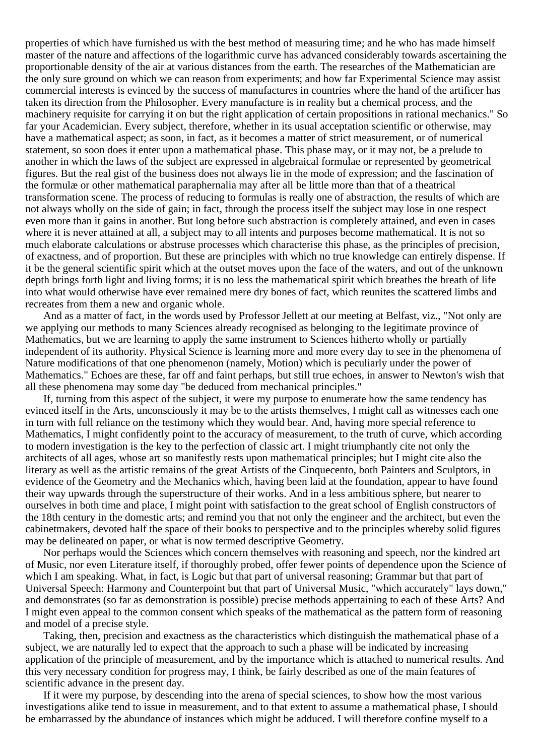properties of which have furnished us with the best method of measuring time; and he who has made himself master of the nature and affections of the logarithmic curve has advanced considerably towards ascertaining the proportionable density of the air at various distances from the earth. The researches of the Mathematician are the only sure ground on which we can reason from experiments; and how far Experimental Science may assist commercial interests is evinced by the success of manufactures in countries where the hand of the artificer has taken its direction from the Philosopher. Every manufacture is in reality but a chemical process, and the machinery requisite for carrying it on but the right application of certain propositions in rational mechanics." So far your Academician. Every subject, therefore, whether in its usual acceptation scientific or otherwise, may have a mathematical aspect; as soon, in fact, as it becomes a matter of strict measurement, or of numerical statement, so soon does it enter upon a mathematical phase. This phase may, or it may not, be a prelude to another in which the laws of the subject are expressed in algebraical formulae or represented by geometrical figures. But the real gist of the business does not always lie in the mode of expression; and the fascination of the formulæ or other mathematical paraphernalia may after all be little more than that of a theatrical transformation scene. The process of reducing to formulas is really one of abstraction, the results of which are not always wholly on the side of gain; in fact, through the process itself the subject may lose in one respect even more than it gains in another. But long before such abstraction is completely attained, and even in cases where it is never attained at all, a subject may to all intents and purposes become mathematical. It is not so much elaborate calculations or abstruse processes which characterise this phase, as the principles of precision, of exactness, and of proportion. But these are principles with which no true knowledge can entirely dispense. If it be the general scientific spirit which at the outset moves upon the face of the waters, and out of the unknown depth brings forth light and living forms; it is no less the mathematical spirit which breathes the breath of life into what would otherwise have ever remained mere dry bones of fact, which reunites the scattered limbs and recreates from them a new and organic whole.

And as a matter of fact, in the words used by Professor Jellett at our meeting at Belfast, viz., "Not only are we applying our methods to many Sciences already recognised as belonging to the legitimate province of Mathematics, but we are learning to apply the same instrument to Sciences hitherto wholly or partially independent of its authority. Physical Science is learning more and more every day to see in the phenomena of Nature modifications of that one phenomenon (namely, Motion) which is peculiarly under the power of Mathematics." Echoes are these, far off and faint perhaps, but still true echoes, in answer to Newton's wish that all these phenomena may some day "be deduced from mechanical principles."

If, turning from this aspect of the subject, it were my purpose to enumerate how the same tendency has evinced itself in the Arts, unconsciously it may be to the artists themselves, I might call as witnesses each one in turn with full reliance on the testimony which they would bear. And, having more special reference to Mathematics, I might confidently point to the accuracy of measurement, to the truth of curve, which according to modern investigation is the key to the perfection of classic art. I might triumphantly cite not only the architects of all ages, whose art so manifestly rests upon mathematical principles; but I might cite also the literary as well as the artistic remains of the great Artists of the Cinquecento, both Painters and Sculptors, in evidence of the Geometry and the Mechanics which, having been laid at the foundation, appear to have found their way upwards through the superstructure of their works. And in a less ambitious sphere, but nearer to ourselves in both time and place, I might point with satisfaction to the great school of English constructors of the 18th century in the domestic arts; and remind you that not only the engineer and the architect, but even the cabinetmakers, devoted half the space of their books to perspective and to the principles whereby solid figures may be delineated on paper, or what is now termed descriptive Geometry.

Nor perhaps would the Sciences which concern themselves with reasoning and speech, nor the kindred art of Music, nor even Literature itself, if thoroughly probed, offer fewer points of dependence upon the Science of which I am speaking. What, in fact, is Logic but that part of universal reasoning; Grammar but that part of Universal Speech: Harmony and Counterpoint but that part of Universal Music, "which accurately" lays down," and demonstrates (so far as demonstration is possible) precise methods appertaining to each of these Arts? And I might even appeal to the common consent which speaks of the mathematical as the pattern form of reasoning and model of a precise style.

Taking, then, precision and exactness as the characteristics which distinguish the mathematical phase of a subject, we are naturally led to expect that the approach to such a phase will be indicated by increasing application of the principle of measurement, and by the importance which is attached to numerical results. And this very necessary condition for progress may, I think, be fairly described as one of the main features of scientific advance in the present day.

If it were my purpose, by descending into the arena of special sciences, to show how the most various investigations alike tend to issue in measurement, and to that extent to assume a mathematical phase, I should be embarrassed by the abundance of instances which might be adduced. I will therefore confine myself to a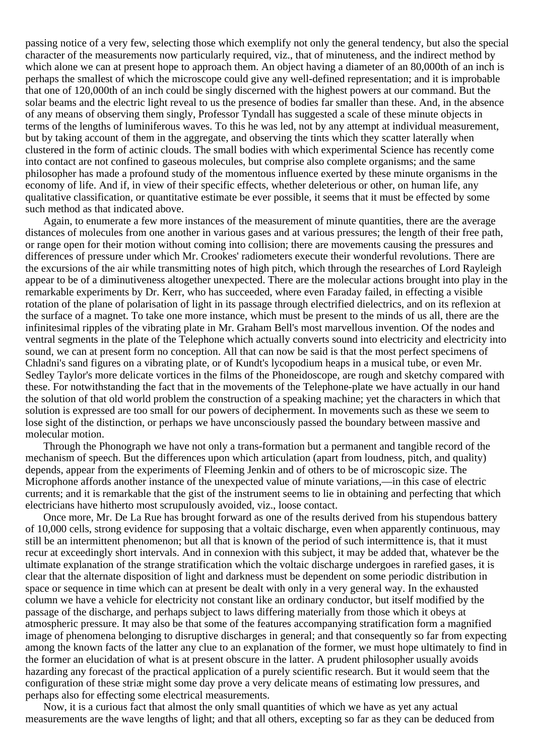passing notice of a very few, selecting those which exemplify not only the general tendency, but also the special character of the measurements now particularly required, viz., that of minuteness, and the indirect method by which alone we can at present hope to approach them. An object having a diameter of an 80,000th of an inch is perhaps the smallest of which the microscope could give any well-defined representation; and it is improbable that one of 120,000th of an inch could be singly discerned with the highest powers at our command. But the solar beams and the electric light reveal to us the presence of bodies far smaller than these. And, in the absence of any means of observing them singly, Professor Tyndall has suggested a scale of these minute objects in terms of the lengths of luminiferous waves. To this he was led, not by any attempt at individual measurement, but by taking account of them in the aggregate, and observing the tints which they scatter laterally when clustered in the form of actinic clouds. The small bodies with which experimental Science has recently come into contact are not confined to gaseous molecules, but comprise also complete organisms; and the same philosopher has made a profound study of the momentous influence exerted by these minute organisms in the economy of life. And if, in view of their specific effects, whether deleterious or other, on human life, any qualitative classification, or quantitative estimate be ever possible, it seems that it must be effected by some such method as that indicated above.

Again, to enumerate a few more instances of the measurement of minute quantities, there are the average distances of molecules from one another in various gases and at various pressures; the length of their free path, or range open for their motion without coming into collision; there are movements causing the pressures and differences of pressure under which Mr. Crookes' radiometers execute their wonderful revolutions. There are the excursions of the air while transmitting notes of high pitch, which through the researches of Lord Rayleigh appear to be of a diminutiveness altogether unexpected. There are the molecular actions brought into play in the remarkable experiments by Dr. Kerr, who has succeeded, where even Faraday failed, in effecting a visible rotation of the plane of polarisation of light in its passage through electrified dielectrics, and on its reflexion at the surface of a magnet. To take one more instance, which must be present to the minds of us all, there are the infinitesimal ripples of the vibrating plate in Mr. Graham Bell's most marvellous invention. Of the nodes and ventral segments in the plate of the Telephone which actually converts sound into electricity and electricity into sound, we can at present form no conception. All that can now be said is that the most perfect specimens of Chladni's sand figures on a vibrating plate, or of Kundt's lycopodium heaps in a musical tube, or even Mr. Sedley Taylor's more delicate vortices in the films of the Phoneidoscope, are rough and sketchy compared with these. For notwithstanding the fact that in the movements of the Telephone-plate we have actually in our hand the solution of that old world problem the construction of a speaking machine; yet the characters in which that solution is expressed are too small for our powers of decipherment. In movements such as these we seem to lose sight of the distinction, or perhaps we have unconsciously passed the boundary between massive and molecular motion.

Through the Phonograph we have not only a trans-formation but a permanent and tangible record of the mechanism of speech. But the differences upon which articulation (apart from loudness, pitch, and quality) depends, appear from the experiments of Fleeming Jenkin and of others to be of microscopic size. The Microphone affords another instance of the unexpected value of minute variations,—in this case of electric currents; and it is remarkable that the gist of the instrument seems to lie in obtaining and perfecting that which electricians have hitherto most scrupulously avoided, viz., loose contact.

Once more, Mr. De La Rue has brought forward as one of the results derived from his stupendous battery of 10,000 cells, strong evidence for supposing that a voltaic discharge, even when apparently continuous, may still be an intermittent phenomenon; but all that is known of the period of such intermittence is, that it must recur at exceedingly short intervals. And in connexion with this subject, it may be added that, whatever be the ultimate explanation of the strange stratification which the voltaic discharge undergoes in rarefied gases, it is clear that the alternate disposition of light and darkness must be dependent on some periodic distribution in space or sequence in time which can at present be dealt with only in a very general way. In the exhausted column we have a vehicle for electricity not constant like an ordinary conductor, but itself modified by the passage of the discharge, and perhaps subject to laws differing materially from those which it obeys at atmospheric pressure. It may also be that some of the features accompanying stratification form a magnified image of phenomena belonging to disruptive discharges in general; and that consequently so far from expecting among the known facts of the latter any clue to an explanation of the former, we must hope ultimately to find in the former an elucidation of what is at present obscure in the latter. A prudent philosopher usually avoids hazarding any forecast of the practical application of a purely scientific research. But it would seem that the configuration of these striæ might some day prove a very delicate means of estimating low pressures, and perhaps also for effecting some electrical measurements.

Now, it is a curious fact that almost the only small quantities of which we have as yet any actual measurements are the wave lengths of light; and that all others, excepting so far as they can be deduced from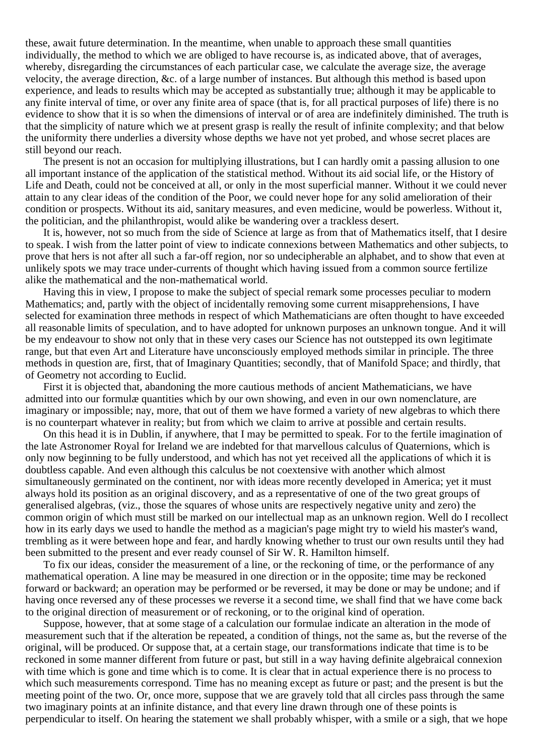these, await future determination. In the meantime, when unable to approach these small quantities individually, the method to which we are obliged to have recourse is, as indicated above, that of averages, whereby, disregarding the circumstances of each particular case, we calculate the average size, the average velocity, the average direction, &c. of a large number of instances. But although this method is based upon experience, and leads to results which may be accepted as substantially true; although it may be applicable to any finite interval of time, or over any finite area of space (that is, for all practical purposes of life) there is no evidence to show that it is so when the dimensions of interval or of area are indefinitely diminished. The truth is that the simplicity of nature which we at present grasp is really the result of infinite complexity; and that below the uniformity there underlies a diversity whose depths we have not yet probed, and whose secret places are still beyond our reach.

The present is not an occasion for multiplying illustrations, but I can hardly omit a passing allusion to one all important instance of the application of the statistical method. Without its aid social life, or the History of Life and Death, could not be conceived at all, or only in the most superficial manner. Without it we could never attain to any clear ideas of the condition of the Poor, we could never hope for any solid amelioration of their condition or prospects. Without its aid, sanitary measures, and even medicine, would be powerless. Without it, the politician, and the philanthropist, would alike be wandering over a trackless desert.

It is, however, not so much from the side of Science at large as from that of Mathematics itself, that I desire to speak. I wish from the latter point of view to indicate connexions between Mathematics and other subjects, to prove that hers is not after all such a far-off region, nor so undecipherable an alphabet, and to show that even at unlikely spots we may trace under-currents of thought which having issued from a common source fertilize alike the mathematical and the non-mathematical world.

Having this in view, I propose to make the subject of special remark some processes peculiar to modern Mathematics; and, partly with the object of incidentally removing some current misapprehensions, I have selected for examination three methods in respect of which Mathematicians are often thought to have exceeded all reasonable limits of speculation, and to have adopted for unknown purposes an unknown tongue. And it will be my endeavour to show not only that in these very cases our Science has not outstepped its own legitimate range, but that even Art and Literature have unconsciously employed methods similar in principle. The three methods in question are, first, that of Imaginary Quantities; secondly, that of Manifold Space; and thirdly, that of Geometry not according to Euclid.

First it is objected that, abandoning the more cautious methods of ancient Mathematicians, we have admitted into our formulæ quantities which by our own showing, and even in our own nomenclature, are imaginary or impossible; nay, more, that out of them we have formed a variety of new algebras to which there is no counterpart whatever in reality; but from which we claim to arrive at possible and certain results.

On this head it is in Dublin, if anywhere, that I may be permitted to speak. For to the fertile imagination of the late Astronomer Royal for Ireland we are indebted for that marvellous calculus of Quaternions, which is only now beginning to be fully understood, and which has not yet received all the applications of which it is doubtless capable. And even although this calculus be not coextensive with another which almost simultaneously germinated on the continent, nor with ideas more recently developed in America; yet it must always hold its position as an original discovery, and as a representative of one of the two great groups of generalised algebras, (viz., those the squares of whose units are respectively negative unity and zero) the common origin of which must still be marked on our intellectual map as an unknown region. Well do I recollect how in its early days we used to handle the method as a magician's page might try to wield his master's wand, trembling as it were between hope and fear, and hardly knowing whether to trust our own results until they had been submitted to the present and ever ready counsel of Sir W. R. Hamilton himself.

To fix our ideas, consider the measurement of a line, or the reckoning of time, or the performance of any mathematical operation. A line may be measured in one direction or in the opposite; time may be reckoned forward or backward; an operation may be performed or be reversed, it may be done or may be undone; and if having once reversed any of these processes we reverse it a second time, we shall find that we have come back to the original direction of measurement or of reckoning, or to the original kind of operation.

Suppose, however, that at some stage of a calculation our formulae indicate an alteration in the mode of measurement such that if the alteration be repeated, a condition of things, not the same as, but the reverse of the original, will be produced. Or suppose that, at a certain stage, our transformations indicate that time is to be reckoned in some manner different from future or past, but still in a way having definite algebraical connexion with time which is gone and time which is to come. It is clear that in actual experience there is no process to which such measurements correspond. Time has no meaning except as future or past; and the present is but the meeting point of the two. Or, once more, suppose that we are gravely told that all circles pass through the same two imaginary points at an infinite distance, and that every line drawn through one of these points is perpendicular to itself. On hearing the statement we shall probably whisper, with a smile or a sigh, that we hope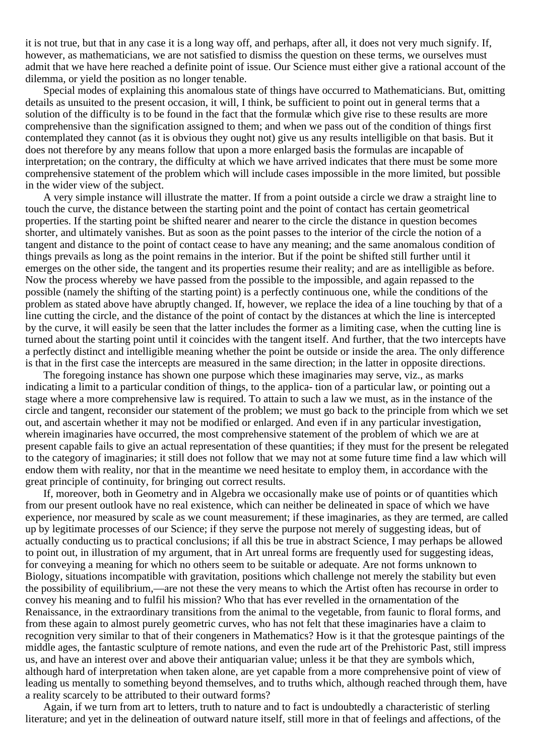it is not true, but that in any case it is a long way off, and perhaps, after all, it does not very much signify. If, however, as mathematicians, we are not satisfied to dismiss the question on these terms, we ourselves must admit that we have here reached a definite point of issue. Our Science must either give a rational account of the dilemma, or yield the position as no longer tenable.

Special modes of explaining this anomalous state of things have occurred to Mathematicians. But, omitting details as unsuited to the present occasion, it will, I think, be sufficient to point out in general terms that a solution of the difficulty is to be found in the fact that the formulæ which give rise to these results are more comprehensive than the signification assigned to them; and when we pass out of the condition of things first contemplated they cannot (as it is obvious they ought not) give us any results intelligible on that basis. But it does not therefore by any means follow that upon a more enlarged basis the formulas are incapable of interpretation; on the contrary, the difficulty at which we have arrived indicates that there must be some more comprehensive statement of the problem which will include cases impossible in the more limited, but possible in the wider view of the subject.

A very simple instance will illustrate the matter. If from a point outside a circle we draw a straight line to touch the curve, the distance between the starting point and the point of contact has certain geometrical properties. If the starting point be shifted nearer and nearer to the circle the distance in question becomes shorter, and ultimately vanishes. But as soon as the point passes to the interior of the circle the notion of a tangent and distance to the point of contact cease to have any meaning; and the same anomalous condition of things prevails as long as the point remains in the interior. But if the point be shifted still further until it emerges on the other side, the tangent and its properties resume their reality; and are as intelligible as before. Now the process whereby we have passed from the possible to the impossible, and again repassed to the possible (namely the shifting of the starting point) is a perfectly continuous one, while the conditions of the problem as stated above have abruptly changed. If, however, we replace the idea of a line touching by that of a line cutting the circle, and the distance of the point of contact by the distances at which the line is intercepted by the curve, it will easily be seen that the latter includes the former as a limiting case, when the cutting line is turned about the starting point until it coincides with the tangent itself. And further, that the two intercepts have a perfectly distinct and intelligible meaning whether the point be outside or inside the area. The only difference is that in the first case the intercepts are measured in the same direction; in the latter in opposite directions.

The foregoing instance has shown one purpose which these imaginaries may serve, viz., as marks indicating a limit to a particular condition of things, to the applica- tion of a particular law, or pointing out a stage where a more comprehensive law is required. To attain to such a law we must, as in the instance of the circle and tangent, reconsider our statement of the problem; we must go back to the principle from which we set out, and ascertain whether it may not be modified or enlarged. And even if in any particular investigation, wherein imaginaries have occurred, the most comprehensive statement of the problem of which we are at present capable fails to give an actual representation of these quantities; if they must for the present be relegated to the category of imaginaries; it still does not follow that we may not at some future time find a law which will endow them with reality, nor that in the meantime we need hesitate to employ them, in accordance with the great principle of continuity, for bringing out correct results.

If, moreover, both in Geometry and in Algebra we occasionally make use of points or of quantities which from our present outlook have no real existence, which can neither be delineated in space of which we have experience, nor measured by scale as we count measurement; if these imaginaries, as they are termed, are called up by legitimate processes of our Science; if they serve the purpose not merely of suggesting ideas, but of actually conducting us to practical conclusions; if all this be true in abstract Science, I may perhaps be allowed to point out, in illustration of my argument, that in Art unreal forms are frequently used for suggesting ideas, for conveying a meaning for which no others seem to be suitable or adequate. Are not forms unknown to Biology, situations incompatible with gravitation, positions which challenge not merely the stability but even the possibility of equilibrium,—are not these the very means to which the Artist often has recourse in order to convey his meaning and to fulfil his mission? Who that has ever revelled in the ornamentation of the Renaissance, in the extraordinary transitions from the animal to the vegetable, from faunic to floral forms, and from these again to almost purely geometric curves, who has not felt that these imaginaries have a claim to recognition very similar to that of their congeners in Mathematics? How is it that the grotesque paintings of the middle ages, the fantastic sculpture of remote nations, and even the rude art of the Prehistoric Past, still impress us, and have an interest over and above their antiquarian value; unless it be that they are symbols which, although hard of interpretation when taken alone, are yet capable from a more comprehensive point of view of leading us mentally to something beyond themselves, and to truths which, although reached through them, have a reality scarcely to be attributed to their outward forms?

Again, if we turn from art to letters, truth to nature and to fact is undoubtedly a characteristic of sterling literature; and yet in the delineation of outward nature itself, still more in that of feelings and affections, of the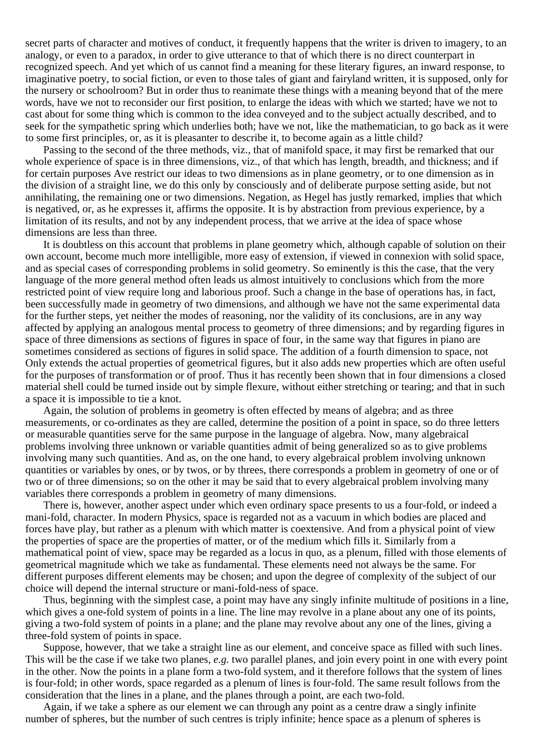secret parts of character and motives of conduct, it frequently happens that the writer is driven to imagery, to an analogy, or even to a paradox, in order to give utterance to that of which there is no direct counterpart in recognized speech. And yet which of us cannot find a meaning for these literary figures, an inward response, to imaginative poetry, to social fiction, or even to those tales of giant and fairyland written, it is supposed, only for the nursery or schoolroom? But in order thus to reanimate these things with a meaning beyond that of the mere words, have we not to reconsider our first position, to enlarge the ideas with which we started; have we not to cast about for some thing which is common to the idea conveyed and to the subject actually described, and to seek for the sympathetic spring which underlies both; have we not, like the mathematician, to go back as it were to some first principles, or, as it is pleasanter to describe it, to become again as a little child?

Passing to the second of the three methods, viz., that of manifold space, it may first be remarked that our whole experience of space is in three dimensions, viz., of that which has length, breadth, and thickness; and if for certain purposes Ave restrict our ideas to two dimensions as in plane geometry, or to one dimension as in the division of a straight line, we do this only by consciously and of deliberate purpose setting aside, but not annihilating, the remaining one or two dimensions. Negation, as Hegel has justly remarked, implies that which is negatived, or, as he expresses it, affirms the opposite. It is by abstraction from previous experience, by a limitation of its results, and not by any independent process, that we arrive at the idea of space whose dimensions are less than three.

It is doubtless on this account that problems in plane geometry which, although capable of solution on their own account, become much more intelligible, more easy of extension, if viewed in connexion with solid space, and as special cases of corresponding problems in solid geometry. So eminently is this the case, that the very language of the more general method often leads us almost intuitively to conclusions which from the more restricted point of view require long and laborious proof. Such a change in the base of operations has, in fact, been successfully made in geometry of two dimensions, and although we have not the same experimental data for the further steps, yet neither the modes of reasoning, nor the validity of its conclusions, are in any way affected by applying an analogous mental process to geometry of three dimensions; and by regarding figures in space of three dimensions as sections of figures in space of four, in the same way that figures in piano are sometimes considered as sections of figures in solid space. The addition of a fourth dimension to space, not Only extends the actual properties of geometrical figures, but it also adds new properties which are often useful for the purposes of transformation or of proof. Thus it has recently been shown that in four dimensions a closed material shell could be turned inside out by simple flexure, without either stretching or tearing; and that in such a space it is impossible to tie a knot.

Again, the solution of problems in geometry is often effected by means of algebra; and as three measurements, or co-ordinates as they are called, determine the position of a point in space, so do three letters or measurable quantities serve for the same purpose in the language of algebra. Now, many algebraical problems involving three unknown or variable quantities admit of being generalized so as to give problems involving many such quantities. And as, on the one hand, to every algebraical problem involving unknown quantities or variables by ones, or by twos, or by threes, there corresponds a problem in geometry of one or of two or of three dimensions; so on the other it may be said that to every algebraical problem involving many variables there corresponds a problem in geometry of many dimensions.

There is, however, another aspect under which even ordinary space presents to us a four-fold, or indeed a mani-fold, character. In modern Physics, space is regarded not as a vacuum in which bodies are placed and forces have play, but rather as a plenum with which matter is coextensive. And from a physical point of view the properties of space are the properties of matter, or of the medium which fills it. Similarly from a mathematical point of view, space may be regarded as a locus in quo, as a plenum, filled with those elements of geometrical magnitude which we take as fundamental. These elements need not always be the same. For different purposes different elements may be chosen; and upon the degree of complexity of the subject of our choice will depend the internal structure or mani-fold-ness of space.

Thus, beginning with the simplest case, a point may have any singly infinite multitude of positions in a line, which gives a one-fold system of points in a line. The line may revolve in a plane about any one of its points, giving a two-fold system of points in a plane; and the plane may revolve about any one of the lines, giving a three-fold system of points in space.

Suppose, however, that we take a straight line as our element, and conceive space as filled with such lines. This will be the case if we take two planes, *e.g.* two parallel planes, and join every point in one with every point in the other. Now the points in a plane form a two-fold system, and it therefore follows that the system of lines is four-fold; in other words, space regarded as a plenum of lines is four-fold. The same result follows from the consideration that the lines in a plane, and the planes through a point, are each two-fold.

Again, if we take a sphere as our element we can through any point as a centre draw a singly infinite number of spheres, but the number of such centres is triply infinite; hence space as a plenum of spheres is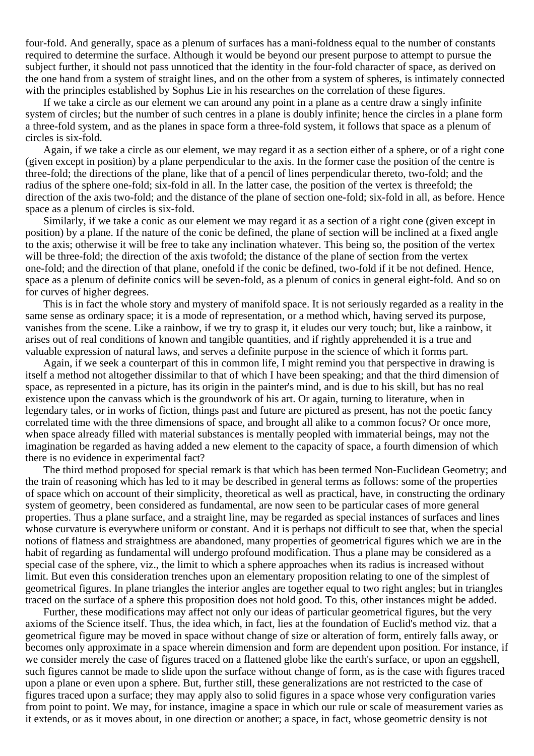four-fold. And generally, space as a plenum of surfaces has a mani-foldness equal to the number of constants required to determine the surface. Although it would be beyond our present purpose to attempt to pursue the subject further, it should not pass unnoticed that the identity in the four-fold character of space, as derived on the one hand from a system of straight lines, and on the other from a system of spheres, is intimately connected with the principles established by Sophus Lie in his researches on the correlation of these figures.

If we take a circle as our element we can around any point in a plane as a centre draw a singly infinite system of circles; but the number of such centres in a plane is doubly infinite; hence the circles in a plane form a three-fold system, and as the planes in space form a three-fold system, it follows that space as a plenum of circles is six-fold.

Again, if we take a circle as our element, we may regard it as a section either of a sphere, or of a right cone (given except in position) by a plane perpendicular to the axis. In the former case the position of the centre is three-fold; the directions of the plane, like that of a pencil of lines perpendicular thereto, two-fold; and the radius of the sphere one-fold; six-fold in all. In the latter case, the position of the vertex is threefold; the direction of the axis two-fold; and the distance of the plane of section one-fold; six-fold in all, as before. Hence space as a plenum of circles is six-fold.

Similarly, if we take a conic as our element we may regard it as a section of a right cone (given except in position) by a plane. If the nature of the conic be defined, the plane of section will be inclined at a fixed angle to the axis; otherwise it will be free to take any inclination whatever. This being so, the position of the vertex will be three-fold; the direction of the axis twofold; the distance of the plane of section from the vertex one-fold; and the direction of that plane, onefold if the conic be defined, two-fold if it be not defined. Hence, space as a plenum of definite conics will be seven-fold, as a plenum of conics in general eight-fold. And so on for curves of higher degrees.

This is in fact the whole story and mystery of manifold space. It is not seriously regarded as a reality in the same sense as ordinary space; it is a mode of representation, or a method which, having served its purpose, vanishes from the scene. Like a rainbow, if we try to grasp it, it eludes our very touch; but, like a rainbow, it arises out of real conditions of known and tangible quantities, and if rightly apprehended it is a true and valuable expression of natural laws, and serves a definite purpose in the science of which it forms part.

Again, if we seek a counterpart of this in common life, I might remind you that perspective in drawing is itself a method not altogether dissimilar to that of which I have been speaking; and that the third dimension of space, as represented in a picture, has its origin in the painter's mind, and is due to his skill, but has no real existence upon the canvass which is the groundwork of his art. Or again, turning to literature, when in legendary tales, or in works of fiction, things past and future are pictured as present, has not the poetic fancy correlated time with the three dimensions of space, and brought all alike to a common focus? Or once more, when space already filled with material substances is mentally peopled with immaterial beings, may not the imagination be regarded as having added a new element to the capacity of space, a fourth dimension of which there is no evidence in experimental fact?

The third method proposed for special remark is that which has been termed Non-Euclidean Geometry; and the train of reasoning which has led to it may be described in general terms as follows: some of the properties of space which on account of their simplicity, theoretical as well as practical, have, in constructing the ordinary system of geometry, been considered as fundamental, are now seen to be particular cases of more general properties. Thus a plane surface, and a straight line, may be regarded as special instances of surfaces and lines whose curvature is everywhere uniform or constant. And it is perhaps not difficult to see that, when the special notions of flatness and straightness are abandoned, many properties of geometrical figures which we are in the habit of regarding as fundamental will undergo profound modification. Thus a plane may be considered as a special case of the sphere, viz., the limit to which a sphere approaches when its radius is increased without limit. But even this consideration trenches upon an elementary proposition relating to one of the simplest of geometrical figures. In plane triangles the interior angles are together equal to two right angles; but in triangles traced on the surface of a sphere this proposition does not hold good. To this, other instances might be added.

Further, these modifications may affect not only our ideas of particular geometrical figures, but the very axioms of the Science itself. Thus, the idea which, in fact, lies at the foundation of Euclid's method viz. that a geometrical figure may be moved in space without change of size or alteration of form, entirely falls away, or becomes only approximate in a space wherein dimension and form are dependent upon position. For instance, if we consider merely the case of figures traced on a flattened globe like the earth's surface, or upon an eggshell, such figures cannot be made to slide upon the surface without change of form, as is the case with figures traced upon a plane or even upon a sphere. But, further still, these generalizations are not restricted to the case of figures traced upon a surface; they may apply also to solid figures in a space whose very configuration varies from point to point. We may, for instance, imagine a space in which our rule or scale of measurement varies as it extends, or as it moves about, in one direction or another; a space, in fact, whose geometric density is not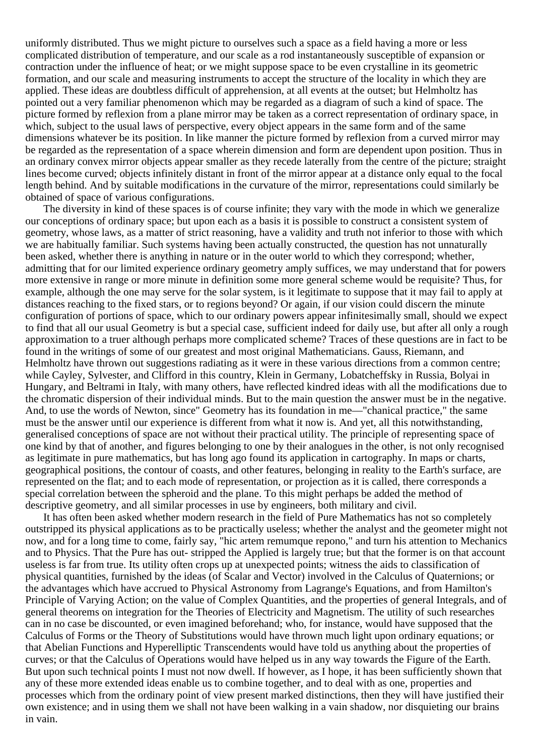uniformly distributed. Thus we might picture to ourselves such a space as a field having a more or less complicated distribution of temperature, and our scale as a rod instantaneously susceptible of expansion or contraction under the influence of heat; or we might suppose space to be even crystalline in its geometric formation, and our scale and measuring instruments to accept the structure of the locality in which they are applied. These ideas are doubtless difficult of apprehension, at all events at the outset; but Helmholtz has pointed out a very familiar phenomenon which may be regarded as a diagram of such a kind of space. The picture formed by reflexion from a plane mirror may be taken as a correct representation of ordinary space, in which, subject to the usual laws of perspective, every object appears in the same form and of the same dimensions whatever be its position. In like manner the picture formed by reflexion from a curved mirror may be regarded as the representation of a space wherein dimension and form are dependent upon position. Thus in an ordinary convex mirror objects appear smaller as they recede laterally from the centre of the picture; straight lines become curved; objects infinitely distant in front of the mirror appear at a distance only equal to the focal length behind. And by suitable modifications in the curvature of the mirror, representations could similarly be obtained of space of various configurations.

The diversity in kind of these spaces is of course infinite; they vary with the mode in which we generalize our conceptions of ordinary space; but upon each as a basis it is possible to construct a consistent system of geometry, whose laws, as a matter of strict reasoning, have a validity and truth not inferior to those with which we are habitually familiar. Such systems having been actually constructed, the question has not unnaturally been asked, whether there is anything in nature or in the outer world to which they correspond; whether, admitting that for our limited experience ordinary geometry amply suffices, we may understand that for powers more extensive in range or more minute in definition some more general scheme would be requisite? Thus, for example, although the one may serve for the solar system, is it legitimate to suppose that it may fail to apply at distances reaching to the fixed stars, or to regions beyond? Or again, if our vision could discern the minute configuration of portions of space, which to our ordinary powers appear infinitesimally small, should we expect to find that all our usual Geometry is but a special case, sufficient indeed for daily use, but after all only a rough approximation to a truer although perhaps more complicated scheme? Traces of these questions are in fact to be found in the writings of some of our greatest and most original Mathematicians. Gauss, Riemann, and Helmholtz have thrown out suggestions radiating as it were in these various directions from a common centre; while Cayley, Sylvester, and Clifford in this country, Klein in Germany, Lobatcheffsky in Russia, Bolyai in Hungary, and Beltrami in Italy, with many others, have reflected kindred ideas with all the modifications due to the chromatic dispersion of their individual minds. But to the main question the answer must be in the negative. And, to use the words of Newton, since" Geometry has its foundation in me—"chanical practice," the same must be the answer until our experience is different from what it now is. And yet, all this notwithstanding, generalised conceptions of space are not without their practical utility. The principle of representing space of one kind by that of another, and figures belonging to one by their analogues in the other, is not only recognised as legitimate in pure mathematics, but has long ago found its application in cartography. In maps or charts, geographical positions, the contour of coasts, and other features, belonging in reality to the Earth's surface, are represented on the flat; and to each mode of representation, or projection as it is called, there corresponds a special correlation between the spheroid and the plane. To this might perhaps be added the method of descriptive geometry, and all similar processes in use by engineers, both military and civil.

It has often been asked whether modern research in the field of Pure Mathematics has not so completely outstripped its physical applications as to be practically useless; whether the analyst and the geometer might not now, and for a long time to come, fairly say, "hic artem remumque repono," and turn his attention to Mechanics and to Physics. That the Pure has out- stripped the Applied is largely true; but that the former is on that account useless is far from true. Its utility often crops up at unexpected points; witness the aids to classification of physical quantities, furnished by the ideas (of Scalar and Vector) involved in the Calculus of Quaternions; or the advantages which have accrued to Physical Astronomy from Lagrange's Equations, and from Hamilton's Principle of Varying Action; on the value of Complex Quantities, and the properties of general Integrals, and of general theorems on integration for the Theories of Electricity and Magnetism. The utility of such researches can in no case be discounted, or even imagined beforehand; who, for instance, would have supposed that the Calculus of Forms or the Theory of Substitutions would have thrown much light upon ordinary equations; or that Abelian Functions and Hyperelliptic Transcendents would have told us anything about the properties of curves; or that the Calculus of Operations would have helped us in any way towards the Figure of the Earth. But upon such technical points I must not now dwell. If however, as I hope, it has been sufficiently shown that any of these more extended ideas enable us to combine together, and to deal with as one, properties and processes which from the ordinary point of view present marked distinctions, then they will have justified their own existence; and in using them we shall not have been walking in a vain shadow, nor disquieting our brains in vain.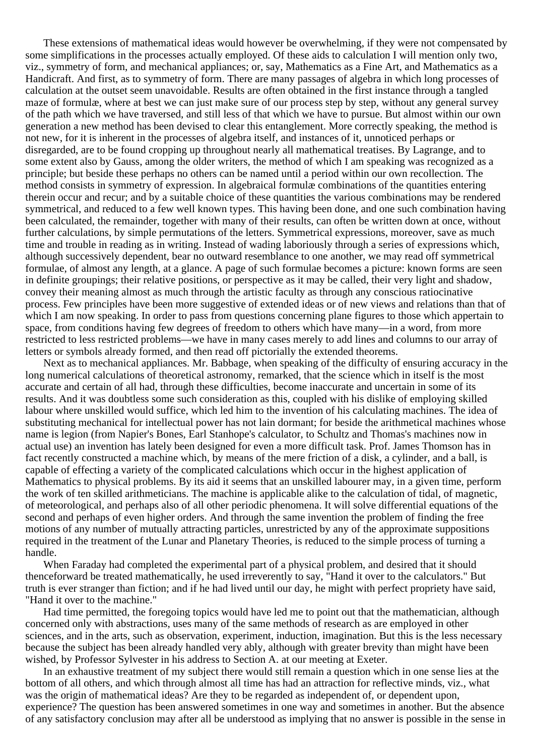These extensions of mathematical ideas would however be overwhelming, if they were not compensated by some simplifications in the processes actually employed. Of these aids to calculation I will mention only two, viz., symmetry of form, and mechanical appliances; or, say, Mathematics as a Fine Art, and Mathematics as a Handicraft. And first, as to symmetry of form. There are many passages of algebra in which long processes of calculation at the outset seem unavoidable. Results are often obtained in the first instance through a tangled maze of formulæ, where at best we can just make sure of our process step by step, without any general survey of the path which we have traversed, and still less of that which we have to pursue. But almost within our own generation a new method has been devised to clear this entanglement. More correctly speaking, the method is not new, for it is inherent in the processes of algebra itself, and instances of it, unnoticed perhaps or disregarded, are to be found cropping up throughout nearly all mathematical treatises. By Lagrange, and to some extent also by Gauss, among the older writers, the method of which I am speaking was recognized as a principle; but beside these perhaps no others can be named until a period within our own recollection. The method consists in symmetry of expression. In algebraical formulæ combinations of the quantities entering therein occur and recur; and by a suitable choice of these quantities the various combinations may be rendered symmetrical, and reduced to a few well known types. This having been done, and one such combination having been calculated, the remainder, together with many of their results, can often be written down at once, without further calculations, by simple permutations of the letters. Symmetrical expressions, moreover, save as much time and trouble in reading as in writing. Instead of wading laboriously through a series of expressions which, although successively dependent, bear no outward resemblance to one another, we may read off symmetrical formulae, of almost any length, at a glance. A page of such formulae becomes a picture: known forms are seen in definite groupings; their relative positions, or perspective as it may be called, their very light and shadow, convey their meaning almost as much through the artistic faculty as through any conscious ratiocinative process. Few principles have been more suggestive of extended ideas or of new views and relations than that of which I am now speaking. In order to pass from questions concerning plane figures to those which appertain to space, from conditions having few degrees of freedom to others which have many—in a word, from more restricted to less restricted problems—we have in many cases merely to add lines and columns to our array of letters or symbols already formed, and then read off pictorially the extended theorems.

Next as to mechanical appliances. Mr. Babbage, when speaking of the difficulty of ensuring accuracy in the long numerical calculations of theoretical astronomy, remarked, that the science which in itself is the most accurate and certain of all had, through these difficulties, become inaccurate and uncertain in some of its results. And it was doubtless some such consideration as this, coupled with his dislike of employing skilled labour where unskilled would suffice, which led him to the invention of his calculating machines. The idea of substituting mechanical for intellectual power has not lain dormant; for beside the arithmetical machines whose name is legion (from Napier's Bones, Earl Stanhope's calculator, to Schultz and Thomas's machines now in actual use) an invention has lately been designed for even a more difficult task. Prof. James Thomson has in fact recently constructed a machine which, by means of the mere friction of a disk, a cylinder, and a ball, is capable of effecting a variety of the complicated calculations which occur in the highest application of Mathematics to physical problems. By its aid it seems that an unskilled labourer may, in a given time, perform the work of ten skilled arithmeticians. The machine is applicable alike to the calculation of tidal, of magnetic, of meteorological, and perhaps also of all other periodic phenomena. It will solve differential equations of the second and perhaps of even higher orders. And through the same invention the problem of finding the free motions of any number of mutually attracting particles, unrestricted by any of the approximate suppositions required in the treatment of the Lunar and Planetary Theories, is reduced to the simple process of turning a handle.

When Faraday had completed the experimental part of a physical problem, and desired that it should thenceforward be treated mathematically, he used irreverently to say, "Hand it over to the calculators." But truth is ever stranger than fiction; and if he had lived until our day, he might with perfect propriety have said, "Hand it over to the machine."

Had time permitted, the foregoing topics would have led me to point out that the mathematician, although concerned only with abstractions, uses many of the same methods of research as are employed in other sciences, and in the arts, such as observation, experiment, induction, imagination. But this is the less necessary because the subject has been already handled very ably, although with greater brevity than might have been wished, by Professor Sylvester in his address to Section A. at our meeting at Exeter.

In an exhaustive treatment of my subject there would still remain a question which in one sense lies at the bottom of all others, and which through almost all time has had an attraction for reflective minds, viz., what was the origin of mathematical ideas? Are they to be regarded as independent of, or dependent upon, experience? The question has been answered sometimes in one way and sometimes in another. But the absence of any satisfactory conclusion may after all be understood as implying that no answer is possible in the sense in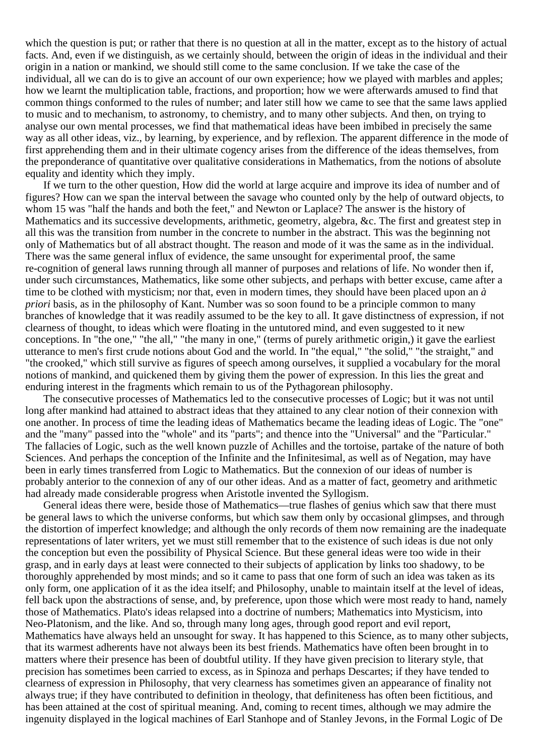which the question is put; or rather that there is no question at all in the matter, except as to the history of actual facts. And, even if we distinguish, as we certainly should, between the origin of ideas in the individual and their origin in a nation or mankind, we should still come to the same conclusion. If we take the case of the individual, all we can do is to give an account of our own experience; how we played with marbles and apples; how we learnt the multiplication table, fractions, and proportion; how we were afterwards amused to find that common things conformed to the rules of number; and later still how we came to see that the same laws applied to music and to mechanism, to astronomy, to chemistry, and to many other subjects. And then, on trying to analyse our own mental processes, we find that mathematical ideas have been imbibed in precisely the same way as all other ideas, viz., by learning, by experience, and by reflexion. The apparent difference in the mode of first apprehending them and in their ultimate cogency arises from the difference of the ideas themselves, from the preponderance of quantitative over qualitative considerations in Mathematics, from the notions of absolute equality and identity which they imply.

If we turn to the other question, How did the world at large acquire and improve its idea of number and of figures? How can we span the interval between the savage who counted only by the help of outward objects, to whom 15 was "half the hands and both the feet," and Newton or Laplace? The answer is the history of Mathematics and its successive developments, arithmetic, geometry, algebra, &c. The first and greatest step in all this was the transition from number in the concrete to number in the abstract. This was the beginning not only of Mathematics but of all abstract thought. The reason and mode of it was the same as in the individual. There was the same general influx of evidence, the same unsought for experimental proof, the same re-cognition of general laws running through all manner of purposes and relations of life. No wonder then if, under such circumstances, Mathematics, like some other subjects, and perhaps with better excuse, came after a time to be clothed with mysticism; nor that, even in modern times, they should have been placed upon an *à priori* basis, as in the philosophy of Kant. Number was so soon found to be a principle common to many branches of knowledge that it was readily assumed to be the key to all. It gave distinctness of expression, if not clearness of thought, to ideas which were floating in the untutored mind, and even suggested to it new conceptions. In "the one," "the all," "the many in one," (terms of purely arithmetic origin,) it gave the earliest utterance to men's first crude notions about God and the world. In "the equal," "the solid," "the straight," and "the crooked," which still survive as figures of speech among ourselves, it supplied a vocabulary for the moral notions of mankind, and quickened them by giving them the power of expression. In this lies the great and enduring interest in the fragments which remain to us of the Pythagorean philosophy.

The consecutive processes of Mathematics led to the consecutive processes of Logic; but it was not until long after mankind had attained to abstract ideas that they attained to any clear notion of their connexion with one another. In process of time the leading ideas of Mathematics became the leading ideas of Logic. The "one" and the "many" passed into the "whole" and its "parts"; and thence into the "Universal" and the "Particular." The fallacies of Logic, such as the well known puzzle of Achilles and the tortoise, partake of the nature of both Sciences. And perhaps the conception of the Infinite and the Infinitesimal, as well as of Negation, may have been in early times transferred from Logic to Mathematics. But the connexion of our ideas of number is probably anterior to the connexion of any of our other ideas. And as a matter of fact, geometry and arithmetic had already made considerable progress when Aristotle invented the Syllogism.

General ideas there were, beside those of Mathematics—true flashes of genius which saw that there must be general laws to which the universe conforms, but which saw them only by occasional glimpses, and through the distortion of imperfect knowledge; and although the only records of them now remaining are the inadequate representations of later writers, yet we must still remember that to the existence of such ideas is due not only the conception but even the possibility of Physical Science. But these general ideas were too wide in their grasp, and in early days at least were connected to their subjects of application by links too shadowy, to be thoroughly apprehended by most minds; and so it came to pass that one form of such an idea was taken as its only form, one application of it as the idea itself; and Philosophy, unable to maintain itself at the level of ideas, fell back upon the abstractions of sense, and, by preference, upon those which were most ready to hand, namely those of Mathematics. Plato's ideas relapsed into a doctrine of numbers; Mathematics into Mysticism, into Neo-Platonism, and the like. And so, through many long ages, through good report and evil report, Mathematics have always held an unsought for sway. It has happened to this Science, as to many other subjects, that its warmest adherents have not always been its best friends. Mathematics have often been brought in to matters where their presence has been of doubtful utility. If they have given precision to literary style, that precision has sometimes been carried to excess, as in Spinoza and perhaps Descartes; if they have tended to clearness of expression in Philosophy, that very clearness has sometimes given an appearance of finality not always true; if they have contributed to definition in theology, that definiteness has often been fictitious, and has been attained at the cost of spiritual meaning. And, coming to recent times, although we may admire the ingenuity displayed in the logical machines of Earl Stanhope and of Stanley Jevons, in the Formal Logic of De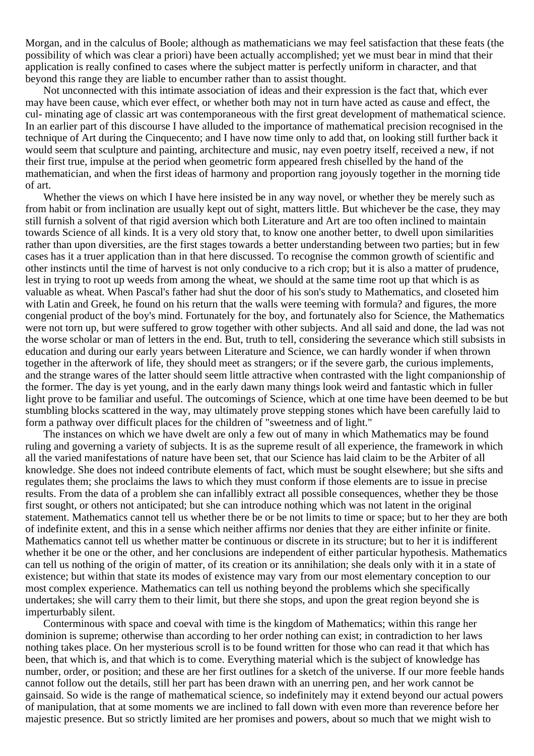Morgan, and in the calculus of Boole; although as mathematicians we may feel satisfaction that these feats (the possibility of which was clear a priori) have been actually accomplished; yet we must bear in mind that their application is really confined to cases where the subject matter is perfectly uniform in character, and that beyond this range they are liable to encumber rather than to assist thought.

Not unconnected with this intimate association of ideas and their expression is the fact that, which ever may have been cause, which ever effect, or whether both may not in turn have acted as cause and effect, the cul- minating age of classic art was contemporaneous with the first great development of mathematical science. In an earlier part of this discourse I have alluded to the importance of mathematical precision recognised in the technique of Art during the Cinquecento; and I have now time only to add that, on looking still further back it would seem that sculpture and painting, architecture and music, nay even poetry itself, received a new, if not their first true, impulse at the period when geometric form appeared fresh chiselled by the hand of the mathematician, and when the first ideas of harmony and proportion rang joyously together in the morning tide of art.

Whether the views on which I have here insisted be in any way novel, or whether they be merely such as from habit or from inclination are usually kept out of sight, matters little. But whichever be the case, they may still furnish a solvent of that rigid aversion which both Literature and Art are too often inclined to maintain towards Science of all kinds. It is a very old story that, to know one another better, to dwell upon similarities rather than upon diversities, are the first stages towards a better understanding between two parties; but in few cases has it a truer application than in that here discussed. To recognise the common growth of scientific and other instincts until the time of harvest is not only conducive to a rich crop; but it is also a matter of prudence, lest in trying to root up weeds from among the wheat, we should at the same time root up that which is as valuable as wheat. When Pascal's father had shut the door of his son's study to Mathematics, and closeted him with Latin and Greek, he found on his return that the walls were teeming with formula? and figures, the more congenial product of the boy's mind. Fortunately for the boy, and fortunately also for Science, the Mathematics were not torn up, but were suffered to grow together with other subjects. And all said and done, the lad was not the worse scholar or man of letters in the end. But, truth to tell, considering the severance which still subsists in education and during our early years between Literature and Science, we can hardly wonder if when thrown together in the afterwork of life, they should meet as strangers; or if the severe garb, the curious implements, and the strange wares of the latter should seem little attractive when contrasted with the light companionship of the former. The day is yet young, and in the early dawn many things look weird and fantastic which in fuller light prove to be familiar and useful. The outcomings of Science, which at one time have been deemed to be but stumbling blocks scattered in the way, may ultimately prove stepping stones which have been carefully laid to form a pathway over difficult places for the children of "sweetness and of light."

The instances on which we have dwelt are only a few out of many in which Mathematics may be found ruling and governing a variety of subjects. It is as the supreme result of all experience, the framework in which all the varied manifestations of nature have been set, that our Science has laid claim to be the Arbiter of all knowledge. She does not indeed contribute elements of fact, which must be sought elsewhere; but she sifts and regulates them; she proclaims the laws to which they must conform if those elements are to issue in precise results. From the data of a problem she can infallibly extract all possible consequences, whether they be those first sought, or others not anticipated; but she can introduce nothing which was not latent in the original statement. Mathematics cannot tell us whether there be or be not limits to time or space; but to her they are both of indefinite extent, and this in a sense which neither affirms nor denies that they are either infinite or finite. Mathematics cannot tell us whether matter be continuous or discrete in its structure; but to her it is indifferent whether it be one or the other, and her conclusions are independent of either particular hypothesis. Mathematics can tell us nothing of the origin of matter, of its creation or its annihilation; she deals only with it in a state of existence; but within that state its modes of existence may vary from our most elementary conception to our most complex experience. Mathematics can tell us nothing beyond the problems which she specifically undertakes; she will carry them to their limit, but there she stops, and upon the great region beyond she is imperturbably silent.

Conterminous with space and coeval with time is the kingdom of Mathematics; within this range her dominion is supreme; otherwise than according to her order nothing can exist; in contradiction to her laws nothing takes place. On her mysterious scroll is to be found written for those who can read it that which has been, that which is, and that which is to come. Everything material which is the subject of knowledge has number, order, or position; and these are her first outlines for a sketch of the universe. If our more feeble hands cannot follow out the details, still her part has been drawn with an unerring pen, and her work cannot be gainsaid. So wide is the range of mathematical science, so indefinitely may it extend beyond our actual powers of manipulation, that at some moments we are inclined to fall down with even more than reverence before her majestic presence. But so strictly limited are her promises and powers, about so much that we might wish to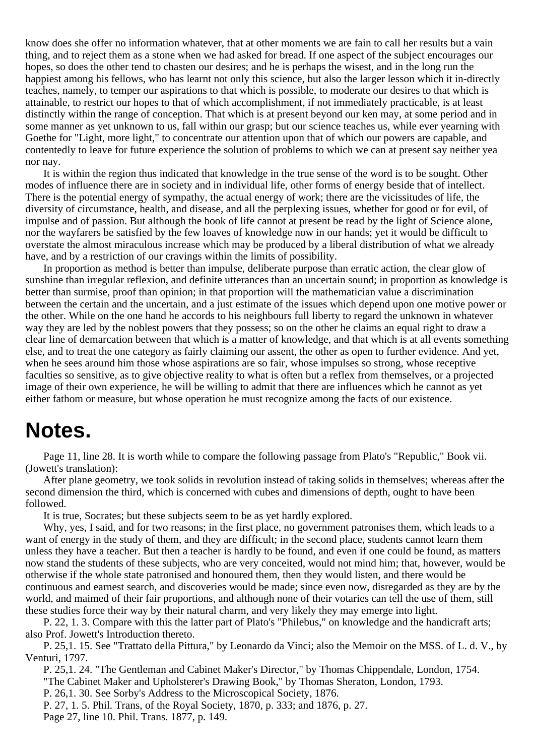know does she offer no information whatever, that at other moments we are fain to call her results but a vain thing, and to reject them as a stone when we had asked for bread. If one aspect of the subject encourages our hopes, so does the other tend to chasten our desires; and he is perhaps the wisest, and in the long run the happiest among his fellows, who has learnt not only this science, but also the larger lesson which it in-directly teaches, namely, to temper our aspirations to that which is possible, to moderate our desires to that which is attainable, to restrict our hopes to that of which accomplishment, if not immediately practicable, is at least distinctly within the range of conception. That which is at present beyond our ken may, at some period and in some manner as yet unknown to us, fall within our grasp; but our science teaches us, while ever yearning with Goethe for "Light, more light," to concentrate our attention upon that of which our powers are capable, and contentedly to leave for future experience the solution of problems to which we can at present say neither yea nor nay.

It is within the region thus indicated that knowledge in the true sense of the word is to be sought. Other modes of influence there are in society and in individual life, other forms of energy beside that of intellect. There is the potential energy of sympathy, the actual energy of work; there are the vicissitudes of life, the diversity of circumstance, health, and disease, and all the perplexing issues, whether for good or for evil, of impulse and of passion. But although the book of life cannot at present be read by the light of Science alone, nor the wayfarers be satisfied by the few loaves of knowledge now in our hands; yet it would be difficult to overstate the almost miraculous increase which may be produced by a liberal distribution of what we already have, and by a restriction of our cravings within the limits of possibility.

In proportion as method is better than impulse, deliberate purpose than erratic action, the clear glow of sunshine than irregular reflexion, and definite utterances than an uncertain sound; in proportion as knowledge is better than surmise, proof than opinion; in that proportion will the mathematician value a discrimination between the certain and the uncertain, and a just estimate of the issues which depend upon one motive power or the other. While on the one hand he accords to his neighbours full liberty to regard the unknown in whatever way they are led by the noblest powers that they possess; so on the other he claims an equal right to draw a clear line of demarcation between that which is a matter of knowledge, and that which is at all events something else, and to treat the one category as fairly claiming our assent, the other as open to further evidence. And yet, when he sees around him those whose aspirations are so fair, whose impulses so strong, whose receptive faculties so sensitive, as to give objective reality to what is often but a reflex from themselves, or a projected image of their own experience, he will be willing to admit that there are influences which he cannot as yet either fathom or measure, but whose operation he must recognize among the facts of our existence.

### **Notes.**

Page 11, line 28. It is worth while to compare the following passage from Plato's "Republic," Book vii. (Jowett's translation):

After plane geometry, we took solids in revolution instead of taking solids in themselves; whereas after the second dimension the third, which is concerned with cubes and dimensions of depth, ought to have been followed.

It is true, Socrates; but these subjects seem to be as yet hardly explored.

Why, yes, I said, and for two reasons; in the first place, no government patronises them, which leads to a want of energy in the study of them, and they are difficult; in the second place, students cannot learn them unless they have a teacher. But then a teacher is hardly to be found, and even if one could be found, as matters now stand the students of these subjects, who are very conceited, would not mind him; that, however, would be otherwise if the whole state patronised and honoured them, then they would listen, and there would be continuous and earnest search, and discoveries would be made; since even now, disregarded as they are by the world, and maimed of their fair proportions, and although none of their votaries can tell the use of them, still these studies force their way by their natural charm, and very likely they may emerge into light.

P. 22, 1. 3. Compare with this the latter part of Plato's "Philebus," on knowledge and the handicraft arts; also Prof. Jowett's Introduction thereto.

P. 25,1. 15. See "Trattato della Pittura," by Leonardo da Vinci; also the Memoir on the MSS. of L. d. V., by Venturi, 1797.

P. 25,1. 24. "The Gentleman and Cabinet Maker's Director," by Thomas Chippendale, London, 1754. "The Cabinet Maker and Upholsterer's Drawing Book," by Thomas Sheraton, London, 1793.

P. 26,1. 30. See Sorby's Address to the Microscopical Society, 1876.

P. 27, 1. 5. Phil. Trans, of the Royal Society, 1870, p. 333; and 1876, p. 27.

Page 27, line 10. Phil. Trans. 1877, p. 149.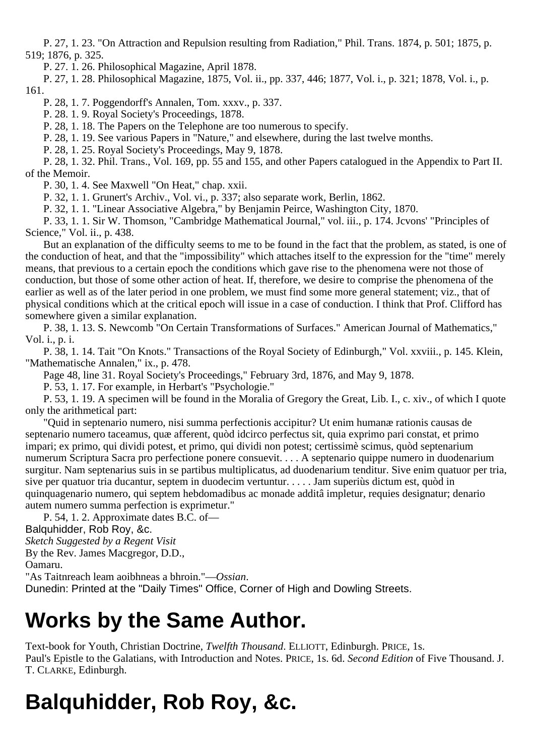P. 27, 1. 23. "On Attraction and Repulsion resulting from Radiation," Phil. Trans. 1874, p. 501; 1875, p. 519; 1876, p. 325.

P. 27. 1. 26. Philosophical Magazine, April 1878.

P. 27, 1. 28. Philosophical Magazine, 1875, Vol. ii., pp. 337, 446; 1877, Vol. i., p. 321; 1878, Vol. i., p. 161.

P. 28, 1. 7. Poggendorff's Annalen, Tom. xxxv., p. 337.

P. 28. 1. 9. Royal Society's Proceedings, 1878.

P. 28, 1. 18. The Papers on the Telephone are too numerous to specify.

P. 28, 1. 19. See various Papers in "Nature," and elsewhere, during the last twelve months.

P. 28, 1. 25. Royal Society's Proceedings, May 9, 1878.

P. 28, 1. 32. Phil. Trans., Vol. 169, pp. 55 and 155, and other Papers catalogued in the Appendix to Part II. of the Memoir.

P. 30, 1. 4. See Maxwell "On Heat," chap. xxii.

P. 32, 1. 1. Grunert's Archiv., Vol. vi., p. 337; also separate work, Berlin, 1862.

P. 32, 1. 1. "Linear Associative Algebra," by Benjamin Peirce, Washington City, 1870.

P. 33, 1. 1. Sir W. Thomson, "Cambridge Mathematical Journal," vol. iii., p. 174. Jcvons' "Principles of Science," Vol. ii., p. 438.

But an explanation of the difficulty seems to me to be found in the fact that the problem, as stated, is one of the conduction of heat, and that the "impossibility" which attaches itself to the expression for the "time" merely means, that previous to a certain epoch the conditions which gave rise to the phenomena were not those of conduction, but those of some other action of heat. If, therefore, we desire to comprise the phenomena of the earlier as well as of the later period in one problem, we must find some more general statement; viz., that of physical conditions which at the critical epoch will issue in a case of conduction. I think that Prof. Clifford has somewhere given a similar explanation.

P. 38, 1. 13. S. Newcomb "On Certain Transformations of Surfaces." American Journal of Mathematics," Vol. i., p. i.

P. 38, 1. 14. Tait "On Knots." Transactions of the Royal Society of Edinburgh," Vol. xxviii., p. 145. Klein, "Mathematische Annalen," ix., p. 478.

Page 48, line 31. Royal Society's Proceedings," February 3rd, 1876, and May 9, 1878.

P. 53, 1. 17. For example, in Herbart's "Psychologie."

P. 53, 1. 19. A specimen will be found in the Moralia of Gregory the Great, Lib. I., c. xiv., of which I quote only the arithmetical part:

"Quid in septenario numero, nisi summa perfectionis accipitur? Ut enim humanæ rationis causas de septenario numero taceamus, quæ afferent, quòd idcirco perfectus sit, quia exprimo pari constat, et primo impari; ex primo, qui dividi potest, et primo, qui dividi non potest; certissimè scimus, quòd septenarium numerum Scriptura Sacra pro perfectione ponere consuevit. . . . A septenario quippe numero in duodenarium surgitur. Nam septenarius suis in se partibus multiplicatus, ad duodenarium tenditur. Sive enim quatuor per tria, sive per quatuor tria ducantur, septem in duodecim vertuntur. . . . . Jam superiùs dictum est, quòd in quinquagenario numero, qui septem hebdomadibus ac monade additâ impletur, requies designatur; denario autem numero summa perfection is exprimetur."

P. 54, 1. 2. Approximate dates B.C. of—

Balquhidder, Rob Roy, &c.

*Sketch Suggested by a Regent Visit*

By the Rev. James Macgregor, D.D.,

Oamaru.

"As Taitnreach leam aoibhneas a bhroin."—*Ossian*.

Dunedin: Printed at the "Daily Times" Office, Corner of High and Dowling Streets.

### **Works by the Same Author.**

Text-book for Youth, Christian Doctrine, *Twelfth Thousand*. ELLIOTT, Edinburgh. PRICE, 1s. Paul's Epistle to the Galatians, with Introduction and Notes. PRICE, 1s. 6d. *Second Edition* of Five Thousand. J. T. CLARKE, Edinburgh.

# **Balquhidder, Rob Roy, &c.**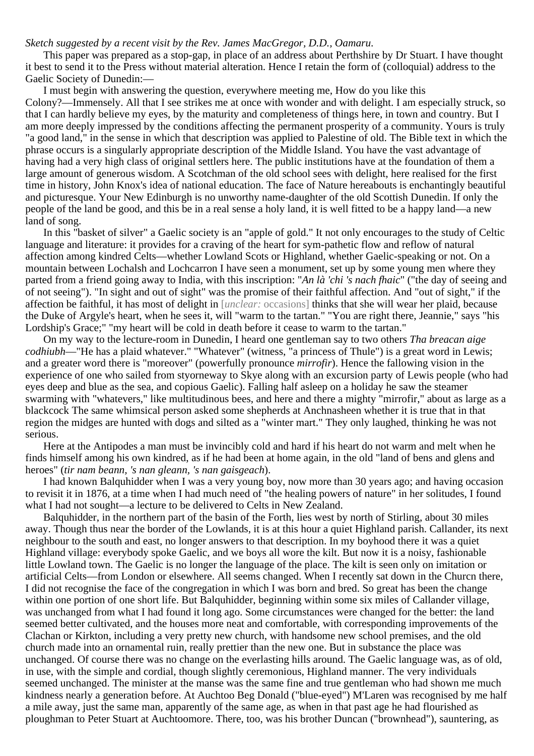*Sketch suggested by a recent visit by the Rev. James MacGregor, D.D., Oamaru*.

This paper was prepared as a stop-gap, in place of an address about Perthshire by Dr Stuart. I have thought it best to send it to the Press without material alteration. Hence I retain the form of (colloquial) address to the Gaelic Society of Dunedin:—

I must begin with answering the question, everywhere meeting me, How do you like this Colony?—Immensely. All that I see strikes me at once with wonder and with delight. I am especially struck, so that I can hardly believe my eyes, by the maturity and completeness of things here, in town and country. But I am more deeply impressed by the conditions affecting the permanent prosperity of a community. Yours is truly "a good land," in the sense in which that description was applied to Palestine of old. The Bible text in which the phrase occurs is a singularly appropriate description of the Middle Island. You have the vast advantage of having had a very high class of original settlers here. The public institutions have at the foundation of them a large amount of generous wisdom. A Scotchman of the old school sees with delight, here realised for the first time in history, John Knox's idea of national education. The face of Nature hereabouts is enchantingly beautiful and picturesque. Your New Edinburgh is no unworthy name-daughter of the old Scottish Dunedin. If only the people of the land be good, and this be in a real sense a holy land, it is well fitted to be a happy land—a new land of song.

In this "basket of silver" a Gaelic society is an "apple of gold." It not only encourages to the study of Celtic language and literature: it provides for a craving of the heart for sym-pathetic flow and reflow of natural affection among kindred Celts—whether Lowland Scots or Highland, whether Gaelic-speaking or not. On a mountain between Lochalsh and Lochcarron I have seen a monument, set up by some young men where they parted from a friend going away to India, with this inscription: "*An là 'chi 's nach fhaic*" ("the day of seeing and of not seeing"). "In sight and out of sight" was the promise of their faithful affection. And "out of sight," if the affection be faithful, it has most of delight in [*unclear:* occasions] thinks that she will wear her plaid, because the Duke of Argyle's heart, when he sees it, will "warm to the tartan." "You are right there, Jeannie," says "his Lordship's Grace;" "my heart will be cold in death before it cease to warm to the tartan."

On my way to the lecture-room in Dunedin, I heard one gentleman say to two others *Tha breacan aige codhiubh*—"He has a plaid whatever." "Whatever" (witness, "a princess of Thule") is a great word in Lewis; and a greater word there is "moreover" (powerfully pronounce *mirrofir*). Hence the fallowing vision in the experience of one who sailed from styorneway to Skye along with an excursion party of Lewis people (who had eyes deep and blue as the sea, and copious Gaelic). Falling half asleep on a holiday he saw the steamer swarming with "whatevers," like multitudinous bees, and here and there a mighty "mirrofir," about as large as a blackcock The same whimsical person asked some shepherds at Anchnasheen whether it is true that in that region the midges are hunted with dogs and silted as a "winter mart." They only laughed, thinking he was not serious.

Here at the Antipodes a man must be invincibly cold and hard if his heart do not warm and melt when he finds himself among his own kindred, as if he had been at home again, in the old "land of bens and glens and heroes" (*tir nam beann, 's nan gleann, 's nan gaisgeach*).

I had known Balquhidder when I was a very young boy, now more than 30 years ago; and having occasion to revisit it in 1876, at a time when I had much need of "the healing powers of nature" in her solitudes, I found what I had not sought—a lecture to be delivered to Celts in New Zealand.

Balquhidder, in the northern part of the basin of the Forth, lies west by north of Stirling, about 30 miles away. Though thus near the border of the Lowlands, it is at this hour a quiet Highland parish. Callander, its next neighbour to the south and east, no longer answers to that description. In my boyhood there it was a quiet Highland village: everybody spoke Gaelic, and we boys all wore the kilt. But now it is a noisy, fashionable little Lowland town. The Gaelic is no longer the language of the place. The kilt is seen only on imitation or artificial Celts—from London or elsewhere. All seems changed. When I recently sat down in the Churcn there, I did not recognise the face of the congregation in which I was born and bred. So great has been the change within one portion of one short life. But Balquhidder, beginning within some six miles of Callander village, was unchanged from what I had found it long ago. Some circumstances were changed for the better: the land seemed better cultivated, and the houses more neat and comfortable, with corresponding improvements of the Clachan or Kirkton, including a very pretty new church, with handsome new school premises, and the old church made into an ornamental ruin, really prettier than the new one. But in substance the place was unchanged. Of course there was no change on the everlasting hills around. The Gaelic language was, as of old, in use, with the simple and cordial, though slightly ceremonious, Highland manner. The very individuals seemed unchanged. The minister at the manse was the same fine and true gentleman who had shown me much kindness nearly a generation before. At Auchtoo Beg Donald ("blue-eyed") M'Laren was recognised by me half a mile away, just the same man, apparently of the same age, as when in that past age he had flourished as ploughman to Peter Stuart at Auchtoomore. There, too, was his brother Duncan ("brownhead"), sauntering, as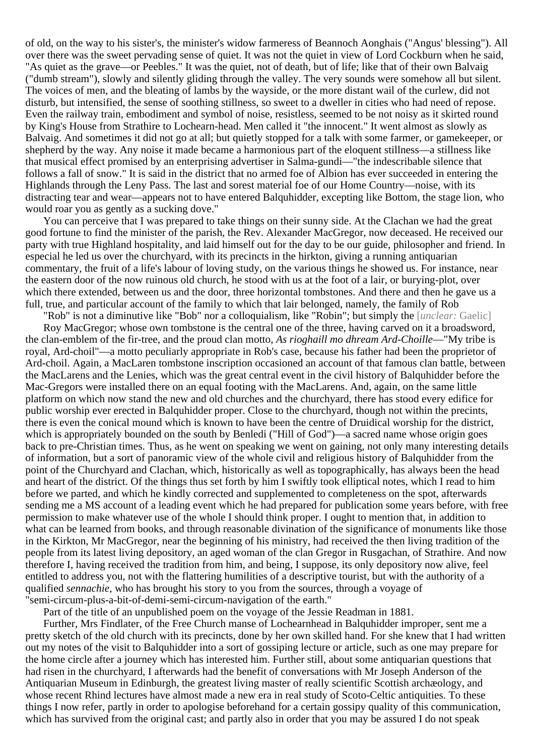of old, on the way to his sister's, the minister's widow farmeress of Beannoch Aonghais ("Angus' blessing"). All over there was the sweet pervading sense of quiet. It was not the quiet in view of Lord Cockburn when he said, "As quiet as the grave—or Peebles." It was the quiet, not of death, but of life; like that of their own Balvaig ("dumb stream"), slowly and silently gliding through the valley. The very sounds were somehow all but silent. The voices of men, and the bleating of lambs by the wayside, or the more distant wail of the curlew, did not disturb, but intensified, the sense of soothing stillness, so sweet to a dweller in cities who had need of repose. Even the railway train, embodiment and symbol of noise, resistless, seemed to be not noisy as it skirted round by King's House from Strathire to Lochearn-head. Men called it "the innocent." It went almost as slowly as Balvaig. And sometimes it did not go at all; but quietly stopped for a talk with some farmer, or gamekeeper, or shepherd by the way. Any noise it made became a harmonious part of the eloquent stillness—a stillness like that musical effect promised by an enterprising advertiser in Salma-gundi—"the indescribable silence that follows a fall of snow." It is said in the district that no armed foe of Albion has ever succeeded in entering the Highlands through the Leny Pass. The last and sorest material foe of our Home Country—noise, with its distracting tear and wear—appears not to have entered Balquhidder, excepting like Bottom, the stage lion, who would roar you as gently as a sucking dove."

You can perceive that I was prepared to take things on their sunny side. At the Clachan we had the great good fortune to find the minister of the parish, the Rev. Alexander MacGregor, now deceased. He received our party with true Highland hospitality, and laid himself out for the day to be our guide, philosopher and friend. In especial he led us over the churchyard, with its precincts in the hirkton, giving a running antiquarian commentary, the fruit of a life's labour of loving study, on the various things he showed us. For instance, near the eastern door of the now ruinous old church, he stood with us at the foot of a lair, or burying-plot, over which there extended, between us and the door, three horizontal tombstones. And there and then he gave us a full, true, and particular account of the family to which that lair belonged, namely, the family of Rob

"Rob" is not a diminutive like "Bob" nor a colloquialism, like "Robin"; but simply the [*unclear:* Gaelic]

Roy MacGregor; whose own tombstone is the central one of the three, having carved on it a broadsword, the clan-emblem of the fir-tree, and the proud clan motto, *As rioghaill mo dhream Ard-Choille*—"My tribe is royal, Ard-choil"—a motto peculiarly appropriate in Rob's case, because his father had been the proprietor of Ard-choil. Again, a MacLaren tombstone inscription occasioned an account of that famous clan battle, between the MacLarens and the Lenies, which was the great central event in the civil history of Balquhidder before the Mac-Gregors were installed there on an equal footing with the MacLarens. And, again, on the same little platform on which now stand the new and old churches and the churchyard, there has stood every edifice for public worship ever erected in Balquhidder proper. Close to the churchyard, though not within the precints, there is even the conical mound which is known to have been the centre of Druidical worship for the district, which is appropriately bounded on the south by Benledi ("Hill of God")—a sacred name whose origin goes back to pre-Christian times. Thus, as he went on speaking we went on gaining, not only many interesting details of information, but a sort of panoramic view of the whole civil and religious history of Balquhidder from the point of the Churchyard and Clachan, which, historically as well as topographically, has always been the head and heart of the district. Of the things thus set forth by him I swiftly took elliptical notes, which I read to him before we parted, and which he kindly corrected and supplemented to completeness on the spot, afterwards sending me a MS account of a leading event which he had prepared for publication some years before, with free permission to make whatever use of the whole I should think proper. I ought to mention that, in addition to what can be learned from books, and through reasonable divination of the significance of monuments like those in the Kirkton, Mr MacGregor, near the beginning of his ministry, had received the then living tradition of the people from its latest living depository, an aged woman of the clan Gregor in Rusgachan, of Strathire. And now therefore I, having received the tradition from him, and being, I suppose, its only depository now alive, feel entitled to address you, not with the flattering humilities of a descriptive tourist, but with the authority of a qualified *sennachie*, who has brought his story to you from the sources, through a voyage of "semi-circum-plus-a-bit-of-demi-semi-circum-navigation of the earth."

Part of the title of an unpublished poem on the voyage of the Jessie Readman in 1881.

Further, Mrs Findlater, of the Free Church manse of Lochearnhead in Balquhidder improper, sent me a pretty sketch of the old church with its precincts, done by her own skilled hand. For she knew that I had written out my notes of the visit to Balquhidder into a sort of gossiping lecture or article, such as one may prepare for the home circle after a journey which has interested him. Further still, about some antiquarian questions that had risen in the churchyard, I afterwards had the benefit of conversations with Mr Joseph Anderson of the Antiquarian Museum in Edinburgh, the greatest living master of really scientific Scottish archæology, and whose recent Rhind lectures have almost made a new era in real study of Scoto-Celtic antiquities. To these things I now refer, partly in order to apologise beforehand for a certain gossipy quality of this communication, which has survived from the original cast; and partly also in order that you may be assured I do not speak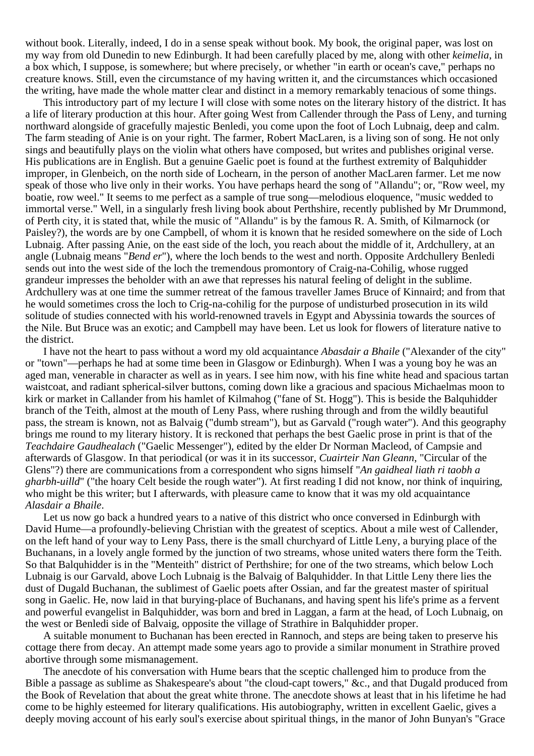without book. Literally, indeed, I do in a sense speak without book. My book, the original paper, was lost on my way from old Dunedin to new Edinburgh. It had been carefully placed by me, along with other *keimelia*, in a box which, I suppose, is somewhere; but where precisely, or whether "in earth or ocean's cave," perhaps no creature knows. Still, even the circumstance of my having written it, and the circumstances which occasioned the writing, have made the whole matter clear and distinct in a memory remarkably tenacious of some things.

This introductory part of my lecture I will close with some notes on the literary history of the district. It has a life of literary production at this hour. After going West from Callender through the Pass of Leny, and turning northward alongside of gracefully majestic Benledi, you come upon the foot of Loch Lubnaig, deep and calm. The farm steading of Anie is on your right. The farmer, Robert MacLaren, is a living son of song. He not only sings and beautifully plays on the violin what others have composed, but writes and publishes original verse. His publications are in English. But a genuine Gaelic poet is found at the furthest extremity of Balquhidder improper, in Glenbeich, on the north side of Lochearn, in the person of another MacLaren farmer. Let me now speak of those who live only in their works. You have perhaps heard the song of "Allandu"; or, "Row weel, my boatie, row weel." It seems to me perfect as a sample of true song—melodious eloquence, "music wedded to immortal verse." Well, in a singularly fresh living book about Perthshire, recently published by Mr Drummond, of Perth city, it is stated that, while the music of "Allandu" is by the famous R. A. Smith, of Kilmarnock (or Paisley?), the words are by one Campbell, of whom it is known that he resided somewhere on the side of Loch Lubnaig. After passing Anie, on the east side of the loch, you reach about the middle of it, Ardchullery, at an angle (Lubnaig means "*Bend er*"), where the loch bends to the west and north. Opposite Ardchullery Benledi sends out into the west side of the loch the tremendous promontory of Craig-na-Cohilig, whose rugged grandeur impresses the beholder with an awe that represses his natural feeling of delight in the sublime. Ardchullery was at one time the summer retreat of the famous traveller James Bruce of Kinnaird; and from that he would sometimes cross the loch to Crig-na-cohilig for the purpose of undisturbed prosecution in its wild solitude of studies connected with his world-renowned travels in Egypt and Abyssinia towards the sources of the Nile. But Bruce was an exotic; and Campbell may have been. Let us look for flowers of literature native to the district.

I have not the heart to pass without a word my old acquaintance *Abasdair a Bhaile* ("Alexander of the city" or "town"—perhaps he had at some time been in Glasgow or Edinburgh). When I was a young boy he was an aged man, venerable in character as well as in years. I see him now, with his fine white head and spacious tartan waistcoat, and radiant spherical-silver buttons, coming down like a gracious and spacious Michaelmas moon to kirk or market in Callander from his hamlet of Kilmahog ("fane of St. Hogg"). This is beside the Balquhidder branch of the Teith, almost at the mouth of Leny Pass, where rushing through and from the wildly beautiful pass, the stream is known, not as Balvaig ("dumb stream"), but as Garvald ("rough water"). And this geography brings me round to my literary history. It is reckoned that perhaps the best Gaelic prose in print is that of the *Teachdaire Gaudhealach* ("Gaelic Messenger"), edited by the elder Dr Norman Macleod, of Campsie and afterwards of Glasgow. In that periodical (or was it in its successor, *Cuairteir Nan Gleann*, "Circular of the Glens"?) there are communications from a correspondent who signs himself "*An gaidheal liath ri taobh a gharbh-uilld*" ("the hoary Celt beside the rough water"). At first reading I did not know, nor think of inquiring, who might be this writer; but I afterwards, with pleasure came to know that it was my old acquaintance *Alasdair a Bhaile*.

Let us now go back a hundred years to a native of this district who once conversed in Edinburgh with David Hume—a profoundly-believing Christian with the greatest of sceptics. About a mile west of Callender, on the left hand of your way to Leny Pass, there is the small churchyard of Little Leny, a burying place of the Buchanans, in a lovely angle formed by the junction of two streams, whose united waters there form the Teith. So that Balquhidder is in the "Menteith" district of Perthshire; for one of the two streams, which below Loch Lubnaig is our Garvald, above Loch Lubnaig is the Balvaig of Balquhidder. In that Little Leny there lies the dust of Dugald Buchanan, the sublimest of Gaelic poets after Ossian, and far the greatest master of spiritual song in Gaelic. He, now laid in that burying-place of Buchanans, and having spent his life's prime as a fervent and powerful evangelist in Balquhidder, was born and bred in Laggan, a farm at the head, of Loch Lubnaig, on the west or Benledi side of Balvaig, opposite the village of Strathire in Balquhidder proper.

A suitable monument to Buchanan has been erected in Rannoch, and steps are being taken to preserve his cottage there from decay. An attempt made some years ago to provide a similar monument in Strathire proved abortive through some mismanagement.

The anecdote of his conversation with Hume bears that the sceptic challenged him to produce from the Bible a passage as sublime as Shakespeare's about "the cloud-capt towers," &c., and that Dugald produced from the Book of Revelation that about the great white throne. The anecdote shows at least that in his lifetime he had come to be highly esteemed for literary qualifications. His autobiography, written in excellent Gaelic, gives a deeply moving account of his early soul's exercise about spiritual things, in the manor of John Bunyan's "Grace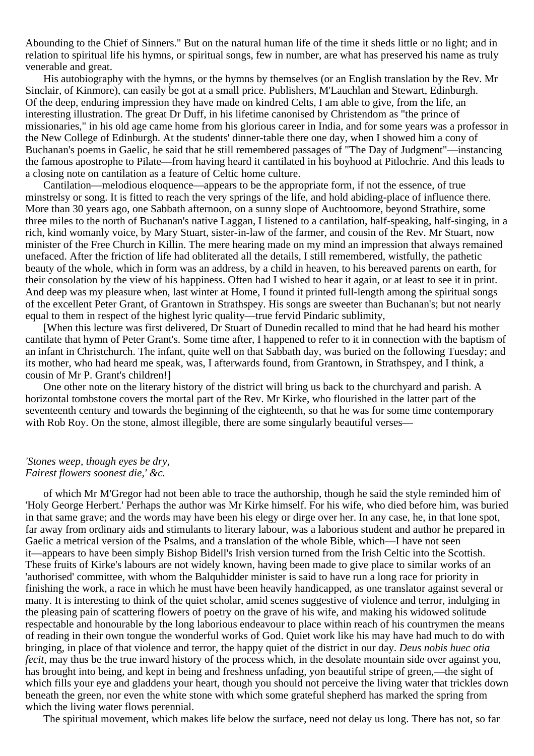Abounding to the Chief of Sinners." But on the natural human life of the time it sheds little or no light; and in relation to spiritual life his hymns, or spiritual songs, few in number, are what has preserved his name as truly venerable and great.

His autobiography with the hymns, or the hymns by themselves (or an English translation by the Rev. Mr Sinclair, of Kinmore), can easily be got at a small price. Publishers, M'Lauchlan and Stewart, Edinburgh. Of the deep, enduring impression they have made on kindred Celts, I am able to give, from the life, an interesting illustration. The great Dr Duff, in his lifetime canonised by Christendom as "the prince of missionaries," in his old age came home from his glorious career in India, and for some years was a professor in the New College of Edinburgh. At the students' dinner-table there one day, when I showed him a cony of Buchanan's poems in Gaelic, he said that he still remembered passages of "The Day of Judgment"—instancing the famous apostrophe to Pilate—from having heard it cantilated in his boyhood at Pitlochrie. And this leads to a closing note on cantilation as a feature of Celtic home culture.

Cantilation—melodious eloquence—appears to be the appropriate form, if not the essence, of true minstrelsy or song. It is fitted to reach the very springs of the life, and hold abiding-place of influence there. More than 30 years ago, one Sabbath afternoon, on a sunny slope of Auchtoomore, beyond Strathire, some three miles to the north of Buchanan's native Laggan, I listened to a cantilation, half-speaking, half-singing, in a rich, kind womanly voice, by Mary Stuart, sister-in-law of the farmer, and cousin of the Rev. Mr Stuart, now minister of the Free Church in Killin. The mere hearing made on my mind an impression that always remained unefaced. After the friction of life had obliterated all the details, I still remembered, wistfully, the pathetic beauty of the whole, which in form was an address, by a child in heaven, to his bereaved parents on earth, for their consolation by the view of his happiness. Often had I wished to hear it again, or at least to see it in print. And deep was my pleasure when, last winter at Home, I found it printed full-length among the spiritual songs of the excellent Peter Grant, of Grantown in Strathspey. His songs are sweeter than Buchanan's; but not nearly equal to them in respect of the highest lyric quality—true fervid Pindaric sublimity,

[When this lecture was first delivered, Dr Stuart of Dunedin recalled to mind that he had heard his mother cantilate that hymn of Peter Grant's. Some time after, I happened to refer to it in connection with the baptism of an infant in Christchurch. The infant, quite well on that Sabbath day, was buried on the following Tuesday; and its mother, who had heard me speak, was, I afterwards found, from Grantown, in Strathspey, and I think, a cousin of Mr P. Grant's children!]

One other note on the literary history of the district will bring us back to the churchyard and parish. A horizontal tombstone covers the mortal part of the Rev. Mr Kirke, who flourished in the latter part of the seventeenth century and towards the beginning of the eighteenth, so that he was for some time contemporary with Rob Roy. On the stone, almost illegible, there are some singularly beautiful verses-

#### *'Stones weep, though eyes be dry, Fairest flowers soonest die,' &c.*

of which Mr M'Gregor had not been able to trace the authorship, though he said the style reminded him of 'Holy George Herbert.' Perhaps the author was Mr Kirke himself. For his wife, who died before him, was buried in that same grave; and the words may have been his elegy or dirge over her. In any case, he, in that lone spot, far away from ordinary aids and stimulants to literary labour, was a laborious student and author he prepared in Gaelic a metrical version of the Psalms, and a translation of the whole Bible, which—I have not seen it—appears to have been simply Bishop Bidell's Irish version turned from the Irish Celtic into the Scottish. These fruits of Kirke's labours are not widely known, having been made to give place to similar works of an 'authorised' committee, with whom the Balquhidder minister is said to have run a long race for priority in finishing the work, a race in which he must have been heavily handicapped, as one translator against several or many. It is interesting to think of the quiet scholar, amid scenes suggestive of violence and terror, indulging in the pleasing pain of scattering flowers of poetry on the grave of his wife, and making his widowed solitude respectable and honourable by the long laborious endeavour to place within reach of his countrymen the means of reading in their own tongue the wonderful works of God. Quiet work like his may have had much to do with bringing, in place of that violence and terror, the happy quiet of the district in our day. *Deus nobis huec otia fecit*, may thus be the true inward history of the process which, in the desolate mountain side over against you, has brought into being, and kept in being and freshness unfading, yon beautiful stripe of green,—the sight of which fills your eye and gladdens your heart, though you should not perceive the living water that trickles down beneath the green, nor even the white stone with which some grateful shepherd has marked the spring from which the living water flows perennial.

The spiritual movement, which makes life below the surface, need not delay us long. There has not, so far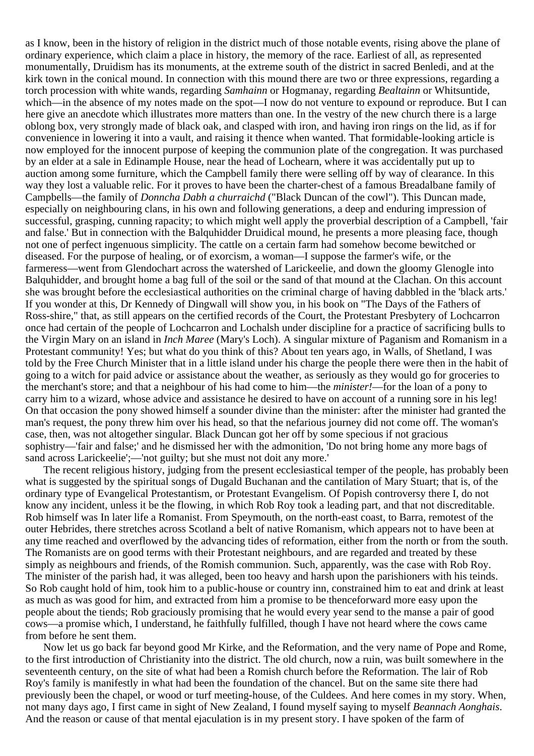as I know, been in the history of religion in the district much of those notable events, rising above the plane of ordinary experience, which claim a place in history, the memory of the race. Earliest of all, as represented monumentally, Druidism has its monuments, at the extreme south of the district in sacred Benledi, and at the kirk town in the conical mound. In connection with this mound there are two or three expressions, regarding a torch procession with white wands, regarding *Samhainn* or Hogmanay, regarding *Bealtainn* or Whitsuntide, which—in the absence of my notes made on the spot—I now do not venture to expound or reproduce. But I can here give an anecdote which illustrates more matters than one. In the vestry of the new church there is a large oblong box, very strongly made of black oak, and clasped with iron, and having iron rings on the lid, as if for convenience in lowering it into a vault, and raising it thence when wanted. That formidable-looking article is now employed for the innocent purpose of keeping the communion plate of the congregation. It was purchased by an elder at a sale in Edinample House, near the head of Lochearn, where it was accidentally put up to auction among some furniture, which the Campbell family there were selling off by way of clearance. In this way they lost a valuable relic. For it proves to have been the charter-chest of a famous Breadalbane family of Campbells—the family of *Donncha Dabh a churraichd* ("Black Duncan of the cowl"). This Duncan made, especially on neighbouring clans, in his own and following generations, a deep and enduring impression of successful, grasping, cunning rapacity; to which might well apply the proverbial description of a Campbell, 'fair and false.' But in connection with the Balquhidder Druidical mound, he presents a more pleasing face, though not one of perfect ingenuous simplicity. The cattle on a certain farm had somehow become bewitched or diseased. For the purpose of healing, or of exorcism, a woman—I suppose the farmer's wife, or the farmeress—went from Glendochart across the watershed of Larickeelie, and down the gloomy Glenogle into Balquhidder, and brought home a bag full of the soil or the sand of that mound at the Clachan. On this account she was brought before the ecclesiastical authorities on the criminal charge of having dabbled in the 'black arts.' If you wonder at this, Dr Kennedy of Dingwall will show you, in his book on "The Days of the Fathers of Ross-shire," that, as still appears on the certified records of the Court, the Protestant Presbytery of Lochcarron once had certain of the people of Lochcarron and Lochalsh under discipline for a practice of sacrificing bulls to the Virgin Mary on an island in *Inch Maree* (Mary's Loch). A singular mixture of Paganism and Romanism in a Protestant community! Yes; but what do you think of this? About ten years ago, in Walls, of Shetland, I was told by the Free Church Minister that in a little island under his charge the people there were then in the habit of going to a witch for paid advice or assistance about the weather, as seriously as they would go for groceries to the merchant's store; and that a neighbour of his had come to him—the *minister!*—for the loan of a pony to carry him to a wizard, whose advice and assistance he desired to have on account of a running sore in his leg! On that occasion the pony showed himself a sounder divine than the minister: after the minister had granted the man's request, the pony threw him over his head, so that the nefarious journey did not come off. The woman's case, then, was not altogether singular. Black Duncan got her off by some specious if not gracious sophistry—'fair and false;' and he dismissed her with the admonition, 'Do not bring home any more bags of sand across Larickeelie';—'not guilty; but she must not doit any more.'

The recent religious history, judging from the present ecclesiastical temper of the people, has probably been what is suggested by the spiritual songs of Dugald Buchanan and the cantilation of Mary Stuart; that is, of the ordinary type of Evangelical Protestantism, or Protestant Evangelism. Of Popish controversy there I, do not know any incident, unless it be the flowing, in which Rob Roy took a leading part, and that not discreditable. Rob himself was In later life a Romanist. From Speymouth, on the north-east coast, to Barra, remotest of the outer Hebrides, there stretches across Scotland a belt of native Romanism, which appears not to have been at any time reached and overflowed by the advancing tides of reformation, either from the north or from the south. The Romanists are on good terms with their Protestant neighbours, and are regarded and treated by these simply as neighbours and friends, of the Romish communion. Such, apparently, was the case with Rob Roy. The minister of the parish had, it was alleged, been too heavy and harsh upon the parishioners with his teinds. So Rob caught hold of him, took him to a public-house or country inn, constrained him to eat and drink at least as much as was good for him, and extracted from him a promise to be thenceforward more easy upon the people about the tiends; Rob graciously promising that he would every year send to the manse a pair of good cows—a promise which, I understand, he faithfully fulfilled, though I have not heard where the cows came from before he sent them.

Now let us go back far beyond good Mr Kirke, and the Reformation, and the very name of Pope and Rome, to the first introduction of Christianity into the district. The old church, now a ruin, was built somewhere in the seventeenth century, on the site of what had been a Romish church before the Reformation. The lair of Rob Roy's family is manifestly in what had been the foundation of the chancel. But on the same site there had previously been the chapel, or wood or turf meeting-house, of the Culdees. And here comes in my story. When, not many days ago, I first came in sight of New Zealand, I found myself saying to myself *Beannach Aonghais*. And the reason or cause of that mental ejaculation is in my present story. I have spoken of the farm of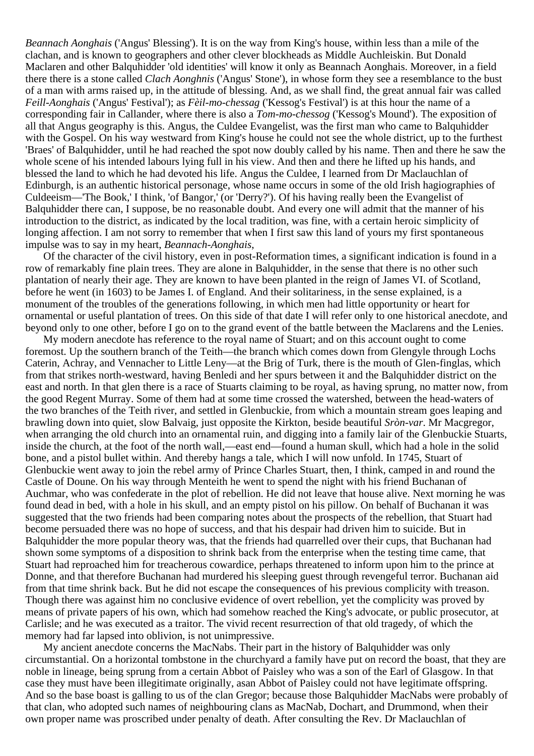*Beannach Aonghais* ('Angus' Blessing'). It is on the way from King's house, within less than a mile of the clachan, and is known to geographers and other clever blockheads as Middle Auchleiskin. But Donald Maclaren and other Balquhidder 'old identities' will know it only as Beannach Aonghais. Moreover, in a field there there is a stone called *Clach Aonghnis* ('Angus' Stone'), in whose form they see a resemblance to the bust of a man with arms raised up, in the attitude of blessing. And, as we shall find, the great annual fair was called *Feill-Aonghais* ('Angus' Festival'); as *Fèil-mo-chessag* ('Kessog's Festival') is at this hour the name of a corresponding fair in Callander, where there is also a *Tom-mo-chessog* ('Kessog's Mound'). The exposition of all that Angus geography is this. Angus, the Culdee Evangelist, was the first man who came to Balquhidder with the Gospel. On his way westward from King's house he could not see the whole district, up to the furthest 'Braes' of Balquhidder, until he had reached the spot now doubly called by his name. Then and there he saw the whole scene of his intended labours lying full in his view. And then and there he lifted up his hands, and blessed the land to which he had devoted his life. Angus the Culdee, I learned from Dr Maclauchlan of Edinburgh, is an authentic historical personage, whose name occurs in some of the old Irish hagiographies of Culdeeism—'The Book,' I think, 'of Bangor,' (or 'Derry?'). Of his having really been the Evangelist of Balquhidder there can, I suppose, be no reasonable doubt. And every one will admit that the manner of his introduction to the district, as indicated by the local tradition, was fine, with a certain heroic simplicity of longing affection. I am not sorry to remember that when I first saw this land of yours my first spontaneous impulse was to say in my heart, *Beannach-Aonghais*,

Of the character of the civil history, even in post-Reformation times, a significant indication is found in a row of remarkably fine plain trees. They are alone in Balquhidder, in the sense that there is no other such plantation of nearly their age. They are known to have been planted in the reign of James VI. of Scotland, before he went (in 1603) to be James I. of England. And their solitariness, in the sense explained, is a monument of the troubles of the generations following, in which men had little opportunity or heart for ornamental or useful plantation of trees. On this side of that date I will refer only to one historical anecdote, and beyond only to one other, before I go on to the grand event of the battle between the Maclarens and the Lenies.

My modern anecdote has reference to the royal name of Stuart; and on this account ought to come foremost. Up the southern branch of the Teith—the branch which comes down from Glengyle through Lochs Caterin, Achray, and Vennacher to Little Leny—at the Brig of Turk, there is the mouth of Glen-finglas, which from that strikes north-westward, having Benledi and her spurs between it and the Balquhidder district on the east and north. In that glen there is a race of Stuarts claiming to be royal, as having sprung, no matter now, from the good Regent Murray. Some of them had at some time crossed the watershed, between the head-waters of the two branches of the Teith river, and settled in Glenbuckie, from which a mountain stream goes leaping and brawling down into quiet, slow Balvaig, just opposite the Kirkton, beside beautiful *Sròn-var*. Mr Macgregor, when arranging the old church into an ornamental ruin, and digging into a family lair of the Glenbuckie Stuarts, inside the church, at the foot of the north wall,—east end—found a human skull, which had a hole in the solid bone, and a pistol bullet within. And thereby hangs a tale, which I will now unfold. In 1745, Stuart of Glenbuckie went away to join the rebel army of Prince Charles Stuart, then, I think, camped in and round the Castle of Doune. On his way through Menteith he went to spend the night with his friend Buchanan of Auchmar, who was confederate in the plot of rebellion. He did not leave that house alive. Next morning he was found dead in bed, with a hole in his skull, and an empty pistol on his pillow. On behalf of Buchanan it was suggested that the two friends had been comparing notes about the prospects of the rebellion, that Stuart had become persuaded there was no hope of success, and that his despair had driven him to suicide. But in Balquhidder the more popular theory was, that the friends had quarrelled over their cups, that Buchanan had shown some symptoms of a disposition to shrink back from the enterprise when the testing time came, that Stuart had reproached him for treacherous cowardice, perhaps threatened to inform upon him to the prince at Donne, and that therefore Buchanan had murdered his sleeping guest through revengeful terror. Buchanan aid from that time shrink back. But he did not escape the consequences of his previous complicity with treason. Though there was against him no conclusive evidence of overt rebellion, yet the complicity was proved by means of private papers of his own, which had somehow reached the King's advocate, or public prosecutor, at Carlisle; and he was executed as a traitor. The vivid recent resurrection of that old tragedy, of which the memory had far lapsed into oblivion, is not unimpressive.

My ancient anecdote concerns the MacNabs. Their part in the history of Balquhidder was only circumstantial. On a horizontal tombstone in the churchyard a family have put on record the boast, that they are noble in lineage, being sprung from a certain Abbot of Paisley who was a son of the Earl of Glasgow. In that case they must have been illegitimate originally, asan Abbot of Paisley could not have legitimate offspring. And so the base boast is galling to us of the clan Gregor; because those Balquhidder MacNabs were probably of that clan, who adopted such names of neighbouring clans as MacNab, Dochart, and Drummond, when their own proper name was proscribed under penalty of death. After consulting the Rev. Dr Maclauchlan of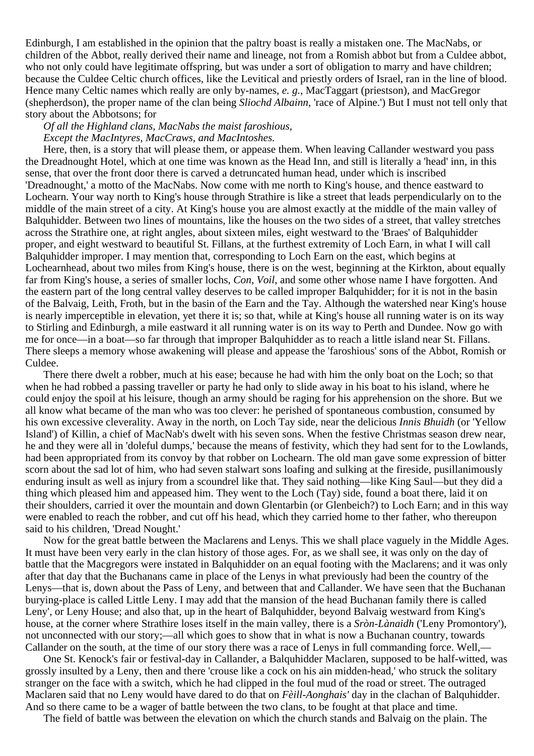Edinburgh, I am established in the opinion that the paltry boast is really a mistaken one. The MacNabs, or children of the Abbot, really derived their name and lineage, not from a Romish abbot but from a Culdee abbot, who not only could have legitimate offspring, but was under a sort of obligation to marry and have children; because the Culdee Celtic church offices, like the Levitical and priestly orders of Israel, ran in the line of blood. Hence many Celtic names which really are only by-names, *e. g.*, MacTaggart (priestson), and MacGregor (shepherdson), the proper name of the clan being *Sliochd Albainn*, 'race of Alpine.') But I must not tell only that story about the Abbotsons; for

#### *Of all the Highland clans, MacNabs the maist faroshious,*

#### *Except the MacIntyres, MacCraws, and MacIntoshes.*

Here, then, is a story that will please them, or appease them. When leaving Callander westward you pass the Dreadnought Hotel, which at one time was known as the Head Inn, and still is literally a 'head' inn, in this sense, that over the front door there is carved a detruncated human head, under which is inscribed 'Dreadnought,' a motto of the MacNabs. Now come with me north to King's house, and thence eastward to Lochearn. Your way north to King's house through Strathire is like a street that leads perpendicularly on to the middle of the main street of a city. At King's house you are almost exactly at the middle of the main valley of Balquhidder. Between two lines of mountains, like the houses on the two sides of a street, that valley stretches across the Strathire one, at right angles, about sixteen miles, eight westward to the 'Braes' of Balquhidder proper, and eight westward to beautiful St. Fillans, at the furthest extremity of Loch Earn, in what I will call Balquhidder improper. I may mention that, corresponding to Loch Earn on the east, which begins at Lochearnhead, about two miles from King's house, there is on the west, beginning at the Kirkton, about equally far from King's house, a series of smaller lochs, *Con, Voil*, and some other whose name I have forgotten. And the eastern part of the long central valley deserves to be called improper Balquhidder; for it is not in the basin of the Balvaig, Leith, Froth, but in the basin of the Earn and the Tay. Although the watershed near King's house is nearly imperceptible in elevation, yet there it is; so that, while at King's house all running water is on its way to Stirling and Edinburgh, a mile eastward it all running water is on its way to Perth and Dundee. Now go with me for once—in a boat—so far through that improper Balquhidder as to reach a little island near St. Fillans. There sleeps a memory whose awakening will please and appease the 'faroshious' sons of the Abbot, Romish or Culdee.

There there dwelt a robber, much at his ease; because he had with him the only boat on the Loch; so that when he had robbed a passing traveller or party he had only to slide away in his boat to his island, where he could enjoy the spoil at his leisure, though an army should be raging for his apprehension on the shore. But we all know what became of the man who was too clever: he perished of spontaneous combustion, consumed by his own excessive cleverality. Away in the north, on Loch Tay side, near the delicious *Innis Bhuidh* (or 'Yellow Island') of Killin, a chief of MacNab's dwelt with his seven sons. When the festive Christmas season drew near, he and they were all in 'doleful dumps,' because the means of festivity, which they had sent for to the Lowlands, had been appropriated from its convoy by that robber on Lochearn. The old man gave some expression of bitter scorn about the sad lot of him, who had seven stalwart sons loafing and sulking at the fireside, pusillanimously enduring insult as well as injury from a scoundrel like that. They said nothing—like King Saul—but they did a thing which pleased him and appeased him. They went to the Loch (Tay) side, found a boat there, laid it on their shoulders, carried it over the mountain and down Glentarbin (or Glenbeich?) to Loch Earn; and in this way were enabled to reach the robber, and cut off his head, which they carried home to ther father, who thereupon said to his children, 'Dread Nought.'

Now for the great battle between the Maclarens and Lenys. This we shall place vaguely in the Middle Ages. It must have been very early in the clan history of those ages. For, as we shall see, it was only on the day of battle that the Macgregors were instated in Balquhidder on an equal footing with the Maclarens; and it was only after that day that the Buchanans came in place of the Lenys in what previously had been the country of the Lenys—that is, down about the Pass of Leny, and between that and Callander. We have seen that the Buchanan burying-place is called Little Leny. I may add that the mansion of the head Buchanan family there is called Leny', or Leny House; and also that, up in the heart of Balquhidder, beyond Balvaig westward from King's house, at the corner where Strathire loses itself in the main valley, there is a *Sròn-Lànaidh* ('Leny Promontory'), not unconnected with our story;—all which goes to show that in what is now a Buchanan country, towards Callander on the south, at the time of our story there was a race of Lenys in full commanding force. Well,—

One St. Kenock's fair or festival-day in Callander, a Balquhidder Maclaren, supposed to be half-witted, was grossly insulted by a Leny, then and there 'crouse like a cock on his ain midden-head,' who struck the solitary stranger on the face with a switch, which he had clipped in the foul mud of the road or street. The outraged Maclaren said that no Leny would have dared to do that on *Fèill-Aonghais'* day in the clachan of Balquhidder. And so there came to be a wager of battle between the two clans, to be fought at that place and time.

The field of battle was between the elevation on which the church stands and Balvaig on the plain. The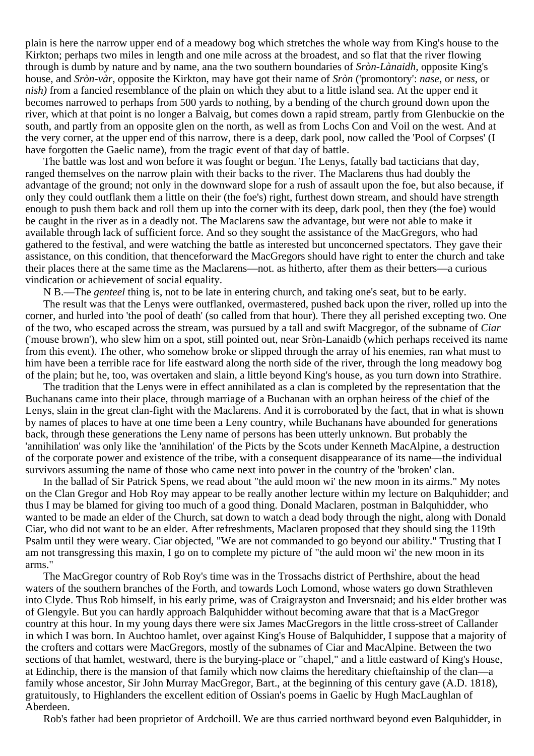plain is here the narrow upper end of a meadowy bog which stretches the whole way from King's house to the Kirkton; perhaps two miles in length and one mile across at the broadest, and so flat that the river flowing through is dumb by nature and by name, ana the two southern boundaries of *Sròn-Lànaidh*, opposite King's house, and *Sròn-vàr*, opposite the Kirkton, may have got their name of *Sròn* ('promontory': *nase*, or *ness*, or *nish)* from a fancied resemblance of the plain on which they abut to a little island sea. At the upper end it becomes narrowed to perhaps from 500 yards to nothing, by a bending of the church ground down upon the river, which at that point is no longer a Balvaig, but comes down a rapid stream, partly from Glenbuckie on the south, and partly from an opposite glen on the north, as well as from Lochs Con and Voil on the west. And at the very corner, at the upper end of this narrow, there is a deep, dark pool, now called the 'Pool of Corpses' (I have forgotten the Gaelic name), from the tragic event of that day of battle.

The battle was lost and won before it was fought or begun. The Lenys, fatally bad tacticians that day, ranged themselves on the narrow plain with their backs to the river. The Maclarens thus had doubly the advantage of the ground; not only in the downward slope for a rush of assault upon the foe, but also because, if only they could outflank them a little on their (the foe's) right, furthest down stream, and should have strength enough to push them back and roll them up into the corner with its deep, dark pool, then they (the foe) would be caught in the river as in a deadly not. The Maclarens saw the advantage, but were not able to make it available through lack of sufficient force. And so they sought the assistance of the MacGregors, who had gathered to the festival, and were watching the battle as interested but unconcerned spectators. They gave their assistance, on this condition, that thenceforward the MacGregors should have right to enter the church and take their places there at the same time as the Maclarens—not. as hitherto, after them as their betters—a curious vindication or achievement of social equality.

N B.—The *genteel* thing is, not to be late in entering church, and taking one's seat, but to be early.

The result was that the Lenys were outflanked, overmastered, pushed back upon the river, rolled up into the corner, and hurled into 'the pool of death' (so called from that hour). There they all perished excepting two. One of the two, who escaped across the stream, was pursued by a tall and swift Macgregor, of the subname of *Ciar* ('mouse brown'), who slew him on a spot, still pointed out, near Sròn-Lanaidb (which perhaps received its name from this event). The other, who somehow broke or slipped through the array of his enemies, ran what must to him have been a terrible race for life eastward along the north side of the river, through the long meadowy bog of the plain; but he, too, was overtaken and slain, a little beyond King's house, as you turn down into Strathire.

The tradition that the Lenys were in effect annihilated as a clan is completed by the representation that the Buchanans came into their place, through marriage of a Buchanan with an orphan heiress of the chief of the Lenys, slain in the great clan-fight with the Maclarens. And it is corroborated by the fact, that in what is shown by names of places to have at one time been a Leny country, while Buchanans have abounded for generations back, through these generations the Leny name of persons has been utterly unknown. But probably the 'annihilation' was only like the 'annihilation' of the Picts by the Scots under Kenneth MacAlpine, a destruction of the corporate power and existence of the tribe, with a consequent disappearance of its name—the individual survivors assuming the name of those who came next into power in the country of the 'broken' clan.

In the ballad of Sir Patrick Spens, we read about "the auld moon wi' the new moon in its airms." My notes on the Clan Gregor and Hob Roy may appear to be really another lecture within my lecture on Balquhidder; and thus I may be blamed for giving too much of a good thing. Donald Maclaren, postman in Balquhidder, who wanted to be made an elder of the Church, sat down to watch a dead body through the night, along with Donald Ciar, who did not want to be an elder. After refreshments, Maclaren proposed that they should sing the 119th Psalm until they were weary. Ciar objected, "We are not commanded to go beyond our ability." Trusting that I am not transgressing this maxin, I go on to complete my picture of "the auld moon wi' the new moon in its arms."

The MacGregor country of Rob Roy's time was in the Trossachs district of Perthshire, about the head waters of the southern branches of the Forth, and towards Loch Lomond, whose waters go down Strathleven into Clyde. Thus Rob himself, in his early prime, was of Craigrayston and Inversnaid; and his elder brother was of Glengyle. But you can hardly approach Balquhidder without becoming aware that that is a MacGregor country at this hour. In my young days there were six James MacGregors in the little cross-street of Callander in which I was born. In Auchtoo hamlet, over against King's House of Balquhidder, I suppose that a majority of the crofters and cottars were MacGregors, mostly of the subnames of Ciar and MacAlpine. Between the two sections of that hamlet, westward, there is the burying-place or "chapel," and a little eastward of King's House, at Edinchip, there is the mansion of that family which now claims the hereditary chieftainship of the clan—a family whose ancestor, Sir John Murray MacGregor, Bart., at the beginning of this century gave (A.D. 1818), gratuitously, to Highlanders the excellent edition of Ossian's poems in Gaelic by Hugh MacLaughlan of Aberdeen.

Rob's father had been proprietor of Ardchoill. We are thus carried northward beyond even Balquhidder, in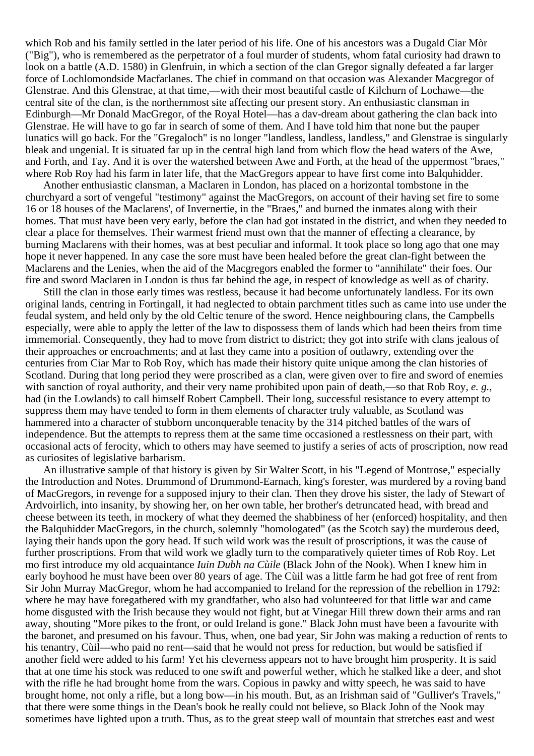which Rob and his family settled in the later period of his life. One of his ancestors was a Dugald Ciar Mòr ("Big"), who is remembered as the perpetrator of a foul murder of students, whom fatal curiosity had drawn to look on a battle (A.D. 1580) in Glenfruin, in which a section of the clan Gregor signally defeated a far larger force of Lochlomondside Macfarlanes. The chief in command on that occasion was Alexander Macgregor of Glenstrae. And this Glenstrae, at that time,—with their most beautiful castle of Kilchurn of Lochawe—the central site of the clan, is the northernmost site affecting our present story. An enthusiastic clansman in Edinburgh—Mr Donald MacGregor, of the Royal Hotel—has a dav-dream about gathering the clan back into Glenstrae. He will have to go far in search of some of them. And I have told him that none but the pauper lunatics will go back. For the "Gregaloch" is no longer "landless, landless, landless," and Glenstrae is singularly bleak and ungenial. It is situated far up in the central high land from which flow the head waters of the Awe, and Forth, and Tay. And it is over the watershed between Awe and Forth, at the head of the uppermost "braes," where Rob Roy had his farm in later life, that the MacGregors appear to have first come into Balquhidder.

Another enthusiastic clansman, a Maclaren in London, has placed on a horizontal tombstone in the churchyard a sort of vengeful "testimony" against the MacGregors, on account of their having set fire to some 16 or 18 houses of the Maclarens', of Invernertie, in the "Braes," and burned the inmates along with their homes. That must have been very early, before the clan had got instated in the district, and when they needed to clear a place for themselves. Their warmest friend must own that the manner of effecting a clearance, by burning Maclarens with their homes, was at best peculiar and informal. It took place so long ago that one may hope it never happened. In any case the sore must have been healed before the great clan-fight between the Maclarens and the Lenies, when the aid of the Macgregors enabled the former to "annihilate" their foes. Our fire and sword Maclaren in London is thus far behind the age, in respect of knowledge as well as of charity.

Still the clan in those early times was restless, because it had become unfortunately landless. For its own original lands, centring in Fortingall, it had neglected to obtain parchment titles such as came into use under the feudal system, and held only by the old Celtic tenure of the sword. Hence neighbouring clans, the Campbells especially, were able to apply the letter of the law to dispossess them of lands which had been theirs from time immemorial. Consequently, they had to move from district to district; they got into strife with clans jealous of their approaches or encroachments; and at last they came into a position of outlawry, extending over the centuries from Ciar Mar to Rob Roy, which has made their history quite unique among the clan histories of Scotland. During that long period they were proscribed as a clan, were given over to fire and sword of enemies with sanction of royal authority, and their very name prohibited upon pain of death,—so that Rob Roy, *e. g.*, had (in the Lowlands) to call himself Robert Campbell. Their long, successful resistance to every attempt to suppress them may have tended to form in them elements of character truly valuable, as Scotland was hammered into a character of stubborn unconquerable tenacity by the 314 pitched battles of the wars of independence. But the attempts to repress them at the same time occasioned a restlessness on their part, with occasional acts of ferocity, which to others may have seemed to justify a series of acts of proscription, now read as curiosites of legislative barbarism.

An illustrative sample of that history is given by Sir Walter Scott, in his "Legend of Montrose," especially the Introduction and Notes. Drummond of Drummond-Earnach, king's forester, was murdered by a roving band of MacGregors, in revenge for a supposed injury to their clan. Then they drove his sister, the lady of Stewart of Ardvoirlich, into insanity, by showing her, on her own table, her brother's detruncated head, with bread and cheese between its teeth, in mockery of what they deemed the shabbiness of her (enforced) hospitality, and then the Balquhidder MacGregors, in the church, solemnly "homologated" (as the Scotch say) the murderous deed, laying their hands upon the gory head. If such wild work was the result of proscriptions, it was the cause of further proscriptions. From that wild work we gladly turn to the comparatively quieter times of Rob Roy. Let mo first introduce my old acquaintance *Iuin Dubh na Cùile* (Black John of the Nook). When I knew him in early boyhood he must have been over 80 years of age. The Cùil was a little farm he had got free of rent from Sir John Murray MacGregor, whom he had accompanied to Ireland for the repression of the rebellion in 1792: where he may have foregathered with my grandfather, who also had volunteered for that little war and came home disgusted with the Irish because they would not fight, but at Vinegar Hill threw down their arms and ran away, shouting "More pikes to the front, or ould Ireland is gone." Black John must have been a favourite with the baronet, and presumed on his favour. Thus, when, one bad year, Sir John was making a reduction of rents to his tenantry, Cùil—who paid no rent—said that he would not press for reduction, but would be satisfied if another field were added to his farm! Yet his cleverness appears not to have brought him prosperity. It is said that at one time his stock was reduced to one swift and powerful wether, which he stalked like a deer, and shot with the rifle he had brought home from the wars. Copious in pawky and witty speech, he was said to have brought home, not only a rifle, but a long bow—in his mouth. But, as an Irishman said of "Gulliver's Travels," that there were some things in the Dean's book he really could not believe, so Black John of the Nook may sometimes have lighted upon a truth. Thus, as to the great steep wall of mountain that stretches east and west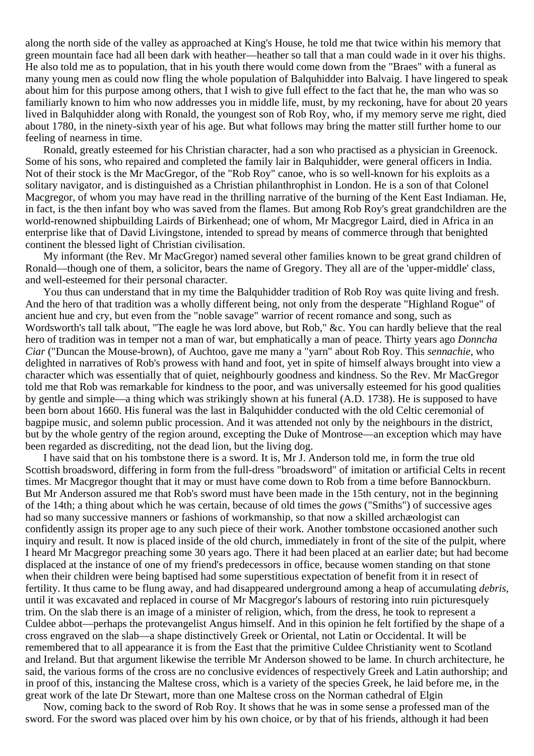along the north side of the valley as approached at King's House, he told me that twice within his memory that green mountain face had all been dark with heather—heather so tall that a man could wade in it over his thighs. He also told me as to population, that in his youth there would come down from the "Braes" with a funeral as many young men as could now fling the whole population of Balquhidder into Balvaig. I have lingered to speak about him for this purpose among others, that I wish to give full effect to the fact that he, the man who was so familiarly known to him who now addresses you in middle life, must, by my reckoning, have for about 20 years lived in Balquhidder along with Ronald, the youngest son of Rob Roy, who, if my memory serve me right, died about 1780, in the ninety-sixth year of his age. But what follows may bring the matter still further home to our feeling of nearness in time.

Ronald, greatly esteemed for his Christian character, had a son who practised as a physician in Greenock. Some of his sons, who repaired and completed the family lair in Balquhidder, were general officers in India. Not of their stock is the Mr MacGregor, of the "Rob Roy" canoe, who is so well-known for his exploits as a solitary navigator, and is distinguished as a Christian philanthrophist in London. He is a son of that Colonel Macgregor, of whom you may have read in the thrilling narrative of the burning of the Kent East Indiaman. He, in fact, is the then infant boy who was saved from the flames. But among Rob Roy's great grandchildren are the world-renowned shipbuilding Lairds of Birkenhead; one of whom, Mr Macgregor Laird, died in Africa in an enterprise like that of David Livingstone, intended to spread by means of commerce through that benighted continent the blessed light of Christian civilisation.

My informant (the Rev. Mr MacGregor) named several other families known to be great grand children of Ronald—though one of them, a solicitor, bears the name of Gregory. They all are of the 'upper-middle' class, and well-esteemed for their personal character.

You thus can understand that in my time the Balquhidder tradition of Rob Roy was quite living and fresh. And the hero of that tradition was a wholly different being, not only from the desperate "Highland Rogue" of ancient hue and cry, but even from the "noble savage" warrior of recent romance and song, such as Wordsworth's tall talk about, "The eagle he was lord above, but Rob," &c. You can hardly believe that the real hero of tradition was in temper not a man of war, but emphatically a man of peace. Thirty years ago *Donncha Ciar* ("Duncan the Mouse-brown), of Auchtoo, gave me many a "yarn" about Rob Roy. This *sennachie*, who delighted in narratives of Rob's prowess with hand and foot, yet in spite of himself always brought into view a character which was essentially that of quiet, neighbourly goodness and kindness. So the Rev. Mr MacGregor told me that Rob was remarkable for kindness to the poor, and was universally esteemed for his good qualities by gentle and simple—a thing which was strikingly shown at his funeral (A.D. 1738). He is supposed to have been born about 1660. His funeral was the last in Balquhidder conducted with the old Celtic ceremonial of bagpipe music, and solemn public procession. And it was attended not only by the neighbours in the district, but by the whole gentry of the region around, excepting the Duke of Montrose—an exception which may have been regarded as discrediting, not the dead lion, but the living dog.

I have said that on his tombstone there is a sword. It is, Mr J. Anderson told me, in form the true old Scottish broadsword, differing in form from the full-dress "broadsword" of imitation or artificial Celts in recent times. Mr Macgregor thought that it may or must have come down to Rob from a time before Bannockburn. But Mr Anderson assured me that Rob's sword must have been made in the 15th century, not in the beginning of the 14th; a thing about which he was certain, because of old times the *gows* ("Smiths") of successive ages had so many successive manners or fashions of workmanship, so that now a skilled archæologist can confidently assign its proper age to any such piece of their work. Another tombstone occasioned another such inquiry and result. It now is placed inside of the old church, immediately in front of the site of the pulpit, where I heard Mr Macgregor preaching some 30 years ago. There it had been placed at an earlier date; but had become displaced at the instance of one of my friend's predecessors in office, because women standing on that stone when their children were being baptised had some superstitious expectation of benefit from it in resect of fertility. It thus came to be flung away, and had disappeared underground among a heap of accumulating *debris*, until it was excavated and replaced in course of Mr Macgregor's labours of restoring into ruin picturesquely trim. On the slab there is an image of a minister of religion, which, from the dress, he took to represent a Culdee abbot—perhaps the protevangelist Angus himself. And in this opinion he felt fortified by the shape of a cross engraved on the slab—a shape distinctively Greek or Oriental, not Latin or Occidental. It will be remembered that to all appearance it is from the East that the primitive Culdee Christianity went to Scotland and Ireland. But that argument likewise the terrible Mr Anderson showed to be lame. In church architecture, he said, the various forms of the cross are no conclusive evidences of respectively Greek and Latin authorship; and in proof of this, instancing the Maltese cross, which is a variety of the species Greek, he laid before me, in the great work of the late Dr Stewart, more than one Maltese cross on the Norman cathedral of Elgin

Now, coming back to the sword of Rob Roy. It shows that he was in some sense a professed man of the sword. For the sword was placed over him by his own choice, or by that of his friends, although it had been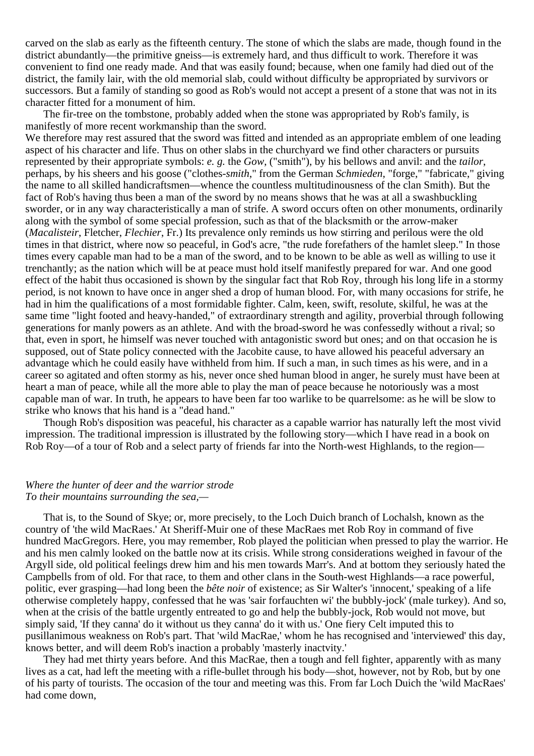carved on the slab as early as the fifteenth century. The stone of which the slabs are made, though found in the district abundantly—the primitive gneiss—is extremely hard, and thus difficult to work. Therefore it was convenient to find one ready made. And that was easily found; because, when one family had died out of the district, the family lair, with the old memorial slab, could without difficulty be appropriated by survivors or successors. But a family of standing so good as Rob's would not accept a present of a stone that was not in its character fitted for a monument of him.

The fir-tree on the tombstone, probably added when the stone was appropriated by Rob's family, is manifestly of more recent workmanship than the sword.

We therefore may rest assured that the sword was fitted and intended as an appropriate emblem of one leading aspect of his character and life. Thus on other slabs in the churchyard we find other characters or pursuits represented by their appropriate symbols: *e. g.* the *Gow*, ("smith"), by his bellows and anvil: and the *tailor*, perhaps, by his sheers and his goose ("clothes-*smith*," from the German *Schmieden*, "forge," "fabricate," giving the name to all skilled handicraftsmen—whence the countless multitudinousness of the clan Smith). But the fact of Rob's having thus been a man of the sword by no means shows that he was at all a swashbuckling sworder, or in any way characteristically a man of strife. A sword occurs often on other monuments, ordinarily along with the symbol of some special profession, such as that of the blacksmith or the arrow-maker (*Macalisteir*, Fletcher, *Flechier*, Fr.) Its prevalence only reminds us how stirring and perilous were the old times in that district, where now so peaceful, in God's acre, "the rude forefathers of the hamlet sleep." In those times every capable man had to be a man of the sword, and to be known to be able as well as willing to use it trenchantly; as the nation which will be at peace must hold itself manifestly prepared for war. And one good effect of the habit thus occasioned is shown by the singular fact that Rob Roy, through his long life in a stormy period, is not known to have once in anger shed a drop of human blood. For, with many occasions for strife, he had in him the qualifications of a most formidable fighter. Calm, keen, swift, resolute, skilful, he was at the same time "light footed and heavy-handed," of extraordinary strength and agility, proverbial through following generations for manly powers as an athlete. And with the broad-sword he was confessedly without a rival; so that, even in sport, he himself was never touched with antagonistic sword but ones; and on that occasion he is supposed, out of State policy connected with the Jacobite cause, to have allowed his peaceful adversary an advantage which he could easily have withheld from him. If such a man, in such times as his were, and in a career so agitated and often stormy as his, never once shed human blood in anger, he surely must have been at heart a man of peace, while all the more able to play the man of peace because he notoriously was a most capable man of war. In truth, he appears to have been far too warlike to be quarrelsome: as he will be slow to strike who knows that his hand is a "dead hand."

Though Rob's disposition was peaceful, his character as a capable warrior has naturally left the most vivid impression. The traditional impression is illustrated by the following story—which I have read in a book on Rob Roy—of a tour of Rob and a select party of friends far into the North-west Highlands, to the region—

#### *Where the hunter of deer and the warrior strode To their mountains surrounding the sea,—*

That is, to the Sound of Skye; or, more precisely, to the Loch Duich branch of Lochalsh, known as the country of 'the wild MacRaes.' At Sheriff-Muir one of these MacRaes met Rob Roy in command of five hundred MacGregors. Here, you may remember, Rob played the politician when pressed to play the warrior. He and his men calmly looked on the battle now at its crisis. While strong considerations weighed in favour of the Argyll side, old political feelings drew him and his men towards Marr's. And at bottom they seriously hated the Campbells from of old. For that race, to them and other clans in the South-west Highlands—a race powerful, politic, ever grasping—had long been the *bête noir* of existence; as Sir Walter's 'innocent,' speaking of a life otherwise completely happy, confessed that he was 'sair forfauchten wi' the bubbly-jock' (male turkey). And so, when at the crisis of the battle urgently entreated to go and help the bubbly-jock, Rob would not move, but simply said, 'If they canna' do it without us they canna' do it with us.' One fiery Celt imputed this to pusillanimous weakness on Rob's part. That 'wild MacRae,' whom he has recognised and 'interviewed' this day, knows better, and will deem Rob's inaction a probably 'masterly inactvity.'

They had met thirty years before. And this MacRae, then a tough and fell fighter, apparently with as many lives as a cat, had left the meeting with a rifle-bullet through his body—shot, however, not by Rob, but by one of his party of tourists. The occasion of the tour and meeting was this. From far Loch Duich the 'wild MacRaes' had come down,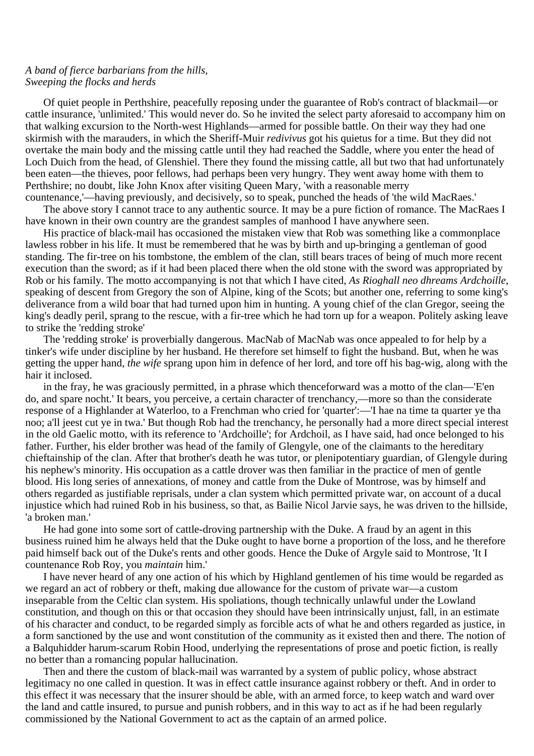#### *A band of fierce barbarians from the hills, Sweeping the flocks and herds*

Of quiet people in Perthshire, peacefully reposing under the guarantee of Rob's contract of blackmail—or cattle insurance, 'unlimited.' This would never do. So he invited the select party aforesaid to accompany him on that walking excursion to the North-west Highlands—armed for possible battle. On their way they had one skirmish with the marauders, in which the Sheriff-Muir *redivivus* got his quietus for a time. But they did not overtake the main body and the missing cattle until they had reached the Saddle, where you enter the head of Loch Duich from the head, of Glenshiel. There they found the missing cattle, all but two that had unfortunately been eaten—the thieves, poor fellows, had perhaps been very hungry. They went away home with them to Perthshire; no doubt, like John Knox after visiting Queen Mary, 'with a reasonable merry countenance,'—having previously, and decisively, so to speak, punched the heads of 'the wild MacRaes.'

The above story I cannot trace to any authentic source. It may be a pure fiction of romance. The MacRaes I have known in their own country are the grandest samples of manhood I have anywhere seen.

His practice of black-mail has occasioned the mistaken view that Rob was something like a commonplace lawless robber in his life. It must be remembered that he was by birth and up-bringing a gentleman of good standing. The fir-tree on his tombstone, the emblem of the clan, still bears traces of being of much more recent execution than the sword; as if it had been placed there when the old stone with the sword was appropriated by Rob or his family. The motto accompanying is not that which I have cited, *As Rioghall neo dhreams Ardchoille*, speaking of descent from Gregory the son of Alpine, king of the Scots; but another one, referring to some king's deliverance from a wild boar that had turned upon him in hunting. A young chief of the clan Gregor, seeing the king's deadly peril, sprang to the rescue, with a fir-tree which he had torn up for a weapon. Politely asking leave to strike the 'redding stroke'

The 'redding stroke' is proverbially dangerous. MacNab of MacNab was once appealed to for help by a tinker's wife under discipline by her husband. He therefore set himself to fight the husband. But, when he was getting the upper hand, *the wife* sprang upon him in defence of her lord, and tore off his bag-wig, along with the hair it inclosed.

in the fray, he was graciously permitted, in a phrase which thenceforward was a motto of the clan—'E'en do, and spare nocht.' It bears, you perceive, a certain character of trenchancy,—more so than the considerate response of a Highlander at Waterloo, to a Frenchman who cried for 'quarter':—'I hae na time ta quarter ye tha noo; a'll jeest cut ye in twa.' But though Rob had the trenchancy, he personally had a more direct special interest in the old Gaelic motto, with its reference to 'Ardchoille'; for Ardchoil, as I have said, had once belonged to his father. Further, his elder brother was head of the family of Glengyle, one of the claimants to the hereditary chieftainship of the clan. After that brother's death he was tutor, or plenipotentiary guardian, of Glengyle during his nephew's minority. His occupation as a cattle drover was then familiar in the practice of men of gentle blood. His long series of annexations, of money and cattle from the Duke of Montrose, was by himself and others regarded as justifiable reprisals, under a clan system which permitted private war, on account of a ducal injustice which had ruined Rob in his business, so that, as Bailie Nicol Jarvie says, he was driven to the hillside, 'a broken man.'

He had gone into some sort of cattle-droving partnership with the Duke. A fraud by an agent in this business ruined him he always held that the Duke ought to have borne a proportion of the loss, and he therefore paid himself back out of the Duke's rents and other goods. Hence the Duke of Argyle said to Montrose, 'It I countenance Rob Roy, you *maintain* him.'

I have never heard of any one action of his which by Highland gentlemen of his time would be regarded as we regard an act of robbery or theft, making due allowance for the custom of private war—a custom inseparable from the Celtic clan system. His spoliations, though technically unlawful under the Lowland constitution, and though on this or that occasion they should have been intrinsically unjust, fall, in an estimate of his character and conduct, to be regarded simply as forcible acts of what he and others regarded as justice, in a form sanctioned by the use and wont constitution of the community as it existed then and there. The notion of a Balquhidder harum-scarum Robin Hood, underlying the representations of prose and poetic fiction, is really no better than a romancing popular hallucination.

Then and there the custom of black-mail was warranted by a system of public policy, whose abstract legitimacy no one called in question. It was in effect cattle insurance against robbery or theft. And in order to this effect it was necessary that the insurer should be able, with an armed force, to keep watch and ward over the land and cattle insured, to pursue and punish robbers, and in this way to act as if he had been regularly commissioned by the National Government to act as the captain of an armed police.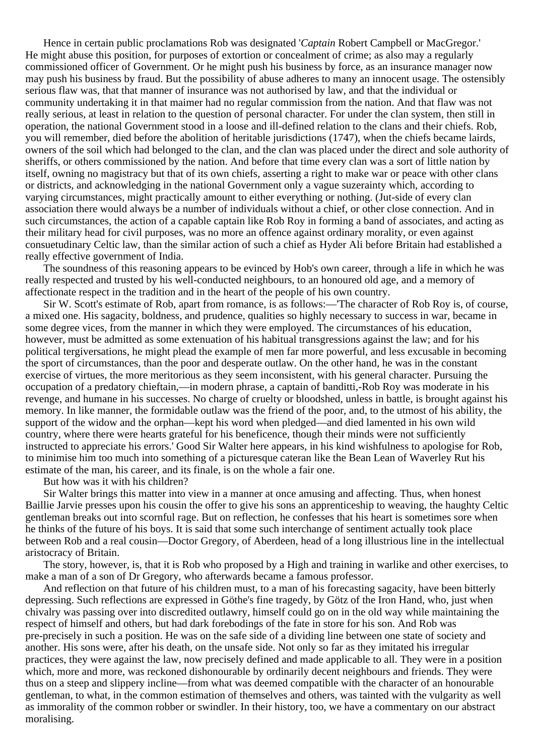Hence in certain public proclamations Rob was designated '*Captain* Robert Campbell or MacGregor.' He might abuse this position, for purposes of extortion or concealment of crime; as also may a regularly commissioned officer of Government. Or he might push his business by force, as an insurance manager now may push his business by fraud. But the possibility of abuse adheres to many an innocent usage. The ostensibly serious flaw was, that that manner of insurance was not authorised by law, and that the individual or community undertaking it in that maimer had no regular commission from the nation. And that flaw was not really serious, at least in relation to the question of personal character. For under the clan system, then still in operation, the national Government stood in a loose and ill-defined relation to the clans and their chiefs. Rob, you will remember, died before the abolition of heritable jurisdictions (1747), when the chiefs became lairds, owners of the soil which had belonged to the clan, and the clan was placed under the direct and sole authority of sheriffs, or others commissioned by the nation. And before that time every clan was a sort of little nation by itself, owning no magistracy but that of its own chiefs, asserting a right to make war or peace with other clans or districts, and acknowledging in the national Government only a vague suzerainty which, according to varying circumstances, might practically amount to either everything or nothing. (Jut-side of every clan association there would always be a number of individuals without a chief, or other close connection. And in such circumstances, the action of a capable captain like Rob Roy in forming a band of associates, and acting as their military head for civil purposes, was no more an offence against ordinary morality, or even against consuetudinary Celtic law, than the similar action of such a chief as Hyder Ali before Britain had established a really effective government of India.

The soundness of this reasoning appears to be evinced by Hob's own career, through a life in which he was really respected and trusted by his well-conducted neighbours, to an honoured old age, and a memory of affectionate respect in the tradition and in the heart of the people of his own country.

Sir W. Scott's estimate of Rob, apart from romance, is as follows:—'The character of Rob Roy is, of course, a mixed one. His sagacity, boldness, and prudence, qualities so highly necessary to success in war, became in some degree vices, from the manner in which they were employed. The circumstances of his education, however, must be admitted as some extenuation of his habitual transgressions against the law; and for his political tergiversations, he might plead the example of men far more powerful, and less excusable in becoming the sport of circumstances, than the poor and desperate outlaw. On the other hand, he was in the constant exercise of virtues, the more meritorious as they seem inconsistent, with his general character. Pursuing the occupation of a predatory chieftain,—in modern phrase, a captain of banditti,-Rob Roy was moderate in his revenge, and humane in his successes. No charge of cruelty or bloodshed, unless in battle, is brought against his memory. In like manner, the formidable outlaw was the friend of the poor, and, to the utmost of his ability, the support of the widow and the orphan—kept his word when pledged—and died lamented in his own wild country, where there were hearts grateful for his beneficence, though their minds were not sufficiently instructed to appreciate his errors.' Good Sir Walter here appears, in his kind wishfulness to apologise for Rob, to minimise him too much into something of a picturesque cateran like the Bean Lean of Waverley Rut his estimate of the man, his career, and its finale, is on the whole a fair one.

But how was it with his children?

Sir Walter brings this matter into view in a manner at once amusing and affecting. Thus, when honest Baillie Jarvie presses upon his cousin the offer to give his sons an apprenticeship to weaving, the haughty Celtic gentleman breaks out into scornful rage. But on reflection, he confesses that his heart is sometimes sore when he thinks of the future of his boys. It is said that some such interchange of sentiment actually took place between Rob and a real cousin—Doctor Gregory, of Aberdeen, head of a long illustrious line in the intellectual aristocracy of Britain.

The story, however, is, that it is Rob who proposed by a High and training in warlike and other exercises, to make a man of a son of Dr Gregory, who afterwards became a famous professor.

And reflection on that future of his children must, to a man of his forecasting sagacity, have been bitterly depressing. Such reflections are expressed in Göthe's fine tragedy, by Götz of the Iron Hand, who, just when chivalry was passing over into discredited outlawry, himself could go on in the old way while maintaining the respect of himself and others, but had dark forebodings of the fate in store for his son. And Rob was pre-precisely in such a position. He was on the safe side of a dividing line between one state of society and another. His sons were, after his death, on the unsafe side. Not only so far as they imitated his irregular practices, they were against the law, now precisely defined and made applicable to all. They were in a position which, more and more, was reckoned dishonourable by ordinarily decent neighbours and friends. They were thus on a steep and slippery incline—from what was deemed compatible with the character of an honourable gentleman, to what, in the common estimation of themselves and others, was tainted with the vulgarity as well as immorality of the common robber or swindler. In their history, too, we have a commentary on our abstract moralising.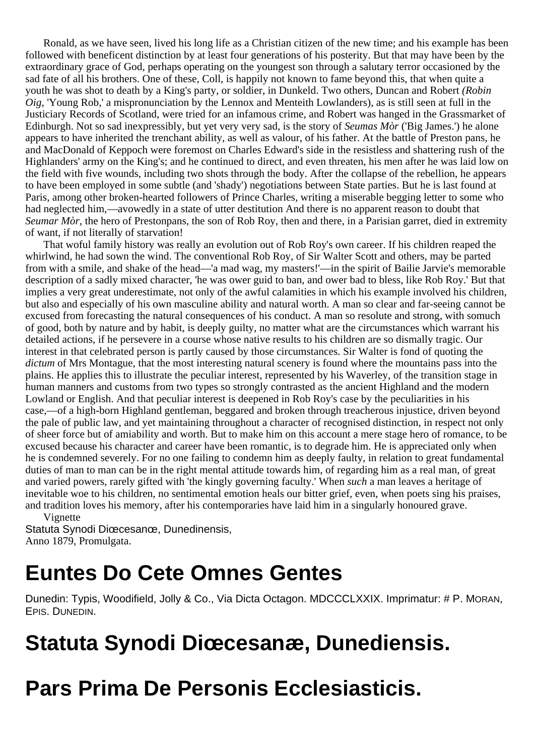Ronald, as we have seen, lived his long life as a Christian citizen of the new time; and his example has been followed with beneficent distinction by at least four generations of his posterity. But that may have been by the extraordinary grace of God, perhaps operating on the youngest son through a salutary terror occasioned by the sad fate of all his brothers. One of these, Coll, is happily not known to fame beyond this, that when quite a youth he was shot to death by a King's party, or soldier, in Dunkeld. Two others, Duncan and Robert *(Robin Oig*, 'Young Rob,' a mispronunciation by the Lennox and Menteith Lowlanders), as is still seen at full in the Justiciary Records of Scotland, were tried for an infamous crime, and Robert was hanged in the Grassmarket of Edinburgh. Not so sad inexpressibly, but yet very very sad, is the story of *Seumas Mòr* ('Big James.') he alone appears to have inherited the trenchant ability, as well as valour, of his father. At the battle of Preston pans, he and MacDonald of Keppoch were foremost on Charles Edward's side in the resistless and shattering rush of the Highlanders' army on the King's; and he continued to direct, and even threaten, his men after he was laid low on the field with five wounds, including two shots through the body. After the collapse of the rebellion, he appears to have been employed in some subtle (and 'shady') negotiations between State parties. But he is last found at Paris, among other broken-hearted followers of Prince Charles, writing a miserable begging letter to some who had neglected him,—avowedly in a state of utter destitution And there is no apparent reason to doubt that *Seumar Mòr*, the hero of Prestonpans, the son of Rob Roy, then and there, in a Parisian garret, died in extremity of want, if not literally of starvation!

That woful family history was really an evolution out of Rob Roy's own career. If his children reaped the whirlwind, he had sown the wind. The conventional Rob Roy, of Sir Walter Scott and others, may be parted from with a smile, and shake of the head—'a mad wag, my masters!'—in the spirit of Bailie Jarvie's memorable description of a sadly mixed character, 'he was ower guid to ban, and ower bad to bless, like Rob Roy.' But that implies a very great underestimate, not only of the awful calamities in which his example involved his children, but also and especially of his own masculine ability and natural worth. A man so clear and far-seeing cannot be excused from forecasting the natural consequences of his conduct. A man so resolute and strong, with somuch of good, both by nature and by habit, is deeply guilty, no matter what are the circumstances which warrant his detailed actions, if he persevere in a course whose native results to his children are so dismally tragic. Our interest in that celebrated person is partly caused by those circumstances. Sir Walter is fond of quoting the *dictum* of Mrs Montague, that the most interesting natural scenery is found where the mountains pass into the plains. He applies this to illustrate the peculiar interest, represented by his Waverley, of the transition stage in human manners and customs from two types so strongly contrasted as the ancient Highland and the modern Lowland or English. And that peculiar interest is deepened in Rob Roy's case by the peculiarities in his case,—of a high-born Highland gentleman, beggared and broken through treacherous injustice, driven beyond the pale of public law, and yet maintaining throughout a character of recognised distinction, in respect not only of sheer force but of amiability and worth. But to make him on this account a mere stage hero of romance, to be excused because his character and career have been romantic, is to degrade him. He is appreciated only when he is condemned severely. For no one failing to condemn him as deeply faulty, in relation to great fundamental duties of man to man can be in the right mental attitude towards him, of regarding him as a real man, of great and varied powers, rarely gifted with 'the kingly governing faculty.' When *such* a man leaves a heritage of inevitable woe to his children, no sentimental emotion heals our bitter grief, even, when poets sing his praises, and tradition loves his memory, after his contemporaries have laid him in a singularly honoured grave. Vignette

Statuta Synodi Diœcesanœ, Dunedinensis, Anno 1879, Promulgata.

## **Euntes Do Cete Omnes Gentes**

Dunedin: Typis, Woodifield, Jolly & Co., Via Dicta Octagon. MDCCCLXXIX. Imprimatur: # P. MORAN, EPIS. DUNEDIN.

## **Statuta Synodi Diœcesanæ, Dunediensis.**

# **Pars Prima De Personis Ecclesiasticis.**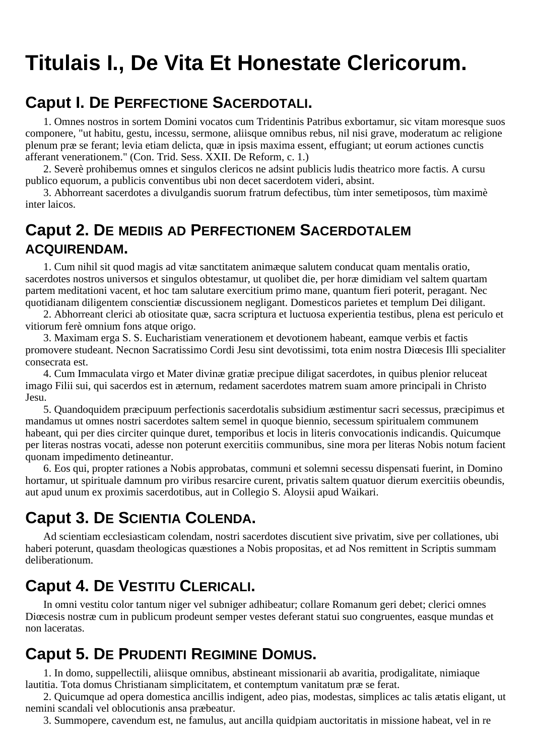# **Titulais I., De Vita Et Honestate Clericorum.**

#### **Caput I. DE PERFECTIONE SACERDOTALI.**

1. Omnes nostros in sortem Domini vocatos cum Tridentinis Patribus exbortamur, sic vitam moresque suos componere, "ut habitu, gestu, incessu, sermone, aliisque omnibus rebus, nil nisi grave, moderatum ac religione plenum præ se ferant; levia etiam delicta, quæ in ipsis maxima essent, effugiant; ut eorum actiones cunctis afferant venerationem." (Con. Trid. Sess. XXII. De Reform, c. 1.)

2. Severè prohibemus omnes et singulos clericos ne adsint publicis ludis theatrico more factis. A cursu publico equorum, a publicis conventibus ubi non decet sacerdotem videri, absint.

3. Abhorreant sacerdotes a divulgandis suorum fratrum defectibus, tùm inter semetiposos, tùm maximè inter laicos.

### **Caput 2. DE MEDIIS AD PERFECTIONEM SACERDOTALEM ACQUIRENDAM.**

1. Cum nihil sit quod magis ad vitæ sanctitatem animæque salutem conducat quam mentalis oratio, sacerdotes nostros universos et singulos obtestamur, ut quolibet die, per horæ dimidiam vel saltem quartam partem meditationi vacent, et hoc tam salutare exercitium primo mane, quantum fieri poterit, peragant. Nec quotidianam diligentem conscientiæ discussionem negligant. Domesticos parietes et templum Dei diligant.

2. Abhorreant clerici ab otiositate quæ, sacra scriptura et luctuosa experientia testibus, plena est periculo et vitiorum ferè omnium fons atque origo.

3. Maximam erga S. S. Eucharistiam venerationem et devotionem habeant, eamque verbis et factis promovere studeant. Necnon Sacratissimo Cordi Jesu sint devotissimi, tota enim nostra Diœcesis Illi specialiter consecrata est.

4. Cum Immaculata virgo et Mater divinæ gratiæ precipue diligat sacerdotes, in quibus plenior reluceat imago Filii sui, qui sacerdos est in æternum, redament sacerdotes matrem suam amore principali in Christo Jesu.

5. Quandoquidem præcipuum perfectionis sacerdotalis subsidium æstimentur sacri secessus, præcipimus et mandamus ut omnes nostri sacerdotes saltem semel in quoque biennio, secessum spiritualem communem habeant, qui per dies circiter quinque duret, temporibus et locis in literis convocationis indicandis. Quicumque per literas nostras vocati, adesse non poterunt exercitiis communibus, sine mora per literas Nobis notum facient quonam impedimento detineantur.

6. Eos qui, propter rationes a Nobis approbatas, communi et solemni secessu dispensati fuerint, in Domino hortamur, ut spirituale damnum pro viribus resarcire curent, privatis saltem quatuor dierum exercitiis obeundis, aut apud unum ex proximis sacerdotibus, aut in Collegio S. Aloysii apud Waikari.

### **Caput 3. DE SCIENTIA COLENDA.**

Ad scientiam ecclesiasticam colendam, nostri sacerdotes discutient sive privatim, sive per collationes, ubi haberi poterunt, quasdam theologicas quæstiones a Nobis propositas, et ad Nos remittent in Scriptis summam deliberationum.

### **Caput 4. DE VESTITU CLERICALI.**

In omni vestitu color tantum niger vel subniger adhibeatur; collare Romanum geri debet; clerici omnes Diœcesis nostræ cum in publicum prodeunt semper vestes deferant statui suo congruentes, easque mundas et non laceratas.

#### **Caput 5. DE PRUDENTI REGIMINE DOMUS.**

1. In domo, suppellectili, aliisque omnibus, abstineant missionarii ab avaritia, prodigalitate, nimiaque lautitia. Tota domus Christianam simplicitatem, et contemptum vanitatum præ se ferat.

2. Quicumque ad opera domestica ancillis indigent, adeo pias, modestas, simplices ac talis ætatis eligant, ut nemini scandali vel oblocutionis ansa præbeatur.

3. Summopere, cavendum est, ne famulus, aut ancilla quidpiam auctoritatis in missione habeat, vel in re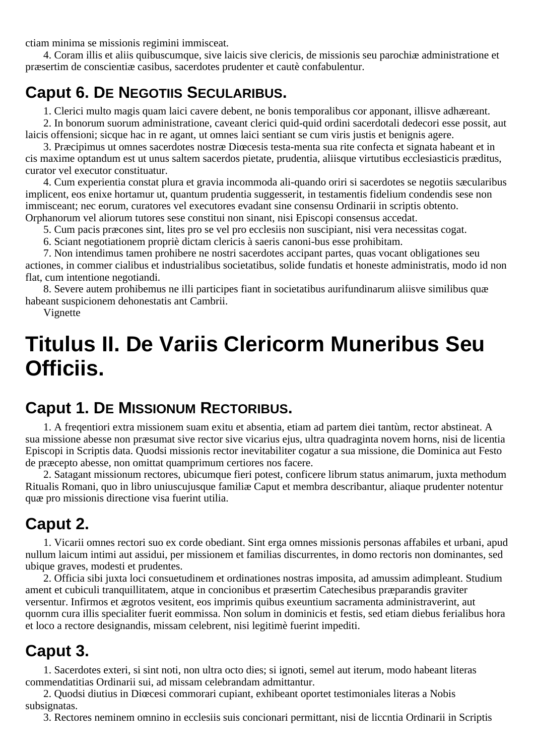ctiam minima se missionis regimini immisceat.

4. Coram illis et aliis quibuscumque, sive laicis sive clericis, de missionis seu parochiæ administratione et præsertim de conscientiæ casibus, sacerdotes prudenter et cautè confabulentur.

### **Caput 6. DE NEGOTIIS SECULARIBUS.**

1. Clerici multo magis quam laici cavere debent, ne bonis temporalibus cor apponant, illisve adhæreant. 2. In bonorum suorum administratione, caveant clerici quid-quid ordini sacerdotali dedecori esse possit, aut

laicis offensioni; sicque hac in re agant, ut omnes laici sentiant se cum viris justis et benignis agere.

3. Præcipimus ut omnes sacerdotes nostræ Diœcesis testa-menta sua rite confecta et signata habeant et in cis maxime optandum est ut unus saltem sacerdos pietate, prudentia, aliisque virtutibus ecclesiasticis præditus, curator vel executor constituatur.

4. Cum experientia constat plura et gravia incommoda ali-quando oriri si sacerdotes se negotiis sæcularibus implicent, eos enixe hortamur ut, quantum prudentia suggesserit, in testamentis fidelium condendis sese non immisceant; nec eorum, curatores vel executores evadant sine consensu Ordinarii in scriptis obtento. Orphanorum vel aliorum tutores sese constitui non sinant, nisi Episcopi consensus accedat.

5. Cum pacis præcones sint, lites pro se vel pro ecclesiis non suscipiant, nisi vera necessitas cogat.

6. Sciant negotiationem propriè dictam clericis à saeris canoni-bus esse prohibitam.

7. Non intendimus tamen prohibere ne nostri sacerdotes accipant partes, quas vocant obligationes seu actiones, in commer cialibus et industrialibus societatibus, solide fundatis et honeste administratis, modo id non flat, cum intentione negotiandi.

8. Severe autem prohibemus ne illi participes fiant in societatibus aurifundinarum aliisve similibus quæ habeant suspicionem dehonestatis ant Cambrii.

Vignette

## **Titulus II. De Variis Clericorm Muneribus Seu Officiis.**

#### **Caput 1. DE MISSIONUM RECTORIBUS.**

1. A freqentiori extra missionem suam exitu et absentia, etiam ad partem diei tantùm, rector abstineat. A sua missione abesse non præsumat sive rector sive vicarius ejus, ultra quadraginta novem horns, nisi de licentia Episcopi in Scriptis data. Quodsi missionis rector inevitabiliter cogatur a sua missione, die Dominica aut Festo de præcepto abesse, non omittat quamprimum certiores nos facere.

2. Satagant missionum rectores, ubicumque fieri potest, conficere librum status animarum, juxta methodum Ritualis Romani, quo in libro uniuscujusque familiæ Caput et membra describantur, aliaque prudenter notentur quæ pro missionis directione visa fuerint utilia.

### **Caput 2.**

1. Vicarii omnes rectori suo ex corde obediant. Sint erga omnes missionis personas affabiles et urbani, apud nullum laicum intimi aut assidui, per missionem et familias discurrentes, in domo rectoris non dominantes, sed ubique graves, modesti et prudentes.

2. Officia sibi juxta loci consuetudinem et ordinationes nostras imposita, ad amussim adimpleant. Studium ament et cubiculi tranquillitatem, atque in concionibus et præsertim Catechesibus præparandis graviter versentur. Infirmos et ægrotos vesitent, eos imprimis quibus exeuntium sacramenta administraverint, aut quornm cura illis specialiter fuerit eommissa. Non solum in dominicis et festis, sed etiam diebus ferialibus hora et loco a rectore designandis, missam celebrent, nisi legitimè fuerint impediti.

### **Caput 3.**

1. Sacerdotes exteri, si sint noti, non ultra octo dies; si ignoti, semel aut iterum, modo habeant literas commendatitias Ordinarii sui, ad missam celebrandam admittantur.

2. Quodsi diutius in Diœcesi commorari cupiant, exhibeant oportet testimoniales literas a Nobis subsignatas.

3. Rectores neminem omnino in ecclesiis suis concionari permittant, nisi de liccntia Ordinarii in Scriptis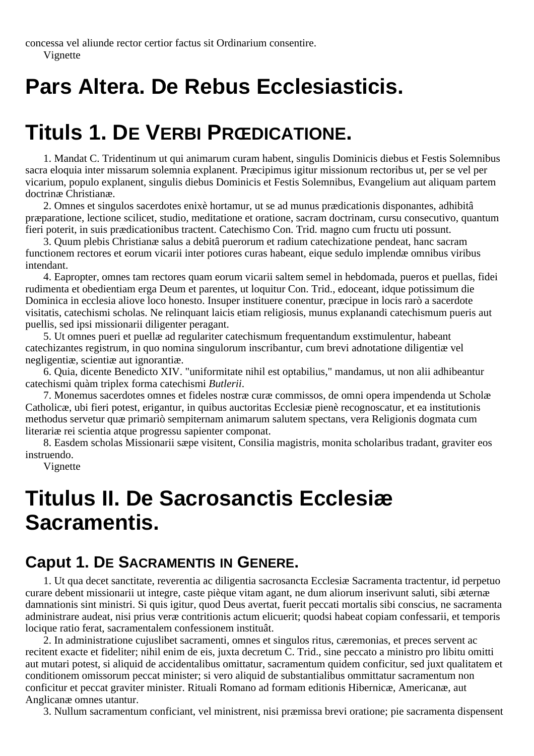# **Pars Altera. De Rebus Ecclesiasticis.**

### **Tituls 1. DE VERBI PRŒDICATIONE.**

1. Mandat C. Tridentinum ut qui animarum curam habent, singulis Dominicis diebus et Festis Solemnibus sacra eloquia inter missarum solemnia explanent. Præcipimus igitur missionum rectoribus ut, per se vel per vicarium, populo explanent, singulis diebus Dominicis et Festis Solemnibus, Evangelium aut aliquam partem doctrinæ Christianæ.

2. Omnes et singulos sacerdotes enixè hortamur, ut se ad munus prædicationis disponantes, adhibitâ præparatione, lectione scilicet, studio, meditatione et oratione, sacram doctrinam, cursu consecutivo, quantum fieri poterit, in suis prædicationibus tractent. Catechismo Con. Trid. magno cum fructu uti possunt.

3. Quum plebis Christianæ salus a debitâ puerorum et radium catechizatione pendeat, hanc sacram functionem rectores et eorum vicarii inter potiores curas habeant, eique sedulo implendæ omnibus viribus intendant.

4. Eapropter, omnes tam rectores quam eorum vicarii saltem semel in hebdomada, pueros et puellas, fidei rudimenta et obedientiam erga Deum et parentes, ut loquitur Con. Trid., edoceant, idque potissimum die Dominica in ecclesia aliove loco honesto. Insuper instituere conentur, præcipue in locis rarò a sacerdote visitatis, catechismi scholas. Ne relinquant laicis etiam religiosis, munus explanandi catechismum pueris aut puellis, sed ipsi missionarii diligenter peragant.

5. Ut omnes pueri et puellæ ad regulariter catechismum frequentandum exstimulentur, habeant catechizantes registrum, in quo nomina singulorum inscribantur, cum brevi adnotatione diligentiæ vel negligentiæ, scientiæ aut ignorantiæ.

6. Quia, dicente Benedicto XIV. "uniformitate nihil est optabilius," mandamus, ut non alii adhibeantur catechismi quàm triplex forma catechismi *Butlerii*.

7. Monemus sacerdotes omnes et fideles nostræ curæ commissos, de omni opera impendenda ut Scholæ Catholicæ, ubi fieri potest, erigantur, in quibus auctoritas Ecclesiæ pienè recognoscatur, et ea institutionis methodus servetur quæ primariò sempiternam animarum salutem spectans, vera Religionis dogmata cum literariæ rei scientia atque progressu sapienter componat.

8. Easdem scholas Missionarii sæpe visitent, Consilia magistris, monita scholaribus tradant, graviter eos instruendo.

Vignette

### **Titulus II. De Sacrosanctis Ecclesiæ Sacramentis.**

#### **Caput 1. DE SACRAMENTIS IN GENERE.**

1. Ut qua decet sanctitate, reverentia ac diligentia sacrosancta Ecclesiæ Sacramenta tractentur, id perpetuo curare debent missionarii ut integre, caste pièque vitam agant, ne dum aliorum inserivunt saluti, sibi æternæ damnationis sint ministri. Si quis igitur, quod Deus avertat, fuerit peccati mortalis sibi conscius, ne sacramenta administrare audeat, nisi prius veræ contritionis actum elicuerit; quodsi habeat copiam confessarii, et temporis locique ratio ferat, sacramentalem confessionem instituât.

2. In administratione cujuslibet sacramenti, omnes et singulos ritus, cæremonias, et preces servent ac recitent exacte et fideliter; nihil enim de eis, juxta decretum C. Trid., sine peccato a ministro pro libitu omitti aut mutari potest, si aliquid de accidentalibus omittatur, sacramentum quidem conficitur, sed juxt qualitatem et conditionem omissorum peccat minister; si vero aliquid de substantialibus ommittatur sacramentum non conficitur et peccat graviter minister. Rituali Romano ad formam editionis Hibernicæ, Americanæ, aut Anglicanæ omnes utantur.

3. Nullum sacramentum conficiant, vel ministrent, nisi præmissa brevi oratione; pie sacramenta dispensent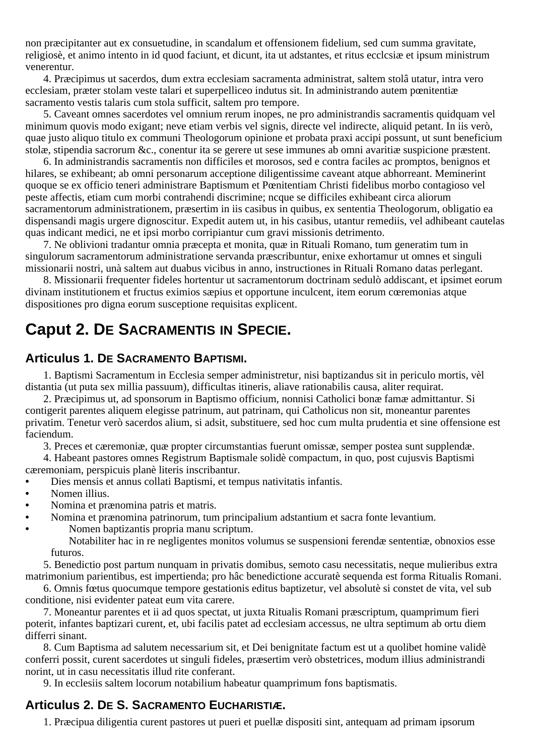non præcipitanter aut ex consuetudine, in scandalum et offensionem fidelium, sed cum summa gravitate, religiosè, et animo intento in id quod faciunt, et dicunt, ita ut adstantes, et ritus ecclcsiæ et ipsum ministrum venerentur.

4. Præcipimus ut sacerdos, dum extra ecclesiam sacramenta administrat, saltem stolâ utatur, intra vero ecclesiam, præter stolam veste talari et superpelliceo indutus sit. In administrando autem pœnitentiæ sacramento vestis talaris cum stola sufficit, saltem pro tempore.

5. Caveant omnes sacerdotes vel omnium rerum inopes, ne pro administrandis sacramentis quidquam vel minimum quovis modo exigant; neve etiam verbis vel signis, directe vel indirecte, aliquid petant. In iis verò, quae justo aliquo titulo ex communi Theologorum opinione et probata praxi accipi possunt, ut sunt beneficium stolæ, stipendia sacrorum &c., conentur ita se gerere ut sese immunes ab omni avaritiæ suspicione præstent.

6. In administrandis sacramentis non difficiles et morosos, sed e contra faciles ac promptos, benignos et hilares, se exhibeant; ab omni personarum acceptione diligentissime caveant atque abhorreant. Meminerint quoque se ex officio teneri administrare Baptismum et Pœnitentiam Christi fidelibus morbo contagioso vel peste affectis, etiam cum morbi contrahendi discrimine; ncque se difficiles exhibeant circa aliorum sacramentorum administrationem, præsertim in iis casibus in quibus, ex sententia Theologorum, obligatio ea dispensandi magis urgere dignoscitur. Expedit autem ut, in his casibus, utantur remediis, vel adhibeant cautelas quas indicant medici, ne et ipsi morbo corripiantur cum gravi missionis detrimento.

7. Ne oblivioni tradantur omnia præcepta et monita, quæ in Rituali Romano, tum generatim tum in singulorum sacramentorum administratione servanda præscribuntur, enixe exhortamur ut omnes et singuli missionarii nostri, unà saltem aut duabus vicibus in anno, instructiones in Rituali Romano datas perlegant.

8. Missionarii frequenter fideles hortentur ut sacramentorum doctrinam sedulò addiscant, et ipsimet eorum divinam institutionem et fructus eximios sæpius et opportune inculcent, item eorum cœremonias atque dispositiones pro digna eorum susceptione requisitas explicent.

### **Caput 2. DE SACRAMENTIS IN SPECIE.**

#### **Articulus 1. DE SACRAMENTO BAPTISMI.**

1. Baptismi Sacramentum in Ecclesia semper administretur, nisi baptizandus sit in periculo mortis, vèl distantia (ut puta sex millia passuum), difficultas itineris, aliave rationabilis causa, aliter requirat.

2. Præcipimus ut, ad sponsorum in Baptismo officium, nonnisi Catholici bonæ famæ admittantur. Si contigerit parentes aliquem elegisse patrinum, aut patrinam, qui Catholicus non sit, moneantur parentes privatim. Tenetur verò sacerdos alium, si adsit, substituere, sed hoc cum multa prudentia et sine offensione est faciendum.

3. Preces et cæremoniæ, quæ propter circumstantias fuerunt omissæ, semper postea sunt supplendæ.

4. Habeant pastores omnes Registrum Baptismale solidè compactum, in quo, post cujusvis Baptismi cæremoniam, perspicuis planè literis inscribantur.

**•** Dies mensis et annus collati Baptismi, et tempus nativitatis infantis.

- **•** Nomen illius.
- **•** Nomina et prænomina patris et matris.
- **•** Nomina et prænomina patrinorum, tum principalium adstantium et sacra fonte levantium.
- **•** Nomen baptizantis propria manu scriptum.

Notabiliter hac in re negligentes monitos volumus se suspensioni ferendæ sententiæ, obnoxios esse futuros.

5. Benedictio post partum nunquam in privatis domibus, semoto casu necessitatis, neque mulieribus extra matrimonium parientibus, est impertienda; pro hâc benedictione accuratè sequenda est forma Ritualis Romani.

6. Omnis fœtus quocumque tempore gestationis editus baptizetur, vel absolutè si constet de vita, vel sub conditione, nisi evidenter pateat eum vita carere.

7. Moneantur parentes et ii ad quos spectat, ut juxta Ritualis Romani præscriptum, quamprimum fieri poterit, infantes baptizari curent, et, ubi facilis patet ad ecclesiam accessus, ne ultra septimum ab ortu diem differri sinant.

8. Cum Baptisma ad salutem necessarium sit, et Dei benignitate factum est ut a quolibet homine validè conferri possit, curent sacerdotes ut singuli fideles, præsertim verò obstetrices, modum illius administrandi norint, ut in casu necessitatis illud rite conferant.

9. In ecclesiis saltem locorum notabilium habeatur quamprimum fons baptismatis.

#### **Articulus 2. DE S. SACRAMENTO EUCHARISTIÆ.**

1. Præcipua diligentia curent pastores ut pueri et puellæ dispositi sint, antequam ad primam ipsorum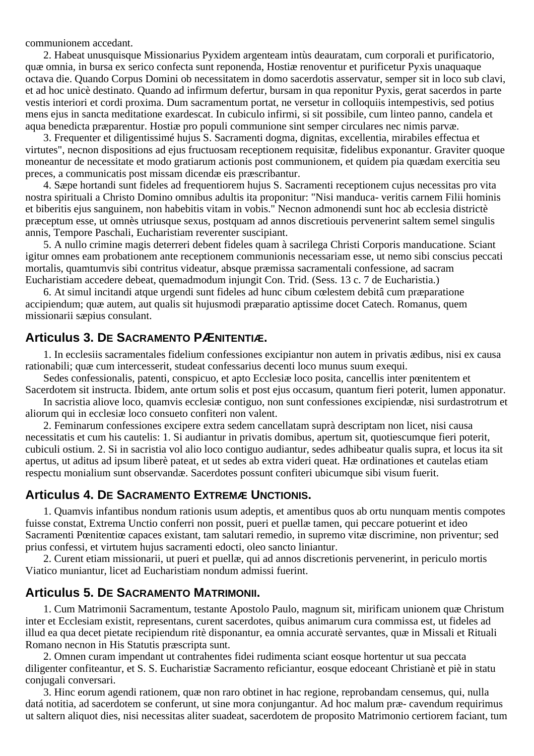communionem accedant.

2. Habeat unusquisque Missionarius Pyxidem argenteam intùs deauratam, cum corporali et purificatorio, quæ omnia, in bursa ex serico confecta sunt reponenda, Hostiæ renoventur et purificetur Pyxis unaquaque octava die. Quando Corpus Domini ob necessitatem in domo sacerdotis asservatur, semper sit in loco sub clavi, et ad hoc unicè destinato. Quando ad infirmum defertur, bursam in qua reponitur Pyxis, gerat sacerdos in parte vestis interiori et cordi proxima. Dum sacramentum portat, ne versetur in colloquiis intempestivis, sed potius mens ejus in sancta meditatione exardescat. In cubiculo infirmi, si sit possibile, cum linteo panno, candela et aqua benedicta præparentur. Hostiæ pro populi communione sint semper circulares nec nimis parvæ.

3. Frequenter et diligentissimé hujus S. Sacramenti dogma, dignitas, excellentia, mirabiles effectua et virtutes", necnon dispositions ad ejus fructuosam receptionem requisitæ, fidelibus exponantur. Graviter quoque moneantur de necessitate et modo gratiarum actionis post communionem, et quidem pia quædam exercitia seu preces, a communicatis post missam dicendæ eis præscribantur.

4. Sæpe hortandi sunt fideles ad frequentiorem hujus S. Sacramenti receptionem cujus necessitas pro vita nostra spirituali a Christo Domino omnibus adultis ita proponitur: "Nisi manduca- veritis carnem Filii hominis et biberitis ejus sanguinem, non habebitis vitam in vobis." Necnon admonendi sunt hoc ab ecclesia districtè præceptum esse, ut omnès utriusque sexus, postquam ad annos discretiouis pervenerint saltem semel singulis annis, Tempore Paschali, Eucharistiam reverenter suscipiant.

5. A nullo crimine magis deterreri debent fideles quam à sacrilega Christi Corporis manducatione. Sciant igitur omnes eam probationem ante receptionem communionis necessariam esse, ut nemo sibi conscius peccati mortalis, quamtumvis sibi contritus videatur, absque præmissa sacramentali confessione, ad sacram Eucharistiam accedere debeat, quemadmodum injungit Con. Trid. (Sess. 13 c. 7 de Eucharistia.)

6. At simul incitandi atque urgendi sunt fideles ad hunc cibum cœlestem debitâ cum præparatione accipiendum; quæ autem, aut qualis sit hujusmodi præparatio aptissime docet Catech. Romanus, quem missionarii sæpius consulant.

### **Articulus 3. DE SACRAMENTO PÆNITENTIÆ.**

1. In ecclesiis sacramentales fidelium confessiones excipiantur non autem in privatis ædibus, nisi ex causa rationabili; quæ cum intercesserit, studeat confessarius decenti loco munus suum exequi.

Sedes confessionalis, patenti, conspicuo, et apto Ecclesiæ loco posita, cancellis inter pœnitentem et Sacerdotem sit instructa. Ibidem, ante ortum solis et post ejus occasum, quantum fieri poterit, lumen apponatur.

In sacristia aliove loco, quamvis ecclesiæ contiguo, non sunt confessiones excipiendæ, nisi surdastrotrum et aliorum qui in ecclesiæ loco consueto confiteri non valent.

2. Feminarum confessiones excipere extra sedem cancellatam suprà descriptam non licet, nisi causa necessitatis et cum his cautelis: 1. Si audiantur in privatis domibus, apertum sit, quotiescumque fieri poterit, cubiculi ostium. 2. Si in sacristia vol alio loco contiguo audiantur, sedes adhibeatur qualis supra, et locus ita sit apertus, ut aditus ad ipsum liberè pateat, et ut sedes ab extra videri queat. Hæ ordinationes et cautelas etiam respectu monialium sunt observandæ. Sacerdotes possunt confiteri ubicumque sibi visum fuerit.

### **Articulus 4. DE SACRAMENTO EXTREMÆ UNCTIONIS.**

1. Quamvis infantibus nondum rationis usum adeptis, et amentibus quos ab ortu nunquam mentis compotes fuisse constat, Extrema Unctio conferri non possit, pueri et puellæ tamen, qui peccare potuerint et ideo Sacramenti Pœnitentiœ capaces existant, tam salutari remedio, in supremo vitæ discrimine, non priventur; sed prius confessi, et virtutem hujus sacramenti edocti, oleo sancto liniantur.

2. Curent etiam missionarii, ut pueri et puellæ, qui ad annos discretionis pervenerint, in periculo mortis Viatico muniantur, licet ad Eucharistiam nondum admissi fuerint.

### **Articulus 5. DE SACRAMENTO MATRIMONII.**

1. Cum Matrimonii Sacramentum, testante Apostolo Paulo, magnum sit, mirificam unionem quæ Christum inter et Ecclesiam existit, representans, curent sacerdotes, quibus animarum cura commissa est, ut fideles ad illud ea qua decet pietate recipiendum ritè disponantur, ea omnia accuratè servantes, quæ in Missali et Rituali Romano necnon in His Statutis præscripta sunt.

2. Omnen curam impendant ut contrahentes fidei rudimenta sciant eosque hortentur ut sua peccata diligenter confiteantur, et S. S. Eucharistiæ Sacramento reficiantur, eosque edoceant Christianè et piè in statu conjugali conversari.

3. Hinc eorum agendi rationem, quæ non raro obtinet in hac regione, reprobandam censemus, qui, nulla datá notitia, ad sacerdotem se conferunt, ut sine mora conjungantur. Ad hoc malum præ- cavendum requirimus ut saltern aliquot dies, nisi necessitas aliter suadeat, sacerdotem de proposito Matrimonio certiorem faciant, tum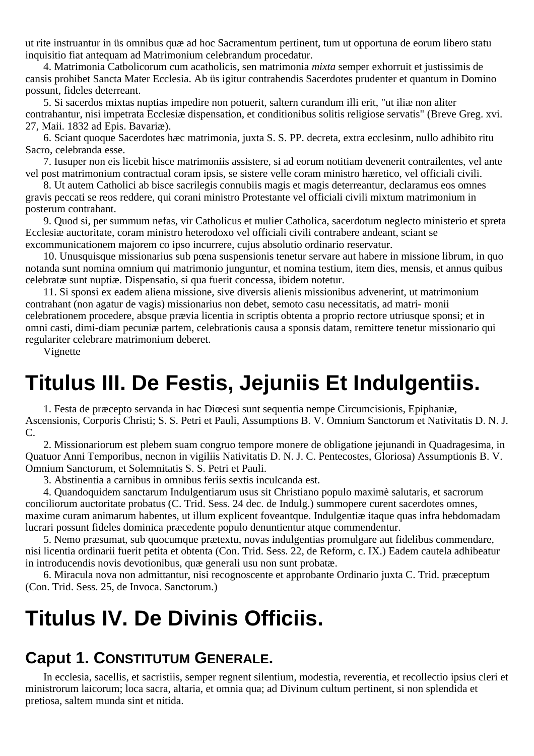ut rite instruantur in üs omnibus quæ ad hoc Sacramentum pertinent, tum ut opportuna de eorum libero statu inquisitio fiat antequam ad Matrimonium celebrandum procedatur.

4. Matrimonia Catbolicorum cum acatholicis, sen matrimonia *mixta* semper exhorruit et justissimis de cansis prohibet Sancta Mater Ecclesia. Ab üs igitur contrahendis Sacerdotes prudenter et quantum in Domino possunt, fideles deterreant.

5. Si sacerdos mixtas nuptias impedire non potuerit, saltern curandum illi erit, "ut iliæ non aliter contrahantur, nisi impetrata Ecclesiæ dispensation, et conditionibus solitis religiose servatis" (Breve Greg. xvi. 27, Maii. 1832 ad Epis. Bavariæ).

6. Sciant quoque Sacerdotes hæc matrimonia, juxta S. S. PP. decreta, extra ecclesinm, nullo adhibito ritu Sacro, celebranda esse.

7. Iusuper non eis licebit hisce matrimoniis assistere, si ad eorum notitiam devenerit contrailentes, vel ante vel post matrimonium contractual coram ipsis, se sistere velle coram ministro hæretico, vel officiali civili.

8. Ut autem Catholici ab bisce sacrilegis connubiis magis et magis deterreantur, declaramus eos omnes gravis peccati se reos reddere, qui corani ministro Protestante vel officiali civili mixtum matrimonium in posterum contrahant.

9. Quod si, per summum nefas, vir Catholicus et mulier Catholica, sacerdotum neglecto ministerio et spreta Ecclesiæ auctoritate, coram ministro heterodoxo vel officiali civili contrabere andeant, sciant se excommunicationem majorem co ipso incurrere, cujus absolutio ordinario reservatur.

10. Unusquisque missionarius sub pœna suspensionis tenetur servare aut habere in missione librum, in quo notanda sunt nomina omnium qui matrimonio junguntur, et nomina testium, item dies, mensis, et annus quibus celebratæ sunt nuptiæ. Dispensatio, si qua fuerit concessa, ibidem notetur.

11. Si sponsi ex eadem aliena missione, sive diversis alienis missionibus advenerint, ut matrimonium contrahant (non agatur de vagis) missionarius non debet, semoto casu necessitatis, ad matri- monii celebrationem procedere, absque prævia licentia in scriptis obtenta a proprio rectore utriusque sponsi; et in omni casti, dimi-diam pecuniæ partem, celebrationis causa a sponsis datam, remittere tenetur missionario qui regulariter celebrare matrimonium deberet.

Vignette

## **Titulus III. De Festis, Jejuniis Et Indulgentiis.**

1. Festa de præcepto servanda in hac Diœcesi sunt sequentia nempe Circumcisionis, Epiphaniæ, Ascensionis, Corporis Christi; S. S. Petri et Pauli, Assumptions B. V. Omnium Sanctorum et Nativitatis D. N. J. C.

2. Missionariorum est plebem suam congruo tempore monere de obligatione jejunandi in Quadragesima, in Quatuor Anni Temporibus, necnon in vigiliis Nativitatis D. N. J. C. Pentecostes, Gloriosa) Assumptionis B. V. Omnium Sanctorum, et Solemnitatis S. S. Petri et Pauli.

3. Abstinentia a carnibus in omnibus feriis sextis inculcanda est.

4. Quandoquidem sanctarum Indulgentiarum usus sit Christiano populo maximè salutaris, et sacrorum conciliorum auctoritate probatus (C. Trid. Sess. 24 dec. de Indulg.) summopere curent sacerdotes omnes, maxime curam animarum habentes, ut illum explicent foveantque. Indulgentiæ itaque quas infra hebdomadam lucrari possunt fideles dominica præcedente populo denuntientur atque commendentur.

5. Nemo præsumat, sub quocumque prætextu, novas indulgentias promulgare aut fidelibus commendare, nisi licentia ordinarii fuerit petita et obtenta (Con. Trid. Sess. 22, de Reform, c. IX.) Eadem cautela adhibeatur in introducendis novis devotionibus, quæ generali usu non sunt probatæ.

6. Miracula nova non admittantur, nisi recognoscente et approbante Ordinario juxta C. Trid. præceptum (Con. Trid. Sess. 25, de Invoca. Sanctorum.)

# **Titulus IV. De Divinis Officiis.**

### **Caput 1. CONSTITUTUM GENERALE.**

In ecclesia, sacellis, et sacristiis, semper regnent silentium, modestia, reverentia, et recollectio ipsius cleri et ministrorum laicorum; loca sacra, altaria, et omnia qua; ad Divinum cultum pertinent, si non splendida et pretiosa, saltem munda sint et nitida.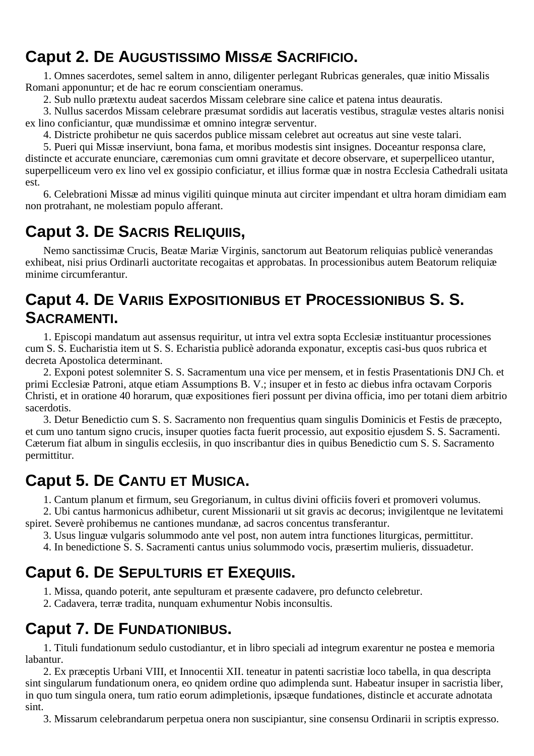## **Caput 2. DE AUGUSTISSIMO MISSÆ SACRIFICIO.**

1. Omnes sacerdotes, semel saltem in anno, diligenter perlegant Rubricas generales, quæ initio Missalis Romani apponuntur; et de hac re eorum conscientiam oneramus.

2. Sub nullo prætextu audeat sacerdos Missam celebrare sine calice et patena intus deauratis.

3. Nullus sacerdos Missam celebrare præsumat sordidis aut laceratis vestibus, stragulæ vestes altaris nonisi ex lino conficiantur, quæ mundissimæ et omnino integræ serventur.

4. Districte prohibetur ne quis sacerdos publice missam celebret aut ocreatus aut sine veste talari.

5. Pueri qui Missæ inserviunt, bona fama, et moribus modestis sint insignes. Doceantur responsa clare, distincte et accurate enunciare, cæremonias cum omni gravitate et decore observare, et superpelliceo utantur, superpelliceum vero ex lino vel ex gossipio conficiatur, et illius formæ quæ in nostra Ecclesia Cathedrali usitata est.

6. Celebrationi Missæ ad minus vigiliti quinque minuta aut circiter impendant et ultra horam dimidiam eam non protrahant, ne molestiam populo afferant.

## **Caput 3. DE SACRIS RELIQUIIS,**

Nemo sanctissimæ Crucis, Beatæ Mariæ Virginis, sanctorum aut Beatorum reliquias publicè venerandas exhibeat, nisi prius Ordinarli auctoritate recogaitas et approbatas. In processionibus autem Beatorum reliquiæ minime circumferantur.

## **Caput 4. DE VARIIS EXPOSITIONIBUS ET PROCESSIONIBUS S. S. SACRAMENTI.**

1. Episcopi mandatum aut assensus requiritur, ut intra vel extra sopta Ecclesiæ instituantur processiones cum S. S. Eucharistia item ut S. S. Echaristia publicè adoranda exponatur, exceptis casi-bus quos rubrica et decreta Apostolica determinant.

2. Exponi potest solemniter S. S. Sacramentum una vice per mensem, et in festis Prasentationis DNJ Ch. et primi Ecclesiæ Patroni, atque etiam Assumptions B. V.; insuper et in festo ac diebus infra octavam Corporis Christi, et in oratione 40 horarum, quæ expositiones fieri possunt per divina officia, imo per totani diem arbitrio sacerdotis.

3. Detur Benedictio cum S. S. Sacramento non frequentius quam singulis Dominicis et Festis de præcepto, et cum uno tantum signo crucis, insuper quoties facta fuerit processio, aut expositio ejusdem S. S. Sacramenti. Cæterum fiat album in singulis ecclesiis, in quo inscribantur dies in quibus Benedictio cum S. S. Sacramento permittitur.

## **Caput 5. DE CANTU ET MUSICA.**

1. Cantum planum et firmum, seu Gregorianum, in cultus divini officiis foveri et promoveri volumus.

2. Ubi cantus harmonicus adhibetur, curent Missionarii ut sit gravis ac decorus; invigilentque ne levitatemi spiret. Severè prohibemus ne cantiones mundanæ, ad sacros concentus transferantur.

3. Usus linguæ vulgaris solummodo ante vel post, non autem intra functiones liturgicas, permittitur.

4. In benedictione S. S. Sacramenti cantus unius solummodo vocis, præsertim mulieris, dissuadetur.

## **Caput 6. DE SEPULTURIS ET EXEQUIIS.**

1. Missa, quando poterit, ante sepulturam et præsente cadavere, pro defuncto celebretur.

2. Cadavera, terræ tradita, nunquam exhumentur Nobis inconsultis.

## **Caput 7. DE FUNDATIONIBUS.**

1. Tituli fundationum sedulo custodiantur, et in libro speciali ad integrum exarentur ne postea e memoria labantur.

2. Ex præceptis Urbani VIII, et Innocentii XII. teneatur in patenti sacristiæ loco tabella, in qua descripta sint singularum fundationum onera, eo qnidem ordine quo adimplenda sunt. Habeatur insuper in sacristia liber, in quo tum singula onera, tum ratio eorum adimpletionis, ipsæque fundationes, distincle et accurate adnotata sint.

3. Missarum celebrandarum perpetua onera non suscipiantur, sine consensu Ordinarii in scriptis expresso.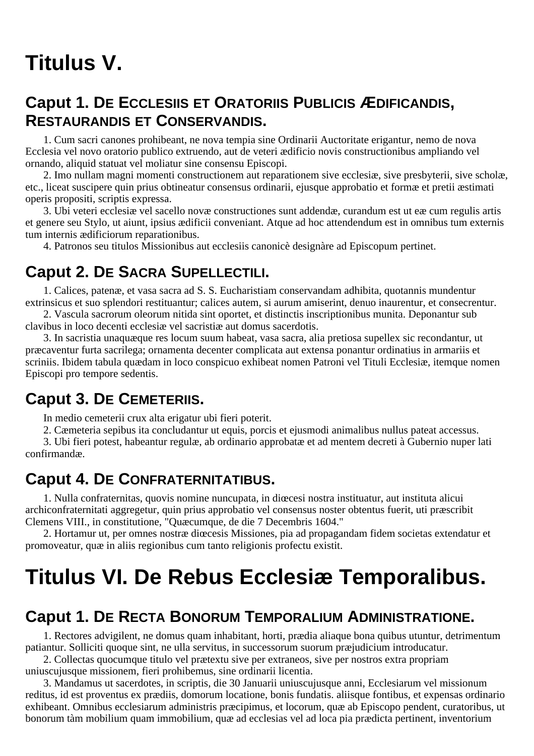# **Titulus V.**

## **Caput 1. DE ECCLESIIS ET ORATORIIS PUBLICIS ÆDIFICANDIS, RESTAURANDIS ET CONSERVANDIS.**

1. Cum sacri canones prohibeant, ne nova tempia sine Ordinarii Auctoritate erigantur, nemo de nova Ecclesia vel novo oratorio publico extruendo, aut de veteri ædificio novis constructionibus ampliando vel ornando, aliquid statuat vel moliatur sine consensu Episcopi.

2. Imo nullam magni momenti constructionem aut reparationem sive ecclesiæ, sive presbyterii, sive scholæ, etc., liceat suscipere quin prius obtineatur consensus ordinarii, ejusque approbatio et formæ et pretii æstimati operis propositi, scriptis expressa.

3. Ubi veteri ecclesiæ vel sacello novæ constructiones sunt addendæ, curandum est ut eæ cum regulis artis et genere seu Stylo, ut aiunt, ipsius ædificii conveniant. Atque ad hoc attendendum est in omnibus tum externis tum internis ædificiorum reparationibus.

4. Patronos seu titulos Missionibus aut ecclesiis canonicè designàre ad Episcopum pertinet.

## **Caput 2. DE SACRA SUPELLECTILI.**

1. Calices, patenæ, et vasa sacra ad S. S. Eucharistiam conservandam adhibita, quotannis mundentur extrinsicus et suo splendori restituantur; calices autem, si aurum amiserint, denuo inaurentur, et consecrentur.

2. Vascula sacrorum oleorum nitida sint oportet, et distinctis inscriptionibus munita. Deponantur sub clavibus in loco decenti ecclesiæ vel sacristiæ aut domus sacerdotis.

3. In sacristia unaquæque res locum suum habeat, vasa sacra, alia pretiosa supellex sic recondantur, ut præcaventur furta sacrilega; ornamenta decenter complicata aut extensa ponantur ordinatius in armariis et scriniis. Ibidem tabula quædam in loco conspicuo exhibeat nomen Patroni vel Tituli Ecclesiæ, itemque nomen Episcopi pro tempore sedentis.

### **Caput 3. DE CEMETERIIS.**

In medio cemeterii crux alta erigatur ubi fieri poterit.

2. Cæmeteria sepibus ita concludantur ut equis, porcis et ejusmodi animalibus nullus pateat accessus.

3. Ubi fieri potest, habeantur regulæ, ab ordinario approbatæ et ad mentem decreti à Gubernio nuper lati confirmandæ.

### **Caput 4. DE CONFRATERNITATIBUS.**

1. Nulla confraternitas, quovis nomine nuncupata, in diœcesi nostra instituatur, aut instituta alicui archiconfraternitati aggregetur, quin prius approbatio vel consensus noster obtentus fuerit, uti præscribit Clemens VIII., in constitutione, "Quæcumque, de die 7 Decembris 1604."

2. Hortamur ut, per omnes nostræ diœcesis Missiones, pia ad propagandam fidem societas extendatur et promoveatur, quæ in aliis regionibus cum tanto religionis profectu existit.

# **Titulus VI. De Rebus Ecclesiæ Temporalibus.**

### **Caput 1. DE RECTA BONORUM TEMPORALIUM ADMINISTRATIONE.**

1. Rectores advigilent, ne domus quam inhabitant, horti, prædia aliaque bona quibus utuntur, detrimentum patiantur. Solliciti quoque sint, ne ulla servitus, in successorum suorum præjudicium introducatur.

2. Collectas quocumque titulo vel prætextu sive per extraneos, sive per nostros extra propriam uniuscujusque missionem, fieri prohibemus, sine ordinarii licentia.

3. Mandamus ut sacerdotes, in scriptis, die 30 Januarii uniuscujusque anni, Ecclesiarum vel missionum reditus, id est proventus ex prædiis, domorum locatione, bonis fundatis. aliisque fontibus, et expensas ordinario exhibeant. Omnibus ecclesiarum administris præcipimus, et locorum, quæ ab Episcopo pendent, curatoribus, ut bonorum tàm mobilium quam immobilium, quæ ad ecclesias vel ad loca pia prædicta pertinent, inventorium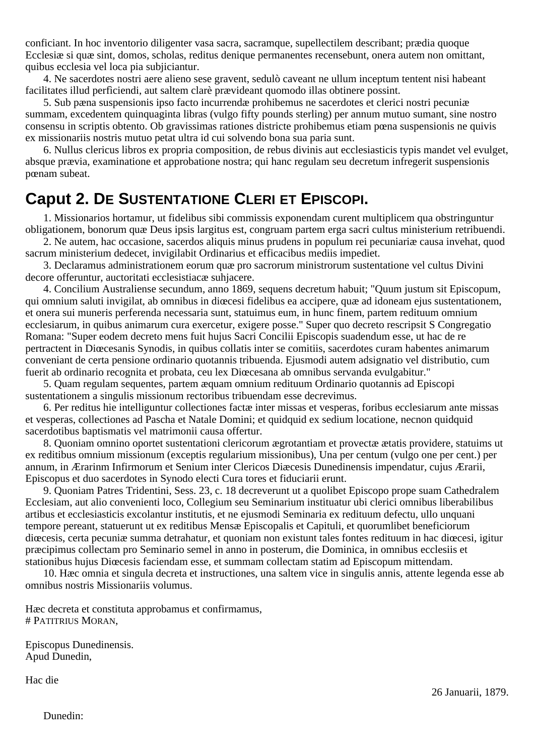conficiant. In hoc inventorio diligenter vasa sacra, sacramque, supellectilem describant; prædia quoque Ecclesiæ si quæ sint, domos, scholas, reditus denique permanentes recensebunt, onera autem non omittant, quibus ecclesia vel loca pia subjiciantur.

4. Ne sacerdotes nostri aere alieno sese gravent, sedulò caveant ne ullum inceptum tentent nisi habeant facilitates illud perfìciendi, aut saltem clarè prævideant quomodo illas obtinere possint.

5. Sub pæna suspensionis ipso facto incurrendæ prohibemus ne sacerdotes et clerici nostri pecuniæ summam, excedentem quinquaginta libras (vulgo fifty pounds sterling) per annum mutuo sumant, sine nostro consensu in scriptis obtento. Ob gravissimas rationes districte prohibemus etiam pœna suspensionis ne quivis ex missionariis nostris mutuo petat ultra id cui solvendo bona sua paria sunt.

6. Nullus clericus libros ex propria composition, de rebus divinis aut ecclesiasticis typis mandet vel evulget, absque prævia, examinatione et approbatione nostra; qui hanc regulam seu decretum infregerit suspensionis pœnam subeat.

### **Caput 2. DE SUSTENTATIONE CLERI ET EPISCOPI.**

1. Missionarios hortamur, ut fidelibus sibi commissis exponendam curent multiplicem qua obstringuntur obligationem, bonorum quæ Deus ipsis largitus est, congruam partem erga sacri cultus ministerium retribuendi.

2. Ne autem, hac occasione, sacerdos aliquis minus prudens in populum rei pecuniariæ causa invehat, quod sacrum ministerium dedecet, invigilabit Ordinarius et efficacibus mediis impediet.

3. Declaramus administrationem eorum quæ pro sacrorum ministrorum sustentatione vel cultus Divini decore offeruntur, auctoritati ecclesistiacæ suhjacere.

4. Concilium Australiense secundum, anno 1869, sequens decretum habuit; "Quum justum sit Episcopum, qui omnium saluti invigilat, ab omnibus in diœcesi fidelibus ea accipere, quæ ad idoneam ejus sustentationem, et onera sui muneris perferenda necessaria sunt, statuimus eum, in hunc finem, partem redituum omnium ecclesiarum, in quibus animarum cura exercetur, exigere posse." Super quo decreto rescripsit S Congregatio Romana: "Super eodem decreto mens fuit hujus Sacri Concilii Episcopis suadendum esse, ut hac de re pertractent in Diœcesanis Synodis, in quibus collatis inter se comitiis, sacerdotes curam habentes animarum conveniant de certa pensione ordinario quotannis tribuenda. Ejusmodi autem adsignatio vel distributio, cum fuerit ab ordinario recognita et probata, ceu lex Diœcesana ab omnibus servanda evulgabitur."

5. Quam regulam sequentes, partem æquam omnium redituum Ordinario quotannis ad Episcopi sustentationem a singulis missionum rectoribus tribuendam esse decrevimus.

6. Per reditus hie intelliguntur collectiones factæ inter missas et vesperas, foribus ecclesiarum ante missas et vesperas, collectiones ad Pascha et Natale Domini; et quidquid ex sedium locatione, necnon quidquid sacerdotibus baptismatis vel matrimonii causa offertur.

8. Quoniam omnino oportet sustentationi clericorum ægrotantiam et provectæ ætatis providere, statuims ut ex reditibus omnium missionum (exceptis regularium missionibus), Una per centum (vulgo one per cent.) per annum, in Ærarinm Infirmorum et Senium inter Clericos Diæcesis Dunedinensis impendatur, cujus Ærarii, Episcopus et duo sacerdotes in Synodo electi Cura tores et fiduciarii erunt.

9. Quoniam Patres Tridentini, Sess. 23, c. 18 decreverunt ut a quolibet Episcopo prope suam Cathedralem Ecclesiam, aut alio convenienti loco, Collegium seu Seminarium instituatur ubi clerici omnibus liberabilibus artibus et ecclesiasticis excolantur institutis, et ne ejusmodi Seminaria ex redituum defectu, ullo unquani tempore pereant, statuerunt ut ex reditibus Mensæ Episcopalis et Capituli, et quorumlibet beneficiorum diœcesis, certa pecuniæ summa detrahatur, et quoniam non existunt tales fontes redituum in hac diœcesi, igitur præcipimus collectam pro Seminario semel in anno in posterum, die Dominica, in omnibus ecclesiis et stationibus hujus Diœcesis faciendam esse, et summam collectam statim ad Episcopum mittendam.

10. Hæc omnia et singula decreta et instructiones, una saltem vice in singulis annis, attente legenda esse ab omnibus nostris Missionariis volumus.

Hæc decreta et constituta approbamus et confirmamus, # PATITRIUS MORAN,

Episcopus Dunedinensis. Apud Dunedin,

Hac die

Dunedin: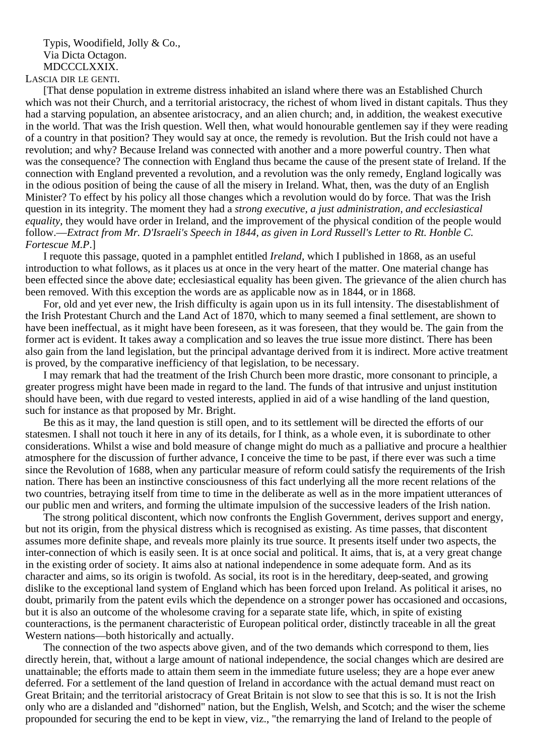Typis, Woodifield, Jolly & Co., Via Dicta Octagon. MDCCCLXXIX.

LASCIA DIR LE GENTI.

[That dense population in extreme distress inhabited an island where there was an Established Church which was not their Church, and a territorial aristocracy, the richest of whom lived in distant capitals. Thus they had a starving population, an absentee aristocracy, and an alien church; and, in addition, the weakest executive in the world. That was the Irish question. Well then, what would honourable gentlemen say if they were reading of a country in that position? They would say at once, the remedy is revolution. But the Irish could not have a revolution; and why? Because Ireland was connected with another and a more powerful country. Then what was the consequence? The connection with England thus became the cause of the present state of Ireland. If the connection with England prevented a revolution, and a revolution was the only remedy, England logically was in the odious position of being the cause of all the misery in Ireland. What, then, was the duty of an English Minister? To effect by his policy all those changes which a revolution would do by force. That was the Irish question in its integrity. The moment they had a *strong executive, a just administration, and ecclesiastical equality*, they would have order in Ireland, and the improvement of the physical condition of the people would follow.—*Extract from Mr. D'Israeli's Speech in 1844, as given in Lord Russell's Letter to Rt. Honble C. Fortescue M.P*.]

I requote this passage, quoted in a pamphlet entitled *Ireland*, which I published in 1868, as an useful introduction to what follows, as it places us at once in the very heart of the matter. One material change has been effected since the above date; ecclesiastical equality has been given. The grievance of the alien church has been removed. With this exception the words are as applicable now as in 1844, or in 1868.

For, old and yet ever new, the Irish difficulty is again upon us in its full intensity. The disestablishment of the Irish Protestant Church and the Land Act of 1870, which to many seemed a final settlement, are shown to have been ineffectual, as it might have been foreseen, as it was foreseen, that they would be. The gain from the former act is evident. It takes away a complication and so leaves the true issue more distinct. There has been also gain from the land legislation, but the principal advantage derived from it is indirect. More active treatment is proved, by the comparative inefficiency of that legislation, to be necessary.

I may remark that had the treatment of the Irish Church been more drastic, more consonant to principle, a greater progress might have been made in regard to the land. The funds of that intrusive and unjust institution should have been, with due regard to vested interests, applied in aid of a wise handling of the land question, such for instance as that proposed by Mr. Bright.

Be this as it may, the land question is still open, and to its settlement will be directed the efforts of our statesmen. I shall not touch it here in any of its details, for I think, as a whole even, it is subordinate to other considerations. Whilst a wise and bold measure of change might do much as a palliative and procure a healthier atmosphere for the discussion of further advance, I conceive the time to be past, if there ever was such a time since the Revolution of 1688, when any particular measure of reform could satisfy the requirements of the Irish nation. There has been an instinctive consciousness of this fact underlying all the more recent relations of the two countries, betraying itself from time to time in the deliberate as well as in the more impatient utterances of our public men and writers, and forming the ultimate impulsion of the successive leaders of the Irish nation.

The strong political discontent, which now confronts the English Government, derives support and energy, but not its origin, from the physical distress which is recognised as existing. As time passes, that discontent assumes more definite shape, and reveals more plainly its true source. It presents itself under two aspects, the inter-connection of which is easily seen. It is at once social and political. It aims, that is, at a very great change in the existing order of society. It aims also at national independence in some adequate form. And as its character and aims, so its origin is twofold. As social, its root is in the hereditary, deep-seated, and growing dislike to the exceptional land system of England which has been forced upon Ireland. As political it arises, no doubt, primarily from the patent evils which the dependence on a stronger power has occasioned and occasions, but it is also an outcome of the wholesome craving for a separate state life, which, in spite of existing counteractions, is the permanent characteristic of European political order, distinctly traceable in all the great Western nations—both historically and actually.

The connection of the two aspects above given, and of the two demands which correspond to them, lies directly herein, that, without a large amount of national independence, the social changes which are desired are unattainable; the efforts made to attain them seem in the immediate future useless; they are a hope ever anew deferred. For a settlement of the land question of Ireland in accordance with the actual demand must react on Great Britain; and the territorial aristocracy of Great Britain is not slow to see that this is so. It is not the Irish only who are a dislanded and "dishorned" nation, but the English, Welsh, and Scotch; and the wiser the scheme propounded for securing the end to be kept in view, viz., "the remarrying the land of Ireland to the people of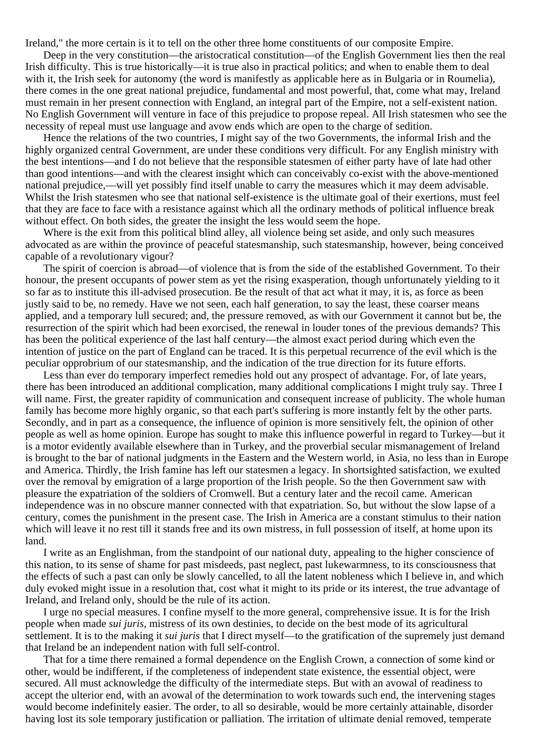Ireland," the more certain is it to tell on the other three home constituents of our composite Empire.

Deep in the very constitution—the aristocratical constitution—of the English Government lies then the real Irish difficulty. This is true historically—it is true also in practical politics; and when to enable them to deal with it, the Irish seek for autonomy (the word is manifestly as applicable here as in Bulgaria or in Roumelia), there comes in the one great national prejudice, fundamental and most powerful, that, come what may, Ireland must remain in her present connection with England, an integral part of the Empire, not a self-existent nation. No English Government will venture in face of this prejudice to propose repeal. All Irish statesmen who see the necessity of repeal must use language and avow ends which are open to the charge of sedition.

Hence the relations of the two countries, I might say of the two Governments, the informal Irish and the highly organized central Government, are under these conditions very difficult. For any English ministry with the best intentions—and I do not believe that the responsible statesmen of either party have of late had other than good intentions—and with the clearest insight which can conceivably co-exist with the above-mentioned national prejudice,—will yet possibly find itself unable to carry the measures which it may deem advisable. Whilst the Irish statesmen who see that national self-existence is the ultimate goal of their exertions, must feel that they are face to face with a resistance against which all the ordinary methods of political influence break without effect. On both sides, the greater the insight the less would seem the hope.

Where is the exit from this political blind alley, all violence being set aside, and only such measures advocated as are within the province of peaceful statesmanship, such statesmanship, however, being conceived capable of a revolutionary vigour?

The spirit of coercion is abroad—of violence that is from the side of the established Government. To their honour, the present occupants of power stem as yet the rising exasperation, though unfortunately yielding to it so far as to institute this ill-advised prosecution. Be the result of that act what it may, it is, as force as been justly said to be, no remedy. Have we not seen, each half generation, to say the least, these coarser means applied, and a temporary lull secured; and, the pressure removed, as with our Government it cannot but be, the resurrection of the spirit which had been exorcised, the renewal in louder tones of the previous demands? This has been the political experience of the last half century—the almost exact period during which even the intention of justice on the part of England can be traced. It is this perpetual recurrence of the evil which is the peculiar opprobrium of our statesmanship, and the indication of the true direction for its future efforts.

Less than ever do temporary imperfect remedies hold out any prospect of advantage. For, of late years, there has been introduced an additional complication, many additional complications I might truly say. Three I will name. First, the greater rapidity of communication and consequent increase of publicity. The whole human family has become more highly organic, so that each part's suffering is more instantly felt by the other parts. Secondly, and in part as a consequence, the influence of opinion is more sensitively felt, the opinion of other people as well as home opinion. Europe has sought to make this influence powerful in regard to Turkey—but it is a motor evidently available elsewhere than in Turkey, and the proverbial secular mismanagement of Ireland is brought to the bar of national judgments in the Eastern and the Western world, in Asia, no less than in Europe and America. Thirdly, the Irish famine has left our statesmen a legacy. In shortsighted satisfaction, we exulted over the removal by emigration of a large proportion of the Irish people. So the then Government saw with pleasure the expatriation of the soldiers of Cromwell. But a century later and the recoil came. American independence was in no obscure manner connected with that expatriation. So, but without the slow lapse of a century, comes the punishment in the present case. The Irish in America are a constant stimulus to their nation which will leave it no rest till it stands free and its own mistress, in full possession of itself, at home upon its land.

I write as an Englishman, from the standpoint of our national duty, appealing to the higher conscience of this nation, to its sense of shame for past misdeeds, past neglect, past lukewarmness, to its consciousness that the effects of such a past can only be slowly cancelled, to all the latent nobleness which I believe in, and which duly evoked might issue in a resolution that, cost what it might to its pride or its interest, the true advantage of Ireland, and Ireland only, should be the rule of its action.

I urge no special measures. I confine myself to the more general, comprehensive issue. It is for the Irish people when made *sui juris*, mistress of its own destinies, to decide on the best mode of its agricultural settlement. It is to the making it *sui juris* that I direct myself—to the gratification of the supremely just demand that Ireland be an independent nation with full self-control.

That for a time there remained a formal dependence on the English Crown, a connection of some kind or other, would be indifferent, if the completeness of independent state existence, the essential object, were secured. All must acknowledge the difficulty of the intermediate steps. But with an avowal of readiness to accept the ulterior end, with an avowal of the determination to work towards such end, the intervening stages would become indefinitely easier. The order, to all so desirable, would be more certainly attainable, disorder having lost its sole temporary justification or palliation. The irritation of ultimate denial removed, temperate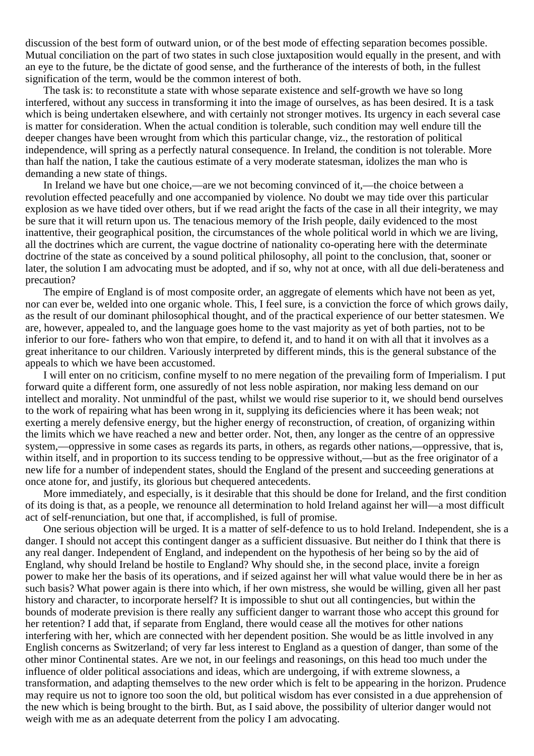discussion of the best form of outward union, or of the best mode of effecting separation becomes possible. Mutual conciliation on the part of two states in such close juxtaposition would equally in the present, and with an eye to the future, be the dictate of good sense, and the furtherance of the interests of both, in the fullest signification of the term, would be the common interest of both.

The task is: to reconstitute a state with whose separate existence and self-growth we have so long interfered, without any success in transforming it into the image of ourselves, as has been desired. It is a task which is being undertaken elsewhere, and with certainly not stronger motives. Its urgency in each several case is matter for consideration. When the actual condition is tolerable, such condition may well endure till the deeper changes have been wrought from which this particular change, viz., the restoration of political independence, will spring as a perfectly natural consequence. In Ireland, the condition is not tolerable. More than half the nation, I take the cautious estimate of a very moderate statesman, idolizes the man who is demanding a new state of things.

In Ireland we have but one choice,—are we not becoming convinced of it,—the choice between a revolution effected peacefully and one accompanied by violence. No doubt we may tide over this particular explosion as we have tided over others, but if we read aright the facts of the case in all their integrity, we may be sure that it will return upon us. The tenacious memory of the Irish people, daily evidenced to the most inattentive, their geographical position, the circumstances of the whole political world in which we are living, all the doctrines which are current, the vague doctrine of nationality co-operating here with the determinate doctrine of the state as conceived by a sound political philosophy, all point to the conclusion, that, sooner or later, the solution I am advocating must be adopted, and if so, why not at once, with all due deli-berateness and precaution?

The empire of England is of most composite order, an aggregate of elements which have not been as yet, nor can ever be, welded into one organic whole. This, I feel sure, is a conviction the force of which grows daily, as the result of our dominant philosophical thought, and of the practical experience of our better statesmen. We are, however, appealed to, and the language goes home to the vast majority as yet of both parties, not to be inferior to our fore- fathers who won that empire, to defend it, and to hand it on with all that it involves as a great inheritance to our children. Variously interpreted by different minds, this is the general substance of the appeals to which we have been accustomed.

I will enter on no criticism, confine myself to no mere negation of the prevailing form of Imperialism. I put forward quite a different form, one assuredly of not less noble aspiration, nor making less demand on our intellect and morality. Not unmindful of the past, whilst we would rise superior to it, we should bend ourselves to the work of repairing what has been wrong in it, supplying its deficiencies where it has been weak; not exerting a merely defensive energy, but the higher energy of reconstruction, of creation, of organizing within the limits which we have reached a new and better order. Not, then, any longer as the centre of an oppressive system,—oppressive in some cases as regards its parts, in others, as regards other nations,—oppressive, that is, within itself, and in proportion to its success tending to be oppressive without,—but as the free originator of a new life for a number of independent states, should the England of the present and succeeding generations at once atone for, and justify, its glorious but chequered antecedents.

More immediately, and especially, is it desirable that this should be done for Ireland, and the first condition of its doing is that, as a people, we renounce all determination to hold Ireland against her will—a most difficult act of self-renunciation, but one that, if accomplished, is full of promise.

One serious objection will be urged. It is a matter of self-defence to us to hold Ireland. Independent, she is a danger. I should not accept this contingent danger as a sufficient dissuasive. But neither do I think that there is any real danger. Independent of England, and independent on the hypothesis of her being so by the aid of England, why should Ireland be hostile to England? Why should she, in the second place, invite a foreign power to make her the basis of its operations, and if seized against her will what value would there be in her as such basis? What power again is there into which, if her own mistress, she would be willing, given all her past history and character, to incorporate herself? It is impossible to shut out all contingencies, but within the bounds of moderate prevision is there really any sufficient danger to warrant those who accept this ground for her retention? I add that, if separate from England, there would cease all the motives for other nations interfering with her, which are connected with her dependent position. She would be as little involved in any English concerns as Switzerland; of very far less interest to England as a question of danger, than some of the other minor Continental states. Are we not, in our feelings and reasonings, on this head too much under the influence of older political associations and ideas, which are undergoing, if with extreme slowness, a transformation, and adapting themselves to the new order which is felt to be appearing in the horizon. Prudence may require us not to ignore too soon the old, but political wisdom has ever consisted in a due apprehension of the new which is being brought to the birth. But, as I said above, the possibility of ulterior danger would not weigh with me as an adequate deterrent from the policy I am advocating.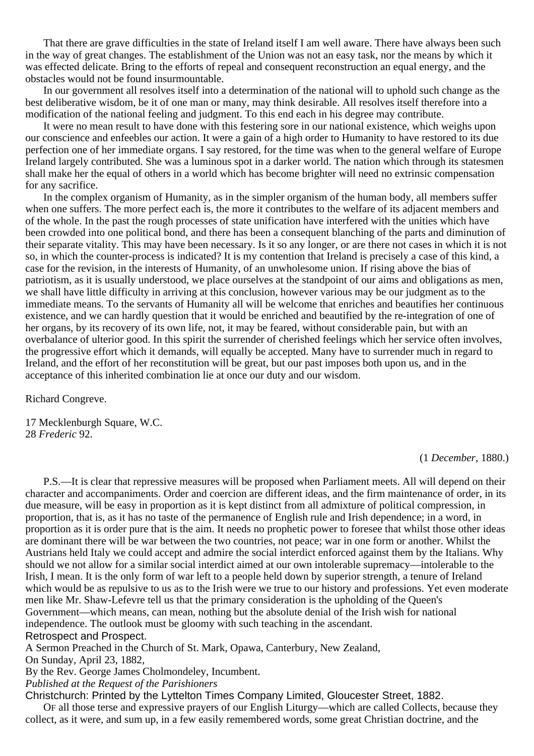That there are grave difficulties in the state of Ireland itself I am well aware. There have always been such in the way of great changes. The establishment of the Union was not an easy task, nor the means by which it was effected delicate. Bring to the efforts of repeal and consequent reconstruction an equal energy, and the obstacles would not be found insurmountable.

In our government all resolves itself into a determination of the national will to uphold such change as the best deliberative wisdom, be it of one man or many, may think desirable. All resolves itself therefore into a modification of the national feeling and judgment. To this end each in his degree may contribute.

It were no mean result to have done with this festering sore in our national existence, which weighs upon our conscience and enfeebles our action. It were a gain of a high order to Humanity to have restored to its due perfection one of her immediate organs. I say restored, for the time was when to the general welfare of Europe Ireland largely contributed. She was a luminous spot in a darker world. The nation which through its statesmen shall make her the equal of others in a world which has become brighter will need no extrinsic compensation for any sacrifice.

In the complex organism of Humanity, as in the simpler organism of the human body, all members suffer when one suffers. The more perfect each is, the more it contributes to the welfare of its adjacent members and of the whole. In the past the rough processes of state unification have interfered with the unities which have been crowded into one political bond, and there has been a consequent blanching of the parts and diminution of their separate vitality. This may have been necessary. Is it so any longer, or are there not cases in which it is not so, in which the counter-process is indicated? It is my contention that Ireland is precisely a case of this kind, a case for the revision, in the interests of Humanity, of an unwholesome union. If rising above the bias of patriotism, as it is usually understood, we place ourselves at the standpoint of our aims and obligations as men, we shall have little difficulty in arriving at this conclusion, however various may be our judgment as to the immediate means. To the servants of Humanity all will be welcome that enriches and beautifies her continuous existence, and we can hardly question that it would be enriched and beautified by the re-integration of one of her organs, by its recovery of its own life, not, it may be feared, without considerable pain, but with an overbalance of ulterior good. In this spirit the surrender of cherished feelings which her service often involves, the progressive effort which it demands, will equally be accepted. Many have to surrender much in regard to Ireland, and the effort of her reconstitution will be great, but our past imposes both upon us, and in the acceptance of this inherited combination lie at once our duty and our wisdom.

Richard Congreve.

17 Mecklenburgh Square, W.C. 28 *Frederic* 92.

(1 *December*, 1880.)

P.S.—It is clear that repressive measures will be proposed when Parliament meets. All will depend on their character and accompaniments. Order and coercion are different ideas, and the firm maintenance of order, in its due measure, will be easy in proportion as it is kept distinct from all admixture of political compression, in proportion, that is, as it has no taste of the permanence of English rule and Irish dependence; in a word, in proportion as it is order pure that is the aim. It needs no prophetic power to foresee that whilst those other ideas are dominant there will be war between the two countries, not peace; war in one form or another. Whilst the Austrians held Italy we could accept and admire the social interdict enforced against them by the Italians. Why should we not allow for a similar social interdict aimed at our own intolerable supremacy—intolerable to the Irish, I mean. It is the only form of war left to a people held down by superior strength, a tenure of Ireland which would be as repulsive to us as to the Irish were we true to our history and professions. Yet even moderate men like Mr. Shaw-Lefevre tell us that the primary consideration is the upholding of the Queen's Government—which means, can mean, nothing but the absolute denial of the Irish wish for national independence. The outlook must be gloomy with such teaching in the ascendant. Retrospect and Prospect.

A Sermon Preached in the Church of St. Mark, Opawa, Canterbury, New Zealand, On Sunday, April 23, 1882,

By the Rev. George James Cholmondeley, Incumbent.

*Published at the Request of the Parishioners*

Christchurch: Printed by the Lyttelton Times Company Limited, Gloucester Street, 1882. OF all those terse and expressive prayers of our English Liturgy—which are called Collects, because they

collect, as it were, and sum up, in a few easily remembered words, some great Christian doctrine, and the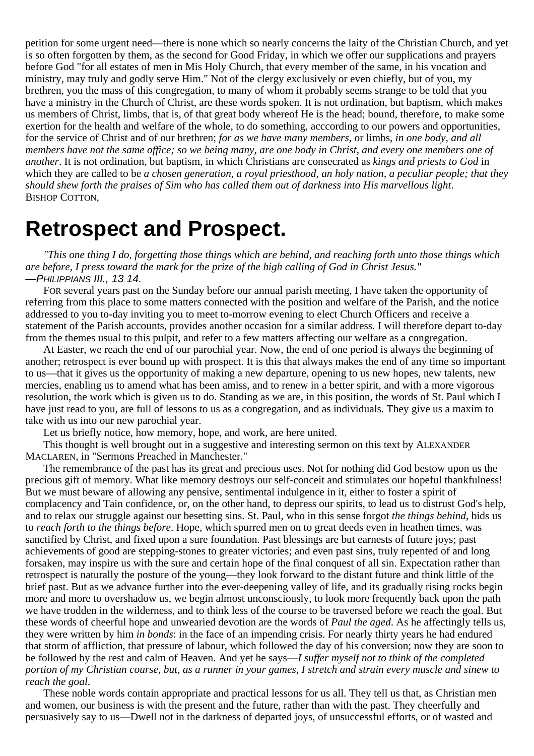petition for some urgent need—there is none which so nearly concerns the laity of the Christian Church, and yet is so often forgotten by them, as the second for Good Friday, in which we offer our supplications and prayers before God "for all estates of men in Mis Holy Church, that every member of the same, in his vocation and ministry, may truly and godly serve Him." Not of the clergy exclusively or even chiefly, but of you, my brethren, you the mass of this congregation, to many of whom it probably seems strange to be told that you have a ministry in the Church of Christ, are these words spoken. It is not ordination, but baptism, which makes us members of Christ, limbs, that is, of that great body whereof He is the head; bound, therefore, to make some exertion for the health and welfare of the whole, to do something, acccording to our powers and opportunities, for the service of Christ and of our brethren; *for as we have many members*, or limbs, *in one body, and all members have not the same office; so we being many, are one body in Christ, and every one members one of another*. It is not ordination, but baptism, in which Christians are consecrated as *kings and priests to God* in which they are called to be *a chosen generation, a royal priesthood, an holy nation, a peculiar people; that they should shew forth the praises of Sim who has called them out of darkness into His marvellous light*. BISHOP COTTON,

## **Retrospect and Prospect.**

*"This one thing I do, forgetting those things which are behind, and reaching forth unto those things which are before, I press toward the mark for the prize of the high calling of God in Christ Jesus."* —PHILIPPIANS III., 13 14.

FOR several years past on the Sunday before our annual parish meeting, I have taken the opportunity of referring from this place to some matters connected with the position and welfare of the Parish, and the notice addressed to you to-day inviting you to meet to-morrow evening to elect Church Officers and receive a statement of the Parish accounts, provides another occasion for a similar address. I will therefore depart to-day from the themes usual to this pulpit, and refer to a few matters affecting our welfare as a congregation.

At Easter, we reach the end of our parochial year. Now, the end of one period is always the beginning of another; retrospect is ever bound up with prospect. It is this that always makes the end of any time so important to us—that it gives us the opportunity of making a new departure, opening to us new hopes, new talents, new mercies, enabling us to amend what has been amiss, and to renew in a better spirit, and with a more vigorous resolution, the work which is given us to do. Standing as we are, in this position, the words of St. Paul which I have just read to you, are full of lessons to us as a congregation, and as individuals. They give us a maxim to take with us into our new parochial year.

Let us briefly notice, how memory, hope, and work, are here united.

This thought is well brought out in a suggestive and interesting sermon on this text by ALEXANDER MACLAREN, in "Sermons Preached in Manchester."

The remembrance of the past has its great and precious uses. Not for nothing did God bestow upon us the precious gift of memory. What like memory destroys our self-conceit and stimulates our hopeful thankfulness! But we must beware of allowing any pensive, sentimental indulgence in it, either to foster a spirit of complacency and Tain confidence, or, on the other hand, to depress our spirits, to lead us to distrust God's help, and to relax our struggle against our besetting sins. St. Paul, who in this sense forgot *the things behind*, bids us to *reach forth to the things before*. Hope, which spurred men on to great deeds even in heathen times, was sanctified by Christ, and fixed upon a sure foundation. Past blessings are but earnests of future joys; past achievements of good are stepping-stones to greater victories; and even past sins, truly repented of and long forsaken, may inspire us with the sure and certain hope of the final conquest of all sin. Expectation rather than retrospect is naturally the posture of the young—they look forward to the distant future and think little of the brief past. But as we advance further into the ever-deepening valley of life, and its gradually rising rocks begin more and more to overshadow us, we begin almost unconsciously, to look more frequently back upon the path we have trodden in the wilderness, and to think less of the course to be traversed before we reach the goal. But these words of cheerful hope and unwearied devotion are the words of *Paul the aged*. As he affectingly tells us, they were written by him *in bonds*: in the face of an impending crisis. For nearly thirty years he had endured that storm of affliction, that pressure of labour, which followed the day of his conversion; now they are soon to be followed by the rest and calm of Heaven. And yet he says—*I suffer myself not to think of the completed portion of my Christian course, but, as a runner in your games, I stretch and strain every muscle and sinew to reach the goal*.

These noble words contain appropriate and practical lessons for us all. They tell us that, as Christian men and women, our business is with the present and the future, rather than with the past. They cheerfully and persuasively say to us—Dwell not in the darkness of departed joys, of unsuccessful efforts, or of wasted and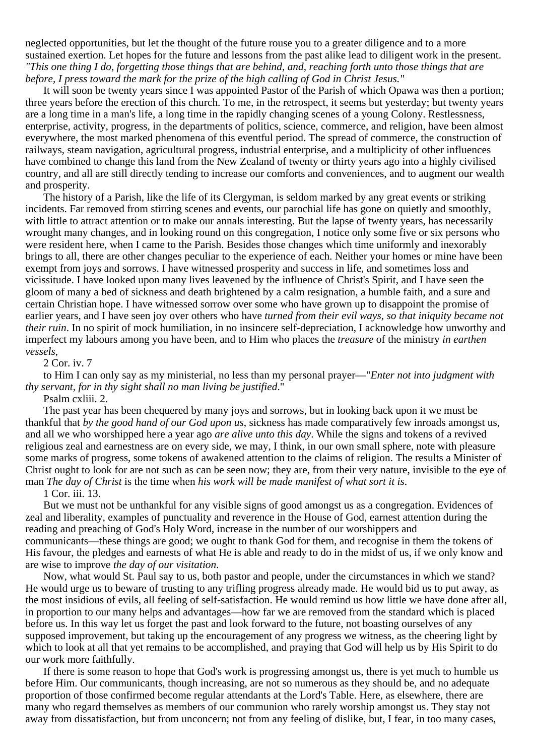neglected opportunities, but let the thought of the future rouse you to a greater diligence and to a more sustained exertion. Let hopes for the future and lessons from the past alike lead to diligent work in the present. *"This one thing I do, forgetting those things that are behind, and, reaching forth unto those things that are before, I press toward the mark for the prize of the high calling of God in Christ Jesus."*

It will soon be twenty years since I was appointed Pastor of the Parish of which Opawa was then a portion; three years before the erection of this church. To me, in the retrospect, it seems but yesterday; but twenty years are a long time in a man's life, a long time in the rapidly changing scenes of a young Colony. Restlessness, enterprise, activity, progress, in the departments of politics, science, commerce, and religion, have been almost everywhere, the most marked phenomena of this eventful period. The spread of commerce, the construction of railways, steam navigation, agricultural progress, industrial enterprise, and a multiplicity of other influences have combined to change this land from the New Zealand of twenty or thirty years ago into a highly civilised country, and all are still directly tending to increase our comforts and conveniences, and to augment our wealth and prosperity.

The history of a Parish, like the life of its Clergyman, is seldom marked by any great events or striking incidents. Far removed from stirring scenes and events, our parochial life has gone on quietly and smoothly, with little to attract attention or to make our annals interesting. But the lapse of twenty years, has necessarily wrought many changes, and in looking round on this congregation, I notice only some five or six persons who were resident here, when I came to the Parish. Besides those changes which time uniformly and inexorably brings to all, there are other changes peculiar to the experience of each. Neither your homes or mine have been exempt from joys and sorrows. I have witnessed prosperity and success in life, and sometimes loss and vicissitude. I have looked upon many lives leavened by the influence of Christ's Spirit, and I have seen the gloom of many a bed of sickness and death brightened by a calm resignation, a humble faith, and a sure and certain Christian hope. I have witnessed sorrow over some who have grown up to disappoint the promise of earlier years, and I have seen joy over others who have *turned from their evil ways, so that iniquity became not their ruin*. In no spirit of mock humiliation, in no insincere self-depreciation, I acknowledge how unworthy and imperfect my labours among you have been, and to Him who places the *treasure* of the ministry *in earthen vessels*,

2 Cor. iv. 7

to Him I can only say as my ministerial, no less than my personal prayer—"*Enter not into judgment with thy servant, for in thy sight shall no man living be justified*."

Psalm cxliii. 2.

The past year has been chequered by many joys and sorrows, but in looking back upon it we must be thankful that *by the good hand of our God upon us*, sickness has made comparatively few inroads amongst us, and all we who worshipped here a year ago *are alive unto this day*. While the signs and tokens of a revived religious zeal and earnestness are on every side, we may, I think, in our own small sphere, note with pleasure some marks of progress, some tokens of awakened attention to the claims of religion. The results a Minister of Christ ought to look for are not such as can be seen now; they are, from their very nature, invisible to the eye of man *The day of Christ* is the time when *his work will be made manifest of what sort it is*.

1 Cor. iii. 13.

But we must not be unthankful for any visible signs of good amongst us as a congregation. Evidences of zeal and liberality, examples of punctuality and reverence in the House of God, earnest attention during the reading and preaching of God's Holy Word, increase in the number of our worshippers and communicants—these things are good; we ought to thank God for them, and recognise in them the tokens of His favour, the pledges and earnests of what He is able and ready to do in the midst of us, if we only know and are wise to improve *the day of our visitation*.

Now, what would St. Paul say to us, both pastor and people, under the circumstances in which we stand? He would urge us to beware of trusting to any trifling progress already made. He would bid us to put away, as the most insidious of evils, all feeling of self-satisfaction. He would remind us how little we have done after all, in proportion to our many helps and advantages—how far we are removed from the standard which is placed before us. In this way let us forget the past and look forward to the future, not boasting ourselves of any supposed improvement, but taking up the encouragement of any progress we witness, as the cheering light by which to look at all that yet remains to be accomplished, and praying that God will help us by His Spirit to do our work more faithfully.

If there is some reason to hope that God's work is progressing amongst us, there is yet much to humble us before Him. Our communicants, though increasing, are not so numerous as they should be, and no adequate proportion of those confirmed become regular attendants at the Lord's Table. Here, as elsewhere, there are many who regard themselves as members of our communion who rarely worship amongst us. They stay not away from dissatisfaction, but from unconcern; not from any feeling of dislike, but, I fear, in too many cases,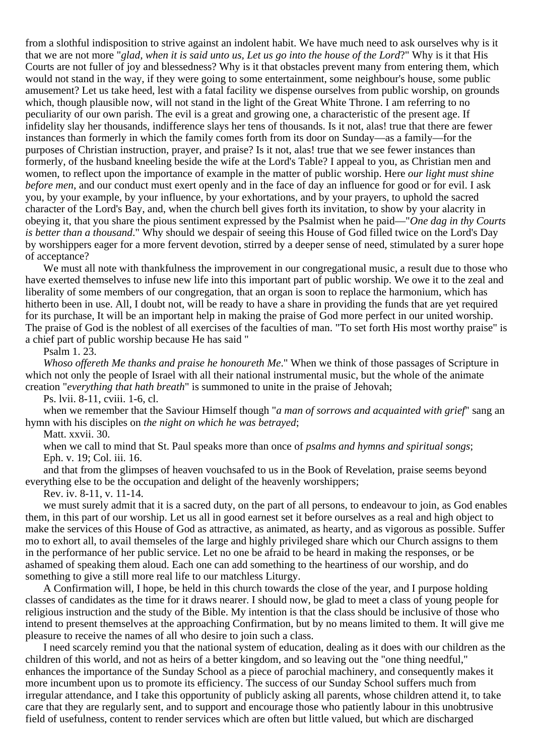from a slothful indisposition to strive against an indolent habit. We have much need to ask ourselves why is it that we are not more "*glad, when it is said unto us, Let us go into the house of the Lord*?" Why is it that His Courts are not fuller of joy and blessedness? Why is it that obstacles prevent many from entering them, which would not stand in the way, if they were going to some entertainment, some neighbour's house, some public amusement? Let us take heed, lest with a fatal facility we dispense ourselves from public worship, on grounds which, though plausible now, will not stand in the light of the Great White Throne. I am referring to no peculiarity of our own parish. The evil is a great and growing one, a characteristic of the present age. If infidelity slay her thousands, indifference slays her tens of thousands. Is it not, alas! true that there are fewer instances than formerly in which the family comes forth from its door on Sunday—as a family—for the purposes of Christian instruction, prayer, and praise? Is it not, alas! true that we see fewer instances than formerly, of the husband kneeling beside the wife at the Lord's Table? I appeal to you, as Christian men and women, to reflect upon the importance of example in the matter of public worship. Here *our light must shine before men*, and our conduct must exert openly and in the face of day an influence for good or for evil. I ask you, by your example, by your influence, by your exhortations, and by your prayers, to uphold the sacred character of the Lord's Bay, and, when the church bell gives forth its invitation, to show by your alacrity in obeying it, that you share the pious sentiment expressed by the Psalmist when he paid—"*One dag in thy Courts is better than a thousand*." Why should we despair of seeing this House of God filled twice on the Lord's Day by worshippers eager for a more fervent devotion, stirred by a deeper sense of need, stimulated by a surer hope of acceptance?

We must all note with thankfulness the improvement in our congregational music, a result due to those who have exerted themselves to infuse new life into this important part of public worship. We owe it to the zeal and liberality of some members of our congregation, that an organ is soon to replace the harmonium, which has hitherto been in use. All, I doubt not, will be ready to have a share in providing the funds that are yet required for its purchase, It will be an important help in making the praise of God more perfect in our united worship. The praise of God is the noblest of all exercises of the faculties of man. "To set forth His most worthy praise" is a chief part of public worship because He has said "

Psalm 1. 23.

*Whoso offereth Me thanks and praise he honoureth Me*." When we think of those passages of Scripture in which not only the people of Israel with all their national instrumental music, but the whole of the animate creation "*everything that hath breath*" is summoned to unite in the praise of Jehovah;

Ps. lvii. 8-11, cviii. 1-6, cl.

when we remember that the Saviour Himself though "*a man of sorrows and acquainted with grief*" sang an hymn with his disciples on *the night on which he was betrayed*;

Matt. xxvii. 30.

when we call to mind that St. Paul speaks more than once of *psalms and hymns and spiritual songs*; Eph. v. 19; Col. iii. 16.

and that from the glimpses of heaven vouchsafed to us in the Book of Revelation, praise seems beyond everything else to be the occupation and delight of the heavenly worshippers;

Rev. iv. 8-11, v. 11-14.

we must surely admit that it is a sacred duty, on the part of all persons, to endeavour to join, as God enables them, in this part of our worship. Let us all in good earnest set it before ourselves as a real and high object to make the services of this House of God as attractive, as animated, as hearty, and as vigorous as possible. Suffer mo to exhort all, to avail themseles of the large and highly privileged share which our Church assigns to them in the performance of her public service. Let no one be afraid to be heard in making the responses, or be ashamed of speaking them aloud. Each one can add something to the heartiness of our worship, and do something to give a still more real life to our matchless Liturgy.

A Confirmation will, I hope, be held in this church towards the close of the year, and I purpose holding classes of candidates as the time for it draws nearer. I should now, be glad to meet a class of young people for religious instruction and the study of the Bible. My intention is that the class should be inclusive of those who intend to present themselves at the approaching Confirmation, but by no means limited to them. It will give me pleasure to receive the names of all who desire to join such a class.

I need scarcely remind you that the national system of education, dealing as it does with our children as the children of this world, and not as heirs of a better kingdom, and so leaving out the "one thing needful," enhances the importance of the Sunday School as a piece of parochial machinery, and consequently makes it more incumbent upon us to promote its efficiency. The success of our Sunday School suffers much from irregular attendance, and I take this opportunity of publicly asking all parents, whose children attend it, to take care that they are regularly sent, and to support and encourage those who patiently labour in this unobtrusive field of usefulness, content to render services which are often but little valued, but which are discharged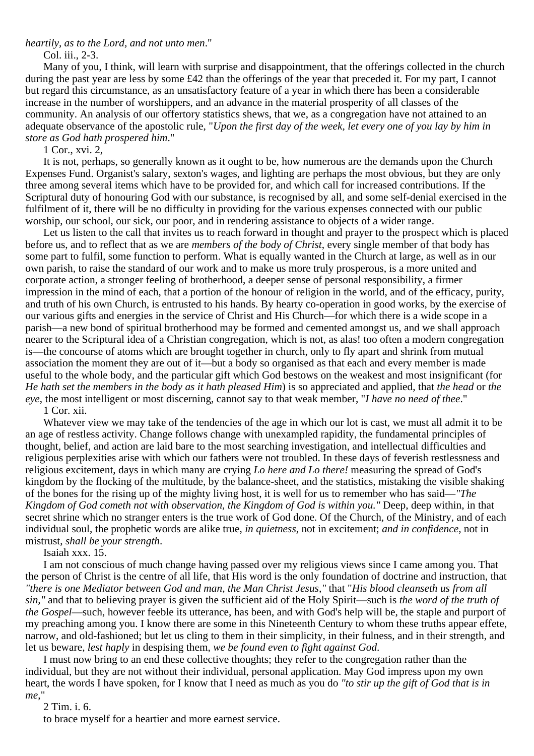#### *heartily, as to the Lord, and not unto men*."

Col. iii., 2-3.

Many of you, I think, will learn with surprise and disappointment, that the offerings collected in the church during the past year are less by some £42 than the offerings of the year that preceded it. For my part, I cannot but regard this circumstance, as an unsatisfactory feature of a year in which there has been a considerable increase in the number of worshippers, and an advance in the material prosperity of all classes of the community. An analysis of our offertory statistics shews, that we, as a congregation have not attained to an adequate observance of the apostolic rule, "*Upon the first day of the week, let every one of you lay by him in store as God hath prospered him*."

1 Cor., xvi. 2,

It is not, perhaps, so generally known as it ought to be, how numerous are the demands upon the Church Expenses Fund. Organist's salary, sexton's wages, and lighting are perhaps the most obvious, but they are only three among several items which have to be provided for, and which call for increased contributions. If the Scriptural duty of honouring God with our substance, is recognised by all, and some self-denial exercised in the fulfilment of it, there will be no difficulty in providing for the various expenses connected with our public worship, our school, our sick, our poor, and in rendering assistance to objects of a wider range.

Let us listen to the call that invites us to reach forward in thought and prayer to the prospect which is placed before us, and to reflect that as we are *members of the body of Christ*, every single member of that body has some part to fulfil, some function to perform. What is equally wanted in the Church at large, as well as in our own parish, to raise the standard of our work and to make us more truly prosperous, is a more united and corporate action, a stronger feeling of brotherhood, a deeper sense of personal responsibility, a firmer impression in the mind of each, that a portion of the honour of religion in the world, and of the efficacy, purity, and truth of his own Church, is entrusted to his hands. By hearty co-operation in good works, by the exercise of our various gifts and energies in the service of Christ and His Church—for which there is a wide scope in a parish—a new bond of spiritual brotherhood may be formed and cemented amongst us, and we shall approach nearer to the Scriptural idea of a Christian congregation, which is not, as alas! too often a modern congregation is—the concourse of atoms which are brought together in church, only to fly apart and shrink from mutual association the moment they are out of it—but a body so organised as that each and every member is made useful to the whole body, and the particular gift which God bestows on the weakest and most insignificant (for *He hath set the members in the body as it hath pleased Him*) is so appreciated and applied, that *the head* or *the eye*, the most intelligent or most discerning, cannot say to that weak member, "*I have no need of thee*."

1 Cor. xii.

Whatever view we may take of the tendencies of the age in which our lot is cast, we must all admit it to be an age of restless activity. Change follows change with unexampled rapidity, the fundamental principles of thought, belief, and action are laid bare to the most searching investigation, and intellectual difficulties and religious perplexities arise with which our fathers were not troubled. In these days of feverish restlessness and religious excitement, days in which many are crying *Lo here and Lo there!* measuring the spread of God's kingdom by the flocking of the multitude, by the balance-sheet, and the statistics, mistaking the visible shaking of the bones for the rising up of the mighty living host, it is well for us to remember who has said—*"The Kingdom of God cometh not with observation, the Kingdom of God is within you."* Deep, deep within, in that secret shrine which no stranger enters is the true work of God done. Of the Church, of the Ministry, and of each individual soul, the prophetic words are alike true, *in quietness*, not in excitement; *and in confidence*, not in mistrust, *shall be your strength*.

Isaiah xxx. 15.

I am not conscious of much change having passed over my religious views since I came among you. That the person of Christ is the centre of all life, that His word is the only foundation of doctrine and instruction, that *"there is one Mediator between God and man, the Man Christ Jesus,"* that "*His blood cleanseth us from all sin,"* and that to believing prayer is given the sufficient aid of the Holy Spirit—such is *the word of the truth of the Gospel*—such, however feeble its utterance, has been, and with God's help will be, the staple and purport of my preaching among you. I know there are some in this Nineteenth Century to whom these truths appear effete, narrow, and old-fashioned; but let us cling to them in their simplicity, in their fulness, and in their strength, and let us beware, *lest haply* in despising them, *we be found even to fight against God*.

I must now bring to an end these collective thoughts; they refer to the congregation rather than the individual, but they are not without their individual, personal application. May God impress upon my own heart, the words I have spoken, for I know that I need as much as you do *"to stir up the gift of God that is in me*,"

#### 2 Tim. i. 6.

to brace myself for a heartier and more earnest service.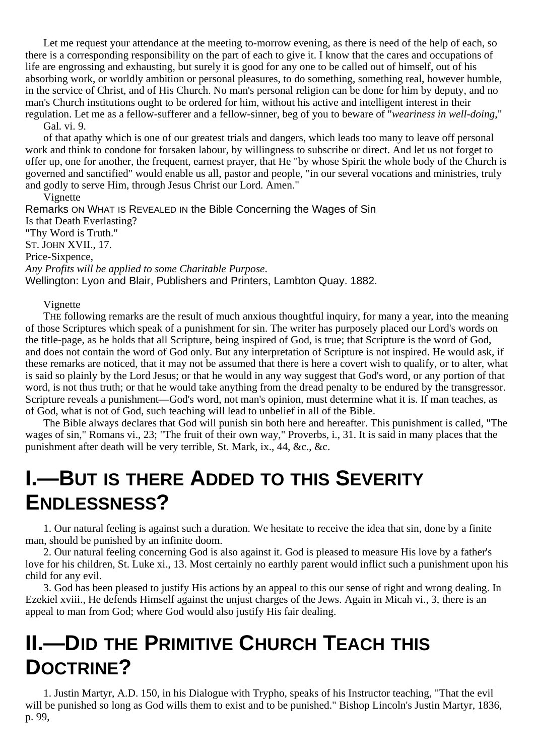Let me request your attendance at the meeting to-morrow evening, as there is need of the help of each, so there is a corresponding responsibility on the part of each to give it. I know that the cares and occupations of life are engrossing and exhausting, but surely it is good for any one to be called out of himself, out of his absorbing work, or worldly ambition or personal pleasures, to do something, something real, however humble, in the service of Christ, and of His Church. No man's personal religion can be done for him by deputy, and no man's Church institutions ought to be ordered for him, without his active and intelligent interest in their regulation. Let me as a fellow-sufferer and a fellow-sinner, beg of you to beware of "*weariness in well-doing*," Gal. vi. 9.

of that apathy which is one of our greatest trials and dangers, which leads too many to leave off personal work and think to condone for forsaken labour, by willingness to subscribe or direct. And let us not forget to offer up, one for another, the frequent, earnest prayer, that He "by whose Spirit the whole body of the Church is governed and sanctified" would enable us all, pastor and people, "in our several vocations and ministries, truly and godly to serve Him, through Jesus Christ our Lord. Amen."

Vignette Remarks ON WHAT IS REVEALED IN the Bible Concerning the Wages of Sin Is that Death Everlasting? "Thy Word is Truth." ST. JOHN XVII., 17. Price-Sixpence, *Any Profits will be applied to some Charitable Purpose*. Wellington: Lyon and Blair, Publishers and Printers, Lambton Quay. 1882.

Vignette

THE following remarks are the result of much anxious thoughtful inquiry, for many a year, into the meaning of those Scriptures which speak of a punishment for sin. The writer has purposely placed our Lord's words on the title-page, as he holds that all Scripture, being inspired of God, is true; that Scripture is the word of God, and does not contain the word of God only. But any interpretation of Scripture is not inspired. He would ask, if these remarks are noticed, that it may not be assumed that there is here a covert wish to qualify, or to alter, what is said so plainly by the Lord Jesus; or that he would in any way suggest that God's word, or any portion of that word, is not thus truth; or that he would take anything from the dread penalty to be endured by the transgressor. Scripture reveals a punishment—God's word, not man's opinion, must determine what it is. If man teaches, as of God, what is not of God, such teaching will lead to unbelief in all of the Bible.

The Bible always declares that God will punish sin both here and hereafter. This punishment is called, "The wages of sin," Romans vi., 23; "The fruit of their own way," Proverbs, i., 31. It is said in many places that the punishment after death will be very terrible, St. Mark, ix., 44, &c., &c.

## **I.—BUT IS THERE ADDED TO THIS SEVERITY ENDLESSNESS?**

1. Our natural feeling is against such a duration. We hesitate to receive the idea that sin, done by a finite man, should be punished by an infinite doom.

2. Our natural feeling concerning God is also against it. God is pleased to measure His love by a father's love for his children, St. Luke xi., 13. Most certainly no earthly parent would inflict such a punishment upon his child for any evil.

3. God has been pleased to justify His actions by an appeal to this our sense of right and wrong dealing. In Ezekiel xviii., He defends Himself against the unjust charges of the Jews. Again in Micah vi., 3, there is an appeal to man from God; where God would also justify His fair dealing.

# **II.—DID THE PRIMITIVE CHURCH TEACH THIS DOCTRINE?**

1. Justin Martyr, A.D. 150, in his Dialogue with Trypho, speaks of his Instructor teaching, "That the evil will be punished so long as God wills them to exist and to be punished." Bishop Lincoln's Justin Martyr, 1836, p. 99,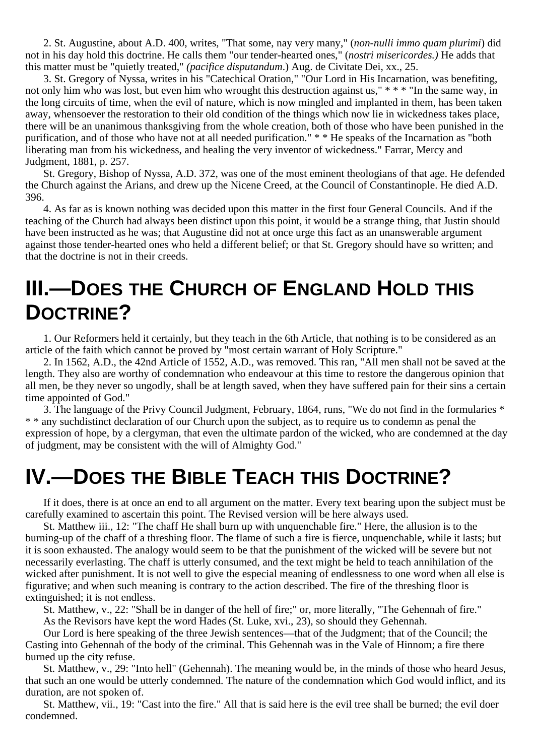2. St. Augustine, about A.D. 400, writes, "That some, nay very many," (*non-nulli immo quam plurimi*) did not in his day hold this doctrine. He calls them "our tender-hearted ones," (*nostri misericordes.)* He adds that this matter must be "quietly treated," *(pacifice disputandum*.) Aug. de Civitate Dei, xx., 25.

3. St. Gregory of Nyssa, writes in his "Catechical Oration," "Our Lord in His Incarnation, was benefiting, not only him who was lost, but even him who wrought this destruction against us," \* \* \* "In the same way, in the long circuits of time, when the evil of nature, which is now mingled and implanted in them, has been taken away, whensoever the restoration to their old condition of the things which now lie in wickedness takes place, there will be an unanimous thanksgiving from the whole creation, both of those who have been punished in the purification, and of those who have not at all needed purification." \* \* He speaks of the Incarnation as "both liberating man from his wickedness, and healing the very inventor of wickedness." Farrar, Mercy and Judgment, 1881, p. 257.

St. Gregory, Bishop of Nyssa, A.D. 372, was one of the most eminent theologians of that age. He defended the Church against the Arians, and drew up the Nicene Creed, at the Council of Constantinople. He died A.D. 396.

4. As far as is known nothing was decided upon this matter in the first four General Councils. And if the teaching of the Church had always been distinct upon this point, it would be a strange thing, that Justin should have been instructed as he was; that Augustine did not at once urge this fact as an unanswerable argument against those tender-hearted ones who held a different belief; or that St. Gregory should have so written; and that the doctrine is not in their creeds.

## **III.—DOES THE CHURCH OF ENGLAND HOLD THIS DOCTRINE?**

1. Our Reformers held it certainly, but they teach in the 6th Article, that nothing is to be considered as an article of the faith which cannot be proved by "most certain warrant of Holy Scripture."

2. In 1562, A.D., the 42nd Article of 1552, A.D., was removed. This ran, "All men shall not be saved at the length. They also are worthy of condemnation who endeavour at this time to restore the dangerous opinion that all men, be they never so ungodly, shall be at length saved, when they have suffered pain for their sins a certain time appointed of God."

3. The language of the Privy Council Judgment, February, 1864, runs, "We do not find in the formularies \* \* \* any suchdistinct declaration of our Church upon the subject, as to require us to condemn as penal the expression of hope, by a clergyman, that even the ultimate pardon of the wicked, who are condemned at the day of judgment, may be consistent with the will of Almighty God."

# **IV.—DOES THE BIBLE TEACH THIS DOCTRINE?**

If it does, there is at once an end to all argument on the matter. Every text bearing upon the subject must be carefully examined to ascertain this point. The Revised version will be here always used.

St. Matthew iii., 12: "The chaff He shall burn up with unquenchable fire." Here, the allusion is to the burning-up of the chaff of a threshing floor. The flame of such a fire is fierce, unquenchable, while it lasts; but it is soon exhausted. The analogy would seem to be that the punishment of the wicked will be severe but not necessarily everlasting. The chaff is utterly consumed, and the text might be held to teach annihilation of the wicked after punishment. It is not well to give the especial meaning of endlessness to one word when all else is figurative; and when such meaning is contrary to the action described. The fire of the threshing floor is extinguished; it is not endless.

St. Matthew, v., 22: "Shall be in danger of the hell of fire;" or, more literally, "The Gehennah of fire." As the Revisors have kept the word Hades (St. Luke, xvi., 23), so should they Gehennah.

Our Lord is here speaking of the three Jewish sentences—that of the Judgment; that of the Council; the Casting into Gehennah of the body of the criminal. This Gehennah was in the Vale of Hinnom; a fire there burned up the city refuse.

St. Matthew, v., 29: "Into hell" (Gehennah). The meaning would be, in the minds of those who heard Jesus, that such an one would be utterly condemned. The nature of the condemnation which God would inflict, and its duration, are not spoken of.

St. Matthew, vii., 19: "Cast into the fire." All that is said here is the evil tree shall be burned; the evil doer condemned.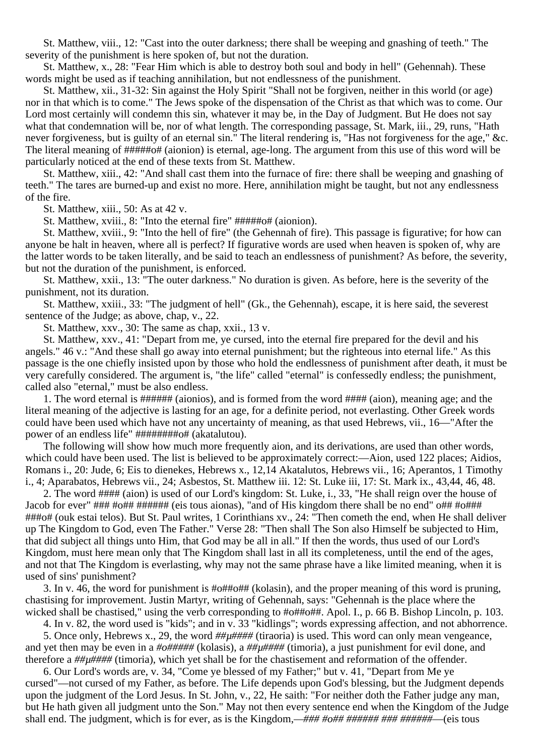St. Matthew, viii., 12: "Cast into the outer darkness; there shall be weeping and gnashing of teeth." The severity of the punishment is here spoken of, but not the duration.

St. Matthew, x., 28: "Fear Him which is able to destroy both soul and body in hell" (Gehennah). These words might be used as if teaching annihilation, but not endlessness of the punishment.

St. Matthew, xii., 31-32: Sin against the Holy Spirit "Shall not be forgiven, neither in this world (or age) nor in that which is to come." The Jews spoke of the dispensation of the Christ as that which was to come. Our Lord most certainly will condemn this sin, whatever it may be, in the Day of Judgment. But He does not say what that condemnation will be, nor of what length. The corresponding passage, St. Mark, iii., 29, runs, "Hath never forgiveness, but is guilty of an eternal sin." The literal rendering is, "Has not forgiveness for the age," &c. The literal meaning of #####o# (aionion) is eternal, age-long. The argument from this use of this word will be particularly noticed at the end of these texts from St. Matthew.

St. Matthew, xiii., 42: "And shall cast them into the furnace of fire: there shall be weeping and gnashing of teeth." The tares are burned-up and exist no more. Here, annihilation might be taught, but not any endlessness of the fire.

St. Matthew, xiii., 50: As at 42 v.

St. Matthew, xviii., 8: "Into the eternal fire" #####o# (aionion).

St. Matthew, xviii., 9: "Into the hell of fire" (the Gehennah of fire). This passage is figurative; for how can anyone be halt in heaven, where all is perfect? If figurative words are used when heaven is spoken of, why are the latter words to be taken literally, and be said to teach an endlessness of punishment? As before, the severity, but not the duration of the punishment, is enforced.

St. Matthew, xxii., 13: "The outer darkness." No duration is given. As before, here is the severity of the punishment, not its duration.

St. Matthew, xxiii., 33: "The judgment of hell" (Gk., the Gehennah), escape, it is here said, the severest sentence of the Judge; as above, chap, v., 22.

St. Matthew, xxv., 30: The same as chap, xxii., 13 v.

St. Matthew, xxv., 41: "Depart from me, ye cursed, into the eternal fire prepared for the devil and his angels." 46 v.: "And these shall go away into eternal punishment; but the righteous into eternal life." As this passage is the one chiefly insisted upon by those who hold the endlessness of punishment after death, it must be very carefully considered. The argument is, "the life" called "eternal" is confessedly endless; the punishment, called also "eternal," must be also endless.

1. The word eternal is ###### (aionios), and is formed from the word #### (aion), meaning age; and the literal meaning of the adjective is lasting for an age, for a definite period, not everlasting. Other Greek words could have been used which have not any uncertainty of meaning, as that used Hebrews, vii., 16—"After the power of an endless life" ########o# (akatalutou).

The following will show how much more frequently aion, and its derivations, are used than other words, which could have been used. The list is believed to be approximately correct:—Aion, used 122 places; Aidios, Romans i., 20: Jude, 6; Eis to dienekes, Hebrews x., 12,14 Akatalutos, Hebrews vii., 16; Aperantos, 1 Timothy i., 4; Aparabatos, Hebrews vii., 24; Asbestos, St. Matthew iii. 12: St. Luke iii, 17: St. Mark ix., 43,44, 46, 48.

2. The word #### (aion) is used of our Lord's kingdom: St. Luke, i., 33, "He shall reign over the house of Jacob for ever" ### #o## ###### (eis tous aionas), "and of His kingdom there shall be no end" o## #o### ###o# (ouk estai telos). But St. Paul writes, 1 Corinthians xv., 24: "Then cometh the end, when He shall deliver up The Kingdom to God, even The Father." Verse 28: "Then shall The Son also Himself be subjected to Him, that did subject all things unto Him, that God may be all in all." If then the words, thus used of our Lord's Kingdom, must here mean only that The Kingdom shall last in all its completeness, until the end of the ages, and not that The Kingdom is everlasting, why may not the same phrase have a like limited meaning, when it is used of sins' punishment?

3. In v. 46, the word for punishment is #o##o## (kolasin), and the proper meaning of this word is pruning, chastising for improvement. Justin Martyr, writing of Gehennah, says: "Gehennah is the place where the wicked shall be chastised," using the verb corresponding to #o##o##. Apol. I., p. 66 B. Bishop Lincoln, p. 103.

4. In v. 82, the word used is "kids"; and in v. 33 "kidlings"; words expressing affection, and not abhorrence.

5. Once only, Hebrews x., 29, the word *##µ####* (tiraoria) is used. This word can only mean vengeance, and yet then may be even in a *#o#####* (kolasis), a ## $\mu$ #### (timoria), a just punishment for evil done, and therefore a *##µ####* (timoria), which yet shall be for the chastisement and reformation of the offender.

6. Our Lord's words are, v. 34, "Come ye blessed of my Father;" but v. 41, "Depart from Me ye cursed"—not cursed of my Father, as before. The Life depends upon God's blessing, but the Judgment depends upon the judgment of the Lord Jesus. In St. John, v., 22, He saith: "For neither doth the Father judge any man, but He hath given all judgment unto the Son." May not then every sentence end when the Kingdom of the Judge shall end. The judgment, which is for ever, as is the Kingdom,*—### #o## ###### ### ######*—(eis tous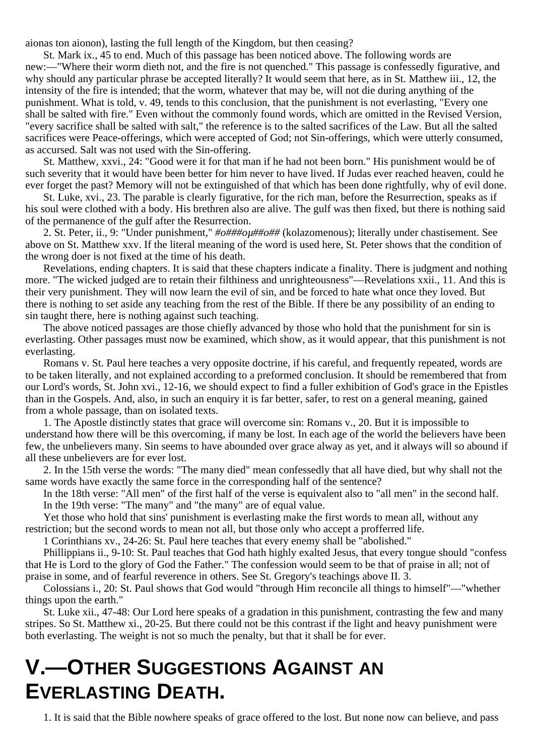aionas ton aionon), lasting the full length of the Kingdom, but then ceasing?

St. Mark ix., 45 to end. Much of this passage has been noticed above. The following words are new:—"Where their worm dieth not, and the fire is not quenched." This passage is confessedly figurative, and why should any particular phrase be accepted literally? It would seem that here, as in St. Matthew iii., 12, the intensity of the fire is intended; that the worm, whatever that may be, will not die during anything of the punishment. What is told, v. 49, tends to this conclusion, that the punishment is not everlasting, "Every one shall be salted with fire." Even without the commonly found words, which are omitted in the Revised Version, "every sacrifice shall be salted with salt," the reference is to the salted sacrifices of the Law. But all the salted sacrifices were Peace-offerings, which were accepted of God; not Sin-offerings, which were utterly consumed, as accursed. Salt was not used with the Sin-offering.

St. Matthew, xxvi., 24: "Good were it for that man if he had not been born." His punishment would be of such severity that it would have been better for him never to have lived. If Judas ever reached heaven, could he ever forget the past? Memory will not be extinguished of that which has been done rightfully, why of evil done.

St. Luke, xvi., 23. The parable is clearly figurative, for the rich man, before the Resurrection, speaks as if his soul were clothed with a body. His brethren also are alive. The gulf was then fixed, but there is nothing said of the permanence of the gulf after the Resurrection.

2. St. Peter, ii., 9: "Under punishment," *#o###oµ##o##* (kolazomenous); literally under chastisement. See above on St. Matthew xxv. If the literal meaning of the word is used here, St. Peter shows that the condition of the wrong doer is not fixed at the time of his death.

Revelations, ending chapters. It is said that these chapters indicate a finality. There is judgment and nothing more. "The wicked judged are to retain their filthiness and unrighteousness"—Revelations xxii., 11. And this is their very punishment. They will now learn the evil of sin, and be forced to hate what once they loved. But there is nothing to set aside any teaching from the rest of the Bible. If there be any possibility of an ending to sin taught there, here is nothing against such teaching.

The above noticed passages are those chiefly advanced by those who hold that the punishment for sin is everlasting. Other passages must now be examined, which show, as it would appear, that this punishment is not everlasting.

Romans v. St. Paul here teaches a very opposite doctrine, if his careful, and frequently repeated, words are to be taken literally, and not explained according to a preformed conclusion. It should be remembered that from our Lord's words, St. John xvi., 12-16, we should expect to find a fuller exhibition of God's grace in the Epistles than in the Gospels. And, also, in such an enquiry it is far better, safer, to rest on a general meaning, gained from a whole passage, than on isolated texts.

1. The Apostle distinctly states that grace will overcome sin: Romans v., 20. But it is impossible to understand how there will be this overcoming, if many be lost. In each age of the world the believers have been few, the unbelievers many. Sin seems to have abounded over grace alway as yet, and it always will so abound if all these unbelievers are for ever lost.

2. In the 15th verse the words: "The many died" mean confessedly that all have died, but why shall not the same words have exactly the same force in the corresponding half of the sentence?

In the 18th verse: "All men" of the first half of the verse is equivalent also to "all men" in the second half. In the 19th verse: "The many" and "the many" are of equal value.

Yet those who hold that sins' punishment is everlasting make the first words to mean all, without any restriction; but the second words to mean not all, but those only who accept a profferred life.

1 Corinthians xv., 24-26: St. Paul here teaches that every enemy shall be "abolished."

Phillippians ii., 9-10: St. Paul teaches that God hath highly exalted Jesus, that every tongue should "confess that He is Lord to the glory of God the Father." The confession would seem to be that of praise in all; not of praise in some, and of fearful reverence in others. See St. Gregory's teachings above II. 3.

Colossians i., 20: St. Paul shows that God would "through Him reconcile all things to himself"—"whether things upon the earth."

St. Luke xii., 47-48: Our Lord here speaks of a gradation in this punishment, contrasting the few and many stripes. So St. Matthew xi., 20-25. But there could not be this contrast if the light and heavy punishment were both everlasting. The weight is not so much the penalty, but that it shall be for ever.

# **V.—OTHER SUGGESTIONS AGAINST AN EVERLASTING DEATH.**

1. It is said that the Bible nowhere speaks of grace offered to the lost. But none now can believe, and pass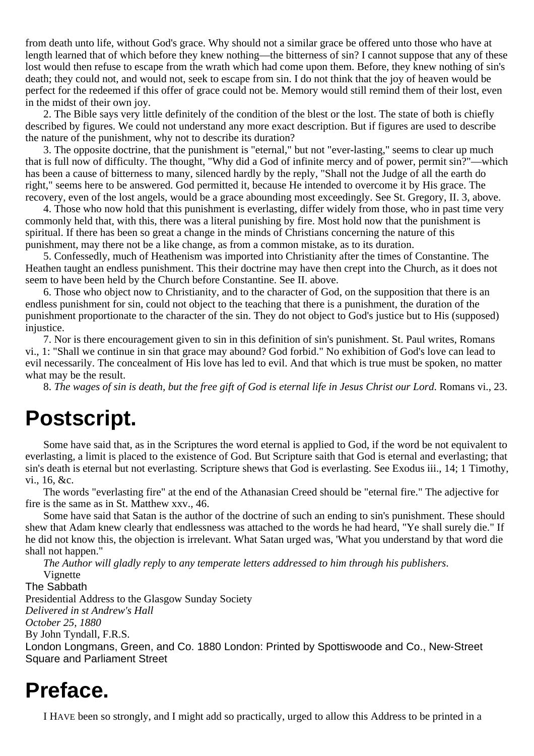from death unto life, without God's grace. Why should not a similar grace be offered unto those who have at length learned that of which before they knew nothing—the bitterness of sin? I cannot suppose that any of these lost would then refuse to escape from the wrath which had come upon them. Before, they knew nothing of sin's death; they could not, and would not, seek to escape from sin. I do not think that the joy of heaven would be perfect for the redeemed if this offer of grace could not be. Memory would still remind them of their lost, even in the midst of their own joy.

2. The Bible says very little definitely of the condition of the blest or the lost. The state of both is chiefly described by figures. We could not understand any more exact description. But if figures are used to describe the nature of the punishment, why not to describe its duration?

3. The opposite doctrine, that the punishment is "eternal," but not "ever-lasting," seems to clear up much that is full now of difficulty. The thought, "Why did a God of infinite mercy and of power, permit sin?"—which has been a cause of bitterness to many, silenced hardly by the reply, "Shall not the Judge of all the earth do right," seems here to be answered. God permitted it, because He intended to overcome it by His grace. The recovery, even of the lost angels, would be a grace abounding most exceedingly. See St. Gregory, II. 3, above.

4. Those who now hold that this punishment is everlasting, differ widely from those, who in past time very commonly held that, with this, there was a literal punishing by fire. Most hold now that the punishment is spiritual. If there has been so great a change in the minds of Christians concerning the nature of this punishment, may there not be a like change, as from a common mistake, as to its duration.

5. Confessedly, much of Heathenism was imported into Christianity after the times of Constantine. The Heathen taught an endless punishment. This their doctrine may have then crept into the Church, as it does not seem to have been held by the Church before Constantine. See II. above.

6. Those who object now to Christianity, and to the character of God, on the supposition that there is an endless punishment for sin, could not object to the teaching that there is a punishment, the duration of the punishment proportionate to the character of the sin. They do not object to God's justice but to His (supposed) injustice.

7. Nor is there encouragement given to sin in this definition of sin's punishment. St. Paul writes, Romans vi., 1: "Shall we continue in sin that grace may abound? God forbid." No exhibition of God's love can lead to evil necessarily. The concealment of His love has led to evil. And that which is true must be spoken, no matter what may be the result.

8. *The wages of sin is death, but the free gift of God is eternal life in Jesus Christ our Lord*. Romans vi., 23.

## **Postscript.**

Some have said that, as in the Scriptures the word eternal is applied to God, if the word be not equivalent to everlasting, a limit is placed to the existence of God. But Scripture saith that God is eternal and everlasting; that sin's death is eternal but not everlasting. Scripture shews that God is everlasting. See Exodus iii., 14; 1 Timothy, vi., 16, &c.

The words "everlasting fire" at the end of the Athanasian Creed should be "eternal fire." The adjective for fire is the same as in St. Matthew xxv., 46.

Some have said that Satan is the author of the doctrine of such an ending to sin's punishment. These should shew that Adam knew clearly that endlessness was attached to the words he had heard, "Ye shall surely die." If he did not know this, the objection is irrelevant. What Satan urged was, 'What you understand by that word die shall not happen."

*The Author will gladly reply* to *any temperate letters addressed to him through his publishers*. Vignette

The Sabbath Presidential Address to the Glasgow Sunday Society *Delivered in st Andrew's Hall October 25, 1880* By John Tyndall, F.R.S. London Longmans, Green, and Co. 1880 London: Printed by Spottiswoode and Co., New-Street Square and Parliament Street

# **Preface.**

I HAVE been so strongly, and I might add so practically, urged to allow this Address to be printed in a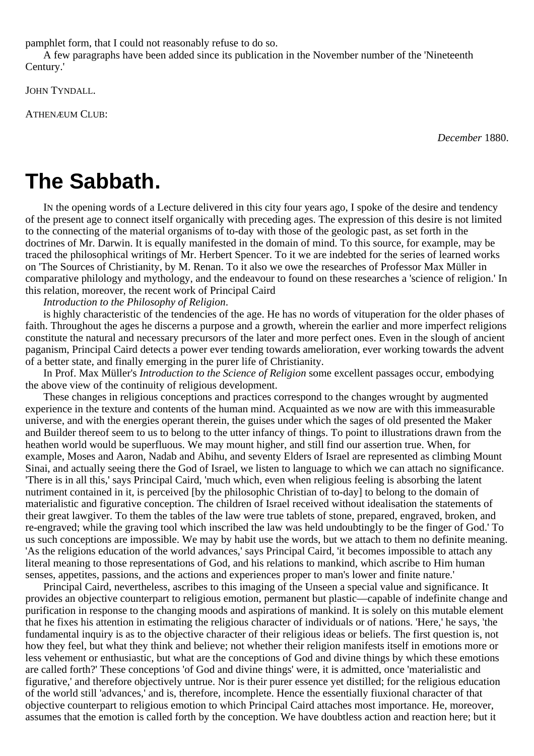pamphlet form, that I could not reasonably refuse to do so.

A few paragraphs have been added since its publication in the November number of the 'Nineteenth Century.'

JOHN TYNDALL.

ATHENÆUM CLUB:

*December* 1880.

## **The Sabbath.**

IN the opening words of a Lecture delivered in this city four years ago, I spoke of the desire and tendency of the present age to connect itself organically with preceding ages. The expression of this desire is not limited to the connecting of the material organisms of to-day with those of the geologic past, as set forth in the doctrines of Mr. Darwin. It is equally manifested in the domain of mind. To this source, for example, may be traced the philosophical writings of Mr. Herbert Spencer. To it we are indebted for the series of learned works on 'The Sources of Christianity, by M. Renan. To it also we owe the researches of Professor Max Müller in comparative philology and mythology, and the endeavour to found on these researches a 'science of religion.' In this relation, moreover, the recent work of Principal Caird

*Introduction to the Philosophy of Religion*.

is highly characteristic of the tendencies of the age. He has no words of vituperation for the older phases of faith. Throughout the ages he discerns a purpose and a growth, wherein the earlier and more imperfect religions constitute the natural and necessary precursors of the later and more perfect ones. Even in the slough of ancient paganism, Principal Caird detects a power ever tending towards amelioration, ever working towards the advent of a better state, and finally emerging in the purer life of Christianity.

In Prof. Max Müller's *Introduction to the Science of Religion* some excellent passages occur, embodying the above view of the continuity of religious development.

These changes in religious conceptions and practices correspond to the changes wrought by augmented experience in the texture and contents of the human mind. Acquainted as we now are with this immeasurable universe, and with the energies operant therein, the guises under which the sages of old presented the Maker and Builder thereof seem to us to belong to the utter infancy of things. To point to illustrations drawn from the heathen world would be superfluous. We may mount higher, and still find our assertion true. When, for example, Moses and Aaron, Nadab and Abihu, and seventy Elders of Israel are represented as climbing Mount Sinai, and actually seeing there the God of Israel, we listen to language to which we can attach no significance. 'There is in all this,' says Principal Caird, 'much which, even when religious feeling is absorbing the latent nutriment contained in it, is perceived [by the philosophic Christian of to-day] to belong to the domain of materialistic and figurative conception. The children of Israel received without idealisation the statements of their great lawgiver. To them the tables of the law were true tablets of stone, prepared, engraved, broken, and re-engraved; while the graving tool which inscribed the law was held undoubtingly to be the finger of God.' To us such conceptions are impossible. We may by habit use the words, but we attach to them no definite meaning. 'As the religions education of the world advances,' says Principal Caird, 'it becomes impossible to attach any literal meaning to those representations of God, and his relations to mankind, which ascribe to Him human senses, appetites, passions, and the actions and experiences proper to man's lower and finite nature.'

Principal Caird, nevertheless, ascribes to this imaging of the Unseen a special value and significance. It provides an objective counterpart to religious emotion, permanent but plastic—capable of indefinite change and purification in response to the changing moods and aspirations of mankind. It is solely on this mutable element that he fixes his attention in estimating the religious character of individuals or of nations. 'Here,' he says, 'the fundamental inquiry is as to the objective character of their religious ideas or beliefs. The first question is, not how they feel, but what they think and believe; not whether their religion manifests itself in emotions more or less vehement or enthusiastic, but what are the conceptions of God and divine things by which these emotions are called forth?' These conceptions 'of God and divine things' were, it is admitted, once 'materialistic and figurative,' and therefore objectively untrue. Nor is their purer essence yet distilled; for the religious education of the world still 'advances,' and is, therefore, incomplete. Hence the essentially fiuxional character of that objective counterpart to religious emotion to which Principal Caird attaches most importance. He, moreover, assumes that the emotion is called forth by the conception. We have doubtless action and reaction here; but it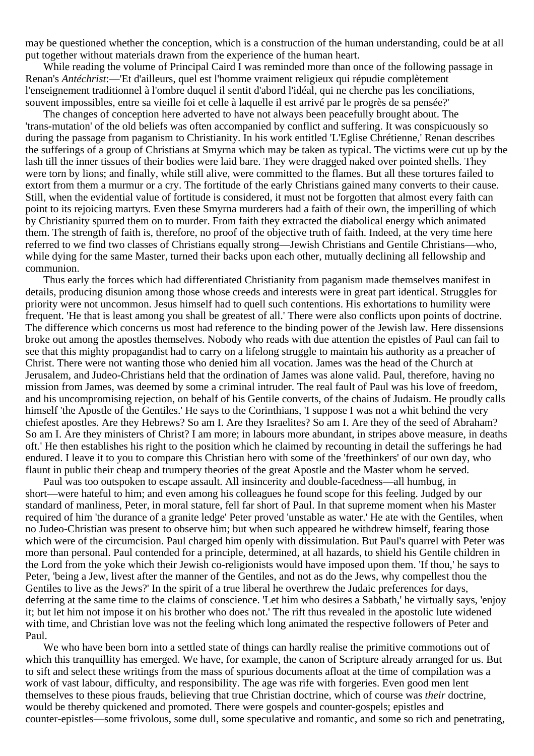may be questioned whether the conception, which is a construction of the human understanding, could be at all put together without materials drawn from the experience of the human heart.

While reading the volume of Principal Caird I was reminded more than once of the following passage in Renan's *Antéchrist*:—'Et d'ailleurs, quel est l'homme vraiment religieux qui répudie complètement l'enseignement traditionnel à l'ombre duquel il sentit d'abord l'idéal, qui ne cherche pas les conciliations, souvent impossibles, entre sa vieille foi et celle à laquelle il est arrivé par le progrès de sa pensée?'

The changes of conception here adverted to have not always been peacefully brought about. The 'trans-mutation' of the old beliefs was often accompanied by conflict and suffering. It was conspicuously so during the passage from paganism to Christianity. In his work entitled 'L'Eglise Chrétienne,' Renan describes the sufferings of a group of Christians at Smyrna which may be taken as typical. The victims were cut up by the lash till the inner tissues of their bodies were laid bare. They were dragged naked over pointed shells. They were torn by lions; and finally, while still alive, were committed to the flames. But all these tortures failed to extort from them a murmur or a cry. The fortitude of the early Christians gained many converts to their cause. Still, when the evidential value of fortitude is considered, it must not be forgotten that almost every faith can point to its rejoicing martyrs. Even these Smyrna murderers had a faith of their own, the imperilling of which by Christianity spurred them on to murder. From faith they extracted the diabolical energy which animated them. The strength of faith is, therefore, no proof of the objective truth of faith. Indeed, at the very time here referred to we find two classes of Christians equally strong—Jewish Christians and Gentile Christians—who, while dying for the same Master, turned their backs upon each other, mutually declining all fellowship and communion.

Thus early the forces which had differentiated Christianity from paganism made themselves manifest in details, producing disunion among those whose creeds and interests were in great part identical. Struggles for priority were not uncommon. Jesus himself had to quell such contentions. His exhortations to humility were frequent. 'He that is least among you shall be greatest of all.' There were also conflicts upon points of doctrine. The difference which concerns us most had reference to the binding power of the Jewish law. Here dissensions broke out among the apostles themselves. Nobody who reads with due attention the epistles of Paul can fail to see that this mighty propagandist had to carry on a lifelong struggle to maintain his authority as a preacher of Christ. There were not wanting those who denied him all vocation. James was the head of the Church at Jerusalem, and Judeo-Christians held that the ordination of James was alone valid. Paul, therefore, having no mission from James, was deemed by some a criminal intruder. The real fault of Paul was his love of freedom, and his uncompromising rejection, on behalf of his Gentile converts, of the chains of Judaism. He proudly calls himself 'the Apostle of the Gentiles.' He says to the Corinthians, 'I suppose I was not a whit behind the very chiefest apostles. Are they Hebrews? So am I. Are they Israelites? So am I. Are they of the seed of Abraham? So am I. Are they ministers of Christ? I am more; in labours more abundant, in stripes above measure, in deaths oft.' He then establishes his right to the position which he claimed by recounting in detail the sufferings he had endured. I leave it to you to compare this Christian hero with some of the 'freethinkers' of our own day, who flaunt in public their cheap and trumpery theories of the great Apostle and the Master whom he served.

Paul was too outspoken to escape assault. All insincerity and double-facedness—all humbug, in short—were hateful to him; and even among his colleagues he found scope for this feeling. Judged by our standard of manliness, Peter, in moral stature, fell far short of Paul. In that supreme moment when his Master required of him 'the durance of a granite ledge' Peter proved 'unstable as water.' He ate with the Gentiles, when no Judeo-Christian was present to observe him; but when such appeared he withdrew himself, fearing those which were of the circumcision. Paul charged him openly with dissimulation. But Paul's quarrel with Peter was more than personal. Paul contended for a principle, determined, at all hazards, to shield his Gentile children in the Lord from the yoke which their Jewish co-religionists would have imposed upon them. 'If thou,' he says to Peter, 'being a Jew, livest after the manner of the Gentiles, and not as do the Jews, why compellest thou the Gentiles to live as the Jews?' In the spirit of a true liberal he overthrew the Judaic preferences for days, deferring at the same time to the claims of conscience. 'Let him who desires a Sabbath,' he virtually says, 'enjoy it; but let him not impose it on his brother who does not.' The rift thus revealed in the apostolic lute widened with time, and Christian love was not the feeling which long animated the respective followers of Peter and Paul.

We who have been born into a settled state of things can hardly realise the primitive commotions out of which this tranquillity has emerged. We have, for example, the canon of Scripture already arranged for us. But to sift and select these writings from the mass of spurious documents afloat at the time of compilation was a work of vast labour, difficulty, and responsibility. The age was rife with forgeries. Even good men lent themselves to these pious frauds, believing that true Christian doctrine, which of course was *their* doctrine, would be thereby quickened and promoted. There were gospels and counter-gospels; epistles and counter-epistles—some frivolous, some dull, some speculative and romantic, and some so rich and penetrating,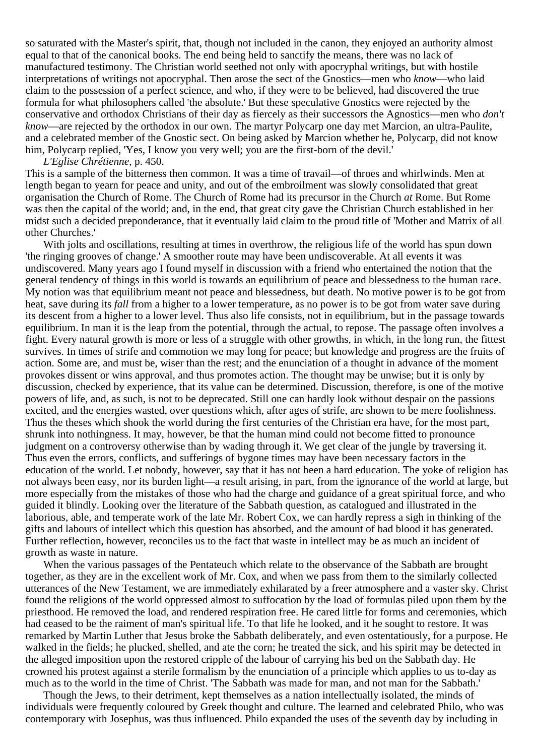so saturated with the Master's spirit, that, though not included in the canon, they enjoyed an authority almost equal to that of the canonical books. The end being held to sanctify the means, there was no lack of manufactured testimony. The Christian world seethed not only with apocryphal writings, but with hostile interpretations of writings not apocryphal. Then arose the sect of the Gnostics—men who *know*—who laid claim to the possession of a perfect science, and who, if they were to be believed, had discovered the true formula for what philosophers called 'the absolute.' But these speculative Gnostics were rejected by the conservative and orthodox Christians of their day as fiercely as their successors the Agnostics—men who *don't know*—are rejected by the orthodox in our own. The martyr Polycarp one day met Marcion, an ultra-Paulite, and a celebrated member of the Gnostic sect. On being asked by Marcion whether he, Polycarp, did not know him, Polycarp replied, 'Yes, I know you very well; you are the first-born of the devil.'

*L'Eglise Chrétienne*, p. 450.

This is a sample of the bitterness then common. It was a time of travail—of throes and whirlwinds. Men at length began to yearn for peace and unity, and out of the embroilment was slowly consolidated that great organisation the Church of Rome. The Church of Rome had its precursor in the Church *at* Rome. But Rome was then the capital of the world; and, in the end, that great city gave the Christian Church established in her midst such a decided preponderance, that it eventually laid claim to the proud title of 'Mother and Matrix of all other Churches.'

With jolts and oscillations, resulting at times in overthrow, the religious life of the world has spun down 'the ringing grooves of change.' A smoother route may have been undiscoverable. At all events it was undiscovered. Many years ago I found myself in discussion with a friend who entertained the notion that the general tendency of things in this world is towards an equilibrium of peace and blessedness to the human race. My notion was that equilibrium meant not peace and blessedness, but death. No motive power is to be got from heat, save during its *fall* from a higher to a lower temperature, as no power is to be got from water save during its descent from a higher to a lower level. Thus also life consists, not in equilibrium, but in the passage towards equilibrium. In man it is the leap from the potential, through the actual, to repose. The passage often involves a fight. Every natural growth is more or less of a struggle with other growths, in which, in the long run, the fittest survives. In times of strife and commotion we may long for peace; but knowledge and progress are the fruits of action. Some are, and must be, wiser than the rest; and the enunciation of a thought in advance of the moment provokes dissent or wins approval, and thus promotes action. The thought may be unwise; but it is only by discussion, checked by experience, that its value can be determined. Discussion, therefore, is one of the motive powers of life, and, as such, is not to be deprecated. Still one can hardly look without despair on the passions excited, and the energies wasted, over questions which, after ages of strife, are shown to be mere foolishness. Thus the theses which shook the world during the first centuries of the Christian era have, for the most part, shrunk into nothingness. It may, however, be that the human mind could not become fitted to pronounce judgment on a controversy otherwise than by wading through it. We get clear of the jungle by traversing it. Thus even the errors, conflicts, and sufferings of bygone times may have been necessary factors in the education of the world. Let nobody, however, say that it has not been a hard education. The yoke of religion has not always been easy, nor its burden light—a result arising, in part, from the ignorance of the world at large, but more especially from the mistakes of those who had the charge and guidance of a great spiritual force, and who guided it blindly. Looking over the literature of the Sabbath question, as catalogued and illustrated in the laborious, able, and temperate work of the late Mr. Robert Cox, we can hardly repress a sigh in thinking of the gifts and labours of intellect which this question has absorbed, and the amount of bad blood it has generated. Further reflection, however, reconciles us to the fact that waste in intellect may be as much an incident of growth as waste in nature.

When the various passages of the Pentateuch which relate to the observance of the Sabbath are brought together, as they are in the excellent work of Mr. Cox, and when we pass from them to the similarly collected utterances of the New Testament, we are immediately exhilarated by a freer atmosphere and a vaster sky. Christ found the religions of the world oppressed almost to suffocation by the load of formulas piled upon them by the priesthood. He removed the load, and rendered respiration free. He cared little for forms and ceremonies, which had ceased to be the raiment of man's spiritual life. To that life he looked, and it he sought to restore. It was remarked by Martin Luther that Jesus broke the Sabbath deliberately, and even ostentatiously, for a purpose. He walked in the fields; he plucked, shelled, and ate the corn; he treated the sick, and his spirit may be detected in the alleged imposition upon the restored cripple of the labour of carrying his bed on the Sabbath day. He crowned his protest against a sterile formalism by the enunciation of a principle which applies to us to-day as much as to the world in the time of Christ. 'The Sabbath was made for man, and not man for the Sabbath.'

Though the Jews, to their detriment, kept themselves as a nation intellectually isolated, the minds of individuals were frequently coloured by Greek thought and culture. The learned and celebrated Philo, who was contemporary with Josephus, was thus influenced. Philo expanded the uses of the seventh day by including in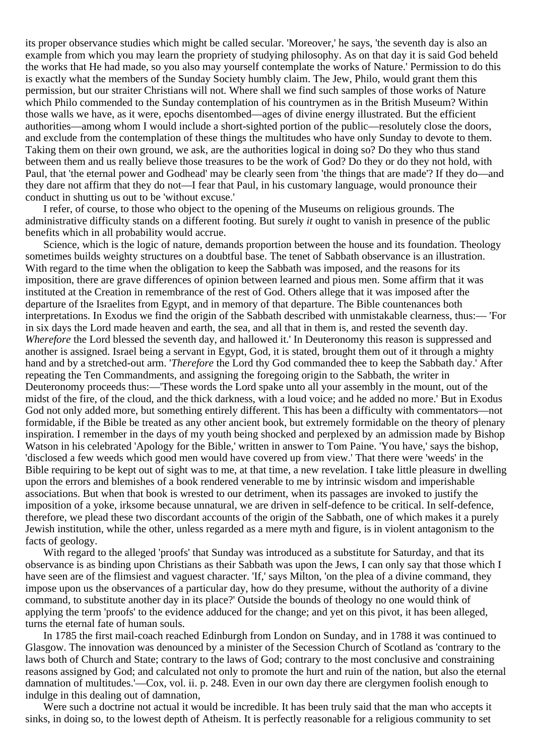its proper observance studies which might be called secular. 'Moreover,' he says, 'the seventh day is also an example from which you may learn the propriety of studying philosophy. As on that day it is said God beheld the works that He had made, so you also may yourself contemplate the works of Nature.' Permission to do this is exactly what the members of the Sunday Society humbly claim. The Jew, Philo, would grant them this permission, but our straiter Christians will not. Where shall we find such samples of those works of Nature which Philo commended to the Sunday contemplation of his countrymen as in the British Museum? Within those walls we have, as it were, epochs disentombed—ages of divine energy illustrated. But the efficient authorities—among whom I would include a short-sighted portion of the public—resolutely close the doors, and exclude from the contemplation of these things the multitudes who have only Sunday to devote to them. Taking them on their own ground, we ask, are the authorities logical in doing so? Do they who thus stand between them and us really believe those treasures to be the work of God? Do they or do they not hold, with Paul, that 'the eternal power and Godhead' may be clearly seen from 'the things that are made'? If they do—and they dare not affirm that they do not—I fear that Paul, in his customary language, would pronounce their conduct in shutting us out to be 'without excuse.'

I refer, of course, to those who object to the opening of the Museums on religious grounds. The administrative difficulty stands on a different footing. But surely *it* ought to vanish in presence of the public benefits which in all probability would accrue.

Science, which is the logic of nature, demands proportion between the house and its foundation. Theology sometimes builds weighty structures on a doubtful base. The tenet of Sabbath observance is an illustration. With regard to the time when the obligation to keep the Sabbath was imposed, and the reasons for its imposition, there are grave differences of opinion between learned and pious men. Some affirm that it was instituted at the Creation in remembrance of the rest of God. Others allege that it was imposed after the departure of the Israelites from Egypt, and in memory of that departure. The Bible countenances both interpretations. In Exodus we find the origin of the Sabbath described with unmistakable clearness, thus:— 'For in six days the Lord made heaven and earth, the sea, and all that in them is, and rested the seventh day. *Wherefore* the Lord blessed the seventh day, and hallowed it.' In Deuteronomy this reason is suppressed and another is assigned. Israel being a servant in Egypt, God, it is stated, brought them out of it through a mighty hand and by a stretched-out arm. '*Therefore* the Lord thy God commanded thee to keep the Sabbath day.' After repeating the Ten Commandments, and assigning the foregoing origin to the Sabbath, the writer in Deuteronomy proceeds thus:—'These words the Lord spake unto all your assembly in the mount, out of the midst of the fire, of the cloud, and the thick darkness, with a loud voice; and he added no more.' But in Exodus God not only added more, but something entirely different. This has been a difficulty with commentators—not formidable, if the Bible be treated as any other ancient book, but extremely formidable on the theory of plenary inspiration. I remember in the days of my youth being shocked and perplexed by an admission made by Bishop Watson in his celebrated 'Apology for the Bible,' written in answer to Tom Paine. 'You have,' says the bishop, 'disclosed a few weeds which good men would have covered up from view.' That there were 'weeds' in the Bible requiring to be kept out of sight was to me, at that time, a new revelation. I take little pleasure in dwelling upon the errors and blemishes of a book rendered venerable to me by intrinsic wisdom and imperishable associations. But when that book is wrested to our detriment, when its passages are invoked to justify the imposition of a yoke, irksome because unnatural, we are driven in self-defence to be critical. In self-defence, therefore, we plead these two discordant accounts of the origin of the Sabbath, one of which makes it a purely Jewish institution, while the other, unless regarded as a mere myth and figure, is in violent antagonism to the facts of geology.

With regard to the alleged 'proofs' that Sunday was introduced as a substitute for Saturday, and that its observance is as binding upon Christians as their Sabbath was upon the Jews, I can only say that those which I have seen are of the flimsiest and vaguest character. 'If,' says Milton, 'on the plea of a divine command, they impose upon us the observances of a particular day, how do they presume, without the authority of a divine command, to substitute another day in its place?' Outside the bounds of theology no one would think of applying the term 'proofs' to the evidence adduced for the change; and yet on this pivot, it has been alleged, turns the eternal fate of human souls.

In 1785 the first mail-coach reached Edinburgh from London on Sunday, and in 1788 it was continued to Glasgow. The innovation was denounced by a minister of the Secession Church of Scotland as 'contrary to the laws both of Church and State; contrary to the laws of God; contrary to the most conclusive and constraining reasons assigned by God; and calculated not only to promote the hurt and ruin of the nation, but also the eternal damnation of multitudes.'—Cox, vol. ii. p. 248. Even in our own day there are clergymen foolish enough to indulge in this dealing out of damnation,

Were such a doctrine not actual it would be incredible. It has been truly said that the man who accepts it sinks, in doing so, to the lowest depth of Atheism. It is perfectly reasonable for a religious community to set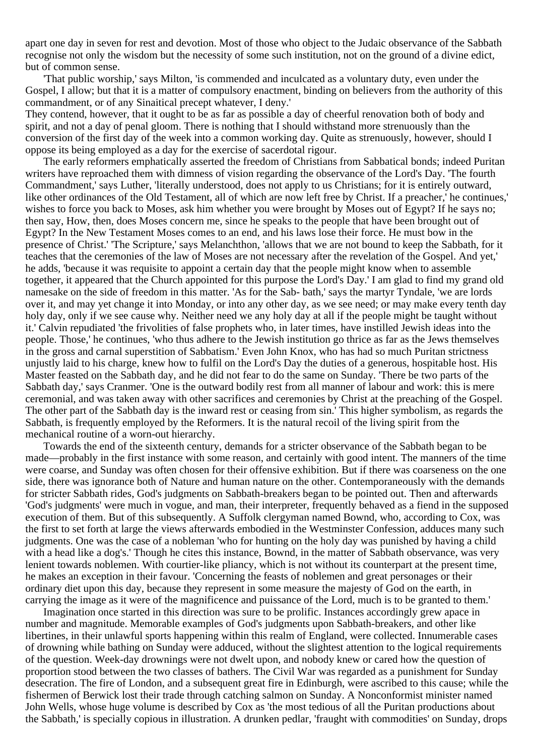apart one day in seven for rest and devotion. Most of those who object to the Judaic observance of the Sabbath recognise not only the wisdom but the necessity of some such institution, not on the ground of a divine edict, but of common sense.

'That public worship,' says Milton, 'is commended and inculcated as a voluntary duty, even under the Gospel, I allow; but that it is a matter of compulsory enactment, binding on believers from the authority of this commandment, or of any Sinaitical precept whatever, I deny.'

They contend, however, that it ought to be as far as possible a day of cheerful renovation both of body and spirit, and not a day of penal gloom. There is nothing that I should withstand more strenuously than the conversion of the first day of the week into a common working day. Quite as strenuously, however, should I oppose its being employed as a day for the exercise of sacerdotal rigour.

The early reformers emphatically asserted the freedom of Christians from Sabbatical bonds; indeed Puritan writers have reproached them with dimness of vision regarding the observance of the Lord's Day. 'The fourth Commandment,' says Luther, 'literally understood, does not apply to us Christians; for it is entirely outward, like other ordinances of the Old Testament, all of which are now left free by Christ. If a preacher,' he continues,' wishes to force you back to Moses, ask him whether you were brought by Moses out of Egypt? If he says no; then say, How, then, does Moses concern me, since he speaks to the people that have been brought out of Egypt? In the New Testament Moses comes to an end, and his laws lose their force. He must bow in the presence of Christ.' 'The Scripture,' says Melanchthon, 'allows that we are not bound to keep the Sabbath, for it teaches that the ceremonies of the law of Moses are not necessary after the revelation of the Gospel. And yet,' he adds, 'because it was requisite to appoint a certain day that the people might know when to assemble together, it appeared that the Church appointed for this purpose the Lord's Day.' I am glad to find my grand old namesake on the side of freedom in this matter. 'As for the Sab- bath,' says the martyr Tyndale, 'we are lords over it, and may yet change it into Monday, or into any other day, as we see need; or may make every tenth day holy day, only if we see cause why. Neither need we any holy day at all if the people might be taught without it.' Calvin repudiated 'the frivolities of false prophets who, in later times, have instilled Jewish ideas into the people. Those,' he continues, 'who thus adhere to the Jewish institution go thrice as far as the Jews themselves in the gross and carnal superstition of Sabbatism.' Even John Knox, who has had so much Puritan strictness unjustly laid to his charge, knew how to fulfil on the Lord's Day the duties of a generous, hospitable host. His Master feasted on the Sabbath day, and he did not fear to do the same on Sunday. 'There be two parts of the Sabbath day,' says Cranmer. 'One is the outward bodily rest from all manner of labour and work: this is mere ceremonial, and was taken away with other sacrifices and ceremonies by Christ at the preaching of the Gospel. The other part of the Sabbath day is the inward rest or ceasing from sin.' This higher symbolism, as regards the Sabbath, is frequently employed by the Reformers. It is the natural recoil of the living spirit from the mechanical routine of a worn-out hierarchy.

Towards the end of the sixteenth century, demands for a stricter observance of the Sabbath began to be made—probably in the first instance with some reason, and certainly with good intent. The manners of the time were coarse, and Sunday was often chosen for their offensive exhibition. But if there was coarseness on the one side, there was ignorance both of Nature and human nature on the other. Contemporaneously with the demands for stricter Sabbath rides, God's judgments on Sabbath-breakers began to be pointed out. Then and afterwards 'God's judgments' were much in vogue, and man, their interpreter, frequently behaved as a fiend in the supposed execution of them. But of this subsequently. A Suffolk clergyman named Bownd, who, according to Cox, was the first to set forth at large the views afterwards embodied in the Westminster Confession, adduces many such judgments. One was the case of a nobleman 'who for hunting on the holy day was punished by having a child with a head like a dog's.' Though he cites this instance, Bownd, in the matter of Sabbath observance, was very lenient towards noblemen. With courtier-like pliancy, which is not without its counterpart at the present time, he makes an exception in their favour. 'Concerning the feasts of noblemen and great personages or their ordinary diet upon this day, because they represent in some measure the majesty of God on the earth, in carrying the image as it were of the magnificence and puissance of the Lord, much is to be granted to them.'

Imagination once started in this direction was sure to be prolific. Instances accordingly grew apace in number and magnitude. Memorable examples of God's judgments upon Sabbath-breakers, and other like libertines, in their unlawful sports happening within this realm of England, were collected. Innumerable cases of drowning while bathing on Sunday were adduced, without the slightest attention to the logical requirements of the question. Week-day drownings were not dwelt upon, and nobody knew or cared how the question of proportion stood between the two classes of bathers. The Civil War was regarded as a punishment for Sunday desecration. The fire of London, and a subsequent great fire in Edinburgh, were ascribed to this cause; while the fishermen of Berwick lost their trade through catching salmon on Sunday. A Nonconformist minister named John Wells, whose huge volume is described by Cox as 'the most tedious of all the Puritan productions about the Sabbath,' is specially copious in illustration. A drunken pedlar, 'fraught with commodities' on Sunday, drops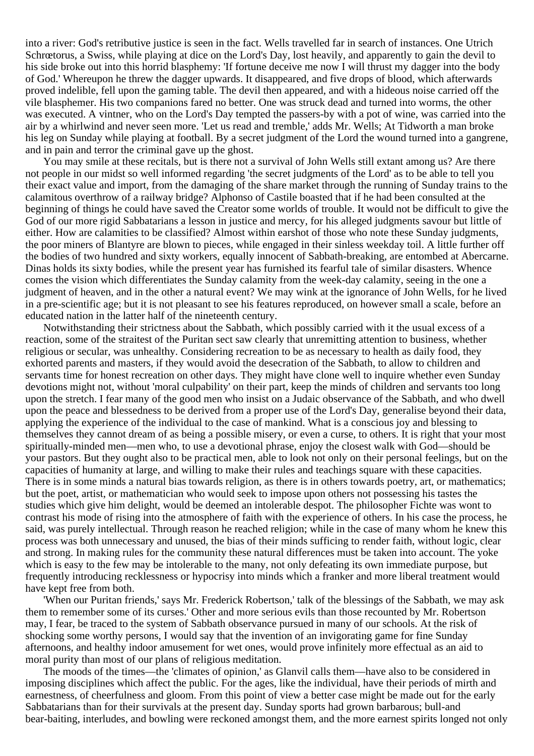into a river: God's retributive justice is seen in the fact. Wells travelled far in search of instances. One Utrich Schrœtorus, a Swiss, while playing at dice on the Lord's Day, lost heavily, and apparently to gain the devil to his side broke out into this horrid blasphemy: 'If fortune deceive me now I will thrust my dagger into the body of God.' Whereupon he threw the dagger upwards. It disappeared, and five drops of blood, which afterwards proved indelible, fell upon the gaming table. The devil then appeared, and with a hideous noise carried off the vile blasphemer. His two companions fared no better. One was struck dead and turned into worms, the other was executed. A vintner, who on the Lord's Day tempted the passers-by with a pot of wine, was carried into the air by a whirlwind and never seen more. 'Let us read and tremble,' adds Mr. Wells; At Tidworth a man broke his leg on Sunday while playing at football. By a secret judgment of the Lord the wound turned into a gangrene, and in pain and terror the criminal gave up the ghost.

You may smile at these recitals, but is there not a survival of John Wells still extant among us? Are there not people in our midst so well informed regarding 'the secret judgments of the Lord' as to be able to tell you their exact value and import, from the damaging of the share market through the running of Sunday trains to the calamitous overthrow of a railway bridge? Alphonso of Castile boasted that if he had been consulted at the beginning of things he could have saved the Creator some worlds of trouble. It would not be difficult to give the God of our more rigid Sabbatarians a lesson in justice and mercy, for his alleged judgments savour but little of either. How are calamities to be classified? Almost within earshot of those who note these Sunday judgments, the poor miners of Blantyre are blown to pieces, while engaged in their sinless weekday toil. A little further off the bodies of two hundred and sixty workers, equally innocent of Sabbath-breaking, are entombed at Abercarne. Dinas holds its sixty bodies, while the present year has furnished its fearful tale of similar disasters. Whence comes the vision which differentiates the Sunday calamity from the week-day calamity, seeing in the one a judgment of heaven, and in the other a natural event? We may wink at the ignorance of John Wells, for he lived in a pre-scientific age; but it is not pleasant to see his features reproduced, on however small a scale, before an educated nation in the latter half of the nineteenth century.

Notwithstanding their strictness about the Sabbath, which possibly carried with it the usual excess of a reaction, some of the straitest of the Puritan sect saw clearly that unremitting attention to business, whether religious or secular, was unhealthy. Considering recreation to be as necessary to health as daily food, they exhorted parents and masters, if they would avoid the desecration of the Sabbath, to allow to children and servants time for honest recreation on other days. They might have clone well to inquire whether even Sunday devotions might not, without 'moral culpability' on their part, keep the minds of children and servants too long upon the stretch. I fear many of the good men who insist on a Judaic observance of the Sabbath, and who dwell upon the peace and blessedness to be derived from a proper use of the Lord's Day, generalise beyond their data, applying the experience of the individual to the case of mankind. What is a conscious joy and blessing to themselves they cannot dream of as being a possible misery, or even a curse, to others. It is right that your most spiritually-minded men—men who, to use a devotional phrase, enjoy the closest walk with God—should be your pastors. But they ought also to be practical men, able to look not only on their personal feelings, but on the capacities of humanity at large, and willing to make their rules and teachings square with these capacities. There is in some minds a natural bias towards religion, as there is in others towards poetry, art, or mathematics; but the poet, artist, or mathematician who would seek to impose upon others not possessing his tastes the studies which give him delight, would be deemed an intolerable despot. The philosopher Fichte was wont to contrast his mode of rising into the atmosphere of faith with the experience of others. In his case the process, he said, was purely intellectual. Through reason he reached religion; while in the case of many whom he knew this process was both unnecessary and unused, the bias of their minds sufficing to render faith, without logic, clear and strong. In making rules for the community these natural differences must be taken into account. The yoke which is easy to the few may be intolerable to the many, not only defeating its own immediate purpose, but frequently introducing recklessness or hypocrisy into minds which a franker and more liberal treatment would have kept free from both.

'When our Puritan friends,' says Mr. Frederick Robertson,' talk of the blessings of the Sabbath, we may ask them to remember some of its curses.' Other and more serious evils than those recounted by Mr. Robertson may, I fear, be traced to the system of Sabbath observance pursued in many of our schools. At the risk of shocking some worthy persons, I would say that the invention of an invigorating game for fine Sunday afternoons, and healthy indoor amusement for wet ones, would prove infinitely more effectual as an aid to moral purity than most of our plans of religious meditation.

The moods of the times—the 'climates of opinion,' as Glanvil calls them—have also to be considered in imposing disciplines which affect the public. For the ages, like the individual, have their periods of mirth and earnestness, of cheerfulness and gloom. From this point of view a better case might be made out for the early Sabbatarians than for their survivals at the present day. Sunday sports had grown barbarous; bull-and bear-baiting, interludes, and bowling were reckoned amongst them, and the more earnest spirits longed not only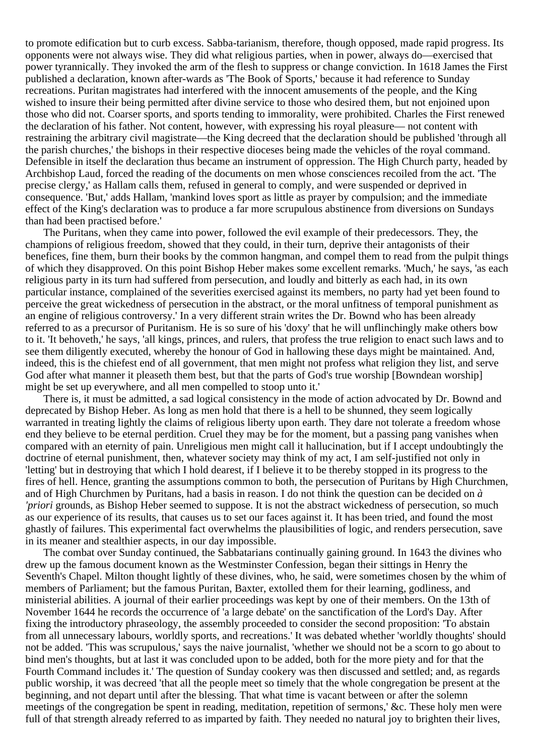to promote edification but to curb excess. Sabba-tarianism, therefore, though opposed, made rapid progress. Its opponents were not always wise. They did what religious parties, when in power, always do—exercised that power tyrannically. They invoked the arm of the flesh to suppress or change conviction. In 1618 James the First published a declaration, known after-wards as 'The Book of Sports,' because it had reference to Sunday recreations. Puritan magistrates had interfered with the innocent amusements of the people, and the King wished to insure their being permitted after divine service to those who desired them, but not enjoined upon those who did not. Coarser sports, and sports tending to immorality, were prohibited. Charles the First renewed the declaration of his father. Not content, however, with expressing his royal pleasure— not content with restraining the arbitrary civil magistrate—the King decreed that the declaration should be published 'through all the parish churches,' the bishops in their respective dioceses being made the vehicles of the royal command. Defensible in itself the declaration thus became an instrument of oppression. The High Church party, headed by Archbishop Laud, forced the reading of the documents on men whose consciences recoiled from the act. 'The precise clergy,' as Hallam calls them, refused in general to comply, and were suspended or deprived in consequence. 'But,' adds Hallam, 'mankind loves sport as little as prayer by compulsion; and the immediate effect of the King's declaration was to produce a far more scrupulous abstinence from diversions on Sundays than had been practised before.'

The Puritans, when they came into power, followed the evil example of their predecessors. They, the champions of religious freedom, showed that they could, in their turn, deprive their antagonists of their benefices, fine them, burn their books by the common hangman, and compel them to read from the pulpit things of which they disapproved. On this point Bishop Heber makes some excellent remarks. 'Much,' he says, 'as each religious party in its turn had suffered from persecution, and loudly and bitterly as each had, in its own particular instance, complained of the severities exercised against its members, no party had yet been found to perceive the great wickedness of persecution in the abstract, or the moral unfitness of temporal punishment as an engine of religious controversy.' In a very different strain writes the Dr. Bownd who has been already referred to as a precursor of Puritanism. He is so sure of his 'doxy' that he will unflinchingly make others bow to it. 'It behoveth,' he says, 'all kings, princes, and rulers, that profess the true religion to enact such laws and to see them diligently executed, whereby the honour of God in hallowing these days might be maintained. And, indeed, this is the chiefest end of all government, that men might not profess what religion they list, and serve God after what manner it pleaseth them best, but that the parts of God's true worship [Bowndean worship] might be set up everywhere, and all men compelled to stoop unto it.'

There is, it must be admitted, a sad logical consistency in the mode of action advocated by Dr. Bownd and deprecated by Bishop Heber. As long as men hold that there is a hell to be shunned, they seem logically warranted in treating lightly the claims of religious liberty upon earth. They dare not tolerate a freedom whose end they believe to be eternal perdition. Cruel they may be for the moment, but a passing pang vanishes when compared with an eternity of pain. Unreligious men might call it hallucination, but if I accept undoubtingly the doctrine of eternal punishment, then, whatever society may think of my act. I am self-justified not only in 'letting' but in destroying that which I hold dearest, if I believe it to be thereby stopped in its progress to the fires of hell. Hence, granting the assumptions common to both, the persecution of Puritans by High Churchmen, and of High Churchmen by Puritans, had a basis in reason. I do not think the question can be decided on *à 'priori* grounds, as Bishop Heber seemed to suppose. It is not the abstract wickedness of persecution, so much as our experience of its results, that causes us to set our faces against it. It has been tried, and found the most ghastly of failures. This experimental fact overwhelms the plausibilities of logic, and renders persecution, save in its meaner and stealthier aspects, in our day impossible.

The combat over Sunday continued, the Sabbatarians continually gaining ground. In 1643 the divines who drew up the famous document known as the Westminster Confession, began their sittings in Henry the Seventh's Chapel. Milton thought lightly of these divines, who, he said, were sometimes chosen by the whim of members of Parliament; but the famous Puritan, Baxter, extolled them for their learning, godliness, and ministerial abilities. A journal of their earlier proceedings was kept by one of their members. On the 13th of November 1644 he records the occurrence of 'a large debate' on the sanctification of the Lord's Day. After fixing the introductory phraseology, the assembly proceeded to consider the second proposition: 'To abstain from all unnecessary labours, worldly sports, and recreations.' It was debated whether 'worldly thoughts' should not be added. 'This was scrupulous,' says the naive journalist, 'whether we should not be a scorn to go about to bind men's thoughts, but at last it was concluded upon to be added, both for the more piety and for that the Fourth Command includes it.' The question of Sunday cookery was then discussed and settled; and, as regards public worship, it was decreed 'that all the people meet so timely that the whole congregation be present at the beginning, and not depart until after the blessing. That what time is vacant between or after the solemn meetings of the congregation be spent in reading, meditation, repetition of sermons,' &c. These holy men were full of that strength already referred to as imparted by faith. They needed no natural joy to brighten their lives,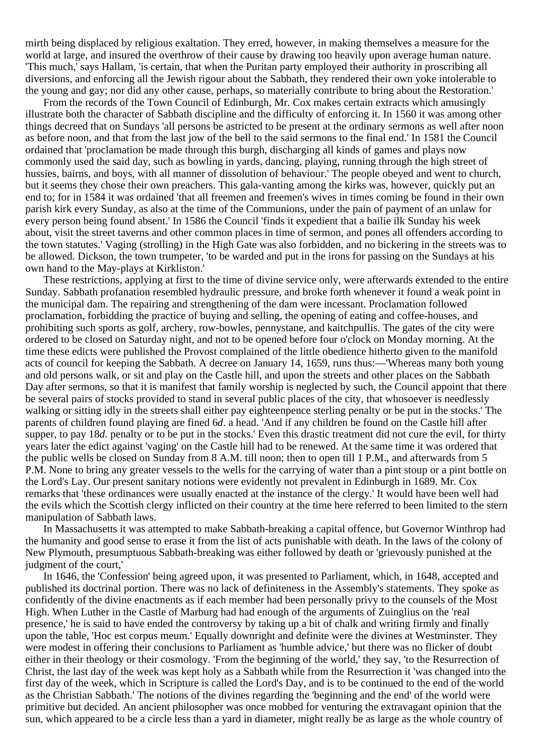mirth being displaced by religious exaltation. They erred, however, in making themselves a measure for the world at large, and insured the overthrow of their cause by drawing too heavily upon average human nature. 'This much,' says Hallam, 'is certain, that when the Puritan party employed their authority in proscribing all diversions, and enforcing all the Jewish rigour about the Sabbath, they rendered their own yoke intolerable to the young and gay; nor did any other cause, perhaps, so materially contribute to bring about the Restoration.'

From the records of the Town Council of Edinburgh, Mr. Cox makes certain extracts which amusingly illustrate both the character of Sabbath discipline and the difficulty of enforcing it. In 1560 it was among other things decreed that on Sundays 'all persons be astricted to be present at the ordinary sermons as well after noon as before noon, and that from the last jow of the bell to the said sermons to the final end.' In 1581 the Council ordained that 'proclamation be made through this burgh, discharging all kinds of games and plays now commonly used the said day, such as bowling in yards, dancing, playing, running through the high street of hussies, bairns, and boys, with all manner of dissolution of behaviour.' The people obeyed and went to church, but it seems they chose their own preachers. This gala-vanting among the kirks was, however, quickly put an end to; for in 1584 it was ordained 'that all freemen and freemen's wives in times coming be found in their own parish kirk every Sunday, as also at the time of the Communions, under the pain of payment of an unlaw for every person being found absent.' In 1586 the Council 'finds it expedient that a bailie ilk Sunday his week about, visit the street taverns and other common places in time of sermon, and pones all offenders according to the town statutes.' Vaging (strolling) in the High Gate was also forbidden, and no bickering in the streets was to be allowed. Dickson, the town trumpeter, 'to be warded and put in the irons for passing on the Sundays at his own hand to the May-plays at Kirkliston.'

These restrictions, applying at first to the time of divine service only, were afterwards extended to the entire Sunday. Sabbath profanation resembled hydraulic pressure, and broke forth whenever it found a weak point in the municipal dam. The repairing and strengthening of the dam were incessant. Proclamation followed proclamation, forbidding the practice of buying and selling, the opening of eating and coffee-houses, and prohibiting such sports as golf, archery, row-bowles, pennystane, and kaitchpullis. The gates of the city were ordered to be closed on Saturday night, and not to be opened before four o'clock on Monday morning. At the time these edicts were published the Provost complained of the little obedience hitherto given to the manifold acts of council for keeping the Sabbath. A decree on January 14, 1659, runs thus:—'Whereas many both young and old persons walk, or sit and play on the Castle hill, and upon the streets and other places on the Sabbath Day after sermons, so that it is manifest that family worship is neglected by such, the Council appoint that there be several pairs of stocks provided to stand in several public places of the city, that whosoever is needlessly walking or sitting idly in the streets shall either pay eighteenpence sterling penalty or be put in the stocks.' The parents of children found playing are fined 6*d*. a head. 'And if any children be found on the Castle hill after supper, to pay 18*d*. penalty or to be put in the stocks.' Even this drastic treatment did not cure the evil, for thirty years later the edict against 'vaging' on the Castle hill had to be renewed. At the same time it was ordered that the public wells be closed on Sunday from 8 A.M. till noon; then to open till 1 P.M., and afterwards from 5 P.M. None to bring any greater vessels to the wells for the carrying of water than a pint stoup or a pint bottle on the Lord's Lay. Our present sanitary notions were evidently not prevalent in Edinburgh in 1689. Mr. Cox remarks that 'these ordinances were usually enacted at the instance of the clergy.' It would have been well had the evils which the Scottish clergy inflicted on their country at the time here referred to been limited to the stern manipulation of Sabbath laws.

In Massachusetts it was attempted to make Sabbath-breaking a capital offence, but Governor Winthrop had the humanity and good sense to erase it from the list of acts punishable with death. In the laws of the colony of New Plymouth, presumptuous Sabbath-breaking was either followed by death or 'grievously punished at the judgment of the court,'

In 1646, the 'Confession' being agreed upon, it was presented to Parliament, which, in 1648, accepted and published its doctrinal portion. There was no lack of definiteness in the Assembly's statements. They spoke as confidently of the divine enactments as if each member had been personally privy to the counsels of the Most High. When Luther in the Castle of Marburg had had enough of the arguments of Zuinglius on the 'real presence,' he is said to have ended the controversy by taking up a bit of chalk and writing firmly and finally upon the table, 'Hoc est corpus meum.' Equally downright and definite were the divines at Westminster. They were modest in offering their conclusions to Parliament as 'humble advice,' but there was no flicker of doubt either in their theology or their cosmology. 'From the beginning of the world,' they say, 'to the Resurrection of Christ, the last day of the week was kept holy as a Sabbath while from the Resurrection it 'was changed into the first day of the week, which in Scripture is called the Lord's Day, and is to be continued to the end of the world as the Christian Sabbath.' The notions of the divines regarding the 'beginning and the end' of the world were primitive but decided. An ancient philosopher was once mobbed for venturing the extravagant opinion that the sun, which appeared to be a circle less than a yard in diameter, might really be as large as the whole country of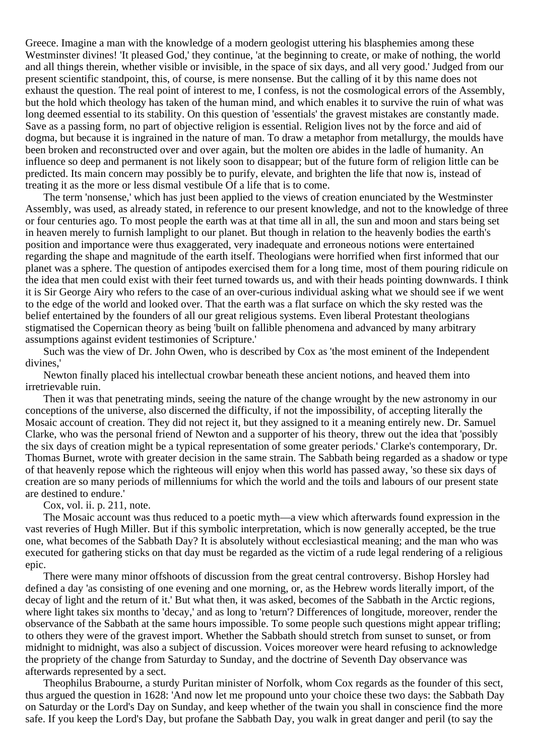Greece. Imagine a man with the knowledge of a modern geologist uttering his blasphemies among these Westminster divines! 'It pleased God,' they continue, 'at the beginning to create, or make of nothing, the world and all things therein, whether visible or invisible, in the space of six days, and all very good.' Judged from our present scientific standpoint, this, of course, is mere nonsense. But the calling of it by this name does not exhaust the question. The real point of interest to me, I confess, is not the cosmological errors of the Assembly, but the hold which theology has taken of the human mind, and which enables it to survive the ruin of what was long deemed essential to its stability. On this question of 'essentials' the gravest mistakes are constantly made. Save as a passing form, no part of objective religion is essential. Religion lives not by the force and aid of dogma, but because it is ingrained in the nature of man. To draw a metaphor from metallurgy, the moulds have been broken and reconstructed over and over again, but the molten ore abides in the ladle of humanity. An influence so deep and permanent is not likely soon to disappear; but of the future form of religion little can be predicted. Its main concern may possibly be to purify, elevate, and brighten the life that now is, instead of treating it as the more or less dismal vestibule Of a life that is to come.

The term 'nonsense,' which has just been applied to the views of creation enunciated by the Westminster Assembly, was used, as already stated, in reference to our present knowledge, and not to the knowledge of three or four centuries ago. To most people the earth was at that time all in all, the sun and moon and stars being set in heaven merely to furnish lamplight to our planet. But though in relation to the heavenly bodies the earth's position and importance were thus exaggerated, very inadequate and erroneous notions were entertained regarding the shape and magnitude of the earth itself. Theologians were horrified when first informed that our planet was a sphere. The question of antipodes exercised them for a long time, most of them pouring ridicule on the idea that men could exist with their feet turned towards us, and with their heads pointing downwards. I think it is Sir George Airy who refers to the case of an over-curious individual asking what we should see if we went to the edge of the world and looked over. That the earth was a flat surface on which the sky rested was the belief entertained by the founders of all our great religious systems. Even liberal Protestant theologians stigmatised the Copernican theory as being 'built on fallible phenomena and advanced by many arbitrary assumptions against evident testimonies of Scripture.'

Such was the view of Dr. John Owen, who is described by Cox as 'the most eminent of the Independent divines,'

Newton finally placed his intellectual crowbar beneath these ancient notions, and heaved them into irretrievable ruin.

Then it was that penetrating minds, seeing the nature of the change wrought by the new astronomy in our conceptions of the universe, also discerned the difficulty, if not the impossibility, of accepting literally the Mosaic account of creation. They did not reject it, but they assigned to it a meaning entirely new. Dr. Samuel Clarke, who was the personal friend of Newton and a supporter of his theory, threw out the idea that 'possibly the six days of creation might be a typical representation of some greater periods.' Clarke's contemporary, Dr. Thomas Burnet, wrote with greater decision in the same strain. The Sabbath being regarded as a shadow or type of that heavenly repose which the righteous will enjoy when this world has passed away, 'so these six days of creation are so many periods of millenniums for which the world and the toils and labours of our present state are destined to endure.'

#### Cox, vol. ii. p. 211, note.

The Mosaic account was thus reduced to a poetic myth—a view which afterwards found expression in the vast reveries of Hugh Miller. But if this symbolic interpretation, which is now generally accepted, be the true one, what becomes of the Sabbath Day? It is absolutely without ecclesiastical meaning; and the man who was executed for gathering sticks on that day must be regarded as the victim of a rude legal rendering of a religious epic.

There were many minor offshoots of discussion from the great central controversy. Bishop Horsley had defined a day 'as consisting of one evening and one morning, or, as the Hebrew words literally import, of the decay of light and the return of it.' But what then, it was asked, becomes of the Sabbath in the Arctic regions, where light takes six months to 'decay,' and as long to 'return'? Differences of longitude, moreover, render the observance of the Sabbath at the same hours impossible. To some people such questions might appear trifling; to others they were of the gravest import. Whether the Sabbath should stretch from sunset to sunset, or from midnight to midnight, was also a subject of discussion. Voices moreover were heard refusing to acknowledge the propriety of the change from Saturday to Sunday, and the doctrine of Seventh Day observance was afterwards represented by a sect.

Theophilus Brabourne, a sturdy Puritan minister of Norfolk, whom Cox regards as the founder of this sect, thus argued the question in 1628: 'And now let me propound unto your choice these two days: the Sabbath Day on Saturday or the Lord's Day on Sunday, and keep whether of the twain you shall in conscience find the more safe. If you keep the Lord's Day, but profane the Sabbath Day, you walk in great danger and peril (to say the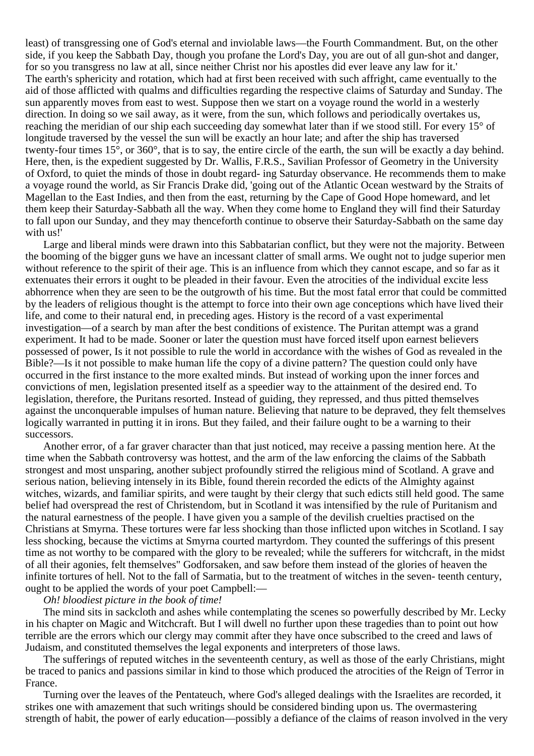least) of transgressing one of God's eternal and inviolable laws—the Fourth Commandment. But, on the other side, if you keep the Sabbath Day, though you profane the Lord's Day, you are out of all gun-shot and danger, for so you transgress no law at all, since neither Christ nor his apostles did ever leave any law for it.' The earth's sphericity and rotation, which had at first been received with such affright, came eventually to the aid of those afflicted with qualms and difficulties regarding the respective claims of Saturday and Sunday. The sun apparently moves from east to west. Suppose then we start on a voyage round the world in a westerly direction. In doing so we sail away, as it were, from the sun, which follows and periodically overtakes us, reaching the meridian of our ship each succeeding day somewhat later than if we stood still. For every 15° of longitude traversed by the vessel the sun will be exactly an hour late; and after the ship has traversed twenty-four times 15°, or 360°, that is to say, the entire circle of the earth, the sun will be exactly a day behind. Here, then, is the expedient suggested by Dr. Wallis, F.R.S., Savilian Professor of Geometry in the University of Oxford, to quiet the minds of those in doubt regard- ing Saturday observance. He recommends them to make a voyage round the world, as Sir Francis Drake did, 'going out of the Atlantic Ocean westward by the Straits of Magellan to the East Indies, and then from the east, returning by the Cape of Good Hope homeward, and let them keep their Saturday-Sabbath all the way. When they come home to England they will find their Saturday to fall upon our Sunday, and they may thenceforth continue to observe their Saturday-Sabbath on the same day with us!'

Large and liberal minds were drawn into this Sabbatarian conflict, but they were not the majority. Between the booming of the bigger guns we have an incessant clatter of small arms. We ought not to judge superior men without reference to the spirit of their age. This is an influence from which they cannot escape, and so far as it extenuates their errors it ought to be pleaded in their favour. Even the atrocities of the individual excite less abhorrence when they are seen to be the outgrowth of his time. But the most fatal error that could be committed by the leaders of religious thought is the attempt to force into their own age conceptions which have lived their life, and come to their natural end, in preceding ages. History is the record of a vast experimental investigation—of a search by man after the best conditions of existence. The Puritan attempt was a grand experiment. It had to be made. Sooner or later the question must have forced itself upon earnest believers possessed of power, Is it not possible to rule the world in accordance with the wishes of God as revealed in the Bible?—Is it not possible to make human life the copy of a divine pattern? The question could only have occurred in the first instance to the more exalted minds. But instead of working upon the inner forces and convictions of men, legislation presented itself as a speedier way to the attainment of the desired end. To legislation, therefore, the Puritans resorted. Instead of guiding, they repressed, and thus pitted themselves against the unconquerable impulses of human nature. Believing that nature to be depraved, they felt themselves logically warranted in putting it in irons. But they failed, and their failure ought to be a warning to their successors.

Another error, of a far graver character than that just noticed, may receive a passing mention here. At the time when the Sabbath controversy was hottest, and the arm of the law enforcing the claims of the Sabbath strongest and most unsparing, another subject profoundly stirred the religious mind of Scotland. A grave and serious nation, believing intensely in its Bible, found therein recorded the edicts of the Almighty against witches, wizards, and familiar spirits, and were taught by their clergy that such edicts still held good. The same belief had overspread the rest of Christendom, but in Scotland it was intensified by the rule of Puritanism and the natural earnestness of the people. I have given you a sample of the devilish cruelties practised on the Christians at Smyrna. These tortures were far less shocking than those inflicted upon witches in Scotland. I say less shocking, because the victims at Smyrna courted martyrdom. They counted the sufferings of this present time as not worthy to be compared with the glory to be revealed; while the sufferers for witchcraft, in the midst of all their agonies, felt themselves" Godforsaken, and saw before them instead of the glories of heaven the infinite tortures of hell. Not to the fall of Sarmatia, but to the treatment of witches in the seven- teenth century, ought to be applied the words of your poet Campbell:—

#### *Oh! bloodiest picture in the book of time!*

The mind sits in sackcloth and ashes while contemplating the scenes so powerfully described by Mr. Lecky in his chapter on Magic and Witchcraft. But I will dwell no further upon these tragedies than to point out how terrible are the errors which our clergy may commit after they have once subscribed to the creed and laws of Judaism, and constituted themselves the legal exponents and interpreters of those laws.

The sufferings of reputed witches in the seventeenth century, as well as those of the early Christians, might be traced to panics and passions similar in kind to those which produced the atrocities of the Reign of Terror in France.

Turning over the leaves of the Pentateuch, where God's alleged dealings with the Israelites are recorded, it strikes one with amazement that such writings should be considered binding upon us. The overmastering strength of habit, the power of early education—possibly a defiance of the claims of reason involved in the very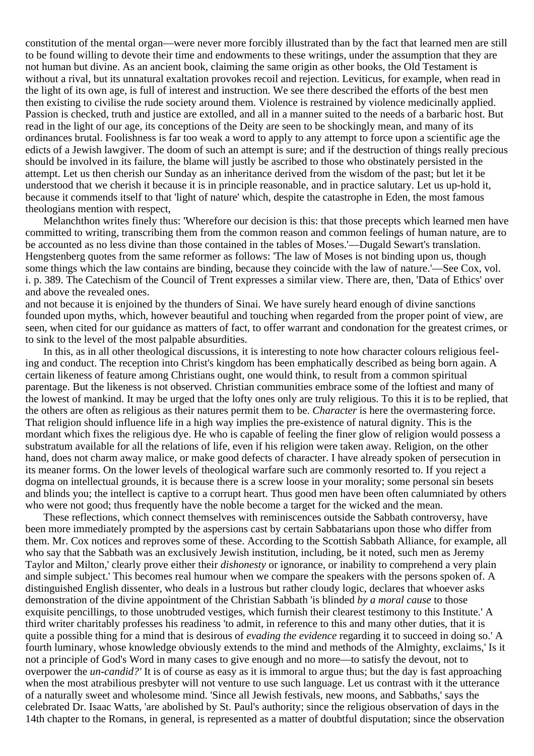constitution of the mental organ—were never more forcibly illustrated than by the fact that learned men are still to be found willing to devote their time and endowments to these writings, under the assumption that they are not human but divine. As an ancient book, claiming the same origin as other books, the Old Testament is without a rival, but its unnatural exaltation provokes recoil and rejection. Leviticus, for example, when read in the light of its own age, is full of interest and instruction. We see there described the efforts of the best men then existing to civilise the rude society around them. Violence is restrained by violence medicinally applied. Passion is checked, truth and justice are extolled, and all in a manner suited to the needs of a barbaric host. But read in the light of our age, its conceptions of the Deity are seen to be shockingly mean, and many of its ordinances brutal. Foolishness is far too weak a word to apply to any attempt to force upon a scientific age the edicts of a Jewish lawgiver. The doom of such an attempt is sure; and if the destruction of things really precious should be involved in its failure, the blame will justly be ascribed to those who obstinately persisted in the attempt. Let us then cherish our Sunday as an inheritance derived from the wisdom of the past; but let it be understood that we cherish it because it is in principle reasonable, and in practice salutary. Let us up-hold it, because it commends itself to that 'light of nature' which, despite the catastrophe in Eden, the most famous theologians mention with respect,

Melanchthon writes finely thus: 'Wherefore our decision is this: that those precepts which learned men have committed to writing, transcribing them from the common reason and common feelings of human nature, are to be accounted as no less divine than those contained in the tables of Moses.'—Dugald Sewart's translation. Hengstenberg quotes from the same reformer as follows: 'The law of Moses is not binding upon us, though some things which the law contains are binding, because they coincide with the law of nature.'—See Cox, vol. i. p. 389. The Catechism of the Council of Trent expresses a similar view. There are, then, 'Data of Ethics' over and above the revealed ones.

and not because it is enjoined by the thunders of Sinai. We have surely heard enough of divine sanctions founded upon myths, which, however beautiful and touching when regarded from the proper point of view, are seen, when cited for our guidance as matters of fact, to offer warrant and condonation for the greatest crimes, or to sink to the level of the most palpable absurdities.

In this, as in all other theological discussions, it is interesting to note how character colours religious feeling and conduct. The reception into Christ's kingdom has been emphatically described as being born again. A certain likeness of feature among Christians ought, one would think, to result from a common spiritual parentage. But the likeness is not observed. Christian communities embrace some of the loftiest and many of the lowest of mankind. It may be urged that the lofty ones only are truly religious. To this it is to be replied, that the others are often as religious as their natures permit them to be. *Character* is here the overmastering force. That religion should influence life in a high way implies the pre-existence of natural dignity. This is the mordant which fixes the religious dye. He who is capable of feeling the finer glow of religion would possess a substratum available for all the relations of life, even if his religion were taken away. Religion, on the other hand, does not charm away malice, or make good defects of character. I have already spoken of persecution in its meaner forms. On the lower levels of theological warfare such are commonly resorted to. If you reject a dogma on intellectual grounds, it is because there is a screw loose in your morality; some personal sin besets and blinds you; the intellect is captive to a corrupt heart. Thus good men have been often calumniated by others who were not good; thus frequently have the noble become a target for the wicked and the mean.

These reflections, which connect themselves with reminiscences outside the Sabbath controversy, have been more immediately prompted by the aspersions cast by certain Sabbatarians upon those who differ from them. Mr. Cox notices and reproves some of these. According to the Scottish Sabbath Alliance, for example, all who say that the Sabbath was an exclusively Jewish institution, including, be it noted, such men as Jeremy Taylor and Milton,' clearly prove either their *dishonesty* or ignorance, or inability to comprehend a very plain and simple subject.' This becomes real humour when we compare the speakers with the persons spoken of. A distinguished English dissenter, who deals in a lustrous but rather cloudy logic, declares that whoever asks demonstration of the divine appointment of the Christian Sabbath 'is blinded *by a moral cause* to those exquisite pencillings, to those unobtruded vestiges, which furnish their clearest testimony to this Institute.' A third writer charitably professes his readiness 'to admit, in reference to this and many other duties, that it is quite a possible thing for a mind that is desirous of *evading the evidence* regarding it to succeed in doing so.' A fourth luminary, whose knowledge obviously extends to the mind and methods of the Almighty, exclaims,' Is it not a principle of God's Word in many cases to give enough and no more—to satisfy the devout, not to overpower the *un-candid?'* It is of course as easy as it is immoral to argue thus; but the day is fast approaching when the most atrabilious presbyter will not venture to use such language. Let us contrast with it the utterance of a naturally sweet and wholesome mind. 'Since all Jewish festivals, new moons, and Sabbaths,' says the celebrated Dr. Isaac Watts, 'are abolished by St. Paul's authority; since the religious observation of days in the 14th chapter to the Romans, in general, is represented as a matter of doubtful disputation; since the observation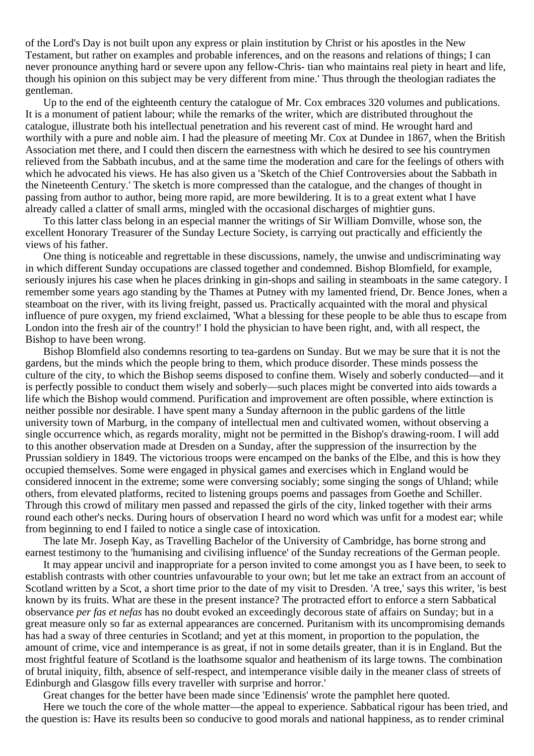of the Lord's Day is not built upon any express or plain institution by Christ or his apostles in the New Testament, but rather on examples and probable inferences, and on the reasons and relations of things; I can never pronounce anything hard or severe upon any fellow-Chris- tian who maintains real piety in heart and life, though his opinion on this subject may be very different from mine.' Thus through the theologian radiates the gentleman.

Up to the end of the eighteenth century the catalogue of Mr. Cox embraces 320 volumes and publications. It is a monument of patient labour; while the remarks of the writer, which are distributed throughout the catalogue, illustrate both his intellectual penetration and his reverent cast of mind. He wrought hard and worthily with a pure and noble aim. I had the pleasure of meeting Mr. Cox at Dundee in 1867, when the British Association met there, and I could then discern the earnestness with which he desired to see his countrymen relieved from the Sabbath incubus, and at the same time the moderation and care for the feelings of others with which he advocated his views. He has also given us a 'Sketch of the Chief Controversies about the Sabbath in the Nineteenth Century.' The sketch is more compressed than the catalogue, and the changes of thought in passing from author to author, being more rapid, are more bewildering. It is to a great extent what I have already called a clatter of small arms, mingled with the occasional discharges of mightier guns.

To this latter class belong in an especial manner the writings of Sir William Domville, whose son, the excellent Honorary Treasurer of the Sunday Lecture Society, is carrying out practically and efficiently the views of his father.

One thing is noticeable and regrettable in these discussions, namely, the unwise and undiscriminating way in which different Sunday occupations are classed together and condemned. Bishop Blomfield, for example, seriously injures his case when he places drinking in gin-shops and sailing in steamboats in the same category. I remember some years ago standing by the Thames at Putney with my lamented friend, Dr. Bence Jones, when a steamboat on the river, with its living freight, passed us. Practically acquainted with the moral and physical influence of pure oxygen, my friend exclaimed, 'What a blessing for these people to be able thus to escape from London into the fresh air of the country!' I hold the physician to have been right, and, with all respect, the Bishop to have been wrong.

Bishop Blomfield also condemns resorting to tea-gardens on Sunday. But we may be sure that it is not the gardens, but the minds which the people bring to them, which produce disorder. These minds possess the culture of the city, to which the Bishop seems disposed to confine them. Wisely and soberly conducted—and it is perfectly possible to conduct them wisely and soberly—such places might be converted into aids towards a life which the Bishop would commend. Purification and improvement are often possible, where extinction is neither possible nor desirable. I have spent many a Sunday afternoon in the public gardens of the little university town of Marburg, in the company of intellectual men and cultivated women, without observing a single occurrence which, as regards morality, might not be permitted in the Bishop's drawing-room. I will add to this another observation made at Dresden on a Sunday, after the suppression of the insurrection by the Prussian soldiery in 1849. The victorious troops were encamped on the banks of the Elbe, and this is how they occupied themselves. Some were engaged in physical games and exercises which in England would be considered innocent in the extreme; some were conversing sociably; some singing the songs of Uhland; while others, from elevated platforms, recited to listening groups poems and passages from Goethe and Schiller. Through this crowd of military men passed and repassed the girls of the city, linked together with their arms round each other's necks. During hours of observation I heard no word which was unfit for a modest ear; while from beginning to end I failed to notice a single case of intoxication.

The late Mr. Joseph Kay, as Travelling Bachelor of the University of Cambridge, has borne strong and earnest testimony to the 'humanising and civilising influence' of the Sunday recreations of the German people.

It may appear uncivil and inappropriate for a person invited to come amongst you as I have been, to seek to establish contrasts with other countries unfavourable to your own; but let me take an extract from an account of Scotland written by a Scot, a short time prior to the date of my visit to Dresden. 'A tree,' says this writer, 'is best known by its fruits. What are these in the present instance? The protracted effort to enforce a stern Sabbatical observance *per fas et nefas* has no doubt evoked an exceedingly decorous state of affairs on Sunday; but in a great measure only so far as external appearances are concerned. Puritanism with its uncompromising demands has had a sway of three centuries in Scotland; and yet at this moment, in proportion to the population, the amount of crime, vice and intemperance is as great, if not in some details greater, than it is in England. But the most frightful feature of Scotland is the loathsome squalor and heathenism of its large towns. The combination of brutal iniquity, filth, absence of self-respect, and intemperance visible daily in the meaner class of streets of Edinburgh and Glasgow fills every traveller with surprise and horror.'

Great changes for the better have been made since 'Edinensis' wrote the pamphlet here quoted.

Here we touch the core of the whole matter—the appeal to experience. Sabbatical rigour has been tried, and the question is: Have its results been so conducive to good morals and national happiness, as to render criminal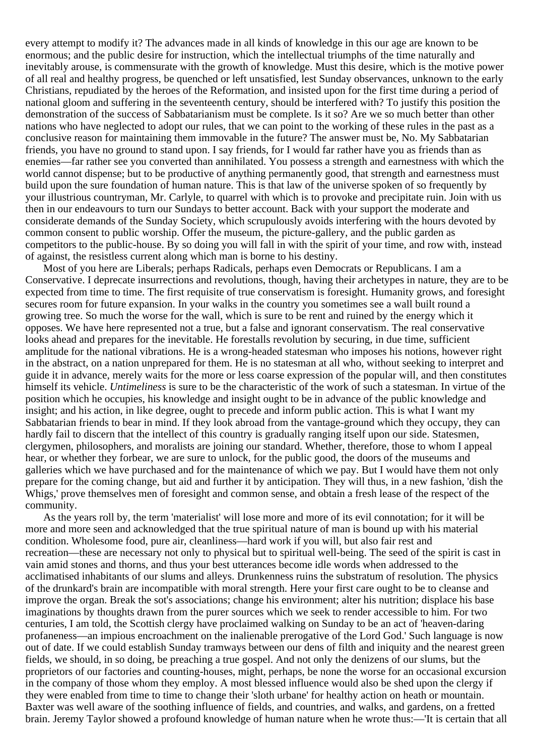every attempt to modify it? The advances made in all kinds of knowledge in this our age are known to be enormous; and the public desire for instruction, which the intellectual triumphs of the time naturally and inevitably arouse, is commensurate with the growth of knowledge. Must this desire, which is the motive power of all real and healthy progress, be quenched or left unsatisfied, lest Sunday observances, unknown to the early Christians, repudiated by the heroes of the Reformation, and insisted upon for the first time during a period of national gloom and suffering in the seventeenth century, should be interfered with? To justify this position the demonstration of the success of Sabbatarianism must be complete. Is it so? Are we so much better than other nations who have neglected to adopt our rules, that we can point to the working of these rules in the past as a conclusive reason for maintaining them immovable in the future? The answer must be, No. My Sabbatarian friends, you have no ground to stand upon. I say friends, for I would far rather have you as friends than as enemies—far rather see you converted than annihilated. You possess a strength and earnestness with which the world cannot dispense; but to be productive of anything permanently good, that strength and earnestness must build upon the sure foundation of human nature. This is that law of the universe spoken of so frequently by your illustrious countryman, Mr. Carlyle, to quarrel with which is to provoke and precipitate ruin. Join with us then in our endeavours to turn our Sundays to better account. Back with your support the moderate and considerate demands of the Sunday Society, which scrupulously avoids interfering with the hours devoted by common consent to public worship. Offer the museum, the picture-gallery, and the public garden as competitors to the public-house. By so doing you will fall in with the spirit of your time, and row with, instead of against, the resistless current along which man is borne to his destiny.

Most of you here are Liberals; perhaps Radicals, perhaps even Democrats or Republicans. I am a Conservative. I deprecate insurrections and revolutions, though, having their archetypes in nature, they are to be expected from time to time. The first requisite of true conservatism is foresight. Humanity grows, and foresight secures room for future expansion. In your walks in the country you sometimes see a wall built round a growing tree. So much the worse for the wall, which is sure to be rent and ruined by the energy which it opposes. We have here represented not a true, but a false and ignorant conservatism. The real conservative looks ahead and prepares for the inevitable. He forestalls revolution by securing, in due time, sufficient amplitude for the national vibrations. He is a wrong-headed statesman who imposes his notions, however right in the abstract, on a nation unprepared for them. He is no statesman at all who, without seeking to interpret and guide it in advance, merely waits for the more or less coarse expression of the popular will, and then constitutes himself its vehicle. *Untimeliness* is sure to be the characteristic of the work of such a statesman. In virtue of the position which he occupies, his knowledge and insight ought to be in advance of the public knowledge and insight; and his action, in like degree, ought to precede and inform public action. This is what I want my Sabbatarian friends to bear in mind. If they look abroad from the vantage-ground which they occupy, they can hardly fail to discern that the intellect of this country is gradually ranging itself upon our side. Statesmen, clergymen, philosophers, and moralists are joining our standard. Whether, therefore, those to whom I appeal hear, or whether they forbear, we are sure to unlock, for the public good, the doors of the museums and galleries which we have purchased and for the maintenance of which we pay. But I would have them not only prepare for the coming change, but aid and further it by anticipation. They will thus, in a new fashion, 'dish the Whigs,' prove themselves men of foresight and common sense, and obtain a fresh lease of the respect of the community.

As the years roll by, the term 'materialist' will lose more and more of its evil connotation; for it will be more and more seen and acknowledged that the true spiritual nature of man is bound up with his material condition. Wholesome food, pure air, cleanliness—hard work if you will, but also fair rest and recreation—these are necessary not only to physical but to spiritual well-being. The seed of the spirit is cast in vain amid stones and thorns, and thus your best utterances become idle words when addressed to the acclimatised inhabitants of our slums and alleys. Drunkenness ruins the substratum of resolution. The physics of the drunkard's brain are incompatible with moral strength. Here your first care ought to be to cleanse and improve the organ. Break the sot's associations; change his environment; alter his nutrition; displace his base imaginations by thoughts drawn from the purer sources which we seek to render accessible to him. For two centuries, I am told, the Scottish clergy have proclaimed walking on Sunday to be an act of 'heaven-daring profaneness—an impious encroachment on the inalienable prerogative of the Lord God.' Such language is now out of date. If we could establish Sunday tramways between our dens of filth and iniquity and the nearest green fields, we should, in so doing, be preaching a true gospel. And not only the denizens of our slums, but the proprietors of our factories and counting-houses, might, perhaps, be none the worse for an occasional excursion in the company of those whom they employ. A most blessed influence would also be shed upon the clergy if they were enabled from time to time to change their 'sloth urbane' for healthy action on heath or mountain. Baxter was well aware of the soothing influence of fields, and countries, and walks, and gardens, on a fretted brain. Jeremy Taylor showed a profound knowledge of human nature when he wrote thus:—'It is certain that all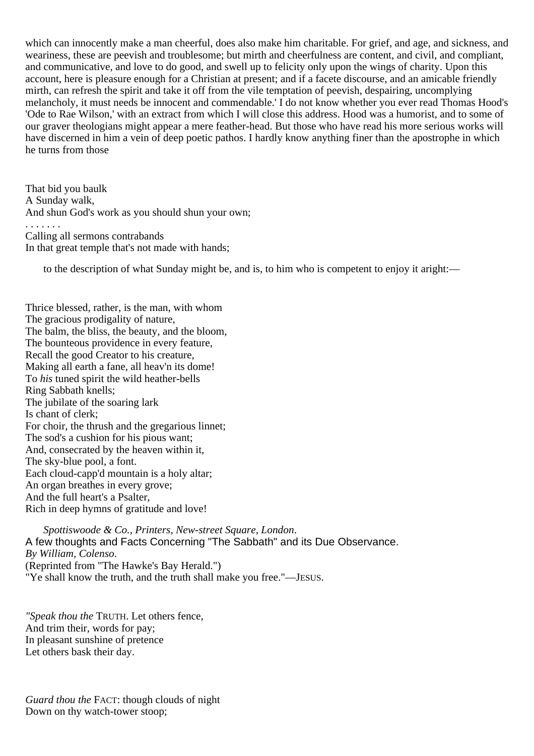which can innocently make a man cheerful, does also make him charitable. For grief, and age, and sickness, and weariness, these are peevish and troublesome; but mirth and cheerfulness are content, and civil, and compliant, and communicative, and love to do good, and swell up to felicity only upon the wings of charity. Upon this account, here is pleasure enough for a Christian at present; and if a facete discourse, and an amicable friendly mirth, can refresh the spirit and take it off from the vile temptation of peevish, despairing, uncomplying melancholy, it must needs be innocent and commendable.' I do not know whether you ever read Thomas Hood's 'Ode to Rae Wilson,' with an extract from which I will close this address. Hood was a humorist, and to some of our graver theologians might appear a mere feather-head. But those who have read his more serious works will have discerned in him a vein of deep poetic pathos. I hardly know anything finer than the apostrophe in which he turns from those

That bid you baulk A Sunday walk, And shun God's work as you should shun your own; . . . . . . . Calling all sermons contrabands In that great temple that's not made with hands;

to the description of what Sunday might be, and is, to him who is competent to enjoy it aright:—

Thrice blessed, rather, is the man, with whom The gracious prodigality of nature, The balm, the bliss, the beauty, and the bloom, The bounteous providence in every feature, Recall the good Creator to his creature, Making all earth a fane, all heav'n its dome! To *his* tuned spirit the wild heather-bells Ring Sabbath knells; The jubilate of the soaring lark Is chant of clerk; For choir, the thrush and the gregarious linnet; The sod's a cushion for his pious want; And, consecrated by the heaven within it, The sky-blue pool, a font. Each cloud-capp'd mountain is a holy altar; An organ breathes in every grove; And the full heart's a Psalter, Rich in deep hymns of gratitude and love!

*Spottiswoode & Co., Printers, New-street Square, London*. A few thoughts and Facts Concerning "The Sabbath" and its Due Observance. *By William, Colenso*. (Reprinted from "The Hawke's Bay Herald.") "Ye shall know the truth, and the truth shall make you free."—JESUS.

*"Speak thou the* TRUTH. Let others fence, And trim their, words for pay; In pleasant sunshine of pretence Let others bask their day.

*Guard thou the* FACT: though clouds of night Down on thy watch-tower stoop;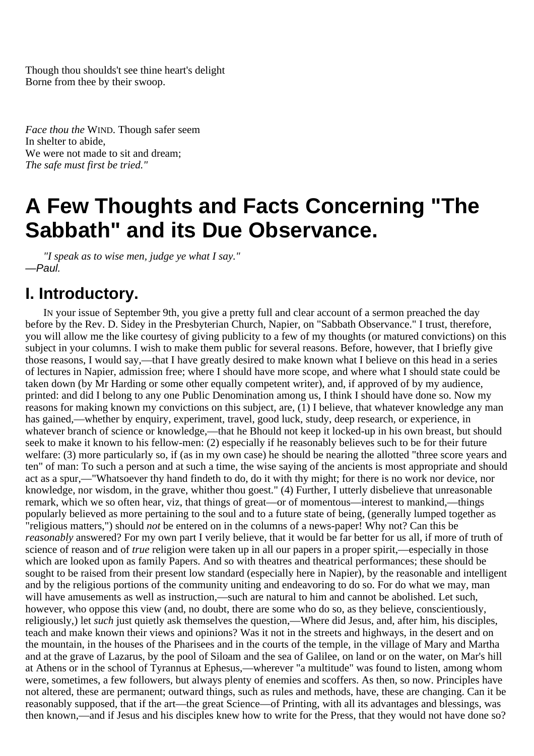Though thou shoulds't see thine heart's delight Borne from thee by their swoop.

*Face thou the* WIND. Though safer seem In shelter to abide, We were not made to sit and dream; *The safe must first be tried."*

# **A Few Thoughts and Facts Concerning "The Sabbath" and its Due Observance.**

*"I speak as to wise men, judge ye what I say."* —Paul.

### **I. Introductory.**

IN your issue of September 9th, you give a pretty full and clear account of a sermon preached the day before by the Rev. D. Sidey in the Presbyterian Church, Napier, on "Sabbath Observance." I trust, therefore, you will allow me the like courtesy of giving publicity to a few of my thoughts (or matured convictions) on this subject in your columns. I wish to make them public for several reasons. Before, however, that I briefly give those reasons, I would say,—that I have greatly desired to make known what I believe on this head in a series of lectures in Napier, admission free; where I should have more scope, and where what I should state could be taken down (by Mr Harding or some other equally competent writer), and, if approved of by my audience, printed: and did I belong to any one Public Denomination among us, I think I should have done so. Now my reasons for making known my convictions on this subject, are, (1) I believe, that whatever knowledge any man has gained,—whether by enquiry, experiment, travel, good luck, study, deep research, or experience, in whatever branch of science or knowledge,—that he Bhould not keep it locked-up in his own breast, but should seek to make it known to his fellow-men: (2) especially if he reasonably believes such to be for their future welfare: (3) more particularly so, if (as in my own case) he should be nearing the allotted "three score years and ten" of man: To such a person and at such a time, the wise saying of the ancients is most appropriate and should act as a spur,—"Whatsoever thy hand findeth to do, do it with thy might; for there is no work nor device, nor knowledge, nor wisdom, in the grave, whither thou goest." (4) Further, I utterly disbelieve that unreasonable remark, which we so often hear, viz, that things of great—or of momentous—interest to mankind,—things popularly believed as more pertaining to the soul and to a future state of being, (generally lumped together as "religious matters,") should *not* be entered on in the columns of a news-paper! Why not? Can this be *reasonably* answered? For my own part I verily believe, that it would be far better for us all, if more of truth of science of reason and of *true* religion were taken up in all our papers in a proper spirit,—especially in those which are looked upon as family Papers. And so with theatres and theatrical performances; these should be sought to be raised from their present low standard (especially here in Napier), by the reasonable and intelligent and by the religious portions of the community uniting and endeavoring to do so. For do what we may, man will have amusements as well as instruction,—such are natural to him and cannot be abolished. Let such, however, who oppose this view (and, no doubt, there are some who do so, as they believe, conscientiously, religiously,) let *such* just quietly ask themselves the question,—Where did Jesus, and, after him, his disciples, teach and make known their views and opinions? Was it not in the streets and highways, in the desert and on the mountain, in the houses of the Pharisees and in the courts of the temple, in the village of Mary and Martha and at the grave of Lazarus, by the pool of Siloam and the sea of Galilee, on land or on the water, on Mar's hill at Athens or in the school of Tyrannus at Ephesus,—wherever "a multitude" was found to listen, among whom were, sometimes, a few followers, but always plenty of enemies and scoffers. As then, so now. Principles have not altered, these are permanent; outward things, such as rules and methods, have, these are changing. Can it be reasonably supposed, that if the art—the great Science—of Printing, with all its advantages and blessings, was then known,—and if Jesus and his disciples knew how to write for the Press, that they would not have done so?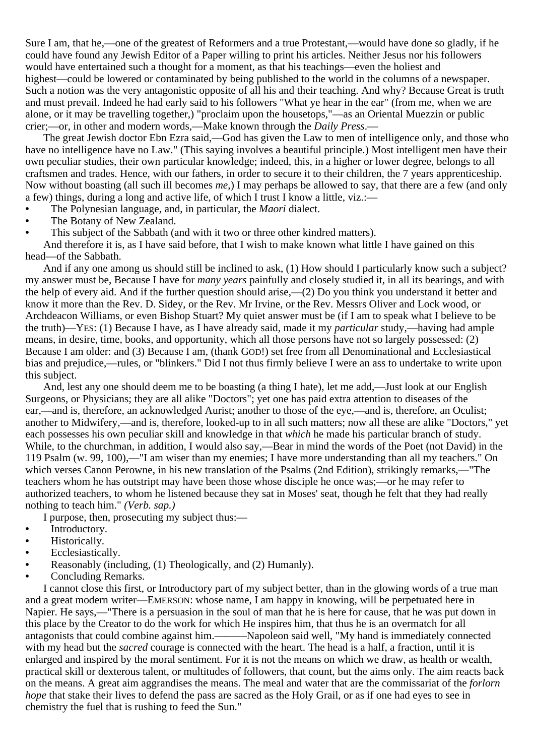Sure I am, that he,—one of the greatest of Reformers and a true Protestant,—would have done so gladly, if he could have found any Jewish Editor of a Paper willing to print his articles. Neither Jesus nor his followers would have entertained such a thought for a moment, as that his teachings—even the holiest and highest—could be lowered or contaminated by being published to the world in the columns of a newspaper. Such a notion was the very antagonistic opposite of all his and their teaching. And why? Because Great is truth and must prevail. Indeed he had early said to his followers "What ye hear in the ear" (from me, when we are alone, or it may be travelling together,) "proclaim upon the housetops,"—as an Oriental Muezzin or public crier;—or, in other and modern words,—Make known through the *Daily Press*.—

The great Jewish doctor Ebn Ezra said,—God has given the Law to men of intelligence only, and those who have no intelligence have no Law." (This saying involves a beautiful principle.) Most intelligent men have their own peculiar studies, their own particular knowledge; indeed, this, in a higher or lower degree, belongs to all craftsmen and trades. Hence, with our fathers, in order to secure it to their children, the 7 years apprenticeship. Now without boasting (all such ill becomes *me*,) I may perhaps be allowed to say, that there are a few (and only a few) things, during a long and active life, of which I trust I know a little, viz.:—

- **•** The Polynesian language, and, in particular, the *Maori* dialect.
- The Botany of New Zealand.
- **•** This subject of the Sabbath (and with it two or three other kindred matters).

And therefore it is, as I have said before, that I wish to make known what little I have gained on this head—of the Sabbath.

And if any one among us should still be inclined to ask, (1) How should I particularly know such a subject? my answer must be, Because I have for *many years* painfully and closely studied it, in all its bearings, and with the help of every aid. And if the further question should arise,—(2) Do you think you understand it better and know it more than the Rev. D. Sidey, or the Rev. Mr Irvine, or the Rev. Messrs Oliver and Lock wood, or Archdeacon Williams, or even Bishop Stuart? My quiet answer must be (if I am to speak what I believe to be the truth)—YES: (1) Because I have, as I have already said, made it my *particular* study,—having had ample means, in desire, time, books, and opportunity, which all those persons have not so largely possessed: (2) Because I am older: and (3) Because I am, (thank GOD!) set free from all Denominational and Ecclesiastical bias and prejudice,—rules, or "blinkers." Did I not thus firmly believe I were an ass to undertake to write upon this subject.

And, lest any one should deem me to be boasting (a thing I hate), let me add,—Just look at our English Surgeons, or Physicians; they are all alike "Doctors"; yet one has paid extra attention to diseases of the ear,—and is, therefore, an acknowledged Aurist; another to those of the eye,—and is, therefore, an Oculist; another to Midwifery,—and is, therefore, looked-up to in all such matters; now all these are alike "Doctors," yet each possesses his own peculiar skill and knowledge in that *which* he made his particular branch of study. While, to the churchman, in addition, I would also say,—Bear in mind the words of the Poet (not David) in the 119 Psalm (w. 99, 100),—"I am wiser than my enemies; I have more understanding than all my teachers." On which verses Canon Perowne, in his new translation of the Psalms (2nd Edition), strikingly remarks,—"The teachers whom he has outstript may have been those whose disciple he once was;—or he may refer to authorized teachers, to whom he listened because they sat in Moses' seat, though he felt that they had really nothing to teach him." *(Verb. sap.)*

I purpose, then, prosecuting my subject thus:—

- **•** Introductory.
- **•** Historically.
- **•** Ecclesiastically.
- **•** Reasonably (including, (1) Theologically, and (2) Humanly).
- **•** Concluding Remarks.

I cannot close this first, or Introductory part of my subject better, than in the glowing words of a true man and a great modern writer—EMERSON: whose name, I am happy in knowing, will be perpetuated here in Napier. He says,—"There is a persuasion in the soul of man that he is here for cause, that he was put down in this place by the Creator to do the work for which He inspires him, that thus he is an overmatch for all antagonists that could combine against him.———Napoleon said well, "My hand is immediately connected with my head but the *sacred* courage is connected with the heart. The head is a half, a fraction, until it is enlarged and inspired by the moral sentiment. For it is not the means on which we draw, as health or wealth, practical skill or dexterous talent, or multitudes of followers, that count, but the aims only. The aim reacts back on the means. A great aim aggrandises the means. The meal and water that are the commissariat of the *forlorn hope* that stake their lives to defend the pass are sacred as the Holy Grail, or as if one had eyes to see in chemistry the fuel that is rushing to feed the Sun."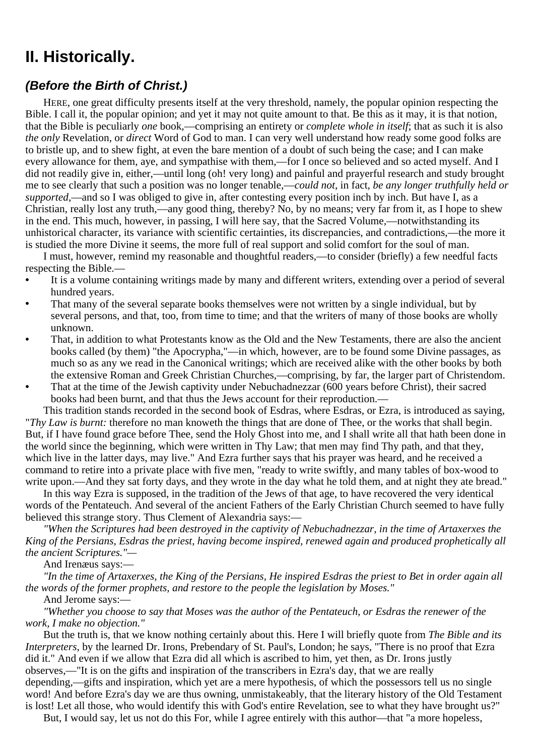## **II. Historically.**

#### **(Before the Birth of Christ.)**

HERE, one great difficulty presents itself at the very threshold, namely, the popular opinion respecting the Bible. I call it, the popular opinion; and yet it may not quite amount to that. Be this as it may, it is that notion, that the Bible is peculiarly *one* book,—comprising an entirety or *complete whole in itself*; that as such it is also *the only* Revelation, or *direct* Word of God to man. I can very well understand how ready some good folks are to bristle up, and to shew fight, at even the bare mention of a doubt of such being the case; and I can make every allowance for them, aye, and sympathise with them,—for I once so believed and so acted myself. And I did not readily give in, either,—until long (oh! very long) and painful and prayerful research and study brought me to see clearly that such a position was no longer tenable,—*could not*, in fact, *be any longer truthfully held or supported*,—and so I was obliged to give in, after contesting every position inch by inch. But have I, as a Christian, really lost any truth,—any good thing, thereby? No, by no means; very far from it, as I hope to shew in the end. This much, however, in passing, I will here say, that the Sacred Volume,—notwithstanding its unhistorical character, its variance with scientific certainties, its discrepancies, and contradictions,—the more it is studied the more Divine it seems, the more full of real support and solid comfort for the soul of man.

I must, however, remind my reasonable and thoughtful readers,—to consider (briefly) a few needful facts respecting the Bible.—

- **•** It is a volume containing writings made by many and different writers, extending over a period of several hundred years.
- That many of the several separate books themselves were not written by a single individual, but by several persons, and that, too, from time to time; and that the writers of many of those books are wholly unknown.
- **•** That, in addition to what Protestants know as the Old and the New Testaments, there are also the ancient books called (by them) "the Apocrypha,"—in which, however, are to be found some Divine passages, as much so as any we read in the Canonical writings; which are received alike with the other books by both the extensive Roman and Greek Christian Churches,—comprising, by far, the larger part of Christendom.
- **•** That at the time of the Jewish captivity under Nebuchadnezzar (600 years before Christ), their sacred books had been burnt, and that thus the Jews account for their reproduction.—

This tradition stands recorded in the second book of Esdras, where Esdras, or Ezra, is introduced as saying, "*Thy Law is burnt:* therefore no man knoweth the things that are done of Thee, or the works that shall begin. But, if I have found grace before Thee, send the Holy Ghost into me, and I shall write all that hath been done in the world since the beginning, which were written in Thy Law; that men may find Thy path, and that they, which live in the latter days, may live." And Ezra further says that his prayer was heard, and he received a command to retire into a private place with five men, "ready to write swiftly, and many tables of box-wood to write upon.—And they sat forty days, and they wrote in the day what he told them, and at night they ate bread."

In this way Ezra is supposed, in the tradition of the Jews of that age, to have recovered the very identical words of the Pentateuch. And several of the ancient Fathers of the Early Christian Church seemed to have fully believed this strange story. Thus Clement of Alexandria says:—

*"When the Scriptures had been destroyed in the captivity of Nebuchadnezzar, in the time of Artaxerxes the King of the Persians, Esdras the priest, having become inspired, renewed again and produced prophetically all the ancient Scriptures."—*

And Irenæus says:—

*"In the time of Artaxerxes, the King of the Persians, He inspired Esdras the priest to Bet in order again all the words of the former prophets, and restore to the people the legislation by Moses."*

And Jerome says:—

*"Whether you choose to say that Moses was the author of the Pentateuch, or Esdras the renewer of the work, I make no objection."*

But the truth is, that we know nothing certainly about this. Here I will briefly quote from *The Bible and its Interpreters*, by the learned Dr. Irons, Prebendary of St. Paul's, London; he says, "There is no proof that Ezra did it." And even if we allow that Ezra did all which is ascribed to him, yet then, as Dr. Irons justly observes,—"It is on the gifts and inspiration of the transcribers in Ezra's day, that we are really depending,—gifts and inspiration, which yet are a mere hypothesis, of which the possessors tell us no single word! And before Ezra's day we are thus owning, unmistakeably, that the literary history of the Old Testament is lost! Let all those, who would identify this with God's entire Revelation, see to what they have brought us?"

But, I would say, let us not do this For, while I agree entirely with this author—that "a more hopeless,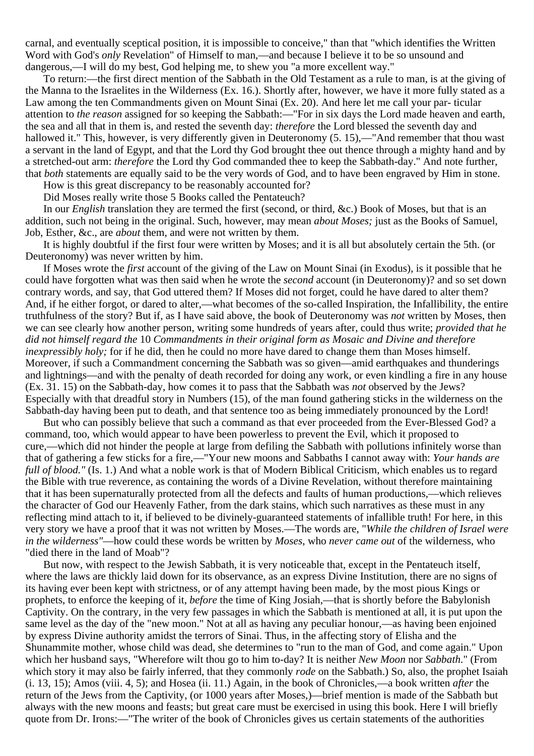carnal, and eventually sceptical position, it is impossible to conceive," than that "which identifies the Written Word with God's *only* Revelation" of Himself to man,—and because I believe it to be so unsound and dangerous,—I will do my best, God helping me, to shew you "a more excellent way."

To return:—the first direct mention of the Sabbath in the Old Testament as a rule to man, is at the giving of the Manna to the Israelites in the Wilderness (Ex. 16.). Shortly after, however, we have it more fully stated as a Law among the ten Commandments given on Mount Sinai (Ex. 20). And here let me call your par- ticular attention to *the reason* assigned for so keeping the Sabbath:—"For in six days the Lord made heaven and earth, the sea and all that in them is, and rested the seventh day: *therefore* the Lord blessed the seventh day and hallowed it." This, however, is very differently given in Deuteronomy (5. 15),—"And remember that thou wast a servant in the land of Egypt, and that the Lord thy God brought thee out thence through a mighty hand and by a stretched-out arm: *therefore* the Lord thy God commanded thee to keep the Sabbath-day." And note further, that *both* statements are equally said to be the very words of God, and to have been engraved by Him in stone.

How is this great discrepancy to be reasonably accounted for?

Did Moses really write those 5 Books called the Pentateuch?

In our *English* translation they are termed the first (second, or third, &c.) Book of Moses, but that is an addition, such not being in the original. Such, however, may mean *about Moses;* just as the Books of Samuel, Job, Esther, &c., are *about* them, and were not written by them.

It is highly doubtful if the first four were written by Moses; and it is all but absolutely certain the 5th. (or Deuteronomy) was never written by him.

If Moses wrote the *first* account of the giving of the Law on Mount Sinai (in Exodus), is it possible that he could have forgotten what was then said when he wrote the *second* account (in Deuteronomy)? and so set down contrary words, and say, that God uttered them? If Moses did not forget, could he have dared to alter them? And, if he either forgot, or dared to alter,—what becomes of the so-called Inspiration, the Infallibility, the entire truthfulness of the story? But if, as I have said above, the book of Deuteronomy was *not* written by Moses, then we can see clearly how another person, writing some hundreds of years after, could thus write; *provided that he did not himself regard the* 10 *Commandments in their original form as Mosaic and Divine and therefore inexpressibly holy;* for if he did, then he could no more have dared to change them than Moses himself. Moreover, if such a Commandment concerning the Sabbath was so given—amid earthquakes and thunderings and lightnings—and with the penalty of death recorded for doing any work, or even kindling a fire in any house (Ex. 31. 15) on the Sabbath-day, how comes it to pass that the Sabbath was *not* observed by the Jews? Especially with that dreadful story in Numbers (15), of the man found gathering sticks in the wilderness on the Sabbath-day having been put to death, and that sentence too as being immediately pronounced by the Lord!

But who can possibly believe that such a command as that ever proceeded from the Ever-Blessed God? a command, too, which would appear to have been powerless to prevent the Evil, which it proposed to cure,—which did not hinder the people at large from defiling the Sabbath with pollutions infinitely worse than that of gathering a few sticks for a fire,—"Your new moons and Sabbaths I cannot away with: *Your hands are full of blood."* (Is. 1.) And what a noble work is that of Modern Biblical Criticism, which enables us to regard the Bible with true reverence, as containing the words of a Divine Revelation, without therefore maintaining that it has been supernaturally protected from all the defects and faults of human productions,—which relieves the character of God our Heavenly Father, from the dark stains, which such narratives as these must in any reflecting mind attach to it, if believed to be divinely-guaranteed statements of infallible truth! For here, in this very story we have a proof that it was not written by Moses.—The words are, "*While the children of Israel were in the wilderness"*—how could these words be written by *Moses*, who *never came out* of the wilderness, who "died there in the land of Moab"?

But now, with respect to the Jewish Sabbath, it is very noticeable that, except in the Pentateuch itself, where the laws are thickly laid down for its observance, as an express Divine Institution, there are no signs of its having ever been kept with strictness, or of any attempt having been made, by the most pious Kings or prophets, to enforce the keeping of it, *before* the time of King Josiah,—that is shortly before the Babylonish Captivity. On the contrary, in the very few passages in which the Sabbath is mentioned at all, it is put upon the same level as the day of the "new moon." Not at all as having any peculiar honour,—as having been enjoined by express Divine authority amidst the terrors of Sinai. Thus, in the affecting story of Elisha and the Shunammite mother, whose child was dead, she determines to "run to the man of God, and come again." Upon which her husband says, "Wherefore wilt thou go to him to-day? It is neither *New Moon* nor *Sabbath*." (From which story it may also be fairly inferred, that they commonly *rode* on the Sabbath.) So, also, the prophet Isaiah (i. 13, 15); Amos (viii. 4, 5); and Hosea (ii. 11.) Again, in the book of Chronicles,—a book written *after* the return of the Jews from the Captivity, (or 1000 years after Moses,)—brief mention is made of the Sabbath but always with the new moons and feasts; but great care must be exercised in using this book. Here I will briefly quote from Dr. Irons:—"The writer of the book of Chronicles gives us certain statements of the authorities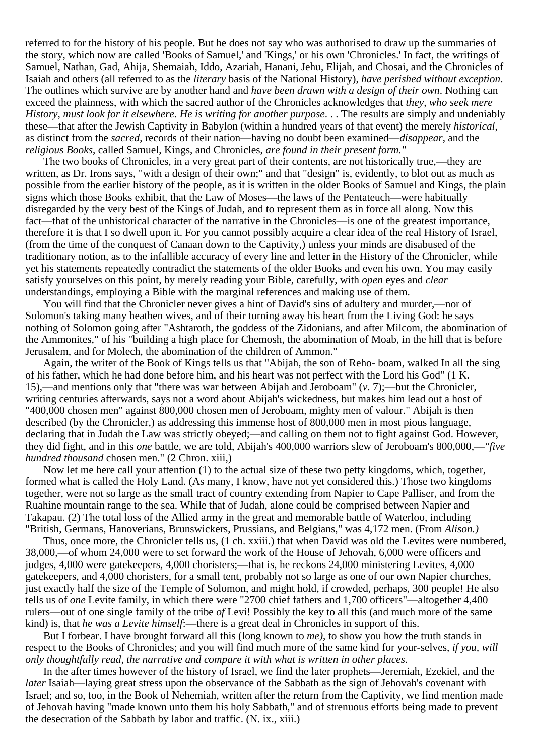referred to for the history of his people. But he does not say who was authorised to draw up the summaries of the story, which now are called 'Books of Samuel,' and 'Kings,' or his own 'Chronicles.' In fact, the writings of Samuel, Nathan, Gad, Ahija, Shemaiah, Iddo, Azariah, Hanani, Jehu, Elijah, and Chosai, and the Chronicles of Isaiah and others (all referred to as the *literary* basis of the National History), *have perished without exception*. The outlines which survive are by another hand and *have been drawn with a design of their own*. Nothing can exceed the plainness, with which the sacred author of the Chronicles acknowledges that *they, who seek mere History, must look for it elsewhere. He is writing for another purpose*. . . The results are simply and undeniably these—that after the Jewish Captivity in Babylon (within a hundred years of that event) the merely *historical*, as distinct from the *sacred*, records of their nation—having no doubt been examined—*disappear*, and the *religious Books*, called Samuel, Kings, and Chronicles, *are found in their present form."*

The two books of Chronicles, in a very great part of their contents, are not historically true,—they are written, as Dr. Irons says, "with a design of their own;" and that "design" is, evidently, to blot out as much as possible from the earlier history of the people, as it is written in the older Books of Samuel and Kings, the plain signs which those Books exhibit, that the Law of Moses—the laws of the Pentateuch—were habitually disregarded by the very best of the Kings of Judah, and to represent them as in force all along. Now this fact—that of the unhistorical character of the narrative in the Chronicles—is one of the greatest importance, therefore it is that I so dwell upon it. For you cannot possibly acquire a clear idea of the real History of Israel, (from the time of the conquest of Canaan down to the Captivity,) unless your minds are disabused of the traditionary notion, as to the infallible accuracy of every line and letter in the History of the Chronicler, while yet his statements repeatedly contradict the statements of the older Books and even his own. You may easily satisfy yourselves on this point, by merely reading your Bible, carefully, with *open* eyes and *clear* understandings, employing a Bible with the marginal references and making use of them.

You will find that the Chronicler never gives a hint of David's sins of adultery and murder,—nor of Solomon's taking many heathen wives, and of their turning away his heart from the Living God: he says nothing of Solomon going after "Ashtaroth, the goddess of the Zidonians, and after Milcom, the abomination of the Ammonites," of his "building a high place for Chemosh, the abomination of Moab, in the hill that is before Jerusalem, and for Molech, the abomination of the children of Ammon."

Again, the writer of the Book of Kings tells us that "Abijah, the son of Reho- boam, walked In all the sing of his father, which he had done before him, and his heart was not perfect with the Lord his God" (1 K. 15),—and mentions only that "there was war between Abijah and Jeroboam" (*v*. 7);—but the Chronicler, writing centuries afterwards, says not a word about Abijah's wickedness, but makes him lead out a host of "400,000 chosen men" against 800,000 chosen men of Jeroboam, mighty men of valour." Abijah is then described (by the Chronicler,) as addressing this immense host of 800,000 men in most pious language, declaring that in Judah the Law was strictly obeyed;—and calling on them not to fight against God. However, they did fight, and in this *one* battle, we are told, Abijah's 400,000 warriors slew of Jeroboam's 800,000,—*"five hundred thousand* chosen men." (2 Chron. xiii,)

Now let me here call your attention (1) to the actual size of these two petty kingdoms, which, together, formed what is called the Holy Land. (As many, I know, have not yet considered this.) Those two kingdoms together, were not so large as the small tract of country extending from Napier to Cape Palliser, and from the Ruahine mountain range to the sea. While that of Judah, alone could be comprised between Napier and Takapau. (2) The total loss of the Allied army in the great and memorable battle of Waterloo, including "British, Germans, Hanoverians, Brunswickers, Prussians, and Belgians," was 4,172 men. (From *Alison.)*

Thus, once more, the Chronicler tells us, (1 ch. xxiii.) that when David was old the Levites were numbered, 38,000,—of whom 24,000 were to set forward the work of the House of Jehovah, 6,000 were officers and judges, 4,000 were gatekeepers, 4,000 choristers;—that is, he reckons 24,000 ministering Levites, 4,000 gatekeepers, and 4,000 choristers, for a small tent, probably not so large as one of our own Napier churches, just exactly half the size of the Temple of Solomon, and might hold, if crowded, perhaps, 300 people! He also tells us of *one* Levite family, in which there were "2700 chief fathers and 1,700 officers"—altogether 4,400 rulers—out of one single family of the tribe *of* Levi! Possibly the key to all this (and much more of the same kind) is, that *he was a Levite himself*:—there is a great deal in Chronicles in support of this.

But I forbear. I have brought forward all this (long known to *me)*, to show you how the truth stands in respect to the Books of Chronicles; and you will find much more of the same kind for your-selves, *if you, will only thoughtfully read, the narrative and compare it with what is written in other places*.

In the after times however of the history of Israel, we find the later prophets—Jeremiah, Ezekiel, and the *later* Isaiah—laying great stress upon the observance of the Sabbath as the sign of Jehovah's covenant with Israel; and so, too, in the Book of Nehemiah, written after the return from the Captivity, we find mention made of Jehovah having "made known unto them his holy Sabbath," and of strenuous efforts being made to prevent the desecration of the Sabbath by labor and traffic. (N. ix., xiii.)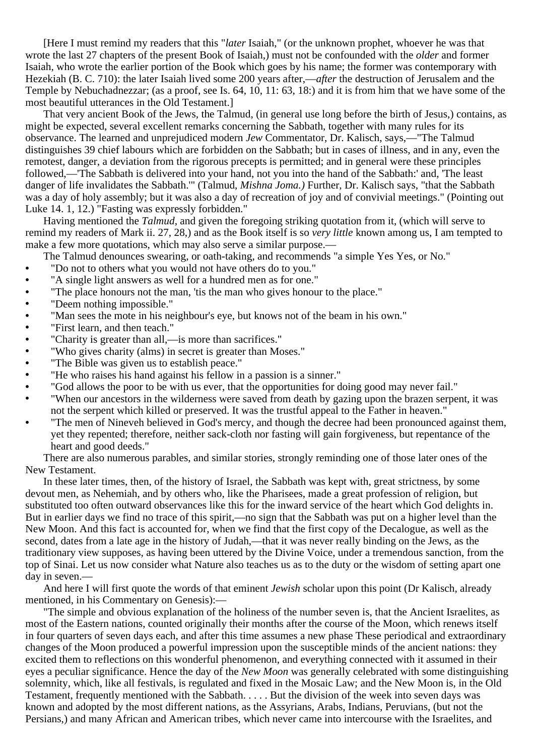[Here I must remind my readers that this "*later* Isaiah," (or the unknown prophet, whoever he was that wrote the last 27 chapters of the present Book of Isaiah,) must not be confounded with the *older* and former Isaiah, who wrote the earlier portion of the Book which goes by his name; the former was contemporary with Hezekiah (B. C. 710): the later Isaiah lived some 200 years after,—*after* the destruction of Jerusalem and the Temple by Nebuchadnezzar; (as a proof, see Is. 64, 10, 11: 63, 18:) and it is from him that we have some of the most beautiful utterances in the Old Testament.]

That very ancient Book of the Jews, the Talmud, (in general use long before the birth of Jesus,) contains, as might be expected, several excellent remarks concerning the Sabbath, together with many rules for its observance. The learned and unprejudiced modern *Jew* Commentator, Dr. Kalisch, says,—"The Talmud distinguishes 39 chief labours which are forbidden on the Sabbath; but in cases of illness, and in any, even the remotest, danger, a deviation from the rigorous precepts is permitted; and in general were these principles followed,—'The Sabbath is delivered into your hand, not you into the hand of the Sabbath:' and, 'The least danger of life invalidates the Sabbath.'" (Talmud, *Mishna Joma.)* Further, Dr. Kalisch says, "that the Sabbath was a day of holy assembly; but it was also a day of recreation of joy and of convivial meetings." (Pointing out Luke 14. 1, 12.) "Fasting was expressly forbidden."

Having mentioned the *Talmud*, and given the foregoing striking quotation from it, (which will serve to remind my readers of Mark ii. 27, 28,) and as the Book itself is so *very little* known among us, I am tempted to make a few more quotations, which may also serve a similar purpose.—

The Talmud denounces swearing, or oath-taking, and recommends "a simple Yes Yes, or No."

- **•** "Do not to others what you would not have others do to you."
- The state light answers as well for a hundred men as for one."<br>• The place honours not the man. 'tis the man who gives honour
- **•** "The place honours not the man, 'tis the man who gives honour to the place."
- **•** "Deem nothing impossible."
- **•** "Man sees the mote in his neighbour's eye, but knows not of the beam in his own."
- "First learn, and then teach."<br>• Charity is greater than all.
- "Charity is greater than all,—is more than sacrifices."<br>• "Who gives charity (alms) in secret is greater than Mo
- **•** "Who gives charity (alms) in secret is greater than Moses."
- The Bible was given us to establish peace."<br>• The who raises his hand against his fellow in
- **•** "He who raises his hand against his fellow in a passion is a sinner."
- **•** "God allows the poor to be with us ever, that the opportunities for doing good may never fail."
- **•** "When our ancestors in the wilderness were saved from death by gazing upon the brazen serpent, it was not the serpent which killed or preserved. It was the trustful appeal to the Father in heaven."
- **•** "The men of Nineveh believed in God's mercy, and though the decree had been pronounced against them, yet they repented; therefore, neither sack-cloth nor fasting will gain forgiveness, but repentance of the heart and good deeds."

There are also numerous parables, and similar stories, strongly reminding one of those later ones of the New Testament.

In these later times, then, of the history of Israel, the Sabbath was kept with, great strictness, by some devout men, as Nehemiah, and by others who, like the Pharisees, made a great profession of religion, but substituted too often outward observances like this for the inward service of the heart which God delights in. But in earlier days we find no trace of this spirit,—no sign that the Sabbath was put on a higher level than the New Moon. And this fact is accounted for, when we find that the first copy of the Decalogue, as well as the second, dates from a late age in the history of Judah,—that it was never really binding on the Jews, as the traditionary view supposes, as having been uttered by the Divine Voice, under a tremendous sanction, from the top of Sinai. Let us now consider what Nature also teaches us as to the duty or the wisdom of setting apart one day in seven.—

And here I will first quote the words of that eminent *Jewish* scholar upon this point (Dr Kalisch, already mentioned, in his Commentary on Genesis):—

"The simple and obvious explanation of the holiness of the number seven is, that the Ancient Israelites, as most of the Eastern nations, counted originally their months after the course of the Moon, which renews itself in four quarters of seven days each, and after this time assumes a new phase These periodical and extraordinary changes of the Moon produced a powerful impression upon the susceptible minds of the ancient nations: they excited them to reflections on this wonderful phenomenon, and everything connected with it assumed in their eyes a peculiar significance. Hence the day of the *New Moon* was generally celebrated with some distinguishing solemnity, which, like all festivals, is regulated and fixed in the Mosaic Law; and the New Moon is, in the Old Testament, frequently mentioned with the Sabbath. . . . . But the division of the week into seven days was known and adopted by the most different nations, as the Assyrians, Arabs, Indians, Peruvians, (but not the Persians,) and many African and American tribes, which never came into intercourse with the Israelites, and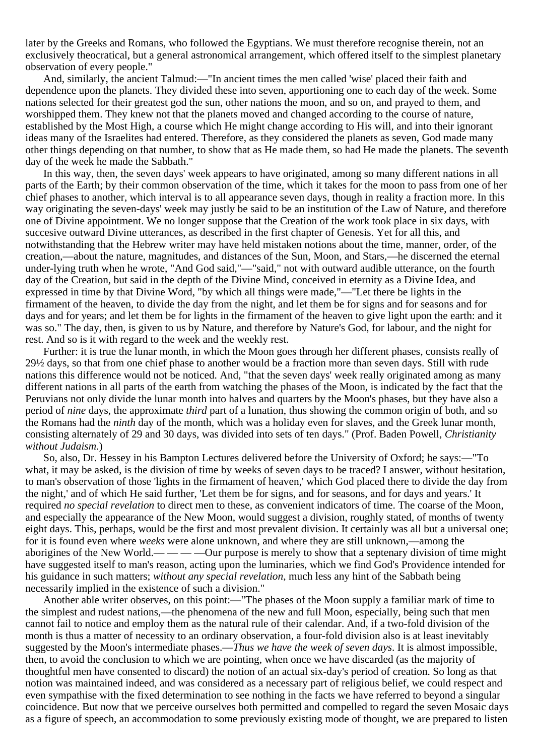later by the Greeks and Romans, who followed the Egyptians. We must therefore recognise therein, not an exclusively theocratical, but a general astronomical arrangement, which offered itself to the simplest planetary observation of every people."

And, similarly, the ancient Talmud:—"In ancient times the men called 'wise' placed their faith and dependence upon the planets. They divided these into seven, apportioning one to each day of the week. Some nations selected for their greatest god the sun, other nations the moon, and so on, and prayed to them, and worshipped them. They knew not that the planets moved and changed according to the course of nature, established by the Most High, a course which He might change according to His will, and into their ignorant ideas many of the Israelites had entered. Therefore, as they considered the planets as seven, God made many other things depending on that number, to show that as He made them, so had He made the planets. The seventh day of the week he made the Sabbath."

In this way, then, the seven days' week appears to have originated, among so many different nations in all parts of the Earth; by their common observation of the time, which it takes for the moon to pass from one of her chief phases to another, which interval is to all appearance seven days, though in reality a fraction more. In this way originating the seven-days' week may justly be said to be an institution of the Law of Nature, and therefore one of Divine appointment. We no longer suppose that the Creation of the work took place in six days, with succesive outward Divine utterances, as described in the first chapter of Genesis. Yet for all this, and notwithstanding that the Hebrew writer may have held mistaken notions about the time, manner, order, of the creation,—about the nature, magnitudes, and distances of the Sun, Moon, and Stars,—he discerned the eternal under-lying truth when he wrote, "And God said,"—"said," not with outward audible utterance, on the fourth day of the Creation, but said in the depth of the Divine Mind, conceived in eternity as a Divine Idea, and expressed in time by that Divine Word, "by which all things were made,"—"Let there be lights in the firmament of the heaven, to divide the day from the night, and let them be for signs and for seasons and for days and for years; and let them be for lights in the firmament of the heaven to give light upon the earth: and it was so." The day, then, is given to us by Nature, and therefore by Nature's God, for labour, and the night for rest. And so is it with regard to the week and the weekly rest.

Further: it is true the lunar month, in which the Moon goes through her different phases, consists really of 29½ days, so that from one chief phase to another would be a fraction more than seven days. Still with rude nations this difference would not be noticed. And, "that the seven days' week really originated among as many different nations in all parts of the earth from watching the phases of the Moon, is indicated by the fact that the Peruvians not only divide the lunar month into halves and quarters by the Moon's phases, but they have also a period of *nine* days, the approximate *third* part of a lunation, thus showing the common origin of both, and so the Romans had the *ninth* day of the month, which was a holiday even for slaves, and the Greek lunar month, consisting alternately of 29 and 30 days, was divided into sets of ten days." (Prof. Baden Powell, *Christianity without Judaism*.)

So, also, Dr. Hessey in his Bampton Lectures delivered before the University of Oxford; he says:—"To what, it may be asked, is the division of time by weeks of seven days to be traced? I answer, without hesitation, to man's observation of those 'lights in the firmament of heaven,' which God placed there to divide the day from the night,' and of which He said further, 'Let them be for signs, and for seasons, and for days and years.' It required *no special revelation* to direct men to these, as convenient indicators of time. The coarse of the Moon, and especially the appearance of the New Moon, would suggest a division, roughly stated, of months of twenty eight days. This, perhaps, would be the first and most prevalent division. It certainly was all but a universal one; for it is found even where *weeks* were alone unknown, and where they are still unknown,—among the aborigines of the New World.— — — — Our purpose is merely to show that a septenary division of time might have suggested itself to man's reason, acting upon the luminaries, which we find God's Providence intended for his guidance in such matters; *without any special revelation*, much less any hint of the Sabbath being necessarily implied in the existence of such a division."

Another able writer observes, on this point:—"The phases of the Moon supply a familiar mark of time to the simplest and rudest nations,—the phenomena of the new and full Moon, especially, being such that men cannot fail to notice and employ them as the natural rule of their calendar. And, if a two-fold division of the month is thus a matter of necessity to an ordinary observation, a four-fold division also is at least inevitably suggested by the Moon's intermediate phases.—*Thus we have the week of seven days*. It is almost impossible, then, to avoid the conclusion to which we are pointing, when once we have discarded (as the majority of thoughtful men have consented to discard) the notion of an actual six-day's period of creation. So long as that notion was maintained indeed, and was considered as a necessary part of religious belief, we could respect and even sympathise with the fixed determination to see nothing in the facts we have referred to beyond a singular coincidence. But now that we perceive ourselves both permitted and compelled to regard the seven Mosaic days as a figure of speech, an accommodation to some previously existing mode of thought, we are prepared to listen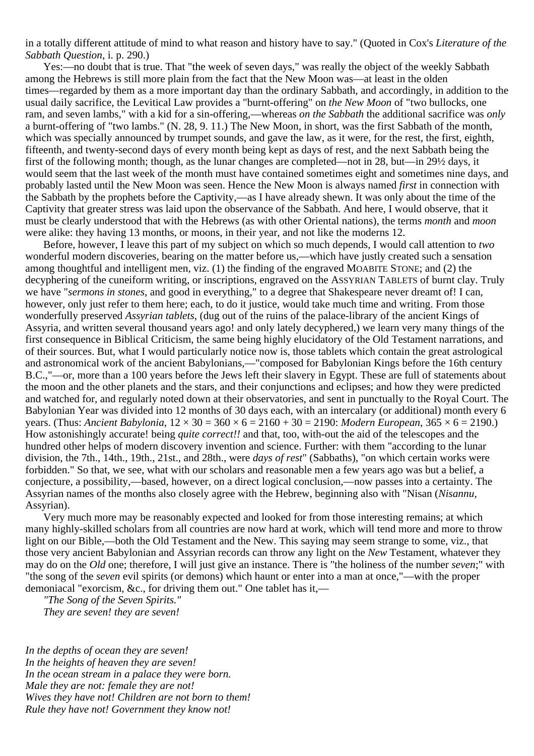in a totally different attitude of mind to what reason and history have to say." (Quoted in Cox's *Literature of the Sabbath Question*, i. p. 290.)

Yes:—no doubt that is true. That "the week of seven days," was really the object of the weekly Sabbath among the Hebrews is still more plain from the fact that the New Moon was—at least in the olden times—regarded by them as a more important day than the ordinary Sabbath, and accordingly, in addition to the usual daily sacrifice, the Levitical Law provides a "burnt-offering" on *the New Moon* of "two bullocks, one ram, and seven lambs," with a kid for a sin-offering,—whereas *on the Sabbath* the additional sacrifice was *only* a burnt-offering of "two lambs." (N. 28, 9. 11.) The New Moon, in short, was the first Sabbath of the month, which was specially announced by trumpet sounds, and gave the law, as it were, for the rest, the first, eighth, fifteenth, and twenty-second days of every month being kept as days of rest, and the next Sabbath being the first of the following month; though, as the lunar changes are completed—not in 28, but—in 29½ days, it would seem that the last week of the month must have contained sometimes eight and sometimes nine days, and probably lasted until the New Moon was seen. Hence the New Moon is always named *first* in connection with the Sabbath by the prophets before the Captivity,—as I have already shewn. It was only about the time of the Captivity that greater stress was laid upon the observance of the Sabbath. And here, I would observe, that it must be clearly understood that with the Hebrews (as with other Oriental nations), the terms *month* and *moon* were alike: they having 13 months, or moons, in their year, and not like the moderns 12.

Before, however, I leave this part of my subject on which so much depends, I would call attention to *two* wonderful modern discoveries, bearing on the matter before us,—which have justly created such a sensation among thoughtful and intelligent men, viz. (1) the finding of the engraved MOABITE STONE; and (2) the decyphering of the cuneiform writing, or inscriptions, engraved on the ASSYRIAN TABLETS of burnt clay. Truly we have "*sermons in stones*, and good in everything," to a degree that Shakespeare never dreamt of! I can, however, only just refer to them here; each, to do it justice, would take much time and writing. From those wonderfully preserved *Assyrian tablets*, (dug out of the ruins of the palace-library of the ancient Kings of Assyria, and written several thousand years ago! and only lately decyphered,) we learn very many things of the first consequence in Biblical Criticism, the same being highly elucidatory of the Old Testament narrations, and of their sources. But, what I would particularly notice now is, those tablets which contain the great astrological and astronomical work of the ancient Babylonians,—"composed for Babylonian Kings before the 16th century B.C.,"—or, more than a 100 years before the Jews left their slavery in Egypt. These are full of statements about the moon and the other planets and the stars, and their conjunctions and eclipses; and how they were predicted and watched for, and regularly noted down at their observatories, and sent in punctually to the Royal Court. The Babylonian Year was divided into 12 months of 30 days each, with an intercalary (or additional) month every 6 years. (Thus: *Ancient Babylonia*, 12 × 30 = 360 × 6 = 2160 + 30 = 2190: *Modern European*, 365 × 6 = 2190.) How astonishingly accurate! being *quite correct!!* and that, too, with-out the aid of the telescopes and the hundred other helps of modern discovery invention and science. Further: with them "according to the lunar division, the 7th., 14th., 19th., 21st., and 28th., were *days of rest*" (Sabbaths), "on which certain works were forbidden." So that, we see, what with our scholars and reasonable men a few years ago was but a belief, a conjecture, a possibility,—based, however, on a direct logical conclusion,—now passes into a certainty. The Assyrian names of the months also closely agree with the Hebrew, beginning also with "Nisan (*Nisannu*, Assyrian).

Very much more may be reasonably expected and looked for from those interesting remains; at which many highly-skilled scholars from all countries are now hard at work, which will tend more and more to throw light on our Bible,—both the Old Testament and the New. This saying may seem strange to some, viz., that those very ancient Babylonian and Assyrian records can throw any light on the *New* Testament, whatever they may do on the *Old* one; therefore, I will just give an instance. There is "the holiness of the number *seven*;" with "the song of the *seven* evil spirits (or demons) which haunt or enter into a man at once,"—with the proper demoniacal "exorcism, &c., for driving them out." One tablet has it,—

*"The Song of the Seven Spirits." They are seven! they are seven!*

*In the depths of ocean they are seven! In the heights of heaven they are seven! In the ocean stream in a palace they were born. Male they are not: female they are not! Wives they have not! Children are not born to them! Rule they have not! Government they know not!*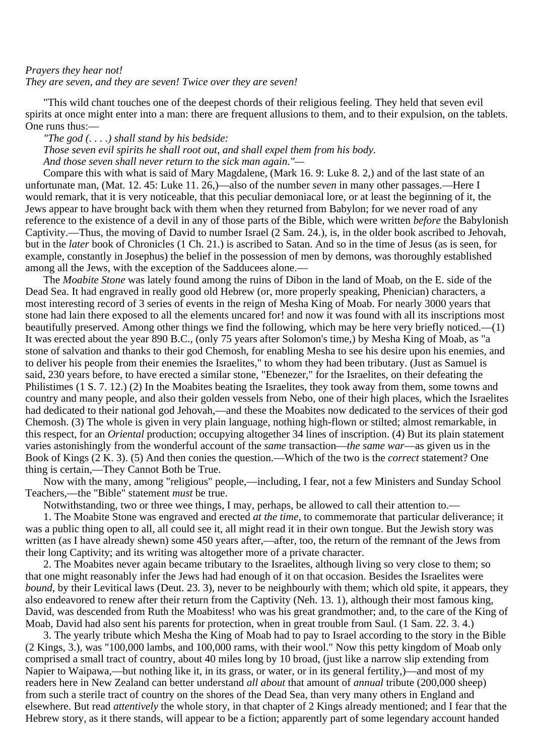#### *Prayers they hear not! They are seven, and they are seven! Twice over they are seven!*

"This wild chant touches one of the deepest chords of their religious feeling. They held that seven evil spirits at once might enter into a man: there are frequent allusions to them, and to their expulsion, on the tablets. One runs thus:—

#### *"The god (. . . .) shall stand by his bedside:*

*Those seven evil spirits he shall root out, and shall expel them from his body. And those seven shall never return to the sick man again."—*

Compare this with what is said of Mary Magdalene, (Mark 16. 9: Luke 8. 2,) and of the last state of an unfortunate man, (Mat. 12. 45: Luke 11. 26,)—also of the number *seven* in many other passages.—Here I would remark, that it is very noticeable, that this peculiar demoniacal lore, or at least the beginning of it, the Jews appear to have brought back with them when they returned from Babylon; for we never road of any reference to the existence of a devil in any of those parts of the Bible, which were written *before* the Babylonish Captivity.—Thus, the moving of David to number Israel (2 Sam. 24.), is, in the older book ascribed to Jehovah, but in the *later* book of Chronicles (1 Ch. 21.) is ascribed to Satan. And so in the time of Jesus (as is seen, for example, constantly in Josephus) the belief in the possession of men by demons, was thoroughly established among all the Jews, with the exception of the Sadducees alone.—

The *Moabite Stone* was lately found among the ruins of Dibon in the land of Moab, on the E. side of the Dead Sea. It had engraved in really good old Hebrew (or, more properly speaking, Phenician) characters, a most interesting record of 3 series of events in the reign of Mesha King of Moab. For nearly 3000 years that stone had lain there exposed to all the elements uncared for! and now it was found with all its inscriptions most beautifully preserved. Among other things we find the following, which may be here very briefly noticed.—(1) It was erected about the year 890 B.C., (only 75 years after Solomon's time,) by Mesha King of Moab, as "a stone of salvation and thanks to their god Chemosh, for enabling Mesha to see his desire upon his enemies, and to deliver his people from their enemies the Israelites," to whom they had been tributary. (Just as Samuel is said, 230 years before, to have erected a similar stone, "Ebenezer," for the Israelites, on their defeating the Philistimes (1 S. 7. 12.) (2) In the Moabites beating the Israelites, they took away from them, some towns and country and many people, and also their golden vessels from Nebo, one of their high places, which the Israelites had dedicated to their national god Jehovah,—and these the Moabites now dedicated to the services of their god Chemosh. (3) The whole is given in very plain language, nothing high-flown or stilted; almost remarkable, in this respect, for an *Oriental* production; occupying altogether 34 lines of inscription. (4) But its plain statement varies astonishingly from the wonderful account of the *same* transaction—*the same war*—as given us in the Book of Kings (2 K. 3). (5) And then conies the question.—Which of the two is the *correct* statement? One thing is certain,—They Cannot Both be True.

Now with the many, among "religious" people,—including, I fear, not a few Ministers and Sunday School Teachers,—the "Bible" statement *must* be true.

Notwithstanding, two or three wee things, I may, perhaps, be allowed to call their attention to.—

1. The Moabite Stone was engraved and erected *at the time*, to commemorate that particular deliverance; it was a public thing open to all, all could see it, all might read it in their own tongue. But the Jewish story was written (as I have already shewn) some 450 years after,—after, too, the return of the remnant of the Jews from their long Captivity; and its writing was altogether more of a private character.

2. The Moabites never again became tributary to the Israelites, although living so very close to them; so that one might reasonably infer the Jews had had enough of it on that occasion. Besides the Israelites were *bound*, by their Levitical laws (Deut. 23. 3), never to be neighbourly with them; which old spite, it appears, they also endeavored to renew after their return from the Captivity (Neh. 13. 1), although their most famous king, David, was descended from Ruth the Moabitess! who was his great grandmother; and, to the care of the King of Moab, David had also sent his parents for protection, when in great trouble from Saul. (1 Sam. 22. 3. 4.)

3. The yearly tribute which Mesha the King of Moab had to pay to Israel according to the story in the Bible (2 Kings, 3.), was "100,000 lambs, and 100,000 rams, with their wool." Now this petty kingdom of Moab only comprised a small tract of country, about 40 miles long by 10 broad, (just like a narrow slip extending from Napier to Waipawa,—but nothing like it, in its grass, or water, or in its general fertility,)—and most of my readers here in New Zealand can better understand *all about* that amount of *annual* tribute (200,000 sheep) from such a sterile tract of country on the shores of the Dead Sea, than very many others in England and elsewhere. But read *attentively* the whole story, in that chapter of 2 Kings already mentioned; and I fear that the Hebrew story, as it there stands, will appear to be a fiction; apparently part of some legendary account handed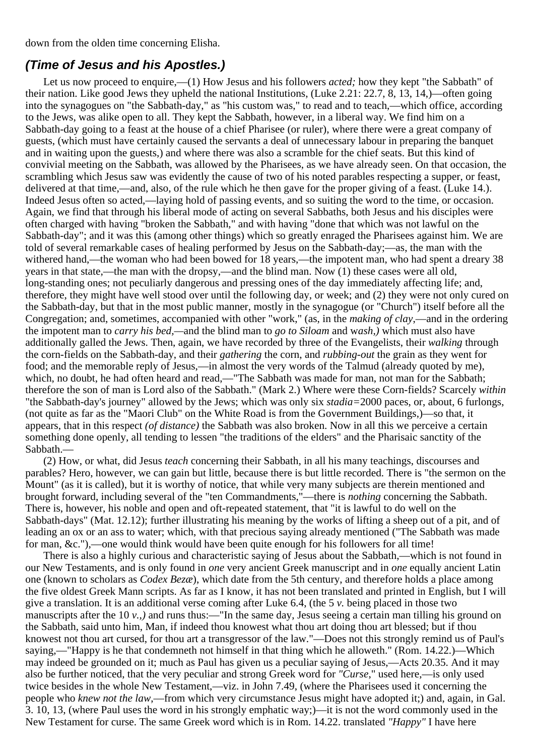down from the olden time concerning Elisha.

### **(Time of Jesus and his Apostles.)**

Let us now proceed to enquire,—(1) How Jesus and his followers *acted;* how they kept "the Sabbath" of their nation. Like good Jews they upheld the national Institutions, (Luke 2.21: 22.7, 8, 13, 14,)—often going into the synagogues on "the Sabbath-day," as "his custom was," to read and to teach,—which office, according to the Jews, was alike open to all. They kept the Sabbath, however, in a liberal way. We find him on a Sabbath-day going to a feast at the house of a chief Pharisee (or ruler), where there were a great company of guests, (which must have certainly caused the servants a deal of unnecessary labour in preparing the banquet and in waiting upon the guests,) and where there was also a scramble for the chief seats. But this kind of convivial meeting on the Sabbath, was allowed by the Pharisees, as we have already seen. On that occasion, the scrambling which Jesus saw was evidently the cause of two of his noted parables respecting a supper, or feast, delivered at that time,—and, also, of the rule which he then gave for the proper giving of a feast. (Luke 14.). Indeed Jesus often so acted,—laying hold of passing events, and so suiting the word to the time, or occasion. Again, we find that through his liberal mode of acting on several Sabbaths, both Jesus and his disciples were often charged with having "broken the Sabbath," and with having "done that which was not lawful on the Sabbath-day"; and it was this (among other things) which so greatly enraged the Pharisees against him. We are told of several remarkable cases of healing performed by Jesus on the Sabbath-day;—as, the man with the withered hand,—the woman who had been bowed for 18 years,—the impotent man, who had spent a dreary 38 years in that state,—the man with the dropsy,—and the blind man. Now (1) these cases were all old, long-standing ones; not peculiarly dangerous and pressing ones of the day immediately affecting life; and, therefore, they might have well stood over until the following day, or week; and (2) they were not only cured on the Sabbath-day, but that in the most public manner, mostly in the synagogue (or "Church") itself before all the Congregation; and, sometimes, accompanied with other "work," (as, in the *making of clay*,—and in the ordering the impotent man to *carry his bed,—*and the blind man to *go to Siloam* and w*ash,)* which must also have additionally galled the Jews. Then, again, we have recorded by three of the Evangelists, their *walking* through the corn-fields on the Sabbath-day, and their *gathering* the corn, and *rubbing-out* the grain as they went for food; and the memorable reply of Jesus,—in almost the very words of the Talmud (already quoted by me), which, no doubt, he had often heard and read,—"The Sabbath was made for man, not man for the Sabbath; therefore the son of man is Lord also of the Sabbath." (Mark 2.) Where were these Corn-fields? Scarcely *within* "the Sabbath-day's journey" allowed by the Jews; which was only six *stadia=*2000 paces, or, about, 6 furlongs, (not quite as far as the "Maori Club" on the White Road is from the Government Buildings,)—so that, it appears, that in this respect *(of distance)* the Sabbath was also broken. Now in all this we perceive a certain something done openly, all tending to lessen "the traditions of the elders" and the Pharisaic sanctity of the Sabbath.—

(2) How, or what, did Jesus *teach* concerning their Sabbath, in all his many teachings, discourses and parables? Hero, however, we can gain but little, because there is but little recorded. There is "the sermon on the Mount" (as it is called), but it is worthy of notice, that while very many subjects are therein mentioned and brought forward, including several of the "ten Commandments,"—there is *nothing* concerning the Sabbath. There is, however, his noble and open and oft-repeated statement, that "it is lawful to do well on the Sabbath-days" (Mat. 12.12); further illustrating his meaning by the works of lifting a sheep out of a pit, and of leading an ox or an ass to water; which, with that precious saying already mentioned ("The Sabbath was made for man, &c."),—one would think would have been quite enough for his followers for all time!

There is also a highly curious and characteristic saying of Jesus about the Sabbath,—which is not found in our New Testaments, and is only found in *one* very ancient Greek manuscript and in *one* equally ancient Latin one (known to scholars as *Codex Bezæ*), which date from the 5th century, and therefore holds a place among the five oldest Greek Mann scripts. As far as I know, it has not been translated and printed in English, but I will give a translation. It is an additional verse coming after Luke 6.4, (the 5 *v.* being placed in those two manuscripts after the 10  $v$ .,) and runs thus:—"In the same day, Jesus seeing a certain man tilling his ground on the Sabbath, said unto him, Man, if indeed thou knowest what thou art doing thou art blessed; but if thou knowest not thou art cursed, for thou art a transgressor of the law."—Does not this strongly remind us of Paul's saying,—"Happy is he that condemneth not himself in that thing which he alloweth." (Rom. 14.22.)—Which may indeed be grounded on it; much as Paul has given us a peculiar saying of Jesus,—Acts 20.35. And it may also be further noticed, that the very peculiar and strong Greek word for *"Curse*," used here,—is only used twice besides in the whole New Testament,—viz. in John 7.49, (where the Pharisees used it concerning the people who *knew not the law*,—from which very circumstance Jesus might have adopted it;) and, again, in Gal. 3. 10, 13, (where Paul uses the word in his strongly emphatic way;)—it is not the word commonly used in the New Testament for curse. The same Greek word which is in Rom. 14.22. translated *"Happy"* I have here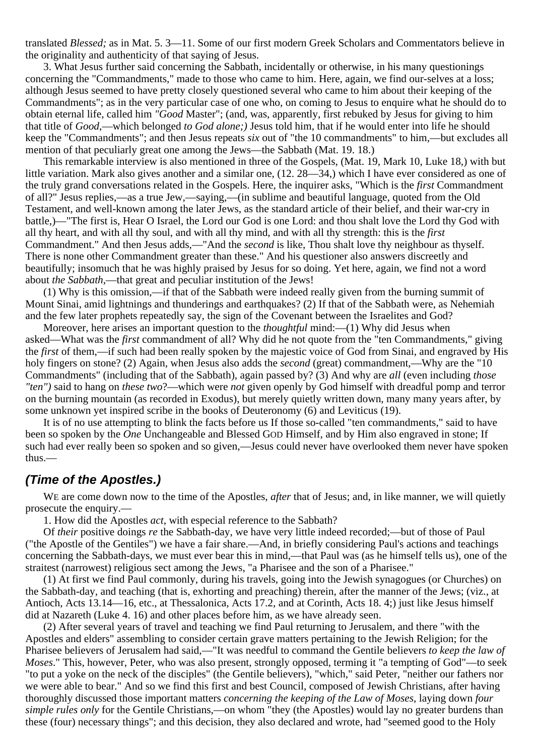translated *Blessed;* as in Mat. 5. 3—11. Some of our first modern Greek Scholars and Commentators believe in the originality and authenticity of that saying of Jesus.

3. What Jesus further said concerning the Sabbath, incidentally or otherwise, in his many questionings concerning the "Commandments," made to those who came to him. Here, again, we find our-selves at a loss; although Jesus seemed to have pretty closely questioned several who came to him about their keeping of the Commandments"; as in the very particular case of one who, on coming to Jesus to enquire what he should do to obtain eternal life, called him *"Good* Master"; (and, was, apparently, first rebuked by Jesus for giving to him that title of *Good*,—which belonged *to God alone;)* Jesus told him, that if he would enter into life he should keep the "Commandments"; and then Jesus repeats *six* out of "the 10 commandments" to him,—but excludes all mention of that peculiarly great one among the Jews—the Sabbath (Mat. 19. 18.)

This remarkable interview is also mentioned in three of the Gospels, (Mat. 19, Mark 10, Luke 18,) with but little variation. Mark also gives another and a similar one, (12. 28—34,) which I have ever considered as one of the truly grand conversations related in the Gospels. Here, the inquirer asks, "Which is the *first* Commandment of all?" Jesus replies,—as a true Jew,—saying,—(in sublime and beautiful language, quoted from the Old Testament, and well-known among the later Jews, as the standard article of their belief, and their war-cry in battle,)—"The first is, Hear O Israel, the Lord our God is one Lord: and thou shalt love the Lord thy God with all thy heart, and with all thy soul, and with all thy mind, and with all thy strength: this is the *first* Commandment." And then Jesus adds,—"And the *second* is like, Thou shalt love thy neighbour as thyself. There is none other Commandment greater than these." And his questioner also answers discreetly and beautifully; insomuch that he was highly praised by Jesus for so doing. Yet here, again, we find not a word about *the Sabbath*,—that great and peculiar institution of the Jews!

(1) Why is this omission,—if that of the Sabbath were indeed really given from the burning summit of Mount Sinai, amid lightnings and thunderings and earthquakes? (2) If that of the Sabbath were, as Nehemiah and the few later prophets repeatedly say, the sign of the Covenant between the Israelites and God?

Moreover, here arises an important question to the *thoughtful* mind:—(1) Why did Jesus when asked—What was the *first* commandment of all? Why did he not quote from the "ten Commandments," giving the *first* of them,—if such had been really spoken by the majestic voice of God from Sinai, and engraved by His holy fingers on stone? (2) Again, when Jesus also adds the *second* (great) commandment,—Why are the "10 Commandments" (including that of the Sabbath), again passed by? (3) And why are *all* (even including *those "ten")* said to hang on *these two*?—which were *not* given openly by God himself with dreadful pomp and terror on the burning mountain (as recorded in Exodus), but merely quietly written down, many many years after, by some unknown yet inspired scribe in the books of Deuteronomy (6) and Leviticus (19).

It is of no use attempting to blink the facts before us If those so-called "ten commandments," said to have been so spoken by the *One* Unchangeable and Blessed GOD Himself, and by Him also engraved in stone; If such had ever really been so spoken and so given,—Jesus could never have overlooked them never have spoken thus.—

### **(Time of the Apostles.)**

WE are come down now to the time of the Apostles, *after* that of Jesus; and, in like manner, we will quietly prosecute the enquiry.—

1. How did the Apostles *act*, with especial reference to the Sabbath?

Of *their* positive doings *re* the Sabbath-day, we have very little indeed recorded;—but of those of Paul ("the Apostle of the Gentiles") we have a fair share.—And, in briefly considering Paul's actions and teachings concerning the Sabbath-days, we must ever bear this in mind,—that Paul was (as he himself tells us), one of the straitest (narrowest) religious sect among the Jews, "a Pharisee and the son of a Pharisee."

(1) At first we find Paul commonly, during his travels, going into the Jewish synagogues (or Churches) on the Sabbath-day, and teaching (that is, exhorting and preaching) therein, after the manner of the Jews; (viz., at Antioch, Acts 13.14—16, etc., at Thessalonica, Acts 17.2, and at Corinth, Acts 18. 4;) just like Jesus himself did at Nazareth (Luke 4. 16) and other places before him, as we have already seen.

(2) After several years of travel and teaching we find Paul returning to Jerusalem, and there "with the Apostles and elders" assembling to consider certain grave matters pertaining to the Jewish Religion; for the Pharisee believers of Jerusalem had said,—"It was needful to command the Gentile believers *to keep the law of Moses*." This, however, Peter, who was also present, strongly opposed, terming it "a tempting of God"—to seek "to put a yoke on the neck of the disciples" (the Gentile believers), "which," said Peter, "neither our fathers nor we were able to bear." And so we find this first and best Council, composed of Jewish Christians, after having thoroughly discussed those important matters *concerning the keeping of the Law of Moses*, laying down *four simple rules only* for the Gentile Christians,—on whom "they (the Apostles) would lay no greater burdens than these (four) necessary things"; and this decision, they also declared and wrote, had "seemed good to the Holy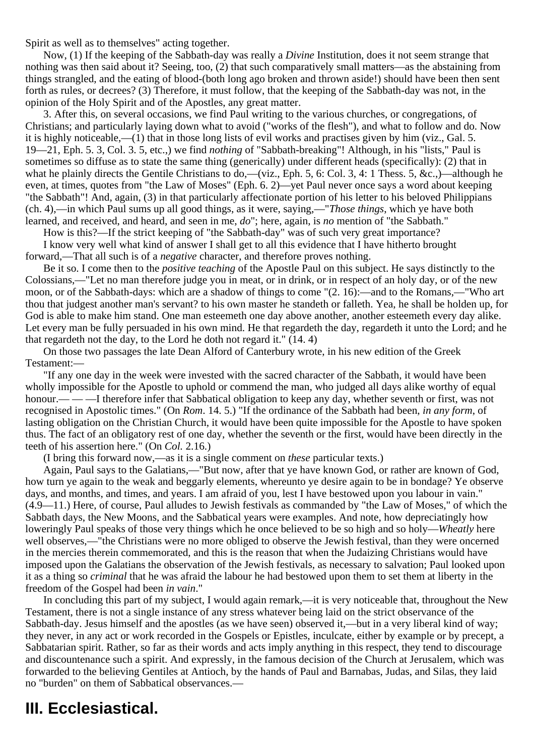Spirit as well as to themselves" acting together.

Now, (1) If the keeping of the Sabbath-day was really a *Divine* Institution, does it not seem strange that nothing was then said about it? Seeing, too, (2) that such comparatively small matters—as the abstaining from things strangled, and the eating of blood-(both long ago broken and thrown aside!) should have been then sent forth as rules, or decrees? (3) Therefore, it must follow, that the keeping of the Sabbath-day was not, in the opinion of the Holy Spirit and of the Apostles, any great matter.

3. After this, on several occasions, we find Paul writing to the various churches, or congregations, of Christians; and particularly laying down what to avoid ("works of the flesh"), and what to follow and do. Now it is highly noticeable,—(1) that in those long lists of evil works and practises given by him (viz., Gal. 5. 19—21, Eph. 5. 3, Col. 3. 5, etc.,) we find *nothing* of "Sabbath-breaking"! Although, in his "lists," Paul is sometimes so diffuse as to state the same thing (generically) under different heads (specifically): (2) that in what he plainly directs the Gentile Christians to do,—(viz., Eph. 5, 6: Col. 3, 4: 1 Thess. 5, &c.,)—although he even, at times, quotes from "the Law of Moses" (Eph. 6. 2)—yet Paul never once says a word about keeping "the Sabbath"! And, again, (3) in that particularly affectionate portion of his letter to his beloved Philippians (ch. 4),—in which Paul sums up all good things, as it were, saying,—"*Those things*, which ye have both learned, and received, and heard, and seen in me, *do*"; here, again, is *no* mention of "the Sabbath."

How is this?—If the strict keeping of "the Sabbath-day" was of such very great importance? I know very well what kind of answer I shall get to all this evidence that I have hitherto brought forward,—That all such is of a *negative* character, and therefore proves nothing.

Be it so. I come then to the *positive teaching* of the Apostle Paul on this subject. He says distinctly to the Colossians,—"Let no man therefore judge you in meat, or in drink, or in respect of an holy day, or of the new moon, or of the Sabbath-days: which are a shadow of things to come "(2. 16):—and to the Romans,—"Who art thou that judgest another man's servant? to his own master he standeth or falleth. Yea, he shall be holden up, for God is able to make him stand. One man esteemeth one day above another, another esteemeth every day alike. Let every man be fully persuaded in his own mind. He that regardeth the day, regardeth it unto the Lord; and he that regardeth not the day, to the Lord he doth not regard it." (14. 4)

On those two passages the late Dean Alford of Canterbury wrote, in his new edition of the Greek Testament:—

"If any one day in the week were invested with the sacred character of the Sabbath, it would have been wholly impossible for the Apostle to uphold or commend the man, who judged all days alike worthy of equal honour.— — —I therefore infer that Sabbatical obligation to keep any day, whether seventh or first, was not recognised in Apostolic times." (On *Rom*. 14. 5.) "If the ordinance of the Sabbath had been, *in any form*, of lasting obligation on the Christian Church, it would have been quite impossible for the Apostle to have spoken thus. The fact of an obligatory rest of one day, whether the seventh or the first, would have been directly in the teeth of his assertion here." (On *Col.* 2.16.)

(I bring this forward now,—as it is a single comment on *these* particular texts.)

Again, Paul says to the Galatians,—"But now, after that ye have known God, or rather are known of God, how turn ye again to the weak and beggarly elements, whereunto ye desire again to be in bondage? Ye observe days, and months, and times, and years. I am afraid of you, lest I have bestowed upon you labour in vain." (4.9—11.) Here, of course, Paul alludes to Jewish festivals as commanded by "the Law of Moses," of which the Sabbath days, the New Moons, and the Sabbatical years were examples. And note, how depreciatingly how loweringly Paul speaks of those very things which he once believed to be so high and so holy—*Wheatly* here well observes,—"the Christians were no more obliged to observe the Jewish festival, than they were oncerned in the mercies therein commemorated, and this is the reason that when the Judaizing Christians would have imposed upon the Galatians the observation of the Jewish festivals, as necessary to salvation; Paul looked upon it as a thing so *criminal* that he was afraid the labour he had bestowed upon them to set them at liberty in the freedom of the Gospel had been *in vain*."

In concluding this part of my subject, I would again remark,—it is very noticeable that, throughout the New Testament, there is not a single instance of any stress whatever being laid on the strict observance of the Sabbath-day. Jesus himself and the apostles (as we have seen) observed it,—but in a very liberal kind of way; they never, in any act or work recorded in the Gospels or Epistles, inculcate, either by example or by precept, a Sabbatarian spirit. Rather, so far as their words and acts imply anything in this respect, they tend to discourage and discountenance such a spirit. And expressly, in the famous decision of the Church at Jerusalem, which was forwarded to the believing Gentiles at Antioch, by the hands of Paul and Barnabas, Judas, and Silas, they laid no "burden" on them of Sabbatical observances.—

## **III. Ecclesiastical.**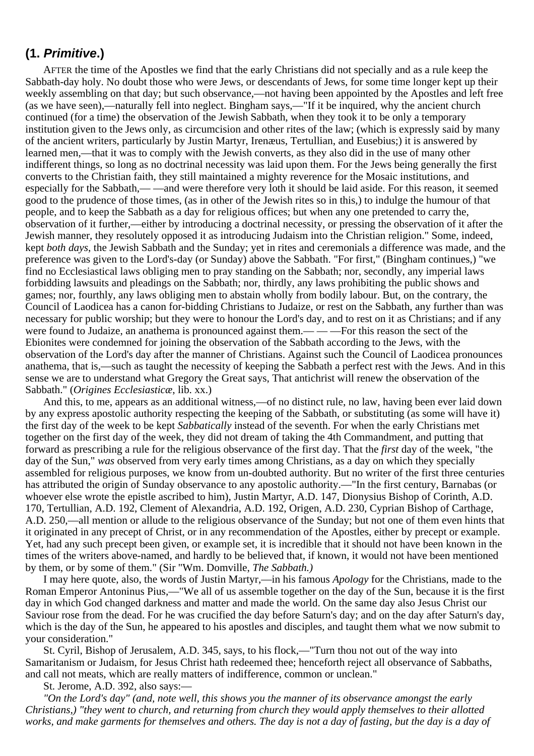### **(1. Primitive.)**

AFTER the time of the Apostles we find that the early Christians did not specially and as a rule keep the Sabbath-day holy. No doubt those who were Jews, or descendants of Jews, for some time longer kept up their weekly assembling on that day; but such observance,—not having been appointed by the Apostles and left free (as we have seen),—naturally fell into neglect. Bingham says,—"If it be inquired, why the ancient church continued (for a time) the observation of the Jewish Sabbath, when they took it to be only a temporary institution given to the Jews only, as circumcision and other rites of the law; (which is expressly said by many of the ancient writers, particularly by Justin Martyr, Irenæus, Tertullian, and Eusebius;) it is answered by learned men,—that it was to comply with the Jewish converts, as they also did in the use of many other indifferent things, so long as no doctrinal necessity was laid upon them. For the Jews being generally the first converts to the Christian faith, they still maintained a mighty reverence for the Mosaic institutions, and especially for the Sabbath,— —and were therefore very loth it should be laid aside. For this reason, it seemed good to the prudence of those times, (as in other of the Jewish rites so in this,) to indulge the humour of that people, and to keep the Sabbath as a day for religious offices; but when any one pretended to carry the, observation of it further,—either by introducing a doctrinal necessity, or pressing the observation of it after the Jewish manner, they resolutely opposed it as introducing Judaism into the Christian religion." Some, indeed, kept *both days*, the Jewish Sabbath and the Sunday; yet in rites and ceremonials a difference was made, and the preference was given to the Lord's-day (or Sunday) above the Sabbath. "For first," (Bingham continues,) "we find no Ecclesiastical laws obliging men to pray standing on the Sabbath; nor, secondly, any imperial laws forbidding lawsuits and pleadings on the Sabbath; nor, thirdly, any laws prohibiting the public shows and games; nor, fourthly, any laws obliging men to abstain wholly from bodily labour. But, on the contrary, the Council of Laodicea has a canon for-bidding Christians to Judaize, or rest on the Sabbath, any further than was necessary for public worship; but they were to honour the Lord's day, and to rest on it as Christians; and if any were found to Judaize, an anathema is pronounced against them.— — — — For this reason the sect of the Ebionites were condemned for joining the observation of the Sabbath according to the Jews, with the observation of the Lord's day after the manner of Christians. Against such the Council of Laodicea pronounces anathema, that is,—such as taught the necessity of keeping the Sabbath a perfect rest with the Jews. And in this sense we are to understand what Gregory the Great says, That antichrist will renew the observation of the Sabbath." (*Origines Ecclesiasticæ*, lib. xx.)

And this, to me, appears as an additional witness,—of no distinct rule, no law, having been ever laid down by any express apostolic authority respecting the keeping of the Sabbath, or substituting (as some will have it) the first day of the week to be kept *Sabbatically* instead of the seventh. For when the early Christians met together on the first day of the week, they did not dream of taking the 4th Commandment, and putting that forward as prescribing a rule for the religious observance of the first day. That the *first* day of the week, "the day of the Sun," *was* observed from very early times among Christians, as a day on which they specially assembled for religious purposes, we know from un-doubted authority. But no writer of the first three centuries has attributed the origin of Sunday observance to any apostolic authority.—"In the first century, Barnabas (or whoever else wrote the epistle ascribed to him), Justin Martyr, A.D. 147, Dionysius Bishop of Corinth, A.D. 170, Tertullian, A.D. 192, Clement of Alexandria, A.D. 192, Origen, A.D. 230, Cyprian Bishop of Carthage, A.D. 250,—all mention or allude to the religious observance of the Sunday; but not one of them even hints that it originated in any precept of Christ, or in any recommendation of the Apostles, either by precept or example. Yet, had any such precept been given, or example set, it is incredible that it should not have been known in the times of the writers above-named, and hardly to be believed that, if known, it would not have been mentioned by them, or by some of them." (Sir "Wm. Domville, *The Sabbath.)*

I may here quote, also, the words of Justin Martyr,—in his famous *Apology* for the Christians, made to the Roman Emperor Antoninus Pius,—"We all of us assemble together on the day of the Sun, because it is the first day in which God changed darkness and matter and made the world. On the same day also Jesus Christ our Saviour rose from the dead. For he was crucified the day before Saturn's day; and on the day after Saturn's day, which is the day of the Sun, he appeared to his apostles and disciples, and taught them what we now submit to your consideration."

St. Cyril, Bishop of Jerusalem, A.D. 345, says, to his flock,—"Turn thou not out of the way into Samaritanism or Judaism, for Jesus Christ hath redeemed thee; henceforth reject all observance of Sabbaths, and call not meats, which are really matters of indifference, common or unclean."

St. Jerome, A.D. 392, also says:—

*"On the Lord's day" (and, note well, this shows you the manner of its observance amongst the early Christians,) "they went to church, and returning from church they would apply themselves to their allotted works, and make garments for themselves and others. The day is not a day of fasting, but the day is a day of*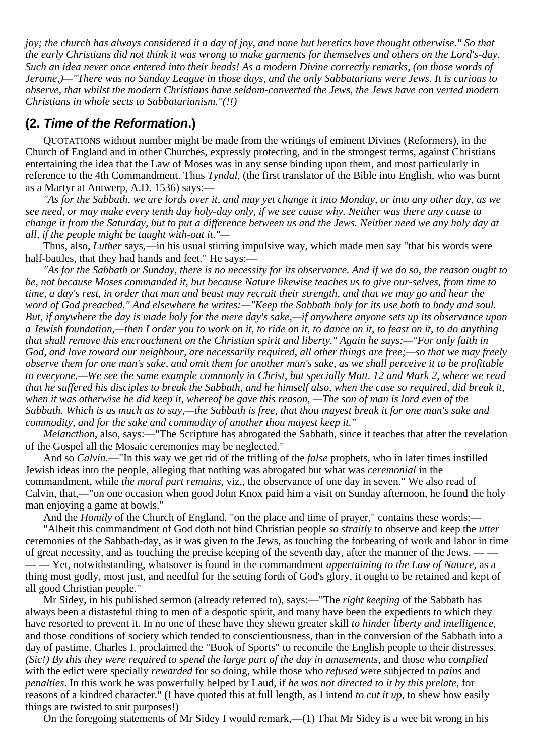*joy; the church has always considered it a day of joy, and none but heretics have thought otherwise." So that the early Christians did not think it was wrong to make garments for themselves and others on the Lord's-day. Such an idea never once entered into their heads! As a modern Divine correctly remarks, (on those words of Jerome,)—"There was no Sunday League in those days, and the only Sabbatarians were Jews. It is curious to observe, that whilst the modern Christians have seldom-converted the Jews, the Jews have con verted modern Christians in whole sects to Sabbatarianism."(!!)*

### **(2. Time of the Reformation.)**

QUOTATIONS without number might be made from the writings of eminent Divines (Reformers), in the Church of England and in other Churches, expressly protecting, and in the strongest terms, against Christians entertaining the idea that the Law of Moses was in any sense binding upon them, and most particularly in reference to the 4th Commandment. Thus *Tyndal*, (the first translator of the Bible into English, who was burnt as a Martyr at Antwerp, A.D. 1536) says:—

*"As for the Sabbath, we are lords over it, and may yet change it into Monday, or into any other day, as we see need, or may make every tenth day holy-day only, if we see cause why. Neither was there any cause to change it from the Saturday, but to put a difference between us and the Jews. Neither need we any holy day at all, if the people might be taught with-out it."—*

Thus, also, *Luther* says,—in his usual stirring impulsive way, which made men say "that his words were half-battles, that they had hands and feet." He says:—

*"As for the Sabbath or Sunday, there is no necessity for its observance. And if we do so, the reason ought to be, not because Moses commanded it, but because Nature likewise teaches us to give our-selves, from time to time, a day's rest, in order that man and beast may recruit their strength, and that we may go and hear the word of God preached." And elsewhere he writes:—"Keep the Sabbath holy for its use both to body and soul. But, if anywhere the day is made holy for the mere day's sake,—if anywhere anyone sets up its observance upon a Jewish foundation,—then I order you to work on it, to ride on it, to dance on it, to feast on it, to do anything that shall remove this encroachment on the Christian spirit and liberty." Again he says:—"For only faith in God, and love toward our neighbour, are necessarily required, all other things are free;—so that we may freely observe them for one man's sake, and omit them for another man's sake, as we shall perceive it to be profitable to everyone.—We see the same example commonly in Christ, but specially Matt. 12 and Mark 2, where we read that he suffered his disciples to break the Sabbath, and he himself also, when the case so required, did break it, when it was otherwise he did keep it, whereof he gave this reason, —The son of man is lord even of the Sabbath. Which is as much as to say,—the Sabbath is free, that thou mayest break it for one man's sake and commodity, and for the sake and commodity of another thou mayest keep it."*

*Melancthon*, also, says:—"The Scripture has abrogated the Sabbath, since it teaches that after the revelation of the Gospel all the Mosaic ceremonies may be neglected."

And so *Calvin*.—"In this way we get rid of the trifling of the *false* prophets, who in later times instilled Jewish ideas into the people, alleging that nothing was abrogated but what was *ceremonial* in the commandment, while *the moral part remains*, viz., the observance of one day in seven." We also read of Calvin, that,—"on one occasion when good John Knox paid him a visit on Sunday afternoon, he found the holy man enjoying a game at bowls."

And the *Homily* of the Church of England, "on the place and time of prayer," contains these words:—

"Albeit this commandment of God doth not bind Christian people *so straitly* to observe and keep the *utter* ceremonies of the Sabbath-day, as it was given to the Jews, as touching the forbearing of work and labor in time of great necessity, and as touching the precise keeping of the seventh day, after the manner of the Jews. — — — — Yet, notwithstanding, whatsover is found in the commandment *appertaining to the Law of Nature*, as a thing most godly, most just, and needful for the setting forth of God's glory, it ought to be retained and kept of all good Christian people."

Mr Sidey, in his published sermon (already referred to), says:—"The *right keeping* of the Sabbath has always been a distasteful thing to men of a despotic spirit, and many have been the expedients to which they have resorted to prevent it. In no one of these have they shewn greater skill *to hinder liberty and intelligence*, and those conditions of society which tended to conscientiousness, than in the conversion of the Sabbath into a day of pastime. Charles I. proclaimed the "Book of Sports" to reconcile the English people to their distresses. *(Sic!) By this they were required to spend the large part of the day in amusements*, and those who *complied* with the edict were specially *rewarded* for so doing, while those who *refused* were subjected to *pains* and *penalties*. In this work he was powerfully helped by Laud, if *he was not directed to it by this prelate*, for reasons of a kindred character." (I have quoted this at full length, as I intend *to cut it up*, to shew how easily things are twisted to suit purposes!)

On the foregoing statements of Mr Sidey I would remark,—(1) That Mr Sidey is a wee bit wrong in his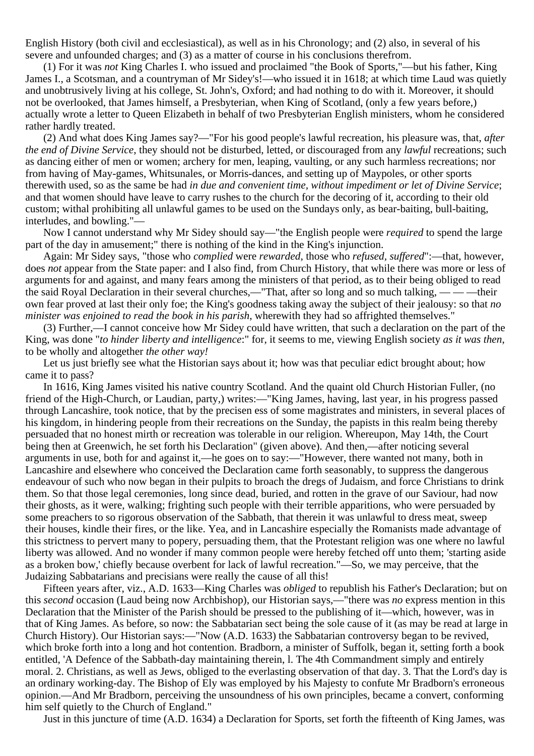English History (both civil and ecclesiastical), as well as in his Chronology; and (2) also, in several of his severe and unfounded charges; and (3) as a matter of course in his conclusions therefrom.

(1) For it was *not* King Charles I. who issued and proclaimed "the Book of Sports,"—but his father, King James I., a Scotsman, and a countryman of Mr Sidey's!—who issued it in 1618; at which time Laud was quietly and unobtrusively living at his college, St. John's, Oxford; and had nothing to do with it. Moreover, it should not be overlooked, that James himself, a Presbyterian, when King of Scotland, (only a few years before,) actually wrote a letter to Queen Elizabeth in behalf of two Presbyterian English ministers, whom he considered rather hardly treated.

(2) And what does King James say?—"For his good people's lawful recreation, his pleasure was, that, *after the end of Divine Service*, they should not be disturbed, letted, or discouraged from any *lawful* recreations; such as dancing either of men or women; archery for men, leaping, vaulting, or any such harmless recreations; nor from having of May-games, Whitsunales, or Morris-dances, and setting up of Maypoles, or other sports therewith used, so as the same be had *in due and convenient time, without impediment or let of Divine Service*; and that women should have leave to carry rushes to the church for the decoring of it, according to their old custom; withal prohibiting all unlawful games to be used on the Sundays only, as bear-baiting, bull-baiting, interludes, and bowling."—

Now I cannot understand why Mr Sidey should say—"the English people were *required* to spend the large part of the day in amusement;" there is nothing of the kind in the King's injunction.

Again: Mr Sidey says, "those who *complied* were *rewarded*, those who *refused, suffered*":—that, however, does *not* appear from the State paper: and I also find, from Church History, that while there was more or less of arguments for and against, and many fears among the ministers of that period, as to their being obliged to read the said Royal Declaration in their several churches,—"That, after so long and so much talking, — — —their own fear proved at last their only foe; the King's goodness taking away the subject of their jealousy: so that *no minister was enjoined to read the book in his parish*, wherewith they had so affrighted themselves."

(3) Further,—I cannot conceive how Mr Sidey could have written, that such a declaration on the part of the King, was done "*to hinder liberty and intelligence*:" for, it seems to me, viewing English society *as it was then*, to be wholly and altogether *the other way!*

Let us just briefly see what the Historian says about it; how was that peculiar edict brought about; how came it to pass?

In 1616, King James visited his native country Scotland. And the quaint old Church Historian Fuller, (no friend of the High-Church, or Laudian, party,) writes:—"King James, having, last year, in his progress passed through Lancashire, took notice, that by the precisen ess of some magistrates and ministers, in several places of his kingdom, in hindering people from their recreations on the Sunday, the papists in this realm being thereby persuaded that no honest mirth or recreation was tolerable in our religion. Whereupon, May 14th, the Court being then at Greenwich, he set forth his Declaration" (given above). And then,—after noticing several arguments in use, both for and against it,—he goes on to say:—"However, there wanted not many, both in Lancashire and elsewhere who conceived the Declaration came forth seasonably, to suppress the dangerous endeavour of such who now began in their pulpits to broach the dregs of Judaism, and force Christians to drink them. So that those legal ceremonies, long since dead, buried, and rotten in the grave of our Saviour, had now their ghosts, as it were, walking; frighting such people with their terrible apparitions, who were persuaded by some preachers to so rigorous observation of the Sabbath, that therein it was unlawful to dress meat, sweep their houses, kindle their fires, or the like. Yea, and in Lancashire especially the Romanists made advantage of this strictness to pervert many to popery, persuading them, that the Protestant religion was one where no lawful liberty was allowed. And no wonder if many common people were hereby fetched off unto them; 'starting aside as a broken bow,' chiefly because overbent for lack of lawful recreation."—So, we may perceive, that the Judaizing Sabbatarians and precisians were really the cause of all this!

Fifteen years after, viz., A.D. 1633—King Charles was *obliged* to republish his Father's Declaration; but on this *second* occasion (Laud being now Archbishop), our Historian says,—"there was *no* express mention in this Declaration that the Minister of the Parish should be pressed to the publishing of it—which, however, was in that of King James. As before, so now: the Sabbatarian sect being the sole cause of it (as may be read at large in Church History). Our Historian says:—"Now (A.D. 1633) the Sabbatarian controversy began to be revived, which broke forth into a long and hot contention. Bradborn, a minister of Suffolk, began it, setting forth a book entitled, 'A Defence of the Sabbath-day maintaining therein, l. The 4th Commandment simply and entirely moral. 2. Christians, as well as Jews, obliged to the everlasting observation of that day. 3. That the Lord's day is an ordinary working-day. The Bishop of Ely was employed by his Majesty to confute Mr Bradborn's erroneous opinion.—And Mr Bradborn, perceiving the unsoundness of his own principles, became a convert, conforming him self quietly to the Church of England."

Just in this juncture of time (A.D. 1634) a Declaration for Sports, set forth the fifteenth of King James, was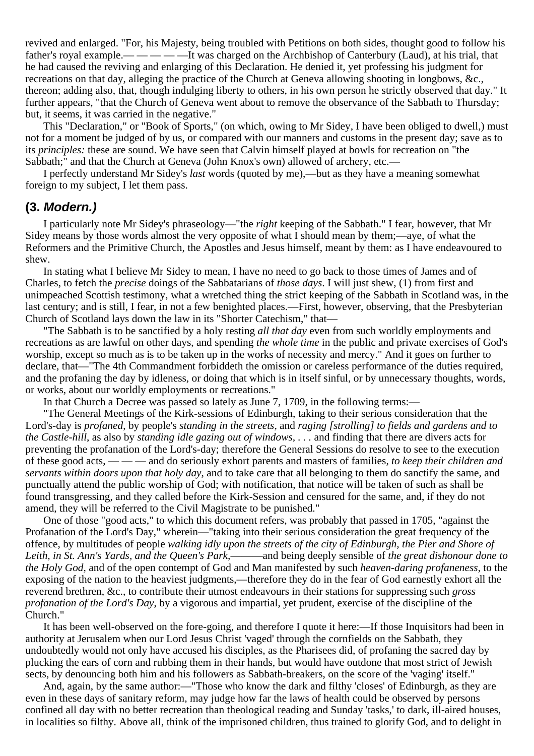revived and enlarged. "For, his Majesty, being troubled with Petitions on both sides, thought good to follow his father's royal example.— — — — — — — It was charged on the Archbishop of Canterbury (Laud), at his trial, that he had caused the reviving and enlarging of this Declaration. He denied it, yet professing his judgment for recreations on that day, alleging the practice of the Church at Geneva allowing shooting in longbows, &c., thereon; adding also, that, though indulging liberty to others, in his own person he strictly observed that day." It further appears, "that the Church of Geneva went about to remove the observance of the Sabbath to Thursday; but, it seems, it was carried in the negative."

This "Declaration," or "Book of Sports," (on which, owing to Mr Sidey, I have been obliged to dwell,) must not for a moment be judged of by us, or compared with our manners and customs in the present day; save as to its *principles:* these are sound. We have seen that Calvin himself played at bowls for recreation on "the Sabbath;" and that the Church at Geneva (John Knox's own) allowed of archery, etc.—

I perfectly understand Mr Sidey's *last* words (quoted by me),—but as they have a meaning somewhat foreign to my subject, I let them pass.

#### **(3. Modern.)**

I particularly note Mr Sidey's phraseology—"the *right* keeping of the Sabbath." I fear, however, that Mr Sidey means by those words almost the very opposite of what I should mean by them;—aye, of what the Reformers and the Primitive Church, the Apostles and Jesus himself, meant by them: as I have endeavoured to shew.

In stating what I believe Mr Sidey to mean, I have no need to go back to those times of James and of Charles, to fetch the *precise* doings of the Sabbatarians of *those days*. I will just shew, (1) from first and unimpeached Scottish testimony, what a wretched thing the strict keeping of the Sabbath in Scotland was, in the last century; and is still, I fear, in not a few benighted places.—First, however, observing, that the Presbyterian Church of Scotland lays down the law in its "Shorter Catechism," that—

"The Sabbath is to be sanctified by a holy resting *all that day* even from such worldly employments and recreations as are lawful on other days, and spending *the whole time* in the public and private exercises of God's worship, except so much as is to be taken up in the works of necessity and mercy." And it goes on further to declare, that—"The 4th Commandment forbiddeth the omission or careless performance of the duties required, and the profaning the day by idleness, or doing that which is in itself sinful, or by unnecessary thoughts, words, or works, about our worldly employments or recreations."

In that Church a Decree was passed so lately as June 7, 1709, in the following terms:—

"The General Meetings of the Kirk-sessions of Edinburgh, taking to their serious consideration that the Lord's-day is *profaned*, by people's *standing in the streets*, and *raging [strolling] to fields and gardens and to the Castle-hill*, as also by *standing idle gazing out of windows, . . .* and finding that there are divers acts for preventing the profanation of the Lord's-day; therefore the General Sessions do resolve to see to the execution of these good acts, — — — and do seriously exhort parents and masters of families, *to keep their children and servants within doors upon that holy day*, and to take care that all belonging to them do sanctify the same, and punctually attend the public worship of God; with notification, that notice will be taken of such as shall be found transgressing, and they called before the Kirk-Session and censured for the same, and, if they do not amend, they will be referred to the Civil Magistrate to be punished."

One of those "good acts," to which this document refers, was probably that passed in 1705, "against the Profanation of the Lord's Day," wherein—"taking into their serious consideration the great frequency of the offence, by multitudes of people *walking idly upon the streets of the city of Edinburgh, the Pier and Shore of Leith, in St. Ann's Yards, and the Queen's Park,*———and being deeply sensible of *the great dishonour done to the Holy God*, and of the open contempt of God and Man manifested by such *heaven-daring profaneness*, to the exposing of the nation to the heaviest judgments,—therefore they do in the fear of God earnestly exhort all the reverend brethren, &c., to contribute their utmost endeavours in their stations for suppressing such *gross profanation of the Lord's Day*, by a vigorous and impartial, yet prudent, exercise of the discipline of the Church."

It has been well-observed on the fore-going, and therefore I quote it here:—If those Inquisitors had been in authority at Jerusalem when our Lord Jesus Christ 'vaged' through the cornfields on the Sabbath, they undoubtedly would not only have accused his disciples, as the Pharisees did, of profaning the sacred day by plucking the ears of corn and rubbing them in their hands, but would have outdone that most strict of Jewish sects, by denouncing both him and his followers as Sabbath-breakers, on the score of the 'vaging' itself."

And, again, by the same author:—"Those who know the dark and filthy 'closes' of Edinburgh, as they are even in these days of sanitary reform, may judge how far the laws of health could be observed by persons confined all day with no better recreation than theological reading and Sunday 'tasks,' to dark, ill-aired houses, in localities so filthy. Above all, think of the imprisoned children, thus trained to glorify God, and to delight in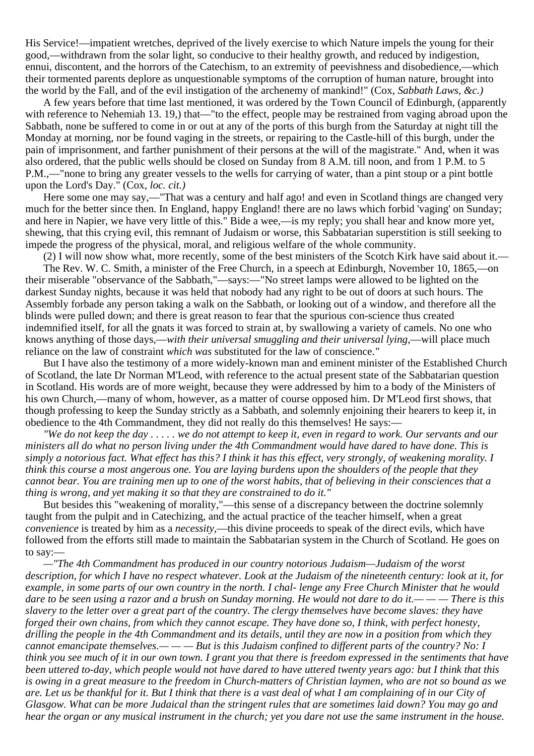His Service!—impatient wretches, deprived of the lively exercise to which Nature impels the young for their good,—withdrawn from the solar light, so conducive to their healthy growth, and reduced by indigestion, ennui, discontent, and the horrors of the Catechism, to an extremity of peevishness and disobedience,—which their tormented parents deplore as unquestionable symptoms of the corruption of human nature, brought into the world by the Fall, and of the evil instigation of the archenemy of mankind!" (Cox, *Sabbath Laws, &c.)*

A few years before that time last mentioned, it was ordered by the Town Council of Edinburgh, (apparently with reference to Nehemiah 13. 19,) that—"to the effect, people may be restrained from vaging abroad upon the Sabbath, none be suffered to come in or out at any of the ports of this burgh from the Saturday at night till the Monday at morning, nor be found vaging in the streets, or repairing to the Castle-hill of this burgh, under the pain of imprisonment, and farther punishment of their persons at the will of the magistrate." And, when it was also ordered, that the public wells should be closed on Sunday from 8 A.M. till noon, and from 1 P.M. to 5 P.M.,—"none to bring any greater vessels to the wells for carrying of water, than a pint stoup or a pint bottle upon the Lord's Day." (Cox, *loc. cit.)*

Here some one may say,—"That was a century and half ago! and even in Scotland things are changed very much for the better since then. In England, happy England! there are no laws which forbid 'vaging' on Sunday; and here in Napier, we have very little of this." Bide a wee,—is my reply; you shall hear and know more yet, shewing, that this crying evil, this remnant of Judaism or worse, this Sabbatarian superstition is still seeking to impede the progress of the physical, moral, and religious welfare of the whole community.

(2) I will now show what, more recently, some of the best ministers of the Scotch Kirk have said about it.—

The Rev. W. C. Smith, a minister of the Free Church, in a speech at Edinburgh, November 10, 1865,—on their miserable "observance of the Sabbath,"—says:—"No street lamps were allowed to be lighted on the darkest Sunday nights, because it was held that nobody had any right to be out of doors at such hours. The Assembly forbade any person taking a walk on the Sabbath, or looking out of a window, and therefore all the blinds were pulled down; and there is great reason to fear that the spurious con-science thus created indemnified itself, for all the gnats it was forced to strain at, by swallowing a variety of camels. No one who knows anything of those days,—*with their universal smuggling and their universal lying*,—will place much reliance on the law of constraint *which was* substituted for the law of conscience.*"*

But I have also the testimony of a more widely-known man and eminent minister of the Established Church of Scotland, the late Dr Norman M'Leod, with reference to the actual present state of the Sabbatarian question in Scotland. His words are of more weight, because they were addressed by him to a body of the Ministers of his own Church,—many of whom, however, as a matter of course opposed him. Dr M'Leod first shows, that though professing to keep the Sunday strictly as a Sabbath, and solemnly enjoining their hearers to keep it, in obedience to the 4th Commandment, they did not really do this themselves! He says:—

*"We do not keep the day . . . . . we do not attempt to keep it, even in regard to work. Our servants and our ministers all do what no person living under the 4th Commandment would have dared to have done. This is simply a notorious fact. What effect has this? I think it has this effect, very strongly, of weakening morality. I think this course a most angerous one. You are laying burdens upon the shoulders of the people that they cannot bear. You are training men up to one of the worst habits, that of believing in their consciences that a thing is wrong, and yet making it so that they are constrained to do it."*

But besides this "weakening of morality,"—this sense of a discrepancy between the doctrine solemnly taught from the pulpit and in Catechizing, and the actual practice of the teacher himself, when a great *convenience* is treated by him as a *necessity*,—this divine proceeds to speak of the direct evils, which have followed from the efforts still made to maintain the Sabbatarian system in the Church of Scotland. He goes on to say:—

*—"The 4th Commandment has produced in our country notorious Judaism—Judaism of the worst description, for which I have no respect whatever. Look at the Judaism of the nineteenth century: look at it, for example, in some parts of our own country in the north. I chal- lenge any Free Church Minister that he would dare to be seen using a razor and a brush on Sunday morning. He would not dare to do it.— — — There is this slavery to the letter over a great part of the country. The clergy themselves have become slaves: they have forged their own chains, from which they cannot escape. They have done so, I think, with perfect honesty, drilling the people in the 4th Commandment and its details, until they are now in a position from which they cannot emancipate themselves.— — — But is this Judaism confined to different parts of the country? No: I think you see much of it in our own town. I grant you that there is freedom expressed in the sentiments that have been uttered to-day, which people would not have dared to have uttered twenty years ago: but I think that this is owing in a great measure to the freedom in Church-matters of Christian laymen, who are not so bound as we are. Let us be thankful for it. But I think that there is a vast deal of what I am complaining of in our City of Glasgow. What can be more Judaical than the stringent rules that are sometimes laid down? You may go and hear the organ or any musical instrument in the church; yet you dare not use the same instrument in the house.*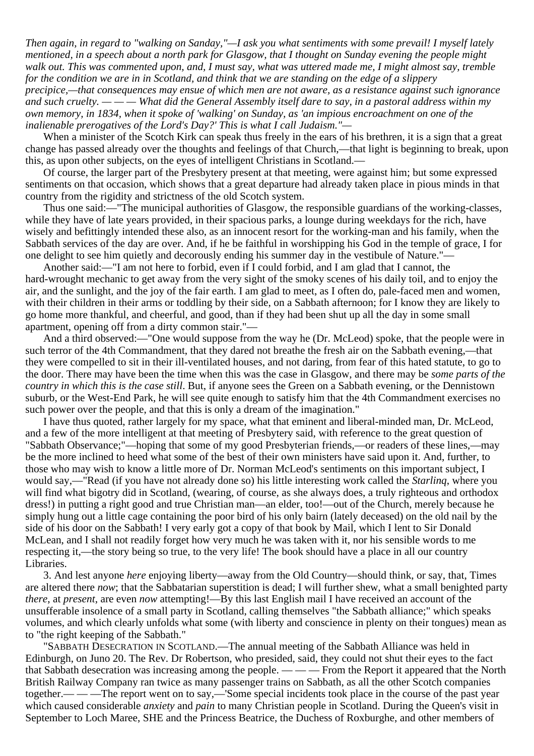*Then again, in regard to "walking on Sanday,"—I ask you what sentiments with some prevail! I myself lately mentioned, in a speech about a north park for Glasgow, that I thought on Sunday evening the people might* walk out. This was commented upon, and, I must say, what was uttered made me, I might almost say, tremble *for the condition we are in in Scotland, and think that we are standing on the edge of a slippery*

*precipice,—that consequences may ensue of which men are not aware, as a resistance against such ignorance and such cruelty. — — — What did the General Assembly itself dare to say, in a pastoral address within my own memory, in 1834, when it spoke of 'walking' on Sunday, as 'an impious encroachment on one of the inalienable prerogatives of the Lord's Day?' This is what I call Judaism."—*

When a minister of the Scotch Kirk can speak thus freely in the ears of his brethren, it is a sign that a great change has passed already over the thoughts and feelings of that Church,—that light is beginning to break, upon this, as upon other subjects, on the eyes of intelligent Christians in Scotland.—

Of course, the larger part of the Presbytery present at that meeting, were against him; but some expressed sentiments on that occasion, which shows that a great departure had already taken place in pious minds in that country from the rigidity and strictness of the old Scotch system.

Thus one said:—"The municipal authorities of Glasgow, the responsible guardians of the working-classes, while they have of late years provided, in their spacious parks, a lounge during weekdays for the rich, have wisely and befittingly intended these also, as an innocent resort for the working-man and his family, when the Sabbath services of the day are over. And, if he be faithful in worshipping his God in the temple of grace, I for one delight to see him quietly and decorously ending his summer day in the vestibule of Nature."—

Another said:—"I am not here to forbid, even if I could forbid, and I am glad that I cannot, the hard-wrought mechanic to get away from the very sight of the smoky scenes of his daily toil, and to enjoy the air, and the sunlight, and the joy of the fair earth. I am glad to meet, as I often do, pale-faced men and women, with their children in their arms or toddling by their side, on a Sabbath afternoon; for I know they are likely to go home more thankful, and cheerful, and good, than if they had been shut up all the day in some small apartment, opening off from a dirty common stair."—

And a third observed:—"One would suppose from the way he (Dr. McLeod) spoke, that the people were in such terror of the 4th Commandment, that they dared not breathe the fresh air on the Sabbath evening,—that they were compelled to sit in their ill-ventilated houses, and not daring, from fear of this hated statute, to go to the door. There may have been the time when this was the case in Glasgow, and there may be *some parts of the country in which this is the case still*. But, if anyone sees the Green on a Sabbath evening, or the Dennistown suburb, or the West-End Park, he will see quite enough to satisfy him that the 4th Commandment exercises no such power over the people, and that this is only a dream of the imagination."

I have thus quoted, rather largely for my space, what that eminent and liberal-minded man, Dr. McLeod, and a few of the more intelligent at that meeting of Presbytery said, with reference to the great question of "Sabbath Observance;"—hoping that some of my good Presbyterian friends,—or readers of these lines,—may be the more inclined to heed what some of the best of their own ministers have said upon it. And, further, to those who may wish to know a little more of Dr. Norman McLeod's sentiments on this important subject, I would say,—"Read (if you have not already done so) his little interesting work called the *Starlinq*, where you will find what bigotry did in Scotland, (wearing, of course, as she always does, a truly righteous and orthodox dress!) in putting a right good and true Christian man—an elder, too!—out of the Church, merely because he simply hung out a little cage containing the poor bird of his only bairn (lately deceased) on the old nail by the side of his door on the Sabbath! I very early got a copy of that book by Mail, which I lent to Sir Donald McLean, and I shall not readily forget how very much he was taken with it, nor his sensible words to me respecting it,—the story being so true, to the very life! The book should have a place in all our country Libraries.

3. And lest anyone *here* enjoying liberty—away from the Old Country—should think, or say, that, Times are altered there *now*; that the Sabbatarian superstition is dead; I will further shew, what a small benighted party *there*, at *present*, are even *now* attempting!—By this last English mail I have received an account of the unsufferable insolence of a small party in Scotland, calling themselves "the Sabbath alliance;" which speaks volumes, and which clearly unfolds what some (with liberty and conscience in plenty on their tongues) mean as to "the right keeping of the Sabbath."

"SABBATH DESECRATION IN SCOTLAND.—The annual meeting of the Sabbath Alliance was held in Edinburgh, on Juno 20. The Rev. Dr Robertson, who presided, said, they could not shut their eyes to the fact that Sabbath desecration was increasing among the people. — — — From the Report it appeared that the North British Railway Company ran twice as many passenger trains on Sabbath, as all the other Scotch companies together.— — —The report went on to say,—'Some special incidents took place in the course of the past year which caused considerable *anxiety* and *pain* to many Christian people in Scotland. During the Queen's visit in September to Loch Maree, SHE and the Princess Beatrice, the Duchess of Roxburghe, and other members of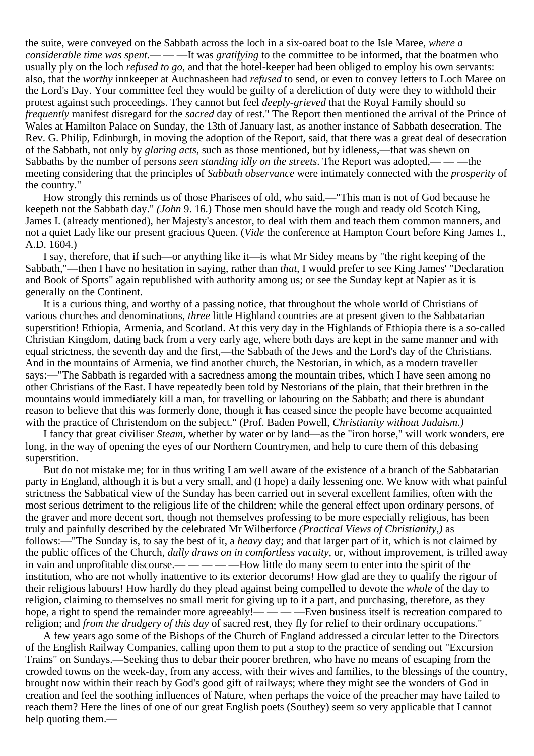the suite, were conveyed on the Sabbath across the loch in a six-oared boat to the Isle Maree, *where a considerable time was spent*.— — —It was *gratifying* to the committee to be informed, that the boatmen who usually ply on the loch *refused to go*, and that the hotel-keeper had been obliged to employ his own servants: also, that the *worthy* innkeeper at Auchnasheen had *refused* to send, or even to convey letters to Loch Maree on the Lord's Day. Your committee feel they would be guilty of a dereliction of duty were they to withhold their protest against such proceedings. They cannot but feel *deeply-grieved* that the Royal Family should so *frequently* manifest disregard for the *sacred* day of rest." The Report then mentioned the arrival of the Prince of Wales at Hamilton Palace on Sunday, the 13th of January last, as another instance of Sabbath desecration. The Rev. G. Philip, Edinburgh, in moving the adoption of the Report, said, that there was a great deal of desecration of the Sabbath, not only by *glaring acts*, such as those mentioned, but by idleness,—that was shewn on Sabbaths by the number of persons *seen standing idly on the streets*. The Report was adopted,— — —the meeting considering that the principles of *Sabbath observance* were intimately connected with the *prosperity* of the country."

How strongly this reminds us of those Pharisees of old, who said,—"This man is not of God because he keepeth not the Sabbath day." *(John* 9. 16.) Those men should have the rough and ready old Scotch King, James I. (already mentioned), her Majesty's ancestor, to deal with them and teach them common manners, and not a quiet Lady like our present gracious Queen. (*Vide* the conference at Hampton Court before King James I., A.D. 1604.)

I say, therefore, that if such—or anything like it—is what Mr Sidey means by "the right keeping of the Sabbath,"—then I have no hesitation in saying, rather than *that*, I would prefer to see King James' "Declaration and Book of Sports" again republished with authority among us; or see the Sunday kept at Napier as it is generally on the Continent.

It is a curious thing, and worthy of a passing notice, that throughout the whole world of Christians of various churches and denominations, *three* little Highland countries are at present given to the Sabbatarian superstition! Ethiopia, Armenia, and Scotland. At this very day in the Highlands of Ethiopia there is a so-called Christian Kingdom, dating back from a very early age, where both days are kept in the same manner and with equal strictness, the seventh day and the first,—the Sabbath of the Jews and the Lord's day of the Christians. And in the mountains of Armenia, we find another church, the Nestorian, in which, as a modern traveller says:—"The Sabbath is regarded with a sacredness among the mountain tribes, which I have seen among no other Christians of the East. I have repeatedly been told by Nestorians of the plain, that their brethren in the mountains would immediately kill a man, for travelling or labouring on the Sabbath; and there is abundant reason to believe that this was formerly done, though it has ceased since the people have become acquainted with the practice of Christendom on the subject." (Prof. Baden Powell, *Christianity without Judaism.)*

I fancy that great civiliser *Steam*, whether by water or by land—as the "iron horse," will work wonders, ere long, in the way of opening the eyes of our Northern Countrymen, and help to cure them of this debasing superstition.

But do not mistake me; for in thus writing I am well aware of the existence of a branch of the Sabbatarian party in England, although it is but a very small, and (I hope) a daily lessening one. We know with what painful strictness the Sabbatical view of the Sunday has been carried out in several excellent families, often with the most serious detriment to the religious life of the children; while the general effect upon ordinary persons, of the graver and more decent sort, though not themselves professing to be more especially religious, has been truly and painfully described by the celebrated Mr Wilberforce *(Practical Views of Christianity,)* as follows:—"The Sunday is, to say the best of it, a *heavy* day; and that larger part of it, which is not claimed by the public offices of the Church, *dully draws on in comfortless vacuity*, or, without improvement, is trilled away in vain and unprofitable discourse.— — — — — — How little do many seem to enter into the spirit of the institution, who are not wholly inattentive to its exterior decorums! How glad are they to qualify the rigour of their religious labours! How hardly do they plead against being compelled to devote the *whole* of the day to religion, claiming to themselves no small merit for giving up to it a part, and purchasing, therefore, as they hope, a right to spend the remainder more agreeably!— — — — — Even business itself is recreation compared to religion; and *from the drudgery of this day* of sacred rest, they fly for relief to their ordinary occupations."

A few years ago some of the Bishops of the Church of England addressed a circular letter to the Directors of the English Railway Companies, calling upon them to put a stop to the practice of sending out "Excursion Trains" on Sundays.—Seeking thus to debar their poorer brethren, who have no means of escaping from the crowded towns on the week-day, from any access, with their wives and families, to the blessings of the country, brought now within their reach by God's good gift of railways; where they might see the wonders of God in creation and feel the soothing influences of Nature, when perhaps the voice of the preacher may have failed to reach them? Here the lines of one of our great English poets (Southey) seem so very applicable that I cannot help quoting them.—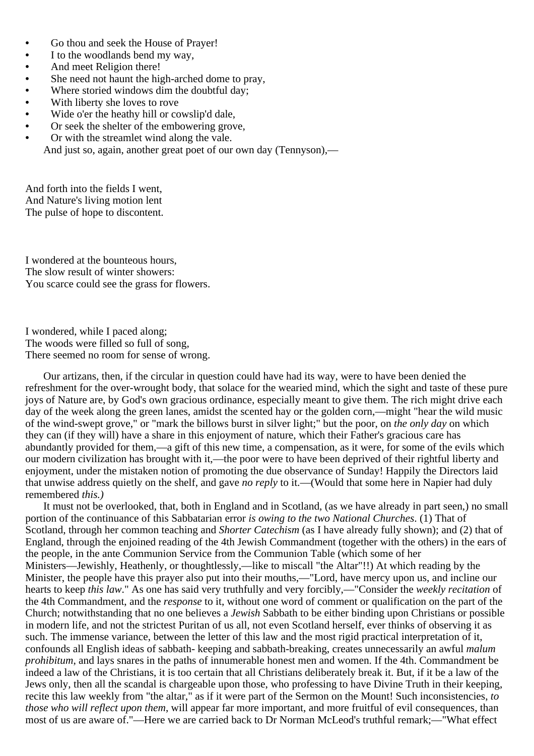- Go thou and seek the House of Prayer!<br>• I to the woodlands bend my way.
- I to the woodlands bend my way,<br>• And meet Religion there!
- 
- And meet Religion there!<br>• She need not haunt the higher<br>• Where storied windows d<br>• With liberty she loves to i<br>• Wide o'er the heathy hill of She need not haunt the high-arched dome to pray,
- Where storied windows dim the doubtful day;
- **•** With liberty she loves to rove
- **•** Wide o'er the heathy hill or cowslip'd dale,
- **•** Or seek the shelter of the embowering grove,
- **•** Or with the streamlet wind along the vale.

And just so, again, another great poet of our own day (Tennyson),—

And forth into the fields I went, And Nature's living motion lent The pulse of hope to discontent.

I wondered at the bounteous hours, The slow result of winter showers: You scarce could see the grass for flowers.

I wondered, while I paced along; The woods were filled so full of song, There seemed no room for sense of wrong.

Our artizans, then, if the circular in question could have had its way, were to have been denied the refreshment for the over-wrought body, that solace for the wearied mind, which the sight and taste of these pure joys of Nature are, by God's own gracious ordinance, especially meant to give them. The rich might drive each day of the week along the green lanes, amidst the scented hay or the golden corn,—might "hear the wild music of the wind-swept grove," or "mark the billows burst in silver light;" but the poor, on *the only day* on which they can (if they will) have a share in this enjoyment of nature, which their Father's gracious care has abundantly provided for them,—a gift of this new time, a compensation, as it were, for some of the evils which our modern civilization has brought with it,—the poor were to have been deprived of their rightful liberty and enjoyment, under the mistaken notion of promoting the due observance of Sunday! Happily the Directors laid that unwise address quietly on the shelf, and gave *no reply* to it.—(Would that some here in Napier had duly remembered *this.)*

It must not be overlooked, that, both in England and in Scotland, (as we have already in part seen,) no small portion of the continuance of this Sabbatarian error *is owing to the two National Churches*. (1) That of Scotland, through her common teaching and *Shorter Catechism* (as I have already fully shown); and (2) that of England, through the enjoined reading of the 4th Jewish Commandment (together with the others) in the ears of the people, in the ante Communion Service from the Communion Table (which some of her Ministers—Jewishly, Heathenly, or thoughtlessly,—like to miscall "the Altar"!!) At which reading by the Minister, the people have this prayer also put into their mouths,—"Lord, have mercy upon us, and incline our hearts to keep *this law*." As one has said very truthfully and very forcibly,—"Consider the *weekly recitation* of the 4th Commandment, and the *response* to it, without one word of comment or qualification on the part of the Church; notwithstanding that no one believes a *Jewish* Sabbath to be either binding upon Christians or possible in modern life, and not the strictest Puritan of us all, not even Scotland herself, ever thinks of observing it as such. The immense variance, between the letter of this law and the most rigid practical interpretation of it, confounds all English ideas of sabbath- keeping and sabbath-breaking, creates unnecessarily an awful *malum prohibitum*, and lays snares in the paths of innumerable honest men and women. If the 4th. Commandment be indeed a law of the Christians, it is too certain that all Christians deliberately break it. But, if it be a law of the Jews only, then all the scandal is chargeable upon those, who professing to have Divine Truth in their keeping, recite this law weekly from "the altar," as if it were part of the Sermon on the Mount! Such inconsistencies, *to those who will reflect upon them*, will appear far more important, and more fruitful of evil consequences, than most of us are aware of."—Here we are carried back to Dr Norman McLeod's truthful remark;—"What effect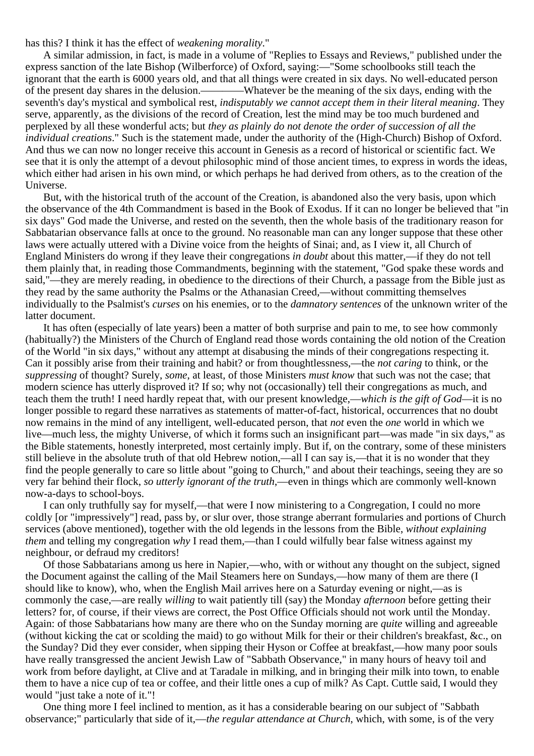has this? I think it has the effect of *weakening morality*."

A similar admission, in fact, is made in a volume of "Replies to Essays and Reviews," published under the express sanction of the late Bishop (Wilberforce) of Oxford, saying:—"Some schoolbooks still teach the ignorant that the earth is 6000 years old, and that all things were created in six days. No well-educated person of the present day shares in the delusion.————Whatever be the meaning of the six days, ending with the seventh's day's mystical and symbolical rest, *indisputably we cannot accept them in their literal meaning*. They serve, apparently, as the divisions of the record of Creation, lest the mind may be too much burdened and perplexed by all these wonderful acts; but *they as plainly do not denote the order of succession of all the individual creations*." Such is the statement made, under the authority of the (High-Church) Bishop of Oxford. And thus we can now no longer receive this account in Genesis as a record of historical or scientific fact. We see that it is only the attempt of a devout philosophic mind of those ancient times, to express in words the ideas, which either had arisen in his own mind, or which perhaps he had derived from others, as to the creation of the Universe.

But, with the historical truth of the account of the Creation, is abandoned also the very basis, upon which the observance of the 4th Commandment is based in the Book of Exodus. If it can no longer be believed that "in six days" God made the Universe, and rested on the seventh, then the whole basis of the traditionary reason for Sabbatarian observance falls at once to the ground. No reasonable man can any longer suppose that these other laws were actually uttered with a Divine voice from the heights of Sinai; and, as I view it, all Church of England Ministers do wrong if they leave their congregations *in doubt* about this matter,—if they do not tell them plainly that, in reading those Commandments, beginning with the statement, "God spake these words and said,"—they are merely reading, in obedience to the directions of their Church, a passage from the Bible just as they read by the same authority the Psalms or the Athanasian Creed,—without committing themselves individually to the Psalmist's *curses* on his enemies, or to the *damnatory sentences* of the unknown writer of the latter document.

It has often (especially of late years) been a matter of both surprise and pain to me, to see how commonly (habitually?) the Ministers of the Church of England read those words containing the old notion of the Creation of the World "in six days," without any attempt at disabusing the minds of their congregations respecting it. Can it possibly arise from their training and habit? or from thoughtlessness,—the *not caring* to think, or the *suppressing* of thought? Surely, *some*, at least, of those Ministers *must know* that such was not the case; that modern science has utterly disproved it? If so; why not (occasionally) tell their congregations as much, and teach them the truth! I need hardly repeat that, with our present knowledge,—*which is the gift of God*—it is no longer possible to regard these narratives as statements of matter-of-fact, historical, occurrences that no doubt now remains in the mind of any intelligent, well-educated person, that *not* even the *one* world in which we live—much less, the mighty Universe, of which it forms such an insignificant part—was made "in six days," as the Bible statements, honestly interpreted, most certainly imply. But if, on the contrary, some of these ministers still believe in the absolute truth of that old Hebrew notion,—all I can say is,—that it is no wonder that they find the people generally to care so little about "going to Church," and about their teachings, seeing they are so very far behind their flock, *so utterly ignorant of the truth*,—even in things which are commonly well-known now-a-days to school-boys.

I can only truthfully say for myself,—that were I now ministering to a Congregation, I could no more coldly [or "impressively"] read, pass by, or slur over, those strange aberrant formularies and portions of Church services (above mentioned), together with the old legends in the lessons from the Bible, *without explaining them* and telling my congregation *why* I read them,—than I could wilfully bear false witness against my neighbour, or defraud my creditors!

Of those Sabbatarians among us here in Napier,—who, with or without any thought on the subject, signed the Document against the calling of the Mail Steamers here on Sundays,—how many of them are there (I should like to know), who, when the English Mail arrives here on a Saturday evening or night,—as is commonly the case,—are really *willing* to wait patiently till (say) the Monday *afternoon* before getting their letters? for, of course, if their views are correct, the Post Office Officials should not work until the Monday. Again: of those Sabbatarians how many are there who on the Sunday morning are *quite* willing and agreeable (without kicking the cat or scolding the maid) to go without Milk for their or their children's breakfast, &c., on the Sunday? Did they ever consider, when sipping their Hyson or Coffee at breakfast,—how many poor souls have really transgressed the ancient Jewish Law of "Sabbath Observance," in many hours of heavy toil and work from before daylight, at Clive and at Taradale in milking, and in bringing their milk into town, to enable them to have a nice cup of tea or coffee, and their little ones a cup of milk? As Capt. Cuttle said, I would they would "just take a note of it."!

One thing more I feel inclined to mention, as it has a considerable bearing on our subject of "Sabbath observance;" particularly that side of it,—*the regular attendance at Church*, which, with some, is of the very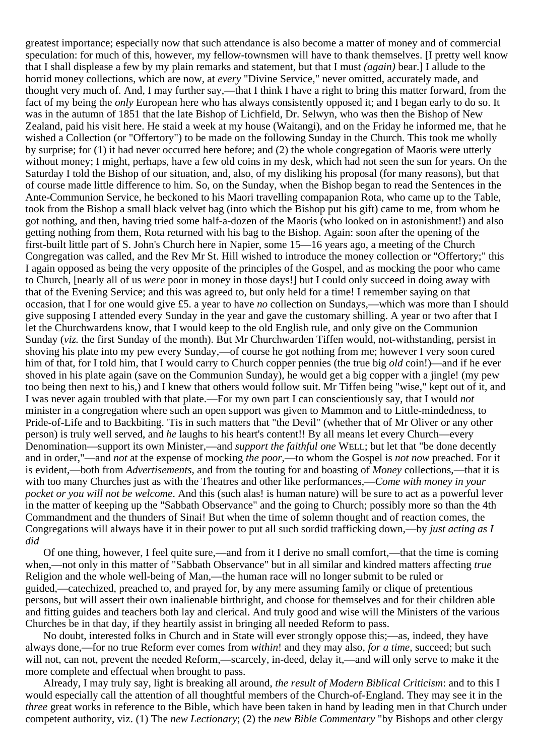greatest importance; especially now that such attendance is also become a matter of money and of commercial speculation: for much of this, however, my fellow-townsmen will have to thank themselves. [I pretty well know that I shall displease a few by my plain remarks and statement, but that I must *(again)* bear.] I allude to the horrid money collections, which are now, at *every* "Divine Service," never omitted, accurately made, and thought very much of. And, I may further say,—that I think I have a right to bring this matter forward, from the fact of my being the *only* European here who has always consistently opposed it; and I began early to do so. It was in the autumn of 1851 that the late Bishop of Lichfield, Dr. Selwyn, who was then the Bishop of New Zealand, paid his visit here. He staid a week at my house (Waitangi), and on the Friday he informed me, that he wished a Collection (or "Offertory") to be made on the following Sunday in the Church. This took me wholly by surprise; for (1) it had never occurred here before; and (2) the whole congregation of Maoris were utterly without money; I might, perhaps, have a few old coins in my desk, which had not seen the sun for years. On the Saturday I told the Bishop of our situation, and, also, of my disliking his proposal (for many reasons), but that of course made little difference to him. So, on the Sunday, when the Bishop began to read the Sentences in the Ante-Communion Service, he beckoned to his Maori travelling compapanion Rota, who came up to the Table, took from the Bishop a small black velvet bag (into which the Bishop put his gift) came to me, from whom he got nothing, and then, having tried some half-a-dozen of the Maoris (who looked on in astonishment!) and also getting nothing from them, Rota returned with his bag to the Bishop. Again: soon after the opening of the first-built little part of S. John's Church here in Napier, some 15—16 years ago, a meeting of the Church Congregation was called, and the Rev Mr St. Hill wished to introduce the money collection or "Offertory;" this I again opposed as being the very opposite of the principles of the Gospel, and as mocking the poor who came to Church, [nearly all of us *were* poor in money in those days!] but I could only succeed in doing away with that of the Evening Service; and this was agreed to, but only held for a time! I remember saying on that occasion, that I for one would give £5. a year to have *no* collection on Sundays,—which was more than I should give supposing I attended every Sunday in the year and gave the customary shilling. A year or two after that I let the Churchwardens know, that I would keep to the old English rule, and only give on the Communion Sunday (*viz.* the first Sunday of the month). But Mr Churchwarden Tiffen would, not-withstanding, persist in shoving his plate into my pew every Sunday,—of course he got nothing from me; however I very soon cured him of that, for I told him, that I would carry to Church copper pennies (the true big *old* coin!)—and if he ever shoved in his plate again (save on the Communion Sunday), he would get a big copper with a jingle! (my pew too being then next to his,) and I knew that others would follow suit. Mr Tiffen being "wise," kept out of it, and I was never again troubled with that plate.—For my own part I can conscientiously say, that I would *not* minister in a congregation where such an open support was given to Mammon and to Little-mindedness, to Pride-of-Life and to Backbiting. 'Tis in such matters that "the Devil" (whether that of Mr Oliver or any other person) is truly well served, and *he* laughs to his heart's content!! By all means let every Church—every Denomination—support its own Minister,—and *support the faithful one* WELL; but let that "be done decently and in order,"—and *not* at the expense of mocking *the poor*,—to whom the Gospel is *not now* preached. For it is evident,—both from *Advertisements*, and from the touting for and boasting of *Money* collections,—that it is with too many Churches just as with the Theatres and other like performances,—*Come with money in your pocket or you will not be welcome*. And this (such alas! is human nature) will be sure to act as a powerful lever in the matter of keeping up the "Sabbath Observance" and the going to Church; possibly more so than the 4th Commandment and the thunders of Sinai! But when the time of solemn thought and of reaction comes, the Congregations will always have it in their power to put all such sordid trafficking down,—by *just acting as I did*

Of one thing, however, I feel quite sure,—and from it I derive no small comfort,—that the time is coming when,—not only in this matter of "Sabbath Observance" but in all similar and kindred matters affecting *true* Religion and the whole well-being of Man,—the human race will no longer submit to be ruled or guided,—catechized, preached to, and prayed for, by any mere assuming family or clique of pretentious persons, but will assert their own inalienable birthright, and choose for themselves and for their children able and fitting guides and teachers both lay and clerical. And truly good and wise will the Ministers of the various Churches be in that day, if they heartily assist in bringing all needed Reform to pass.

No doubt, interested folks in Church and in State will ever strongly oppose this;—as, indeed, they have always done,—for no true Reform ever comes from *within*! and they may also, *for a time*, succeed; but such will not, can not, prevent the needed Reform,—scarcely, in-deed, delay it,—and will only serve to make it the more complete and effectual when brought to pass.

Already, I may truly say, light is breaking all around, *the result of Modern Biblical Criticism*: and to this I would especially call the attention of all thoughtful members of the Church-of-England. They may see it in the *three* great works in reference to the Bible, which have been taken in hand by leading men in that Church under competent authority, viz. (1) The *new Lectionary*; (2) the *new Bible Commentary* "by Bishops and other clergy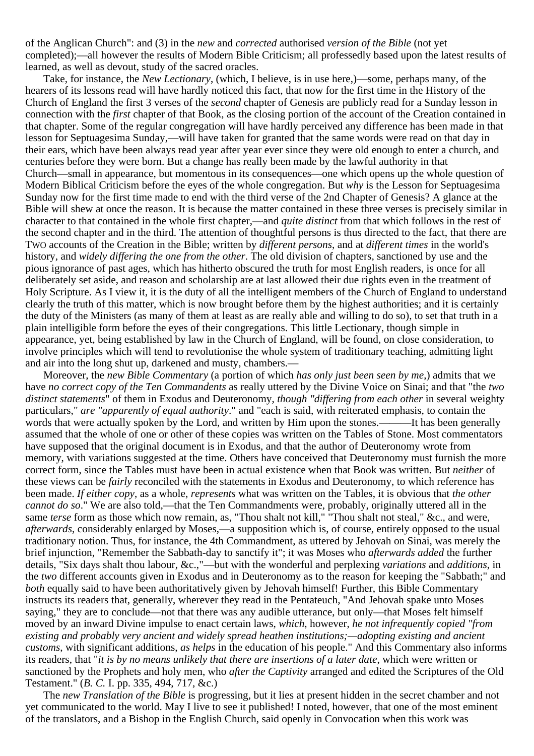of the Anglican Church": and (3) in the *new* and *corrected* authorised *version of the Bible* (not yet completed);—all however the results of Modern Bible Criticism; all professedly based upon the latest results of learned, as well as devout, study of the sacred oracles.

Take, for instance, the *New Lectionary*, (which, I believe, is in use here,)—some, perhaps many, of the hearers of its lessons read will have hardly noticed this fact, that now for the first time in the History of the Church of England the first 3 verses of the *second* chapter of Genesis are publicly read for a Sunday lesson in connection with the *first* chapter of that Book, as the closing portion of the account of the Creation contained in that chapter. Some of the regular congregation will have hardly perceived any difference has been made in that lesson for Septuagesima Sunday,—will have taken for granted that the same words were read on that day in their ears, which have been always read year after year ever since they were old enough to enter a church, and centuries before they were born. But a change has really been made by the lawful authority in that Church—small in appearance, but momentous in its consequences—one which opens up the whole question of Modern Biblical Criticism before the eyes of the whole congregation. But *why* is the Lesson for Septuagesima Sunday now for the first time made to end with the third verse of the 2nd Chapter of Genesis? A glance at the Bible will shew at once the reason. It is because the matter contained in these three verses is precisely similar in character to that contained in the whole first chapter,—and *quite distinct* from that which follows in the rest of the second chapter and in the third. The attention of thoughtful persons is thus directed to the fact, that there are TWO accounts of the Creation in the Bible; written by *different persons*, and at *different times* in the world's history, and *widely differing the one from the other*. The old division of chapters, sanctioned by use and the pious ignorance of past ages, which has hitherto obscured the truth for most English readers, is once for all deliberately set aside, and reason and scholarship are at last allowed their due rights even in the treatment of Holy Scripture. As I view it, it is the duty of all the intelligent members of the Church of England to understand clearly the truth of this matter, which is now brought before them by the highest authorities; and it is certainly the duty of the Ministers (as many of them at least as are really able and willing to do so), to set that truth in a plain intelligible form before the eyes of their congregations. This little Lectionary, though simple in appearance, yet, being established by law in the Church of England, will be found, on close consideration, to involve principles which will tend to revolutionise the whole system of traditionary teaching, admitting light and air into the long shut up, darkened and musty, chambers.—

Moreover, the *new Bible Commentary* (a portion of which *has only just been seen by me*,) admits that we have *no correct copy of the Ten Commandents* as really uttered by the Divine Voice on Sinai; and that "the *two distinct statements*" of them in Exodus and Deuteronomy, *though "differing from each other* in several weighty particulars," *are "apparently of equal authority*." and "each is said, with reiterated emphasis, to contain the words that were actually spoken by the Lord, and written by Him upon the stones.———It has been generally assumed that the whole of one or other of these copies was written on the Tables of Stone. Most commentators have supposed that the original document is in Exodus, and that the author of Deuteronomy wrote from memory, with variations suggested at the time. Others have conceived that Deuteronomy must furnish the more correct form, since the Tables must have been in actual existence when that Book was written. But *neither* of these views can be *fairly* reconciled with the statements in Exodus and Deuteronomy, to which reference has been made. *If either copy*, as a whole, *represents* what was written on the Tables, it is obvious that *the other cannot do so*." We are also told,—that the Ten Commandments were, probably, originally uttered all in the same *terse* form as those which now remain, as, "Thou shalt not kill," "Thou shalt not steal," &c., and were, *afterwards*, considerably enlarged by Moses,—a supposition which is, of course, entirely opposed to the usual traditionary notion. Thus, for instance, the 4th Commandment, as uttered by Jehovah on Sinai, was merely the brief injunction, "Remember the Sabbath-day to sanctify it"; it was Moses who *afterwards added* the further details, "Six days shalt thou labour, &c.,"—but with the wonderful and perplexing *variations* and *additions*, in the *two* different accounts given in Exodus and in Deuteronomy as to the reason for keeping the "Sabbath;" and *both* equally said to have been authoritatively given by Jehovah himself! Further, this Bible Commentary instructs its readers that, generally, wherever they read in the Pentateuch, "And Jehovah spake unto Moses saying," they are to conclude—not that there was any audible utterance, but only—that Moses felt himself moved by an inward Divine impulse to enact certain laws, *which*, however, *he not infrequently copied "from existing and probably very ancient and widely spread heathen institutions;—adopting existing and ancient customs*, with significant additions, *as helps* in the education of his people." And this Commentary also informs its readers, that "*it is by no means unlikely that there are insertions of a later date*, which were written or sanctioned by the Prophets and holy men, who *after the Captivity* arranged and edited the Scriptures of the Old Testament." (*B. C.* I. pp. 335, 494, 717, &c.)

The *new Translation of the Bible* is progressing, but it lies at present hidden in the secret chamber and not yet communicated to the world. May I live to see it published! I noted, however, that one of the most eminent of the translators, and a Bishop in the English Church, said openly in Convocation when this work was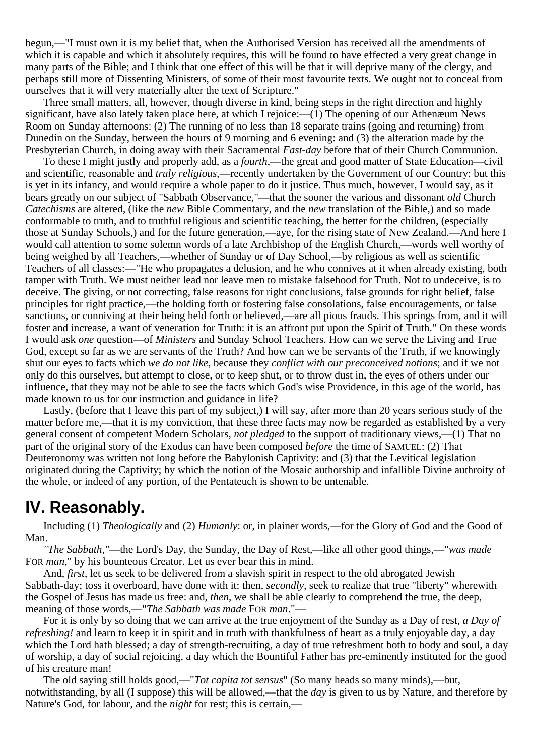begun,—"I must own it is my belief that, when the Authorised Version has received all the amendments of which it is capable and which it absolutely requires, this will be found to have effected a very great change in many parts of the Bible; and I think that one effect of this will be that it will deprive many of the clergy, and perhaps still more of Dissenting Ministers, of some of their most favourite texts. We ought not to conceal from ourselves that it will very materially alter the text of Scripture."

Three small matters, all, however, though diverse in kind, being steps in the right direction and highly significant, have also lately taken place here, at which I rejoice:—(1) The opening of our Athenæum News Room on Sunday afternoons: (2) The running of no less than 18 separate trains (going and returning) from Dunedin on the Sunday, between the hours of 9 morning and 6 evening: and (3) the alteration made by the Presbyterian Church, in doing away with their Sacramental *Fast-day* before that of their Church Communion.

To these I might justly and properly add, as a *fourth*,—the great and good matter of State Education—civil and scientific, reasonable and *truly religious*,—recently undertaken by the Government of our Country: but this is yet in its infancy, and would require a whole paper to do it justice. Thus much, however, I would say, as it bears greatly on our subject of "Sabbath Observance,"—that the sooner the various and dissonant *old* Church *Catechisms* are altered, (like the *new* Bible Commentary, and the *new* translation of the Bible,) and so made conformable to truth, and to truthful religious and scientific teaching, the better for the children, (especially those at Sunday Schools,) and for the future generation,—aye, for the rising state of New Zealand.—And here I would call attention to some solemn words of a late Archbishop of the English Church,—words well worthy of being weighed by all Teachers,—whether of Sunday or of Day School,—by religious as well as scientific Teachers of all classes:—"He who propagates a delusion, and he who connives at it when already existing, both tamper with Truth. We must neither lead nor leave men to mistake falsehood for Truth. Not to undeceive, is to deceive. The giving, or not correcting, false reasons for right conclusions, false grounds for right belief, false principles for right practice,—the holding forth or fostering false consolations, false encouragements, or false sanctions, or conniving at their being held forth or believed,—are all pious frauds. This springs from, and it will foster and increase, a want of veneration for Truth: it is an affront put upon the Spirit of Truth." On these words I would ask *one* question—of *Ministers* and Sunday School Teachers. How can we serve the Living and True God, except so far as we are servants of the Truth? And how can we be servants of the Truth, if we knowingly shut our eyes to facts which *we do not like*, because they *conflict with our preconceived notions*; and if we not only do this ourselves, but attempt to close, or to keep shut, or to throw dust in, the eyes of others under our influence, that they may not be able to see the facts which God's wise Providence, in this age of the world, has made known to us for our instruction and guidance in life?

Lastly, (before that I leave this part of my subject,) I will say, after more than 20 years serious study of the matter before me,—that it is my conviction, that these three facts may now be regarded as established by a very general consent of competent Modern Scholars, *not pledged* to the support of traditionary views,—(1) That no part of the original story of the Exodus can have been composed *before* the time of SAMUEL: (2) That Deuteronomy was written not long before the Babylonish Captivity: and (3) that the Levitical legislation originated during the Captivity; by which the notion of the Mosaic authorship and infallible Divine authroity of the whole, or indeed of any portion, of the Pentateuch is shown to be untenable.

### **IV. Reasonably.**

Including (1) *Theologically* and (2) *Humanly*: or, in plainer words,—for the Glory of God and the Good of Man.

*"The Sabbath,"*—the Lord's Day, the Sunday, the Day of Rest,—like all other good things,—"*was made* FOR *man*," by his bounteous Creator. Let us ever bear this in mind.

And, *first*, let us seek to be delivered from a slavish spirit in respect to the old abrogated Jewish Sabbath-day; toss it overboard, have done with it: then, *secondly*, seek to realize that true "liberty" wherewith the Gospel of Jesus has made us free: and, *then*, we shall be able clearly to comprehend the true, the deep, meaning of those words,—"*The Sabbath was made* FOR *man*."—

For it is only by so doing that we can arrive at the true enjoyment of the Sunday as a Day of rest, *a Day of refreshing!* and learn to keep it in spirit and in truth with thankfulness of heart as a truly enjoyable day, a day which the Lord hath blessed; a day of strength-recruiting, a day of true refreshment both to body and soul, a day of worship, a day of social rejoicing, a day which the Bountiful Father has pre-eminently instituted for the good of his creature man!

The old saying still holds good,—"*Tot capita tot sensus*" (So many heads so many minds),—but, notwithstanding, by all (I suppose) this will be allowed,—that the *day* is given to us by Nature, and therefore by Nature's God, for labour, and the *night* for rest; this is certain,—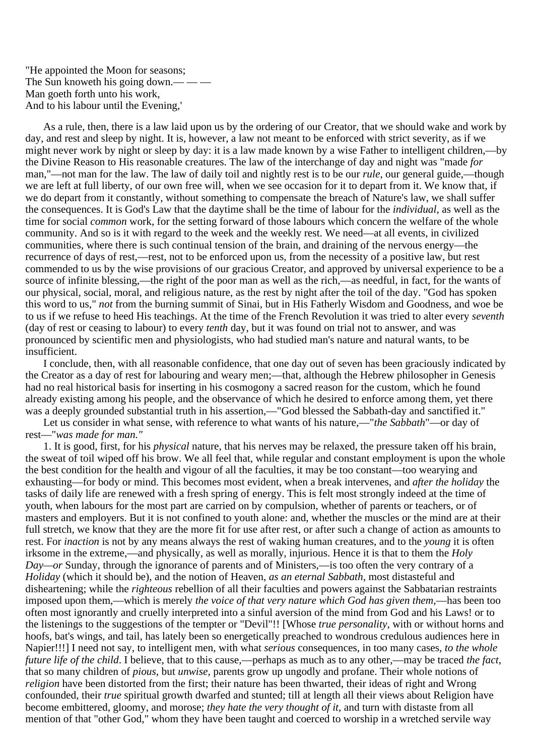"He appointed the Moon for seasons; The Sun knoweth his going down.——— Man goeth forth unto his work, And to his labour until the Evening,'

As a rule, then, there is a law laid upon us by the ordering of our Creator, that we should wake and work by day, and rest and sleep by night. It is, however, a law not meant to be enforced with strict severity, as if we might never work by night or sleep by day: it is a law made known by a wise Father to intelligent children,—by the Divine Reason to His reasonable creatures. The law of the interchange of day and night was "made *for* man,"—not man for the law. The law of daily toil and nightly rest is to be our *rule*, our general guide,—though we are left at full liberty, of our own free will, when we see occasion for it to depart from it. We know that, if we do depart from it constantly, without something to compensate the breach of Nature's law, we shall suffer the consequences. It is God's Law that the daytime shall be the time of labour for the *individual*, as well as the time for social *common* work, for the setting forward of those labours which concern the welfare of the whole community. And so is it with regard to the week and the weekly rest. We need—at all events, in civilized communities, where there is such continual tension of the brain, and draining of the nervous energy—the recurrence of days of rest,—rest, not to be enforced upon us, from the necessity of a positive law, but rest commended to us by the wise provisions of our gracious Creator, and approved by universal experience to be a source of infinite blessing,—the right of the poor man as well as the rich,—as needful, in fact, for the wants of our physical, social, moral, and religious nature, as the rest by night after the toil of the day. "God has spoken this word to us," *not* from the burning summit of Sinai, but in His Fatherly Wisdom and Goodness, and woe be to us if we refuse to heed His teachings. At the time of the French Revolution it was tried to alter every *seventh* (day of rest or ceasing to labour) to every *tenth* day, but it was found on trial not to answer, and was pronounced by scientific men and physiologists, who had studied man's nature and natural wants, to be insufficient.

I conclude, then, with all reasonable confidence, that one day out of seven has been graciously indicated by the Creator as a day of rest for labouring and weary men;—that, although the Hebrew philosopher in Genesis had no real historical basis for inserting in his cosmogony a sacred reason for the custom, which he found already existing among his people, and the observance of which he desired to enforce among them, yet there was a deeply grounded substantial truth in his assertion,—"God blessed the Sabbath-day and sanctified it."

Let us consider in what sense, with reference to what wants of his nature,—"*the Sabbath*"—or day of rest—"*was made for man."*

1. It is good, first, for his *physical* nature, that his nerves may be relaxed, the pressure taken off his brain, the sweat of toil wiped off his brow. We all feel that, while regular and constant employment is upon the whole the best condition for the health and vigour of all the faculties, it may be too constant—too wearying and exhausting—for body or mind. This becomes most evident, when a break intervenes, and *after the holiday* the tasks of daily life are renewed with a fresh spring of energy. This is felt most strongly indeed at the time of youth, when labours for the most part are carried on by compulsion, whether of parents or teachers, or of masters and employers. But it is not confined to youth alone: and, whether the muscles or the mind are at their full stretch, we know that they are the more fit for use after rest, or after such a change of action as amounts to rest. For *inaction* is not by any means always the rest of waking human creatures, and to the *young* it is often irksome in the extreme,—and physically, as well as morally, injurious. Hence it is that to them the *Holy Day—or* Sunday, through the ignorance of parents and of Ministers,—is too often the very contrary of a *Holiday* (which it should be), and the notion of Heaven, *as an eternal Sabbath*, most distasteful and disheartening; while the *righteous* rebellion of all their faculties and powers against the Sabbatarian restraints imposed upon them,—which is merely *the voice of that very nature which God has given them*,—has been too often most ignorantly and cruelly interpreted into a sinful aversion of the mind from God and his Laws! or to the listenings to the suggestions of the tempter or "Devil"!! [Whose *true personality*, with or without horns and hoofs, bat's wings, and tail, has lately been so energetically preached to wondrous credulous audiences here in Napier!!!] I need not say, to intelligent men, with what *serious* consequences, in too many cases, *to the whole future life of the child*. I believe, that to this cause,—perhaps as much as to any other,—may be traced *the fact*, that so many children of *pious*, but *unwise*, parents grow up ungodly and profane. Their whole notions of *religion* have been distorted from the first; their nature has been thwarted, their ideas of right and Wrong confounded, their *true* spiritual growth dwarfed and stunted; till at length all their views about Religion have become embittered, gloomy, and morose; *they hate the very thought of it*, and turn with distaste from all mention of that "other God," whom they have been taught and coerced to worship in a wretched servile way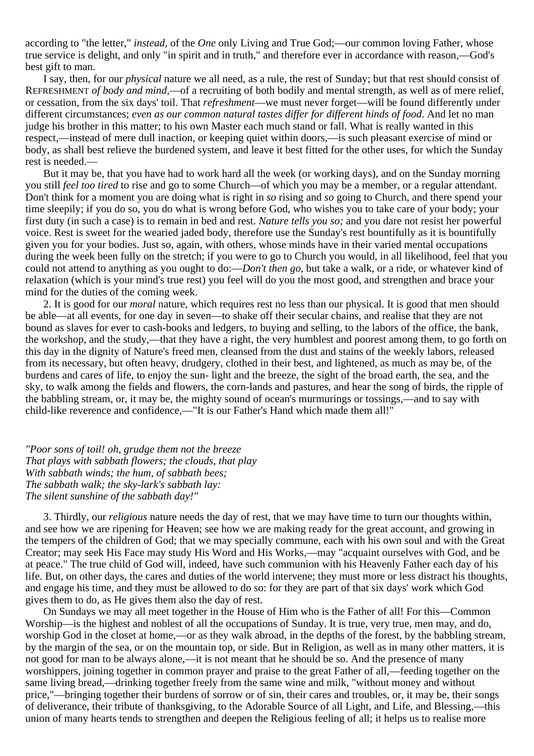according to "the letter," *instead*, of the *One* only Living and True God;—our common loving Father, whose true service is delight, and only "in spirit and in truth," and therefore ever in accordance with reason,—God's best gift to man.

I say, then, for our *physical* nature we all need, as a rule, the rest of Sunday; but that rest should consist of REFRESHMENT *of body and mind*,—of a recruiting of both bodily and mental strength, as well as of mere relief, or cessation, from the six days' toil. That *refreshment*—we must never forget—will be found differently under different circumstances; *even as our common natural tastes differ for different hinds of food*. And let no man judge his brother in this matter; to his own Master each much stand or fall. What is really wanted in this respect,—instead of mere dull inaction, or keeping quiet within doors,—is such pleasant exercise of mind or body, as shall best relieve the burdened system, and leave it best fitted for the other uses, for which the Sunday rest is needed.—

But it may be, that you have had to work hard all the week (or working days), and on the Sunday morning you still *feel too tired* to rise and go to some Church—of which you may be a member, or a regular attendant. Don't think for a moment you are doing what is right in *so* rising and *so* going to Church, and there spend your time sleepily; if you do so, you do what is wrong before God, who wishes you to take care of your body; your first duty (in such a case) is to remain in bed and rest. *Nature tells you so;* and you dare not resist her powerful voice. Rest is sweet for the wearied jaded body, therefore use the Sunday's rest bountifully as it is bountifully given you for your bodies. Just so, again, with others, whose minds have in their varied mental occupations during the week been fully on the stretch; if you were to go to Church you would, in all likelihood, feel that you could not attend to anything as you ought to do:—*Don't then go*, but take a walk, or a ride, or whatever kind of relaxation (which is your mind's true rest) you feel will do you the most good, and strengthen and brace your mind for the duties of the coming week.

2. It is good for our *moral* nature, which requires rest no less than our physical. It is good that men should be able—at all events, for one day in seven—to shake off their secular chains, and realise that they are not bound as slaves for ever to cash-books and ledgers, to buying and selling, to the labors of the office, the bank, the workshop, and the study,—that they have a right, the very humblest and poorest among them, to go forth on this day in the dignity of Nature's freed men, cleansed from the dust and stains of the weekly labors, released from its necessary, but often heavy, drudgery, clothed in their best, and lightened, as much as may be, of the burdens and cares of life, to enjoy the sun- light and the breeze, the sight of the broad earth, the sea, and the sky, to walk among the fields and flowers, the corn-lands and pastures, and hear the song of birds, the ripple of the babbling stream, or, it may be, the mighty sound of ocean's murmurings or tossings,—and to say with child-like reverence and confidence,—"It is our Father's Hand which made them all!"

*"Poor sons of toil! oh, grudge them not the breeze That plays with sabbath flowers; the clouds, that play With sabbath winds; the hum, of sabbath bees; The sabbath walk; the sky-lark's sabbath lay: The silent sunshine of the sabbath day!"*

3. Thirdly, our *religious* nature needs the day of rest, that we may have time to turn our thoughts within, and see how we are ripening for Heaven; see how we are making ready for the great account, and growing in the tempers of the children of God; that we may specially commune, each with his own soul and with the Great Creator; may seek His Face may study His Word and His Works,—may "acquaint ourselves with God, and be at peace." The true child of God will, indeed, have such communion with his Heavenly Father each day of his life. But, on other days, the cares and duties of the world intervene; they must more or less distract his thoughts, and engage his time, and they must be allowed to do so: for they are part of that six days' work which God gives them to do, as He gives them also the day of rest.

On Sundays we may all meet together in the House of Him who is the Father of all! For this—Common Worship—is the highest and noblest of all the occupations of Sunday. It is true, very true, men may, and do, worship God in the closet at home,—or as they walk abroad, in the depths of the forest, by the babbling stream, by the margin of the sea, or on the mountain top, or side. But in Religion, as well as in many other matters, it is not good for man to be always alone,—it is not meant that he should be so. And the presence of many worshippers, joining together in common prayer and praise to the great Father of all,—feeding together on the same living bread,—drinking together freely from the same wine and milk, "without money and without price,"—bringing together their burdens of sorrow or of sin, their cares and troubles, or, it may be, their songs of deliverance, their tribute of thanksgiving, to the Adorable Source of all Light, and Life, and Blessing,—this union of many hearts tends to strengthen and deepen the Religious feeling of all; it helps us to realise more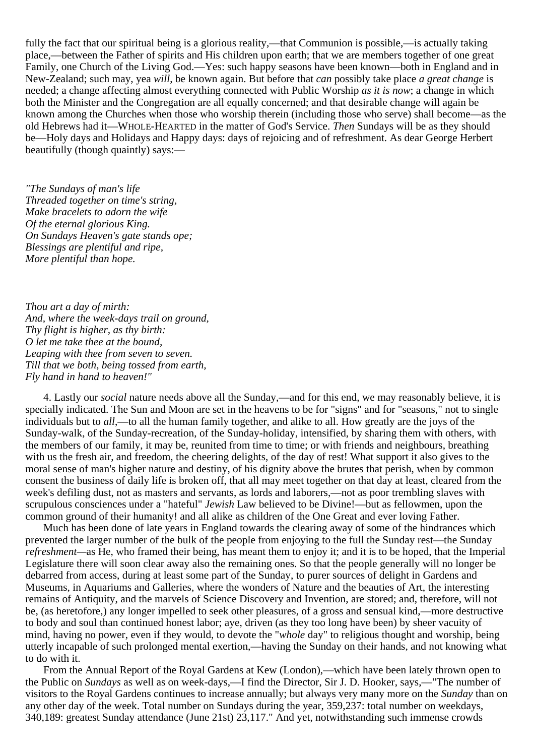fully the fact that our spiritual being is a glorious reality,—that Communion is possible,—is actually taking place,—between the Father of spirits and His children upon earth; that we are members together of one great Family, one Church of the Living God.—Yes: such happy seasons have been known—both in England and in New-Zealand; such may, yea *will*, be known again. But before that *can* possibly take place *a great change* is needed; a change affecting almost everything connected with Public Worship *as it is now*; a change in which both the Minister and the Congregation are all equally concerned; and that desirable change will again be known among the Churches when those who worship therein (including those who serve) shall become—as the old Hebrews had it—WHOLE-HEARTED in the matter of God's Service. *Then* Sundays will be as they should be—Holy days and Holidays and Happy days: days of rejoicing and of refreshment. As dear George Herbert beautifully (though quaintly) says:—

*"The Sundays of man's life Threaded together on time's string, Make bracelets to adorn the wife Of the eternal glorious King. On Sundays Heaven's gate stands ope; Blessings are plentiful and ripe, More plentiful than hope.*

*Thou art a day of mirth: And, where the week-days trail on ground, Thy flight is higher, as thy birth: O let me take thee at the bound, Leaping with thee from seven to seven. Till that we both, being tossed from earth, Fly hand in hand to heaven!"*

4. Lastly our *social* nature needs above all the Sunday,—and for this end, we may reasonably believe, it is specially indicated. The Sun and Moon are set in the heavens to be for "signs" and for "seasons," not to single individuals but to *all*,—to all the human family together, and alike to all. How greatly are the joys of the Sunday-walk, of the Sunday-recreation, of the Sunday-holiday, intensified, by sharing them with others, with the members of our family, it may be, reunited from time to time; or with friends and neighbours, breathing with us the fresh air, and freedom, the cheering delights, of the day of rest! What support it also gives to the moral sense of man's higher nature and destiny, of his dignity above the brutes that perish, when by common consent the business of daily life is broken off, that all may meet together on that day at least, cleared from the week's defiling dust, not as masters and servants, as lords and laborers,—not as poor trembling slaves with scrupulous consciences under a "hateful" *Jewish* Law believed to be Divine!—but as fellowmen, upon the common ground of their humanity! and all alike as children of the One Great and ever loving Father.

Much has been done of late years in England towards the clearing away of some of the hindrances which prevented the larger number of the bulk of the people from enjoying to the full the Sunday rest—the Sunday *refreshment—*as He, who framed their being, has meant them to enjoy it; and it is to be hoped, that the Imperial Legislature there will soon clear away also the remaining ones. So that the people generally will no longer be debarred from access, during at least some part of the Sunday, to purer sources of delight in Gardens and Museums, in Aquariums and Galleries, where the wonders of Nature and the beauties of Art, the interesting remains of Antiquity, and the marvels of Science Discovery and Invention, are stored; and, therefore, will not be, (as heretofore,) any longer impelled to seek other pleasures, of a gross and sensual kind,—more destructive to body and soul than continued honest labor; aye, driven (as they too long have been) by sheer vacuity of mind, having no power, even if they would, to devote the "*whole* day" to religious thought and worship, being utterly incapable of such prolonged mental exertion,—having the Sunday on their hands, and not knowing what to do with it.

From the Annual Report of the Royal Gardens at Kew (London),—which have been lately thrown open to the Public on *Sundays* as well as on week-days,—I find the Director, Sir J. D. Hooker, says,—"The number of visitors to the Royal Gardens continues to increase annually; but always very many more on the *Sunday* than on any other day of the week. Total number on Sundays during the year, 359,237: total number on weekdays, 340,189: greatest Sunday attendance (June 21st) 23,117." And yet, notwithstanding such immense crowds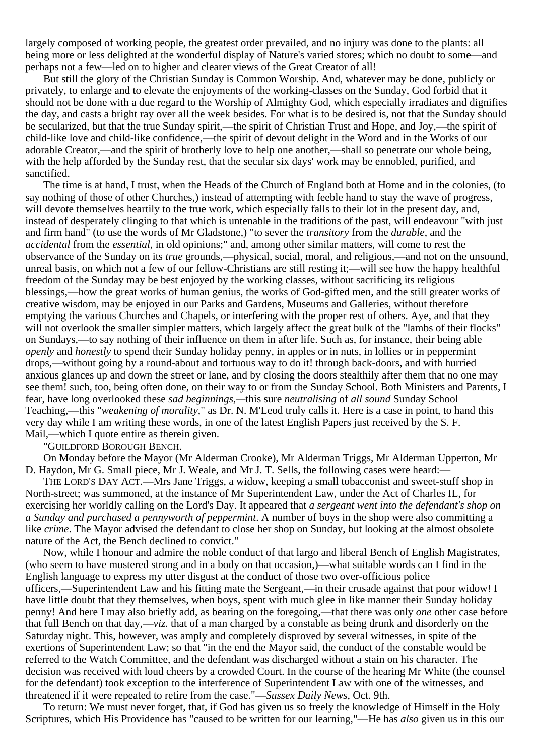largely composed of working people, the greatest order prevailed, and no injury was done to the plants: all being more or less delighted at the wonderful display of Nature's varied stores; which no doubt to some—and perhaps not a few—led on to higher and clearer views of the Great Creator of all!

But still the glory of the Christian Sunday is Common Worship. And, whatever may be done, publicly or privately, to enlarge and to elevate the enjoyments of the working-classes on the Sunday, God forbid that it should not be done with a due regard to the Worship of Almighty God, which especially irradiates and dignifies the day, and casts a bright ray over all the week besides. For what is to be desired is, not that the Sunday should be secularized, but that the true Sunday spirit,—the spirit of Christian Trust and Hope, and Joy,—the spirit of child-like love and child-like confidence,—the spirit of devout delight in the Word and in the Works of our adorable Creator,—and the spirit of brotherly love to help one another,—shall so penetrate our whole being, with the help afforded by the Sunday rest, that the secular six days' work may be ennobled, purified, and sanctified.

The time is at hand, I trust, when the Heads of the Church of England both at Home and in the colonies, (to say nothing of those of other Churches,) instead of attempting with feeble hand to stay the wave of progress, will devote themselves heartily to the true work, which especially falls to their lot in the present day, and, instead of desperately clinging to that which is untenable in the traditions of the past, will endeavour "with just and firm hand" (to use the words of Mr Gladstone,) "to sever the *transitory* from the *durable*, and the *accidental* from the *essential*, in old opinions;" and, among other similar matters, will come to rest the observance of the Sunday on its *true* grounds,—physical, social, moral, and religious,—and not on the unsound, unreal basis, on which not a few of our fellow-Christians are still resting it;—will see how the happy healthful freedom of the Sunday may be best enjoyed by the working classes, without sacrificing its religious blessings,—how the great works of human genius, the works of God-gifted men, and the still greater works of creative wisdom, may be enjoyed in our Parks and Gardens, Museums and Galleries, without therefore emptying the various Churches and Chapels, or interfering with the proper rest of others. Aye, and that they will not overlook the smaller simpler matters, which largely affect the great bulk of the "lambs of their flocks" on Sundays,—to say nothing of their influence on them in after life. Such as, for instance, their being able *openly* and *honestly* to spend their Sunday holiday penny, in apples or in nuts, in lollies or in peppermint drops,—without going by a round-about and tortuous way to do it! through back-doors, and with hurried anxious glances up and down the street or lane, and by closing the doors stealthily after them that no one may see them! such, too, being often done, on their way to or from the Sunday School. Both Ministers and Parents, I fear, have long overlooked these *sad beginnings,—*this sure *neutralising* of *all sound* Sunday School Teaching,—this "*weakening of morality*," as Dr. N. M'Leod truly calls it. Here is a case in point, to hand this very day while I am writing these words, in one of the latest English Papers just received by the S. F. Mail,—which I quote entire as therein given.

"GUILDFORD BOROUGH BENCH.

On Monday before the Mayor (Mr Alderman Crooke), Mr Alderman Triggs, Mr Alderman Upperton, Mr D. Haydon, Mr G. Small piece, Mr J. Weale, and Mr J. T. Sells, the following cases were heard:—

THE LORD'S DAY ACT.—Mrs Jane Triggs, a widow, keeping a small tobacconist and sweet-stuff shop in North-street; was summoned, at the instance of Mr Superintendent Law, under the Act of Charles IL, for exercising her worldly calling on the Lord's Day. It appeared that *a sergeant went into the defendant's shop on a Sunday and purchased a pennyworth of peppermint*. A number of boys in the shop were also committing a like *crime*. The Mayor advised the defendant to close her shop on Sunday, but looking at the almost obsolete nature of the Act, the Bench declined to convict."

Now, while I honour and admire the noble conduct of that largo and liberal Bench of English Magistrates, (who seem to have mustered strong and in a body on that occasion,)—what suitable words can I find in the English language to express my utter disgust at the conduct of those two over-officious police officers,—Superintendent Law and his fitting mate the Sergeant,—in their crusade against that poor widow! I have little doubt that they themselves, when boys, spent with much glee in like manner their Sunday holiday penny! And here I may also briefly add, as bearing on the foregoing,—that there was only *one* other case before that full Bench on that day,—*viz.* that of a man charged by a constable as being drunk and disorderly on the Saturday night. This, however, was amply and completely disproved by several witnesses, in spite of the exertions of Superintendent Law; so that "in the end the Mayor said, the conduct of the constable would be referred to the Watch Committee, and the defendant was discharged without a stain on his character. The decision was received with loud cheers by a crowded Court. In the course of the hearing Mr White (the counsel for the defendant) took exception to the interference of Superintendent Law with one of the witnesses, and threatened if it were repeated to retire from the case."—*Sussex Daily News*, Oct. 9th.

To return: We must never forget, that, if God has given us so freely the knowledge of Himself in the Holy Scriptures, which His Providence has "caused to be written for our learning,"—He has *also* given us in this our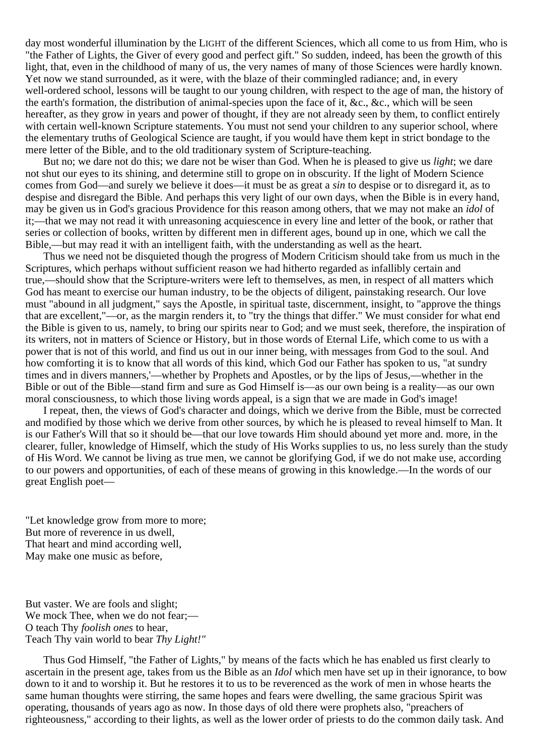day most wonderful illumination by the LIGHT of the different Sciences, which all come to us from Him, who is "the Father of Lights, the Giver of every good and perfect gift." So sudden, indeed, has been the growth of this light, that, even in the childhood of many of us, the very names of many of those Sciences were hardly known. Yet now we stand surrounded, as it were, with the blaze of their commingled radiance; and, in every well-ordered school, lessons will be taught to our young children, with respect to the age of man, the history of the earth's formation, the distribution of animal-species upon the face of it, &c., &c., which will be seen hereafter, as they grow in years and power of thought, if they are not already seen by them, to conflict entirely with certain well-known Scripture statements. You must not send your children to any superior school, where the elementary truths of Geological Science are taught, if you would have them kept in strict bondage to the mere letter of the Bible, and to the old traditionary system of Scripture-teaching.

But no; we dare not do this; we dare not be wiser than God. When he is pleased to give us *light*; we dare not shut our eyes to its shining, and determine still to grope on in obscurity. If the light of Modern Science comes from God—and surely we believe it does—it must be as great a *sin* to despise or to disregard it, as to despise and disregard the Bible. And perhaps this very light of our own days, when the Bible is in every hand, may be given us in God's gracious Providence for this reason among others, that we may not make an *idol* of it;—that we may not read it with unreasoning acquiescence in every line and letter of the book, or rather that series or collection of books, written by different men in different ages, bound up in one, which we call the Bible,—but may read it with an intelligent faith, with the understanding as well as the heart.

Thus we need not be disquieted though the progress of Modern Criticism should take from us much in the Scriptures, which perhaps without sufficient reason we had hitherto regarded as infallibly certain and true,—should show that the Scripture-writers were left to themselves, as men, in respect of all matters which God has meant to exercise our human industry, to be the objects of diligent, painstaking research. Our love must "abound in all judgment," says the Apostle, in spiritual taste, discernment, insight, to "approve the things that are excellent,"—or, as the margin renders it, to "try the things that differ." We must consider for what end the Bible is given to us, namely, to bring our spirits near to God; and we must seek, therefore, the inspiration of its writers, not in matters of Science or History, but in those words of Eternal Life, which come to us with a power that is not of this world, and find us out in our inner being, with messages from God to the soul. And how comforting it is to know that all words of this kind, which God our Father has spoken to us, "at sundry times and in divers manners,'—whether by Prophets and Apostles, or by the lips of Jesus,—whether in the Bible or out of the Bible—stand firm and sure as God Himself is—as our own being is a reality—as our own moral consciousness, to which those living words appeal, is a sign that we are made in God's image!

I repeat, then, the views of God's character and doings, which we derive from the Bible, must be corrected and modified by those which we derive from other sources, by which he is pleased to reveal himself to Man. It is our Father's Will that so it should be—that our love towards Him should abound yet more and. more, in the clearer, fuller, knowledge of Himself, which the study of His Works supplies to us, no less surely than the study of His Word. We cannot be living as true men, we cannot be glorifying God, if we do not make use, according to our powers and opportunities, of each of these means of growing in this knowledge.—In the words of our great English poet—

"Let knowledge grow from more to more; But more of reverence in us dwell, That heart and mind according well, May make one music as before,

But vaster. We are fools and slight; We mock Thee, when we do not fear;— O teach Thy *foolish ones* to hear, Teach Thy vain world to bear *Thy Light!"*

Thus God Himself, "the Father of Lights," by means of the facts which he has enabled us first clearly to ascertain in the present age, takes from us the Bible as an *Idol* which men have set up in their ignorance, to bow down to it and to worship it. But he restores it to us to be reverenced as the work of men in whose hearts the same human thoughts were stirring, the same hopes and fears were dwelling, the same gracious Spirit was operating, thousands of years ago as now. In those days of old there were prophets also, "preachers of righteousness," according to their lights, as well as the lower order of priests to do the common daily task. And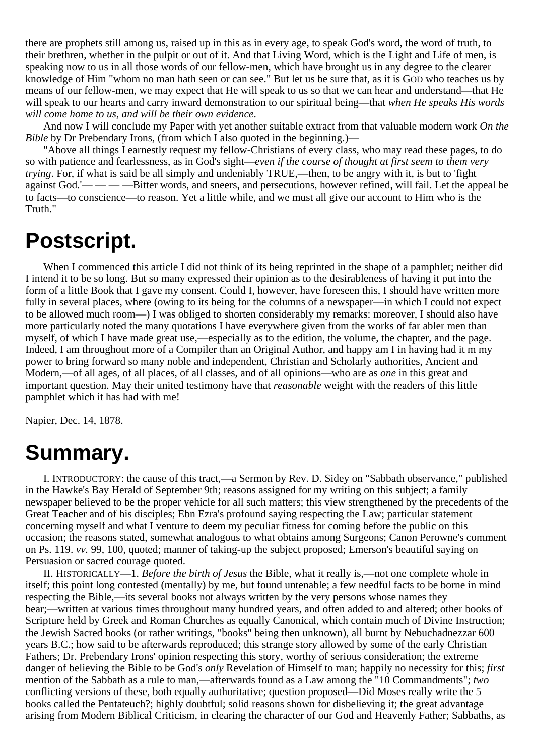there are prophets still among us, raised up in this as in every age, to speak God's word, the word of truth, to their brethren, whether in the pulpit or out of it. And that Living Word, which is the Light and Life of men, is speaking now to us in all those words of our fellow-men, which have brought us in any degree to the clearer knowledge of Him "whom no man hath seen or can see." But let us be sure that, as it is GOD who teaches us by means of our fellow-men, we may expect that He will speak to us so that we can hear and understand—that He will speak to our hearts and carry inward demonstration to our spiritual being—that *when He speaks His words will come home to us, and will be their own evidence*.

And now I will conclude my Paper with yet another suitable extract from that valuable modern work *On the Bible* by Dr Prebendary Irons, (from which I also quoted in the beginning.)—

"Above all things I earnestly request my fellow-Christians of every class, who may read these pages, to do so with patience and fearlessness, as in God's sight—*even if the course of thought at first seem to them very trying*. For, if what is said be all simply and undeniably TRUE,—then, to be angry with it, is but to 'fight against God.'— — — —Bitter words, and sneers, and persecutions, however refined, will fail. Let the appeal be to facts—to conscience—to reason. Yet a little while, and we must all give our account to Him who is the Truth."

## **Postscript.**

When I commenced this article I did not think of its being reprinted in the shape of a pamphlet; neither did I intend it to be so long. But so many expressed their opinion as to the desirableness of having it put into the form of a little Book that I gave my consent. Could I, however, have foreseen this, I should have written more fully in several places, where (owing to its being for the columns of a newspaper—in which I could not expect to be allowed much room—) I was obliged to shorten considerably my remarks: moreover, I should also have more particularly noted the many quotations I have everywhere given from the works of far abler men than myself, of which I have made great use,—especially as to the edition, the volume, the chapter, and the page. Indeed, I am throughout more of a Compiler than an Original Author, and happy am I in having had it m my power to bring forward so many noble and independent, Christian and Scholarly authorities, Ancient and Modern,—of all ages, of all places, of all classes, and of all opinions—who are as *one* in this great and important question. May their united testimony have that *reasonable* weight with the readers of this little pamphlet which it has had with me!

Napier, Dec. 14, 1878.

# **Summary.**

I. INTRODUCTORY: the cause of this tract,—a Sermon by Rev. D. Sidey on "Sabbath observance," published in the Hawke's Bay Herald of September 9th; reasons assigned for my writing on this subject; a family newspaper believed to be the proper vehicle for all such matters; this view strengthened by the precedents of the Great Teacher and of his disciples; Ebn Ezra's profound saying respecting the Law; particular statement concerning myself and what I venture to deem my peculiar fitness for coming before the public on this occasion; the reasons stated, somewhat analogous to what obtains among Surgeons; Canon Perowne's comment on Ps. 119. *vv.* 99, 100, quoted; manner of taking-up the subject proposed; Emerson's beautiful saying on Persuasion or sacred courage quoted.

II. HISTORICALLY—1. *Before the birth of Jesus* the Bible, what it really is,—not one complete whole in itself; this point long contested (mentally) by me, but found untenable; a few needful facts to be borne in mind respecting the Bible,—its several books not always written by the very persons whose names they bear;—written at various times throughout many hundred years, and often added to and altered; other books of Scripture held by Greek and Roman Churches as equally Canonical, which contain much of Divine Instruction; the Jewish Sacred books (or rather writings, "books" being then unknown), all burnt by Nebuchadnezzar 600 years B.C.; how said to be afterwards reproduced; this strange story allowed by some of the early Christian Fathers; Dr. Prebendary Irons' opinion respecting this story, worthy of serious consideration; the extreme danger of believing the Bible to be God's *only* Revelation of Himself to man; happily no necessity for this; *first* mention of the Sabbath as a rule to man,—afterwards found as a Law among the "10 Commandments"; *two* conflicting versions of these, both equally authoritative; question proposed—Did Moses really write the 5 books called the Pentateuch?; highly doubtful; solid reasons shown for disbelieving it; the great advantage arising from Modern Biblical Criticism, in clearing the character of our God and Heavenly Father; Sabbaths, as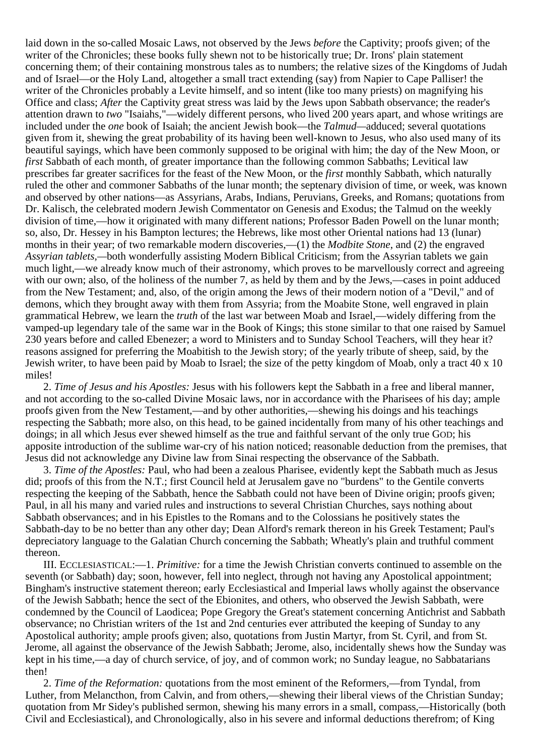laid down in the so-called Mosaic Laws, not observed by the Jews *before* the Captivity; proofs given; of the writer of the Chronicles; these books fully shewn not to be historically true; Dr. Irons' plain statement concerning them; of their containing monstrous tales as to numbers; the relative sizes of the Kingdoms of Judah and of Israel—or the Holy Land, altogether a small tract extending (say) from Napier to Cape Palliser! the writer of the Chronicles probably a Levite himself, and so intent (like too many priests) on magnifying his Office and class; *After* the Captivity great stress was laid by the Jews upon Sabbath observance; the reader's attention drawn to *two* "Isaiahs,"—widely different persons, who lived 200 years apart, and whose writings are included under the *one* book of Isaiah; the ancient Jewish book—the *Talmud—*adduced; several quotations given from it, shewing the great probability of its having been well-known to Jesus, who also used many of its beautiful sayings, which have been commonly supposed to be original with him; the day of the New Moon, or *first* Sabbath of each month, of greater importance than the following common Sabbaths; Levitical law prescribes far greater sacrifices for the feast of the New Moon, or the *first* monthly Sabbath, which naturally ruled the other and commoner Sabbaths of the lunar month; the septenary division of time, or week, was known and observed by other nations—as Assyrians, Arabs, Indians, Peruvians, Greeks, and Romans; quotations from Dr. Kalisch, the celebrated modern Jewish Commentator on Genesis and Exodus; the Talmud on the weekly division of time,—how it originated with many different nations; Professor Baden Powell on the lunar month; so, also, Dr. Hessey in his Bampton lectures; the Hebrews, like most other Oriental nations had 13 (lunar) months in their year; of two remarkable modern discoveries,—(1) the *Modbite Stone*, and (2) the engraved *Assyrian tablets,—*both wonderfully assisting Modern Biblical Criticism; from the Assyrian tablets we gain much light,—we already know much of their astronomy, which proves to be marvellously correct and agreeing with our own; also, of the holiness of the number 7, as held by them and by the Jews,—cases in point adduced from the New Testament; and, also, of the origin among the Jews of their modern notion of a "Devil," and of demons, which they brought away with them from Assyria; from the Moabite Stone, well engraved in plain grammatical Hebrew, we learn the *truth* of the last war between Moab and Israel,—widely differing from the vamped-up legendary tale of the same war in the Book of Kings; this stone similar to that one raised by Samuel 230 years before and called Ebenezer; a word to Ministers and to Sunday School Teachers, will they hear it? reasons assigned for preferring the Moabitish to the Jewish story; of the yearly tribute of sheep, said, by the Jewish writer, to have been paid by Moab to Israel; the size of the petty kingdom of Moab, only a tract 40 x 10 miles!

2. *Time of Jesus and his Apostles:* Jesus with his followers kept the Sabbath in a free and liberal manner, and not according to the so-called Divine Mosaic laws, nor in accordance with the Pharisees of his day; ample proofs given from the New Testament,—and by other authorities,—shewing his doings and his teachings respecting the Sabbath; more also, on this head, to be gained incidentally from many of his other teachings and doings; in all which Jesus ever shewed himself as the true and faithful servant of the only true GOD; his apposite introduction of the sublime war-cry of his nation noticed; reasonable deduction from the premises, that Jesus did not acknowledge any Divine law from Sinai respecting the observance of the Sabbath.

3. *Time of the Apostles:* Paul, who had been a zealous Pharisee, evidently kept the Sabbath much as Jesus did; proofs of this from the N.T.; first Council held at Jerusalem gave no "burdens" to the Gentile converts respecting the keeping of the Sabbath, hence the Sabbath could not have been of Divine origin; proofs given; Paul, in all his many and varied rules and instructions to several Christian Churches, says nothing about Sabbath observances; and in his Epistles to the Romans and to the Colossians he positively states the Sabbath-day to be no better than any other day; Dean Alford's remark thereon in his Greek Testament; Paul's depreciatory language to the Galatian Church concerning the Sabbath; Wheatly's plain and truthful comment thereon.

III. ECCLESIASTICAL:—1. *Primitive:* for a time the Jewish Christian converts continued to assemble on the seventh (or Sabbath) day; soon, however, fell into neglect, through not having any Apostolical appointment; Bingham's instructive statement thereon; early Ecclesiastical and Imperial laws wholly against the observance of the Jewish Sabbath; hence the sect of the Ebionites, and others, who observed the Jewish Sabbath, were condemned by the Council of Laodicea; Pope Gregory the Great's statement concerning Antichrist and Sabbath observance; no Christian writers of the 1st and 2nd centuries ever attributed the keeping of Sunday to any Apostolical authority; ample proofs given; also, quotations from Justin Martyr, from St. Cyril, and from St. Jerome, all against the observance of the Jewish Sabbath; Jerome, also, incidentally shews how the Sunday was kept in his time,—a day of church service, of joy, and of common work; no Sunday league, no Sabbatarians then!

2. *Time of the Reformation:* quotations from the most eminent of the Reformers,—from Tyndal, from Luther, from Melancthon, from Calvin, and from others,—shewing their liberal views of the Christian Sunday; quotation from Mr Sidey's published sermon, shewing his many errors in a small, compass,—Historically (both Civil and Ecclesiastical), and Chronologically, also in his severe and informal deductions therefrom; of King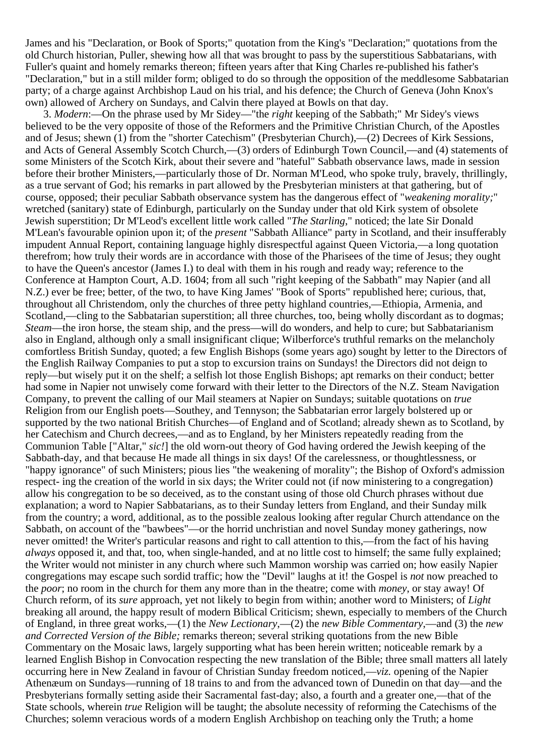James and his "Declaration, or Book of Sports;" quotation from the King's "Declaration;" quotations from the old Church historian, Puller, shewing how all that was brought to pass by the superstitious Sabbatarians, with Fuller's quaint and homely remarks thereon; fifteen years after that King Charles re-published his father's "Declaration," but in a still milder form; obliged to do so through the opposition of the meddlesome Sabbatarian party; of a charge against Archbishop Laud on his trial, and his defence; the Church of Geneva (John Knox's own) allowed of Archery on Sundays, and Calvin there played at Bowls on that day.

3. *Modern*:—On the phrase used by Mr Sidey—"the *right* keeping of the Sabbath;" Mr Sidey's views believed to be the very opposite of those of the Reformers and the Primitive Christian Church, of the Apostles and of Jesus; shewn (1) from the "shorter Catechism" (Presbyterian Church),—(2) Decrees of Kirk Sessions, and Acts of General Assembly Scotch Church,—(3) orders of Edinburgh Town Council,—and (4) statements of some Ministers of the Scotch Kirk, about their severe and "hateful" Sabbath observance laws, made in session before their brother Ministers,—particularly those of Dr. Norman M'Leod, who spoke truly, bravely, thrillingly, as a true servant of God; his remarks in part allowed by the Presbyterian ministers at that gathering, but of course, opposed; their peculiar Sabbath observance system has the dangerous effect of "*weakening morality;*" wretched (sanitary) state of Edinburgh, particularly on the Sunday under that old Kirk system of obsolete Jewish superstition; Dr M'Leod's excellent little work called "*The Starling*," noticed; the late Sir Donald M'Lean's favourable opinion upon it; of the *present* "Sabbath Alliance" party in Scotland, and their insufferably impudent Annual Report, containing language highly disrespectful against Queen Victoria,—a long quotation therefrom; how truly their words are in accordance with those of the Pharisees of the time of Jesus; they ought to have the Queen's ancestor (James I.) to deal with them in his rough and ready way; reference to the Conference at Hampton Court, A.D. 1604; from all such "right keeping of the Sabbath" may Napier (and all N.Z.) ever be free; better, of the two, to have King James' "Book of Sports" republished here; curious, that, throughout all Christendom, only the churches of three petty highland countries,—Ethiopia, Armenia, and Scotland,—cling to the Sabbatarian superstition; all three churches, too, being wholly discordant as to dogmas; *Steam*—the iron horse, the steam ship, and the press—will do wonders, and help to cure; but Sabbatarianism also in England, although only a small insignificant clique; Wilberforce's truthful remarks on the melancholy comfortless British Sunday, quoted; a few English Bishops (some years ago) sought by letter to the Directors of the English Railway Companies to put a stop to excursion trains on Sundays! the Directors did not deign to reply—but wisely put it on the shelf; a selfish lot those English Bishops; apt remarks on their conduct; better had some in Napier not unwisely come forward with their letter to the Directors of the N.Z. Steam Navigation Company, to prevent the calling of our Mail steamers at Napier on Sundays; suitable quotations on *true* Religion from our English poets—Southey, and Tennyson; the Sabbatarian error largely bolstered up or supported by the two national British Churches—of England and of Scotland; already shewn as to Scotland, by her Catechism and Church decrees,—and as to England, by her Ministers repeatedly reading from the Communion Table ["Altar," *sic!*] the old worn-out theory of God having ordered the Jewish keeping of the Sabbath-day, and that because He made all things in six days! Of the carelessness, or thoughtlessness, or "happy ignorance" of such Ministers; pious lies "the weakening of morality"; the Bishop of Oxford's admission respect- ing the creation of the world in six days; the Writer could not (if now ministering to a congregation) allow his congregation to be so deceived, as to the constant using of those old Church phrases without due explanation; a word to Napier Sabbatarians, as to their Sunday letters from England, and their Sunday milk from the country; a word, additional, as to the possible zealous looking after regular Church attendance on the Sabbath, on account of the "bawbees"—or the horrid unchristian and novel Sunday money gatherings, now never omitted! the Writer's particular reasons and right to call attention to this,—from the fact of his having *always* opposed it, and that, too, when single-handed, and at no little cost to himself; the same fully explained; the Writer would not minister in any church where such Mammon worship was carried on; how easily Napier congregations may escape such sordid traffic; how the "Devil" laughs at it! the Gospel is *not* now preached to the *poor*; no room in the church for them any more than in the theatre; come with *money*, or stay away! Of Church reform, of its *sure* approach, yet not likely to begin from within; another word to Ministers; of *Light* breaking all around, the happy result of modern Biblical Criticism; shewn, especially to members of the Church of England, in three great works,—(1) the *New Lectionary*,—(2) the *new Bible Commentary*,—and (3) the *new and Corrected Version of the Bible;* remarks thereon; several striking quotations from the new Bible Commentary on the Mosaic laws, largely supporting what has been herein written; noticeable remark by a learned English Bishop in Convocation respecting the new translation of the Bible; three small matters all lately occurring here in New Zealand in favour of Christian Sunday freedom noticed,—*viz.* opening of the Napier Athenæum on Sundays—running of 18 trains to and from the advanced town of Dunedin on that day—and the Presbyterians formally setting aside their Sacramental fast-day; also, a fourth and a greater one,—that of the State schools, wherein *true* Religion will be taught; the absolute necessity of reforming the Catechisms of the Churches; solemn veracious words of a modern English Archbishop on teaching only the Truth; a home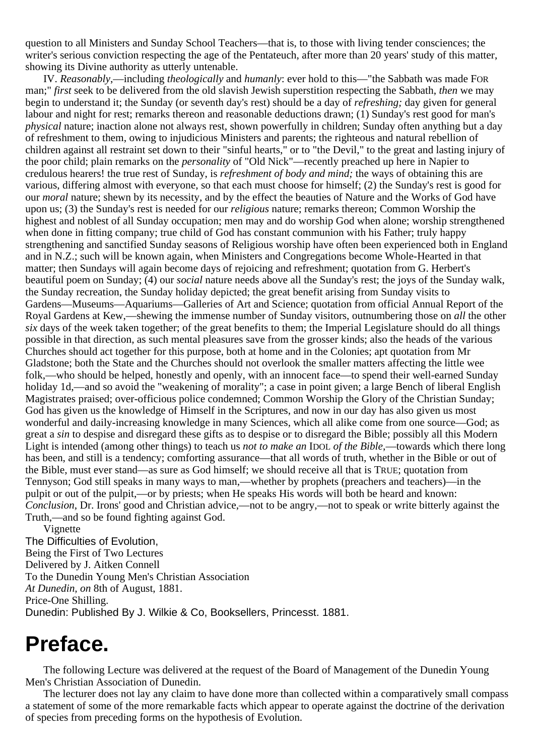question to all Ministers and Sunday School Teachers—that is, to those with living tender consciences; the writer's serious conviction respecting the age of the Pentateuch, after more than  $20$  years' study of this matter, showing its Divine authority as utterly untenable.

IV. *Reasonably*,—including *theologically* and *humanly*: ever hold to this—"the Sabbath was made FOR man;" *first* seek to be delivered from the old slavish Jewish superstition respecting the Sabbath, *then* we may begin to understand it; the Sunday (or seventh day's rest) should be a day of *refreshing;* day given for general labour and night for rest; remarks thereon and reasonable deductions drawn; (1) Sunday's rest good for man's *physical* nature; inaction alone not always rest, shown powerfully in children; Sunday often anything but a day of refreshment to them, owing to injudicious Ministers and parents; the righteous and natural rebellion of children against all restraint set down to their "sinful hearts," or to "the Devil," to the great and lasting injury of the poor child; plain remarks on the *personality* of "Old Nick"—recently preached up here in Napier to credulous hearers! the true rest of Sunday, is *refreshment of body and mind;* the ways of obtaining this are various, differing almost with everyone, so that each must choose for himself; (2) the Sunday's rest is good for our *moral* nature; shewn by its necessity, and by the effect the beauties of Nature and the Works of God have upon us; (3) the Sunday's rest is needed for our *religious* nature; remarks thereon; Common Worship the highest and noblest of all Sunday occupation; men may and do worship God when alone; worship strengthened when done in fitting company; true child of God has constant communion with his Father; truly happy strengthening and sanctified Sunday seasons of Religious worship have often been experienced both in England and in N.Z.; such will be known again, when Ministers and Congregations become Whole-Hearted in that matter; then Sundays will again become days of rejoicing and refreshment; quotation from G. Herbert's beautiful poem on Sunday; (4) our *social* nature needs above all the Sunday's rest; the joys of the Sunday walk, the Sunday recreation, the Sunday holiday depicted; the great benefit arising from Sunday visits to Gardens—Museums—Aquariums—Galleries of Art and Science; quotation from official Annual Report of the Royal Gardens at Kew,—shewing the immense number of Sunday visitors, outnumbering those on *all* the other *six* days of the week taken together; of the great benefits to them; the Imperial Legislature should do all things possible in that direction, as such mental pleasures save from the grosser kinds; also the heads of the various Churches should act together for this purpose, both at home and in the Colonies; apt quotation from Mr Gladstone; both the State and the Churches should not overlook the smaller matters affecting the little wee folk,—who should be helped, honestly and openly, with an innocent face—to spend their well-earned Sunday holiday 1d,—and so avoid the "weakening of morality"; a case in point given; a large Bench of liberal English Magistrates praised; over-officious police condemned; Common Worship the Glory of the Christian Sunday; God has given us the knowledge of Himself in the Scriptures, and now in our day has also given us most wonderful and daily-increasing knowledge in many Sciences, which all alike come from one source—God; as great a *sin* to despise and disregard these gifts as to despise or to disregard the Bible; possibly all this Modern Light is intended (among other things) to teach us *not to make an* IDOL *of the Bible*,—towards which there long has been, and still is a tendency; comforting assurance—that all words of truth, whether in the Bible or out of the Bible, must ever stand—as sure as God himself; we should receive all that is TRUE; quotation from Tennyson; God still speaks in many ways to man,—whether by prophets (preachers and teachers)—in the pulpit or out of the pulpit,—or by priests; when He speaks His words will both be heard and known: *Conclusion*, Dr. Irons' good and Christian advice,—not to be angry,—not to speak or write bitterly against the Truth,—and so be found fighting against God.

Vignette The Difficulties of Evolution, Being the First of Two Lectures Delivered by J. Aitken Connell To the Dunedin Young Men's Christian Association *At Dunedin, on* 8th of August, 1881. Price-One Shilling. Dunedin: Published By J. Wilkie & Co, Booksellers, Princesst. 1881.

# **Preface.**

The following Lecture was delivered at the request of the Board of Management of the Dunedin Young Men's Christian Association of Dunedin.

The lecturer does not lay any claim to have done more than collected within a comparatively small compass a statement of some of the more remarkable facts which appear to operate against the doctrine of the derivation of species from preceding forms on the hypothesis of Evolution.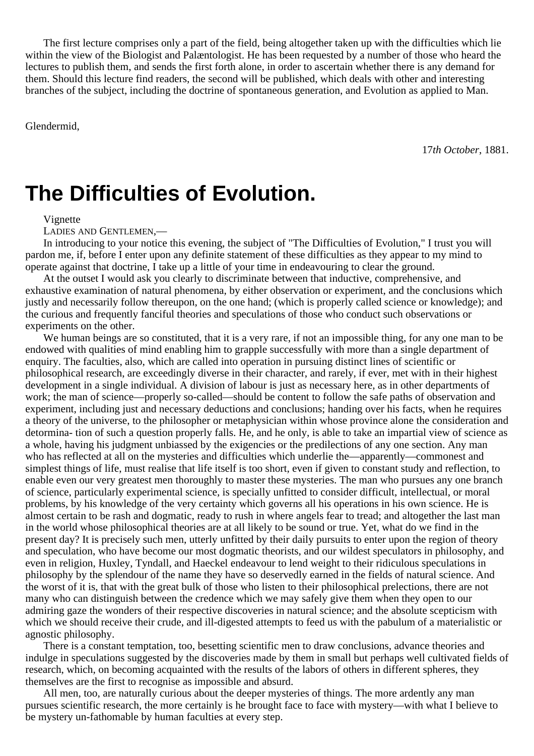The first lecture comprises only a part of the field, being altogether taken up with the difficulties which lie within the view of the Biologist and Palæntologist. He has been requested by a number of those who heard the lectures to publish them, and sends the first forth alone, in order to ascertain whether there is any demand for them. Should this lecture find readers, the second will be published, which deals with other and interesting branches of the subject, including the doctrine of spontaneous generation, and Evolution as applied to Man.

Glendermid,

17*th October*, 1881.

# **The Difficulties of Evolution.**

#### Vignette

LADIES AND GENTLEMEN,—

In introducing to your notice this evening, the subject of "The Difficulties of Evolution," I trust you will pardon me, if, before I enter upon any definite statement of these difficulties as they appear to my mind to operate against that doctrine,  $\overline{I}$  take up a little of your time in endeavouring to clear the ground.

At the outset I would ask you clearly to discriminate between that inductive, comprehensive, and exhaustive examination of natural phenomena, by either observation or experiment, and the conclusions which justly and necessarily follow thereupon, on the one hand; (which is properly called science or knowledge); and the curious and frequently fanciful theories and speculations of those who conduct such observations or experiments on the other.

We human beings are so constituted, that it is a very rare, if not an impossible thing, for any one man to be endowed with qualities of mind enabling him to grapple successfully with more than a single department of enquiry. The faculties, also, which are called into operation in pursuing distinct lines of scientific or philosophical research, are exceedingly diverse in their character, and rarely, if ever, met with in their highest development in a single individual. A division of labour is just as necessary here, as in other departments of work; the man of science—properly so-called—should be content to follow the safe paths of observation and experiment, including just and necessary deductions and conclusions; handing over his facts, when he requires a theory of the universe, to the philosopher or metaphysician within whose province alone the consideration and detormina- tion of such a question properly falls. He, and he only, is able to take an impartial view of science as a whole, having his judgment unbiassed by the exigencies or the predilections of any one section. Any man who has reflected at all on the mysteries and difficulties which underlie the—apparently—commonest and simplest things of life, must realise that life itself is too short, even if given to constant study and reflection, to enable even our very greatest men thoroughly to master these mysteries. The man who pursues any one branch of science, particularly experimental science, is specially unfitted to consider difficult, intellectual, or moral problems, by his knowledge of the very certainty which governs all his operations in his own science. He is almost certain to be rash and dogmatic, ready to rush in where angels fear to tread; and altogether the last man in the world whose philosophical theories are at all likely to be sound or true. Yet, what do we find in the present day? It is precisely such men, utterly unfitted by their daily pursuits to enter upon the region of theory and speculation, who have become our most dogmatic theorists, and our wildest speculators in philosophy, and even in religion, Huxley, Tyndall, and Haeckel endeavour to lend weight to their ridiculous speculations in philosophy by the splendour of the name they have so deservedly earned in the fields of natural science. And the worst of it is, that with the great bulk of those who listen to their philosophical prelections, there are not many who can distinguish between the credence which we may safely give them when they open to our admiring gaze the wonders of their respective discoveries in natural science; and the absolute scepticism with which we should receive their crude, and ill-digested attempts to feed us with the pabulum of a materialistic or agnostic philosophy.

There is a constant temptation, too, besetting scientific men to draw conclusions, advance theories and indulge in speculations suggested by the discoveries made by them in small but perhaps well cultivated fields of research, which, on becoming acquainted with the results of the labors of others in different spheres, they themselves are the first to recognise as impossible and absurd.

All men, too, are naturally curious about the deeper mysteries of things. The more ardently any man pursues scientific research, the more certainly is he brought face to face with mystery—with what I believe to be mystery un-fathomable by human faculties at every step.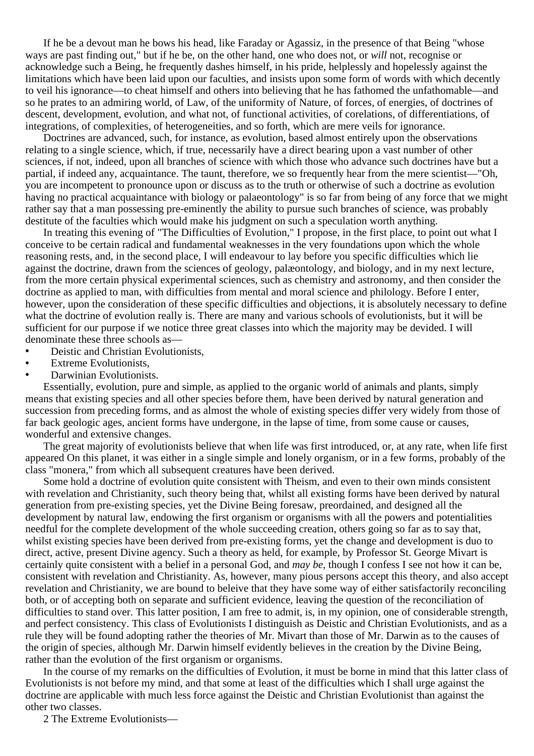If he be a devout man he bows his head, like Faraday or Agassiz, in the presence of that Being "whose ways are past finding out," but if he be, on the other hand, one who does not, or *will* not, recognise or acknowledge such a Being, he frequently dashes himself, in his pride, helplessly and hopelessly against the limitations which have been laid upon our faculties, and insists upon some form of words with which decently to veil his ignorance—to cheat himself and others into believing that he has fathomed the unfathomable—and so he prates to an admiring world, of Law, of the uniformity of Nature, of forces, of energies, of doctrines of descent, development, evolution, and what not, of functional activities, of corelations, of differentiations, of integrations, of complexities, of heterogeneities, and so forth, which are mere veils for ignorance.

Doctrines are advanced, such, for instance, as evolution, based almost entirely upon the observations relating to a single science, which, if true, necessarily have a direct bearing upon a vast number of other sciences, if not, indeed, upon all branches of science with which those who advance such doctrines have but a partial, if indeed any, acquaintance. The taunt, therefore, we so frequently hear from the mere scientist—"Oh, you are incompetent to pronounce upon or discuss as to the truth or otherwise of such a doctrine as evolution having no practical acquaintance with biology or palaeontology" is so far from being of any force that we might rather say that a man possessing pre-eminently the ability to pursue such branches of science, was probably destitute of the faculties which would make his judgment on such a speculation worth anything.

In treating this evening of "The Difficulties of Evolution," I propose, in the first place, to point out what I conceive to be certain radical and fundamental weaknesses in the very foundations upon which the whole reasoning rests, and, in the second place, I will endeavour to lay before you specific difficulties which lie against the doctrine, drawn from the sciences of geology, palæontology, and biology, and in my next lecture, from the more certain physical experimental sciences, such as chemistry and astronomy, and then consider the doctrine as applied to man, with difficulties from mental and moral science and philology. Before I enter, however, upon the consideration of these specific difficulties and objections, it is absolutely necessary to define what the doctrine of evolution really is. There are many and various schools of evolutionists, but it will be sufficient for our purpose if we notice three great classes into which the majority may be devided. I will denominate these three schools as—

- **•** Deistic and Christian Evolutionists,
- **•** Extreme Evolutionists,
- **•** Darwinian Evolutionists.

Essentially, evolution, pure and simple, as applied to the organic world of animals and plants, simply means that existing species and all other species before them, have been derived by natural generation and succession from preceding forms, and as almost the whole of existing species differ very widely from those of far back geologic ages, ancient forms have undergone, in the lapse of time, from some cause or causes, wonderful and extensive changes.

The great majority of evolutionists believe that when life was first introduced, or, at any rate, when life first appeared On this planet, it was either in a single simple and lonely organism, or in a few forms, probably of the class "monera," from which all subsequent creatures have been derived.

Some hold a doctrine of evolution quite consistent with Theism, and even to their own minds consistent with revelation and Christianity, such theory being that, whilst all existing forms have been derived by natural generation from pre-existing species, yet the Divine Being foresaw, preordained, and designed all the development by natural law, endowing the first organism or organisms with all the powers and potentialities needful for the complete development of the whole succeeding creation, others going so far as to say that, whilst existing species have been derived from pre-existing forms, yet the change and development is duo to direct, active, present Divine agency. Such a theory as held, for example, by Professor St. George Mivart is certainly quite consistent with a belief in a personal God, and *may be*, though I confess I see not how it can be, consistent with revelation and Christianity. As, however, many pious persons accept this theory, and also accept revelation and Christianity, we are bound to beleive that they have some way of either satisfactorily reconciling both, or of accepting both on separate and sufficient evidence, leaving the question of the reconciliation of difficulties to stand over. This latter position, I am free to admit, is, in my opinion, one of considerable strength, and perfect consistency. This class of Evolutionists I distinguish as Deistic and Christian Evolutionists, and as a rule they will be found adopting rather the theories of Mr. Mivart than those of Mr. Darwin as to the causes of the origin of species, although Mr. Darwin himself evidently believes in the creation by the Divine Being, rather than the evolution of the first organism or organisms.

In the course of my remarks on the difficulties of Evolution, it must be borne in mind that this latter class of Evolutionists is not before my mind, and that some at least of the difficulties which I shall urge against the doctrine are applicable with much less force against the Deistic and Christian Evolutionist than against the other two classes.

2 The Extreme Evolutionists—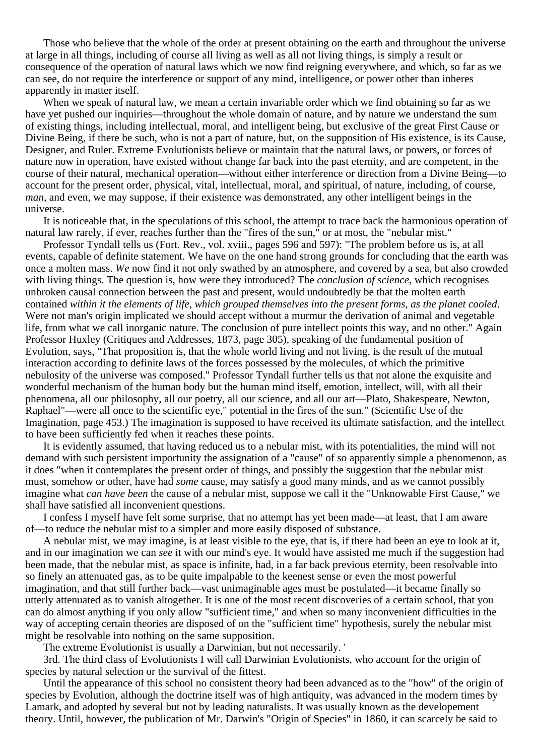Those who believe that the whole of the order at present obtaining on the earth and throughout the universe at large in all things, including of course all living as well as all not living things, is simply a result or consequence of the operation of natural laws which we now find reigning everywhere, and which, so far as we can see, do not require the interference or support of any mind, intelligence, or power other than inheres apparently in matter itself.

When we speak of natural law, we mean a certain invariable order which we find obtaining so far as we have yet pushed our inquiries—throughout the whole domain of nature, and by nature we understand the sum of existing things, including intellectual, moral, and intelligent being, but exclusive of the great First Cause or Divine Being, if there be such, who is not a part of nature, but, on the supposition of His existence, is its Cause, Designer, and Ruler. Extreme Evolutionists believe or maintain that the natural laws, or powers, or forces of nature now in operation, have existed without change far back into the past eternity, and are competent, in the course of their natural, mechanical operation—without either interference or direction from a Divine Being—to account for the present order, physical, vital, intellectual, moral, and spiritual, of nature, including, of course, *man*, and even, we may suppose, if their existence was demonstrated, any other intelligent beings in the universe.

It is noticeable that, in the speculations of this school, the attempt to trace back the harmonious operation of natural law rarely, if ever, reaches further than the "fires of the sun," or at most, the "nebular mist."

Professor Tyndall tells us (Fort. Rev., vol. xviii., pages 596 and 597): "The problem before us is, at all events, capable of definite statement. We have on the one hand strong grounds for concluding that the earth was once a molten mass. *We* now find it not only swathed by an atmosphere, and covered by a sea, but also crowded with living things. The question is, how were they introduced? The *conclusion of science*, which recognises unbroken causal connection between the past and present, would undoubtedly be that the molten earth contained *within it the elements of life, which grouped themselves into the present forms, as the planet cooled*. Were not man's origin implicated we should accept without a murmur the derivation of animal and vegetable life, from what we call inorganic nature. The conclusion of pure intellect points this way, and no other." Again Professor Huxley (Critiques and Addresses, 1873, page 305), speaking of the fundamental position of Evolution, says, "That proposition is, that the whole world living and not living, is the result of the mutual interaction according to definite laws of the forces possessed by the molecules, of which the primitive nebulosity of the universe was composed." Professor Tyndall further tells us that not alone the exquisite and wonderful mechanism of the human body but the human mind itself, emotion, intellect, will, with all their phenomena, all our philosophy, all our poetry, all our science, and all our art—Plato, Shakespeare, Newton, Raphael"—were all once to the scientific eye," potential in the fires of the sun." (Scientific Use of the Imagination, page 453.) The imagination is supposed to have received its ultimate satisfaction, and the intellect to have been sufficiently fed when it reaches these points.

It is evidently assumed, that having reduced us to a nebular mist, with its potentialities, the mind will not demand with such persistent importunity the assignation of a "cause" of so apparently simple a phenomenon, as it does "when it contemplates the present order of things, and possibly the suggestion that the nebular mist must, somehow or other, have had *some* cause, may satisfy a good many minds, and as we cannot possibly imagine what *can have been* the cause of a nebular mist, suppose we call it the "Unknowable First Cause," we shall have satisfied all inconvenient questions.

I confess I myself have felt some surprise, that no attempt has yet been made—at least, that I am aware of—to reduce the nebular mist to a simpler and more easily disposed of substance.

A nebular mist, we may imagine, is at least visible to the eye, that is, if there had been an eye to look at it, and in our imagination we can *see* it with our mind's eye. It would have assisted me much if the suggestion had been made, that the nebular mist, as space is infinite, had, in a far back previous eternity, been resolvable into so finely an attenuated gas, as to be quite impalpable to the keenest sense or even the most powerful imagination, and that still further back—vast unimaginable ages must be postulated—it became finally so utterly attenuated as to vanish altogether. It is one of the most recent discoveries of a certain school, that you can do almost anything if you only allow "sufficient time," and when so many inconvenient difficulties in the way of accepting certain theories are disposed of on the "sufficient time" hypothesis, surely the nebular mist might be resolvable into nothing on the same supposition.

The extreme Evolutionist is usually a Darwinian, but not necessarily. '

3rd. The third class of Evolutionists I will call Darwinian Evolutionists, who account for the origin of species by natural selection or the survival of the fittest.

Until the appearance of this school no consistent theory had been advanced as to the "how" of the origin of species by Evolution, although the doctrine itself was of high antiquity, was advanced in the modern times by Lamark, and adopted by several but not by leading naturalists. It was usually known as the developement theory. Until, however, the publication of Mr. Darwin's "Origin of Species" in 1860, it can scarcely be said to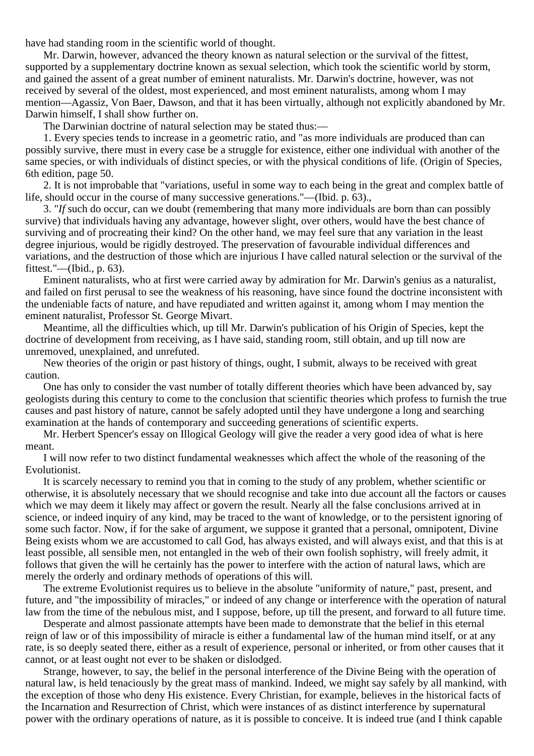have had standing room in the scientific world of thought.

Mr. Darwin, however, advanced the theory known as natural selection or the survival of the fittest, supported by a supplementary doctrine known as sexual selection, which took the scientific world by storm, and gained the assent of a great number of eminent naturalists. Mr. Darwin's doctrine, however, was not received by several of the oldest, most experienced, and most eminent naturalists, among whom I may mention—Agassiz, Von Baer, Dawson, and that it has been virtually, although not explicitly abandoned by Mr. Darwin himself, I shall show further on.

The Darwinian doctrine of natural selection may be stated thus:—

1. Every species tends to increase in a geometric ratio, and "as more individuals are produced than can possibly survive, there must in every case be a struggle for existence, either one individual with another of the same species, or with individuals of distinct species, or with the physical conditions of life. (Origin of Species, 6th edition, page 50.

2. It is not improbable that "variations, useful in some way to each being in the great and complex battle of life, should occur in the course of many successive generations."—(Ibid. p. 63).,

3. "*If* such do occur, can we doubt (remembering that many more individuals are born than can possibly survive) that individuals having any advantage, however slight, over others, would have the best chance of surviving and of procreating their kind? On the other hand, we may feel sure that any variation in the least degree injurious, would be rigidly destroyed. The preservation of favourable individual differences and variations, and the destruction of those which are injurious I have called natural selection or the survival of the fittest."—(Ibid., p. 63).

Eminent naturalists, who at first were carried away by admiration for Mr. Darwin's genius as a naturalist, and failed on first perusal to see the weakness of his reasoning, have since found the doctrine inconsistent with the undeniable facts of nature, and have repudiated and written against it, among whom I may mention the eminent naturalist, Professor St. George Mivart.

Meantime, all the difficulties which, up till Mr. Darwin's publication of his Origin of Species, kept the doctrine of development from receiving, as I have said, standing room, still obtain, and up till now are unremoved, unexplained, and unrefuted.

New theories of the origin or past history of things, ought, I submit, always to be received with great caution.

One has only to consider the vast number of totally different theories which have been advanced by, say geologists during this century to come to the conclusion that scientific theories which profess to furnish the true causes and past history of nature, cannot be safely adopted until they have undergone a long and searching examination at the hands of contemporary and succeeding generations of scientific experts.

Mr. Herbert Spencer's essay on Illogical Geology will give the reader a very good idea of what is here meant.

I will now refer to two distinct fundamental weaknesses which affect the whole of the reasoning of the Evolutionist.

It is scarcely necessary to remind you that in coming to the study of any problem, whether scientific or otherwise, it is absolutely necessary that we should recognise and take into due account all the factors or causes which we may deem it likely may affect or govern the result. Nearly all the false conclusions arrived at in science, or indeed inquiry of any kind, may be traced to the want of knowledge, or to the persistent ignoring of some such factor. Now, if for the sake of argument, we suppose it granted that a personal, omnipotent, Divine Being exists whom we are accustomed to call God, has always existed, and will always exist, and that this is at least possible, all sensible men, not entangled in the web of their own foolish sophistry, will freely admit, it follows that given the will he certainly has the power to interfere with the action of natural laws, which are merely the orderly and ordinary methods of operations of this will.

The extreme Evolutionist requires us to believe in the absolute "uniformity of nature," past, present, and future, and "the impossibility of miracles," or indeed of any change or interference with the operation of natural law from the time of the nebulous mist, and I suppose, before, up till the present, and forward to all future time.

Desperate and almost passionate attempts have been made to demonstrate that the belief in this eternal reign of law or of this impossibility of miracle is either a fundamental law of the human mind itself, or at any rate, is so deeply seated there, either as a result of experience, personal or inherited, or from other causes that it cannot, or at least ought not ever to be shaken or dislodged.

Strange, however, to say, the belief in the personal interference of the Divine Being with the operation of natural law, is held tenaciously by the great mass of mankind. Indeed, we might say safely by all mankind, with the exception of those who deny His existence. Every Christian, for example, believes in the historical facts of the Incarnation and Resurrection of Christ, which were instances of as distinct interference by supernatural power with the ordinary operations of nature, as it is possible to conceive. It is indeed true (and I think capable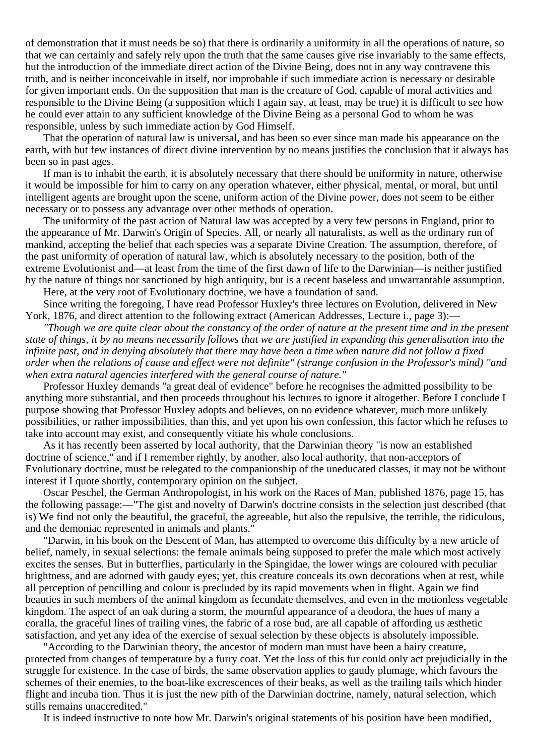of demonstration that it must needs be so) that there is ordinarily a uniformity in all the operations of nature, so that we can certainly and safely rely upon the truth that the same causes give rise invariably to the same effects, but the introduction of the immediate direct action of the Divine Being, does not in any way contravene this truth, and is neither inconceivable in itself, nor improbable if such immediate action is necessary or desirable for given important ends. On the supposition that man is the creature of God, capable of moral activities and responsible to the Divine Being (a supposition which I again say, at least, may be true) it is difficult to see how he could ever attain to any sufficient knowledge of the Divine Being as a personal God to whom he was responsible, unless by such immediate action by God Himself.

That the operation of natural law is universal, and has been so ever since man made his appearance on the earth, with but few instances of direct divine intervention by no means justifies the conclusion that it always has been so in past ages.

If man is to inhabit the earth, it is absolutely necessary that there should be uniformity in nature, otherwise it would be impossible for him to carry on any operation whatever, either physical, mental, or moral, but until intelligent agents are brought upon the scene, uniform action of the Divine power, does not seem to be either necessary or to possess any advantage over other methods of operation.

The uniformity of the past action of Natural law was accepted by a very few persons in England, prior to the appearance of Mr. Darwin's Origin of Species. All, or nearly all naturalists, as well as the ordinary run of mankind, accepting the belief that each species was a separate Divine Creation. The assumption, therefore, of the past uniformity of operation of natural law, which is absolutely necessary to the position, both of the extreme Evolutionist and—at least from the time of the first dawn of life to the Darwinian—is neither justified by the nature of things nor sanctioned by high antiquity, but is a recent baseless and unwarrantable assumption.

Here, at the very root of Evolutionary doctrine, we have a foundation of sand.

Since writing the foregoing, I have read Professor Huxley's three lectures on Evolution, delivered in New York, 1876, and direct attention to the following extract (American Addresses, Lecture i., page 3):—

*"Though we are quite clear about the constancy of the order of nature at the present time and in the present state of things, it by no means necessarily follows that we are justified in expanding this generalisation into the infinite past, and in denying absolutely that there may have been a time when nature did not follow a fixed order when the relations of cause and effect were not definite" (strange confusion in the Professor's mind) "and when extra natural agencies interfered with the general course of nature."*

Professor Huxley demands "a great deal of evidence" before he recognises the admitted possibility to be anything more substantial, and then proceeds throughout his lectures to ignore it altogether. Before I conclude I purpose showing that Professor Huxley adopts and believes, on no evidence whatever, much more unlikely possibilities, or rather impossibilities, than this, and yet upon his own confession, this factor which he refuses to take into account may exist, and consequently vitiate his whole conclusions.

As it has recently been asserted by local authority, that the Darwinian theory "is now an established doctrine of science," and if I remember rightly, by another, also local authority, that non-acceptors of Evolutionary doctrine, must be relegated to the companionship of the uneducated classes, it may not be without interest if I quote shortly, contemporary opinion on the subject.

Oscar Peschel, the German Anthropologist, in his work on the Races of Man, published 1876, page 15, has the following passage:—"The gist and novelty of Darwin's doctrine consists in the selection just described (that is) We find not only the beautiful, the graceful, the agreeable, but also the repulsive, the terrible, the ridiculous, and the demoniac represented in animals and plants."

"Darwin, in his book on the Descent of Man, has attempted to overcome this difficulty by a new article of belief, namely, in sexual selections: the female animals being supposed to prefer the male which most actively excites the senses. But in butterflies, particularly in the Spingidae, the lower wings are coloured with peculiar brightness, and are adorned with gaudy eyes; yet, this creature conceals its own decorations when at rest, while all perception of pencilling and colour is precluded by its rapid movements when in flight. Again we find beauties in such members of the animal kingdom as fecundate themselves, and even in the motionless vegetable kingdom. The aspect of an oak during a storm, the mournful appearance of a deodora, the hues of many a coralla, the graceful lines of trailing vines, the fabric of a rose bud, are all capable of affording us æsthetic satisfaction, and yet any idea of the exercise of sexual selection by these objects is absolutely impossible.

"According to the Darwinian theory, the ancestor of modern man must have been a hairy creature, protected from changes of temperature by a furry coat. Yet the loss of this fur could only act prejudicially in the struggle for existence. In the case of birds, the same observation applies to gaudy plumage, which favours the schemes of their enemies, to the boat-like excrescences of their beaks, as well as the trailing tails which hinder flight and incuba tion. Thus it is just the new pith of the Darwinian doctrine, namely, natural selection, which stills remains unaccredited."

It is indeed instructive to note how Mr. Darwin's original statements of his position have been modified,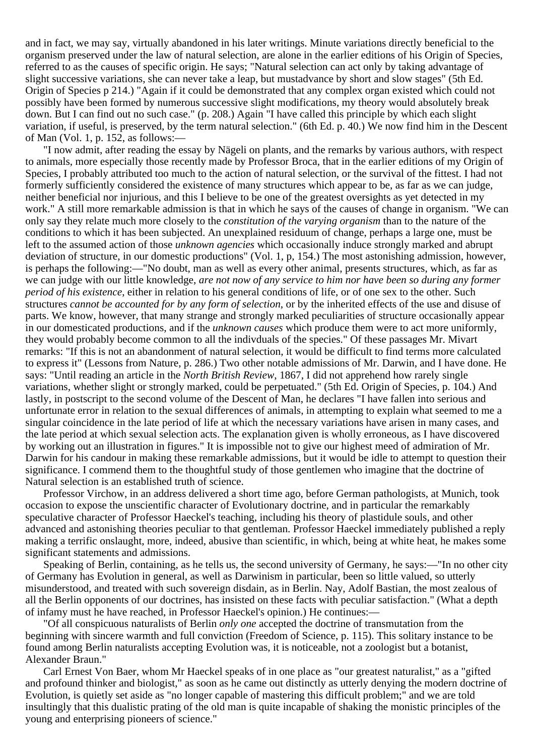and in fact, we may say, virtually abandoned in his later writings. Minute variations directly beneficial to the organism preserved under the law of natural selection, are alone in the earlier editions of his Origin of Species, referred to as the causes of specific origin. He says; "Natural selection can act only by taking advantage of slight successive variations, she can never take a leap, but mustadvance by short and slow stages" (5th Ed. Origin of Species p 214.) "Again if it could be demonstrated that any complex organ existed which could not possibly have been formed by numerous successive slight modifications, my theory would absolutely break down. But I can find out no such case." (p. 208.) Again "I have called this principle by which each slight variation, if useful, is preserved, by the term natural selection." (6th Ed. p. 40.) We now find him in the Descent of Man (Vol. 1, p. 152, as follows:—

"I now admit, after reading the essay by Nägeli on plants, and the remarks by various authors, with respect to animals, more especially those recently made by Professor Broca, that in the earlier editions of my Origin of Species, I probably attributed too much to the action of natural selection, or the survival of the fittest. I had not formerly sufficiently considered the existence of many structures which appear to be, as far as we can judge, neither beneficial nor injurious, and this I believe to be one of the greatest oversights as yet detected in my work." A still more remarkable admission is that in which he says of the causes of change in organism. "We can only say they relate much more closely to the *constitution of the varying organism* than to the nature of the conditions to which it has been subjected. An unexplained residuum of change, perhaps a large one, must be left to the assumed action of those *unknown agencies* which occasionally induce strongly marked and abrupt deviation of structure, in our domestic productions" (Vol. 1, p, 154.) The most astonishing admission, however, is perhaps the following:—"No doubt, man as well as every other animal, presents structures, which, as far as we can judge with our little knowledge, *are not now of any service to him nor have been so during any former period of his existence*, either in relation to his general conditions of life, or of one sex to the other. Such structures *cannot be accounted for by any form of selection*, or by the inherited effects of the use and disuse of parts. We know, however, that many strange and strongly marked peculiarities of structure occasionally appear in our domesticated productions, and if the *unknown causes* which produce them were to act more uniformly, they would probably become common to all the indivduals of the species." Of these passages Mr. Mivart remarks: "If this is not an abandonment of natural selection, it would be difficult to find terms more calculated to express it" (Lessons from Nature, p. 286.) Two other notable admissions of Mr. Darwin, and I have done. He says: "Until reading an article in the *North British Review*, 1867, I did not apprehend how rarely single variations, whether slight or strongly marked, could be perpetuated." (5th Ed. Origin of Species, p. 104.) And lastly, in postscript to the second volume of the Descent of Man, he declares "I have fallen into serious and unfortunate error in relation to the sexual differences of animals, in attempting to explain what seemed to me a singular coincidence in the late period of life at which the necessary variations have arisen in many cases, and the late period at which sexual selection acts. The explanation given is wholly erroneous, as I have discovered by working out an illustration in figures." It is impossible not to give our highest meed of admiration of Mr. Darwin for his candour in making these remarkable admissions, but it would be idle to attempt to question their significance. I commend them to the thoughtful study of those gentlemen who imagine that the doctrine of Natural selection is an established truth of science.

Professor Virchow, in an address delivered a short time ago, before German pathologists, at Munich, took occasion to expose the unscientific character of Evolutionary doctrine, and in particular the remarkably speculative character of Professor Haeckel's teaching, including his theory of plastidule souls, and other advanced and astonishing theories peculiar to that gentleman. Professor Haeckel immediately published a reply making a terrific onslaught, more, indeed, abusive than scientific, in which, being at white heat, he makes some significant statements and admissions.

Speaking of Berlin, containing, as he tells us, the second university of Germany, he says:—"In no other city of Germany has Evolution in general, as well as Darwinism in particular, been so little valued, so utterly misunderstood, and treated with such sovereign disdain, as in Berlin. Nay, Adolf Bastian, the most zealous of all the Berlin opponents of our doctrines, has insisted on these facts with peculiar satisfaction." (What a depth of infamy must he have reached, in Professor Haeckel's opinion.) He continues:—

"Of all conspicuous naturalists of Berlin *only one* accepted the doctrine of transmutation from the beginning with sincere warmth and full conviction (Freedom of Science, p. 115). This solitary instance to be found among Berlin naturalists accepting Evolution was, it is noticeable, not a zoologist but a botanist, Alexander Braun."

Carl Ernest Von Baer, whom Mr Haeckel speaks of in one place as "our greatest naturalist," as a "gifted and profound thinker and biologist," as soon as he came out distinctly as utterly denying the modern doctrine of Evolution, is quietly set aside as "no longer capable of mastering this difficult problem;" and we are told insultingly that this dualistic prating of the old man is quite incapable of shaking the monistic principles of the young and enterprising pioneers of science."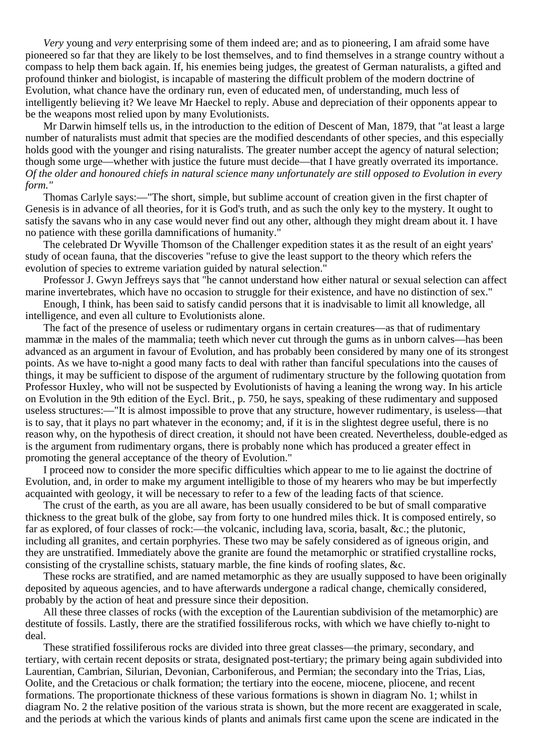*Very* young and *very* enterprising some of them indeed are; and as to pioneering, I am afraid some have pioneered so far that they are likely to be lost themselves, and to find themselves in a strange country without a compass to help them back again. If, his enemies being judges, the greatest of German naturalists, a gifted and profound thinker and biologist, is incapable of mastering the difficult problem of the modern doctrine of Evolution, what chance have the ordinary run, even of educated men, of understanding, much less of intelligently believing it? We leave Mr Haeckel to reply. Abuse and depreciation of their opponents appear to be the weapons most relied upon by many Evolutionists.

Mr Darwin himself tells us, in the introduction to the edition of Descent of Man, 1879, that "at least a large number of naturalists must admit that species are the modified descendants of other species, and this especially holds good with the younger and rising naturalists. The greater number accept the agency of natural selection; though some urge—whether with justice the future must decide—that I have greatly overrated its importance. *Of the older and honoured chiefs in natural science many unfortunately are still opposed to Evolution in every form."*

Thomas Carlyle says:—"The short, simple, but sublime account of creation given in the first chapter of Genesis is in advance of all theories, for it is God's truth, and as such the only key to the mystery. It ought to satisfy the savans who in any case would never find out any other, although they might dream about it. I have no patience with these gorilla damnifications of humanity."

The celebrated Dr Wyville Thomson of the Challenger expedition states it as the result of an eight years' study of ocean fauna, that the discoveries "refuse to give the least support to the theory which refers the evolution of species to extreme variation guided by natural selection."

Professor J. Gwyn Jeffreys says that "he cannot understand how either natural or sexual selection can affect marine invertebrates, which have no occasion to struggle for their existence, and have no distinction of sex."

Enough, I think, has been said to satisfy candid persons that it is inadvisable to limit all knowledge, all intelligence, and even all culture to Evolutionists alone.

The fact of the presence of useless or rudimentary organs in certain creatures—as that of rudimentary mammæ in the males of the mammalia; teeth which never cut through the gums as in unborn calves—has been advanced as an argument in favour of Evolution, and has probably been considered by many one of its strongest points. As we have to-night a good many facts to deal with rather than fanciful speculations into the causes of things, it may be sufficient to dispose of the argument of rudimentary structure by the following quotation from Professor Huxley, who will not be suspected by Evolutionists of having a leaning the wrong way. In his article on Evolution in the 9th edition of the Eycl. Brit., p. 750, he says, speaking of these rudimentary and supposed useless structures:—"It is almost impossible to prove that any structure, however rudimentary, is useless—that is to say, that it plays no part whatever in the economy; and, if it is in the slightest degree useful, there is no reason why, on the hypothesis of direct creation, it should not have been created. Nevertheless, double-edged as is the argument from rudimentary organs, there is probably none which has produced a greater effect in promoting the general acceptance of the theory of Evolution."

I proceed now to consider the more specific difficulties which appear to me to lie against the doctrine of Evolution, and, in order to make my argument intelligible to those of my hearers who may be but imperfectly acquainted with geology, it will be necessary to refer to a few of the leading facts of that science.

The crust of the earth, as you are all aware, has been usually considered to be but of small comparative thickness to the great bulk of the globe, say from forty to one hundred miles thick. It is composed entirely, so far as explored, of four classes of rock:—the volcanic, including lava, scoria, basalt, &c.; the plutonic, including all granites, and certain porphyries. These two may be safely considered as of igneous origin, and they are unstratified. Immediately above the granite are found the metamorphic or stratified crystalline rocks, consisting of the crystalline schists, statuary marble, the fine kinds of roofing slates, &c.

These rocks are stratified, and are named metamorphic as they are usually supposed to have been originally deposited by aqueous agencies, and to have afterwards undergone a radical change, chemically considered, probably by the action of heat and pressure since their deposition.

All these three classes of rocks (with the exception of the Laurentian subdivision of the metamorphic) are destitute of fossils. Lastly, there are the stratified fossiliferous rocks, with which we have chiefly to-night to deal.

These stratified fossiliferous rocks are divided into three great classes—the primary, secondary, and tertiary, with certain recent deposits or strata, designated post-tertiary; the primary being again subdivided into Laurentian, Cambrian, Silurian, Devonian, Carboniferous, and Permian; the secondary into the Trias, Lias, Oolite, and the Cretacious or chalk formation; the tertiary into the eocene, miocene, pliocene, and recent formations. The proportionate thickness of these various formations is shown in diagram No. 1; whilst in diagram No. 2 the relative position of the various strata is shown, but the more recent are exaggerated in scale, and the periods at which the various kinds of plants and animals first came upon the scene are indicated in the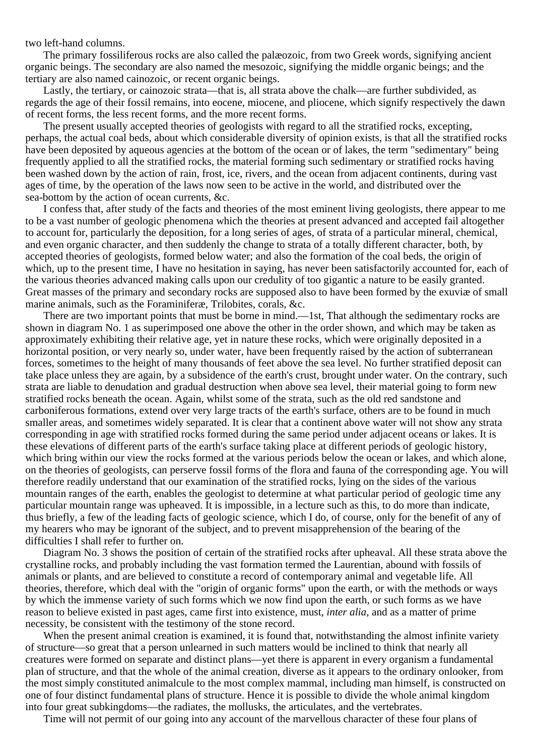two left-hand columns.

The primary fossiliferous rocks are also called the palæozoic, from two Greek words, signifying ancient organic beings. The secondary are also named the mesozoic, signifying the middle organic beings; and the tertiary are also named cainozoic, or recent organic beings.

Lastly, the tertiary, or cainozoic strata—that is, all strata above the chalk—are further subdivided, as regards the age of their fossil remains, into eocene, miocene, and pliocene, which signify respectively the dawn of recent forms, the less recent forms, and the more recent forms.

The present usually accepted theories of geologists with regard to all the stratified rocks, excepting, perhaps, the actual coal beds, about which considerable diversity of opinion exists, is that all the stratified rocks have been deposited by aqueous agencies at the bottom of the ocean or of lakes, the term "sedimentary" being frequently applied to all the stratified rocks, the material forming such sedimentary or stratified rocks having been washed down by the action of rain, frost, ice, rivers, and the ocean from adjacent continents, during vast ages of time, by the operation of the laws now seen to be active in the world, and distributed over the sea-bottom by the action of ocean currents, &c.

I confess that, after study of the facts and theories of the most eminent living geologists, there appear to me to be a vast number of geologic phenomena which the theories at present advanced and accepted fail altogether to account for, particularly the deposition, for a long series of ages, of strata of a particular mineral, chemical, and even organic character, and then suddenly the change to strata of a totally different character, both, by accepted theories of geologists, formed below water; and also the formation of the coal beds, the origin of which, up to the present time, I have no hesitation in saying, has never been satisfactorily accounted for, each of the various theories advanced making calls upon our credulity of too gigantic a nature to be easily granted. Great masses of the primary and secondary rocks are supposed also to have been formed by the exuviæ of small marine animals, such as the Foraminiferæ, Trilobites, corals, &c.

There are two important points that must be borne in mind.—1st, That although the sedimentary rocks are shown in diagram No. 1 as superimposed one above the other in the order shown, and which may be taken as approximately exhibiting their relative age, yet in nature these rocks, which were originally deposited in a horizontal position, or very nearly so, under water, have been frequently raised by the action of subterranean forces, sometimes to the height of many thousands of feet above the sea level. No further stratified deposit can take place unless they are again, by a subsidence of the earth's crust, brought under water. On the contrary, such strata are liable to denudation and gradual destruction when above sea level, their material going to form new stratified rocks beneath the ocean. Again, whilst some of the strata, such as the old red sandstone and carboniferous formations, extend over very large tracts of the earth's surface, others are to be found in much smaller areas, and sometimes widely separated. It is clear that a continent above water will not show any strata corresponding in age with stratified rocks formed during the same period under adjacent oceans or lakes. It is these elevations of different parts of the earth's surface taking place at different periods of geologic history, which bring within our view the rocks formed at the various periods below the ocean or lakes, and which alone, on the theories of geologists, can perserve fossil forms of the flora and fauna of the corresponding age. You will therefore readily understand that our examination of the stratified rocks, lying on the sides of the various mountain ranges of the earth, enables the geologist to determine at what particular period of geologic time any particular mountain range was upheaved. It is impossible, in a lecture such as this, to do more than indicate, thus briefly, a few of the leading facts of geologic science, which I do, of course, only for the benefit of any of my hearers who may be ignorant of the subject, and to prevent misapprehension of the bearing of the difficulties I shall refer to further on.

Diagram No. 3 shows the position of certain of the stratified rocks after upheaval. All these strata above the crystalline rocks, and probably including the vast formation termed the Laurentian, abound with fossils of animals or plants, and are believed to constitute a record of contemporary animal and vegetable life. All theories, therefore, which deal with the "origin of organic forms" upon the earth, or with the methods or ways by which the immense variety of such forms which we now find upon the earth, or such forms as we have reason to believe existed in past ages, came first into existence, must, *inter alia*, and as a matter of prime necessity, be consistent with the testimony of the stone record.

When the present animal creation is examined, it is found that, notwithstanding the almost infinite variety of structure—so great that a person unlearned in such matters would be inclined to think that nearly all creatures were formed on separate and distinct plans—yet there is apparent in every organism a fundamental plan of structure, and that the whole of the animal creation, diverse as it appears to the ordinary onlooker, from the most simply constituted animalcule to the most complex mammal, including man himself, is constructed on one of four distinct fundamental plans of structure. Hence it is possible to divide the whole animal kingdom into four great subkingdoms—the radiates, the mollusks, the articulates, and the vertebrates.

Time will not permit of our going into any account of the marvellous character of these four plans of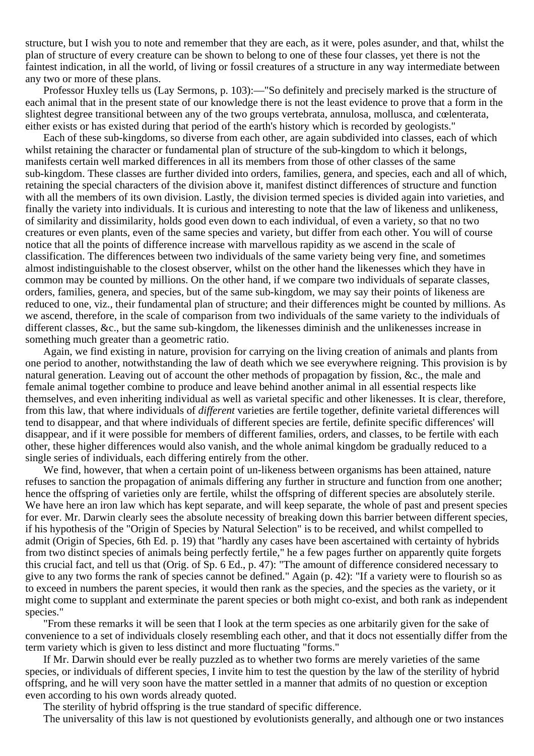structure, but I wish you to note and remember that they are each, as it were, poles asunder, and that, whilst the plan of structure of every creature can be shown to belong to one of these four classes, yet there is not the faintest indication, in all the world, of living or fossil creatures of a structure in any way intermediate between any two or more of these plans.

Professor Huxley tells us (Lay Sermons, p. 103):—"So definitely and precisely marked is the structure of each animal that in the present state of our knowledge there is not the least evidence to prove that a form in the slightest degree transitional between any of the two groups vertebrata, annulosa, mollusca, and cœlenterata, either exists or has existed during that period of the earth's history which is recorded by geologists."

Each of these sub-kingdoms, so diverse from each other, are again subdivided into classes, each of which whilst retaining the character or fundamental plan of structure of the sub-kingdom to which it belongs, manifests certain well marked differences in all its members from those of other classes of the same sub-kingdom. These classes are further divided into orders, families, genera, and species, each and all of which, retaining the special characters of the division above it, manifest distinct differences of structure and function with all the members of its own division. Lastly, the division termed species is divided again into varieties, and finally the variety into individuals. It is curious and interesting to note that the law of likeness and unlikeness, of similarity and dissimilarity, holds good even down to each individual, of even a variety, so that no two creatures or even plants, even of the same species and variety, but differ from each other. You will of course notice that all the points of difference increase with marvellous rapidity as we ascend in the scale of classification. The differences between two individuals of the same variety being very fine, and sometimes almost indistinguishable to the closest observer, whilst on the other hand the likenesses which they have in common may be counted by millions. On the other hand, if we compare two individuals of separate classes, orders, families, genera, and species, but of the same sub-kingdom, we may say their points of likeness are reduced to one, viz., their fundamental plan of structure; and their differences might be counted by millions. As we ascend, therefore, in the scale of comparison from two individuals of the same variety to the individuals of different classes, &c., but the same sub-kingdom, the likenesses diminish and the unlikenesses increase in something much greater than a geometric ratio.

Again, we find existing in nature, provision for carrying on the living creation of animals and plants from one period to another, notwithstanding the law of death which we see everywhere reigning. This provision is by natural generation. Leaving out of account the other methods of propagation by fission, &c., the male and female animal together combine to produce and leave behind another animal in all essential respects like themselves, and even inheriting individual as well as varietal specific and other likenesses. It is clear, therefore, from this law, that where individuals of *different* varieties are fertile together, definite varietal differences will tend to disappear, and that where individuals of different species are fertile, definite specific differences' will disappear, and if it were possible for members of different families, orders, and classes, to be fertile with each other, these higher differences would also vanish, and the whole animal kingdom be gradually reduced to a single series of individuals, each differing entirely from the other.

We find, however, that when a certain point of un-likeness between organisms has been attained, nature refuses to sanction the propagation of animals differing any further in structure and function from one another; hence the offspring of varieties only are fertile, whilst the offspring of different species are absolutely sterile. We have here an iron law which has kept separate, and will keep separate, the whole of past and present species for ever. Mr. Darwin clearly sees the absolute necessity of breaking down this barrier between different species, if his hypothesis of the "Origin of Species by Natural Selection" is to be received, and whilst compelled to admit (Origin of Species, 6th Ed. p. 19) that "hardly any cases have been ascertained with certainty of hybrids from two distinct species of animals being perfectly fertile," he a few pages further on apparently quite forgets this crucial fact, and tell us that (Orig. of Sp. 6 Ed., p. 47): "The amount of difference considered necessary to give to any two forms the rank of species cannot be defined." Again (p. 42): "If a variety were to flourish so as to exceed in numbers the parent species, it would then rank as the species, and the species as the variety, or it might come to supplant and exterminate the parent species or both might co-exist, and both rank as independent species."

"From these remarks it will be seen that I look at the term species as one arbitarily given for the sake of convenience to a set of individuals closely resembling each other, and that it docs not essentially differ from the term variety which is given to less distinct and more fluctuating "forms."

If Mr. Darwin should ever be really puzzled as to whether two forms are merely varieties of the same species, or individuals of different species, I invite him to test the question by the law of the sterility of hybrid offspring, and he will very soon have the matter settled in a manner that admits of no question or exception even according to his own words already quoted.

The sterility of hybrid offspring is the true standard of specific difference.

The universality of this law is not questioned by evolutionists generally, and although one or two instances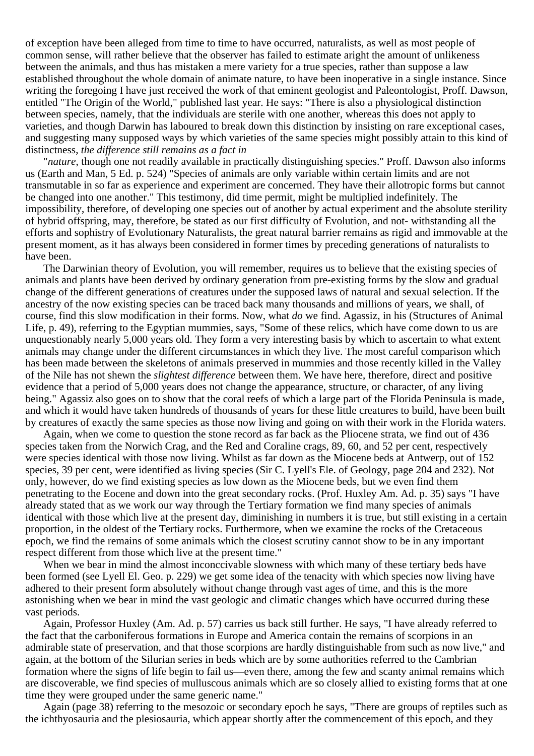of exception have been alleged from time to time to have occurred, naturalists, as well as most people of common sense, will rather believe that the observer has failed to estimate aright the amount of unlikeness between the animals, and thus has mistaken a mere variety for a true species, rather than suppose a law established throughout the whole domain of animate nature, to have been inoperative in a single instance. Since writing the foregoing I have just received the work of that eminent geologist and Paleontologist, Proff. Dawson, entitled "The Origin of the World," published last year. He says: "There is also a physiological distinction between species, namely, that the individuals are sterile with one another, whereas this does not apply to varieties, and though Darwin has laboured to break down this distinction by insisting on rare exceptional cases, and suggesting many supposed ways by which varieties of the same species might possibly attain to this kind of distinctness, *the difference still remains as a fact in*

"*nature*, though one not readily available in practically distinguishing species." Proff. Dawson also informs us (Earth and Man, 5 Ed. p. 524) "Species of animals are only variable within certain limits and are not transmutable in so far as experience and experiment are concerned. They have their allotropic forms but cannot be changed into one another." This testimony, did time permit, might be multiplied indefinitely. The impossibility, therefore, of developing one species out of another by actual experiment and the absolute sterility of hybrid offspring, may, therefore, be stated as our first difficulty of Evolution, and not- withstanding all the efforts and sophistry of Evolutionary Naturalists, the great natural barrier remains as rigid and immovable at the present moment, as it has always been considered in former times by preceding generations of naturalists to have been.

The Darwinian theory of Evolution, you will remember, requires us to believe that the existing species of animals and plants have been derived by ordinary generation from pre-existing forms by the slow and gradual change of the different generations of creatures under the supposed laws of natural and sexual selection. If the ancestry of the now existing species can be traced back many thousands and millions of years, we shall, of course, find this slow modification in their forms. Now, what *do* we find. Agassiz, in his (Structures of Animal Life, p. 49), referring to the Egyptian mummies, says, "Some of these relics, which have come down to us are unquestionably nearly 5,000 years old. They form a very interesting basis by which to ascertain to what extent animals may change under the different circumstances in which they live. The most careful comparison which has been made between the skeletons of animals preserved in mummies and those recently killed in the Valley of the Nile has not shewn the *slightest difference* between them. We have here, therefore, direct and positive evidence that a period of 5,000 years does not change the appearance, structure, or character, of any living being." Agassiz also goes on to show that the coral reefs of which a large part of the Florida Peninsula is made, and which it would have taken hundreds of thousands of years for these little creatures to build, have been built by creatures of exactly the same species as those now living and going on with their work in the Florida waters.

Again, when we come to question the stone record as far back as the Pliocene strata, we find out of 436 species taken from the Norwich Crag, and the Red and Coraline crags, 89, 60, and 52 per cent, respectively were species identical with those now living. Whilst as far down as the Miocene beds at Antwerp, out of 152 species, 39 per cent, were identified as living species (Sir C. Lyell's Ele. of Geology, page 204 and 232). Not only, however, do we find existing species as low down as the Miocene beds, but we even find them penetrating to the Eocene and down into the great secondary rocks. (Prof. Huxley Am. Ad. p. 35) says "I have already stated that as we work our way through the Tertiary formation we find many species of animals identical with those which live at the present day, diminishing in numbers it is true, but still existing in a certain proportion, in the oldest of the Tertiary rocks. Furthermore, when we examine the rocks of the Cretaceous epoch, we find the remains of some animals which the closest scrutiny cannot show to be in any important respect different from those which live at the present time."

When we bear in mind the almost inconccivable slowness with which many of these tertiary beds have been formed (see Lyell El. Geo. p. 229) we get some idea of the tenacity with which species now living have adhered to their present form absolutely without change through vast ages of time, and this is the more astonishing when we bear in mind the vast geologic and climatic changes which have occurred during these vast periods.

Again, Professor Huxley (Am. Ad. p. 57) carries us back still further. He says, "I have already referred to the fact that the carboniferous formations in Europe and America contain the remains of scorpions in an admirable state of preservation, and that those scorpions are hardly distinguishable from such as now live," and again, at the bottom of the Silurian series in beds which are by some authorities referred to the Cambrian formation where the signs of life begin to fail us—even there, among the few and scanty animal remains which are discoverable, we find species of mulluscous animals which are so closely allied to existing forms that at one time they were grouped under the same generic name."

Again (page 38) referring to the mesozoic or secondary epoch he says, "There are groups of reptiles such as the ichthyosauria and the plesiosauria, which appear shortly after the commencement of this epoch, and they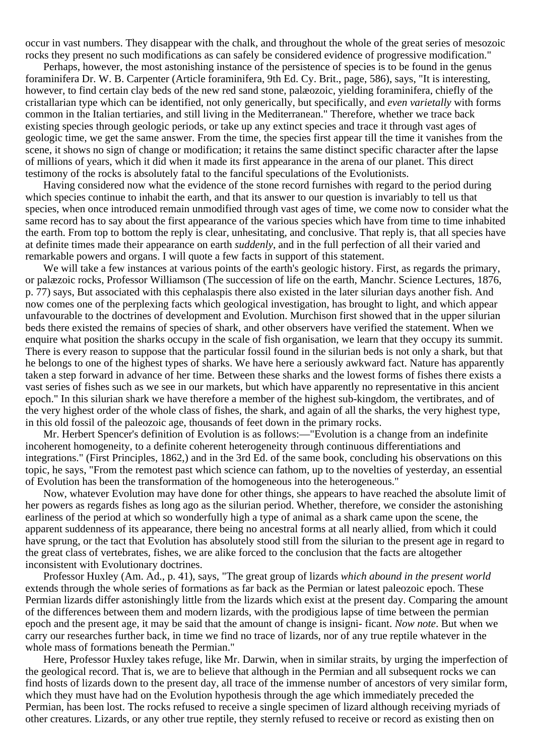occur in vast numbers. They disappear with the chalk, and throughout the whole of the great series of mesozoic rocks they present no such modifications as can safely be considered evidence of progressive modification."

Perhaps, however, the most astonishing instance of the persistence of species is to be found in the genus foraminifera Dr. W. B. Carpenter (Article foraminifera, 9th Ed. Cy. Brit., page, 586), says, "It is interesting, however, to find certain clay beds of the new red sand stone, palæozoic, yielding foraminifera, chiefly of the cristallarian type which can be identified, not only generically, but specifically, and *even varietally* with forms common in the Italian tertiaries, and still living in the Mediterranean." Therefore, whether we trace back existing species through geologic periods, or take up any extinct species and trace it through vast ages of geologic time, we get the same answer. From the time, the species first appear till the time it vanishes from the scene, it shows no sign of change or modification; it retains the same distinct specific character after the lapse of millions of years, which it did when it made its first appearance in the arena of our planet. This direct testimony of the rocks is absolutely fatal to the fanciful speculations of the Evolutionists.

Having considered now what the evidence of the stone record furnishes with regard to the period during which species continue to inhabit the earth, and that its answer to our question is invariably to tell us that species, when once introduced remain unmodified through vast ages of time, we come now to consider what the same record has to say about the first appearance of the various species which have from time to time inhabited the earth. From top to bottom the reply is clear, unhesitating, and conclusive. That reply is, that all species have at definite times made their appearance on earth *suddenly*, and in the full perfection of all their varied and remarkable powers and organs. I will quote a few facts in support of this statement.

We will take a few instances at various points of the earth's geologic history. First, as regards the primary, or palæzoic rocks, Professor Williamson (The succession of life on the earth, Manchr. Science Lectures, 1876, p. 77) says, But associated with this cephalaspis there also existed in the later silurian days another fish. And now comes one of the perplexing facts which geological investigation, has brought to light, and which appear unfavourable to the doctrines of development and Evolution. Murchison first showed that in the upper silurian beds there existed the remains of species of shark, and other observers have verified the statement. When we enquire what position the sharks occupy in the scale of fish organisation, we learn that they occupy its summit. There is every reason to suppose that the particular fossil found in the silurian beds is not only a shark, but that he belongs to one of the highest types of sharks. We have here a seriously awkward fact. Nature has apparently taken a step forward in advance of her time. Between these sharks and the lowest forms of fishes there exists a vast series of fishes such as we see in our markets, but which have apparently no representative in this ancient epoch." In this silurian shark we have therefore a member of the highest sub-kingdom, the vertibrates, and of the very highest order of the whole class of fishes, the shark, and again of all the sharks, the very highest type, in this old fossil of the paleozoic age, thousands of feet down in the primary rocks.

Mr. Herbert Spencer's definition of Evolution is as follows:—"Evolution is a change from an indefinite incoherent homogeneity, to a definite coherent heterogeneity through continuous differentiations and integrations." (First Principles, 1862,) and in the 3rd Ed. of the same book, concluding his observations on this topic, he says, "From the remotest past which science can fathom, up to the novelties of yesterday, an essential of Evolution has been the transformation of the homogeneous into the heterogeneous."

Now, whatever Evolution may have done for other things, she appears to have reached the absolute limit of her powers as regards fishes as long ago as the silurian period. Whether, therefore, we consider the astonishing earliness of the period at which so wonderfully high a type of animal as a shark came upon the scene, the apparent suddenness of its appearance, there being no ancestral forms at all nearly allied, from which it could have sprung, or the tact that Evolution has absolutely stood still from the silurian to the present age in regard to the great class of vertebrates, fishes, we are alike forced to the conclusion that the facts are altogether inconsistent with Evolutionary doctrines.

Professor Huxley (Am. Ad., p. 41), says, "The great group of lizards *which abound in the present world* extends through the whole series of formations as far back as the Permian or latest paleozoic epoch. These Permian lizards differ astonishingly little from the lizards which exist at the present day. Comparing the amount of the differences between them and modern lizards, with the prodigious lapse of time between the permian epoch and the present age, it may be said that the amount of change is insigni- ficant. *Now note*. But when we carry our researches further back, in time we find no trace of lizards, nor of any true reptile whatever in the whole mass of formations beneath the Permian."

Here, Professor Huxley takes refuge, like Mr. Darwin, when in similar straits, by urging the imperfection of the geological record. That is, we are to believe that although in the Permian and all subsequent rocks we can find hosts of lizards down to the present day, all trace of the immense number of ancestors of very similar form, which they must have had on the Evolution hypothesis through the age which immediately preceded the Permian, has been lost. The rocks refused to receive a single specimen of lizard although receiving myriads of other creatures. Lizards, or any other true reptile, they sternly refused to receive or record as existing then on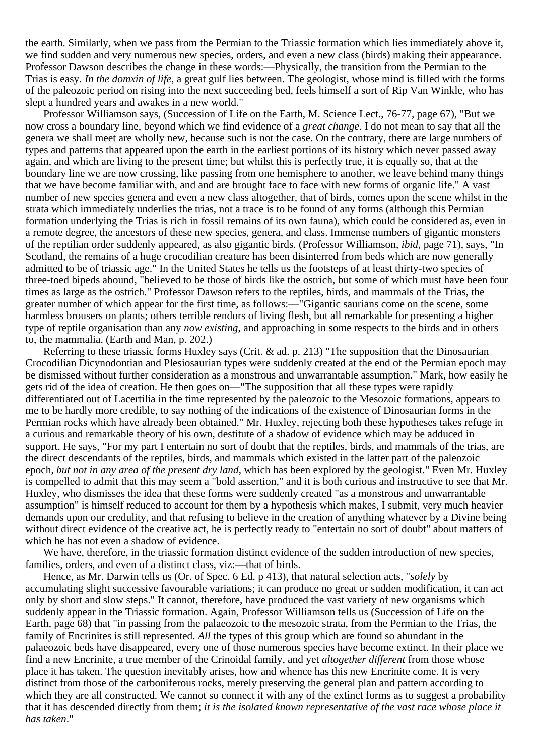the earth. Similarly, when we pass from the Permian to the Triassic formation which lies immediately above it, we find sudden and very numerous new species, orders, and even a new class (birds) making their appearance. Professor Dawson describes the change in these words:—Physically, the transition from the Permian to the Trias is easy. *In the domxin of life*, a great gulf lies between. The geologist, whose mind is filled with the forms of the paleozoic period on rising into the next succeeding bed, feels himself a sort of Rip Van Winkle, who has slept a hundred years and awakes in a new world."

Professor Williamson says, (Succession of Life on the Earth, M. Science Lect., 76-77, page 67), "But we now cross a boundary line, beyond which we find evidence of a *great change*. I do not mean to say that all the genera we shall meet are wholly new, because such is not the case. On the contrary, there are large numbers of types and patterns that appeared upon the earth in the earliest portions of its history which never passed away again, and which are living to the present time; but whilst this is perfectly true, it is equally so, that at the boundary line we are now crossing, like passing from one hemisphere to another, we leave behind many things that we have become familiar with, and and are brought face to face with new forms of organic life." A vast number of new species genera and even a new class altogether, that of birds, comes upon the scene whilst in the strata which immediately underlies the trias, not a trace is to be found of any forms (although this Permian formation underlying the Trias is rich in fossil remains of its own fauna), which could be considered as, even in a remote degree, the ancestors of these new species, genera, and class. Immense numbers of gigantic monsters of the reptilian order suddenly appeared, as also gigantic birds. (Professor Williamson, *ibid*, page 71), says, "In Scotland, the remains of a huge crocodilian creature has been disinterred from beds which are now generally admitted to be of triassic age." In the United States he tells us the footsteps of at least thirty-two species of three-toed bipeds abound, "believed to be those of birds like the ostrich, but some of which must have been four times as large as the ostrich." Professor Dawson refers to the reptiles, birds, and mammals of the Trias, the greater number of which appear for the first time, as follows:—"Gigantic saurians come on the scene, some harmless brousers on plants; others terrible rendors of living flesh, but all remarkable for presenting a higher type of reptile organisation than any *now existing*, and approaching in some respects to the birds and in others to, the mammalia. (Earth and Man, p. 202.)

Referring to these triassic forms Huxley says (Crit. & ad. p. 213) "The supposition that the Dinosaurian Crocodilian Dicynodontian and Plesiosaurian types were suddenly created at the end of the Permian epoch may be dismissed without further consideration as a monstrous and unwarrantable assumption." Mark, how easily he gets rid of the idea of creation. He then goes on—"The supposition that all these types were rapidly differentiated out of Lacertilia in the time represented by the paleozoic to the Mesozoic formations, appears to me to be hardly more credible, to say nothing of the indications of the existence of Dinosaurian forms in the Permian rocks which have already been obtained." Mr. Huxley, rejecting both these hypotheses takes refuge in a curious and remarkable theory of his own, destitute of a shadow of evidence which may be adduced in support. He says, "For my part I entertain no sort of doubt that the reptiles, birds, and mammals of the trias, are the direct descendants of the reptiles, birds, and mammals which existed in the latter part of the paleozoic epoch, *but not in any area of the present dry land*, which has been explored by the geologist." Even Mr. Huxley is compelled to admit that this may seem a "bold assertion," and it is both curious and instructive to see that Mr. Huxley, who dismisses the idea that these forms were suddenly created "as a monstrous and unwarrantable assumption" is himself reduced to account for them by a hypothesis which makes, I submit, very much heavier demands upon our credulity, and that refusing to believe in the creation of anything whatever by a Divine being without direct evidence of the creative act, he is perfectly ready to "entertain no sort of doubt" about matters of which he has not even a shadow of evidence.

We have, therefore, in the triassic formation distinct evidence of the sudden introduction of new species, families, orders, and even of a distinct class, viz:—that of birds.

Hence, as Mr. Darwin tells us (Or. of Spec. 6 Ed. p 413), that natural selection acts, "*solely* by accumulating slight successive favourable variations; it can produce no great or sudden modification, it can act only by short and slow steps." It cannot, therefore, have produced the vast variety of new organisms which suddenly appear in the Triassic formation. Again, Professor Williamson tells us (Succession of Life on the Earth, page 68) that "in passing from the palaeozoic to the mesozoic strata, from the Permian to the Trias, the family of Encrinites is still represented. *All* the types of this group which are found so abundant in the palaeozoic beds have disappeared, every one of those numerous species have become extinct. In their place we find a new Encrinite, a true member of the Crinoidal family, and yet *altogether different* from those whose place it has taken. The question inevitably arises, how and whence has this new Encrinite come. It is very distinct from those of the carboniferous rocks, merely preserving the general plan and pattern according to which they are all constructed. We cannot so connect it with any of the extinct forms as to suggest a probability that it has descended directly from them; *it is the isolated known representative of the vast race whose place it has taken*."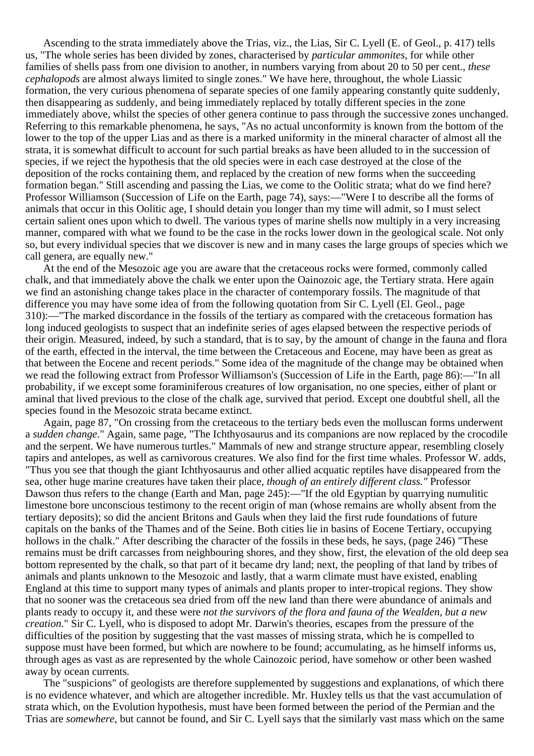Ascending to the strata immediately above the Trias, viz., the Lias, Sir C. Lyell (E. of Geol., p. 417) tells us, "The whole series has been divided by zones, characterised by *particular ammonites*, for while other families of shells pass from one division to another, in numbers varying from about 20 to 50 per cent., *these cephalopods* are almost always limited to single zones." We have here, throughout, the whole Liassic formation, the very curious phenomena of separate species of one family appearing constantly quite suddenly, then disappearing as suddenly, and being immediately replaced by totally different species in the zone immediately above, whilst the species of other genera continue to pass through the successive zones unchanged. Referring to this remarkable phenomena, he says, "As no actual unconformity is known from the bottom of the lower to the top of the upper Lias and as there is a marked uniformity in the mineral character of almost all the strata, it is somewhat difficult to account for such partial breaks as have been alluded to in the succession of species, if we reject the hypothesis that the old species were in each case destroyed at the close of the deposition of the rocks containing them, and replaced by the creation of new forms when the succeeding formation began." Still ascending and passing the Lias, we come to the Oolitic strata; what do we find here? Professor Williamson (Succession of Life on the Earth, page 74), says:—"Were I to describe all the forms of animals that occur in this Oolitic age, I should detain you longer than my time will admit, so I must select certain salient ones upon which to dwell. The various types of marine shells now multiply in a very increasing manner, compared with what we found to be the case in the rocks lower down in the geological scale. Not only so, but every individual species that we discover is new and in many cases the large groups of species which we call genera, are equally new."

At the end of the Mesozoic age you are aware that the cretaceous rocks were formed, commonly called chalk, and that immediately above the chalk we enter upon the Oainozoic age, the Tertiary strata. Here again we find an astonishing change takes place in the character of contemporary fossils. The magnitude of that difference you may have some idea of from the following quotation from Sir C. Lyell (El. Geol., page 310):—"The marked discordance in the fossils of the tertiary as compared with the cretaceous formation has long induced geologists to suspect that an indefinite series of ages elapsed between the respective periods of their origin. Measured, indeed, by such a standard, that is to say, by the amount of change in the fauna and flora of the earth, effected in the interval, the time between the Cretaceous and Eocene, may have been as great as that between the Eocene and recent periods." Some idea of the magnitude of the change may be obtained when we read the following extract from Professor Williamson's (Succession of Life in the Earth, page 86):—"In all probability, if we except some foraminiferous creatures of low organisation, no one species, either of plant or aminal that lived previous to the close of the chalk age, survived that period. Except one doubtful shell, all the species found in the Mesozoic strata became extinct.

Again, page 87, "On crossing from the cretaceous to the tertiary beds even the molluscan forms underwent a *sudden change*." Again, same page, "The Ichthyosaurus and its companions are now replaced by the crocodile and the serpent. We have numerous turtles." Mammals of new and strange structure appear, resembling closely tapirs and antelopes, as well as carnivorous creatures. We also find for the first time whales. Professor W. adds, "Thus you see that though the giant Ichthyosaurus and other allied acquatic reptiles have disappeared from the sea, other huge marine creatures have taken their place, *though of an entirely different class."* Professor Dawson thus refers to the change (Earth and Man, page 245):—"If the old Egyptian by quarrying numulitic limestone bore unconscious testimony to the recent origin of man (whose remains are wholly absent from the tertiary deposits); so did the ancient Britons and Gauls when they laid the first rude foundations of future capitals on the banks of the Thames and of the Seine. Both cities lie in basins of Eocene Tertiary, occupying hollows in the chalk." After describing the character of the fossils in these beds, he says, (page 246) "These remains must be drift carcasses from neighbouring shores, and they show, first, the elevation of the old deep sea bottom represented by the chalk, so that part of it became dry land; next, the peopling of that land by tribes of animals and plants unknown to the Mesozoic and lastly, that a warm climate must have existed, enabling England at this time to support many types of animals and plants proper to inter-tropical regions. They show that no sooner was the cretaceous sea dried from off the new land than there were abundance of animals and plants ready to occupy it, and these were *not the survivors of the flora and fauna of the Wealden, but a new creation*." Sir C. Lyell, who is disposed to adopt Mr. Darwin's theories, escapes from the pressure of the difficulties of the position by suggesting that the vast masses of missing strata, which he is compelled to suppose must have been formed, but which are nowhere to be found; accumulating, as he himself informs us, through ages as vast as are represented by the whole Cainozoic period, have somehow or other been washed away by ocean currents.

The "suspicions" of geologists are therefore supplemented by suggestions and explanations, of which there is no evidence whatever, and which are altogether incredible. Mr. Huxley tells us that the vast accumulation of strata which, on the Evolution hypothesis, must have been formed between the period of the Permian and the Trias are *somewhere*, but cannot be found, and Sir C. Lyell says that the similarly vast mass which on the same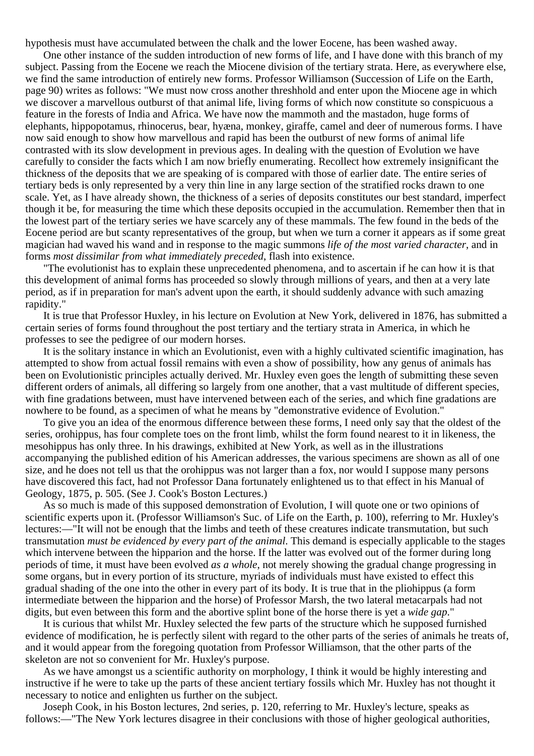hypothesis must have accumulated between the chalk and the lower Eocene, has been washed away.

One other instance of the sudden introduction of new forms of life, and I have done with this branch of my subject. Passing from the Eocene we reach the Miocene division of the tertiary strata. Here, as everywhere else, we find the same introduction of entirely new forms. Professor Williamson (Succession of Life on the Earth, page 90) writes as follows: "We must now cross another threshhold and enter upon the Miocene age in which we discover a marvellous outburst of that animal life, living forms of which now constitute so conspicuous a feature in the forests of India and Africa. We have now the mammoth and the mastadon, huge forms of elephants, hippopotamus, rhinocerus, bear, hyæna, monkey, giraffe, camel and deer of numerous forms. I have now said enough to show how marvellous and rapid has been the outburst of new forms of animal life contrasted with its slow development in previous ages. In dealing with the question of Evolution we have carefully to consider the facts which I am now briefly enumerating. Recollect how extremely insignificant the thickness of the deposits that we are speaking of is compared with those of earlier date. The entire series of tertiary beds is only represented by a very thin line in any large section of the stratified rocks drawn to one scale. Yet, as I have already shown, the thickness of a series of deposits constitutes our best standard, imperfect though it be, for measuring the time which these deposits occupied in the accumulation. Remember then that in the lowest part of the tertiary series we have scarcely any of these mammals. The few found in the beds of the Eocene period are but scanty representatives of the group, but when we turn a corner it appears as if some great magician had waved his wand and in response to the magic summons *life of the most varied character*, and in forms *most dissimilar from what immediately preceded*, flash into existence.

"The evolutionist has to explain these unprecedented phenomena, and to ascertain if he can how it is that this development of animal forms has proceeded so slowly through millions of years, and then at a very late period, as if in preparation for man's advent upon the earth, it should suddenly advance with such amazing rapidity."

It is true that Professor Huxley, in his lecture on Evolution at New York, delivered in 1876, has submitted a certain series of forms found throughout the post tertiary and the tertiary strata in America, in which he professes to see the pedigree of our modern horses.

It is the solitary instance in which an Evolutionist, even with a highly cultivated scientific imagination, has attempted to show from actual fossil remains with even a show of possibility, how any genus of animals has been on Evolutionistic principles actually derived. Mr. Huxley even goes the length of submitting these seven different orders of animals, all differing so largely from one another, that a vast multitude of different species, with fine gradations between, must have intervened between each of the series, and which fine gradations are nowhere to be found, as a specimen of what he means by "demonstrative evidence of Evolution."

To give you an idea of the enormous difference between these forms, I need only say that the oldest of the series, orohippus, has four complete toes on the front limb, whilst the form found nearest to it in likeness, the mesohippus has only three. In his drawings, exhibited at New York, as well as in the illustrations accompanying the published edition of his American addresses, the various specimens are shown as all of one size, and he does not tell us that the orohippus was not larger than a fox, nor would I suppose many persons have discovered this fact, had not Professor Dana fortunately enlightened us to that effect in his Manual of Geology, 1875, p. 505. (See J. Cook's Boston Lectures.)

As so much is made of this supposed demonstration of Evolution, I will quote one or two opinions of scientific experts upon it. (Professor Williamson's Suc. of Life on the Earth, p. 100), referring to Mr. Huxley's lectures:—"It will not be enough that the limbs and teeth of these creatures indicate transmutation, but such transmutation *must be evidenced by every part of the animal*. This demand is especially applicable to the stages which intervene between the hipparion and the horse. If the latter was evolved out of the former during long periods of time, it must have been evolved *as a whole*, not merely showing the gradual change progressing in some organs, but in every portion of its structure, myriads of individuals must have existed to effect this gradual shading of the one into the other in every part of its body. It is true that in the pliohippus (a form intermediate between the hipparion and the horse) of Professor Marsh, the two lateral metacarpals had not digits, but even between this form and the abortive splint bone of the horse there is yet a *wide gap*."

It is curious that whilst Mr. Huxley selected the few parts of the structure which he supposed furnished evidence of modification, he is perfectly silent with regard to the other parts of the series of animals he treats of, and it would appear from the foregoing quotation from Professor Williamson, that the other parts of the skeleton are not so convenient for Mr. Huxley's purpose.

As we have amongst us a scientific authority on morphology, I think it would be highly interesting and instructive if he were to take up the parts of these ancient tertiary fossils which Mr. Huxley has not thought it necessary to notice and enlighten us further on the subject.

Joseph Cook, in his Boston lectures, 2nd series, p. 120, referring to Mr. Huxley's lecture, speaks as follows:—"The New York lectures disagree in their conclusions with those of higher geological authorities,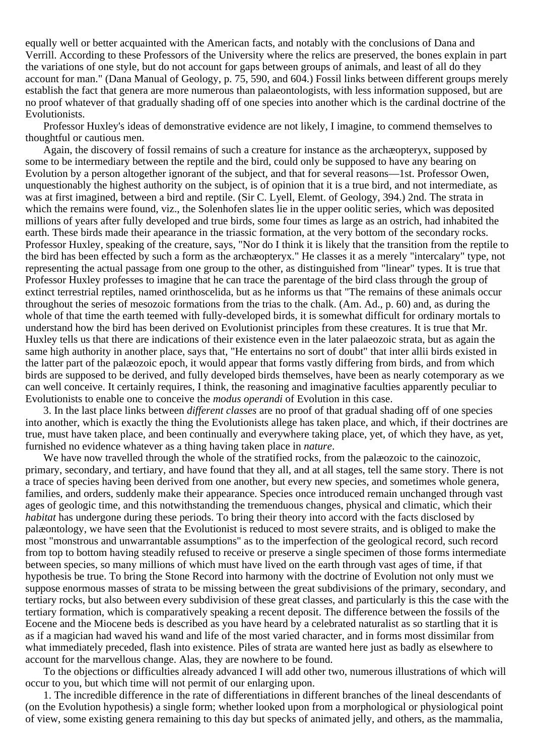equally well or better acquainted with the American facts, and notably with the conclusions of Dana and Verrill. According to these Professors of the University where the relics are preserved, the bones explain in part the variations of one style, but do not account for gaps between groups of animals, and least of all do they account for man." (Dana Manual of Geology, p. 75, 590, and 604.) Fossil links between different groups merely establish the fact that genera are more numerous than palaeontologists, with less information supposed, but are no proof whatever of that gradually shading off of one species into another which is the cardinal doctrine of the Evolutionists.

Professor Huxley's ideas of demonstrative evidence are not likely, I imagine, to commend themselves to thoughtful or cautious men.

Again, the discovery of fossil remains of such a creature for instance as the archæopteryx, supposed by some to be intermediary between the reptile and the bird, could only be supposed to have any bearing on Evolution by a person altogether ignorant of the subject, and that for several reasons—1st. Professor Owen, unquestionably the highest authority on the subject, is of opinion that it is a true bird, and not intermediate, as was at first imagined, between a bird and reptile. (Sir C. Lyell, Elemt. of Geology, 394.) 2nd. The strata in which the remains were found, viz., the Solenhofen slates lie in the upper oolitic series, which was deposited millions of years after fully developed and true birds, some four times as large as an ostrich, had inhabited the earth. These birds made their apearance in the triassic formation, at the very bottom of the secondary rocks. Professor Huxley, speaking of the creature, says, "Nor do I think it is likely that the transition from the reptile to the bird has been effected by such a form as the archæopteryx." He classes it as a merely "intercalary" type, not representing the actual passage from one group to the other, as distinguished from "linear" types. It is true that Professor Huxley professes to imagine that he can trace the parentage of the bird class through the group of extinct terrestrial reptiles, named orinthoscelida, but as he informs us that "The remains of these animals occur throughout the series of mesozoic formations from the trias to the chalk. (Am. Ad., p. 60) and, as during the whole of that time the earth teemed with fully-developed birds, it is somewhat difficult for ordinary mortals to understand how the bird has been derived on Evolutionist principles from these creatures. It is true that Mr. Huxley tells us that there are indications of their existence even in the later palaeozoic strata, but as again the same high authority in another place, says that, "He entertains no sort of doubt" that inter allii birds existed in the latter part of the palæozoic epoch, it would appear that forms vastly differing from birds, and from which birds are supposed to be derived, and fully developed birds themselves, have been as nearly cotemporary as we can well conceive. It certainly requires, I think, the reasoning and imaginative faculties apparently peculiar to Evolutionists to enable one to conceive the *modus operandi* of Evolution in this case.

3. In the last place links between *different classes* are no proof of that gradual shading off of one species into another, which is exactly the thing the Evolutionists allege has taken place, and which, if their doctrines are true, must have taken place, and been continually and everywhere taking place, yet, of which they have, as yet, furnished no evidence whatever as a thing having taken place in *nature*.

We have now travelled through the whole of the stratified rocks, from the palæozoic to the cainozoic, primary, secondary, and tertiary, and have found that they all, and at all stages, tell the same story. There is not a trace of species having been derived from one another, but every new species, and sometimes whole genera, families, and orders, suddenly make their appearance. Species once introduced remain unchanged through vast ages of geologic time, and this notwithstanding the tremenduous changes, physical and climatic, which their *habitat* has undergone during these periods. To bring their theory into accord with the facts disclosed by palæontology, we have seen that the Evolutionist is reduced to most severe straits, and is obliged to make the most "monstrous and unwarrantable assumptions" as to the imperfection of the geological record, such record from top to bottom having steadily refused to receive or preserve a single specimen of those forms intermediate between species, so many millions of which must have lived on the earth through vast ages of time, if that hypothesis be true. To bring the Stone Record into harmony with the doctrine of Evolution not only must we suppose enormous masses of strata to be missing between the great subdivisions of the primary, secondary, and tertiary rocks, but also between every subdivision of these great classes, and particularly is this the case with the tertiary formation, which is comparatively speaking a recent deposit. The difference between the fossils of the Eocene and the Miocene beds is described as you have heard by a celebrated naturalist as so startling that it is as if a magician had waved his wand and life of the most varied character, and in forms most dissimilar from what immediately preceded, flash into existence. Piles of strata are wanted here just as badly as elsewhere to account for the marvellous change. Alas, they are nowhere to be found.

To the objections or difficulties already advanced I will add other two, numerous illustrations of which will occur to you, but which time will not permit of our enlarging upon.

1. The incredible difference in the rate of differentiations in different branches of the lineal descendants of (on the Evolution hypothesis) a single form; whether looked upon from a morphological or physiological point of view, some existing genera remaining to this day but specks of animated jelly, and others, as the mammalia,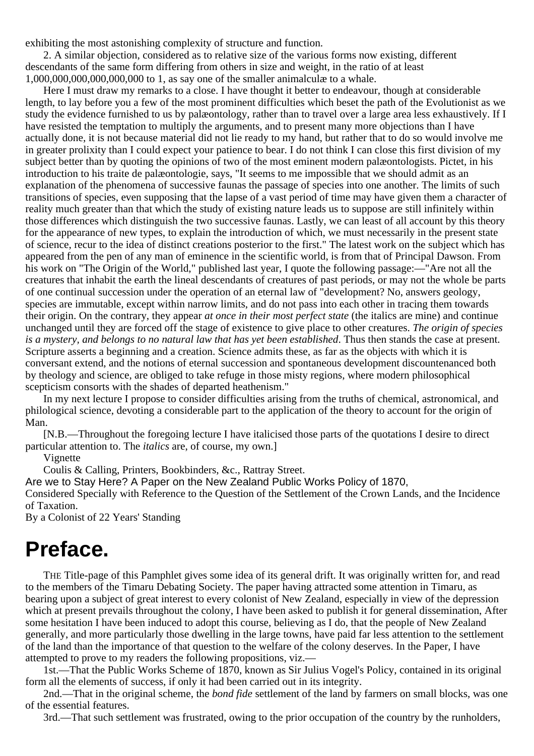exhibiting the most astonishing complexity of structure and function.

2. A similar objection, considered as to relative size of the various forms now existing, different descendants of the same form differing from others in size and weight, in the ratio of at least 1,000,000,000,000,000,000 to 1, as say one of the smaller animalculæ to a whale.

Here I must draw my remarks to a close. I have thought it better to endeavour, though at considerable length, to lay before you a few of the most prominent difficulties which beset the path of the Evolutionist as we study the evidence furnished to us by palæontology, rather than to travel over a large area less exhaustively. If I have resisted the temptation to multiply the arguments, and to present many more objections than I have actually done, it is not because material did not lie ready to my hand, but rather that to do so would involve me in greater prolixity than I could expect your patience to bear. I do not think I can close this first division of my subject better than by quoting the opinions of two of the most eminent modern palæontologists. Pictet, in his introduction to his traite de palæontologie, says, "It seems to me impossible that we should admit as an explanation of the phenomena of successive faunas the passage of species into one another. The limits of such transitions of species, even supposing that the lapse of a vast period of time may have given them a character of reality much greater than that which the study of existing nature leads us to suppose are still infinitely within those differences which distinguish the two successive faunas. Lastly, we can least of all account by this theory for the appearance of new types, to explain the introduction of which, we must necessarily in the present state of science, recur to the idea of distinct creations posterior to the first." The latest work on the subject which has appeared from the pen of any man of eminence in the scientific world, is from that of Principal Dawson. From his work on "The Origin of the World," published last year, I quote the following passage:—"Are not all the creatures that inhabit the earth the lineal descendants of creatures of past periods, or may not the whole be parts of one continual succession under the operation of an eternal law of "development? No, answers geology, species are immutable, except within narrow limits, and do not pass into each other in tracing them towards their origin. On the contrary, they appear *at once in their most perfect state* (the italics are mine) and continue unchanged until they are forced off the stage of existence to give place to other creatures. *The origin of species is a mystery, and belongs to no natural law that has yet been established*. Thus then stands the case at present. Scripture asserts a beginning and a creation. Science admits these, as far as the objects with which it is conversant extend, and the notions of eternal succession and spontaneous development discountenanced both by theology and science, are obliged to take refuge in those misty regions, where modern philosophical scepticism consorts with the shades of departed heathenism."

In my next lecture I propose to consider difficulties arising from the truths of chemical, astronomical, and philological science, devoting a considerable part to the application of the theory to account for the origin of Man.

[N.B.—Throughout the foregoing lecture I have italicised those parts of the quotations I desire to direct particular attention to. The *italics* are, of course, my own.]

Vignette

Coulis & Calling, Printers, Bookbinders, &c., Rattray Street.

Are we to Stay Here? A Paper on the New Zealand Public Works Policy of 1870,

Considered Specially with Reference to the Question of the Settlement of the Crown Lands, and the Incidence of Taxation.

By a Colonist of 22 Years' Standing

## **Preface.**

THE Title-page of this Pamphlet gives some idea of its general drift. It was originally written for, and read to the members of the Timaru Debating Society. The paper having attracted some attention in Timaru, as bearing upon a subject of great interest to every colonist of New Zealand, especially in view of the depression which at present prevails throughout the colony, I have been asked to publish it for general dissemination, After some hesitation I have been induced to adopt this course, believing as I do, that the people of New Zealand generally, and more particularly those dwelling in the large towns, have paid far less attention to the settlement of the land than the importance of that question to the welfare of the colony deserves. In the Paper, I have attempted to prove to my readers the following propositions, viz.—

1st.—That the Public Works Scheme of 1870, known as Sir Julius Vogel's Policy, contained in its original form all the elements of success, if only it had been carried out in its integrity.

2nd.—That in the original scheme, the *bond fide* settlement of the land by farmers on small blocks, was one of the essential features.

3rd.—That such settlement was frustrated, owing to the prior occupation of the country by the runholders,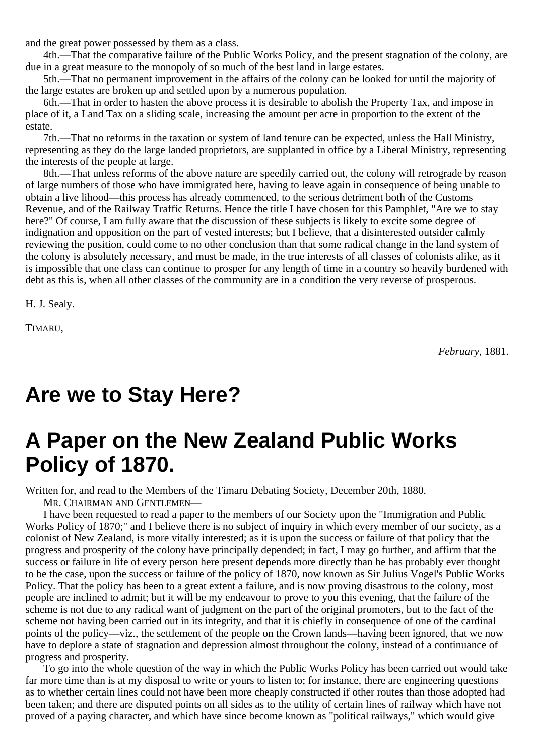and the great power possessed by them as a class.

4th.—That the comparative failure of the Public Works Policy, and the present stagnation of the colony, are due in a great measure to the monopoly of so much of the best land in large estates.

5th.—That no permanent improvement in the affairs of the colony can be looked for until the majority of the large estates are broken up and settled upon by a numerous population.

6th.—That in order to hasten the above process it is desirable to abolish the Property Tax, and impose in place of it, a Land Tax on a sliding scale, increasing the amount per acre in proportion to the extent of the estate.

7th.—That no reforms in the taxation or system of land tenure can be expected, unless the Hall Ministry, representing as they do the large landed proprietors, are supplanted in office by a Liberal Ministry, representing the interests of the people at large.

8th.—That unless reforms of the above nature are speedily carried out, the colony will retrograde by reason of large numbers of those who have immigrated here, having to leave again in consequence of being unable to obtain a live lihood—this process has already commenced, to the serious detriment both of the Customs Revenue, and of the Railway Traffic Returns. Hence the title I have chosen for this Pamphlet, "Are we to stay here?" Of course, I am fully aware that the discussion of these subjects is likely to excite some degree of indignation and opposition on the part of vested interests; but I believe, that a disinterested outsider calmly reviewing the position, could come to no other conclusion than that some radical change in the land system of the colony is absolutely necessary, and must be made, in the true interests of all classes of colonists alike, as it is impossible that one class can continue to prosper for any length of time in a country so heavily burdened with debt as this is, when all other classes of the community are in a condition the very reverse of prosperous.

H. J. Sealy.

TIMARU,

*February*, 1881.

## **Are we to Stay Here?**

## **A Paper on the New Zealand Public Works Policy of 1870.**

Written for, and read to the Members of the Timaru Debating Society, December 20th, 1880.

MR. CHAIRMAN AND GENTLEMEN—

I have been requested to read a paper to the members of our Society upon the "Immigration and Public Works Policy of 1870;" and I believe there is no subject of inquiry in which every member of our society, as a colonist of New Zealand, is more vitally interested; as it is upon the success or failure of that policy that the progress and prosperity of the colony have principally depended; in fact, I may go further, and affirm that the success or failure in life of every person here present depends more directly than he has probably ever thought to be the case, upon the success or failure of the policy of 1870, now known as Sir Julius Vogel's Public Works Policy. That the policy has been to a great extent a failure, and is now proving disastrous to the colony, most people are inclined to admit; but it will be my endeavour to prove to you this evening, that the failure of the scheme is not due to any radical want of judgment on the part of the original promoters, but to the fact of the scheme not having been carried out in its integrity, and that it is chiefly in consequence of one of the cardinal points of the policy—viz., the settlement of the people on the Crown lands—having been ignored, that we now have to deplore a state of stagnation and depression almost throughout the colony, instead of a continuance of progress and prosperity.

To go into the whole question of the way in which the Public Works Policy has been carried out would take far more time than is at my disposal to write or yours to listen to; for instance, there are engineering questions as to whether certain lines could not have been more cheaply constructed if other routes than those adopted had been taken; and there are disputed points on all sides as to the utility of certain lines of railway which have not proved of a paying character, and which have since become known as "political railways," which would give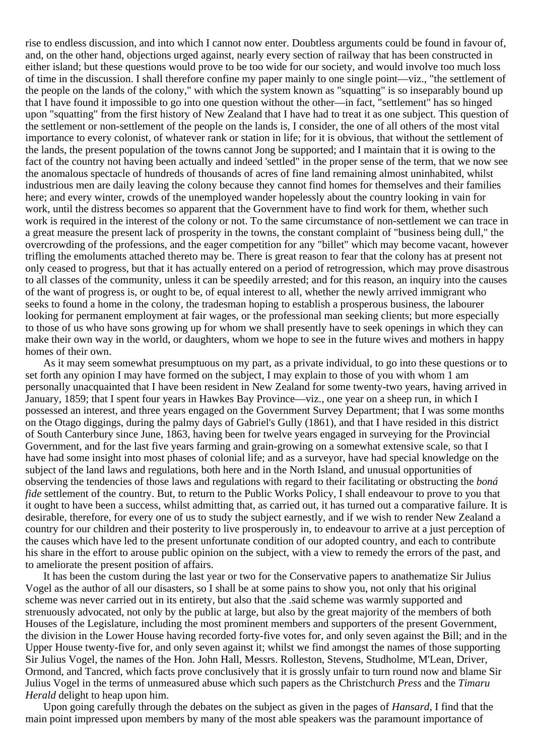rise to endless discussion, and into which I cannot now enter. Doubtless arguments could be found in favour of, and, on the other hand, objections urged against, nearly every section of railway that has been constructed in either island; but these questions would prove to be too wide for our society, and would involve too much loss of time in the discussion. I shall therefore confine my paper mainly to one single point—viz., "the settlement of the people on the lands of the colony," with which the system known as "squatting" is so inseparably bound up that I have found it impossible to go into one question without the other—in fact, "settlement" has so hinged upon "squatting" from the first history of New Zealand that I have had to treat it as one subject. This question of the settlement or non-settlement of the people on the lands is, I consider, the one of all others of the most vital importance to every colonist, of whatever rank or station in life; for it is obvious, that without the settlement of the lands, the present population of the towns cannot Jong be supported; and I maintain that it is owing to the fact of the country not having been actually and indeed 'settled" in the proper sense of the term, that we now see the anomalous spectacle of hundreds of thousands of acres of fine land remaining almost uninhabited, whilst industrious men are daily leaving the colony because they cannot find homes for themselves and their families here; and every winter, crowds of the unemployed wander hopelessly about the country looking in vain for work, until the distress becomes so apparent that the Government have to find work for them, whether such work is required in the interest of the colony or not. To the same circumstance of non-settlement we can trace in a great measure the present lack of prosperity in the towns, the constant complaint of "business being dull," the overcrowding of the professions, and the eager competition for any "billet" which may become vacant, however trifling the emoluments attached thereto may be. There is great reason to fear that the colony has at present not only ceased to progress, but that it has actually entered on a period of retrogression, which may prove disastrous to all classes of the community, unless it can be speedily arrested; and for this reason, an inquiry into the causes of the want of progress is, or ought to be, of equal interest to all, whether the newly arrived immigrant who seeks to found a home in the colony, the tradesman hoping to establish a prosperous business, the labourer looking for permanent employment at fair wages, or the professional man seeking clients; but more especially to those of us who have sons growing up for whom we shall presently have to seek openings in which they can make their own way in the world, or daughters, whom we hope to see in the future wives and mothers in happy homes of their own.

As it may seem somewhat presumptuous on my part, as a private individual, to go into these questions or to set forth any opinion I may have formed on the subject, I may explain to those of you with whom 1 am personally unacquainted that I have been resident in New Zealand for some twenty-two years, having arrived in January, 1859; that I spent four years in Hawkes Bay Province—viz., one year on a sheep run, in which I possessed an interest, and three years engaged on the Government Survey Department; that I was some months on the Otago diggings, during the palmy days of Gabriel's Gully (1861), and that I have resided in this district of South Canterbury since June, 1863, having been for twelve years engaged in surveying for the Provincial Government, and for the last five years farming and grain-growing on a somewhat extensive scale, so that I have had some insight into most phases of colonial life; and as a surveyor, have had special knowledge on the subject of the land laws and regulations, both here and in the North Island, and unusual opportunities of observing the tendencies of those laws and regulations with regard to their facilitating or obstructing the *boná fide* settlement of the country. But, to return to the Public Works Policy, I shall endeavour to prove to you that it ought to have been a success, whilst admitting that, as carried out, it has turned out a comparative failure. It is desirable, therefore, for every one of us to study the subject earnestly, and if we wish to render New Zealand a country for our children and their posterity to live prosperously in, to endeavour to arrive at a just perception of the causes which have led to the present unfortunate condition of our adopted country, and each to contribute his share in the effort to arouse public opinion on the subject, with a view to remedy the errors of the past, and to ameliorate the present position of affairs.

It has been the custom during the last year or two for the Conservative papers to anathematize Sir Julius Vogel as the author of all our disasters, so I shall be at some pains to show you, not only that his original scheme was never carried out in its entirety, but also that the .said scheme was warmly supported and strenuously advocated, not only by the public at large, but also by the great majority of the members of both Houses of the Legislature, including the most prominent members and supporters of the present Government, the division in the Lower House having recorded forty-five votes for, and only seven against the Bill; and in the Upper House twenty-five for, and only seven against it; whilst we find amongst the names of those supporting Sir Julius Vogel, the names of the Hon. John Hall, Messrs. Rolleston, Stevens, Studholme, M'Lean, Driver, Ormond, and Tancred, which facts prove conclusively that it is grossly unfair to turn round now and blame Sir Julius Vogel in the terms of unmeasured abuse which such papers as the Christchurch *Press* and the *Timaru Herald* delight to heap upon him.

Upon going carefully through the debates on the subject as given in the pages of *Hansard*, I find that the main point impressed upon members by many of the most able speakers was the paramount importance of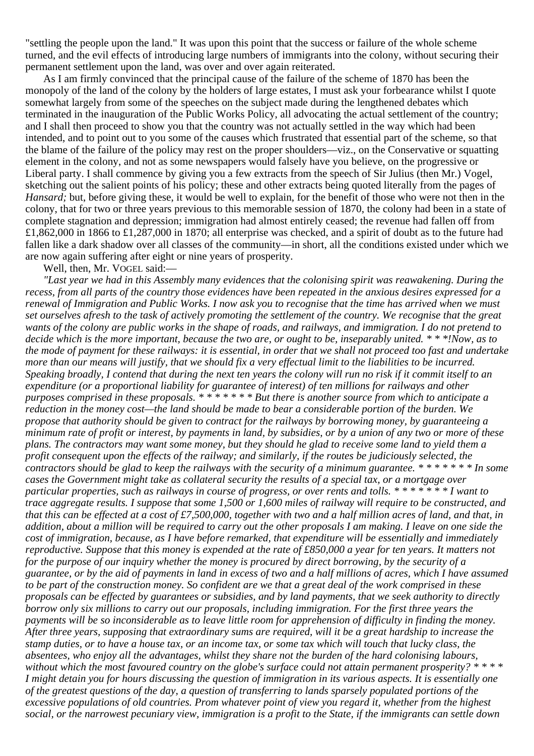"settling the people upon the land." It was upon this point that the success or failure of the whole scheme turned, and the evil effects of introducing large numbers of immigrants into the colony, without securing their permanent settlement upon the land, was over and over again reiterated.

As I am firmly convinced that the principal cause of the failure of the scheme of 1870 has been the monopoly of the land of the colony by the holders of large estates, I must ask your forbearance whilst I quote somewhat largely from some of the speeches on the subject made during the lengthened debates which terminated in the inauguration of the Public Works Policy, all advocating the actual settlement of the country; and I shall then proceed to show you that the country was not actually settled in the way which had been intended, and to point out to you some of the causes which frustrated that essential part of the scheme, so that the blame of the failure of the policy may rest on the proper shoulders—viz., on the Conservative or squatting element in the colony, and not as some newspapers would falsely have you believe, on the progressive or Liberal party. I shall commence by giving you a few extracts from the speech of Sir Julius (then Mr.) Vogel, sketching out the salient points of his policy; these and other extracts being quoted literally from the pages of *Hansard;* but, before giving these, it would be well to explain, for the benefit of those who were not then in the colony, that for two or three years previous to this memorable session of 1870, the colony had been in a state of complete stagnation and depression; immigration had almost entirely ceased; the revenue had fallen off from £1,862,000 in 1866 to £1,287,000 in 1870; all enterprise was checked, and a spirit of doubt as to the future had fallen like a dark shadow over all classes of the community—in short, all the conditions existed under which we are now again suffering after eight or nine years of prosperity.

Well, then, Mr. VOGEL said:—

*"Last year we had in this Assembly many evidences that the colonising spirit was reawakening. During the recess, from all parts of the country those evidences have been repeated in the anxious desires expressed for a renewal of Immigration and Public Works. I now ask you to recognise that the time has arrived when we must set ourselves afresh to the task of actively promoting the settlement of the country. We recognise that the great wants of the colony are public works in the shape of roads, and railways, and immigration. I do not pretend to decide which is the more important, because the two are, or ought to be, inseparably united. \* \* \*!Now, as to the mode of payment for these railways: it is essential, in order that we shall not proceed too fast and undertake more than our means will justify, that we should fix a very effectual limit to the liabilities to be incurred. Speaking broadly, I contend that during the next ten years the colony will run no risk if it commit itself to an expenditure (or a proportional liability for guarantee of interest) of ten millions for railways and other purposes comprised in these proposals. \* \* \* \* \* \* \* But there is another source from which to anticipate a reduction in the money cost—the land should be made to bear a considerable portion of the burden. We propose that authority should be given to contract for the railways by borrowing money, by guaranteeing a minimum rate of profit or interest, by payments in land, by subsidies, or by a union of any two or more of these plans. The contractors may want some money, but they should he glad to receive some land to yield them a profit consequent upon the effects of the railway; and similarly, if the routes be judiciously selected, the contractors should be glad to keep the railways with the security of a minimum guarantee. \* \* \* \* \* \* \* In some cases the Government might take as collateral security the results of a special tax, or a mortgage over particular properties, such as railways in course of progress, or over rents and tolls. \* \* \* \* \* \* \* I want to trace aggregate results. I suppose that some 1,500 or 1,600 miles of railway will require to be constructed, and that this can be effected at a cost of £7,500,000, together with two and a half million acres of land, and that, in addition, about a million will be required to carry out the other proposals I am making. I leave on one side the cost of immigration, because, as I have before remarked, that expenditure will be essentially and immediately reproductive. Suppose that this money is expended at the rate of £850,000 a year for ten years. It matters not for the purpose of our inquiry whether the money is procured by direct borrowing, by the security of a guarantee, or by the aid of payments in land in excess of two and a half millions of acres, which I have assumed to be part of the construction money. So confident are we that a great deal of the work comprised in these proposals can be effected by guarantees or subsidies, and by land payments, that we seek authority to directly borrow only six millions to carry out our proposals, including immigration. For the first three years the payments will be so inconsiderable as to leave little room for apprehension of difficulty in finding the money. After three years, supposing that extraordinary sums are required, will it be a great hardship to increase the stamp duties, or to have a house tax, or an income tax, or some tax which will touch that lucky class, the absentees, who enjoy all the advantages, whilst they share not the burden of the hard colonising labours, without which the most favoured country on the globe's surface could not attain permanent prosperity? \* \* \* \* I might detain you for hours discussing the question of immigration in its various aspects. It is essentially one of the greatest questions of the day, a question of transferring to lands sparsely populated portions of the excessive populations of old countries. Prom whatever point of view you regard it, whether from the highest social, or the narrowest pecuniary view, immigration is a profit to the State, if the immigrants can settle down*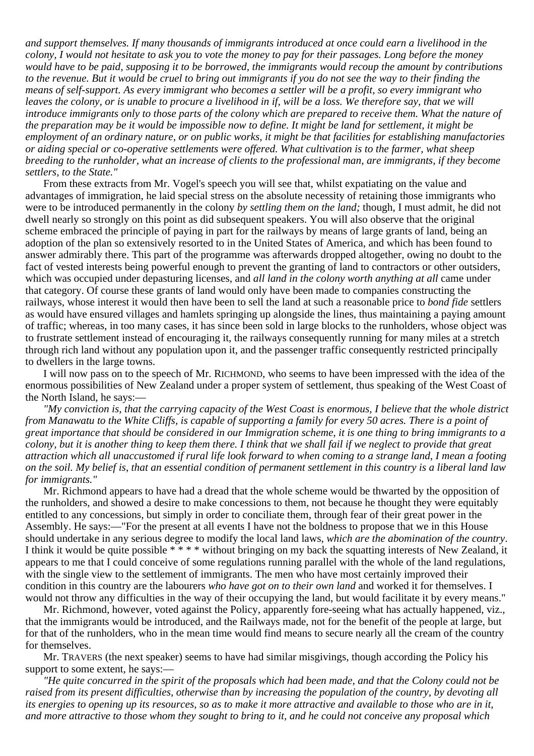*and support themselves. If many thousands of immigrants introduced at once could earn a livelihood in the colony, I would not hesitate to ask you to vote the money to pay for their passages. Long before the money would have to be paid, supposing it to be borrowed, the immigrants would recoup the amount by contributions to the revenue. But it would be cruel to bring out immigrants if you do not see the way to their finding the means of self-support. As every immigrant who becomes a settler will be a profit, so every immigrant who leaves the colony, or is unable to procure a livelihood in if, will be a loss. We therefore say, that we will introduce immigrants only to those parts of the colony which are prepared to receive them. What the nature of the preparation may be it would be impossible now to define. It might be land for settlement, it might be employment of an ordinary nature, or on public works, it might be that facilities for establishing manufactories or aiding special or co-operative settlements were offered. What cultivation is to the farmer, what sheep breeding to the runholder, what an increase of clients to the professional man, are immigrants, if they become settlers, to the State."*

From these extracts from Mr. Vogel's speech you will see that, whilst expatiating on the value and advantages of immigration, he laid special stress on the absolute necessity of retaining those immigrants who were to be introduced permanently in the colony *by settling them on the land;* though, I must admit, he did not dwell nearly so strongly on this point as did subsequent speakers. You will also observe that the original scheme embraced the principle of paying in part for the railways by means of large grants of land, being an adoption of the plan so extensively resorted to in the United States of America, and which has been found to answer admirably there. This part of the programme was afterwards dropped altogether, owing no doubt to the fact of vested interests being powerful enough to prevent the granting of land to contractors or other outsiders, which was occupied under depasturing licenses, and *all land in the colony worth anything at all* came under that category. Of course these grants of land would only have been made to companies constructing the railways, whose interest it would then have been to sell the land at such a reasonable price to *bond fide* settlers as would have ensured villages and hamlets springing up alongside the lines, thus maintaining a paying amount of traffic; whereas, in too many cases, it has since been sold in large blocks to the runholders, whose object was to frustrate settlement instead of encouraging it, the railways consequently running for many miles at a stretch through rich land without any population upon it, and the passenger traffic consequently restricted principally to dwellers in the large towns.

I will now pass on to the speech of Mr. RICHMOND, who seems to have been impressed with the idea of the enormous possibilities of New Zealand under a proper system of settlement, thus speaking of the West Coast of the North Island, he says:—

*"My conviction is, that the carrying capacity of the West Coast is enormous, I believe that the whole district from Manawatu to the White Cliffs, is capable of supporting a family for every 50 acres. There is a point of great importance that should be considered in our Immigration scheme, it is one thing to bring immigrants to a colony, but it is another thing to keep them there. I think that we shall fail if we neglect to provide that great attraction which all unaccustomed if rural life look forward to when coming to a strange land, I mean a footing on the soil. My belief is, that an essential condition of permanent settlement in this country is a liberal land law for immigrants."*

Mr. Richmond appears to have had a dread that the whole scheme would be thwarted by the opposition of the runholders, and showed a desire to make concessions to them, not because he thought they were equitably entitled to any concessions, but simply in order to conciliate them, through fear of their great power in the Assembly. He says:—"For the present at all events I have not the boldness to propose that we in this House should undertake in any serious degree to modify the local land laws, *which are the abomination of the country*. I think it would be quite possible \* \* \* \* without bringing on my back the squatting interests of New Zealand, it appears to me that I could conceive of some regulations running parallel with the whole of the land regulations, with the single view to the settlement of immigrants. The men who have most certainly improved their condition in this country are the labourers *who have got on to their own land* and worked it for themselves. I would not throw any difficulties in the way of their occupying the land, but would facilitate it by every means."

Mr. Richmond, however, voted against the Policy, apparently fore-seeing what has actually happened, viz., that the immigrants would be introduced, and the Railways made, not for the benefit of the people at large, but for that of the runholders, who in the mean time would find means to secure nearly all the cream of the country for themselves.

Mr. TRAVERS (the next speaker) seems to have had similar misgivings, though according the Policy his support to some extent, he says:—

*"He quite concurred in the spirit of the proposals which had been made, and that the Colony could not be raised from its present difficulties, otherwise than by increasing the population of the country, by devoting all its energies to opening up its resources, so as to make it more attractive and available to those who are in it, and more attractive to those whom they sought to bring to it, and he could not conceive any proposal which*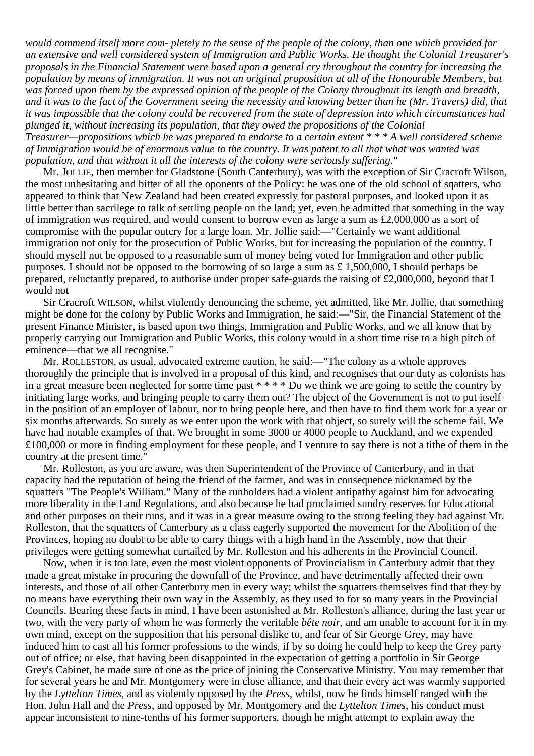*would commend itself more com- pletely to the sense of the people of the colony, than one which provided for an extensive and well considered system of Immigration and Public Works. He thought the Colonial Treasurer's proposals in the Financial Statement were based upon a general cry throughout the country for increasing the population by means of immigration. It was not an original proposition at all of the Honourable Members, but was forced upon them by the expressed opinion of the people of the Colony throughout its length and breadth, and it was to the fact of the Government seeing the necessity and knowing better than he (Mr. Travers) did, that it was impossible that the colony could be recovered from the state of depression into which circumstances had plunged it, without increasing its population, that they owed the propositions of the Colonial Treasurer—propositions which he was prepared to endorse to a certain extent \* \* \* A well considered scheme of Immigration would be of enormous value to the country. It was patent to all that what was wanted was population, and that without it all the interests of the colony were seriously suffering."*

Mr. JOLLIE, then member for Gladstone (South Canterbury), was with the exception of Sir Cracroft Wilson, the most unhesitating and bitter of all the oponents of the Policy: he was one of the old school of sqatters, who appeared to think that New Zealand had been created expressly for pastoral purposes, and looked upon it as little better than sacrilege to talk of settling people on the land; yet, even he admitted that something in the way of immigration was required, and would consent to borrow even as large a sum as  $\text{\pounds}2,000,000$  as a sort of compromise with the popular outcry for a large loan. Mr. Jollie said:—"Certainly we want additional immigration not only for the prosecution of Public Works, but for increasing the population of the country. I should myself not be opposed to a reasonable sum of money being voted for Immigration and other public purposes. I should not be opposed to the borrowing of so large a sum as £ 1,500,000, I should perhaps be prepared, reluctantly prepared, to authorise under proper safe-guards the raising of £2,000,000, beyond that I would not

Sir Cracroft WILSON, whilst violently denouncing the scheme, yet admitted, like Mr. Jollie, that something might be done for the colony by Public Works and Immigration, he said:—"Sir, the Financial Statement of the present Finance Minister, is based upon two things, Immigration and Public Works, and we all know that by properly carrying out Immigration and Public Works, this colony would in a short time rise to a high pitch of eminence—that we all recognise."

Mr. ROLLESTON, as usual, advocated extreme caution, he said:—"The colony as a whole approves thoroughly the principle that is involved in a proposal of this kind, and recognises that our duty as colonists has in a great measure been neglected for some time past \* \* \* \* Do we think we are going to settle the country by initiating large works, and bringing people to carry them out? The object of the Government is not to put itself in the position of an employer of labour, nor to bring people here, and then have to find them work for a year or six months afterwards. So surely as we enter upon the work with that object, so surely will the scheme fail. We have had notable examples of that. We brought in some 3000 or 4000 people to Auckland, and we expended £100,000 or more in finding employment for these people, and I venture to say there is not a tithe of them in the country at the present time."

Mr. Rolleston, as you are aware, was then Superintendent of the Province of Canterbury, and in that capacity had the reputation of being the friend of the farmer, and was in consequence nicknamed by the squatters "The People's William." Many of the runholders had a violent antipathy against him for advocating more liberality in the Land Regulations, and also because he had proclaimed sundry reserves for Educational and other purposes on their runs, and it was in a great measure owing to the strong feeling they had against Mr. Rolleston, that the squatters of Canterbury as a class eagerly supported the movement for the Abolition of the Provinces, hoping no doubt to be able to carry things with a high hand in the Assembly, now that their privileges were getting somewhat curtailed by Mr. Rolleston and his adherents in the Provincial Council.

Now, when it is too late, even the most violent opponents of Provincialism in Canterbury admit that they made a great mistake in procuring the downfall of the Province, and have detrimentally affected their own interests, and those of all other Canterbury men in every way; whilst the squatters themselves find that they by no means have everything their own way in the Assembly, as they used to for so many years in the Provincial Councils. Bearing these facts in mind, I have been astonished at Mr. Rolleston's alliance, during the last year or two, with the very party of whom he was formerly the veritable *bête noir*, and am unable to account for it in my own mind, except on the supposition that his personal dislike to, and fear of Sir George Grey, may have induced him to cast all his former professions to the winds, if by so doing he could help to keep the Grey party out of office; or else, that having been disappointed in the expectation of getting a portfolio in Sir George Grey's Cabinet, he made sure of one as the price of joining the Conservative Ministry. You may remember that for several years he and Mr. Montgomery were in close alliance, and that their every act was warmly supported by the *Lyttelton Times*, and as violently opposed by the *Press*, whilst, now he finds himself ranged with the Hon. John Hall and the *Press*, and opposed by Mr. Montgomery and the *Lyttelton Times*, his conduct must appear inconsistent to nine-tenths of his former supporters, though he might attempt to explain away the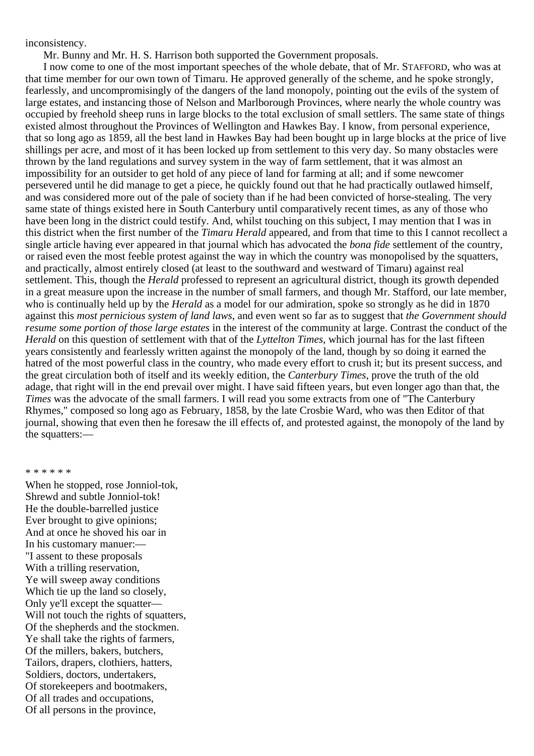inconsistency.

Mr. Bunny and Mr. H. S. Harrison both supported the Government proposals.

I now come to one of the most important speeches of the whole debate, that of Mr. STAFFORD, who was at that time member for our own town of Timaru. He approved generally of the scheme, and he spoke strongly, fearlessly, and uncompromisingly of the dangers of the land monopoly, pointing out the evils of the system of large estates, and instancing those of Nelson and Marlborough Provinces, where nearly the whole country was occupied by freehold sheep runs in large blocks to the total exclusion of small settlers. The same state of things existed almost throughout the Provinces of Wellington and Hawkes Bay. I know, from personal experience, that so long ago as 1859, all the best land in Hawkes Bay had been bought up in large blocks at the price of live shillings per acre, and most of it has been locked up from settlement to this very day. So many obstacles were thrown by the land regulations and survey system in the way of farm settlement, that it was almost an impossibility for an outsider to get hold of any piece of land for farming at all; and if some newcomer persevered until he did manage to get a piece, he quickly found out that he had practically outlawed himself, and was considered more out of the pale of society than if he had been convicted of horse-stealing. The very same state of things existed here in South Canterbury until comparatively recent times, as any of those who have been long in the district could testify. And, whilst touching on this subject, I may mention that I was in this district when the first number of the *Timaru Herald* appeared, and from that time to this I cannot recollect a single article having ever appeared in that journal which has advocated the *bona fide* settlement of the country, or raised even the most feeble protest against the way in which the country was monopolised by the squatters, and practically, almost entirely closed (at least to the southward and westward of Timaru) against real settlement. This, though the *Herald* professed to represent an agricultural district, though its growth depended in a great measure upon the increase in the number of small farmers, and though Mr. Stafford, our late member, who is continually held up by the *Herald* as a model for our admiration, spoke so strongly as he did in 1870 against this *most pernicious system of land laws*, and even went so far as to suggest that *the Government should resume some portion of those large estates* in the interest of the community at large. Contrast the conduct of the *Herald* on this question of settlement with that of the *Lyttelton Times*, which journal has for the last fifteen years consistently and fearlessly written against the monopoly of the land, though by so doing it earned the hatred of the most powerful class in the country, who made every effort to crush it; but its present success, and the great circulation both of itself and its weekly edition, the *Canterbury Times*, prove the truth of the old adage, that right will in the end prevail over might. I have said fifteen years, but even longer ago than that, the *Times* was the advocate of the small farmers. I will read you some extracts from one of "The Canterbury Rhymes," composed so long ago as February, 1858, by the late Crosbie Ward, who was then Editor of that journal, showing that even then he foresaw the ill effects of, and protested against, the monopoly of the land by the squatters:—

## \* \* \* \* \* \*

When he stopped, rose Jonniol-tok, Shrewd and subtle Jonniol-tok! He the double-barrelled justice Ever brought to give opinions; And at once he shoved his oar in In his customary manuer:— "I assent to these proposals With a trilling reservation, Ye will sweep away conditions Which tie up the land so closely, Only ye'll except the squatter— Will not touch the rights of squatters, Of the shepherds and the stockmen. Ye shall take the rights of farmers, Of the millers, bakers, butchers, Tailors, drapers, clothiers, hatters, Soldiers, doctors, undertakers, Of storekeepers and bootmakers, Of all trades and occupations, Of all persons in the province,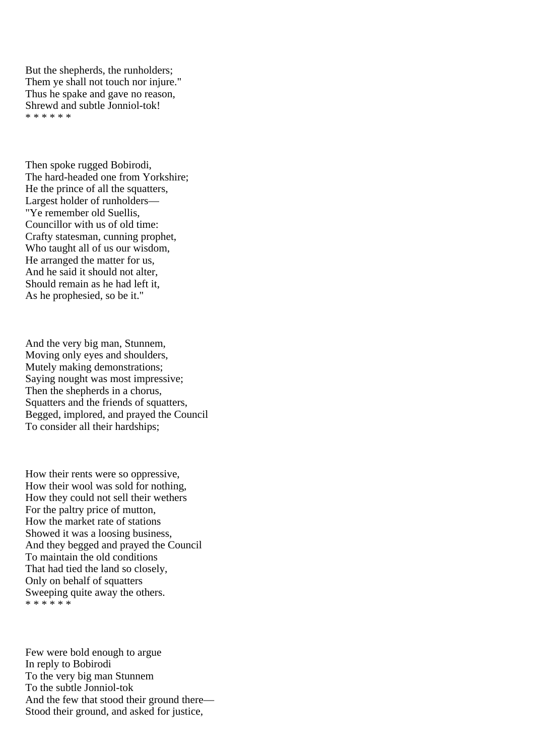But the shepherds, the runholders; Them ye shall not touch nor injure." Thus he spake and gave no reason, Shrewd and subtle Jonniol-tok! \* \* \* \* \* \*

Then spoke rugged Bobirodi, The hard-headed one from Yorkshire; He the prince of all the squatters, Largest holder of runholders— "Ye remember old Suellis, Councillor with us of old time: Crafty statesman, cunning prophet, Who taught all of us our wisdom, He arranged the matter for us, And he said it should not alter, Should remain as he had left it, As he prophesied, so be it."

And the very big man, Stunnem, Moving only eyes and shoulders, Mutely making demonstrations; Saying nought was most impressive; Then the shepherds in a chorus, Squatters and the friends of squatters, Begged, implored, and prayed the Council To consider all their hardships;

How their rents were so oppressive, How their wool was sold for nothing, How they could not sell their wethers For the paltry price of mutton, How the market rate of stations Showed it was a loosing business, And they begged and prayed the Council To maintain the old conditions That had tied the land so closely, Only on behalf of squatters Sweeping quite away the others. \* \* \* \* \* \*

Few were bold enough to argue In reply to Bobirodi To the very big man Stunnem To the subtle Jonniol-tok And the few that stood their ground there— Stood their ground, and asked for justice,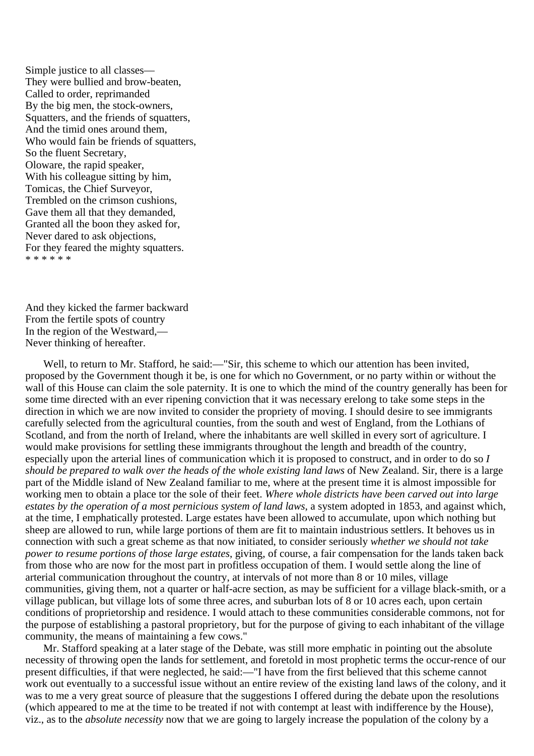Simple justice to all classes— They were bullied and brow-beaten, Called to order, reprimanded By the big men, the stock-owners, Squatters, and the friends of squatters, And the timid ones around them, Who would fain be friends of squatters, So the fluent Secretary, Oloware, the rapid speaker, With his colleague sitting by him, Tomicas, the Chief Surveyor, Trembled on the crimson cushions, Gave them all that they demanded, Granted all the boon they asked for, Never dared to ask objections, For they feared the mighty squatters. \* \* \* \* \* \*

And they kicked the farmer backward From the fertile spots of country In the region of the Westward,— Never thinking of hereafter.

Well, to return to Mr. Stafford, he said:—"Sir, this scheme to which our attention has been invited, proposed by the Government though it be, is one for which no Government, or no party within or without the wall of this House can claim the sole paternity. It is one to which the mind of the country generally has been for some time directed with an ever ripening conviction that it was necessary erelong to take some steps in the direction in which we are now invited to consider the propriety of moving. I should desire to see immigrants carefully selected from the agricultural counties, from the south and west of England, from the Lothians of Scotland, and from the north of Ireland, where the inhabitants are well skilled in every sort of agriculture. I would make provisions for settling these immigrants throughout the length and breadth of the country, especially upon the arterial lines of communication which it is proposed to construct, and in order to do so *I should be prepared to walk over the heads of the whole existing land laws* of New Zealand. Sir, there is a large part of the Middle island of New Zealand familiar to me, where at the present time it is almost impossible for working men to obtain a place tor the sole of their feet. *Where whole districts have been carved out into large estates by the operation of a most pernicious system of land laws*, a system adopted in 1853, and against which, at the time, I emphatically protested. Large estates have been allowed to accumulate, upon which nothing but sheep are allowed to run, while large portions of them are fit to maintain industrious settlers. It behoves us in connection with such a great scheme as that now initiated, to consider seriously *whether we should not take power to resume portions of those large estates*, giving, of course, a fair compensation for the lands taken back from those who are now for the most part in profitless occupation of them. I would settle along the line of arterial communication throughout the country, at intervals of not more than 8 or 10 miles, village communities, giving them, not a quarter or half-acre section, as may be sufficient for a village black-smith, or a village publican, but village lots of some three acres, and suburban lots of 8 or 10 acres each, upon certain conditions of proprietorship and residence. I would attach to these communities considerable commons, not for the purpose of establishing a pastoral proprietory, but for the purpose of giving to each inhabitant of the village community, the means of maintaining a few cows."

Mr. Stafford speaking at a later stage of the Debate, was still more emphatic in pointing out the absolute necessity of throwing open the lands for settlement, and foretold in most prophetic terms the occur-rence of our present difficulties, if that were neglected, he said:—"I have from the first believed that this scheme cannot work out eventually to a successful issue without an entire review of the existing land laws of the colony, and it was to me a very great source of pleasure that the suggestions I offered during the debate upon the resolutions (which appeared to me at the time to be treated if not with contempt at least with indifference by the House), viz., as to the *absolute necessity* now that we are going to largely increase the population of the colony by a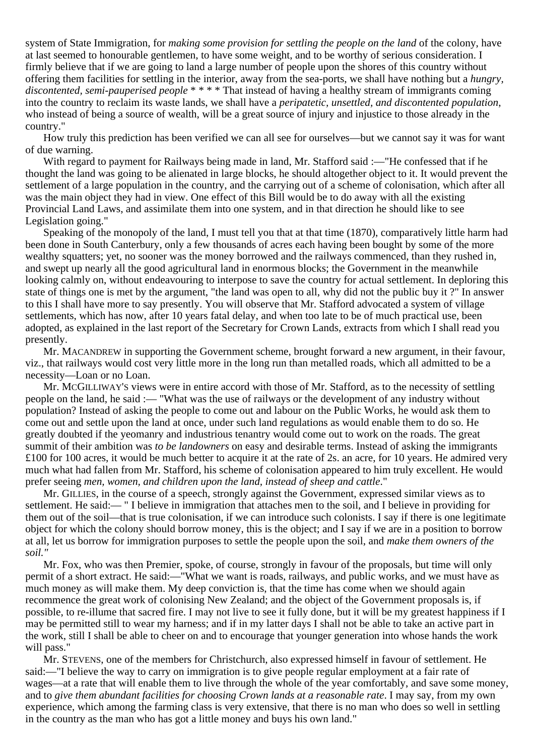system of State Immigration, for *making some provision for settling the people on the land* of the colony, have at last seemed to honourable gentlemen, to have some weight, and to be worthy of serious consideration. I firmly believe that if we are going to land a large number of people upon the shores of this country without offering them facilities for settling in the interior, away from the sea-ports, we shall have nothing but a *hungry, discontented, semi-pauperised people* \* \* \* \* That instead of having a healthy stream of immigrants coming into the country to reclaim its waste lands, we shall have a *peripatetic, unsettled, and discontented population*, who instead of being a source of wealth, will be a great source of injury and injustice to those already in the country."

How truly this prediction has been verified we can all see for ourselves—but we cannot say it was for want of due warning.

With regard to payment for Railways being made in land, Mr. Stafford said :—"He confessed that if he thought the land was going to be alienated in large blocks, he should altogether object to it. It would prevent the settlement of a large population in the country, and the carrying out of a scheme of colonisation, which after all was the main object they had in view. One effect of this Bill would be to do away with all the existing Provincial Land Laws, and assimilate them into one system, and in that direction he should like to see Legislation going."

Speaking of the monopoly of the land, I must tell you that at that time (1870), comparatively little harm had been done in South Canterbury, only a few thousands of acres each having been bought by some of the more wealthy squatters; yet, no sooner was the money borrowed and the railways commenced, than they rushed in, and swept up nearly all the good agricultural land in enormous blocks; the Government in the meanwhile looking calmly on, without endeavouring to interpose to save the country for actual settlement. In deploring this state of things one is met by the argument, "the land was open to all, why did not the public buy it ?" In answer to this I shall have more to say presently. You will observe that Mr. Stafford advocated a system of village settlements, which has now, after 10 years fatal delay, and when too late to be of much practical use, been adopted, as explained in the last report of the Secretary for Crown Lands, extracts from which I shall read you presently.

Mr. MACANDREW in supporting the Government scheme, brought forward a new argument, in their favour, viz., that railways would cost very little more in the long run than metalled roads, which all admitted to be a necessity—Loan or no Loan.

Mr. MCGILLIWAY'S views were in entire accord with those of Mr. Stafford, as to the necessity of settling people on the land, he said :— "What was the use of railways or the development of any industry without population? Instead of asking the people to come out and labour on the Public Works, he would ask them to come out and settle upon the land at once, under such land regulations as would enable them to do so. He greatly doubted if the yeomanry and industrious tenantry would come out to work on the roads. The great summit of their ambition was *to be landowners* on easy and desirable terms. Instead of asking the immigrants £100 for 100 acres, it would be much better to acquire it at the rate of 2s. an acre, for 10 years. He admired very much what had fallen from Mr. Stafford, his scheme of colonisation appeared to him truly excellent. He would prefer seeing *men, women, and children upon the land, instead of sheep and cattle*."

Mr. GILLIES, in the course of a speech, strongly against the Government, expressed similar views as to settlement. He said:— " I believe in immigration that attaches men to the soil, and I believe in providing for them out of the soil—that is true colonisation, if we can introduce such colonists. I say if there is one legitimate object for which the colony should borrow money, this is the object; and I say if we are in a position to borrow at all, let us borrow for immigration purposes to settle the people upon the soil, and *make them owners of the soil."*

Mr. Fox, who was then Premier, spoke, of course, strongly in favour of the proposals, but time will only permit of a short extract. He said:—"What we want is roads, railways, and public works, and we must have as much money as will make them. My deep conviction is, that the time has come when we should again recommence the great work of colonising New Zealand; and the object of the Government proposals is, if possible, to re-illume that sacred fire. I may not live to see it fully done, but it will be my greatest happiness if I may be permitted still to wear my harness; and if in my latter days I shall not be able to take an active part in the work, still I shall be able to cheer on and to encourage that younger generation into whose hands the work will pass."

Mr. STEVENS, one of the members for Christchurch, also expressed himself in favour of settlement. He said:—"I believe the way to carry on immigration is to give people regular employment at a fair rate of wages—at a rate that will enable them to live through the whole of the year comfortably, and save some money, and to *give them abundant facilities for choosing Crown lands at a reasonable rate*. I may say, from my own experience, which among the farming class is very extensive, that there is no man who does so well in settling in the country as the man who has got a little money and buys his own land."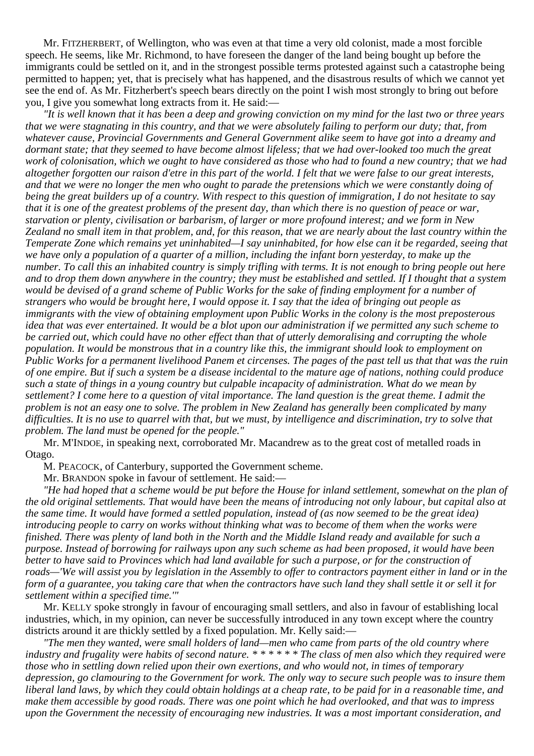Mr. FITZHERBERT, of Wellington, who was even at that time a very old colonist, made a most forcible speech. He seems, like Mr. Richmond, to have foreseen the danger of the land being bought up before the immigrants could be settled on it, and in the strongest possible terms protested against such a catastrophe being permitted to happen; yet, that is precisely what has happened, and the disastrous results of which we cannot yet see the end of. As Mr. Fitzherbert's speech bears directly on the point I wish most strongly to bring out before you, I give you somewhat long extracts from it. He said:—

*"It is well known that it has been a deep and growing conviction on my mind for the last two or three years that we were stagnating in this country, and that we were absolutely failing to perform our duty; that, from whatever cause, Provincial Governments and General Government alike seem to have got into a dreamy and dormant state; that they seemed to have become almost lifeless; that we had over-looked too much the great work of colonisation, which we ought to have considered as those who had to found a new country; that we had altogether forgotten our raison d'etre in this part of the world. I felt that we were false to our great interests, and that we were no longer the men who ought to parade the pretensions which we were constantly doing of being the great builders up of a country. With respect to this question of immigration, I do not hesitate to say that it is one of the greatest problems of the present day, than which there is no question of peace or war, starvation or plenty, civilisation or barbarism, of larger or more profound interest; and we form in New Zealand no small item in that problem, and, for this reason, that we are nearly about the last country within the Temperate Zone which remains yet uninhabited—I say uninhabited, for how else can it be regarded, seeing that we have only a population of a quarter of a million, including the infant born yesterday, to make up the number. To call this an inhabited country is simply trifling with terms. It is not enough to bring people out here and to drop them down anywhere in the country; they must be established and settled. If I thought that a system would be devised of a grand scheme of Public Works for the sake of finding employment for a number of strangers who would be brought here, I would oppose it. I say that the idea of bringing out people as immigrants with the view of obtaining employment upon Public Works in the colony is the most preposterous idea that was ever entertained. It would be a blot upon our administration if we permitted any such scheme to be carried out, which could have no other effect than that of utterly demoralising and corrupting the whole population. It would be monstrous that in a country like this, the immigrant should look to employment on Public Works for a permanent livelihood Panem et circenses. The pages of the past tell us that that was the ruin of one empire. But if such a system be a disease incidental to the mature age of nations, nothing could produce such a state of things in a young country but culpable incapacity of administration. What do we mean by settlement? I come here to a question of vital importance. The land question is the great theme. I admit the problem is not an easy one to solve. The problem in New Zealand has generally been complicated by many difficulties. It is no use to quarrel with that, but we must, by intelligence and discrimination, try to solve that problem. The land must be opened for the people."*

Mr. M'INDOE, in speaking next, corroborated Mr. Macandrew as to the great cost of metalled roads in Otago.

M. PEACOCK, of Canterbury, supported the Government scheme.

Mr. BRANDON spoke in favour of settlement. He said:—

*"He had hoped that a scheme would be put before the House for inland settlement, somewhat on the plan of the old original settlements. That would have been the means of introducing not only labour, but capital also at the same time. It would have formed a settled population, instead of (as now seemed to be the great idea) introducing people to carry on works without thinking what was to become of them when the works were finished. There was plenty of land both in the North and the Middle Island ready and available for such a purpose. Instead of borrowing for railways upon any such scheme as had been proposed, it would have been better to have said to Provinces which had land available for such a purpose, or for the construction of roads—'We will assist you by legislation in the Assembly to offer to contractors payment either in land or in the form of a guarantee, you taking care that when the contractors have such land they shall settle it or sell it for settlement within a specified time.'"*

Mr. KELLY spoke strongly in favour of encouraging small settlers, and also in favour of establishing local industries, which, in my opinion, can never be successfully introduced in any town except where the country districts around it are thickly settled by a fixed population. Mr. Kelly said:—

*"The men they wanted, were small holders of land—men who came from parts of the old country where industry and frugality were habits of second nature. \* \* \* \* \* \* The class of men also which they required were those who in settling down relied upon their own exertions, and who would not, in times of temporary depression, go clamouring to the Government for work. The only way to secure such people was to insure them liberal land laws, by which they could obtain holdings at a cheap rate, to be paid for in a reasonable time, and make them accessible by good roads. There was one point which he had overlooked, and that was to impress upon the Government the necessity of encouraging new industries. It was a most important consideration, and*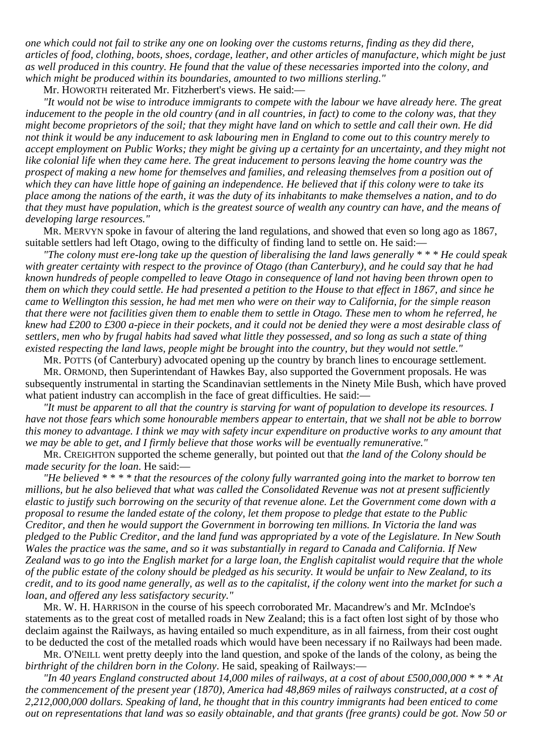*one which could not fail to strike any one on looking over the customs returns, finding as they did there, articles of food, clothing, boots, shoes, cordage, leather, and other articles of manufacture, which might be just as well produced in this country. He found that the value of these necessaries imported into the colony, and which might be produced within its boundaries, amounted to two millions sterling."*

Mr. HOWORTH reiterated Mr. Fitzherbert's views. He said:—

*"It would not be wise to introduce immigrants to compete with the labour we have already here. The great inducement to the people in the old country (and in all countries, in fact) to come to the colony was, that they might become proprietors of the soil; that they might have land on which to settle and call their own. He did not think it would be any inducement to ask labouring men in England to come out to this country merely to accept employment on Public Works; they might be giving up a certainty for an uncertainty, and they might not like colonial life when they came here. The great inducement to persons leaving the home country was the prospect of making a new home for themselves and families, and releasing themselves from a position out of which they can have little hope of gaining an independence. He believed that if this colony were to take its place among the nations of the earth, it was the duty of its inhabitants to make themselves a nation, and to do that they must have population, which is the greatest source of wealth any country can have, and the means of developing large resources."*

MR. MERVYN spoke in favour of altering the land regulations, and showed that even so long ago as 1867, suitable settlers had left Otago, owing to the difficulty of finding land to settle on. He said:—

*"The colony must ere-long take up the question of liberalising the land laws generally \* \* \* He could speak with greater certainty with respect to the province of Otago (than Canterbury), and he could say that he had known hundreds of people compelled to leave Otago in consequence of land not having been thrown open to them on which they could settle. He had presented a petition to the House to that effect in 1867, and since he came to Wellington this session, he had met men who were on their way to California, for the simple reason that there were not facilities given them to enable them to settle in Otago. These men to whom he referred, he knew had £200 to £300 a-piece in their pockets, and it could not be denied they were a most desirable class of settlers, men who by frugal habits had saved what little they possessed, and so long as such a state of thing existed respecting the land laws, people might be brought into the country, but they would not settle."*

MR. POTTS (of Canterbury) advocated opening up the country by branch lines to encourage settlement. MR. ORMOND, then Superintendant of Hawkes Bay, also supported the Government proposals. He was subsequently instrumental in starting the Scandinavian settlements in the Ninety Mile Bush, which have proved what patient industry can accomplish in the face of great difficulties. He said:—

*"It must be apparent to all that the country is starving for want of population to develope its resources. I have not those fears which some honourable members appear to entertain, that we shall not be able to borrow this money to advantage. I think we may with safety incur expenditure on productive works to any amount that we may be able to get, and I firmly believe that those works will be eventually remunerative."*

MR. CREIGHTON supported the scheme generally, but pointed out that *the land of the Colony should be made security for the loan*. He said:—

*"He believed \* \* \* \* that the resources of the colony fully warranted going into the market to borrow ten millions, but he also believed that what was called the Consolidated Revenue was not at present sufficiently elastic to justify such borrowing on the security of that revenue alone. Let the Government come down with a proposal to resume the landed estate of the colony, let them propose to pledge that estate to the Public Creditor, and then he would support the Government in borrowing ten millions. In Victoria the land was pledged to the Public Creditor, and the land fund was appropriated by a vote of the Legislature. In New South Wales the practice was the same, and so it was substantially in regard to Canada and California. If New Zealand was to go into the English market for a large loan, the English capitalist would require that the whole of the public estate of the colony should be pledged as his security. It would be unfair to New Zealand, to its credit, and to its good name generally, as well as to the capitalist, if the colony went into the market for such a loan, and offered any less satisfactory security."*

MR. W. H. HARRISON in the course of his speech corroborated Mr. Macandrew's and Mr. McIndoe's statements as to the great cost of metalled roads in New Zealand; this is a fact often lost sight of by those who declaim against the Railways, as having entailed so much expenditure, as in all fairness, from their cost ought to be deducted the cost of the metalled roads which would have been necessary if no Railways had been made.

MR. O'NEILL went pretty deeply into the land question, and spoke of the lands of the colony, as being the *birthright of the children born in the Colony*. He said, speaking of Railways:—

*"In 40 years England constructed about 14,000 miles of railways, at a cost of about £500,000,000 \* \* \* At the commencement of the present year (1870), America had 48,869 miles of railways constructed, at a cost of 2,212,000,000 dollars. Speaking of land, he thought that in this country immigrants had been enticed to come out on representations that land was so easily obtainable, and that grants (free grants) could be got. Now 50 or*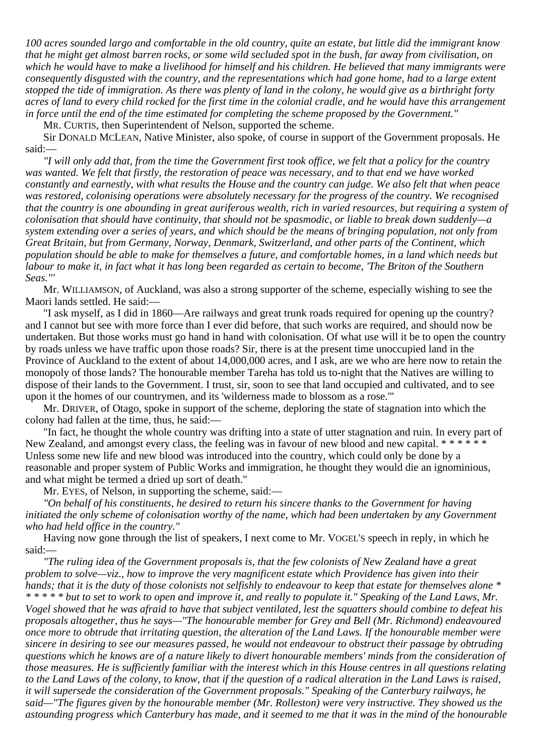*100 acres sounded largo and comfortable in the old country, quite an estate, but little did the immigrant know that he might get almost barren rocks, or some wild secluded spot in the bush, far away from civilisation, on which he would have to make a livelihood for himself and his children. He believed that many immigrants were consequently disgusted with the country, and the representations which had gone home, had to a large extent stopped the tide of immigration. As there was plenty of land in the colony, he would give as a birthright forty acres of land to every child rocked for the first time in the colonial cradle, and he would have this arrangement in force until the end of the time estimated for completing the scheme proposed by the Government."*

MR. CURTIS, then Superintendent of Nelson, supported the scheme.

Sir DONALD MCLEAN, Native Minister, also spoke, of course in support of the Government proposals. He said:—

*"I will only add that, from the time the Government first took office, we felt that a policy for the country was wanted. We felt that firstly, the restoration of peace was necessary, and to that end we have worked constantly and earnestly, with what results the House and the country can judge. We also felt that when peace was restored, colonising operations were absolutely necessary for the progress of the country. We recognised that the country is one abounding in great auriferous wealth, rich in varied resources, but requiring a system of colonisation that should have continuity, that should not be spasmodic, or liable to break down suddenly—a system extending over a series of years, and which should be the means of bringing population, not only from Great Britain, but from Germany, Norway, Denmark, Switzerland, and other parts of the Continent, which population should be able to make for themselves a future, and comfortable homes, in a land which needs but labour to make it, in fact what it has long been regarded as certain to become, 'The Briton of the Southern Seas."'*

Mr. WILLIAMSON, of Auckland, was also a strong supporter of the scheme, especially wishing to see the Maori lands settled. He said:—

"I ask myself, as I did in 1860—Are railways and great trunk roads required for opening up the country? and I cannot but see with more force than I ever did before, that such works are required, and should now be undertaken. But those works must go hand in hand with colonisation. Of what use will it be to open the country by roads unless we have traffic upon those roads? Sir, there is at the present time unoccupied land in the Province of Auckland to the extent of about 14,000,000 acres, and I ask, are we who are here now to retain the monopoly of those lands? The honourable member Tareha has told us to-night that the Natives are willing to dispose of their lands to the Government. I trust, sir, soon to see that land occupied and cultivated, and to see upon it the homes of our countrymen, and its 'wilderness made to blossom as a rose.'"

Mr. DRIVER, of Otago, spoke in support of the scheme, deploring the state of stagnation into which the colony had fallen at the time, thus, he said:—

"In fact, he thought the whole country was drifting into a state of utter stagnation and ruin. In every part of New Zealand, and amongst every class, the feeling was in favour of new blood and new capital. \* \* \* \* \* \* Unless some new life and new blood was introduced into the country, which could only be done by a reasonable and proper system of Public Works and immigration, he thought they would die an ignominious, and what might be termed a dried up sort of death."

Mr. EYES, of Nelson, in supporting the scheme, said:—

*"On behalf of his constituents, he desired to return his sincere thanks to the Government for having initiated the only scheme of colonisation worthy of the name, which had been undertaken by any Government who had held office in the country."*

Having now gone through the list of speakers, I next come to Mr. VOGEL'S speech in reply, in which he said:—

*"The ruling idea of the Government proposals is, that the few colonists of New Zealand have a great problem to solve—viz., how to improve the very magnificent estate which Providence has given into their hands; that it is the duty of those colonists not selfishly to endeavour to keep that estate for themselves alone \* \* \* \* \* \* but to set to work to open and improve it, and really to populate it." Speaking of the Land Laws, Mr. Vogel showed that he was afraid to have that subject ventilated, lest the squatters should combine to defeat his proposals altogether, thus he says—"The honourable member for Grey and Bell (Mr. Richmond) endeavoured once more to obtrude that irritating question, the alteration of the Land Laws. If the honourable member were sincere in desiring to see our measures passed, he would not endeavour to obstruct their passage by obtruding questions which he knows are of a nature likely to divert honourable members' minds from the consideration of those measures. He is sufficiently familiar with the interest which in this House centres in all questions relating to the Land Laws of the colony, to know, that if the question of a radical alteration in the Land Laws is raised, it will supersede the consideration of the Government proposals." Speaking of the Canterbury railways, he said—"The figures given by the honourable member (Mr. Rolleston) were very instructive. They showed us the astounding progress which Canterbury has made, and it seemed to me that it was in the mind of the honourable*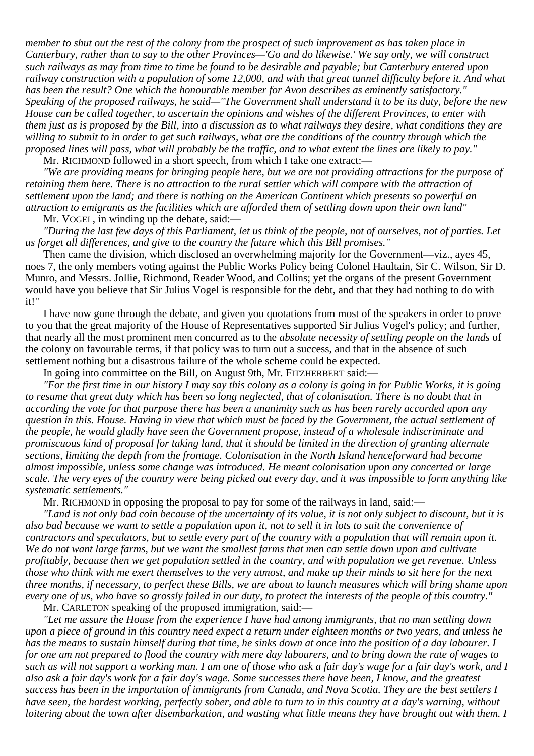*member to shut out the rest of the colony from the prospect of such improvement as has taken place in Canterbury, rather than to say to the other Provinces—'Go and do likewise.' We say only, we will construct such railways as may from time to time be found to be desirable and payable; but Canterbury entered upon railway construction with a population of some 12,000, and with that great tunnel difficulty before it. And what has been the result? One which the honourable member for Avon describes as eminently satisfactory." Speaking of the proposed railways, he said—"The Government shall understand it to be its duty, before the new House can be called together, to ascertain the opinions and wishes of the different Provinces, to enter with them just as is proposed by the Bill, into a discussion as to what railways they desire, what conditions they are willing to submit to in order to get such railways, what are the conditions of the country through which the proposed lines will pass, what will probably be the traffic, and to what extent the lines are likely to pay."*

Mr. RICHMOND followed in a short speech, from which I take one extract:—

*"We are providing means for bringing people here, but we are not providing attractions for the purpose of retaining them here. There is no attraction to the rural settler which will compare with the attraction of settlement upon the land; and there is nothing on the American Continent which presents so powerful an attraction to emigrants as the facilities which are afforded them of settling down upon their own land"*

Mr. VOGEL, in winding up the debate, said:—

*"During the last few days of this Parliament, let us think of the people, not of ourselves, not of parties. Let us forget all differences, and give to the country the future which this Bill promises."*

Then came the division, which disclosed an overwhelming majority for the Government—viz., ayes 45, noes 7, the only members voting against the Public Works Policy being Colonel Haultain, Sir C. Wilson, Sir D. Munro, and Messrs. Jollie, Richmond, Reader Wood, and Collins; yet the organs of the present Government would have you believe that Sir Julius Vogel is responsible for the debt, and that they had nothing to do with it!"

I have now gone through the debate, and given you quotations from most of the speakers in order to prove to you that the great majority of the House of Representatives supported Sir Julius Vogel's policy; and further, that nearly all the most prominent men concurred as to the *absolute necessity of settling people on the lands* of the colony on favourable terms, if that policy was to turn out a success, and that in the absence of such settlement nothing but a disastrous failure of the whole scheme could be expected.

In going into committee on the Bill, on August 9th, Mr. FITZHERBERT said:—

*"For the first time in our history I may say this colony as a colony is going in for Public Works, it is going to resume that great duty which has been so long neglected, that of colonisation. There is no doubt that in according the vote for that purpose there has been a unanimity such as has been rarely accorded upon any question in this. House. Having in view that which must be faced by the Government, the actual settlement of the people, he would gladly have seen the Government propose, instead of a wholesale indiscriminate and promiscuous kind of proposal for taking land, that it should be limited in the direction of granting alternate sections, limiting the depth from the frontage. Colonisation in the North Island henceforward had become almost impossible, unless some change was introduced. He meant colonisation upon any concerted or large scale. The very eyes of the country were being picked out every day, and it was impossible to form anything like systematic settlements."*

Mr. RICHMOND in opposing the proposal to pay for some of the railways in land, said:—

*"Land is not only bad coin because of the uncertainty of its value, it is not only subject to discount, but it is also bad because we want to settle a population upon it, not to sell it in lots to suit the convenience of contractors and speculators, but to settle every part of the country with a population that will remain upon it. We do not want large farms, but we want the smallest farms that men can settle down upon and cultivate profitably, because then we get population settled in the country, and with population we get revenue. Unless those who think with me exert themselves to the very utmost, and make up their minds to sit here for the next three months, if necessary, to perfect these Bills, we are about to launch measures which will bring shame upon every one of us, who have so grossly failed in our duty, to protect the interests of the people of this country."* Mr. CARLETON speaking of the proposed immigration, said:—

*"Let me assure the House from the experience I have had among immigrants, that no man settling down upon a piece of ground in this country need expect a return under eighteen months or two years, and unless he has the means to sustain himself during that time, he sinks down at once into the position of a day labourer. I for one am not prepared to flood the country with mere day labourers, and to bring down the rate of wages to such as will not support a working man. I am one of those who ask a fair day's wage for a fair day's work, and I also ask a fair day's work for a fair day's wage. Some successes there have been, I know, and the greatest success has been in the importation of immigrants from Canada, and Nova Scotia. They are the best settlers I have seen, the hardest working, perfectly sober, and able to turn to in this country at a day's warning, without loitering about the town after disembarkation, and wasting what little means they have brought out with them. I*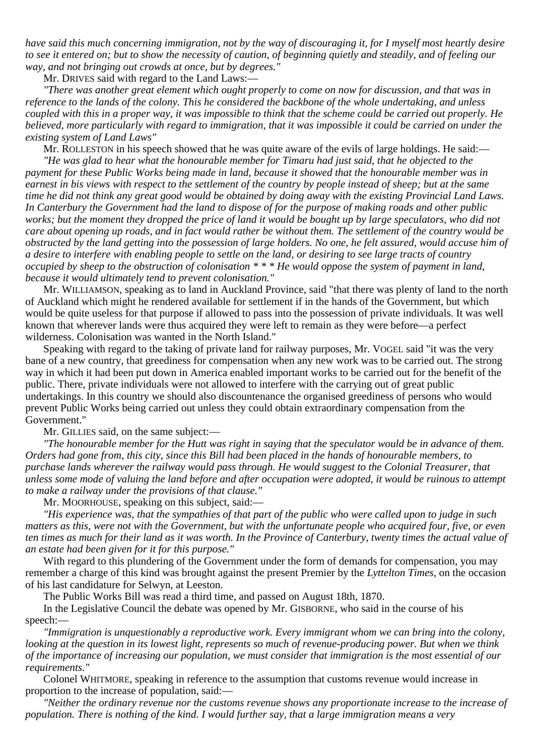*have said this much concerning immigration, not by the way of discouraging it, for I myself most heartly desire to see it entered on; but to show the necessity of caution, of beginning quietly and steadily, and of feeling our way, and not bringing out crowds at once, but by degrees."*

Mr. DRIVES said with regard to the Land Laws:—

*"There was another great element which ought properly to come on now for discussion, and that was in reference to the lands of the colony. This he considered the backbone of the whole undertaking, and unless coupled with this in a proper way, it was impossible to think that the scheme could be carried out properly. He believed, more particularly with regard to immigration, that it was impossible it could be carried on under the existing system of Land Laws"*

Mr. ROLLESTON in his speech showed that he was quite aware of the evils of large holdings. He said:—

*"He was glad to hear what the honourable member for Timaru had just said, that he objected to the payment for these Public Works being made in land, because it showed that the honourable member was in earnest in bis views with respect to the settlement of the country by people instead of sheep; but at the same time he did not think any great good would be obtained by doing away with the existing Provincial Land Laws. In Canterbury the Government had the land to dispose of for the purpose of making roads and other public works; but the moment they dropped the price of land it would be bought up by large speculators, who did not care about opening up roads, and in fact would rather be without them. The settlement of the country would be obstructed by the land getting into the possession of large holders. No one, he felt assured, would accuse him of a desire to interfere with enabling people to settle on the land, or desiring to see large tracts of country occupied by sheep to the obstruction of colonisation \* \* \* He would oppose the system of payment in land, because it would ultimately tend to prevent colonisation."*

Mr. WILLIAMSON, speaking as to land in Auckland Province, said "that there was plenty of land to the north of Auckland which might he rendered available for settlement if in the hands of the Government, but which would be quite useless for that purpose if allowed to pass into the possession of private individuals. It was well known that wherever lands were thus acquired they were left to remain as they were before—a perfect wilderness. Colonisation was wanted in the North Island."

Speaking with regard to the taking of private land for railway purposes, Mr. VOGEL said "it was the very bane of a new country, that greediness for compensation when any new work was to be carried out. The strong way in which it had been put down in America enabled important works to be carried out for the benefit of the public. There, private individuals were not allowed to interfere with the carrying out of great public undertakings. In this country we should also discountenance the organised greediness of persons who would prevent Public Works being carried out unless they could obtain extraordinary compensation from the Government."

Mr. GILLIES said, on the same subject:—

*"The honourable member for the Hutt was right in saying that the speculator would be in advance of them. Orders had gone from, this city, since this Bill had been placed in the hands of honourable members, to purchase lands wherever the railway would pass through. He would suggest to the Colonial Treasurer, that unless some mode of valuing the land before and after occupation were adopted, it would be ruinous to attempt to make a railway under the provisions of that clause."*

Mr. MOORHOUSE, speaking on this subject, said:—

*"His experience was, that the sympathies of that part of the public who were called upon to judge in such matters as this, were not with the Government, but with the unfortunate people who acquired four, five, or even ten times as much for their land as it was worth. In the Province of Canterbury, twenty times the actual value of an estate had been given for it for this purpose."*

With regard to this plundering of the Government under the form of demands for compensation, you may remember a charge of this kind was brought against the present Premier by the *Lyttelton Times*, on the occasion of his last candidature for Selwyn, at Leeston.

The Public Works Bill was read a third time, and passed on August 18th, 1870.

In the Legislative Council the debate was opened by Mr. GISBORNE, who said in the course of his speech:—

*"Immigration is unquestionably a reproductive work. Every immigrant whom we can bring into the colony, looking at the question in its lowest light, represents so much of revenue-producing power. But when we think of the importance of increasing our population, we must consider that immigration is the most essential of our requirements."*

Colonel WHITMORE, speaking in reference to the assumption that customs revenue would increase in proportion to the increase of population, said:—

*"Neither the ordinary revenue nor the customs revenue shows any proportionate increase to the increase of population. There is nothing of the kind. I would further say, that a large immigration means a very*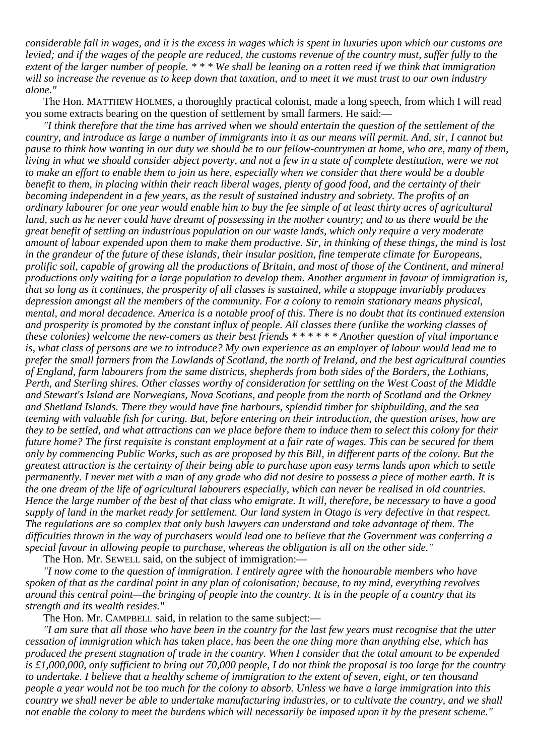*considerable fall in wages, and it is the excess in wages which is spent in luxuries upon which our customs are levied; and if the wages of the people are reduced, the customs revenue of the country must, suffer fully to the extent of the larger number of people. \* \* \* We shall be leaning on a rotten reed if we think that immigration will so increase the revenue as to keep down that taxation, and to meet it we must trust to our own industry alone."*

The Hon. MATTHEW HOLMES, a thoroughly practical colonist, made a long speech, from which I will read you some extracts bearing on the question of settlement by small farmers. He said:—

*"I think therefore that the time has arrived when we should entertain the question of the settlement of the country, and introduce as large a number of immigrants into it as our means will permit. And, sir, I cannot but pause to think how wanting in our duty we should be to our fellow-countrymen at home, who are, many of them, living in what we should consider abject poverty, and not a few in a state of complete destitution, were we not to make an effort to enable them to join us here, especially when we consider that there would be a double benefit to them, in placing within their reach liberal wages, plenty of good food, and the certainty of their becoming independent in a few years, as the result of sustained industry and sobriety. The profits of an ordinary labourer for one year would enable him to buy the fee simple of at least thirty acres of agricultural land, such as he never could have dreamt of possessing in the mother country; and to us there would be the great benefit of settling an industrious population on our waste lands, which only require a very moderate amount of labour expended upon them to make them productive. Sir, in thinking of these things, the mind is lost in the grandeur of the future of these islands, their insular position, fine temperate climate for Europeans, prolific soil, capable of growing all the productions of Britain, and most of those of the Continent, and mineral productions only waiting for a large population to develop them. Another argument in favour of immigration is, that so long as it continues, the prosperity of all classes is sustained, while a stoppage invariably produces depression amongst all the members of the community. For a colony to remain stationary means physical, mental, and moral decadence. America is a notable proof of this. There is no doubt that its continued extension and prosperity is promoted by the constant influx of people. All classes there (unlike the working classes of these colonies) welcome the new-comers as their best friends \* \* \* \* \* \* Another question of vital importance is, what class of persons are we to introduce? My own experience as an employer of labour would lead me to prefer the small farmers from the Lowlands of Scotland, the north of Ireland, and the best agricultural counties of England, farm labourers from the same districts, shepherds from both sides of the Borders, the Lothians, Perth, and Sterling shires. Other classes worthy of consideration for settling on the West Coast of the Middle and Stewart's Island are Norwegians, Nova Scotians, and people from the north of Scotland and the Orkney and Shetland Islands. There they would have fine harbours, splendid timber for shipbuilding, and the sea teeming with valuable fish for curing. But, before entering on their introduction, the question arises, how are they to be settled, and what attractions can we place before them to induce them to select this colony for their future home? The first requisite is constant employment at a fair rate of wages. This can be secured for them only by commencing Public Works, such as are proposed by this Bill, in different parts of the colony. But the greatest attraction is the certainty of their being able to purchase upon easy terms lands upon which to settle permanently. I never met with a man of any grade who did not desire to possess a piece of mother earth. It is the one dream of the life of agricultural labourers especially, which can never be realised in old countries. Hence the large number of the best of that class who emigrate. It will, therefore, be necessary to have a good supply of land in the market ready for settlement. Our land system in Otago is very defective in that respect. The regulations are so complex that only bush lawyers can understand and take advantage of them. The difficulties thrown in the way of purchasers would lead one to believe that the Government was conferring a special favour in allowing people to purchase, whereas the obligation is all on the other side."*

The Hon. Mr. SEWELL said, on the subject of immigration:—

*"I now come to the question of immigration. I entirely agree with the honourable members who have spoken of that as the cardinal point in any plan of colonisation; because, to my mind, everything revolves around this central point—the bringing of people into the country. It is in the people of a country that its strength and its wealth resides."*

The Hon. Mr. CAMPBELL said, in relation to the same subject:—

*"I am sure that all those who have been in the country for the last few years must recognise that the utter cessation of immigration which has taken place, has been the one thing more than anything else, which has produced the present stagnation of trade in the country. When I consider that the total amount to be expended is £1,000,000, only sufficient to bring out 70,000 people, I do not think the proposal is too large for the country to undertake. I believe that a healthy scheme of immigration to the extent of seven, eight, or ten thousand people a year would not be too much for the colony to absorb. Unless we have a large immigration into this country we shall never be able to undertake manufacturing industries, or to cultivate the country, and we shall not enable the colony to meet the burdens which will necessarily be imposed upon it by the present scheme."*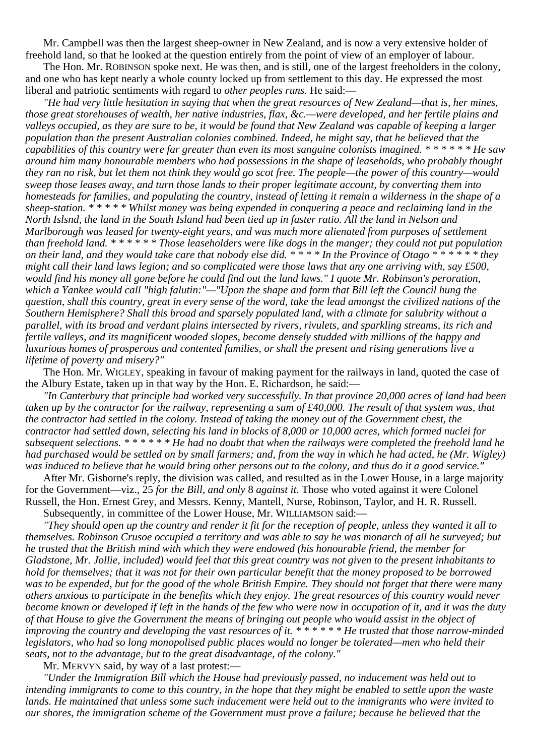Mr. Campbell was then the largest sheep-owner in New Zealand, and is now a very extensive holder of freehold land, so that he looked at the question entirely from the point of view of an employer of labour.

The Hon. Mr. ROBINSON spoke next. He was then, and is still, one of the largest freeholders in the colony, and one who has kept nearly a whole county locked up from settlement to this day. He expressed the most liberal and patriotic sentiments with regard to *other peoples runs*. He said:—

*"He had very little hesitation in saying that when the great resources of New Zealand—that is, her mines, those great storehouses of wealth, her native industries, flax, &c.—were developed, and her fertile plains and valleys occupied, as they are sure to be, it would be found that New Zealand was capable of keeping a larger population than the present Australian colonies combined. Indeed, he might say, that he believed that the capabilities of this country were far greater than even its most sanguine colonists imagined. \* \* \* \* \* \* He saw around him many honourable members who had possessions in the shape of leaseholds, who probably thought they ran no risk, but let them not think they would go scot free. The people—the power of this country—would sweep those leases away, and turn those lands to their proper legitimate account, by converting them into homesteads for families, and populating the country, instead of letting it remain a wilderness in the shape of a sheep-station. \* \* \* \* \* Whilst money was being expended in conquering a peace and reclaiming land in the North Islsnd, the land in the South Island had been tied up in faster ratio. All the land in Nelson and Marlborough was leased for twenty-eight years, and was much more alienated from purposes of settlement than freehold land. \* \* \* \* \* \* Those leaseholders were like dogs in the manger; they could not put population on their land, and they would take care that nobody else did. \* \* \* \* In the Province of Otago \* \* \* \* \* \* they might call their land laws legion; and so complicated were those laws that any one arriving with, say £500, would find his money all gone before he could find out the land laws." I quote Mr. Robinson's peroration, which a Yankee would call "high falutin:"—"Upon the shape and form that Bill left the Council hung the question, shall this country, great in every sense of the word, take the lead amongst the civilized nations of the Southern Hemisphere? Shall this broad and sparsely populated land, with a climate for salubrity without a parallel, with its broad and verdant plains intersected by rivers, rivulets, and sparkling streams, its rich and fertile valleys, and its magnificent wooded slopes, become densely studded with millions of the happy and luxurious homes of prosperous and contented families, or shall the present and rising generations live a lifetime of poverty and misery?"*

The Hon. Mr. WIGLEY, speaking in favour of making payment for the railways in land, quoted the case of the Albury Estate, taken up in that way by the Hon. E. Richardson, he said:—

*"In Canterbury that principle had worked very successfully. In that province 20,000 acres of land had been taken up by the contractor for the railway, representing a sum of £40,000. The result of that system was, that the contractor had settled in the colony. Instead of taking the money out of the Government chest, the contractor had settled down, selecting his land in blocks of 8,000 or 10,000 acres, which formed nuclei for subsequent selections. \* \* \* \* \* \* He had no doubt that when the railways were completed the freehold land he had purchased would be settled on by small farmers; and, from the way in which he had acted, he (Mr. Wigley) was induced to believe that he would bring other persons out to the colony, and thus do it a good service."*

After Mr. Gisborne's reply, the division was called, and resulted as in the Lower House, in a large majority for the Government—viz., 25 *for the Bill, and only* 8 *against it*. Those who voted against it were Colonel Russell, the Hon. Ernest Grey, and Messrs. Kenny, Mantell, Nurse, Robinson, Taylor, and H. R. Russell. Subsequently, in committee of the Lower House, Mr. WILLIAMSON said:—

*"They should open up the country and render it fit for the reception of people, unless they wanted it all to themselves. Robinson Crusoe occupied a territory and was able to say he was monarch of all he surveyed; but he trusted that the British mind with which they were endowed (his honourable friend, the member for Gladstone, Mr. Jollie, included) would feel that this great country was not given to the present inhabitants to hold for themselves; that it was not for their own particular benefit that the money proposed to be borrowed was to be expended, but for the good of the whole British Empire. They should not forget that there were many others anxious to participate in the benefits which they enjoy. The great resources of this country would never become known or developed if left in the hands of the few who were now in occupation of it, and it was the duty of that House to give the Government the means of bringing out people who would assist in the object of improving the country and developing the vast resources of it. \* \* \* \* \* \* He trusted that those narrow-minded legislators, who had so long monopolised public places would no longer be tolerated—men who held their seats, not to the advantage, but to the great disadvantage, of the colony."*

Mr. MERVYN said, by way of a last protest:—

*"Under the Immigration Bill which the House had previously passed, no inducement was held out to intending immigrants to come to this country, in the hope that they might be enabled to settle upon the waste lands. He maintained that unless some such inducement were held out to the immigrants who were invited to our shores, the immigration scheme of the Government must prove a failure; because he believed that the*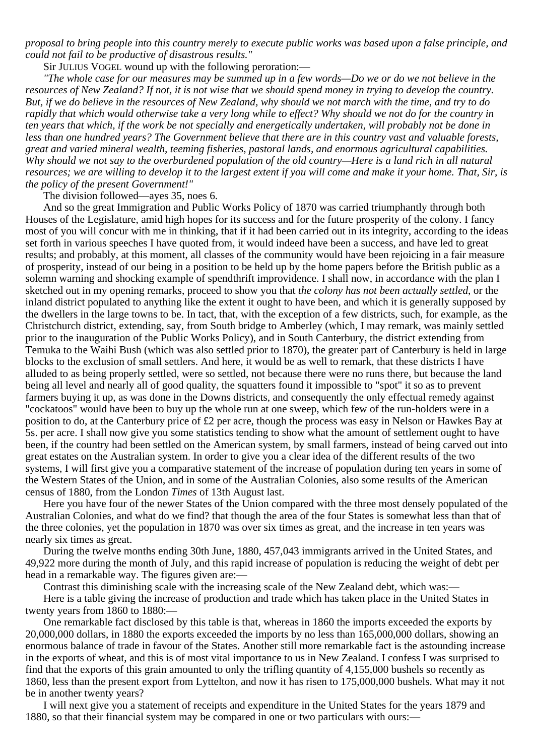*proposal to bring people into this country merely to execute public works was based upon a false principle, and could not fail to be productive of disastrous results."*

Sir JULIUS VOGEL wound up with the following peroration:—

*"The whole case for our measures may be summed up in a few words—Do we or do we not believe in the resources of New Zealand? If not, it is not wise that we should spend money in trying to develop the country. But, if we do believe in the resources of New Zealand, why should we not march with the time, and try to do rapidly that which would otherwise take a very long while to effect? Why should we not do for the country in ten years that which, if the work be not specially and energetically undertaken, will probably not be done in less than one hundred years? The Government believe that there are in this country vast and valuable forests, great and varied mineral wealth, teeming fisheries, pastoral lands, and enormous agricultural capabilities. Why should we not say to the overburdened population of the old country—Here is a land rich in all natural resources; we are willing to develop it to the largest extent if you will come and make it your home. That, Sir, is the policy of the present Government!"*

The division followed—ayes 35, noes 6.

And so the great Immigration and Public Works Policy of 1870 was carried triumphantly through both Houses of the Legislature, amid high hopes for its success and for the future prosperity of the colony. I fancy most of you will concur with me in thinking, that if it had been carried out in its integrity, according to the ideas set forth in various speeches I have quoted from, it would indeed have been a success, and have led to great results; and probably, at this moment, all classes of the community would have been rejoicing in a fair measure of prosperity, instead of our being in a position to be held up by the home papers before the British public as a solemn warning and shocking example of spendthrift improvidence. I shall now, in accordance with the plan I sketched out in my opening remarks, proceed to show you that *the colony has not been actually settled*, or the inland district populated to anything like the extent it ought to have been, and which it is generally supposed by the dwellers in the large towns to be. In tact, that, with the exception of a few districts, such, for example, as the Christchurch district, extending, say, from South bridge to Amberley (which, I may remark, was mainly settled prior to the inauguration of the Public Works Policy), and in South Canterbury, the district extending from Temuka to the Waihi Bush (which was also settled prior to 1870), the greater part of Canterbury is held in large blocks to the exclusion of small settlers. And here, it would be as well to remark, that these districts I have alluded to as being properly settled, were so settled, not because there were no runs there, but because the land being all level and nearly all of good quality, the squatters found it impossible to "spot" it so as to prevent farmers buying it up, as was done in the Downs districts, and consequently the only effectual remedy against "cockatoos" would have been to buy up the whole run at one sweep, which few of the run-holders were in a position to do, at the Canterbury price of £2 per acre, though the process was easy in Nelson or Hawkes Bay at 5s. per acre. I shall now give you some statistics tending to show what the amount of settlement ought to have been, if the country had been settled on the American system, by small farmers, instead of being carved out into great estates on the Australian system. In order to give you a clear idea of the different results of the two systems. I will first give you a comparative statement of the increase of population during ten years in some of the Western States of the Union, and in some of the Australian Colonies, also some results of the American census of 1880, from the London *Times* of 13th August last.

Here you have four of the newer States of the Union compared with the three most densely populated of the Australian Colonies, and what do we find? that though the area of the four States is somewhat less than that of the three colonies, yet the population in 1870 was over six times as great, and the increase in ten years was nearly six times as great.

During the twelve months ending 30th June, 1880, 457,043 immigrants arrived in the United States, and 49,922 more during the month of July, and this rapid increase of population is reducing the weight of debt per head in a remarkable way. The figures given are:—

Contrast this diminishing scale with the increasing scale of the New Zealand debt, which was:—

Here is a table giving the increase of production and trade which has taken place in the United States in twenty years from 1860 to 1880:—

One remarkable fact disclosed by this table is that, whereas in 1860 the imports exceeded the exports by 20,000,000 dollars, in 1880 the exports exceeded the imports by no less than 165,000,000 dollars, showing an enormous balance of trade in favour of the States. Another still more remarkable fact is the astounding increase in the exports of wheat, and this is of most vital importance to us in New Zealand. I confess I was surprised to find that the exports of this grain amounted to only the trifling quantity of 4,155,000 bushels so recently as 1860, less than the present export from Lyttelton, and now it has risen to 175,000,000 bushels. What may it not be in another twenty years?

I will next give you a statement of receipts and expenditure in the United States for the years 1879 and 1880, so that their financial system may be compared in one or two particulars with ours:—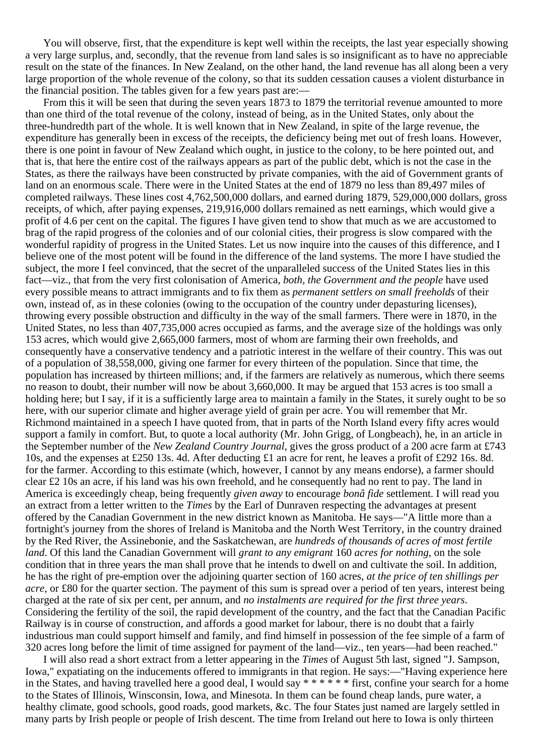You will observe, first, that the expenditure is kept well within the receipts, the last year especially showing a very large surplus, and, secondly, that the revenue from land sales is so insignificant as to have no appreciable result on the state of the finances. In New Zealand, on the other hand, the land revenue has all along been a very large proportion of the whole revenue of the colony, so that its sudden cessation causes a violent disturbance in the financial position. The tables given for a few years past are:—

From this it will be seen that during the seven years 1873 to 1879 the territorial revenue amounted to more than one third of the total revenue of the colony, instead of being, as in the United States, only about the three-hundredth part of the whole. It is well known that in New Zealand, in spite of the large revenue, the expenditure has generally been in excess of the receipts, the deficiency being met out of fresh loans. However, there is one point in favour of New Zealand which ought, in justice to the colony, to be here pointed out, and that is, that here the entire cost of the railways appears as part of the public debt, which is not the case in the States, as there the railways have been constructed by private companies, with the aid of Government grants of land on an enormous scale. There were in the United States at the end of 1879 no less than 89,497 miles of completed railways. These lines cost 4,762,500,000 dollars, and earned during 1879, 529,000,000 dollars, gross receipts, of which, after paying expenses, 219,916,000 dollars remained as nett earnings, which would give a profit of 4.6 per cent on the capital. The figures I have given tend to show that much as we are accustomed to brag of the rapid progress of the colonies and of our colonial cities, their progress is slow compared with the wonderful rapidity of progress in the United States. Let us now inquire into the causes of this difference, and I believe one of the most potent will be found in the difference of the land systems. The more I have studied the subject, the more I feel convinced, that the secret of the unparalleled success of the United States lies in this fact—viz., that from the very first colonisation of America, *both, the Government and the people* have used every possible means to attract immigrants and to fix them as *permanent settlers on small freeholds* of their own, instead of, as in these colonies (owing to the occupation of the country under depasturing licenses), throwing every possible obstruction and difficulty in the way of the small farmers. There were in 1870, in the United States, no less than 407,735,000 acres occupied as farms, and the average size of the holdings was only 153 acres, which would give 2,665,000 farmers, most of whom are farming their own freeholds, and consequently have a conservative tendency and a patriotic interest in the welfare of their country. This was out of a population of 38,558,000, giving one farmer for every thirteen of the population. Since that time, the population has increased by thirteen millions; and, if the farmers are relatively as numerous, which there seems no reason to doubt, their number will now be about 3,660,000. It may be argued that 153 acres is too small a holding here; but I say, if it is a sufficiently large area to maintain a family in the States, it surely ought to be so here, with our superior climate and higher average yield of grain per acre. You will remember that Mr. Richmond maintained in a speech I have quoted from, that in parts of the North Island every fifty acres would support a family in comfort. But, to quote a local authority (Mr. John Grigg, of Longbeach), he, in an article in the September number of the *New Zealand Country Journal*, gives the gross product of a 200 acre farm at £743 10s, and the expenses at £250 13s. 4d. After deducting £1 an acre for rent, he leaves a profit of £292 16s. 8d. for the farmer. According to this estimate (which, however, I cannot by any means endorse), a farmer should clear £2 10s an acre, if his land was his own freehold, and he consequently had no rent to pay. The land in America is exceedingly cheap, being frequently *given away* to encourage *bonâ fide* settlement. I will read you an extract from a letter written to the *Times* by the Earl of Dunraven respecting the advantages at present offered by the Canadian Government in the new district known as Manitoba. He says—"A little more than a fortnight's journey from the shores of Ireland is Manitoba and the North West Territory, in the country drained by the Red River, the Assinebonie, and the Saskatchewan, are *hundreds of thousands of acres of most fertile land*. Of this land the Canadian Government will *grant to any emigrant* 160 *acres for nothing*, on the sole condition that in three years the man shall prove that he intends to dwell on and cultivate the soil. In addition, he has the right of pre-emption over the adjoining quarter section of 160 acres, *at the price of ten shillings per acre*, or £80 for the quarter section. The payment of this sum is spread over a period of ten years, interest being charged at the rate of six per cent, per annum, and *no instalments are required for the first three years*. Considering the fertility of the soil, the rapid development of the country, and the fact that the Canadian Pacific Railway is in course of construction, and affords a good market for labour, there is no doubt that a fairly industrious man could support himself and family, and find himself in possession of the fee simple of a farm of 320 acres long before the limit of time assigned for payment of the land—viz., ten years—had been reached."

I will also read a short extract from a letter appearing in the *Times* of August 5th last, signed "J. Sampson, Iowa," expatiating on the inducements offered to immigrants in that region. He says:—"Having experience here in the States, and having travelled here a good deal, I would say  $*****$  first, confine your search for a home to the States of Illinois, Winsconsin, Iowa, and Minesota. In them can be found cheap lands, pure water, a healthy climate, good schools, good roads, good markets, &c. The four States just named are largely settled in many parts by Irish people or people of Irish descent. The time from Ireland out here to Iowa is only thirteen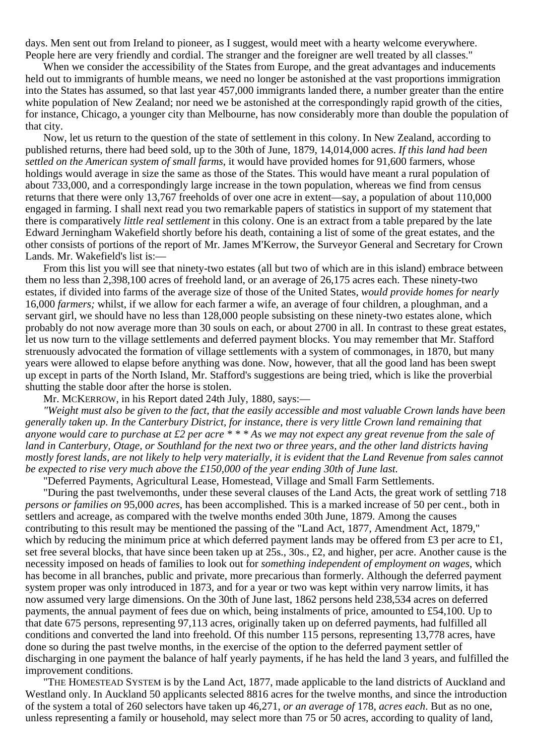days. Men sent out from Ireland to pioneer, as I suggest, would meet with a hearty welcome everywhere. People here are very friendly and cordial. The stranger and the foreigner are well treated by all classes."

When we consider the accessibility of the States from Europe, and the great advantages and inducements held out to immigrants of humble means, we need no longer be astonished at the vast proportions immigration into the States has assumed, so that last year 457,000 immigrants landed there, a number greater than the entire white population of New Zealand; nor need we be astonished at the correspondingly rapid growth of the cities, for instance, Chicago, a younger city than Melbourne, has now considerably more than double the population of that city.

Now, let us return to the question of the state of settlement in this colony. In New Zealand, according to published returns, there had beed sold, up to the 30th of June, 1879, 14,014,000 acres. *If this land had been settled on the American system of small farms*, it would have provided homes for 91,600 farmers, whose holdings would average in size the same as those of the States. This would have meant a rural population of about 733,000, and a correspondingly large increase in the town population, whereas we find from census returns that there were only 13,767 freeholds of over one acre in extent—say, a population of about 110,000 engaged in farming. I shall next read you two remarkable papers of statistics in support of my statement that there is comparatively *little real settlement* in this colony. One is an extract from a table prepared by the late Edward Jerningham Wakefield shortly before his death, containing a list of some of the great estates, and the other consists of portions of the report of Mr. James M'Kerrow, the Surveyor General and Secretary for Crown Lands. Mr. Wakefield's list is:—

From this list you will see that ninety-two estates (all but two of which are in this island) embrace between them no less than 2,398,100 acres of freehold land, or an average of 26,175 acres each. These ninety-two estates, if divided into farms of the average size of those of the United States, *would provide homes for nearly* 16,000 *farmers;* whilst, if we allow for each farmer a wife, an average of four children, a ploughman, and a servant girl, we should have no less than 128,000 people subsisting on these ninety-two estates alone, which probably do not now average more than 30 souls on each, or about 2700 in all. In contrast to these great estates, let us now turn to the village settlements and deferred payment blocks. You may remember that Mr. Stafford strenuously advocated the formation of village settlements with a system of commonages, in 1870, but many years were allowed to elapse before anything was done. Now, however, that all the good land has been swept up except in parts of the North Island, Mr. Stafford's suggestions are being tried, which is like the proverbial shutting the stable door after the horse is stolen.

Mr. MCKERROW, in his Report dated 24th July, 1880, says:—

*"Weight must also be given to the fact, that the easily accessible and most valuable Crown lands have been generally taken up. In the Canterbury District, for instance, there is very little Crown land remaining that anyone would care to purchase at £2 per acre \* \* \* As we may not expect any great revenue from the sale of land in Canterbury, Otage, or Southland for the next two or three years, and the other land districts having mostly forest lands, are not likely to help very materially, it is evident that the Land Revenue from sales cannot be expected to rise very much above the £150,000 of the year ending 30th of June last.*

"Deferred Payments, Agricultural Lease, Homestead, Village and Small Farm Settlements.

"During the past twelvemonths, under these several clauses of the Land Acts, the great work of settling 718 *persons or families on* 95,000 *acres*, has been accomplished. This is a marked increase of 50 per cent., both in settlers and acreage, as compared with the twelve months ended 30th June, 1879. Among the causes contributing to this result may be mentioned the passing of the "Land Act, 1877, Amendment Act, 1879," which by reducing the minimum price at which deferred payment lands may be offered from £3 per acre to £1, set free several blocks, that have since been taken up at 25s., 30s., £2, and higher, per acre. Another cause is the necessity imposed on heads of families to look out for *something independent of employment on wages*, which has become in all branches, public and private, more precarious than formerly. Although the deferred payment system proper was only introduced in 1873, and for a year or two was kept within very narrow limits, it has now assumed very large dimensions. On the 30th of June last, 1862 persons held 238,534 acres on deferred payments, the annual payment of fees due on which, being instalments of price, amounted to £54,100. Up to that date 675 persons, representing 97,113 acres, originally taken up on deferred payments, had fulfilled all conditions and converted the land into freehold. Of this number 115 persons, representing 13,778 acres, have done so during the past twelve months, in the exercise of the option to the deferred payment settler of discharging in one payment the balance of half yearly payments, if he has held the land 3 years, and fulfilled the improvement conditions.

"THE HOMESTEAD SYSTEM is by the Land Act, 1877, made applicable to the land districts of Auckland and Westland only. In Auckland 50 applicants selected 8816 acres for the twelve months, and since the introduction of the system a total of 260 selectors have taken up 46,271, *or an average of* 178, *acres each*. But as no one, unless representing a family or household, may select more than 75 or 50 acres, according to quality of land,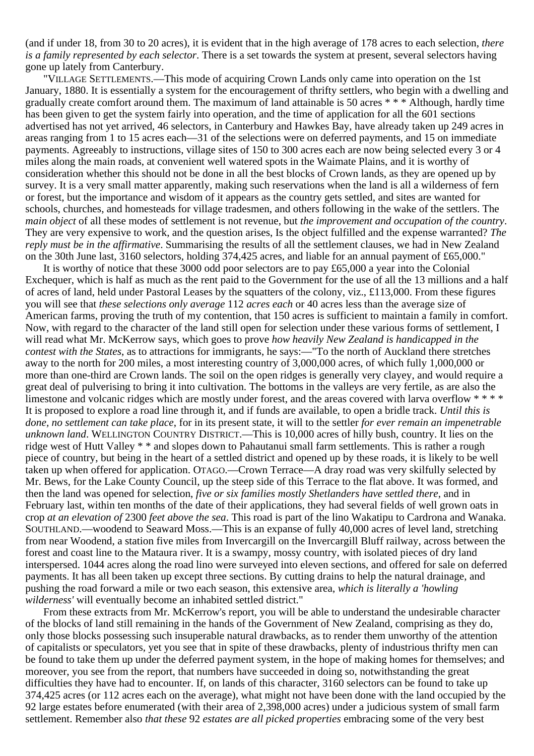(and if under 18, from 30 to 20 acres), it is evident that in the high average of 178 acres to each selection, *there is a family represented by each selector*. There is a set towards the system at present, several selectors having gone up lately from Canterbury.

"VILLAGE SETTLEMENTS.—This mode of acquiring Crown Lands only came into operation on the 1st January, 1880. It is essentially a system for the encouragement of thrifty settlers, who begin with a dwelling and gradually create comfort around them. The maximum of land attainable is 50 acres \* \* \* Although, hardly time has been given to get the system fairly into operation, and the time of application for all the 601 sections advertised has not yet arrived, 46 selectors, in Canterbury and Hawkes Bay, have already taken up 249 acres in areas ranging from 1 to 15 acres each—31 of the selections were on deferred payments, and 15 on immediate payments. Agreeably to instructions, village sites of 150 to 300 acres each are now being selected every 3 or 4 miles along the main roads, at convenient well watered spots in the Waimate Plains, and it is worthy of consideration whether this should not be done in all the best blocks of Crown lands, as they are opened up by survey. It is a very small matter apparently, making such reservations when the land is all a wilderness of fern or forest, but the importance and wisdom of it appears as the country gets settled, and sites are wanted for schools, churches, and homesteads for village tradesmen, and others following in the wake of the settlers. The *main object* of all these modes of settlement is not revenue, but *the improvement and occupation of the country*. They are very expensive to work, and the question arises, Is the object fulfilled and the expense warranted? *The reply must be in the affirmative*. Summarising the results of all the settlement clauses, we had in New Zealand on the 30th June last, 3160 selectors, holding 374,425 acres, and liable for an annual payment of £65,000."

It is worthy of notice that these 3000 odd poor selectors are to pay £65,000 a year into the Colonial Exchequer, which is half as much as the rent paid to the Government for the use of all the 13 millions and a half of acres of land, held under Pastoral Leases by the squatters of the colony, viz., £113,000. From these figures you will see that *these selections only average* 112 *acres each* or 40 acres less than the average size of American farms, proving the truth of my contention, that 150 acres is sufficient to maintain a family in comfort. Now, with regard to the character of the land still open for selection under these various forms of settlement, I will read what Mr. McKerrow says, which goes to prove *how heavily New Zealand is handicapped in the contest with the States*, as to attractions for immigrants, he says:—"To the north of Auckland there stretches away to the north for 200 miles, a most interesting country of 3,000,000 acres, of which fully 1,000,000 or more than one-third are Crown lands. The soil on the open ridges is generally very clayey, and would require a great deal of pulverising to bring it into cultivation. The bottoms in the valleys are very fertile, as are also the limestone and volcanic ridges which are mostly under forest, and the areas covered with larva overflow \*\*\*\* It is proposed to explore a road line through it, and if funds are available, to open a bridle track. *Until this is done, no settlement can take place*, for in its present state, it will to the settler *for ever remain an impenetrable unknown land*. WELLINGTON COUNTRY DISTRICT.—This is 10,000 acres of hilly bush, country. It lies on the ridge west of Hutt Valley \* \* and slopes down to Pahautanui small farm settlements. This is rather a rough piece of country, but being in the heart of a settled district and opened up by these roads, it is likely to be well taken up when offered for application. OTAGO.—Crown Terrace—A dray road was very skilfully selected by Mr. Bews, for the Lake County Council, up the steep side of this Terrace to the flat above. It was formed, and then the land was opened for selection, *five or six families mostly Shetlanders have settled there*, and in February last, within ten months of the date of their applications, they had several fields of well grown oats in crop *at an elevation of* 2300 *feet above the sea*. This road is part of the lino Wakatipu to Cardrona and Wanaka. SOUTHLAND.—woodend to Seaward Moss.—This is an expanse of fully 40,000 acres of level land, stretching from near Woodend, a station five miles from Invercargill on the Invercargill Bluff railway, across between the forest and coast line to the Mataura river. It is a swampy, mossy country, with isolated pieces of dry land interspersed. 1044 acres along the road lino were surveyed into eleven sections, and offered for sale on deferred payments. It has all been taken up except three sections. By cutting drains to help the natural drainage, and pushing the road forward a mile or two each season, this extensive area, *which is literally a 'howling wilderness'* will eventually become an inhabited settled district."

From these extracts from Mr. McKerrow's report, you will be able to understand the undesirable character of the blocks of land still remaining in the hands of the Government of New Zealand, comprising as they do, only those blocks possessing such insuperable natural drawbacks, as to render them unworthy of the attention of capitalists or speculators, yet you see that in spite of these drawbacks, plenty of industrious thrifty men can be found to take them up under the deferred payment system, in the hope of making homes for themselves; and moreover, you see from the report, that numbers have succeeded in doing so, notwithstanding the great difficulties they have had to encounter. If, on lands of this character, 3160 selectors can be found to take up 374,425 acres (or 112 acres each on the average), what might not have been done with the land occupied by the 92 large estates before enumerated (with their area of 2,398,000 acres) under a judicious system of small farm settlement. Remember also *that these* 92 *estates are all picked properties* embracing some of the very best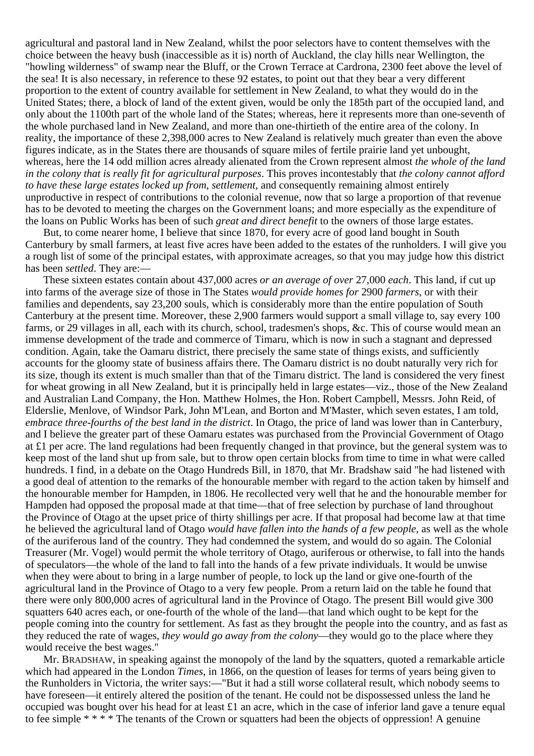agricultural and pastoral land in New Zealand, whilst the poor selectors have to content themselves with the choice between the heavy bush (inaccessible as it is) north of Auckland, the clay hills near Wellington, the "howling wilderness" of swamp near the Bluff, or the Crown Terrace at Cardrona, 2300 feet above the level of the sea! It is also necessary, in reference to these 92 estates, to point out that they bear a very different proportion to the extent of country available for settlement in New Zealand, to what they would do in the United States; there, a block of land of the extent given, would be only the 185th part of the occupied land, and only about the 1100th part of the whole land of the States; whereas, here it represents more than one-seventh of the whole purchased land in New Zealand, and more than one-thirtieth of the entire area of the colony. In reality, the importance of these 2,398,000 acres to New Zealand is relatively much greater than even the above figures indicate, as in the States there are thousands of square miles of fertile prairie land yet unbought, whereas, here the 14 odd million acres already alienated from the Crown represent almost *the whole of the land in the colony that is really fit for agricultural purposes*. This proves incontestably that *the colony cannot afford to have these large estates locked up from, settlement*, and consequently remaining almost entirely unproductive in respect of contributions to the colonial revenue, now that so large a proportion of that revenue has to be devoted to meeting the charges on the Government loans; and more especially as the expenditure of the loans on Public Works has been of such *great and direct benefit* to the owners of those large estates.

But, to come nearer home, I believe that since 1870, for every acre of good land bought in South Canterbury by small farmers, at least five acres have been added to the estates of the runholders. I will give you a rough list of some of the principal estates, with approximate acreages, so that you may judge how this district has been *settled*. They are:—

These sixteen estates contain about 437,000 acres *or an average of over* 27,000 *each*. This land, if cut up into farms of the average size of those in The States *would provide homes for* 2900 *farmers*, or with their families and dependents, say 23,200 souls, which is considerably more than the entire population of South Canterbury at the present time. Moreover, these 2,900 farmers would support a small village to, say every 100 farms, or 29 villages in all, each with its church, school, tradesmen's shops, &c. This of course would mean an immense development of the trade and commerce of Timaru, which is now in such a stagnant and depressed condition. Again, take the Oamaru district, there precisely the same state of things exists, and sufficiently accounts for the gloomy state of business affairs there. The Oamaru district is no doubt naturally very rich for its size, though its extent is much smaller than that of the Timaru district. The land is considered the very finest for wheat growing in all New Zealand, but it is principally held in large estates—viz., those of the New Zealand and Australian Land Company, the Hon. Matthew Holmes, the Hon. Robert Campbell, Messrs. John Reid, of Elderslie, Menlove, of Windsor Park, John M'Lean, and Borton and M'Master, which seven estates, I am told, *embrace three-fourths of the best land in the district*. In Otago, the price of land was lower than in Canterbury, and I believe the greater part of these Oamaru estates was purchased from the Provincial Government of Otago at £1 per acre. The land regulations had been frequently changed in that province, but the general system was to keep most of the land shut up from sale, but to throw open certain blocks from time to time in what were called hundreds. I find, in a debate on the Otago Hundreds Bill, in 1870, that Mr. Bradshaw said "he had listened with a good deal of attention to the remarks of the honourable member with regard to the action taken by himself and the honourable member for Hampden, in 1806. He recollected very well that he and the honourable member for Hampden had opposed the proposal made at that time—that of free selection by purchase of land throughout the Province of Otago at the upset price of thirty shillings per acre. If that proposal had become law at that time he believed the agricultural land of Otago *would have fallen into the hands of a few people*, as well as the whole of the auriferous land of the country. They had condemned the system, and would do so again. The Colonial Treasurer (Mr. Vogel) would permit the whole territory of Otago, auriferous or otherwise, to fall into the hands of speculators—the whole of the land to fall into the hands of a few private individuals. It would be unwise when they were about to bring in a large number of people, to lock up the land or give one-fourth of the agricultural land in the Province of Otago to a very few people. Prom a return laid on the table he found that there were only 800,000 acres of agricultural land in the Province of Otago. The present Bill would give 300 squatters 640 acres each, or one-fourth of the whole of the land—that land which ought to be kept for the people coming into the country for settlement. As fast as they brought the people into the country, and as fast as they reduced the rate of wages, *they would go away from the colony*—they would go to the place where they would receive the best wages."

Mr. BRADSHAW, in speaking against the monopoly of the land by the squatters, quoted a remarkable article which had appeared in the London *Times*, in 1866, on the question of leases for terms of years being given to the Runholders in Victoria, the writer says:—"But it had a still worse collateral result, which nobody seems to have foreseen—it entirely altered the position of the tenant. He could not be dispossessed unless the land he occupied was bought over his head for at least £1 an acre, which in the case of inferior land gave a tenure equal to fee simple \* \* \* \* The tenants of the Crown or squatters had been the objects of oppression! A genuine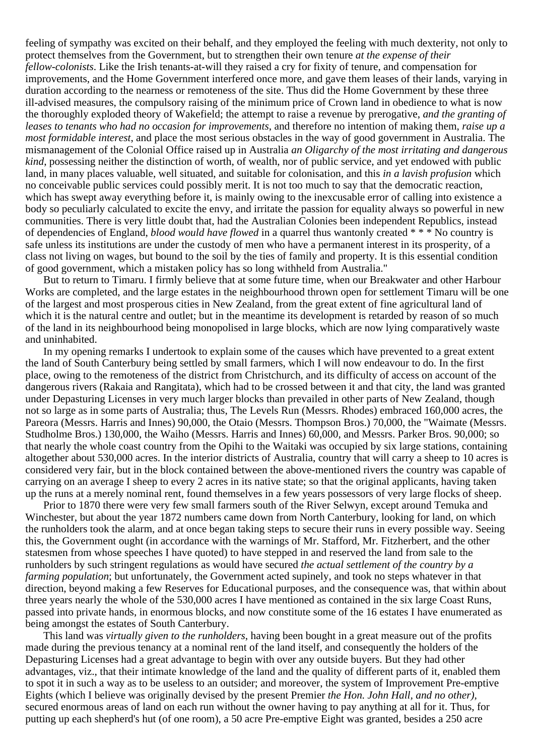feeling of sympathy was excited on their behalf, and they employed the feeling with much dexterity, not only to protect themselves from the Government, but to strengthen their own tenure *at the expense of their fellow-colonists*. Like the Irish tenants-at-will they raised a cry for fixity of tenure, and compensation for improvements, and the Home Government interfered once more, and gave them leases of their lands, varying in duration according to the nearness or remoteness of the site. Thus did the Home Government by these three ill-advised measures, the compulsory raising of the minimum price of Crown land in obedience to what is now the thoroughly exploded theory of Wakefield; the attempt to raise a revenue by prerogative, *and the granting of leases to tenants who had no occasion for improvements*, and therefore no intention of making them, *raise up a most formidable interest*, and place the most serious obstacles in the way of good government in Australia. The mismanagement of the Colonial Office raised up in Australia *an Oligarchy of the most irritating and dangerous kind*, possessing neither the distinction of worth, of wealth, nor of public service, and yet endowed with public land, in many places valuable, well situated, and suitable for colonisation, and this *in a lavish profusion* which no conceivable public services could possibly merit. It is not too much to say that the democratic reaction, which has swept away everything before it, is mainly owing to the inexcusable error of calling into existence a body so peculiarly calculated to excite the envy, and irritate the passion for equality always so powerful in new communities. There is very little doubt that, had the Australian Colonies been independent Republics, instead of dependencies of England, *blood would have flowed* in a quarrel thus wantonly created \* \* \* No country is safe unless its institutions are under the custody of men who have a permanent interest in its prosperity, of a class not living on wages, but bound to the soil by the ties of family and property. It is this essential condition of good government, which a mistaken policy has so long withheld from Australia."

But to return to Timaru. I firmly believe that at some future time, when our Breakwater and other Harbour Works are completed, and the large estates in the neighbourhood thrown open for settlement Timaru will be one of the largest and most prosperous cities in New Zealand, from the great extent of fine agricultural land of which it is the natural centre and outlet; but in the meantime its development is retarded by reason of so much of the land in its neighbourhood being monopolised in large blocks, which are now lying comparatively waste and uninhabited.

In my opening remarks I undertook to explain some of the causes which have prevented to a great extent the land of South Canterbury being settled by small farmers, which I will now endeavour to do. In the first place, owing to the remoteness of the district from Christchurch, and its difficulty of access on account of the dangerous rivers (Rakaia and Rangitata), which had to be crossed between it and that city, the land was granted under Depasturing Licenses in very much larger blocks than prevailed in other parts of New Zealand, though not so large as in some parts of Australia; thus, The Levels Run (Messrs. Rhodes) embraced 160,000 acres, the Pareora (Messrs. Harris and Innes) 90,000, the Otaio (Messrs. Thompson Bros.) 70,000, the "Waimate (Messrs. Studholme Bros.) 130,000, the Waiho (Messrs. Harris and Innes) 60,000, and Messrs. Parker Bros. 90,000; so that nearly the whole coast country from the Opihi to the Waitaki was occupied by six large stations, containing altogether about 530,000 acres. In the interior districts of Australia, country that will carry a sheep to 10 acres is considered very fair, but in the block contained between the above-mentioned rivers the country was capable of carrying on an average I sheep to every 2 acres in its native state; so that the original applicants, having taken up the runs at a merely nominal rent, found themselves in a few years possessors of very large flocks of sheep.

Prior to 1870 there were very few small farmers south of the River Selwyn, except around Temuka and Winchester, but about the year 1872 numbers came down from North Canterbury, looking for land, on which the runholders took the alarm, and at once began taking steps to secure their runs in every possible way. Seeing this, the Government ought (in accordance with the warnings of Mr. Stafford, Mr. Fitzherbert, and the other statesmen from whose speeches I have quoted) to have stepped in and reserved the land from sale to the runholders by such stringent regulations as would have secured *the actual settlement of the country by a farming population*; but unfortunately, the Government acted supinely, and took no steps whatever in that direction, beyond making a few Reserves for Educational purposes, and the consequence was, that within about three years nearly the whole of the 530,000 acres I have mentioned as contained in the six large Coast Runs, passed into private hands, in enormous blocks, and now constitute some of the 16 estates I have enumerated as being amongst the estates of South Canterbury.

This land was *virtually given to the runholders*, having been bought in a great measure out of the profits made during the previous tenancy at a nominal rent of the land itself, and consequently the holders of the Depasturing Licenses had a great advantage to begin with over any outside buyers. But they had other advantages, viz., that their intimate knowledge of the land and the quality of different parts of it, enabled them to spot it in such a way as to be useless to an outsider; and moreover, the system of Improvement Pre-emptive Eights (which I believe was originally devised by the present Premier *the Hon. John Hall, and no other)*, secured enormous areas of land on each run without the owner having to pay anything at all for it. Thus, for putting up each shepherd's hut (of one room), a 50 acre Pre-emptive Eight was granted, besides a 250 acre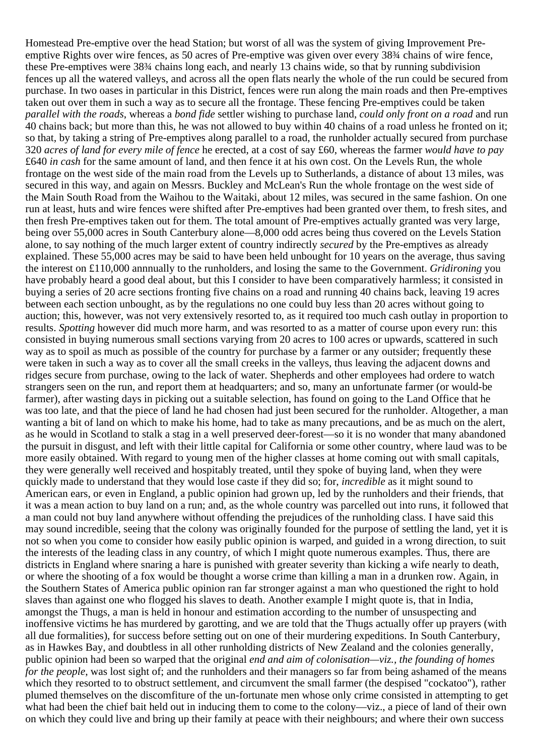Homestead Pre-emptive over the head Station; but worst of all was the system of giving Improvement Preemptive Rights over wire fences, as 50 acres of Pre-emptive was given over every 38¾ chains of wire fence, these Pre-emptives were 38¾ chains long each, and nearly 13 chains wide, so that by running subdivision fences up all the watered valleys, and across all the open flats nearly the whole of the run could be secured from purchase. In two oases in particular in this District, fences were run along the main roads and then Pre-emptives taken out over them in such a way as to secure all the frontage. These fencing Pre-emptives could be taken *parallel with the roads*, whereas a *bond fide* settler wishing to purchase land, *could only front on a road* and run 40 chains back; but more than this, he was not allowed to buy within 40 chains of a road unless he fronted on it; so that, by taking a string of Pre-emptives along parallel to a road, the runholder actually secured from purchase 320 *acres of land for every mile of fence* he erected, at a cost of say £60, whereas the farmer *would have to pay* £640 *in cash* for the same amount of land, and then fence it at his own cost. On the Levels Run, the whole frontage on the west side of the main road from the Levels up to Sutherlands, a distance of about 13 miles, was secured in this way, and again on Messrs. Buckley and McLean's Run the whole frontage on the west side of the Main South Road from the Waihou to the Waitaki, about 12 miles, was secured in the same fashion. On one run at least, huts and wire fences were shifted after Pre-emptives had been granted over them, to fresh sites, and then fresh Pre-emptives taken out for them. The total amount of Pre-emptives actually granted was very large, being over 55,000 acres in South Canterbury alone—8,000 odd acres being thus covered on the Levels Station alone, to say nothing of the much larger extent of country indirectly *secured* by the Pre-emptives as already explained. These 55,000 acres may be said to have been held unbought for 10 years on the average, thus saving the interest on £110,000 annnually to the runholders, and losing the same to the Government. *Gridironing* you have probably heard a good deal about, but this I consider to have been comparatively harmless; it consisted in buying a series of 20 acre sections fronting five chains on a road and running 40 chains back, leaving 19 acres between each section unbought, as by the regulations no one could buy less than 20 acres without going to auction; this, however, was not very extensively resorted to, as it required too much cash outlay in proportion to results. *Spotting* however did much more harm, and was resorted to as a matter of course upon every run: this consisted in buying numerous small sections varying from 20 acres to 100 acres or upwards, scattered in such way as to spoil as much as possible of the country for purchase by a farmer or any outsider; frequently these were taken in such a way as to cover all the small creeks in the valleys, thus leaving the adjacent downs and ridges secure from purchase, owing to the lack of water. Shepherds and other employees had ordere to watch strangers seen on the run, and report them at headquarters; and so, many an unfortunate farmer (or would-be farmer), after wasting days in picking out a suitable selection, has found on going to the Land Office that he was too late, and that the piece of land he had chosen had just been secured for the runholder. Altogether, a man wanting a bit of land on which to make his home, had to take as many precautions, and be as much on the alert, as he would in Scotland to stalk a stag in a well preserved deer-forest—so it is no wonder that many abandoned the pursuit in disgust, and left with their little capital for California or some other country, where laud was to be more easily obtained. With regard to young men of the higher classes at home coming out with small capitals, they were generally well received and hospitably treated, until they spoke of buying land, when they were quickly made to understand that they would lose caste if they did so; for, *incredible* as it might sound to American ears, or even in England, a public opinion had grown up, led by the runholders and their friends, that it was a mean action to buy land on a run; and, as the whole country was parcelled out into runs, it followed that a man could not buy land anywhere without offending the prejudices of the runholding class. I have said this may sound incredible, seeing that the colony was originally founded for the purpose of settling the land, yet it is not so when you come to consider how easily public opinion is warped, and guided in a wrong direction, to suit the interests of the leading class in any country, of which I might quote numerous examples. Thus, there are districts in England where snaring a hare is punished with greater severity than kicking a wife nearly to death, or where the shooting of a fox would be thought a worse crime than killing a man in a drunken row. Again, in the Southern States of America public opinion ran far stronger against a man who questioned the right to hold slaves than against one who flogged his slaves to death. Another example I might quote is, that in India, amongst the Thugs, a man is held in honour and estimation according to the number of unsuspecting and inoffensive victims he has murdered by garotting, and we are told that the Thugs actually offer up prayers (with all due formalities), for success before setting out on one of their murdering expeditions. In South Canterbury, as in Hawkes Bay, and doubtless in all other runholding districts of New Zealand and the colonies generally, public opinion had been so warped that the original *end and aim of colonisation—viz., the founding of homes for the people*, was lost sight of; and the runholders and their managers so far from being ashamed of the means which they resorted to to obstruct settlement, and circumvent the small farmer (the despised "cockatoo"), rather plumed themselves on the discomfiture of the un-fortunate men whose only crime consisted in attempting to get what had been the chief bait held out in inducing them to come to the colony—viz., a piece of land of their own on which they could live and bring up their family at peace with their neighbours; and where their own success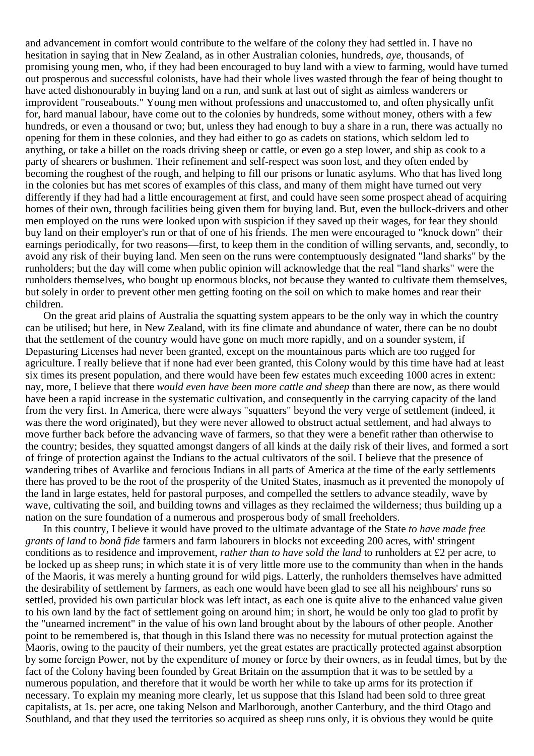and advancement in comfort would contribute to the welfare of the colony they had settled in. I have no hesitation in saying that in New Zealand, as in other Australian colonies, hundreds, *aye*, thousands, of promising young men, who, if they had been encouraged to buy land with a view to farming, would have turned out prosperous and successful colonists, have had their whole lives wasted through the fear of being thought to have acted dishonourably in buying land on a run, and sunk at last out of sight as aimless wanderers or improvident "rouseabouts." Young men without professions and unaccustomed to, and often physically unfit for, hard manual labour, have come out to the colonies by hundreds, some without money, others with a few hundreds, or even a thousand or two; but, unless they had enough to buy a share in a run, there was actually no opening for them in these colonies, and they had either to go as cadets on stations, which seldom led to anything, or take a billet on the roads driving sheep or cattle, or even go a step lower, and ship as cook to a party of shearers or bushmen. Their refinement and self-respect was soon lost, and they often ended by becoming the roughest of the rough, and helping to fill our prisons or lunatic asylums. Who that has lived long in the colonies but has met scores of examples of this class, and many of them might have turned out very differently if they had had a little encouragement at first, and could have seen some prospect ahead of acquiring homes of their own, through facilities being given them for buying land. But, even the bullock-drivers and other men employed on the runs were looked upon with suspicion if they saved up their wages, for fear they should buy land on their employer's run or that of one of his friends. The men were encouraged to "knock down" their earnings periodically, for two reasons—first, to keep them in the condition of willing servants, and, secondly, to avoid any risk of their buying land. Men seen on the runs were contemptuously designated "land sharks" by the runholders; but the day will come when public opinion will acknowledge that the real "land sharks" were the runholders themselves, who bought up enormous blocks, not because they wanted to cultivate them themselves, but solely in order to prevent other men getting footing on the soil on which to make homes and rear their children.

On the great arid plains of Australia the squatting system appears to be the only way in which the country can be utilised; but here, in New Zealand, with its fine climate and abundance of water, there can be no doubt that the settlement of the country would have gone on much more rapidly, and on a sounder system, if Depasturing Licenses had never been granted, except on the mountainous parts which are too rugged for agriculture. I really believe that if none had ever been granted, this Colony would by this time have had at least six times its present population, and there would have been few estates much exceeding 1000 acres in extent: nay, more, I believe that there *would even have been more cattle and sheep* than there are now, as there would have been a rapid increase in the systematic cultivation, and consequently in the carrying capacity of the land from the very first. In America, there were always "squatters" beyond the very verge of settlement (indeed, it was there the word originated), but they were never allowed to obstruct actual settlement, and had always to move further back before the advancing wave of farmers, so that they were a benefit rather than otherwise to the country; besides, they squatted amongst dangers of all kinds at the daily risk of their lives, and formed a sort of fringe of protection against the Indians to the actual cultivators of the soil. I believe that the presence of wandering tribes of Avarlike and ferocious Indians in all parts of America at the time of the early settlements there has proved to be the root of the prosperity of the United States, inasmuch as it prevented the monopoly of the land in large estates, held for pastoral purposes, and compelled the settlers to advance steadily, wave by wave, cultivating the soil, and building towns and villages as they reclaimed the wilderness; thus building up a nation on the sure foundation of a numerous and prosperous body of small freeholders.

In this country, I believe it would have proved to the ultimate advantage of the State *to have made free grants of land* to *bonâ fide* farmers and farm labourers in blocks not exceeding 200 acres, with' stringent conditions as to residence and improvement, *rather than to have sold the land* to runholders at £2 per acre, to be locked up as sheep runs; in which state it is of very little more use to the community than when in the hands of the Maoris, it was merely a hunting ground for wild pigs. Latterly, the runholders themselves have admitted the desirability of settlement by farmers, as each one would have been glad to see all his neighbours' runs so settled, provided his own particular block was left intact, as each one is quite alive to the enhanced value given to his own land by the fact of settlement going on around him; in short, he would be only too glad to profit by the "unearned increment" in the value of his own land brought about by the labours of other people. Another point to be remembered is, that though in this Island there was no necessity for mutual protection against the Maoris, owing to the paucity of their numbers, yet the great estates are practically protected against absorption by some foreign Power, not by the expenditure of money or force by their owners, as in feudal times, but by the fact of the Colony having been founded by Great Britain on the assumption that it was to be settled by a numerous population, and therefore that it would be worth her while to take up arms for its protection if necessary. To explain my meaning more clearly, let us suppose that this Island had been sold to three great capitalists, at 1s. per acre, one taking Nelson and Marlborough, another Canterbury, and the third Otago and Southland, and that they used the territories so acquired as sheep runs only, it is obvious they would be quite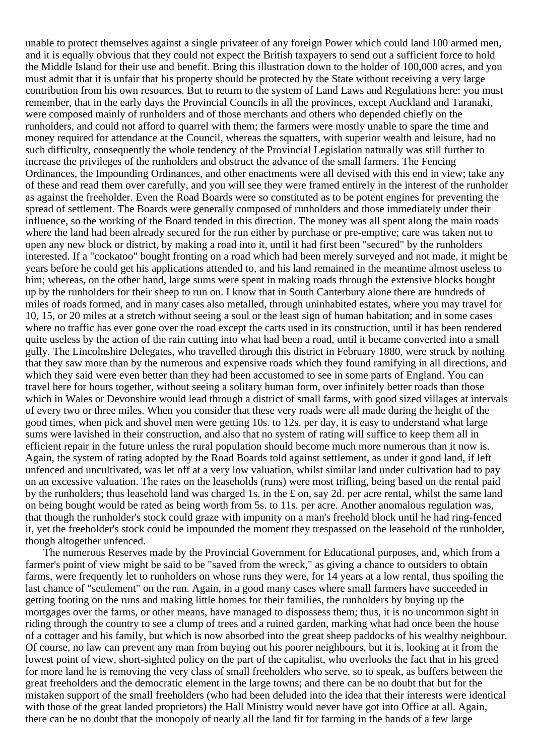unable to protect themselves against a single privateer of any foreign Power which could land 100 armed men, and it is equally obvious that they could not expect the British taxpayers to send out a sufficient force to hold the Middle Island for their use and benefit. Bring this illustration down to the holder of 100,000 acres, and you must admit that it is unfair that his property should be protected by the State without receiving a very large contribution from his own resources. But to return to the system of Land Laws and Regulations here: you must remember, that in the early days the Provincial Councils in all the provinces, except Auckland and Taranaki, were composed mainly of runholders and of those merchants and others who depended chiefly on the runholders, and could not afford to quarrel with them; the farmers were mostly unable to spare the time and money required for attendance at the Council, whereas the squatters, with superior wealth and leisure, had no such difficulty, consequently the whole tendency of the Provincial Legislation naturally was still further to increase the privileges of the runholders and obstruct the advance of the small farmers. The Fencing Ordinances, the Impounding Ordinances, and other enactments were all devised with this end in view; take any of these and read them over carefully, and you will see they were framed entirely in the interest of the runholder as against the freeholder. Even the Road Boards were so constituted as to be potent engines for preventing the spread of settlement. The Boards were generally composed of runholders and those immediately under their influence, so the working of the Board tended in this direction. The money was all spent along the main roads where the land had been already secured for the run either by purchase or pre-emptive; care was taken not to open any new block or district, by making a road into it, until it had first been "secured" by the runholders interested. If a "cockatoo" bought fronting on a road which had been merely surveyed and not made, it might be years before he could get his applications attended to, and his land remained in the meantime almost useless to him; whereas, on the other hand, large sums were spent in making roads through the extensive blocks bought up by the runholders for their sheep to run on. I know that in South Canterbury alone there are hundreds of miles of roads formed, and in many cases also metalled, through uninhabited estates, where you may travel for 10, 15, or 20 miles at a stretch without seeing a soul or the least sign of human habitation; and in some cases where no traffic has ever gone over the road except the carts used in its construction, until it has been rendered quite useless by the action of the rain cutting into what had been a road, until it became converted into a small gully. The Lincolnshire Delegates, who travelled through this district in February 1880, were struck by nothing that they saw more than by the numerous and expensive roads which they found ramifying in all directions, and which they said were even better than they had been accustomed to see in some parts of England. You can travel here for hours together, without seeing a solitary human form, over infinitely better roads than those which in Wales or Devonshire would lead through a district of small farms, with good sized villages at intervals of every two or three miles. When you consider that these very roads were all made during the height of the good times, when pick and shovel men were getting 10s. to 12s. per day, it is easy to understand what large sums were lavished in their construction, and also that no system of rating will suffice to keep them all in efficient repair in the future unless the rural population should become much more numerous than it now is. Again, the system of rating adopted by the Road Boards told against settlement, as under it good land, if left unfenced and uncultivated, was let off at a very low valuation, whilst similar land under cultivation had to pay on an excessive valuation. The rates on the leaseholds (runs) were most trifling, being based on the rental paid by the runholders; thus leasehold land was charged 1s. in the £ on, say 2d. per acre rental, whilst the same land on being bought would be rated as being worth from 5s. to 11s. per acre. Another anomalous regulation was, that though the runholder's stock could graze with impunity on a man's freehold block until he had ring-fenced it, yet the freeholder's stock could be impounded the moment they trespassed on the leasehold of the runholder, though altogether unfenced.

The numerous Reserves made by the Provincial Government for Educational purposes, and, which from a farmer's point of view might be said to be "saved from the wreck," as giving a chance to outsiders to obtain farms, were frequently let to runholders on whose runs they were, for 14 years at a low rental, thus spoiling the last chance of "settlement" on the run. Again, in a good many cases where small farmers have succeeded in getting footing on the runs and making little homes for their families, the runholders by buying up the mortgages over the farms, or other means, have managed to dispossess them; thus, it is no uncommon sight in riding through the country to see a clump of trees and a ruined garden, marking what had once been the house of a cottager and his family, but which is now absorbed into the great sheep paddocks of his wealthy neighbour. Of course, no law can prevent any man from buying out his poorer neighbours, but it is, looking at it from the lowest point of view, short-sighted policy on the part of the capitalist, who overlooks the fact that in his greed for more land he is removing the very class of small freeholders who serve, so to speak, as buffers between the great freeholders and the democratic element in the large towns; and there can be no doubt that but for the mistaken support of the small freeholders (who had been deluded into the idea that their interests were identical with those of the great landed proprietors) the Hall Ministry would never have got into Office at all. Again, there can be no doubt that the monopoly of nearly all the land fit for farming in the hands of a few large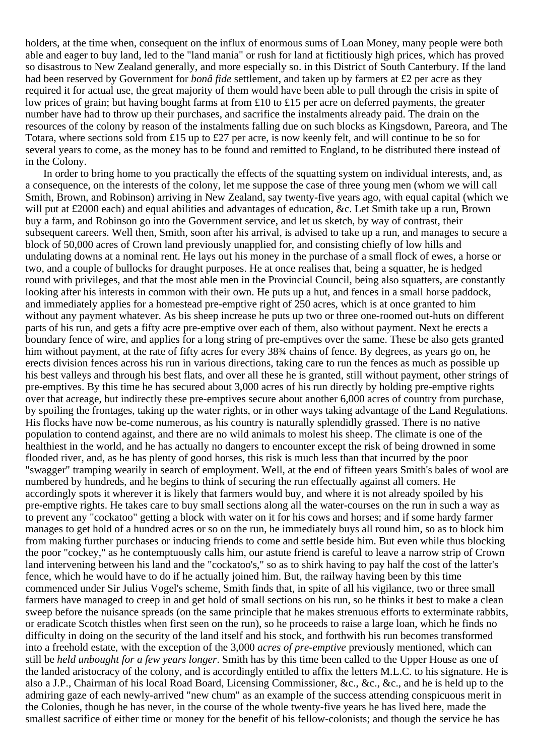holders, at the time when, consequent on the influx of enormous sums of Loan Money, many people were both able and eager to buy land, led to the "land mania" or rush for land at fictitiously high prices, which has proved so disastrous to New Zealand generally, and more especially so. in this District of South Canterbury. If the land had been reserved by Government for *bonâ fide* settlement, and taken up by farmers at £2 per acre as they required it for actual use, the great majority of them would have been able to pull through the crisis in spite of low prices of grain; but having bought farms at from £10 to £15 per acre on deferred payments, the greater number have had to throw up their purchases, and sacrifice the instalments already paid. The drain on the resources of the colony by reason of the instalments falling due on such blocks as Kingsdown, Pareora, and The Totara, where sections sold from £15 up to £27 per acre, is now keenly felt, and will continue to be so for several years to come, as the money has to be found and remitted to England, to be distributed there instead of in the Colony.

In order to bring home to you practically the effects of the squatting system on individual interests, and, as a consequence, on the interests of the colony, let me suppose the case of three young men (whom we will call Smith, Brown, and Robinson) arriving in New Zealand, say twenty-five years ago, with equal capital (which we will put at £2000 each) and equal abilities and advantages of education, &c. Let Smith take up a run, Brown buy a farm, and Robinson go into the Government service, and let us sketch, by way of contrast, their subsequent careers. Well then, Smith, soon after his arrival, is advised to take up a run, and manages to secure a block of 50,000 acres of Crown land previously unapplied for, and consisting chiefly of low hills and undulating downs at a nominal rent. He lays out his money in the purchase of a small flock of ewes, a horse or two, and a couple of bullocks for draught purposes. He at once realises that, being a squatter, he is hedged round with privileges, and that the most able men in the Provincial Council, being also squatters, are constantly looking after his interests in common with their own. He puts up a hut, and fences in a small horse paddock, and immediately applies for a homestead pre-emptive right of 250 acres, which is at once granted to him without any payment whatever. As bis sheep increase he puts up two or three one-roomed out-huts on different parts of his run, and gets a fifty acre pre-emptive over each of them, also without payment. Next he erects a boundary fence of wire, and applies for a long string of pre-emptives over the same. These be also gets granted him without payment, at the rate of fifty acres for every 38<sup>3</sup>/4 chains of fence. By degrees, as years go on, he erects division fences across his run in various directions, taking care to run the fences as much as possible up his best valleys and through his best flats, and over all these he is granted, still without payment, other strings of pre-emptives. By this time he has secured about 3,000 acres of his run directly by holding pre-emptive rights over that acreage, but indirectly these pre-emptives secure about another 6,000 acres of country from purchase, by spoiling the frontages, taking up the water rights, or in other ways taking advantage of the Land Regulations. His flocks have now be-come numerous, as his country is naturally splendidly grassed. There is no native population to contend against, and there are no wild animals to molest his sheep. The climate is one of the healthiest in the world, and he has actually no dangers to encounter except the risk of being drowned in some flooded river, and, as he has plenty of good horses, this risk is much less than that incurred by the poor "swagger" tramping wearily in search of employment. Well, at the end of fifteen years Smith's bales of wool are numbered by hundreds, and he begins to think of securing the run effectually against all comers. He accordingly spots it wherever it is likely that farmers would buy, and where it is not already spoiled by his pre-emptive rights. He takes care to buy small sections along all the water-courses on the run in such a way as to prevent any "cockatoo" getting a block with water on it for his cows and horses; and if some hardy farmer manages to get hold of a hundred acres or so on the run, he immediately buys all round him, so as to block him from making further purchases or inducing friends to come and settle beside him. But even while thus blocking the poor "cockey," as he contemptuously calls him, our astute friend is careful to leave a narrow strip of Crown land intervening between his land and the "cockatoo's," so as to shirk having to pay half the cost of the latter's fence, which he would have to do if he actually joined him. But, the railway having been by this time commenced under Sir Julius Vogel's scheme, Smith finds that, in spite of all his vigilance, two or three small farmers have managed to creep in and get hold of small sections on his run, so he thinks it best to make a clean sweep before the nuisance spreads (on the same principle that he makes strenuous efforts to exterminate rabbits, or eradicate Scotch thistles when first seen on the run), so he proceeds to raise a large loan, which he finds no difficulty in doing on the security of the land itself and his stock, and forthwith his run becomes transformed into a freehold estate, with the exception of the 3,000 *acres of pre-emptive* previously mentioned, which can still be *held unbought for a few years longer*. Smith has by this time been called to the Upper House as one of the landed aristocracy of the colony, and is accordingly entitled to affix the letters M.L.C. to his signature. He is also a J.P., Chairman of his local Road Board, Licensing Commissioner, &c., &c., &c., and he is held up to the admiring gaze of each newly-arrived "new chum" as an example of the success attending conspicuous merit in the Colonies, though he has never, in the course of the whole twenty-five years he has lived here, made the smallest sacrifice of either time or money for the benefit of his fellow-colonists; and though the service he has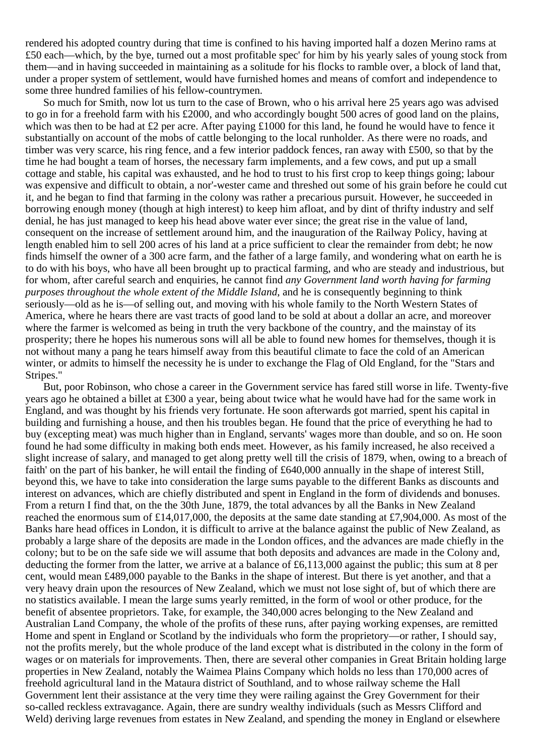rendered his adopted country during that time is confined to his having imported half a dozen Merino rams at £50 each—which, by the bye, turned out a most profitable spec' for him by his yearly sales of young stock from them—and in having succeeded in maintaining as a solitude for his flocks to ramble over, a block of land that, under a proper system of settlement, would have furnished homes and means of comfort and independence to some three hundred families of his fellow-countrymen.

So much for Smith, now lot us turn to the case of Brown, who o his arrival here 25 years ago was advised to go in for a freehold farm with his £2000, and who accordingly bought 500 acres of good land on the plains, which was then to be had at £2 per acre. After paying £1000 for this land, he found he would have to fence it substantially on account of the mobs of cattle belonging to the local runholder. As there were no roads, and timber was very scarce, his ring fence, and a few interior paddock fences, ran away with £500, so that by the time he had bought a team of horses, the necessary farm implements, and a few cows, and put up a small cottage and stable, his capital was exhausted, and he hod to trust to his first crop to keep things going; labour was expensive and difficult to obtain, a nor'-wester came and threshed out some of his grain before he could cut it, and he began to find that farming in the colony was rather a precarious pursuit. However, he succeeded in borrowing enough money (though at high interest) to keep him afloat, and by dint of thrifty industry and self denial, he has just managed to keep his head above water ever since; the great rise in the value of land, consequent on the increase of settlement around him, and the inauguration of the Railway Policy, having at length enabled him to sell 200 acres of his land at a price sufficient to clear the remainder from debt; he now finds himself the owner of a 300 acre farm, and the father of a large family, and wondering what on earth he is to do with his boys, who have all been brought up to practical farming, and who are steady and industrious, but for whom, after careful search and enquiries, he cannot find *any Government land worth having for farming purposes throughout the whole extent of the Middle Island*, and he is consequently beginning to think seriously—old as he is—of selling out, and moving with his whole family to the North Western States of America, where he hears there are vast tracts of good land to be sold at about a dollar an acre, and moreover where the farmer is welcomed as being in truth the very backbone of the country, and the mainstay of its prosperity; there he hopes his numerous sons will all be able to found new homes for themselves, though it is not without many a pang he tears himself away from this beautiful climate to face the cold of an American winter, or admits to himself the necessity he is under to exchange the Flag of Old England, for the "Stars and Stripes."

But, poor Robinson, who chose a career in the Government service has fared still worse in life. Twenty-five years ago he obtained a billet at £300 a year, being about twice what he would have had for the same work in England, and was thought by his friends very fortunate. He soon afterwards got married, spent his capital in building and furnishing a house, and then his troubles began. He found that the price of everything he had to buy (excepting meat) was much higher than in England, servants' wages more than double, and so on. He soon found he had some difficulty in making both ends meet. However, as his family increased, he also received a slight increase of salary, and managed to get along pretty well till the crisis of 1879, when, owing to a breach of faith' on the part of his banker, he will entail the finding of £640,000 annually in the shape of interest Still, beyond this, we have to take into consideration the large sums payable to the different Banks as discounts and interest on advances, which are chiefly distributed and spent in England in the form of dividends and bonuses. From a return I find that, on the the 30th June, 1879, the total advances by all the Banks in New Zealand reached the enormous sum of £14,017,000, the deposits at the same date standing at £7,904,000. As most of the Banks hare head offices in London, it is difficult to arrive at the balance against the public of New Zealand, as probably a large share of the deposits are made in the London offices, and the advances are made chiefly in the colony; but to be on the safe side we will assume that both deposits and advances are made in the Colony and, deducting the former from the latter, we arrive at a balance of £6,113,000 against the public; this sum at 8 per cent, would mean £489,000 payable to the Banks in the shape of interest. But there is yet another, and that a very heavy drain upon the resources of New Zealand, which we must not lose sight of, but of which there are no statistics available. I mean the large sums yearly remitted, in the form of wool or other produce, for the benefit of absentee proprietors. Take, for example, the 340,000 acres belonging to the New Zealand and Australian Land Company, the whole of the profits of these runs, after paying working expenses, are remitted Home and spent in England or Scotland by the individuals who form the proprietory—or rather, I should say, not the profits merely, but the whole produce of the land except what is distributed in the colony in the form of wages or on materials for improvements. Then, there are several other companies in Great Britain holding large properties in New Zealand, notably the Waimea Plains Company which holds no less than 170,000 acres of freehold agricultural land in the Mataura district of Southland, and to whose railway scheme the Hall Government lent their assistance at the very time they were railing against the Grey Government for their so-called reckless extravagance. Again, there are sundry wealthy individuals (such as Messrs Clifford and Weld) deriving large revenues from estates in New Zealand, and spending the money in England or elsewhere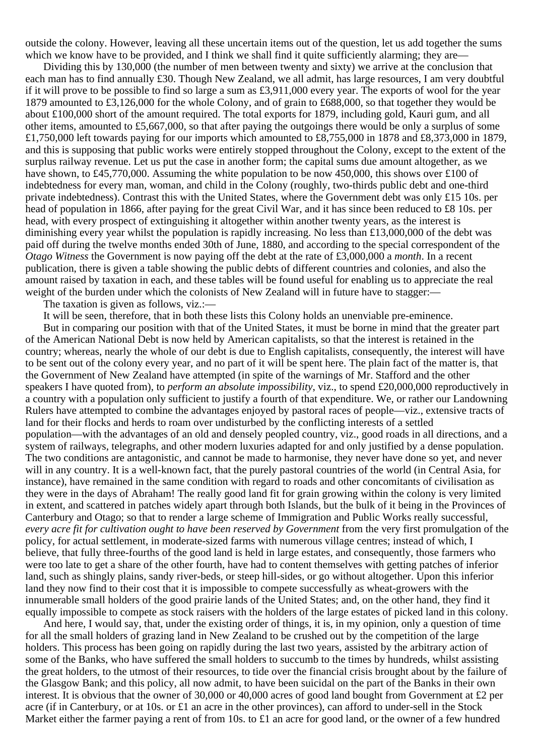outside the colony. However, leaving all these uncertain items out of the question, let us add together the sums which we know have to be provided, and I think we shall find it quite sufficiently alarming; they are—

Dividing this by 130,000 (the number of men between twenty and sixty) we arrive at the conclusion that each man has to find annually £30. Though New Zealand, we all admit, has large resources, I am very doubtful if it will prove to be possible to find so large a sum as £3,911,000 every year. The exports of wool for the year 1879 amounted to £3,126,000 for the whole Colony, and of grain to £688,000, so that together they would be about £100,000 short of the amount required. The total exports for 1879, including gold, Kauri gum, and all other items, amounted to £5,667,000, so that after paying the outgoings there would be only a surplus of some £1,750,000 left towards paying for our imports which amounted to £8,755,000 in 1878 and £8,373,000 in 1879, and this is supposing that public works were entirely stopped throughout the Colony, except to the extent of the surplus railway revenue. Let us put the case in another form; the capital sums due amount altogether, as we have shown, to £45,770,000. Assuming the white population to be now 450,000, this shows over £100 of indebtedness for every man, woman, and child in the Colony (roughly, two-thirds public debt and one-third private indebtedness). Contrast this with the United States, where the Government debt was only £15 10s. per head of population in 1866, after paying for the great Civil War, and it has since been reduced to £8 10s. per head, with every prospect of extinguishing it altogether within another twenty years, as the interest is diminishing every year whilst the population is rapidly increasing. No less than £13,000,000 of the debt was paid off during the twelve months ended 30th of June, 1880, and according to the special correspondent of the *Otago Witness* the Government is now paying off the debt at the rate of £3,000,000 a *month*. In a recent publication, there is given a table showing the public debts of different countries and colonies, and also the amount raised by taxation in each, and these tables will be found useful for enabling us to appreciate the real weight of the burden under which the colonists of New Zealand will in future have to stagger:—

The taxation is given as follows, viz.:—

It will be seen, therefore, that in both these lists this Colony holds an unenviable pre-eminence.

But in comparing our position with that of the United States, it must be borne in mind that the greater part of the American National Debt is now held by American capitalists, so that the interest is retained in the country; whereas, nearly the whole of our debt is due to English capitalists, consequently, the interest will have to be sent out of the colony every year, and no part of it will be spent here. The plain fact of the matter is, that the Government of New Zealand have attempted (in spite of the warnings of Mr. Stafford and the other speakers I have quoted from), to *perform an absolute impossibility*, viz., to spend £20,000,000 reproductively in a country with a population only sufficient to justify a fourth of that expenditure. We, or rather our Landowning Rulers have attempted to combine the advantages enjoyed by pastoral races of people—viz., extensive tracts of land for their flocks and herds to roam over undisturbed by the conflicting interests of a settled population—with the advantages of an old and densely peopled country, viz., good roads in all directions, and a system of railways, telegraphs, and other modern luxuries adapted for and only justified by a dense population. The two conditions are antagonistic, and cannot be made to harmonise, they never have done so yet, and never will in any country. It is a well-known fact, that the purely pastoral countries of the world (in Central Asia, for instance), have remained in the same condition with regard to roads and other concomitants of civilisation as they were in the days of Abraham! The really good land fit for grain growing within the colony is very limited in extent, and scattered in patches widely apart through both Islands, but the bulk of it being in the Provinces of Canterbury and Otago; so that to render a large scheme of Immigration and Public Works really successful, *every acre fit for cultivation ought to have been reserved by Government* from the very first promulgation of the policy, for actual settlement, in moderate-sized farms with numerous village centres; instead of which, I believe, that fully three-fourths of the good land is held in large estates, and consequently, those farmers who were too late to get a share of the other fourth, have had to content themselves with getting patches of inferior land, such as shingly plains, sandy river-beds, or steep hill-sides, or go without altogether. Upon this inferior land they now find to their cost that it is impossible to compete successfully as wheat-growers with the innumerable small holders of the good prairie lands of the United States; and, on the other hand, they find it equally impossible to compete as stock raisers with the holders of the large estates of picked land in this colony.

And here, I would say, that, under the existing order of things, it is, in my opinion, only a question of time for all the small holders of grazing land in New Zealand to be crushed out by the competition of the large holders. This process has been going on rapidly during the last two years, assisted by the arbitrary action of some of the Banks, who have suffered the small holders to succumb to the times by hundreds, whilst assisting the great holders, to the utmost of their resources, to tide over the financial crisis brought about by the failure of the Glasgow Bank; and this policy, all now admit, to have been suicidal on the part of the Banks in their own interest. It is obvious that the owner of 30,000 or 40,000 acres of good land bought from Government at £2 per acre (if in Canterbury, or at 10s. or £1 an acre in the other provinces), can afford to under-sell in the Stock Market either the farmer paying a rent of from 10s, to £1 an acre for good land, or the owner of a few hundred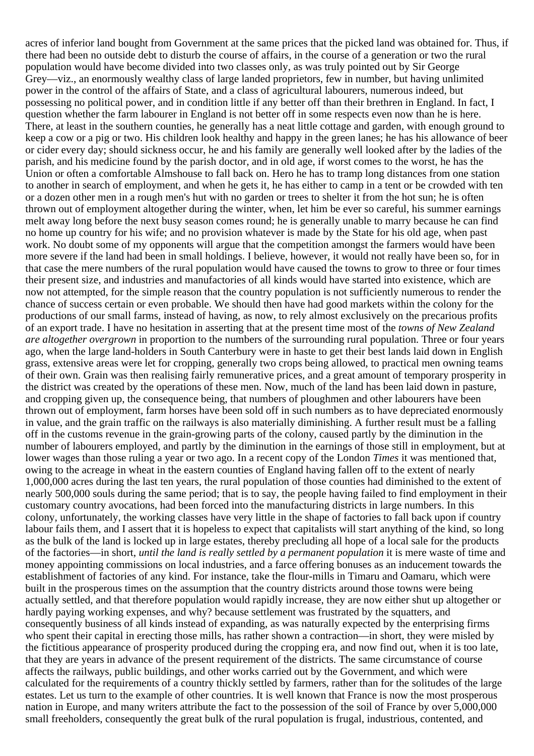acres of inferior land bought from Government at the same prices that the picked land was obtained for. Thus, if there had been no outside debt to disturb the course of affairs, in the course of a generation or two the rural population would have become divided into two classes only, as was truly pointed out by Sir George Grey—viz., an enormously wealthy class of large landed proprietors, few in number, but having unlimited power in the control of the affairs of State, and a class of agricultural labourers, numerous indeed, but possessing no political power, and in condition little if any better off than their brethren in England. In fact, I question whether the farm labourer in England is not better off in some respects even now than he is here. There, at least in the southern counties, he generally has a neat little cottage and garden, with enough ground to keep a cow or a pig or two. His children look healthy and happy in the green lanes; he has his allowance of beer or cider every day; should sickness occur, he and his family are generally well looked after by the ladies of the parish, and his medicine found by the parish doctor, and in old age, if worst comes to the worst, he has the Union or often a comfortable Almshouse to fall back on. Hero he has to tramp long distances from one station to another in search of employment, and when he gets it, he has either to camp in a tent or be crowded with ten or a dozen other men in a rough men's hut with no garden or trees to shelter it from the hot sun; he is often thrown out of employment altogether during the winter, when, let him be ever so careful, his summer earnings melt away long before the next busy season comes round; he is generally unable to marry because he can find no home up country for his wife; and no provision whatever is made by the State for his old age, when past work. No doubt some of my opponents will argue that the competition amongst the farmers would have been more severe if the land had been in small holdings. I believe, however, it would not really have been so, for in that case the mere numbers of the rural population would have caused the towns to grow to three or four times their present size, and industries and manufactories of all kinds would have started into existence, which are now not attempted, for the simple reason that the country population is not sufficiently numerous to render the chance of success certain or even probable. We should then have had good markets within the colony for the productions of our small farms, instead of having, as now, to rely almost exclusively on the precarious profits of an export trade. I have no hesitation in asserting that at the present time most of the *towns of New Zealand are altogether overgrown* in proportion to the numbers of the surrounding rural population. Three or four years ago, when the large land-holders in South Canterbury were in haste to get their best lands laid down in English grass, extensive areas were let for cropping, generally two crops being allowed, to practical men owning teams of their own. Grain was then realising fairly remunerative prices, and a great amount of temporary prosperity in the district was created by the operations of these men. Now, much of the land has been laid down in pasture, and cropping given up, the consequence being, that numbers of ploughmen and other labourers have been thrown out of employment, farm horses have been sold off in such numbers as to have depreciated enormously in value, and the grain traffic on the railways is also materially diminishing. A further result must be a falling off in the customs revenue in the grain-growing parts of the colony, caused partly by the diminution in the number of labourers employed, and partly by the diminution in the earnings of those still in employment, but at lower wages than those ruling a year or two ago. In a recent copy of the London *Times* it was mentioned that, owing to the acreage in wheat in the eastern counties of England having fallen off to the extent of nearly 1,000,000 acres during the last ten years, the rural population of those counties had diminished to the extent of nearly 500,000 souls during the same period; that is to say, the people having failed to find employment in their customary country avocations, had been forced into the manufacturing districts in large numbers. In this colony, unfortunately, the working classes have very little in the shape of factories to fall back upon if country labour fails them, and I assert that it is hopeless to expect that capitalists will start anything of the kind, so long as the bulk of the land is locked up in large estates, thereby precluding all hope of a local sale for the products of the factories—in short, *until the land is really settled by a permanent population* it is mere waste of time and money appointing commissions on local industries, and a farce offering bonuses as an inducement towards the establishment of factories of any kind. For instance, take the flour-mills in Timaru and Oamaru, which were built in the prosperous times on the assumption that the country districts around those towns were being actually settled, and that therefore population would rapidly increase, they are now either shut up altogether or hardly paying working expenses, and why? because settlement was frustrated by the squatters, and consequently business of all kinds instead of expanding, as was naturally expected by the enterprising firms who spent their capital in erecting those mills, has rather shown a contraction—in short, they were misled by the fictitious appearance of prosperity produced during the cropping era, and now find out, when it is too late, that they are years in advance of the present requirement of the districts. The same circumstance of course affects the railways, public buildings, and other works carried out by the Government, and which were calculated for the requirements of a country thickly settled by farmers, rather than for the solitudes of the large estates. Let us turn to the example of other countries. It is well known that France is now the most prosperous nation in Europe, and many writers attribute the fact to the possession of the soil of France by over 5,000,000 small freeholders, consequently the great bulk of the rural population is frugal, industrious, contented, and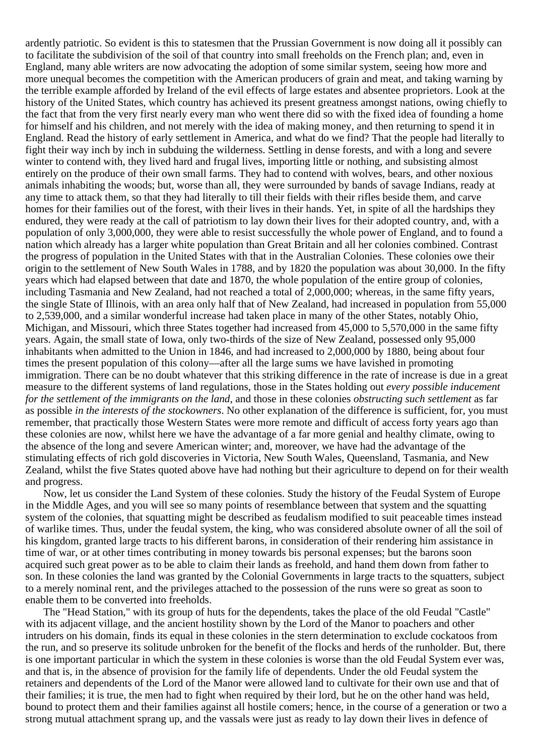ardently patriotic. So evident is this to statesmen that the Prussian Government is now doing all it possibly can to facilitate the subdivision of the soil of that country into small freeholds on the French plan; and, even in England, many able writers are now advocating the adoption of some similar system, seeing how more and more unequal becomes the competition with the American producers of grain and meat, and taking warning by the terrible example afforded by Ireland of the evil effects of large estates and absentee proprietors. Look at the history of the United States, which country has achieved its present greatness amongst nations, owing chiefly to the fact that from the very first nearly every man who went there did so with the fixed idea of founding a home for himself and his children, and not merely with the idea of making money, and then returning to spend it in England. Read the history of early settlement in America, and what do we find? That the people had literally to fight their way inch by inch in subduing the wilderness. Settling in dense forests, and with a long and severe winter to contend with, they lived hard and frugal lives, importing little or nothing, and subsisting almost entirely on the produce of their own small farms. They had to contend with wolves, bears, and other noxious animals inhabiting the woods; but, worse than all, they were surrounded by bands of savage Indians, ready at any time to attack them, so that they had literally to till their fields with their rifles beside them, and carve homes for their families out of the forest, with their lives in their hands. Yet, in spite of all the hardships they endured, they were ready at the call of patriotism to lay down their lives for their adopted country, and, with a population of only 3,000,000, they were able to resist successfully the whole power of England, and to found a nation which already has a larger white population than Great Britain and all her colonies combined. Contrast the progress of population in the United States with that in the Australian Colonies. These colonies owe their origin to the settlement of New South Wales in 1788, and by 1820 the population was about 30,000. In the fifty years which had elapsed between that date and 1870, the whole population of the entire group of colonies, including Tasmania and New Zealand, had not reached a total of 2,000,000; whereas, in the same fifty years, the single State of Illinois, with an area only half that of New Zealand, had increased in population from 55,000 to 2,539,000, and a similar wonderful increase had taken place in many of the other States, notably Ohio, Michigan, and Missouri, which three States together had increased from 45,000 to 5,570,000 in the same fifty years. Again, the small state of Iowa, only two-thirds of the size of New Zealand, possessed only 95,000 inhabitants when admitted to the Union in 1846, and had increased to 2,000,000 by 1880, being about four times the present population of this colony—after all the large sums we have lavished in promoting immigration. There can be no doubt whatever that this striking difference in the rate of increase is due in a great measure to the different systems of land regulations, those in the States holding out *every possible inducement for the settlement of the immigrants on the land*, and those in these colonies *obstructing such settlement* as far as possible *in the interests of the stockowners*. No other explanation of the difference is sufficient, for, you must remember, that practically those Western States were more remote and difficult of access forty years ago than these colonies are now, whilst here we have the advantage of a far more genial and healthy climate, owing to the absence of the long and severe American winter; and, moreover, we have had the advantage of the stimulating effects of rich gold discoveries in Victoria, New South Wales, Queensland, Tasmania, and New Zealand, whilst the five States quoted above have had nothing but their agriculture to depend on for their wealth and progress.

Now, let us consider the Land System of these colonies. Study the history of the Feudal System of Europe in the Middle Ages, and you will see so many points of resemblance between that system and the squatting system of the colonies, that squatting might be described as feudalism modified to suit peaceable times instead of warlike times. Thus, under the feudal system, the king, who was considered absolute owner of all the soil of his kingdom, granted large tracts to his different barons, in consideration of their rendering him assistance in time of war, or at other times contributing in money towards bis personal expenses; but the barons soon acquired such great power as to be able to claim their lands as freehold, and hand them down from father to son. In these colonies the land was granted by the Colonial Governments in large tracts to the squatters, subject to a merely nominal rent, and the privileges attached to the possession of the runs were so great as soon to enable them to be converted into freeholds.

The "Head Station," with its group of huts for the dependents, takes the place of the old Feudal "Castle" with its adjacent village, and the ancient hostility shown by the Lord of the Manor to poachers and other intruders on his domain, finds its equal in these colonies in the stern determination to exclude cockatoos from the run, and so preserve its solitude unbroken for the benefit of the flocks and herds of the runholder. But, there is one important particular in which the system in these colonies is worse than the old Feudal System ever was, and that is, in the absence of provision for the family life of dependents. Under the old Feudal system the retainers and dependents of the Lord of the Manor were allowed land to cultivate for their own use and that of their families; it is true, the men had to fight when required by their lord, but he on the other hand was held, bound to protect them and their families against all hostile comers; hence, in the course of a generation or two a strong mutual attachment sprang up, and the vassals were just as ready to lay down their lives in defence of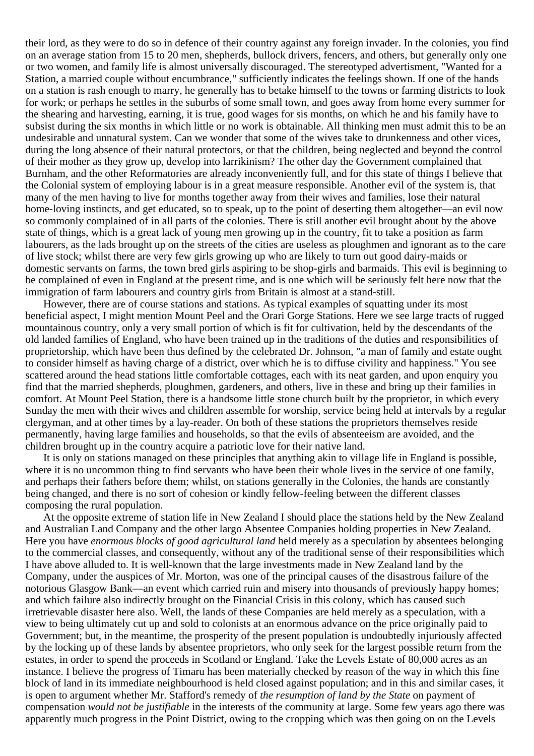their lord, as they were to do so in defence of their country against any foreign invader. In the colonies, you find on an average station from 15 to 20 men, shepherds, bullock drivers, fencers, and others, but generally only one or two women, and family life is almost universally discouraged. The stereotyped advertisment, "Wanted for a Station, a married couple without encumbrance," sufficiently indicates the feelings shown. If one of the hands on a station is rash enough to marry, he generally has to betake himself to the towns or farming districts to look for work; or perhaps he settles in the suburbs of some small town, and goes away from home every summer for the shearing and harvesting, earning, it is true, good wages for sis months, on which he and his family have to subsist during the six months in which little or no work is obtainable. All thinking men must admit this to be an undesirable and unnatural system. Can we wonder that some of the wives take to drunkenness and other vices, during the long absence of their natural protectors, or that the children, being neglected and beyond the control of their mother as they grow up, develop into larrikinism? The other day the Government complained that Burnham, and the other Reformatories are already inconveniently full, and for this state of things I believe that the Colonial system of employing labour is in a great measure responsible. Another evil of the system is, that many of the men having to live for months together away from their wives and families, lose their natural home-loving instincts, and get educated, so to speak, up to the point of deserting them altogether—an evil now so commonly complained of in all parts of the colonies. There is still another evil brought about by the above state of things, which is a great lack of young men growing up in the country, fit to take a position as farm labourers, as the lads brought up on the streets of the cities are useless as ploughmen and ignorant as to the care of live stock; whilst there are very few girls growing up who are likely to turn out good dairy-maids or domestic servants on farms, the town bred girls aspiring to be shop-girls and barmaids. This evil is beginning to be complained of even in England at the present time, and is one which will be seriously felt here now that the immigration of farm labourers and country girls from Britain is almost at a stand-still.

However, there are of course stations and stations. As typical examples of squatting under its most beneficial aspect, I might mention Mount Peel and the Orari Gorge Stations. Here we see large tracts of rugged mountainous country, only a very small portion of which is fit for cultivation, held by the descendants of the old landed families of England, who have been trained up in the traditions of the duties and responsibilities of proprietorship, which have been thus defined by the celebrated Dr. Johnson, "a man of family and estate ought to consider himself as having charge of a district, over which he is to diffuse civility and happiness." You see scattered around the head stations little comfortable cottages, each with its neat garden, and upon enquiry you find that the married shepherds, ploughmen, gardeners, and others, live in these and bring up their families in comfort. At Mount Peel Station, there is a handsome little stone church built by the proprietor, in which every Sunday the men with their wives and children assemble for worship, service being held at intervals by a regular clergyman, and at other times by a lay-reader. On both of these stations the proprietors themselves reside permanently, having large families and households, so that the evils of absenteeism are avoided, and the children brought up in the country acquire a patriotic love for their native land.

It is only on stations managed on these principles that anything akin to village life in England is possible, where it is no uncommon thing to find servants who have been their whole lives in the service of one family, and perhaps their fathers before them; whilst, on stations generally in the Colonies, the hands are constantly being changed, and there is no sort of cohesion or kindly fellow-feeling between the different classes composing the rural population.

At the opposite extreme of station life in New Zealand I should place the stations held by the New Zealand and Australian Land Company and the other largo Absentee Companies holding properties in New Zealand. Here you have *enormous blocks of good agricultural land* held merely as a speculation by absentees belonging to the commercial classes, and consequently, without any of the traditional sense of their responsibilities which I have above alluded to. It is well-known that the large investments made in New Zealand land by the Company, under the auspices of Mr. Morton, was one of the principal causes of the disastrous failure of the notorious Glasgow Bank—an event which carried ruin and misery into thousands of previously happy homes; and which failure also indirectly brought on the Financial Crisis in this colony, which has caused such irretrievable disaster here also. Well, the lands of these Companies are held merely as a speculation, with a view to being ultimately cut up and sold to colonists at an enormous advance on the price originally paid to Government; but, in the meantime, the prosperity of the present population is undoubtedly injuriously affected by the locking up of these lands by absentee proprietors, who only seek for the largest possible return from the estates, in order to spend the proceeds in Scotland or England. Take the Levels Estate of 80,000 acres as an instance. I believe the progress of Timaru has been materially checked by reason of the way in which this fine block of land in its immediate neighbourhood is held closed against population; and in this and similar cases, it is open to argument whether Mr. Stafford's remedy of *the resumption of land by the State* on payment of compensation *would not be justifiable* in the interests of the community at large. Some few years ago there was apparently much progress in the Point District, owing to the cropping which was then going on on the Levels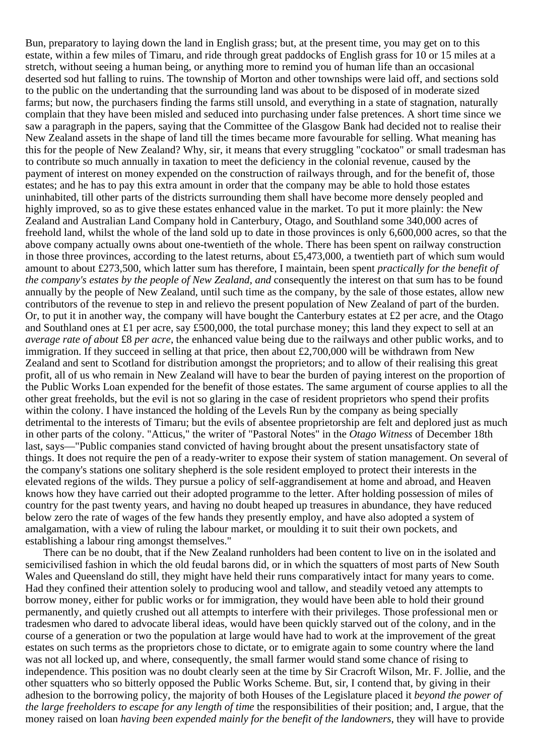Bun, preparatory to laying down the land in English grass; but, at the present time, you may get on to this estate, within a few miles of Timaru, and ride through great paddocks of English grass for 10 or 15 miles at a stretch, without seeing a human being, or anything more to remind you of human life than an occasional deserted sod hut falling to ruins. The township of Morton and other townships were laid off, and sections sold to the public on the undertanding that the surrounding land was about to be disposed of in moderate sized farms; but now, the purchasers finding the farms still unsold, and everything in a state of stagnation, naturally complain that they have been misled and seduced into purchasing under false pretences. A short time since we saw a paragraph in the papers, saying that the Committee of the Glasgow Bank had decided not to realise their New Zealand assets in the shape of land till the times became more favourable for selling. What meaning has this for the people of New Zealand? Why, sir, it means that every struggling "cockatoo" or small tradesman has to contribute so much annually in taxation to meet the deficiency in the colonial revenue, caused by the payment of interest on money expended on the construction of railways through, and for the benefit of, those estates; and he has to pay this extra amount in order that the company may be able to hold those estates uninhabited, till other parts of the districts surrounding them shall have become more densely peopled and highly improved, so as to give these estates enhanced value in the market. To put it more plainly: the New Zealand and Australian Land Company hold in Canterbury, Otago, and Southland some 340,000 acres of freehold land, whilst the whole of the land sold up to date in those provinces is only 6,600,000 acres, so that the above company actually owns about one-twentieth of the whole. There has been spent on railway construction in those three provinces, according to the latest returns, about £5,473,000, a twentieth part of which sum would amount to about £273,500, which latter sum has therefore, I maintain, been spent *practically for the benefit of the company's estates by the people of New Zealand, and* consequently the interest on that sum has to be found annually by the people of New Zealand, until such time as the company, by the sale of those estates, allow new contributors of the revenue to step in and relievo the present population of New Zealand of part of the burden. Or, to put it in another way, the company will have bought the Canterbury estates at £2 per acre, and the Otago and Southland ones at £1 per acre, say £500,000, the total purchase money; this land they expect to sell at an *average rate of about* £8 *per acre*, the enhanced value being due to the railways and other public works, and to immigration. If they succeed in selling at that price, then about £2,700,000 will be withdrawn from New Zealand and sent to Scotland for distribution amongst the proprietors; and to allow of their realising this great profit, all of us who remain in New Zealand will have to bear the burden of paying interest on the proportion of the Public Works Loan expended for the benefit of those estates. The same argument of course applies to all the other great freeholds, but the evil is not so glaring in the case of resident proprietors who spend their profits within the colony. I have instanced the holding of the Levels Run by the company as being specially detrimental to the interests of Timaru; but the evils of absentee proprietorship are felt and deplored just as much in other parts of the colony. "Atticus," the writer of "Pastoral Notes" in the *Otago Witness* of December 18th last, says—"Public companies stand convicted of having brought about the present unsatisfactory state of things. It does not require the pen of a ready-writer to expose their system of station management. On several of the company's stations one solitary shepherd is the sole resident employed to protect their interests in the elevated regions of the wilds. They pursue a policy of self-aggrandisement at home and abroad, and Heaven knows how they have carried out their adopted programme to the letter. After holding possession of miles of country for the past twenty years, and having no doubt heaped up treasures in abundance, they have reduced below zero the rate of wages of the few hands they presently employ, and have also adopted a system of amalgamation, with a view of ruling the labour market, or moulding it to suit their own pockets, and establishing a labour ring amongst themselves."

There can be no doubt, that if the New Zealand runholders had been content to live on in the isolated and semicivilised fashion in which the old feudal barons did, or in which the squatters of most parts of New South Wales and Queensland do still, they might have held their runs comparatively intact for many years to come. Had they confined their attention solely to producing wool and tallow, and steadily vetoed any attempts to borrow money, either for public works or for immigration, they would have been able to hold their ground permanently, and quietly crushed out all attempts to interfere with their privileges. Those professional men or tradesmen who dared to advocate liberal ideas, would have been quickly starved out of the colony, and in the course of a generation or two the population at large would have had to work at the improvement of the great estates on such terms as the proprietors chose to dictate, or to emigrate again to some country where the land was not all locked up, and where, consequently, the small farmer would stand some chance of rising to independence. This position was no doubt clearly seen at the time by Sir Cracroft Wilson, Mr. F. Jollie, and the other squatters who so bitterly opposed the Public Works Scheme. But, sir, I contend that, by giving in their adhesion to the borrowing policy, the majority of both Houses of the Legislature placed it *beyond the power of the large freeholders to escape for any length of time* the responsibilities of their position; and, I argue, that the money raised on loan *having been expended mainly for the benefit of the landowners*, they will have to provide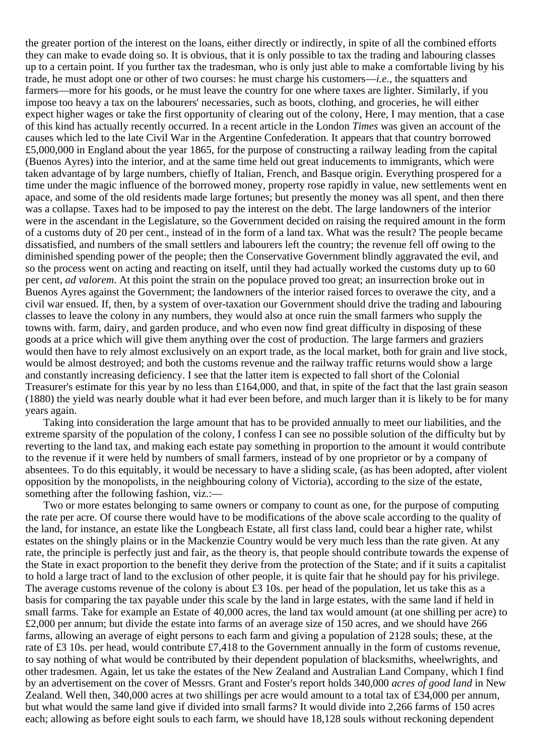the greater portion of the interest on the loans, either directly or indirectly, in spite of all the combined efforts they can make to evade doing so. It is obvious, that it is only possible to tax the trading and labouring classes up to a certain point. If you further tax the tradesman, who is only just able to make a comfortable living by his trade, he must adopt one or other of two courses: he must charge his customers—*i.e.*, the squatters and farmers—more for his goods, or he must leave the country for one where taxes are lighter. Similarly, if you impose too heavy a tax on the labourers' necessaries, such as boots, clothing, and groceries, he will either expect higher wages or take the first opportunity of clearing out of the colony, Here, I may mention, that a case of this kind has actually recently occurred. In a recent article in the London *Times* was given an account of the causes which led to the late Civil War in the Argentine Confederation. It appears that that country borrowed £5,000,000 in England about the year 1865, for the purpose of constructing a railway leading from the capital (Buenos Ayres) into the interior, and at the same time held out great inducements to immigrants, which were taken advantage of by large numbers, chiefly of Italian, French, and Basque origin. Everything prospered for a time under the magic influence of the borrowed money, property rose rapidly in value, new settlements went en apace, and some of the old residents made large fortunes; but presently the money was all spent, and then there was a collapse. Taxes had to be imposed to pay the interest on the debt. The large landowners of the interior were in the ascendant in the Legislature, so the Government decided on raising the required amount in the form of a customs duty of 20 per cent., instead of in the form of a land tax. What was the result? The people became dissatisfied, and numbers of the small settlers and labourers left the country; the revenue fell off owing to the diminished spending power of the people; then the Conservative Government blindly aggravated the evil, and so the process went on acting and reacting on itself, until they had actually worked the customs duty up to 60 per cent, *ad valorem*. At this point the strain on the populace proved too great; an insurrection broke out in Buenos Ayres against the Government; the landowners of the interior raised forces to overawe the city, and a civil war ensued. If, then, by a system of over-taxation our Government should drive the trading and labouring classes to leave the colony in any numbers, they would also at once ruin the small farmers who supply the towns with. farm, dairy, and garden produce, and who even now find great difficulty in disposing of these goods at a price which will give them anything over the cost of production. The large farmers and graziers would then have to rely almost exclusively on an export trade, as the local market, both for grain and live stock, would be almost destroyed; and both the customs revenue and the railway traffic returns would show a large and constantly increasing deficiency. I see that the latter item is expected to fall short of the Colonial Treasurer's estimate for this year by no less than £164,000, and that, in spite of the fact that the last grain season (1880) the yield was nearly double what it had ever been before, and much larger than it is likely to be for many years again.

Taking into consideration the large amount that has to be provided annually to meet our liabilities, and the extreme sparsity of the population of the colony, I confess I can see no possible solution of the difficulty but by reverting to the land tax, and making each estate pay something in proportion to the amount it would contribute to the revenue if it were held by numbers of small farmers, instead of by one proprietor or by a company of absentees. To do this equitably, it would be necessary to have a sliding scale, (as has been adopted, after violent opposition by the monopolists, in the neighbouring colony of Victoria), according to the size of the estate, something after the following fashion, viz.:—

Two or more estates belonging to same owners or company to count as one, for the purpose of computing the rate per acre. Of course there would have to be modifications of the above scale according to the quality of the land, for instance, an estate like the Longbeach Estate, all first class land, could bear a higher rate, whilst estates on the shingly plains or in the Mackenzie Country would be very much less than the rate given. At any rate, the principle is perfectly just and fair, as the theory is, that people should contribute towards the expense of the State in exact proportion to the benefit they derive from the protection of the State; and if it suits a capitalist to hold a large tract of land to the exclusion of other people, it is quite fair that he should pay for his privilege. The average customs revenue of the colony is about £3 10s. per head of the population, let us take this as a basis for comparing the tax payable under this scale by the land in large estates, with the same land if held in small farms. Take for example an Estate of 40,000 acres, the land tax would amount (at one shilling per acre) to £2,000 per annum; but divide the estate into farms of an average size of 150 acres, and we should have 266 farms, allowing an average of eight persons to each farm and giving a population of 2128 souls; these, at the rate of £3 10s. per head, would contribute £7,418 to the Government annually in the form of customs revenue, to say nothing of what would be contributed by their dependent population of blacksmiths, wheelwrights, and other tradesmen. Again, let us take the estates of the New Zealand and Australian Land Company, which I find by an advertisement on the cover of Messrs. Grant and Foster's report holds 340,000 *acres of good land* in New Zealand. Well then, 340,000 acres at two shillings per acre would amount to a total tax of £34,000 per annum, but what would the same land give if divided into small farms? It would divide into 2,266 farms of 150 acres each; allowing as before eight souls to each farm, we should have 18,128 souls without reckoning dependent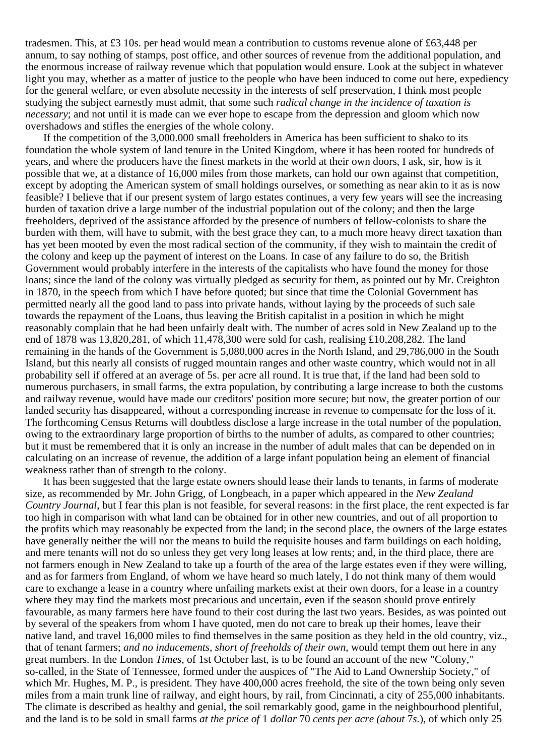tradesmen. This, at £3 10s. per head would mean a contribution to customs revenue alone of £63,448 per annum, to say nothing of stamps, post office, and other sources of revenue from the additional population, and the enormous increase of railway revenue which that population would ensure. Look at the subject in whatever light you may, whether as a matter of justice to the people who have been induced to come out here, expediency for the general welfare, or even absolute necessity in the interests of self preservation, I think most people studying the subject earnestly must admit, that some such *radical change in the incidence of taxation is necessary*; and not until it is made can we ever hope to escape from the depression and gloom which now overshadows and stifles the energies of the whole colony.

If the competition of the 3,000.000 small freeholders in America has been sufficient to shako to its foundation the whole system of land tenure in the United Kingdom, where it has been rooted for hundreds of years, and where the producers have the finest markets in the world at their own doors, I ask, sir, how is it possible that we, at a distance of 16,000 miles from those markets, can hold our own against that competition, except by adopting the American system of small holdings ourselves, or something as near akin to it as is now feasible? I believe that if our present system of largo estates continues, a very few years will see the increasing burden of taxation drive a large number of the industrial population out of the colony; and then the large freeholders, deprived of the assistance afforded by the presence of numbers of fellow-colonists to share the burden with them, will have to submit, with the best grace they can, to a much more heavy direct taxation than has yet been mooted by even the most radical section of the community, if they wish to maintain the credit of the colony and keep up the payment of interest on the Loans. In case of any failure to do so, the British Government would probably interfere in the interests of the capitalists who have found the money for those loans; since the land of the colony was virtually pledged as security for them, as pointed out by Mr. Creighton in 1870, in the speech from which I have before quoted; but since that time the Colonial Government has permitted nearly all the good land to pass into private hands, without laying by the proceeds of such sale towards the repayment of the Loans, thus leaving the British capitalist in a position in which he might reasonably complain that he had been unfairly dealt with. The number of acres sold in New Zealand up to the end of 1878 was 13,820,281, of which 11,478,300 were sold for cash, realising £10,208,282. The land remaining in the hands of the Government is 5,080,000 acres in the North Island, and 29,786,000 in the South Island, but this nearly all consists of rugged mountain ranges and other waste country, which would not in all probability sell if offered at an average of 5s. per acre all round. It is true that, if the land had been sold to numerous purchasers, in small farms, the extra population, by contributing a large increase to both the customs and railway revenue, would have made our creditors' position more secure; but now, the greater portion of our landed security has disappeared, without a corresponding increase in revenue to compensate for the loss of it. The forthcoming Census Returns will doubtless disclose a large increase in the total number of the population, owing to the extraordinary large proportion of births to the number of adults, as compared to other countries; but it must be remembered that it is only an increase in the number of adult males that can be depended on in calculating on an increase of revenue, the addition of a large infant population being an element of financial weakness rather than of strength to the colony.

It has been suggested that the large estate owners should lease their lands to tenants, in farms of moderate size, as recommended by Mr. John Grigg, of Longbeach, in a paper which appeared in the *New Zealand Country Journal*, but I fear this plan is not feasible, for several reasons: in the first place, the rent expected is far too high in comparison with what land can be obtained for in other new countries, and out of all proportion to the profits which may reasonably be expected from the land; in the second place, the owners of the large estates have generally neither the will nor the means to build the requisite houses and farm buildings on each holding, and mere tenants will not do so unless they get very long leases at low rents; and, in the third place, there are not farmers enough in New Zealand to take up a fourth of the area of the large estates even if they were willing, and as for farmers from England, of whom we have heard so much lately, I do not think many of them would care to exchange a lease in a country where unfailing markets exist at their own doors, for a lease in a country where they may find the markets most precarious and uncertain, even if the season should prove entirely favourable, as many farmers here have found to their cost during the last two years. Besides, as was pointed out by several of the speakers from whom I have quoted, men do not care to break up their homes, leave their native land, and travel 16,000 miles to find themselves in the same position as they held in the old country, viz., that of tenant farmers; *and no inducements, short of freeholds of their own*, would tempt them out here in any great numbers. In the London *Times*, of 1st October last, is to be found an account of the new "Colony," so-called, in the State of Tennessee, formed under the auspices of "The Aid to Land Ownership Society," of which Mr. Hughes, M. P., is president. They have  $400,000$  acres freehold, the site of the town being only seven miles from a main trunk line of railway, and eight hours, by rail, from Cincinnati, a city of 255,000 inhabitants. The climate is described as healthy and genial, the soil remarkably good, game in the neighbourhood plentiful, and the land is to be sold in small farms *at the price of* 1 *dollar* 70 *cents per acre (about* 7*s.*), of which only 25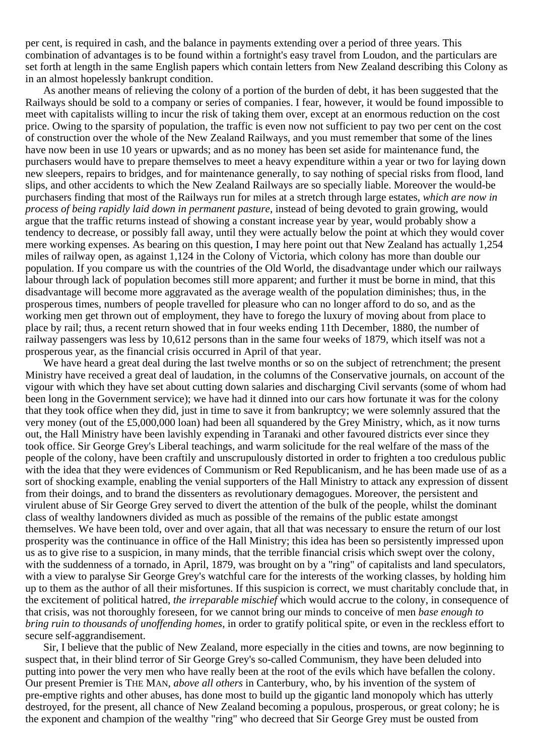per cent, is required in cash, and the balance in payments extending over a period of three years. This combination of advantages is to be found within a fortnight's easy travel from Loudon, and the particulars are set forth at length in the same English papers which contain letters from New Zealand describing this Colony as in an almost hopelessly bankrupt condition.

As another means of relieving the colony of a portion of the burden of debt, it has been suggested that the Railways should be sold to a company or series of companies. I fear, however, it would be found impossible to meet with capitalists willing to incur the risk of taking them over, except at an enormous reduction on the cost price. Owing to the sparsity of population, the traffic is even now not sufficient to pay two per cent on the cost of construction over the whole of the New Zealand Railways, and you must remember that some of the lines have now been in use 10 years or upwards; and as no money has been set aside for maintenance fund, the purchasers would have to prepare themselves to meet a heavy expenditure within a year or two for laying down new sleepers, repairs to bridges, and for maintenance generally, to say nothing of special risks from flood, land slips, and other accidents to which the New Zealand Railways are so specially liable. Moreover the would-be purchasers finding that most of the Railways run for miles at a stretch through large estates, *which are now in process of being rapidly laid down in permanent pasture*, instead of being devoted to grain growing, would argue that the traffic returns instead of showing a constant increase year by year, would probably show a tendency to decrease, or possibly fall away, until they were actually below the point at which they would cover mere working expenses. As bearing on this question, I may here point out that New Zealand has actually 1,254 miles of railway open, as against 1,124 in the Colony of Victoria, which colony has more than double our population. If you compare us with the countries of the Old World, the disadvantage under which our railways labour through lack of population becomes still more apparent; and further it must be borne in mind, that this disadvantage will become more aggravated as the average wealth of the population diminishes; thus, in the prosperous times, numbers of people travelled for pleasure who can no longer afford to do so, and as the working men get thrown out of employment, they have to forego the luxury of moving about from place to place by rail; thus, a recent return showed that in four weeks ending 11th December, 1880, the number of railway passengers was less by 10,612 persons than in the same four weeks of 1879, which itself was not a prosperous year, as the financial crisis occurred in April of that year.

We have heard a great deal during the last twelve months or so on the subject of retrenchment; the present Ministry have received a great deal of laudation, in the columns of the Conservative journals, on account of the vigour with which they have set about cutting down salaries and discharging Civil servants (some of whom had been long in the Government service); we have had it dinned into our cars how fortunate it was for the colony that they took office when they did, just in time to save it from bankruptcy; we were solemnly assured that the very money (out of the £5,000,000 loan) had been all squandered by the Grey Ministry, which, as it now turns out, the Hall Ministry have been lavishly expending in Taranaki and other favoured districts ever since they took office. Sir George Grey's Liberal teachings, and warm solicitude for the real welfare of the mass of the people of the colony, have been craftily and unscrupulously distorted in order to frighten a too credulous public with the idea that they were evidences of Communism or Red Republicanism, and he has been made use of as a sort of shocking example, enabling the venial supporters of the Hall Ministry to attack any expression of dissent from their doings, and to brand the dissenters as revolutionary demagogues. Moreover, the persistent and virulent abuse of Sir George Grey served to divert the attention of the bulk of the people, whilst the dominant class of wealthy landowners divided as much as possible of the remains of the public estate amongst themselves. We have been told, over and over again, that all that was necessary to ensure the return of our lost prosperity was the continuance in office of the Hall Ministry; this idea has been so persistently impressed upon us as to give rise to a suspicion, in many minds, that the terrible financial crisis which swept over the colony, with the suddenness of a tornado, in April, 1879, was brought on by a "ring" of capitalists and land speculators, with a view to paralyse Sir George Grey's watchful care for the interests of the working classes, by holding him up to them as the author of all their misfortunes. If this suspicion is correct, we must charitably conclude that, in the excitement of political hatred, *the irreparable mischief* which would accrue to the colony, in consequence of that crisis, was not thoroughly foreseen, for we cannot bring our minds to conceive of men *base enough to bring ruin to thousands of unoffending homes*, in order to gratify political spite, or even in the reckless effort to secure self-aggrandisement.

Sir, I believe that the public of New Zealand, more especially in the cities and towns, are now beginning to suspect that, in their blind terror of Sir George Grey's so-called Communism, they have been deluded into putting into power the very men who have really been at the root of the evils which have befallen the colony. Our present Premier is THE MAN, *above all others* in Canterbury, who, by his invention of the system of pre-emptive rights and other abuses, has done most to build up the gigantic land monopoly which has utterly destroyed, for the present, all chance of New Zealand becoming a populous, prosperous, or great colony; he is the exponent and champion of the wealthy "ring" who decreed that Sir George Grey must be ousted from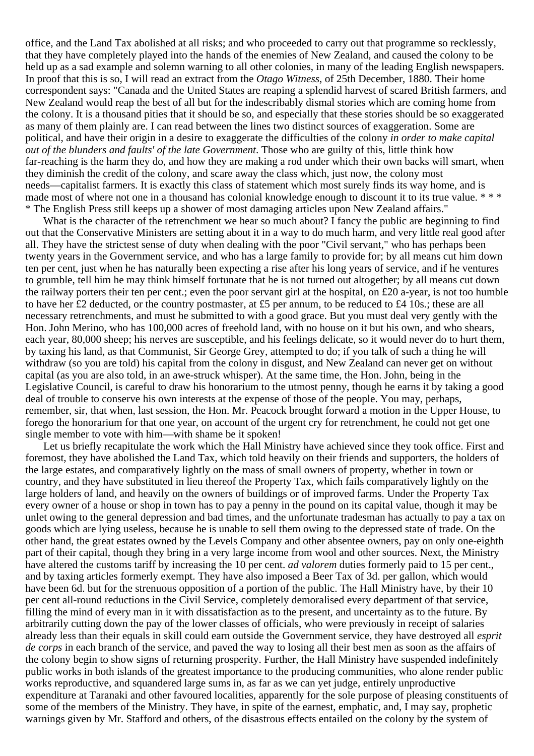office, and the Land Tax abolished at all risks; and who proceeded to carry out that programme so recklessly, that they have completely played into the hands of the enemies of New Zealand, and caused the colony to be held up as a sad example and solemn warning to all other colonies, in many of the leading English newspapers. In proof that this is so, I will read an extract from the *Otago Witness*, of 25th December, 1880. Their home correspondent says: "Canada and the United States are reaping a splendid harvest of scared British farmers, and New Zealand would reap the best of all but for the indescribably dismal stories which are coming home from the colony. It is a thousand pities that it should be so, and especially that these stories should be so exaggerated as many of them plainly are. I can read between the lines two distinct sources of exaggeration. Some are political, and have their origin in a desire to exaggerate the difficulties of the colony *in order to make capital out of the blunders and faults' of the late Government*. Those who are guilty of this, little think how far-reaching is the harm they do, and how they are making a rod under which their own backs will smart, when they diminish the credit of the colony, and scare away the class which, just now, the colony most needs—capitalist farmers. It is exactly this class of statement which most surely finds its way home, and is made most of where not one in a thousand has colonial knowledge enough to discount it to its true value. \*\*\* \* The English Press still keeps up a shower of most damaging articles upon New Zealand affairs."

What is the character of the retrenchment we hear so much about? I fancy the public are beginning to find out that the Conservative Ministers are setting about it in a way to do much harm, and very little real good after all. They have the strictest sense of duty when dealing with the poor "Civil servant," who has perhaps been twenty years in the Government service, and who has a large family to provide for; by all means cut him down ten per cent, just when he has naturally been expecting a rise after his long years of service, and if he ventures to grumble, tell him he may think himself fortunate that he is not turned out altogether; by all means cut down the railway porters their ten per cent.; even the poor servant girl at the hospital, on £20 a-year, is not too humble to have her £2 deducted, or the country postmaster, at £5 per annum, to be reduced to £4 10s.; these are all necessary retrenchments, and must he submitted to with a good grace. But you must deal very gently with the Hon. John Merino, who has 100,000 acres of freehold land, with no house on it but his own, and who shears, each year, 80,000 sheep; his nerves are susceptible, and his feelings delicate, so it would never do to hurt them, by taxing his land, as that Communist, Sir George Grey, attempted to do; if you talk of such a thing he will withdraw (so you are told) his capital from the colony in disgust, and New Zealand can never get on without capital (as you are also told, in an awe-struck whisper). At the same time, the Hon. John, being in the Legislative Council, is careful to draw his honorarium to the utmost penny, though he earns it by taking a good deal of trouble to conserve his own interests at the expense of those of the people. You may, perhaps, remember, sir, that when, last session, the Hon. Mr. Peacock brought forward a motion in the Upper House, to forego the honorarium for that one year, on account of the urgent cry for retrenchment, he could not get one single member to vote with him—with shame be it spoken!

Let us briefly recapitulate the work which the Hall Ministry have achieved since they took office. First and foremost, they have abolished the Land Tax, which told heavily on their friends and supporters, the holders of the large estates, and comparatively lightly on the mass of small owners of property, whether in town or country, and they have substituted in lieu thereof the Property Tax, which fails comparatively lightly on the large holders of land, and heavily on the owners of buildings or of improved farms. Under the Property Tax every owner of a house or shop in town has to pay a penny in the pound on its capital value, though it may be unlet owing to the general depression and bad times, and the unfortunate tradesman has actually to pay a tax on goods which are lying useless, because he is unable to sell them owing to the depressed state of trade. On the other hand, the great estates owned by the Levels Company and other absentee owners, pay on only one-eighth part of their capital, though they bring in a very large income from wool and other sources. Next, the Ministry have altered the customs tariff by increasing the 10 per cent. *ad valorem* duties formerly paid to 15 per cent., and by taxing articles formerly exempt. They have also imposed a Beer Tax of 3d. per gallon, which would have been 6d. but for the strenuous opposition of a portion of the public. The Hall Ministry have, by their 10 per cent all-round reductions in the Civil Service, completely demoralised every department of that service, filling the mind of every man in it with dissatisfaction as to the present, and uncertainty as to the future. By arbitrarily cutting down the pay of the lower classes of officials, who were previously in receipt of salaries already less than their equals in skill could earn outside the Government service, they have destroyed all *esprit de corps* in each branch of the service, and paved the way to losing all their best men as soon as the affairs of the colony begin to show signs of returning prosperity. Further, the Hall Ministry have suspended indefinitely public works in both islands of the greatest importance to the producing communities, who alone render public works reproductive, and squandered large sums in, as far as we can yet judge, entirely unproductive expenditure at Taranaki and other favoured localities, apparently for the sole purpose of pleasing constituents of some of the members of the Ministry. They have, in spite of the earnest, emphatic, and, I may say, prophetic warnings given by Mr. Stafford and others, of the disastrous effects entailed on the colony by the system of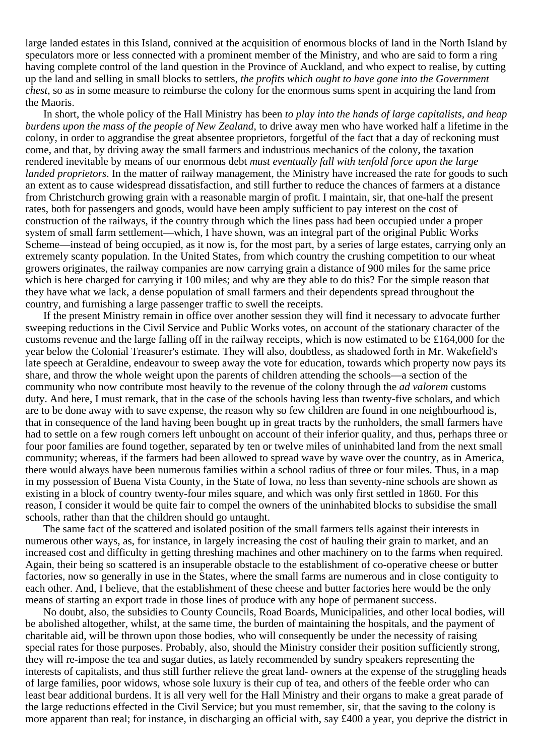large landed estates in this Island, connived at the acquisition of enormous blocks of land in the North Island by speculators more or less connected with a prominent member of the Ministry, and who are said to form a ring having complete control of the land question in the Province of Auckland, and who expect to realise, by cutting up the land and selling in small blocks to settlers, *the profits which ought to have gone into the Government chest*, so as in some measure to reimburse the colony for the enormous sums spent in acquiring the land from the Maoris.

In short, the whole policy of the Hall Ministry has been *to play into the hands of large capitalists, and heap burdens upon the mass of the people of New Zealand*, to drive away men who have worked half a lifetime in the colony, in order to aggrandise the great absentee proprietors, forgetful of the fact that a day of reckoning must come, and that, by driving away the small farmers and industrious mechanics of the colony, the taxation rendered inevitable by means of our enormous debt *must eventually fall with tenfold force upon the large landed proprietors*. In the matter of railway management, the Ministry have increased the rate for goods to such an extent as to cause widespread dissatisfaction, and still further to reduce the chances of farmers at a distance from Christchurch growing grain with a reasonable margin of profit. I maintain, sir, that one-half the present rates, both for passengers and goods, would have been amply sufficient to pay interest on the cost of construction of the railways, if the country through which the lines pass had been occupied under a proper system of small farm settlement—which, I have shown, was an integral part of the original Public Works Scheme—instead of being occupied, as it now is, for the most part, by a series of large estates, carrying only an extremely scanty population. In the United States, from which country the crushing competition to our wheat growers originates, the railway companies are now carrying grain a distance of 900 miles for the same price which is here charged for carrying it 100 miles; and why are they able to do this? For the simple reason that they have what we lack, a dense population of small farmers and their dependents spread throughout the country, and furnishing a large passenger traffic to swell the receipts.

If the present Ministry remain in office over another session they will find it necessary to advocate further sweeping reductions in the Civil Service and Public Works votes, on account of the stationary character of the customs revenue and the large falling off in the railway receipts, which is now estimated to be £164,000 for the year below the Colonial Treasurer's estimate. They will also, doubtless, as shadowed forth in Mr. Wakefield's late speech at Geraldine, endeavour to sweep away the vote for education, towards which property now pays its share, and throw the whole weight upon the parents of children attending the schools—a section of the community who now contribute most heavily to the revenue of the colony through the *ad valorem* customs duty. And here, I must remark, that in the case of the schools having less than twenty-five scholars, and which are to be done away with to save expense, the reason why so few children are found in one neighbourhood is, that in consequence of the land having been bought up in great tracts by the runholders, the small farmers have had to settle on a few rough corners left unbought on account of their inferior quality, and thus, perhaps three or four poor families are found together, separated by ten or twelve miles of uninhabited land from the next small community; whereas, if the farmers had been allowed to spread wave by wave over the country, as in America, there would always have been numerous families within a school radius of three or four miles. Thus, in a map in my possession of Buena Vista County, in the State of Iowa, no less than seventy-nine schools are shown as existing in a block of country twenty-four miles square, and which was only first settled in 1860. For this reason, I consider it would be quite fair to compel the owners of the uninhabited blocks to subsidise the small schools, rather than that the children should go untaught.

The same fact of the scattered and isolated position of the small farmers tells against their interests in numerous other ways, as, for instance, in largely increasing the cost of hauling their grain to market, and an increased cost and difficulty in getting threshing machines and other machinery on to the farms when required. Again, their being so scattered is an insuperable obstacle to the establishment of co-operative cheese or butter factories, now so generally in use in the States, where the small farms are numerous and in close contiguity to each other. And, I believe, that the establishment of these cheese and butter factories here would be the only means of starting an export trade in those lines of produce with any hope of permanent success.

No doubt, also, the subsidies to County Councils, Road Boards, Municipalities, and other local bodies, will be abolished altogether, whilst, at the same time, the burden of maintaining the hospitals, and the payment of charitable aid, will be thrown upon those bodies, who will consequently be under the necessity of raising special rates for those purposes. Probably, also, should the Ministry consider their position sufficiently strong, they will re-impose the tea and sugar duties, as lately recommended by sundry speakers representing the interests of capitalists, and thus still further relieve the great land- owners at the expense of the struggling heads of large families, poor widows, whose sole luxury is their cup of tea, and others of the feeble order who can least bear additional burdens. It is all very well for the Hall Ministry and their organs to make a great parade of the large reductions effected in the Civil Service; but you must remember, sir, that the saving to the colony is more apparent than real; for instance, in discharging an official with, say £400 a year, you deprive the district in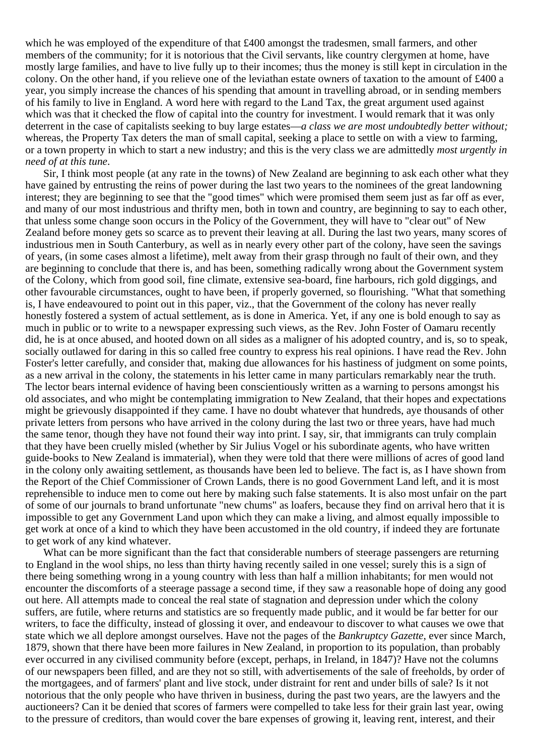which he was employed of the expenditure of that £400 amongst the tradesmen, small farmers, and other members of the community; for it is notorious that the Civil servants, like country clergymen at home, have mostly large families, and have to live fully up to their incomes; thus the money is still kept in circulation in the colony. On the other hand, if you relieve one of the leviathan estate owners of taxation to the amount of £400 a year, you simply increase the chances of his spending that amount in travelling abroad, or in sending members of his family to live in England. A word here with regard to the Land Tax, the great argument used against which was that it checked the flow of capital into the country for investment. I would remark that it was only deterrent in the case of capitalists seeking to buy large estates—*a class we are most undoubtedly better without;* whereas, the Property Tax deters the man of small capital, seeking a place to settle on with a view to farming, or a town property in which to start a new industry; and this is the very class we are admittedly *most urgently in need of at this tune*.

Sir, I think most people (at any rate in the towns) of New Zealand are beginning to ask each other what they have gained by entrusting the reins of power during the last two years to the nominees of the great landowning interest; they are beginning to see that the "good times" which were promised them seem just as far off as ever, and many of our most industrious and thrifty men, both in town and country, are beginning to say to each other, that unless some change soon occurs in the Policy of the Government, they will have to "clear out" of New Zealand before money gets so scarce as to prevent their leaving at all. During the last two years, many scores of industrious men in South Canterbury, as well as in nearly every other part of the colony, have seen the savings of years, (in some cases almost a lifetime), melt away from their grasp through no fault of their own, and they are beginning to conclude that there is, and has been, something radically wrong about the Government system of the Colony, which from good soil, fine climate, extensive sea-board, fine harbours, rich gold diggings, and other favourable circumstances, ought to have been, if properly governed, so flourishing. "What that something is, I have endeavoured to point out in this paper, viz., that the Government of the colony has never really honestly fostered a system of actual settlement, as is done in America. Yet, if any one is bold enough to say as much in public or to write to a newspaper expressing such views, as the Rev. John Foster of Oamaru recently did, he is at once abused, and hooted down on all sides as a maligner of his adopted country, and is, so to speak, socially outlawed for daring in this so called free country to express his real opinions. I have read the Rev. John Foster's letter carefully, and consider that, making due allowances for his hastiness of judgment on some points, as a new arrival in the colony, the statements in his letter came in many particulars remarkably near the truth. The lector bears internal evidence of having been conscientiously written as a warning to persons amongst his old associates, and who might be contemplating immigration to New Zealand, that their hopes and expectations might be grievously disappointed if they came. I have no doubt whatever that hundreds, aye thousands of other private letters from persons who have arrived in the colony during the last two or three years, have had much the same tenor, though they have not found their way into print. I say, sir, that immigrants can truly complain that they have been cruelly misled (whether by Sir Julius Vogel or his subordinate agents, who have written guide-books to New Zealand is immaterial), when they were told that there were millions of acres of good land in the colony only awaiting settlement, as thousands have been led to believe. The fact is, as I have shown from the Report of the Chief Commissioner of Crown Lands, there is no good Government Land left, and it is most reprehensible to induce men to come out here by making such false statements. It is also most unfair on the part of some of our journals to brand unfortunate "new chums" as loafers, because they find on arrival hero that it is impossible to get any Government Land upon which they can make a living, and almost equally impossible to get work at once of a kind to which they have been accustomed in the old country, if indeed they are fortunate to get work of any kind whatever.

What can be more significant than the fact that considerable numbers of steerage passengers are returning to England in the wool ships, no less than thirty having recently sailed in one vessel; surely this is a sign of there being something wrong in a young country with less than half a million inhabitants; for men would not encounter the discomforts of a steerage passage a second time, if they saw a reasonable hope of doing any good out here. All attempts made to conceal the real state of stagnation and depression under which the colony suffers, are futile, where returns and statistics are so frequently made public, and it would be far better for our writers, to face the difficulty, instead of glossing it over, and endeavour to discover to what causes we owe that state which we all deplore amongst ourselves. Have not the pages of the *Bankruptcy Gazette*, ever since March, 1879, shown that there have been more failures in New Zealand, in proportion to its population, than probably ever occurred in any civilised community before (except, perhaps, in Ireland, in 1847)? Have not the columns of our newspapers been filled, and are they not so still, with advertisements of the sale of freeholds, by order of the mortgagees, and of farmers' plant and live stock, under distraint for rent and under bills of sale? Is it not notorious that the only people who have thriven in business, during the past two years, are the lawyers and the auctioneers? Can it be denied that scores of farmers were compelled to take less for their grain last year, owing to the pressure of creditors, than would cover the bare expenses of growing it, leaving rent, interest, and their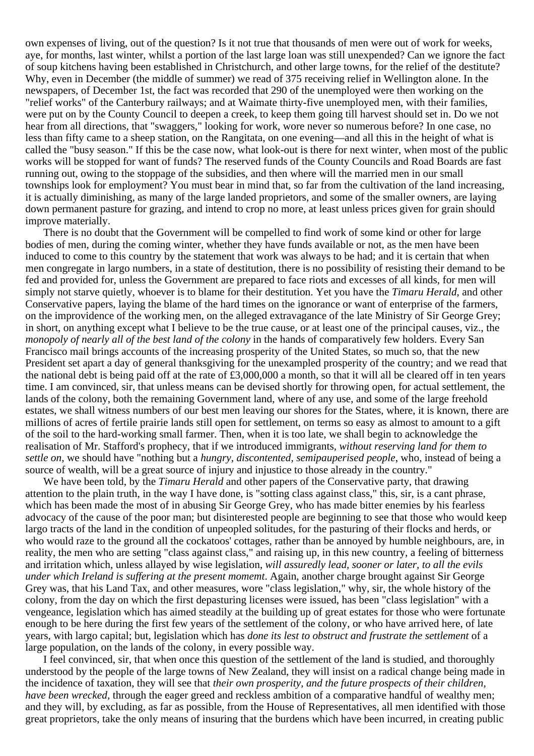own expenses of living, out of the question? Is it not true that thousands of men were out of work for weeks, aye, for months, last winter, whilst a portion of the last large loan was still unexpended? Can we ignore the fact of soup kitchens having been established in Christchurch, and other large towns, for the relief of the destitute? Why, even in December (the middle of summer) we read of 375 receiving relief in Wellington alone. In the newspapers, of December 1st, the fact was recorded that 290 of the unemployed were then working on the "relief works" of the Canterbury railways; and at Waimate thirty-five unemployed men, with their families, were put on by the County Council to deepen a creek, to keep them going till harvest should set in. Do we not hear from all directions, that "swaggers," looking for work, wore never so numerous before? In one case, no less than fifty came to a sheep station, on the Rangitata, on one evening—and all this in the height of what is called the "busy season." If this be the case now, what look-out is there for next winter, when most of the public works will be stopped for want of funds? The reserved funds of the County Councils and Road Boards are fast running out, owing to the stoppage of the subsidies, and then where will the married men in our small townships look for employment? You must bear in mind that, so far from the cultivation of the land increasing, it is actually diminishing, as many of the large landed proprietors, and some of the smaller owners, are laying down permanent pasture for grazing, and intend to crop no more, at least unless prices given for grain should improve materially.

There is no doubt that the Government will be compelled to find work of some kind or other for large bodies of men, during the coming winter, whether they have funds available or not, as the men have been induced to come to this country by the statement that work was always to be had; and it is certain that when men congregate in largo numbers, in a state of destitution, there is no possibility of resisting their demand to be fed and provided for, unless the Government are prepared to face riots and excesses of all kinds, for men will simply not starve quietly, whoever is to blame for their destitution. Yet you have the *Timaru Herald*, and other Conservative papers, laying the blame of the hard times on the ignorance or want of enterprise of the farmers, on the improvidence of the working men, on the alleged extravagance of the late Ministry of Sir George Grey; in short, on anything except what I believe to be the true cause, or at least one of the principal causes, viz., the *monopoly of nearly all of the best land of the colony* in the hands of comparatively few holders. Every San Francisco mail brings accounts of the increasing prosperity of the United States, so much so, that the new President set apart a day of general thanksgiving for the unexampled prosperity of the country; and we read that the national debt is being paid off at the rate of  $£3,000,000$  a month, so that it will all be cleared off in ten years time. I am convinced, sir, that unless means can be devised shortly for throwing open, for actual settlement, the lands of the colony, both the remaining Government land, where of any use, and some of the large freehold estates, we shall witness numbers of our best men leaving our shores for the States, where, it is known, there are millions of acres of fertile prairie lands still open for settlement, on terms so easy as almost to amount to a gift of the soil to the hard-working small farmer. Then, when it is too late, we shall begin to acknowledge the realisation of Mr. Stafford's prophecy, that if we introduced immigrants, *without reserving land for them to settle on*, we should have "nothing but a *hungry, discontented, semipauperised people*, who, instead of being a source of wealth, will be a great source of injury and injustice to those already in the country."

We have been told, by the *Timaru Herald* and other papers of the Conservative party, that drawing attention to the plain truth, in the way I have done, is "sotting class against class," this, sir, is a cant phrase, which has been made the most of in abusing Sir George Grey, who has made bitter enemies by his fearless advocacy of the cause of the poor man; but disinterested people are beginning to see that those who would keep largo tracts of the land in the condition of unpeopled solitudes, for the pasturing of their flocks and herds, or who would raze to the ground all the cockatoos' cottages, rather than be annoyed by humble neighbours, are, in reality, the men who are setting "class against class," and raising up, in this new country, a feeling of bitterness and irritation which, unless allayed by wise legislation, *will assuredly lead, sooner or later, to all the evils under which Ireland is suffering at the present momemt*. Again, another charge brought against Sir George Grey was, that his Land Tax, and other measures, wore "class legislation," why, sir, the whole history of the colony, from the day on which the first depasturing licenses were issued, has been "class legislation" with a vengeance, legislation which has aimed steadily at the building up of great estates for those who were fortunate enough to be here during the first few years of the settlement of the colony, or who have arrived here, of late years, with largo capital; but, legislation which has *done its lest to obstruct and frustrate the settlement* of a large population, on the lands of the colony, in every possible way.

I feel convinced, sir, that when once this question of the settlement of the land is studied, and thoroughly understood by the people of the large towns of New Zealand, they will insist on a radical change being made in the incidence of taxation, they will see that *their own prosperity, and the future prospects of their children, have been wrecked*, through the eager greed and reckless ambition of a comparative handful of wealthy men; and they will, by excluding, as far as possible, from the House of Representatives, all men identified with those great proprietors, take the only means of insuring that the burdens which have been incurred, in creating public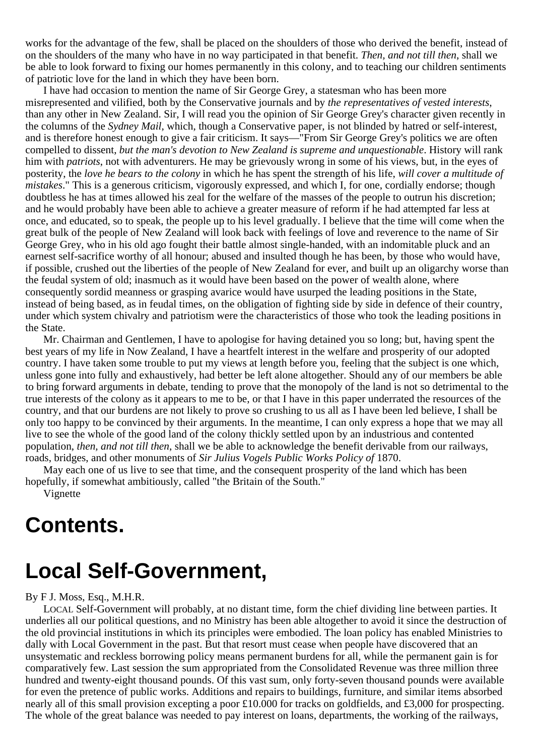works for the advantage of the few, shall be placed on the shoulders of those who derived the benefit, instead of on the shoulders of the many who have in no way participated in that benefit. *Then, and not till then*, shall we be able to look forward to fixing our homes permanently in this colony, and to teaching our children sentiments of patriotic love for the land in which they have been born.

I have had occasion to mention the name of Sir George Grey, a statesman who has been more misrepresented and vilified, both by the Conservative journals and by *the representatives of vested interests*, than any other in New Zealand. Sir, I will read you the opinion of Sir George Grey's character given recently in the columns of the *Sydney Mail*, which, though a Conservative paper, is not blinded by hatred or self-interest, and is therefore honest enough to give a fair criticism. It says—"From Sir George Grey's politics we are often compelled to dissent, *but the man's devotion to New Zealand is supreme and unquestionable*. History will rank him with *patriots*, not with adventurers. He may be grievously wrong in some of his views, but, in the eyes of posterity, the *love he bears to the colony* in which he has spent the strength of his life, *will cover a multitude of mistakes*." This is a generous criticism, vigorously expressed, and which I, for one, cordially endorse; though doubtless he has at times allowed his zeal for the welfare of the masses of the people to outrun his discretion; and he would probably have been able to achieve a greater measure of reform if he had attempted far less at once, and educated, so to speak, the people up to his level gradually. I believe that the time will come when the great bulk of the people of New Zealand will look back with feelings of love and reverence to the name of Sir George Grey, who in his old ago fought their battle almost single-handed, with an indomitable pluck and an earnest self-sacrifice worthy of all honour; abused and insulted though he has been, by those who would have, if possible, crushed out the liberties of the people of New Zealand for ever, and built up an oligarchy worse than the feudal system of old; inasmuch as it would have been based on the power of wealth alone, where consequently sordid meanness or grasping avarice would have usurped the leading positions in the State, instead of being based, as in feudal times, on the obligation of fighting side by side in defence of their country, under which system chivalry and patriotism were the characteristics of those who took the leading positions in the State.

Mr. Chairman and Gentlemen, I have to apologise for having detained you so long; but, having spent the best years of my life in Now Zealand, I have a heartfelt interest in the welfare and prosperity of our adopted country. I have taken some trouble to put my views at length before you, feeling that the subject is one which, unless gone into fully and exhaustively, had better be left alone altogether. Should any of our members be able to bring forward arguments in debate, tending to prove that the monopoly of the land is not so detrimental to the true interests of the colony as it appears to me to be, or that I have in this paper underrated the resources of the country, and that our burdens are not likely to prove so crushing to us all as I have been led believe, I shall be only too happy to be convinced by their arguments. In the meantime, I can only express a hope that we may all live to see the whole of the good land of the colony thickly settled upon by an industrious and contented population, *then, and not till then*, shall we be able to acknowledge the benefit derivable from our railways, roads, bridges, and other monuments of *Sir Julius Vogels Public Works Policy of* 1870.

May each one of us live to see that time, and the consequent prosperity of the land which has been hopefully, if somewhat ambitiously, called "the Britain of the South."

Vignette

### **Contents.**

### **Local Self-Government,**

By F J. Moss, Esq., M.H.R.

LOCAL Self-Government will probably, at no distant time, form the chief dividing line between parties. It underlies all our political questions, and no Ministry has been able altogether to avoid it since the destruction of the old provincial institutions in which its principles were embodied. The loan policy has enabled Ministries to dally with Local Government in the past. But that resort must cease when people have discovered that an unsystematic and reckless borrowing policy means permanent burdens for all, while the permanent gain is for comparatively few. Last session the sum appropriated from the Consolidated Revenue was three million three hundred and twenty-eight thousand pounds. Of this vast sum, only forty-seven thousand pounds were available for even the pretence of public works. Additions and repairs to buildings, furniture, and similar items absorbed nearly all of this small provision excepting a poor £10.000 for tracks on goldfields, and £3,000 for prospecting. The whole of the great balance was needed to pay interest on loans, departments, the working of the railways,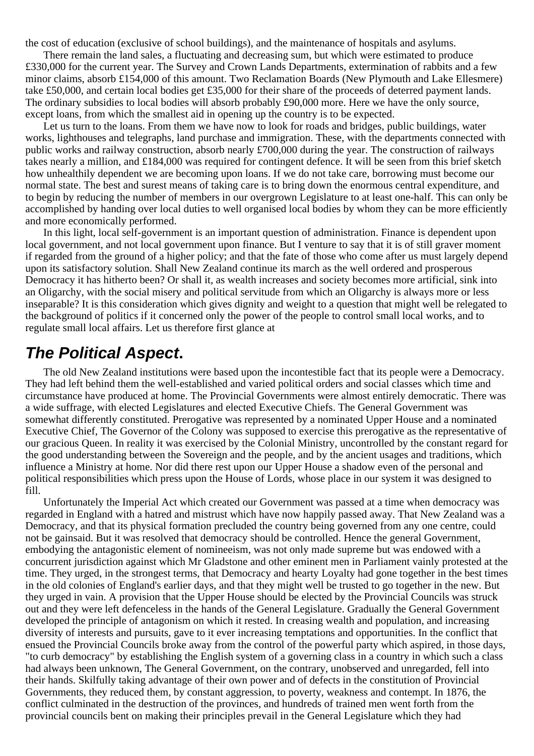the cost of education (exclusive of school buildings), and the maintenance of hospitals and asylums.

There remain the land sales, a fluctuating and decreasing sum, but which were estimated to produce £330,000 for the current year. The Survey and Crown Lands Departments, extermination of rabbits and a few minor claims, absorb £154,000 of this amount. Two Reclamation Boards (New Plymouth and Lake Ellesmere) take £50,000, and certain local bodies get £35,000 for their share of the proceeds of deterred payment lands. The ordinary subsidies to local bodies will absorb probably £90,000 more. Here we have the only source, except loans, from which the smallest aid in opening up the country is to be expected.

Let us turn to the loans. From them we have now to look for roads and bridges, public buildings, water works, lighthouses and telegraphs, land purchase and immigration. These, with the departments connected with public works and railway construction, absorb nearly £700,000 during the year. The construction of railways takes nearly a million, and £184,000 was required for contingent defence. It will be seen from this brief sketch how unhealthily dependent we are becoming upon loans. If we do not take care, borrowing must become our normal state. The best and surest means of taking care is to bring down the enormous central expenditure, and to begin by reducing the number of members in our overgrown Legislature to at least one-half. This can only be accomplished by handing over local duties to well organised local bodies by whom they can be more efficiently and more economically performed.

In this light, local self-government is an important question of administration. Finance is dependent upon local government, and not local government upon finance. But I venture to say that it is of still graver moment if regarded from the ground of a higher policy; and that the fate of those who come after us must largely depend upon its satisfactory solution. Shall New Zealand continue its march as the well ordered and prosperous Democracy it has hitherto been? Or shall it, as wealth increases and society becomes more artificial, sink into an Oligarchy, with the social misery and political servitude from which an Oligarchy is always more or less inseparable? It is this consideration which gives dignity and weight to a question that might well be relegated to the background of politics if it concerned only the power of the people to control small local works, and to regulate small local affairs. Let us therefore first glance at

### **The Political Aspect.**

The old New Zealand institutions were based upon the incontestible fact that its people were a Democracy. They had left behind them the well-established and varied political orders and social classes which time and circumstance have produced at home. The Provincial Governments were almost entirely democratic. There was a wide suffrage, with elected Legislatures and elected Executive Chiefs. The General Government was somewhat differently constituted. Prerogative was represented by a nominated Upper House and a nominated Executive Chief, The Governor of the Colony was supposed to exercise this prerogative as the representative of our gracious Queen. In reality it was exercised by the Colonial Ministry, uncontrolled by the constant regard for the good understanding between the Sovereign and the people, and by the ancient usages and traditions, which influence a Ministry at home. Nor did there rest upon our Upper House a shadow even of the personal and political responsibilities which press upon the House of Lords, whose place in our system it was designed to fill.

Unfortunately the Imperial Act which created our Government was passed at a time when democracy was regarded in England with a hatred and mistrust which have now happily passed away. That New Zealand was a Democracy, and that its physical formation precluded the country being governed from any one centre, could not be gainsaid. But it was resolved that democracy should be controlled. Hence the general Government, embodying the antagonistic element of nomineeism, was not only made supreme but was endowed with a concurrent jurisdiction against which Mr Gladstone and other eminent men in Parliament vainly protested at the time. They urged, in the strongest terms, that Democracy and hearty Loyalty had gone together in the best times in the old colonies of England's earlier days, and that they might well be trusted to go together in the new. But they urged in vain. A provision that the Upper House should be elected by the Provincial Councils was struck out and they were left defenceless in the hands of the General Legislature. Gradually the General Government developed the principle of antagonism on which it rested. In creasing wealth and population, and increasing diversity of interests and pursuits, gave to it ever increasing temptations and opportunities. In the conflict that ensued the Provincial Councils broke away from the control of the powerful party which aspired, in those days, "to curb democracy" by establishing the English system of a governing class in a country in which such a class had always been unknown, The General Government, on the contrary, unobserved and unregarded, fell into their hands. Skilfully taking advantage of their own power and of defects in the constitution of Provincial Governments, they reduced them, by constant aggression, to poverty, weakness and contempt. In 1876, the conflict culminated in the destruction of the provinces, and hundreds of trained men went forth from the provincial councils bent on making their principles prevail in the General Legislature which they had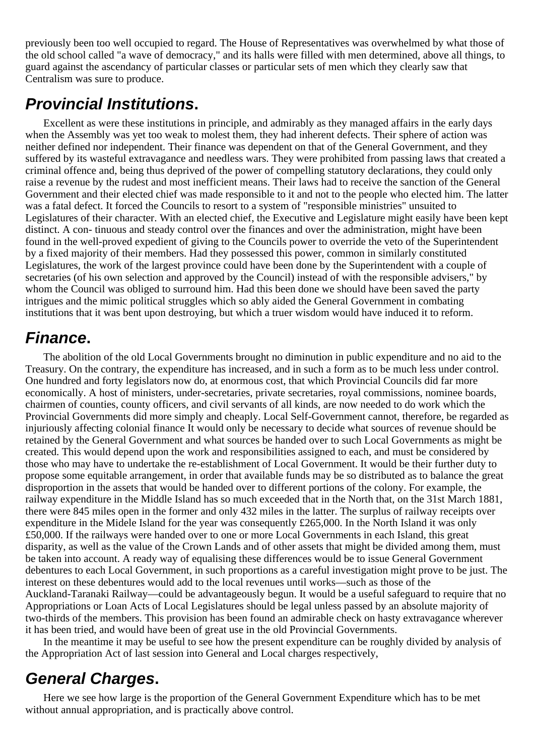previously been too well occupied to regard. The House of Representatives was overwhelmed by what those of the old school called "a wave of democracy," and its halls were filled with men determined, above all things, to guard against the ascendancy of particular classes or particular sets of men which they clearly saw that Centralism was sure to produce.

### **Provincial Institutions.**

Excellent as were these institutions in principle, and admirably as they managed affairs in the early days when the Assembly was yet too weak to molest them, they had inherent defects. Their sphere of action was neither defined nor independent. Their finance was dependent on that of the General Government, and they suffered by its wasteful extravagance and needless wars. They were prohibited from passing laws that created a criminal offence and, being thus deprived of the power of compelling statutory declarations, they could only raise a revenue by the rudest and most inefficient means. Their laws had to receive the sanction of the General Government and their elected chief was made responsible to it and not to the people who elected him. The latter was a fatal defect. It forced the Councils to resort to a system of "responsible ministries" unsuited to Legislatures of their character. With an elected chief, the Executive and Legislature might easily have been kept distinct. A con- tinuous and steady control over the finances and over the administration, might have been found in the well-proved expedient of giving to the Councils power to override the veto of the Superintendent by a fixed majority of their members. Had they possessed this power, common in similarly constituted Legislatures, the work of the largest province could have been done by the Superintendent with a couple of secretaries (of his own selection and approved by the Council) instead of with the responsible advisers," by whom the Council was obliged to surround him. Had this been done we should have been saved the party intrigues and the mimic political struggles which so ably aided the General Government in combating institutions that it was bent upon destroying, but which a truer wisdom would have induced it to reform.

### **Finance.**

The abolition of the old Local Governments brought no diminution in public expenditure and no aid to the Treasury. On the contrary, the expenditure has increased, and in such a form as to be much less under control. One hundred and forty legislators now do, at enormous cost, that which Provincial Councils did far more economically. A host of ministers, under-secretaries, private secretaries, royal commissions, nominee boards, chairmen of counties, county officers, and civil servants of all kinds, are now needed to do work which the Provincial Governments did more simply and cheaply. Local Self-Government cannot, therefore, be regarded as injuriously affecting colonial finance It would only be necessary to decide what sources of revenue should be retained by the General Government and what sources be handed over to such Local Governments as might be created. This would depend upon the work and responsibilities assigned to each, and must be considered by those who may have to undertake the re-establishment of Local Government. It would be their further duty to propose some equitable arrangement, in order that available funds may be so distributed as to balance the great disproportion in the assets that would be handed over to different portions of the colony. For example, the railway expenditure in the Middle Island has so much exceeded that in the North that, on the 31st March 1881, there were 845 miles open in the former and only 432 miles in the latter. The surplus of railway receipts over expenditure in the Midele Island for the year was consequently £265,000. In the North Island it was only £50,000. If the railways were handed over to one or more Local Governments in each Island, this great disparity, as well as the value of the Crown Lands and of other assets that might be divided among them, must be taken into account. A ready way of equalising these differences would be to issue General Government debentures to each Local Government, in such proportions as a careful investigation might prove to be just. The interest on these debentures would add to the local revenues until works—such as those of the Auckland-Taranaki Railway—could be advantageously begun. It would be a useful safeguard to require that no Appropriations or Loan Acts of Local Legislatures should be legal unless passed by an absolute majority of two-thirds of the members. This provision has been found an admirable check on hasty extravagance wherever it has been tried, and would have been of great use in the old Provincial Governments.

In the meantime it may be useful to see how the present expenditure can be roughly divided by analysis of the Appropriation Act of last session into General and Local charges respectively,

### **General Charges.**

Here we see how large is the proportion of the General Government Expenditure which has to be met without annual appropriation, and is practically above control.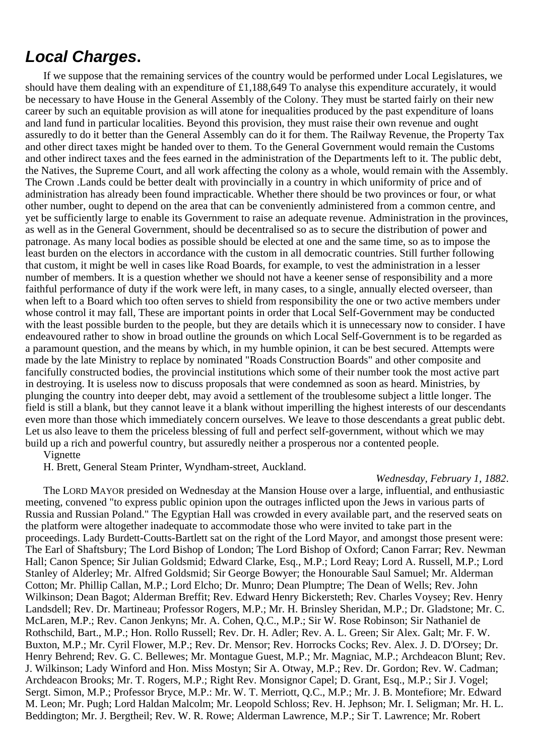#### **Local Charges.**

If we suppose that the remaining services of the country would be performed under Local Legislatures, we should have them dealing with an expenditure of £1,188,649 To analyse this expenditure accurately, it would be necessary to have House in the General Assembly of the Colony. They must be started fairly on their new career by such an equitable provision as will atone for inequalities produced by the past expenditure of loans and land fund in particular localities. Beyond this provision, they must raise their own revenue and ought assuredly to do it better than the General Assembly can do it for them. The Railway Revenue, the Property Tax and other direct taxes might be handed over to them. To the General Government would remain the Customs and other indirect taxes and the fees earned in the administration of the Departments left to it. The public debt, the Natives, the Supreme Court, and all work affecting the colony as a whole, would remain with the Assembly. The Crown .Lands could be better dealt with provincially in a country in which uniformity of price and of administration has already been found impracticable. Whether there should be two provinces or four, or what other number, ought to depend on the area that can be conveniently administered from a common centre, and yet be sufficiently large to enable its Government to raise an adequate revenue. Administration in the provinces, as well as in the General Government, should be decentralised so as to secure the distribution of power and patronage. As many local bodies as possible should be elected at one and the same time, so as to impose the least burden on the electors in accordance with the custom in all democratic countries. Still further following that custom, it might be well in cases like Road Boards, for example, to vest the administration in a lesser number of members. It is a question whether we should not have a keener sense of responsibility and a more faithful performance of duty if the work were left, in many cases, to a single, annually elected overseer, than when left to a Board which too often serves to shield from responsibility the one or two active members under whose control it may fall, These are important points in order that Local Self-Government may be conducted with the least possible burden to the people, but they are details which it is unnecessary now to consider. I have endeavoured rather to show in broad outline the grounds on which Local Self-Government is to be regarded as a paramount question, and the means by which, in my humble opinion, it can be best secured. Attempts were made by the late Ministry to replace by nominated "Roads Construction Boards" and other composite and fancifully constructed bodies, the provincial institutions which some of their number took the most active part in destroying. It is useless now to discuss proposals that were condemned as soon as heard. Ministries, by plunging the country into deeper debt, may avoid a settlement of the troublesome subject a little longer. The field is still a blank, but they cannot leave it a blank without imperilling the highest interests of our descendants even more than those which immediately concern ourselves. We leave to those descendants a great public debt. Let us also leave to them the priceless blessing of full and perfect self-government, without which we may build up a rich and powerful country, but assuredly neither a prosperous nor a contented people. Vignette

H. Brett, General Steam Printer, Wyndham-street, Auckland.

#### *Wednesday, February 1, 1882*.

The LORD MAYOR presided on Wednesday at the Mansion House over a large, influential, and enthusiastic meeting, convened "to express public opinion upon the outrages inflicted upon the Jews in various parts of Russia and Russian Poland." The Egyptian Hall was crowded in every available part, and the reserved seats on the platform were altogether inadequate to accommodate those who were invited to take part in the proceedings. Lady Burdett-Coutts-Bartlett sat on the right of the Lord Mayor, and amongst those present were: The Earl of Shaftsbury; The Lord Bishop of London; The Lord Bishop of Oxford; Canon Farrar; Rev. Newman Hall; Canon Spence; Sir Julian Goldsmid; Edward Clarke, Esq., M.P.; Lord Reay; Lord A. Russell, M.P.; Lord Stanley of Alderley; Mr. Alfred Goldsmid; Sir George Bowyer; the Honourable Saul Samuel; Mr. Alderman Cotton; Mr. Phillip Callan, M.P.; Lord Elcho; Dr. Munro; Dean Plumptre; The Dean of Wells; Rev. John Wilkinson; Dean Bagot; Alderman Breffit; Rev. Edward Henry Bickersteth; Rev. Charles Voysey; Rev. Henry Landsdell; Rev. Dr. Martineau; Professor Rogers, M.P.; Mr. H. Brinsley Sheridan, M.P.; Dr. Gladstone; Mr. C. McLaren, M.P.; Rev. Canon Jenkyns; Mr. A. Cohen, Q.C., M.P.; Sir W. Rose Robinson; Sir Nathaniel de Rothschild, Bart., M.P.; Hon. Rollo Russell; Rev. Dr. H. Adler; Rev. A. L. Green; Sir Alex. Galt; Mr. F. W. Buxton, M.P.; Mr. Cyril Flower, M.P.; Rev. Dr. Mensor; Rev. Horrocks Cocks; Rev. Alex. J. D. D'Orsey; Dr. Henry Behrend; Rev. G. C. Bellewes; Mr. Montague Guest, M.P.; Mr. Magniac, M.P.; Archdeacon Blunt; Rev. J. Wilkinson; Lady Winford and Hon. Miss Mostyn; Sir A. Otway, M.P.; Rev. Dr. Gordon; Rev. W. Cadman; Archdeacon Brooks; Mr. T. Rogers, M.P.; Right Rev. Monsignor Capel; D. Grant, Esq., M.P.; Sir J. Vogel; Sergt. Simon, M.P.; Professor Bryce, M.P.: Mr. W. T. Merriott, Q.C., M.P.; Mr. J. B. Montefiore; Mr. Edward M. Leon; Mr. Pugh; Lord Haldan Malcolm; Mr. Leopold Schloss; Rev. H. Jephson; Mr. I. Seligman; Mr. H. L. Beddington; Mr. J. Bergtheil; Rev. W. R. Rowe; Alderman Lawrence, M.P.; Sir T. Lawrence; Mr. Robert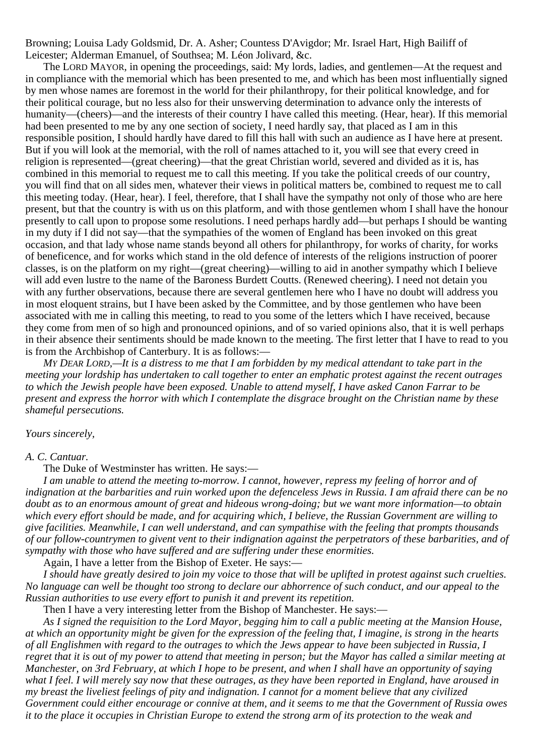Browning; Louisa Lady Goldsmid, Dr. A. Asher; Countess D'Avigdor; Mr. Israel Hart, High Bailiff of Leicester; Alderman Emanuel, of Southsea; M. Léon Jolivard, &c.

The LORD MAYOR, in opening the proceedings, said: My lords, ladies, and gentlemen—At the request and in compliance with the memorial which has been presented to me, and which has been most influentially signed by men whose names are foremost in the world for their philanthropy, for their political knowledge, and for their political courage, but no less also for their unswerving determination to advance only the interests of humanity—(cheers)—and the interests of their country I have called this meeting. (Hear, hear). If this memorial had been presented to me by any one section of society, I need hardly say, that placed as I am in this responsible position, I should hardly have dared to fill this hall with such an audience as I have here at present. But if you will look at the memorial, with the roll of names attached to it, you will see that every creed in religion is represented—(great cheering)—that the great Christian world, severed and divided as it is, has combined in this memorial to request me to call this meeting. If you take the political creeds of our country, you will find that on all sides men, whatever their views in political matters be, combined to request me to call this meeting today. (Hear, hear). I feel, therefore, that I shall have the sympathy not only of those who are here present, but that the country is with us on this platform, and with those gentlemen whom I shall have the honour presently to call upon to propose some resolutions. I need perhaps hardly add—but perhaps I should be wanting in my duty if I did not say—that the sympathies of the women of England has been invoked on this great occasion, and that lady whose name stands beyond all others for philanthropy, for works of charity, for works of beneficence, and for works which stand in the old defence of interests of the religions instruction of poorer classes, is on the platform on my right—(great cheering)—willing to aid in another sympathy which I believe will add even lustre to the name of the Baroness Burdett Coutts. (Renewed cheering). I need not detain you with any further observations, because there are several gentlemen here who I have no doubt will address you in most eloquent strains, but I have been asked by the Committee, and by those gentlemen who have been associated with me in calling this meeting, to read to you some of the letters which I have received, because they come from men of so high and pronounced opinions, and of so varied opinions also, that it is well perhaps in their absence their sentiments should be made known to the meeting. The first letter that I have to read to you is from the Archbishop of Canterbury. It is as follows:—

*MY DEAR LORD,—It is a distress to me that I am forbidden by my medical attendant to take part in the meeting your lordship has undertaken to call together to enter an emphatic protest against the recent outrages to which the Jewish people have been exposed. Unable to attend myself, I have asked Canon Farrar to be present and express the horror with which I contemplate the disgrace brought on the Christian name by these shameful persecutions.*

#### *Yours sincerely,*

#### *A. C. Cantuar.*

The Duke of Westminster has written. He says:—

*I am unable to attend the meeting to-morrow. I cannot, however, repress my feeling of horror and of indignation at the barbarities and ruin worked upon the defenceless Jews in Russia. I am afraid there can be no doubt as to an enormous amount of great and hideous wrong-doing; but we want more information—to obtain which every effort should be made, and for acquiring which, I believe, the Russian Government are willing to give facilities. Meanwhile, I can well understand, and can sympathise with the feeling that prompts thousands of our follow-countrymen to givent vent to their indignation against the perpetrators of these barbarities, and of sympathy with those who have suffered and are suffering under these enormities.*

Again, I have a letter from the Bishop of Exeter. He says:—

*I should have greatly desired to join my voice to those that will be uplifted in protest against such cruelties. No language can well be thought too strong to declare our abhorrence of such conduct, and our appeal to the Russian authorities to use every effort to punish it and prevent its repetition.*

Then I have a very interesting letter from the Bishop of Manchester. He says:—

*As I signed the requisition to the Lord Mayor, begging him to call a public meeting at the Mansion House, at which an opportunity might be given for the expression of the feeling that, I imagine, is strong in the hearts of all Englishmen with regard to the outrages to which the Jews appear to have been subjected in Russia, I regret that it is out of my power to attend that meeting in person; but the Mayor has called a similar meeting at Manchester, on 3rd February, at which I hope to be present, and when I shall have an opportunity of saying what I feel. I will merely say now that these outrages, as they have been reported in England, have aroused in my breast the liveliest feelings of pity and indignation. I cannot for a moment believe that any civilized Government could either encourage or connive at them, and it seems to me that the Government of Russia owes it to the place it occupies in Christian Europe to extend the strong arm of its protection to the weak and*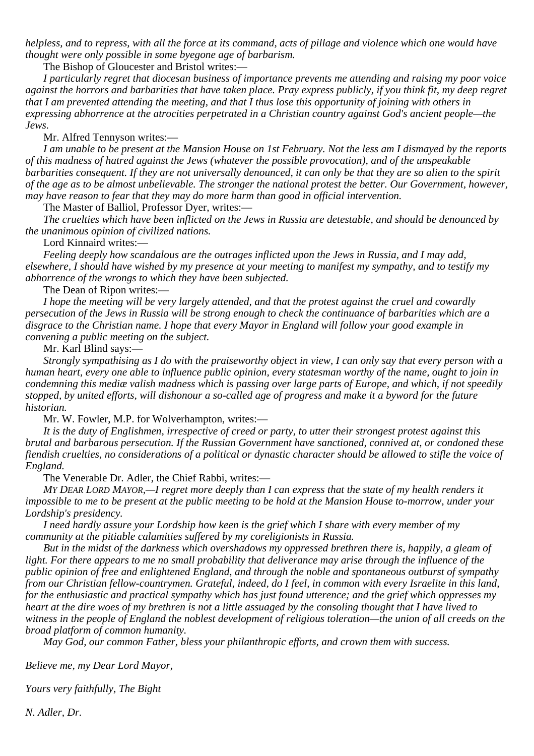*helpless, and to repress, with all the force at its command, acts of pillage and violence which one would have thought were only possible in some byegone age of barbarism.*

The Bishop of Gloucester and Bristol writes:—

*I particularly regret that diocesan business of importance prevents me attending and raising my poor voice against the horrors and barbarities that have taken place. Pray express publicly, if you think fit, my deep regret that I am prevented attending the meeting, and that I thus lose this opportunity of joining with others in expressing abhorrence at the atrocities perpetrated in a Christian country against God's ancient people—the Jews.*

Mr. Alfred Tennyson writes:—

*I am unable to be present at the Mansion House on 1st February. Not the less am I dismayed by the reports of this madness of hatred against the Jews (whatever the possible provocation), and of the unspeakable barbarities consequent. If they are not universally denounced, it can only be that they are so alien to the spirit of the age as to be almost unbelievable. The stronger the national protest the better. Our Government, however, may have reason to fear that they may do more harm than good in official intervention.*

The Master of Balliol, Professor Dyer, writes:—

*The cruelties which have been inflicted on the Jews in Russia are detestable, and should be denounced by the unanimous opinion of civilized nations.*

Lord Kinnaird writes:—

*Feeling deeply how scandalous are the outrages inflicted upon the Jews in Russia, and I may add, elsewhere, I should have wished by my presence at your meeting to manifest my sympathy, and to testify my abhorrence of the wrongs to which they have been subjected.*

#### The Dean of Ripon writes:—

*I hope the meeting will be very largely attended, and that the protest against the cruel and cowardly persecution of the Jews in Russia will be strong enough to check the continuance of barbarities which are a disgrace to the Christian name. I hope that every Mayor in England will follow your good example in convening a public meeting on the subject.*

Mr. Karl Blind says:—

*Strongly sympathising as I do with the praiseworthy object in view, I can only say that every person with a human heart, every one able to influence public opinion, every statesman worthy of the name, ought to join in condemning this mediæ valish madness which is passing over large parts of Europe, and which, if not speedily stopped, by united efforts, will dishonour a so-called age of progress and make it a byword for the future historian.*

Mr. W. Fowler, M.P. for Wolverhampton, writes:—

*It is the duty of Englishmen, irrespective of creed or party, to utter their strongest protest against this brutal and barbarous persecution. If the Russian Government have sanctioned, connived at, or condoned these fiendish cruelties, no considerations of a political or dynastic character should be allowed to stifle the voice of England.*

The Venerable Dr. Adler, the Chief Rabbi, writes:—

*MY DEAR LORD MAYOR,—I regret more deeply than I can express that the state of my health renders it impossible to me to be present at the public meeting to be hold at the Mansion House to-morrow, under your Lordship's presidency.*

*I need hardly assure your Lordship how keen is the grief which I share with every member of my community at the pitiable calamities suffered by my coreligionists in Russia.*

*But in the midst of the darkness which overshadows my oppressed brethren there is, happily, a gleam of light. For there appears to me no small probability that deliverance may arise through the influence of the public opinion of free and enlightened England, and through the noble and spontaneous outburst of sympathy from our Christian fellow-countrymen. Grateful, indeed, do I feel, in common with every Israelite in this land, for the enthusiastic and practical sympathy which has just found utterence; and the grief which oppresses my heart at the dire woes of my brethren is not a little assuaged by the consoling thought that I have lived to witness in the people of England the noblest development of religious toleration—the union of all creeds on the broad platform of common humanity.*

*May God, our common Father, bless your philanthropic efforts, and crown them with success.*

*Believe me, my Dear Lord Mayor,*

*Yours very faithfully, The Bight*

*N. Adler, Dr.*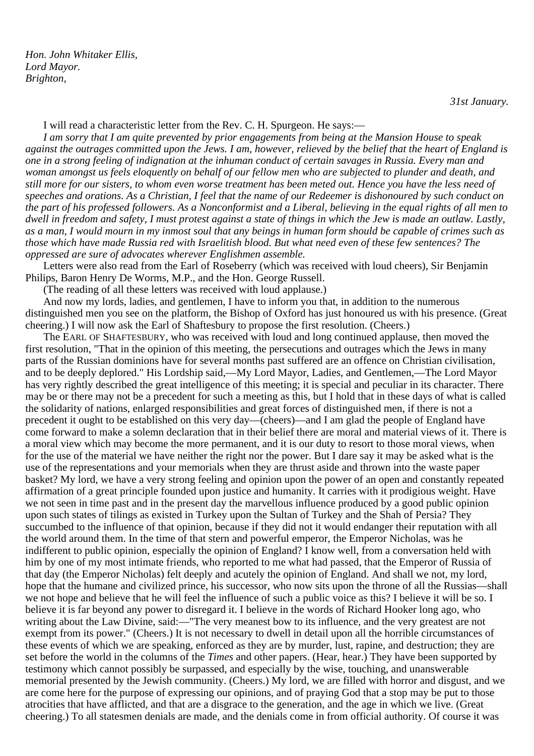*Hon. John Whitaker Ellis, Lord Mayor. Brighton,*

*31st January.*

I will read a characteristic letter from the Rev. C. H. Spurgeon. He says:—

*I am sorry that I am quite prevented by prior engagements from being at the Mansion House to speak against the outrages committed upon the Jews. I am, however, relieved by the belief that the heart of England is one in a strong feeling of indignation at the inhuman conduct of certain savages in Russia. Every man and woman amongst us feels eloquently on behalf of our fellow men who are subjected to plunder and death, and still more for our sisters, to whom even worse treatment has been meted out. Hence you have the less need of speeches and orations. As a Christian, I feel that the name of our Redeemer is dishonoured by such conduct on the part of his professed followers. As a Nonconformist and a Liberal, believing in the equal rights of all men to dwell in freedom and safety, I must protest against a state of things in which the Jew is made an outlaw. Lastly, as a man, I would mourn in my inmost soul that any beings in human form should be capable of crimes such as those which have made Russia red with Israelitish blood. But what need even of these few sentences? The oppressed are sure of advocates wherever Englishmen assemble.*

Letters were also read from the Earl of Roseberry (which was received with loud cheers), Sir Benjamin Philips, Baron Henry De Worms, M.P., and the Hon. George Russell.

(The reading of all these letters was received with loud applause.)

And now my lords, ladies, and gentlemen, I have to inform you that, in addition to the numerous distinguished men you see on the platform, the Bishop of Oxford has just honoured us with his presence. (Great cheering.) I will now ask the Earl of Shaftesbury to propose the first resolution. (Cheers.)

The EARL OF SHAFTESBURY, who was received with loud and long continued applause, then moved the first resolution, "That in the opinion of this meeting, the persecutions and outrages which the Jews in many parts of the Russian dominions have for several months past suffered are an offence on Christian civilisation, and to be deeply deplored." His Lordship said,—My Lord Mayor, Ladies, and Gentlemen,—The Lord Mayor has very rightly described the great intelligence of this meeting; it is special and peculiar in its character. There may be or there may not be a precedent for such a meeting as this, but I hold that in these days of what is called the solidarity of nations, enlarged responsibilities and great forces of distinguished men, if there is not a precedent it ought to be established on this very day—(cheers)—and I am glad the people of England have come forward to make a solemn declaration that in their belief there are moral and material views of it. There is a moral view which may become the more permanent, and it is our duty to resort to those moral views, when for the use of the material we have neither the right nor the power. But I dare say it may be asked what is the use of the representations and your memorials when they are thrust aside and thrown into the waste paper basket? My lord, we have a very strong feeling and opinion upon the power of an open and constantly repeated affirmation of a great principle founded upon justice and humanity. It carries with it prodigious weight. Have we not seen in time past and in the present day the marvellous influence produced by a good public opinion upon such states of tilings as existed in Turkey upon the Sultan of Turkey and the Shah of Persia? They succumbed to the influence of that opinion, because if they did not it would endanger their reputation with all the world around them. In the time of that stern and powerful emperor, the Emperor Nicholas, was he indifferent to public opinion, especially the opinion of England? I know well, from a conversation held with him by one of my most intimate friends, who reported to me what had passed, that the Emperor of Russia of that day (the Emperor Nicholas) felt deeply and acutely the opinion of England. And shall we not, my lord, hope that the humane and civilized prince, his successor, who now sits upon the throne of all the Russias—shall we not hope and believe that he will feel the influence of such a public voice as this? I believe it will be so. I believe it is far beyond any power to disregard it. I believe in the words of Richard Hooker long ago, who writing about the Law Divine, said:—"The very meanest bow to its influence, and the very greatest are not exempt from its power." (Cheers.) It is not necessary to dwell in detail upon all the horrible circumstances of these events of which we are speaking, enforced as they are by murder, lust, rapine, and destruction; they are set before the world in the columns of the *Times* and other papers. (Hear, hear.) They have been supported by testimony which cannot possibly be surpassed, and especially by the wise, touching, and unanswerable memorial presented by the Jewish community. (Cheers.) My lord, we are filled with horror and disgust, and we are come here for the purpose of expressing our opinions, and of praying God that a stop may be put to those atrocities that have afflicted, and that are a disgrace to the generation, and the age in which we live. (Great cheering.) To all statesmen denials are made, and the denials come in from official authority. Of course it was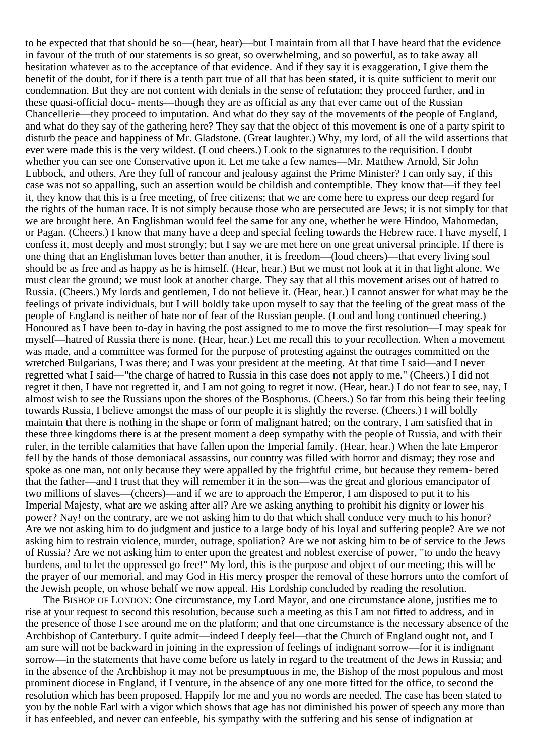to be expected that that should be so—(hear, hear)—but I maintain from all that I have heard that the evidence in favour of the truth of our statements is so great, so overwhelming, and so powerful, as to take away all hesitation whatever as to the acceptance of that evidence. And if they say it is exaggeration, I give them the benefit of the doubt, for if there is a tenth part true of all that has been stated, it is quite sufficient to merit our condemnation. But they are not content with denials in the sense of refutation; they proceed further, and in these quasi-official docu- ments—though they are as official as any that ever came out of the Russian Chancellerie—they proceed to imputation. And what do they say of the movements of the people of England, and what do they say of the gathering here? They say that the object of this movement is one of a party spirit to disturb the peace and happiness of Mr. Gladstone. (Great laughter.) Why, my lord, of all the wild assertions that ever were made this is the very wildest. (Loud cheers.) Look to the signatures to the requisition. I doubt whether you can see one Conservative upon it. Let me take a few names—Mr. Matthew Arnold, Sir John Lubbock, and others. Are they full of rancour and jealousy against the Prime Minister? I can only say, if this case was not so appalling, such an assertion would be childish and contemptible. They know that—if they feel it, they know that this is a free meeting, of free citizens; that we are come here to express our deep regard for the rights of the human race. It is not simply because those who are persecuted are Jews; it is not simply for that we are brought here. An Englishman would feel the same for any one, whether he were Hindoo, Mahomedan, or Pagan. (Cheers.) I know that many have a deep and special feeling towards the Hebrew race. I have myself, I confess it, most deeply and most strongly; but I say we are met here on one great universal principle. If there is one thing that an Englishman loves better than another, it is freedom—(loud cheers)—that every living soul should be as free and as happy as he is himself. (Hear, hear.) But we must not look at it in that light alone. We must clear the ground; we must look at another charge. They say that all this movement arises out of hatred to Russia. (Cheers.) My lords and gentlemen, I do not believe it. (Hear, hear.) I cannot answer for what may be the feelings of private individuals, but I will boldly take upon myself to say that the feeling of the great mass of the people of England is neither of hate nor of fear of the Russian people. (Loud and long continued cheering.) Honoured as I have been to-day in having the post assigned to me to move the first resolution—I may speak for myself—hatred of Russia there is none. (Hear, hear.) Let me recall this to your recollection. When a movement was made, and a committee was formed for the purpose of protesting against the outrages committed on the wretched Bulgarians, I was there; and I was your president at the meeting. At that time I said—and I never regretted what I said—"the charge of hatred to Russia in this case does not apply to me." (Cheers.) I did not regret it then, I have not regretted it, and I am not going to regret it now. (Hear, hear.) I do not fear to see, nay, I almost wish to see the Russians upon the shores of the Bosphorus. (Cheers.) So far from this being their feeling towards Russia, I believe amongst the mass of our people it is slightly the reverse. (Cheers.) I will boldly maintain that there is nothing in the shape or form of malignant hatred; on the contrary, I am satisfied that in these three kingdoms there is at the present moment a deep sympathy with the people of Russia, and with their ruler, in the terrible calamities that have fallen upon the Imperial family. (Hear, hear.) When the late Emperor fell by the hands of those demoniacal assassins, our country was filled with horror and dismay; they rose and spoke as one man, not only because they were appalled by the frightful crime, but because they remem- bered that the father—and I trust that they will remember it in the son—was the great and glorious emancipator of two millions of slaves—(cheers)—and if we are to approach the Emperor, I am disposed to put it to his Imperial Majesty, what are we asking after all? Are we asking anything to prohibit his dignity or lower his power? Nay! on the contrary, are we not asking him to do that which shall conduce very much to his honor? Are we not asking him to do judgment and justice to a large body of his loyal and suffering people? Are we not asking him to restrain violence, murder, outrage, spoliation? Are we not asking him to be of service to the Jews of Russia? Are we not asking him to enter upon the greatest and noblest exercise of power, "to undo the heavy burdens, and to let the oppressed go free!" My lord, this is the purpose and object of our meeting; this will be the prayer of our memorial, and may God in His mercy prosper the removal of these horrors unto the comfort of the Jewish people, on whose behalf we now appeal. His Lordship concluded by reading the resolution.

The BISHOP OF LONDON: One circumstance, my Lord Mayor, and one circumstance alone, justifies me to rise at your request to second this resolution, because such a meeting as this I am not fitted to address, and in the presence of those I see around me on the platform; and that one circumstance is the necessary absence of the Archbishop of Canterbury. I quite admit—indeed I deeply feel—that the Church of England ought not, and I am sure will not be backward in joining in the expression of feelings of indignant sorrow—for it is indignant sorrow—in the statements that have come before us lately in regard to the treatment of the Jews in Russia; and in the absence of the Archbishop it may not be presumptuous in me, the Bishop of the most populous and most prominent diocese in England, if I venture, in the absence of any one more fitted for the office, to second the resolution which has been proposed. Happily for me and you no words are needed. The case has been stated to you by the noble Earl with a vigor which shows that age has not diminished his power of speech any more than it has enfeebled, and never can enfeeble, his sympathy with the suffering and his sense of indignation at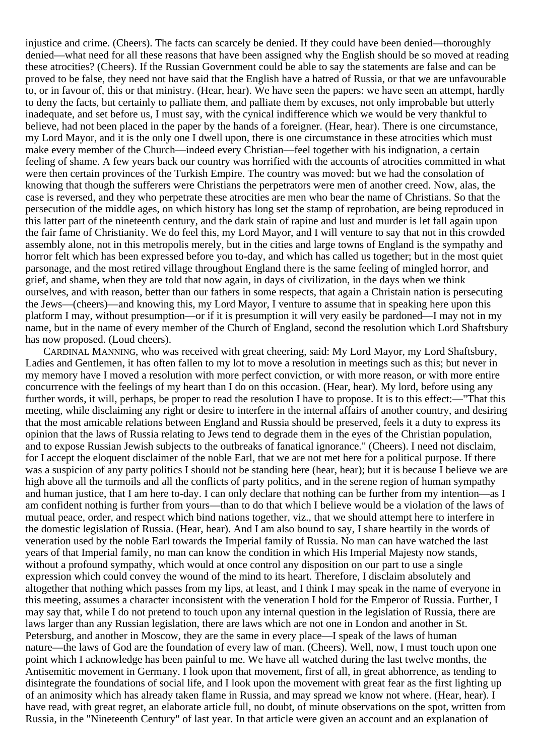injustice and crime. (Cheers). The facts can scarcely be denied. If they could have been denied—thoroughly denied—what need for all these reasons that have been assigned why the English should be so moved at reading these atrocities? (Cheers). If the Russian Government could be able to say the statements are false and can be proved to be false, they need not have said that the English have a hatred of Russia, or that we are unfavourable to, or in favour of, this or that ministry. (Hear, hear). We have seen the papers: we have seen an attempt, hardly to deny the facts, but certainly to palliate them, and palliate them by excuses, not only improbable but utterly inadequate, and set before us, I must say, with the cynical indifference which we would be very thankful to believe, had not been placed in the paper by the hands of a foreigner. (Hear, hear). There is one circumstance, my Lord Mayor, and it is the only one I dwell upon, there is one circumstance in these atrocities which must make every member of the Church—indeed every Christian—feel together with his indignation, a certain feeling of shame. A few years back our country was horrified with the accounts of atrocities committed in what were then certain provinces of the Turkish Empire. The country was moved: but we had the consolation of knowing that though the sufferers were Christians the perpetrators were men of another creed. Now, alas, the case is reversed, and they who perpetrate these atrocities are men who bear the name of Christians. So that the persecution of the middle ages, on which history has long set the stamp of reprobation, are being reproduced in this latter part of the nineteenth century, and the dark stain of rapine and lust and murder is let fall again upon the fair fame of Christianity. We do feel this, my Lord Mayor, and I will venture to say that not in this crowded assembly alone, not in this metropolis merely, but in the cities and large towns of England is the sympathy and horror felt which has been expressed before you to-day, and which has called us together; but in the most quiet parsonage, and the most retired village throughout England there is the same feeling of mingled horror, and grief, and shame, when they are told that now again, in days of civilization, in the days when we think ourselves, and with reason, better than our fathers in some respects, that again a Christain nation is persecuting the Jews—(cheers)—and knowing this, my Lord Mayor, I venture to assume that in speaking here upon this platform I may, without presumption—or if it is presumption it will very easily be pardoned—I may not in my name, but in the name of every member of the Church of England, second the resolution which Lord Shaftsbury has now proposed. (Loud cheers).

CARDINAL MANNING, who was received with great cheering, said: My Lord Mayor, my Lord Shaftsbury, Ladies and Gentlemen, it has often fallen to my lot to move a resolution in meetings such as this; but never in my memory have I moved a resolution with more perfect conviction, or with more reason, or with more entire concurrence with the feelings of my heart than I do on this occasion. (Hear, hear). My lord, before using any further words, it will, perhaps, be proper to read the resolution I have to propose. It is to this effect:—"That this meeting, while disclaiming any right or desire to interfere in the internal affairs of another country, and desiring that the most amicable relations between England and Russia should be preserved, feels it a duty to express its opinion that the laws of Russia relating to Jews tend to degrade them in the eyes of the Christian population, and to expose Russian Jewish subjects to the outbreaks of fanatical ignorance." (Cheers). I need not disclaim, for I accept the eloquent disclaimer of the noble Earl, that we are not met here for a political purpose. If there was a suspicion of any party politics I should not be standing here (hear, hear); but it is because I believe we are high above all the turmoils and all the conflicts of party politics, and in the serene region of human sympathy and human justice, that I am here to-day. I can only declare that nothing can be further from my intention—as I am confident nothing is further from yours—than to do that which I believe would be a violation of the laws of mutual peace, order, and respect which bind nations together, viz., that we should attempt here to interfere in the domestic legislation of Russia. (Hear, hear). And I am also bound to say, I share heartily in the words of veneration used by the noble Earl towards the Imperial family of Russia. No man can have watched the last years of that Imperial family, no man can know the condition in which His Imperial Majesty now stands, without a profound sympathy, which would at once control any disposition on our part to use a single expression which could convey the wound of the mind to its heart. Therefore, I disclaim absolutely and altogether that nothing which passes from my lips, at least, and I think I may speak in the name of everyone in this meeting, assumes a character inconsistent with the veneration I hold for the Emperor of Russia. Further, I may say that, while I do not pretend to touch upon any internal question in the legislation of Russia, there are laws larger than any Russian legislation, there are laws which are not one in London and another in St. Petersburg, and another in Moscow, they are the same in every place—I speak of the laws of human nature—the laws of God are the foundation of every law of man. (Cheers). Well, now, I must touch upon one point which I acknowledge has been painful to me. We have all watched during the last twelve months, the Antisemitic movement in Germany. I look upon that movement, first of all, in great abhorrence, as tending to disintegrate the foundations of social life, and I look upon the movement with great fear as the first lighting up of an animosity which has already taken flame in Russia, and may spread we know not where. (Hear, hear). I have read, with great regret, an elaborate article full, no doubt, of minute observations on the spot, written from Russia, in the "Nineteenth Century" of last year. In that article were given an account and an explanation of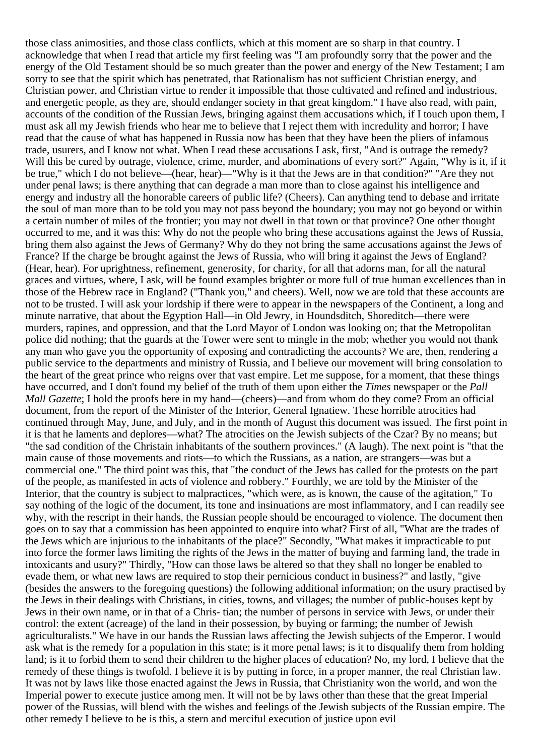those class animosities, and those class conflicts, which at this moment are so sharp in that country. I acknowledge that when I read that article my first feeling was "I am profoundly sorry that the power and the energy of the Old Testament should be so much greater than the power and energy of the New Testament; I am sorry to see that the spirit which has penetrated, that Rationalism has not sufficient Christian energy, and Christian power, and Christian virtue to render it impossible that those cultivated and refined and industrious, and energetic people, as they are, should endanger society in that great kingdom." I have also read, with pain, accounts of the condition of the Russian Jews, bringing against them accusations which, if I touch upon them, I must ask all my Jewish friends who hear me to believe that I reject them with incredulity and horror; I have read that the cause of what has happened in Russia now has been that they have been the pliers of infamous trade, usurers, and I know not what. When I read these accusations I ask, first, "And is outrage the remedy? Will this be cured by outrage, violence, crime, murder, and abominations of every sort?" Again, "Why is it, if it be true," which I do not believe—(hear, hear)—"Why is it that the Jews are in that condition?" "Are they not under penal laws; is there anything that can degrade a man more than to close against his intelligence and energy and industry all the honorable careers of public life? (Cheers). Can anything tend to debase and irritate the soul of man more than to be told you may not pass beyond the boundary; you may not go beyond or within a certain number of miles of the frontier; you may not dwell in that town or that province? One other thought occurred to me, and it was this: Why do not the people who bring these accusations against the Jews of Russia, bring them also against the Jews of Germany? Why do they not bring the same accusations against the Jews of France? If the charge be brought against the Jews of Russia, who will bring it against the Jews of England? (Hear, hear). For uprightness, refinement, generosity, for charity, for all that adorns man, for all the natural graces and virtues, where, I ask, will be found examples brighter or more full of true human excellences than in those of the Hebrew race in England? ("Thank you," and cheers). Well, now we are told that these accounts are not to be trusted. I will ask your lordship if there were to appear in the newspapers of the Continent, a long and minute narrative, that about the Egyption Hall—in Old Jewry, in Houndsditch, Shoreditch—there were murders, rapines, and oppression, and that the Lord Mayor of London was looking on; that the Metropolitan police did nothing; that the guards at the Tower were sent to mingle in the mob; whether you would not thank any man who gave you the opportunity of exposing and contradicting the accounts? We are, then, rendering a public service to the departments and ministry of Russia, and I believe our movement will bring consolation to the heart of the great prince who reigns over that vast empire. Let me suppose, for a moment, that these things have occurred, and I don't found my belief of the truth of them upon either the *Times* newspaper or the *Pall Mall Gazette*; I hold the proofs here in my hand—(cheers)—and from whom do they come? From an official document, from the report of the Minister of the Interior, General Ignatiew. These horrible atrocities had continued through May, June, and July, and in the month of August this document was issued. The first point in it is that he laments and deplores—what? The atrocities on the Jewish subjects of the Czar? By no means; but "the sad condition of the Christain inhabitants of the southern provinces." (A laugh). The next point is "that the main cause of those movements and riots—to which the Russians, as a nation, are strangers—was but a commercial one." The third point was this, that "the conduct of the Jews has called for the protests on the part of the people, as manifested in acts of violence and robbery." Fourthly, we are told by the Minister of the Interior, that the country is subject to malpractices, "which were, as is known, the cause of the agitation," To say nothing of the logic of the document, its tone and insinuations are most inflammatory, and I can readily see why, with the rescript in their hands, the Russian people should be encouraged to violence. The document then goes on to say that a commission has been appointed to enquire into what? First of all, "What are the trades of the Jews which are injurious to the inhabitants of the place?" Secondly, "What makes it impracticable to put into force the former laws limiting the rights of the Jews in the matter of buying and farming land, the trade in intoxicants and usury?" Thirdly, "How can those laws be altered so that they shall no longer be enabled to evade them, or what new laws are required to stop their pernicious conduct in business?" and lastly, "give (besides the answers to the foregoing questions) the following additional information; on the usury practised by the Jews in their dealings with Christians, in cities, towns, and villages; the number of public-houses kept by Jews in their own name, or in that of a Chris- tian; the number of persons in service with Jews, or under their control: the extent (acreage) of the land in their possession, by buying or farming; the number of Jewish agriculturalists." We have in our hands the Russian laws affecting the Jewish subjects of the Emperor. I would ask what is the remedy for a population in this state; is it more penal laws; is it to disqualify them from holding land; is it to forbid them to send their children to the higher places of education? No, my lord, I believe that the remedy of these things is twofold. I believe it is by putting in force, in a proper manner, the real Christian law. It was not by laws like those enacted against the Jews in Russia, that Christianity won the world, and won the Imperial power to execute justice among men. It will not be by laws other than these that the great Imperial power of the Russias, will blend with the wishes and feelings of the Jewish subjects of the Russian empire. The other remedy I believe to be is this, a stern and merciful execution of justice upon evil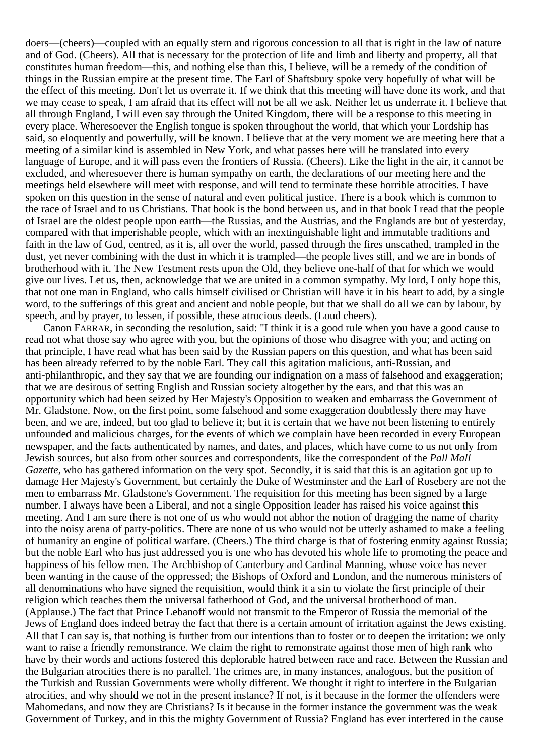doers—(cheers)—coupled with an equally stern and rigorous concession to all that is right in the law of nature and of God. (Cheers). All that is necessary for the protection of life and limb and liberty and property, all that constitutes human freedom—this, and nothing else than this, I believe, will be a remedy of the condition of things in the Russian empire at the present time. The Earl of Shaftsbury spoke very hopefully of what will be the effect of this meeting. Don't let us overrate it. If we think that this meeting will have done its work, and that we may cease to speak, I am afraid that its effect will not be all we ask. Neither let us underrate it. I believe that all through England, I will even say through the United Kingdom, there will be a response to this meeting in every place. Wheresoever the English tongue is spoken throughout the world, that which your Lordship has said, so eloquently and powerfully, will be known. I believe that at the very moment we are meeting here that a meeting of a similar kind is assembled in New York, and what passes here will he translated into every language of Europe, and it will pass even the frontiers of Russia. (Cheers). Like the light in the air, it cannot be excluded, and wheresoever there is human sympathy on earth, the declarations of our meeting here and the meetings held elsewhere will meet with response, and will tend to terminate these horrible atrocities. I have spoken on this question in the sense of natural and even political justice. There is a book which is common to the race of Israel and to us Christians. That book is the bond between us, and in that book I read that the people of Israel are the oldest people upon earth—the Russias, and the Austrias, and the Englands are but of yesterday, compared with that imperishable people, which with an inextinguishable light and immutable traditions and faith in the law of God, centred, as it is, all over the world, passed through the fires unscathed, trampled in the dust, yet never combining with the dust in which it is trampled—the people lives still, and we are in bonds of brotherhood with it. The New Testment rests upon the Old, they believe one-half of that for which we would give our lives. Let us, then, acknowledge that we are united in a common sympathy. My lord, I only hope this, that not one man in England, who calls himself civilised or Christian will have it in his heart to add, by a single word, to the sufferings of this great and ancient and noble people, but that we shall do all we can by labour, by speech, and by prayer, to lessen, if possible, these atrocious deeds. (Loud cheers).

Canon FARRAR, in seconding the resolution, said: "I think it is a good rule when you have a good cause to read not what those say who agree with you, but the opinions of those who disagree with you; and acting on that principle, I have read what has been said by the Russian papers on this question, and what has been said has been already referred to by the noble Earl. They call this agitation malicious, anti-Russian, and anti-philanthropic, and they say that we are founding our indignation on a mass of falsehood and exaggeration; that we are desirous of setting English and Russian society altogether by the ears, and that this was an opportunity which had been seized by Her Majesty's Opposition to weaken and embarrass the Government of Mr. Gladstone. Now, on the first point, some falsehood and some exaggeration doubtlessly there may have been, and we are, indeed, but too glad to believe it; but it is certain that we have not been listening to entirely unfounded and malicious charges, for the events of which we complain have been recorded in every European newspaper, and the facts authenticated by names, and dates, and places, which have come to us not only from Jewish sources, but also from other sources and correspondents, like the correspondent of the *Pall Mall Gazette*, who has gathered information on the very spot. Secondly, it is said that this is an agitation got up to damage Her Majesty's Government, but certainly the Duke of Westminster and the Earl of Rosebery are not the men to embarrass Mr. Gladstone's Government. The requisition for this meeting has been signed by a large number. I always have been a Liberal, and not a single Opposition leader has raised his voice against this meeting. And I am sure there is not one of us who would not abhor the notion of dragging the name of charity into the noisy arena of party-politics. There are none of us who would not be utterly ashamed to make a feeling of humanity an engine of political warfare. (Cheers.) The third charge is that of fostering enmity against Russia; but the noble Earl who has just addressed you is one who has devoted his whole life to promoting the peace and happiness of his fellow men. The Archbishop of Canterbury and Cardinal Manning, whose voice has never been wanting in the cause of the oppressed; the Bishops of Oxford and London, and the numerous ministers of all denominations who have signed the requisition, would think it a sin to violate the first principle of their religion which teaches them the universal fatherhood of God, and the universal brotherhood of man. (Applause.) The fact that Prince Lebanoff would not transmit to the Emperor of Russia the memorial of the Jews of England does indeed betray the fact that there is a certain amount of irritation against the Jews existing. All that I can say is, that nothing is further from our intentions than to foster or to deepen the irritation: we only want to raise a friendly remonstrance. We claim the right to remonstrate against those men of high rank who have by their words and actions fostered this deplorable hatred between race and race. Between the Russian and the Bulgarian atrocities there is no parallel. The crimes are, in many instances, analogous, but the position of the Turkish and Russian Governments were wholly different. We thought it right to interfere in the Bulgarian atrocities, and why should we not in the present instance? If not, is it because in the former the offenders were Mahomedans, and now they are Christians? Is it because in the former instance the government was the weak Government of Turkey, and in this the mighty Government of Russia? England has ever interfered in the cause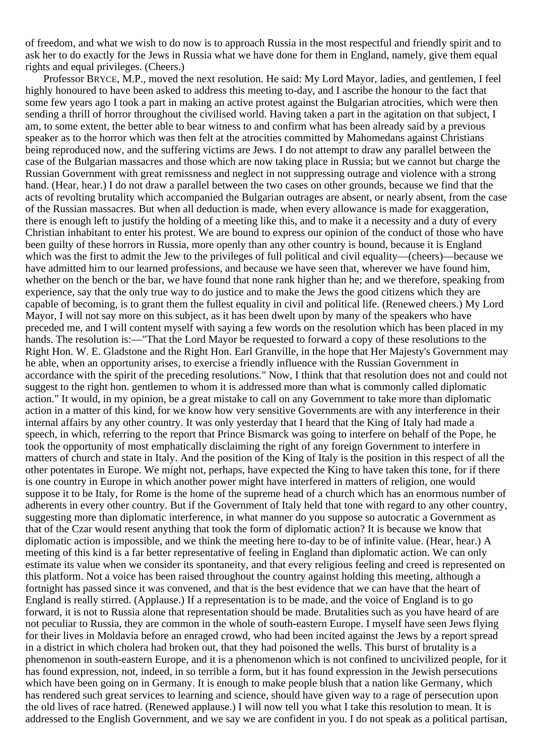of freedom, and what we wish to do now is to approach Russia in the most respectful and friendly spirit and to ask her to do exactly for the Jews in Russia what we have done for them in England, namely, give them equal rights and equal privileges. (Cheers.)

Professor BRYCE, M.P., moved the next resolution. He said: My Lord Mayor, ladies, and gentlemen, I feel highly honoured to have been asked to address this meeting to-day, and I ascribe the honour to the fact that some few years ago I took a part in making an active protest against the Bulgarian atrocities, which were then sending a thrill of horror throughout the civilised world. Having taken a part in the agitation on that subject, I am, to some extent, the better able to bear witness to and confirm what has been already said by a previous speaker as to the horror which was then felt at the atrocities committed by Mahomedans against Christians being reproduced now, and the suffering victims are Jews. I do not attempt to draw any parallel between the case of the Bulgarian massacres and those which are now taking place in Russia; but we cannot but charge the Russian Government with great remissness and neglect in not suppressing outrage and violence with a strong hand. (Hear, hear.) I do not draw a parallel between the two cases on other grounds, because we find that the acts of revolting brutality which accompanied the Bulgarian outrages are absent, or nearly absent, from the case of the Russian massacres. But when all deduction is made, when every allowance is made for exaggeration, there is enough left to justify the holding of a meeting like this, and to make it a necessity and a duty of every Christian inhabitant to enter his protest. We are bound to express our opinion of the conduct of those who have been guilty of these horrors in Russia, more openly than any other country is bound, because it is England which was the first to admit the Jew to the privileges of full political and civil equality—(cheers)—because we have admitted him to our learned professions, and because we have seen that, wherever we have found him, whether on the bench or the bar, we have found that none rank higher than he; and we therefore, speaking from experience, say that the only true way to do justice and to make the Jews the good citizens which they are capable of becoming, is to grant them the fullest equality in civil and political life. (Renewed cheers.) My Lord Mayor, I will not say more on this subject, as it has been dwelt upon by many of the speakers who have preceded me, and I will content myself with saying a few words on the resolution which has been placed in my hands. The resolution is:—"That the Lord Mayor be requested to forward a copy of these resolutions to the Right Hon. W. E. Gladstone and the Right Hon. Earl Granville, in the hope that Her Majesty's Government may he able, when an opportunity arises, to exercise a friendly influence with the Russian Government in accordance with the spirit of the preceding resolutions." Now, I think that that resolution does not and could not suggest to the right hon. gentlemen to whom it is addressed more than what is commonly called diplomatic action." It would, in my opinion, be a great mistake to call on any Government to take more than diplomatic action in a matter of this kind, for we know how very sensitive Governments are with any interference in their internal affairs by any other country. It was only yesterday that I heard that the King of Italy had made a speech, in which, referring to the report that Prince Bismarck was going to interfere on behalf of the Pope, he took the opportunity of most emphatically disclaiming the right of any foreign Government to interfere in matters of church and state in Italy. And the position of the King of Italy is the position in this respect of all the other potentates in Europe. We might not, perhaps, have expected the King to have taken this tone, for if there is one country in Europe in which another power might have interfered in matters of religion, one would suppose it to be Italy, for Rome is the home of the supreme head of a church which has an enormous number of adherents in every other country. But if the Government of Italy held that tone with regard to any other country, suggesting more than diplomatic interference, in what manner do you suppose so autocratic a Government as that of the Czar would resent anything that took the form of diplomatic action? It is because we know that diplomatic action is impossible, and we think the meeting here to-day to be of infinite value. (Hear, hear.) A meeting of this kind is a far better representative of feeling in England than diplomatic action. We can only estimate its value when we consider its spontaneity, and that every religious feeling and creed is represented on this platform. Not a voice has been raised throughout the country against holding this meeting, although a fortnight has passed since it was convened, and that is the best evidence that we can have that the heart of England is really stirred. (Applause.) If a representation is to be made, and the voice of England is to go forward, it is not to Russia alone that representation should be made. Brutalities such as you have heard of are not peculiar to Russia, they are common in the whole of south-eastern Europe. I myself have seen Jews flying for their lives in Moldavia before an enraged crowd, who had been incited against the Jews by a report spread in a district in which cholera had broken out, that they had poisoned the wells. This burst of brutality is a phenomenon in south-eastern Europe, and it is a phenomenon which is not confined to uncivilized people, for it has found expression, not, indeed, in so terrible a form, but it has found expression in the Jewish persecutions which have been going on in Germany. It is enough to make people blush that a nation like Germany, which has rendered such great services to learning and science, should have given way to a rage of persecution upon the old lives of race hatred. (Renewed applause.) I will now tell you what I take this resolution to mean. It is addressed to the English Government, and we say we are confident in you. I do not speak as a political partisan,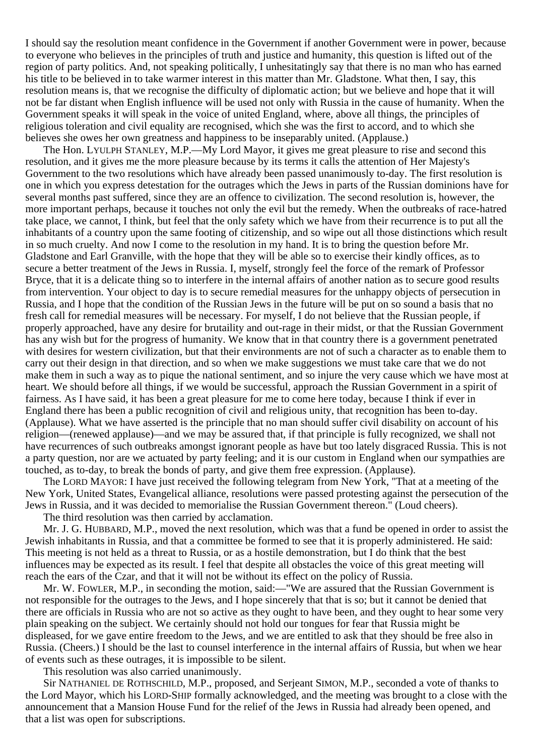I should say the resolution meant confidence in the Government if another Government were in power, because to everyone who believes in the principles of truth and justice and humanity, this question is lifted out of the region of party politics. And, not speaking politically, I unhesitatingly say that there is no man who has earned his title to be believed in to take warmer interest in this matter than Mr. Gladstone. What then, I say, this resolution means is, that we recognise the difficulty of diplomatic action; but we believe and hope that it will not be far distant when English influence will be used not only with Russia in the cause of humanity. When the Government speaks it will speak in the voice of united England, where, above all things, the principles of religious toleration and civil equality are recognised, which she was the first to accord, and to which she believes she owes her own greatness and happiness to be inseparably united. (Applause.)

The Hon. LYULPH STANLEY, M.P.—My Lord Mayor, it gives me great pleasure to rise and second this resolution, and it gives me the more pleasure because by its terms it calls the attention of Her Majesty's Government to the two resolutions which have already been passed unanimously to-day. The first resolution is one in which you express detestation for the outrages which the Jews in parts of the Russian dominions have for several months past suffered, since they are an offence to civilization. The second resolution is, however, the more important perhaps, because it touches not only the evil but the remedy. When the outbreaks of race-hatred take place, we cannot, I think, but feel that the only safety which we have from their recurrence is to put all the inhabitants of a country upon the same footing of citizenship, and so wipe out all those distinctions which result in so much cruelty. And now I come to the resolution in my hand. It is to bring the question before Mr. Gladstone and Earl Granville, with the hope that they will be able so to exercise their kindly offices, as to secure a better treatment of the Jews in Russia. I, myself, strongly feel the force of the remark of Professor Bryce, that it is a delicate thing so to interfere in the internal affairs of another nation as to secure good results from intervention. Your object to day is to secure remedial measures for the unhappy objects of persecution in Russia, and I hope that the condition of the Russian Jews in the future will be put on so sound a basis that no fresh call for remedial measures will be necessary. For myself, I do not believe that the Russian people, if properly approached, have any desire for brutaility and out-rage in their midst, or that the Russian Government has any wish but for the progress of humanity. We know that in that country there is a government penetrated with desires for western civilization, but that their environments are not of such a character as to enable them to carry out their design in that direction, and so when we make suggestions we must take care that we do not make them in such a way as to pique the national sentiment, and so injure the very cause which we have most at heart. We should before all things, if we would be successful, approach the Russian Government in a spirit of fairness. As I have said, it has been a great pleasure for me to come here today, because I think if ever in England there has been a public recognition of civil and religious unity, that recognition has been to-day. (Applause). What we have asserted is the principle that no man should suffer civil disability on account of his religion—(renewed applause)—and we may be assured that, if that principle is fully recognized, we shall not have recurrences of such outbreaks amongst ignorant people as have but too lately disgraced Russia. This is not a party question, nor are we actuated by party feeling; and it is our custom in England when our sympathies are touched, as to-day, to break the bonds of party, and give them free expression. (Applause).

The LORD MAYOR: I have just received the following telegram from New York, "That at a meeting of the New York, United States, Evangelical alliance, resolutions were passed protesting against the persecution of the Jews in Russia, and it was decided to memorialise the Russian Government thereon." (Loud cheers).

The third resolution was then carried by acclamation.

Mr. J. G. HUBBARD, M.P., moved the next resolution, which was that a fund be opened in order to assist the Jewish inhabitants in Russia, and that a committee be formed to see that it is properly administered. He said: This meeting is not held as a threat to Russia, or as a hostile demonstration, but I do think that the best influences may be expected as its result. I feel that despite all obstacles the voice of this great meeting will reach the ears of the Czar, and that it will not be without its effect on the policy of Russia.

Mr. W. FOWLER, M.P., in seconding the motion, said:—"We are assured that the Russian Government is not responsible for the outrages to the Jews, and I hope sincerely that that is so; but it cannot be denied that there are officials in Russia who are not so active as they ought to have been, and they ought to hear some very plain speaking on the subject. We certainly should not hold our tongues for fear that Russia might be displeased, for we gave entire freedom to the Jews, and we are entitled to ask that they should be free also in Russia. (Cheers.) I should be the last to counsel interference in the internal affairs of Russia, but when we hear of events such as these outrages, it is impossible to be silent.

This resolution was also carried unanimously.

Sir NATHANIEL DE ROTHSCHILD, M.P., proposed, and Serjeant SIMON, M.P., seconded a vote of thanks to the Lord Mayor, which his LORD-SHIP formally acknowledged, and the meeting was brought to a close with the announcement that a Mansion House Fund for the relief of the Jews in Russia had already been opened, and that a list was open for subscriptions.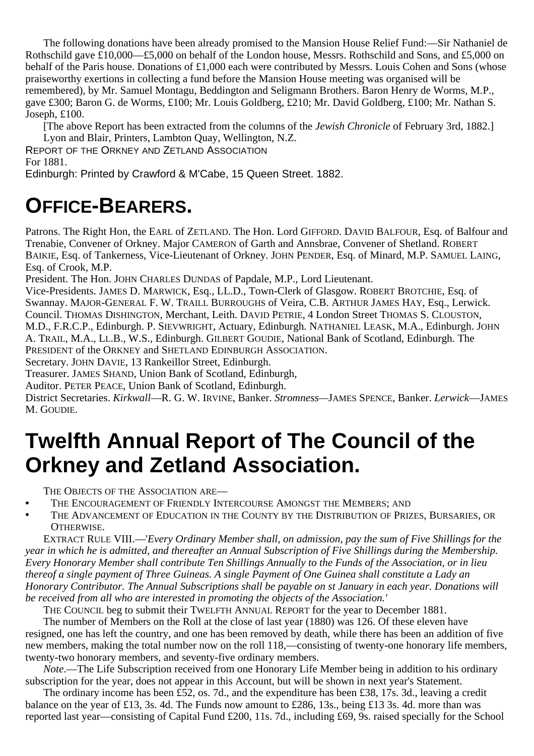The following donations have been already promised to the Mansion House Relief Fund:—Sir Nathaniel de Rothschild gave £10,000—£5,000 on behalf of the London house, Messrs. Rothschild and Sons, and £5,000 on behalf of the Paris house. Donations of £1,000 each were contributed by Messrs. Louis Cohen and Sons (whose praiseworthy exertions in collecting a fund before the Mansion House meeting was organised will be remembered), by Mr. Samuel Montagu, Beddington and Seligmann Brothers. Baron Henry de Worms, M.P., gave £300; Baron G. de Worms, £100; Mr. Louis Goldberg, £210; Mr. David Goldberg, £100; Mr. Nathan S. Joseph, £100.

[The above Report has been extracted from the columns of the *Jewish Chronicle* of February 3rd, 1882.] Lyon and Blair, Printers, Lambton Quay, Wellington, N.Z.

REPORT OF THE ORKNEY AND ZETLAND ASSOCIATION

For 1881.

Edinburgh: Printed by Crawford & M'Cabe, 15 Queen Street. 1882.

### **OFFICE-BEARERS.**

Patrons. The Right Hon, the EARL of ZETLAND. The Hon. Lord GIFFORD. DAVID BALFOUR, Esq. of Balfour and Trenabie, Convener of Orkney. Major CAMERON of Garth and Annsbrae, Convener of Shetland. ROBERT BAIKIE, Esq. of Tankerness, Vice-Lieutenant of Orkney. JOHN PENDER, Esq. of Minard, M.P. SAMUEL LAING, Esq. of Crook, M.P.

President. The Hon. JOHN CHARLES DUNDAS of Papdale, M.P., Lord Lieutenant.

Vice-Presidents. JAMES D. MARWICK, Esq., LL.D., Town-Clerk of Glasgow. ROBERT BROTCHIE, Esq. of Swannay. MAJOR-GENERAL F. W. TRAILL BURROUGHS of Veira, C.B. ARTHUR JAMES HAY, Esq., Lerwick. Council. THOMAS DISHINGTON, Merchant, Leith. DAVID PETRIE, 4 London Street THOMAS S. CLOUSTON, M.D., F.R.C.P., Edinburgh. P. SIEVWRIGHT, Actuary, Edinburgh. NATHANIEL LEASK, M.A., Edinburgh. JOHN A. TRAIL, M.A., LL.B., W.S., Edinburgh. GILBERT GOUDIE, National Bank of Scotland, Edinburgh. The PRESIDENT of the ORKNEY and SHETLAND EDINBURGH ASSOCIATION.

Secretary. JOHN DAVIE, 13 Rankeillor Street, Edinburgh.

Treasurer. JAMES SHAND, Union Bank of Scotland, Edinburgh,

Auditor. PETER PEACE, Union Bank of Scotland, Edinburgh.

District Secretaries. *Kirkwall*—R. G. W. IRVINE, Banker. *Stromness—*JAMES SPENCE, Banker. *Lerwick*—JAMES M. GOUDIE.

### **Twelfth Annual Report of The Council of the Orkney and Zetland Association.**

THE OBJECTS OF THE ASSOCIATION ARE—

- **•** THE ENCOURAGEMENT OF FRIENDLY INTERCOURSE AMONGST THE MEMBERS; AND
- **•** THE ADVANCEMENT OF EDUCATION IN THE COUNTY BY THE DISTRIBUTION OF PRIZES, BURSARIES, OR **OTHERWISE.**

EXTRACT RULE VIII.—'*Every Ordinary Member shall, on admission, pay the sum of Five Shillings for the year in which he is admitted, and thereafter an Annual Subscription of Five Shillings during the Membership. Every Honorary Member shall contribute Ten Shillings Annually to the Funds of the Association, or in lieu thereof a single payment of Three Guineas. A single Payment of One Guinea shall constitute a Lady an Honorary Contributor. The Annual Subscriptions shall be payable on st January in each year. Donations will be received from all who are interested in promoting the objects of the Association.'*

THE COUNCIL beg to submit their TWELFTH ANNUAL REPORT for the year to December 1881.

The number of Members on the Roll at the close of last year (1880) was 126. Of these eleven have resigned, one has left the country, and one has been removed by death, while there has been an addition of five new members, making the total number now on the roll 118,—consisting of twenty-one honorary life members, twenty-two honorary members, and seventy-five ordinary members.

*Note*.—The Life Subscription received from one Honorary Life Member being in addition to his ordinary subscription for the year, does not appear in this Account, but will be shown in next year's Statement.

The ordinary income has been £52, os. 7d., and the expenditure has been £38, 17s. 3d., leaving a credit balance on the year of £13, 3s. 4d. The Funds now amount to £286, 13s., being £13 3s. 4d. more than was reported last year—consisting of Capital Fund £200, 11s. 7d., including £69, 9s. raised specially for the School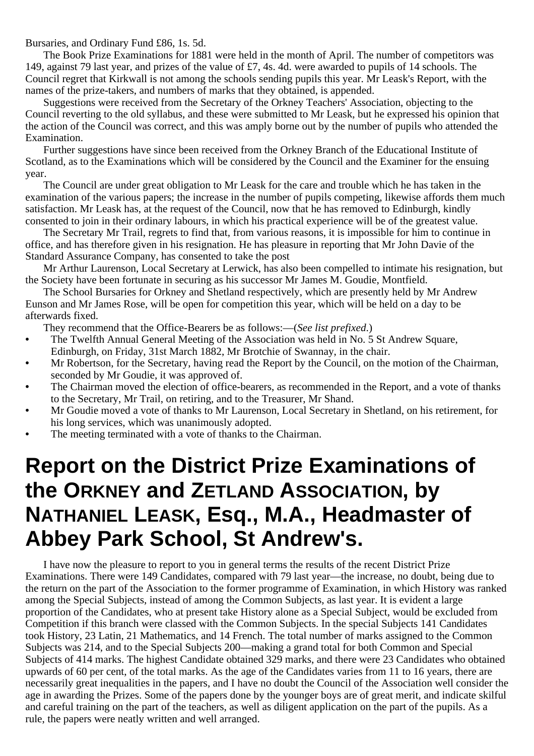Bursaries, and Ordinary Fund £86, 1s. 5d.

The Book Prize Examinations for 1881 were held in the month of April. The number of competitors was 149, against 79 last year, and prizes of the value of £7, 4s. 4d. were awarded to pupils of 14 schools. The Council regret that Kirkwall is not among the schools sending pupils this year. Mr Leask's Report, with the names of the prize-takers, and numbers of marks that they obtained, is appended.

Suggestions were received from the Secretary of the Orkney Teachers' Association, objecting to the Council reverting to the old syllabus, and these were submitted to Mr Leask, but he expressed his opinion that the action of the Council was correct, and this was amply borne out by the number of pupils who attended the Examination.

Further suggestions have since been received from the Orkney Branch of the Educational Institute of Scotland, as to the Examinations which will be considered by the Council and the Examiner for the ensuing year.

The Council are under great obligation to Mr Leask for the care and trouble which he has taken in the examination of the various papers; the increase in the number of pupils competing, likewise affords them much satisfaction. Mr Leask has, at the request of the Council, now that he has removed to Edinburgh, kindly consented to join in their ordinary labours, in which his practical experience will be of the greatest value.

The Secretary Mr Trail, regrets to find that, from various reasons, it is impossible for him to continue in office, and has therefore given in his resignation. He has pleasure in reporting that Mr John Davie of the Standard Assurance Company, has consented to take the post

Mr Arthur Laurenson, Local Secretary at Lerwick, has also been compelled to intimate his resignation, but the Society have been fortunate in securing as his successor Mr James M. Goudie, Montfield.

The School Bursaries for Orkney and Shetland respectively, which are presently held by Mr Andrew Eunson and Mr James Rose, will be open for competition this year, which will be held on a day to be afterwards fixed.

They recommend that the Office-Bearers be as follows:—(*See list prefixed*.)

- **•** The Twelfth Annual General Meeting of the Association was held in No. 5 St Andrew Square, Edinburgh, on Friday, 31st March 1882, Mr Brotchie of Swannay, in the chair.
- **•** Mr Robertson, for the Secretary, having read the Report by the Council, on the motion of the Chairman, seconded by Mr Goudie, it was approved of.
- **•** The Chairman moved the election of office-bearers, as recommended in the Report, and a vote of thanks to the Secretary, Mr Trail, on retiring, and to the Treasurer, Mr Shand.
- **•** Mr Goudie moved a vote of thanks to Mr Laurenson, Local Secretary in Shetland, on his retirement, for his long services, which was unanimously adopted.
- **•** The meeting terminated with a vote of thanks to the Chairman.

### **Report on the District Prize Examinations of the ORKNEY and ZETLAND ASSOCIATION, by NATHANIEL LEASK, Esq., M.A., Headmaster of Abbey Park School, St Andrew's.**

I have now the pleasure to report to you in general terms the results of the recent District Prize Examinations. There were 149 Candidates, compared with 79 last year—the increase, no doubt, being due to the return on the part of the Association to the former programme of Examination, in which History was ranked among the Special Subjects, instead of among the Common Subjects, as last year. It is evident a large proportion of the Candidates, who at present take History alone as a Special Subject, would be excluded from Competition if this branch were classed with the Common Subjects. In the special Subjects 141 Candidates took History, 23 Latin, 21 Mathematics, and 14 French. The total number of marks assigned to the Common Subjects was 214, and to the Special Subjects 200—making a grand total for both Common and Special Subjects of 414 marks. The highest Candidate obtained 329 marks, and there were 23 Candidates who obtained upwards of 60 per cent, of the total marks. As the age of the Candidates varies from 11 to 16 years, there are necessarily great inequalities in the papers, and I have no doubt the Council of the Association well consider the age in awarding the Prizes. Some of the papers done by the younger boys are of great merit, and indicate skilful and careful training on the part of the teachers, as well as diligent application on the part of the pupils. As a rule, the papers were neatly written and well arranged.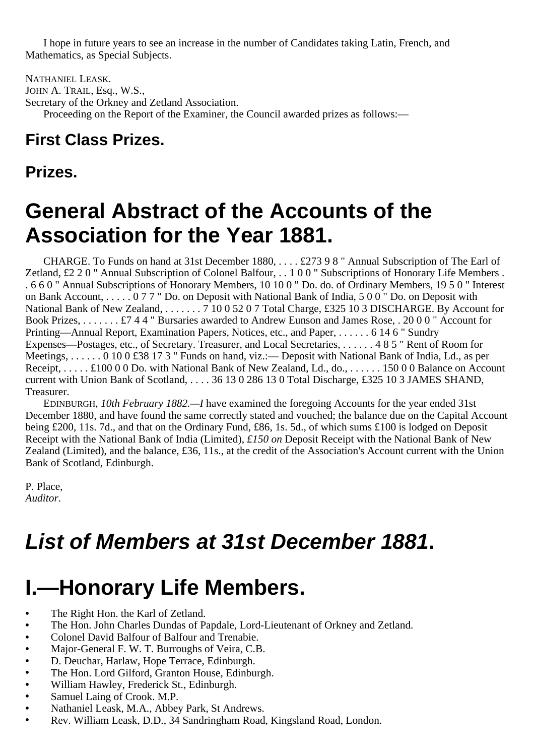I hope in future years to see an increase in the number of Candidates taking Latin, French, and Mathematics, as Special Subjects.

NATHANIEL LEASK. JOHN A. TRAIL, Esq., W.S., Secretary of the Orkney and Zetland Association. Proceeding on the Report of the Examiner, the Council awarded prizes as follows:—

### **First Class Prizes.**

**Prizes.**

### **General Abstract of the Accounts of the Association for the Year 1881.**

CHARGE. To Funds on hand at 31st December 1880, . . . . £273 9 8 " Annual Subscription of The Earl of Zetland, £2 2 0 " Annual Subscription of Colonel Balfour, . . 1 0 0 " Subscriptions of Honorary Life Members . . 6 6 0 " Annual Subscriptions of Honorary Members, 10 10 0 " Do. do. of Ordinary Members, 19 5 0 " Interest on Bank Account, . . . . . 0 7 7 " Do. on Deposit with National Bank of India, 5 0 0 " Do. on Deposit with National Bank of New Zealand, . . . . . . . 7 10 0 52 0 7 Total Charge, £325 10 3 DISCHARGE. By Account for Book Prizes, . . . . . . . £7 4 4 " Bursaries awarded to Andrew Eunson and James Rose, . 20 0 0 " Account for Printing—Annual Report, Examination Papers, Notices, etc., and Paper, . . . . . . 6 14 6 " Sundry Expenses—Postages, etc., of Secretary. Treasurer, and Local Secretaries, . . . . . . 4 8 5 " Rent of Room for Meetings, ...... 0 10 0 £38 17 3 " Funds on hand, viz.:— Deposit with National Bank of India, Ld., as per Receipt, . . . . . £100 0 0 Do. with National Bank of New Zealand, Ld., do., . . . . . . 150 0 0 Balance on Account current with Union Bank of Scotland, . . . . 36 13 0 286 13 0 Total Discharge, £325 10 3 JAMES SHAND, Treasurer.

EDINBURGH, *10th February 1882.—I* have examined the foregoing Accounts for the year ended 31st December 1880, and have found the same correctly stated and vouched; the balance due on the Capital Account being £200, 11s. 7d., and that on the Ordinary Fund, £86, 1s. 5d., of which sums £100 is lodged on Deposit Receipt with the National Bank of India (Limited), *£150 on* Deposit Receipt with the National Bank of New Zealand (Limited), and the balance, £36, 11s., at the credit of the Association's Account current with the Union Bank of Scotland, Edinburgh.

P. Place, *Auditor*.

## **List of Members at 31st December 1881.**

## **I.—Honorary Life Members.**

- **•** The Right Hon. the Karl of Zetland.
- The Hon. John Charles Dundas of Papdale, Lord-Lieutenant of Orkney and Zetland.<br>• Colonel David Balfour of Balfour and Trenabie.
- Colonel David Balfour of Balfour and Trenabie.<br>• Maior-General F. W. T. Burroughs of Veira. C.B
- **•** Major-General F. W. T. Burroughs of Veira, C.B.
- **•** D. Deuchar, Harlaw, Hope Terrace, Edinburgh.
- The Hon. Lord Gilford, Granton House, Edinburgh.<br>• William Hawley, Frederick St., Edinburgh.
- **•** William Hawley, Frederick St., Edinburgh.
- **•** Samuel Laing of Crook. M.P.
- **•** Nathaniel Leask, M.A., Abbey Park, St Andrews.
- **•** Rev. William Leask, D.D., 34 Sandringham Road, Kingsland Road, London.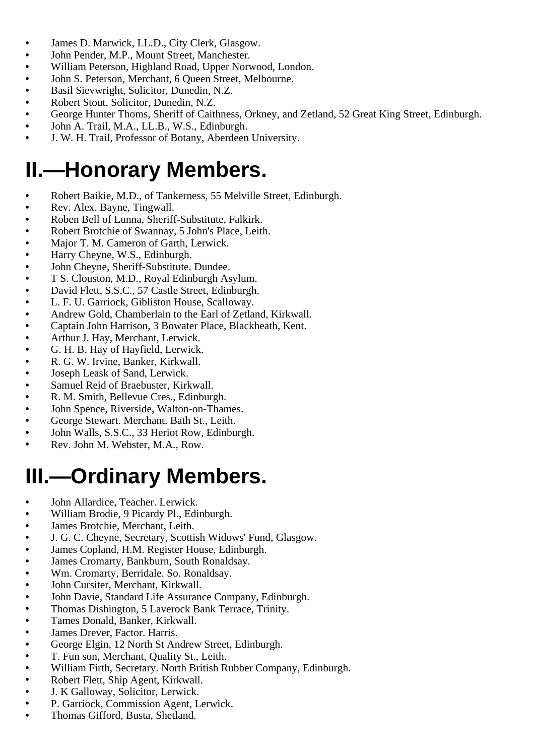- **•** James D. Marwick, LL.D., City Clerk, Glasgow.
- **•** John Pender, M.P., Mount Street, Manchester.
- **•** William Peterson, Highland Road, Upper Norwood, London.
- **•** John S. Peterson, Merchant, 6 Queen Street, Melbourne.
- **•** Basil Sievwright, Solicitor, Dunedin, N.Z.
- **•** Robert Stout, Solicitor, Dunedin, N.Z.
- **•** George Hunter Thoms, Sheriff of Caithness, Orkney, and Zetland, 52 Great King Street, Edinburgh.
- **•** John A. Trail, M.A., LL.B., W.S., Edinburgh.
- **•** J. W. H. Trail, Professor of Botany, Aberdeen University.

## **II.—Honorary Members.**

- **•** Robert Baikie, M.D., of Tankerness, 55 Melville Street, Edinburgh.
- **•** Rev. Alex. Bayne, Tingwall.
- **•** Roben Bell of Lunna, Sheriff-Substitute, Falkirk.
- **•** Robert Brotchie of Swannay, 5 John's Place, Leith.
- **•** Major T. M. Cameron of Garth, Lerwick.
- **•** Harry Cheyne, W.S., Edinburgh.
- **•** John Cheyne, Sheriff-Substitute. Dundee.
- **•** T S. Clouston, M.D., Royal Edinburgh Asylum.
- **•** David Flett, S.S.C., 57 Castle Street, Edinburgh.
- **•** L. F. U. Garriock, Gibliston House, Scalloway.
- **•** Andrew Gold, Chamberlain to the Earl of Zetland, Kirkwall.
- **•** Captain John Harrison, 3 Bowater Place, Blackheath, Kent.
- **•** Arthur J. Hay, Merchant, Lerwick.
- **•** G. H. B. Hay of Hayfield, Lerwick.
- **•** R. G. W. Irvine, Banker, Kirkwall.
- **•** Joseph Leask of Sand, Lerwick.
- **•** Samuel Reid of Braebuster, Kirkwall.
- **•** R. M. Smith, Bellevue Cres., Edinburgh.
- **•** John Spence, Riverside, Walton-on-Thames.
- **•** George Stewart. Merchant. Bath St., Leith.
- **•** John Walls, S.S.C., 33 Heriot Row, Edinburgh.
- **•** Rev. John M. Webster, M.A., Row.

### **III.—Ordinary Members.**

- **•** John Allardice, Teacher. Lerwick.
- William Brodie, 9 Picardy Pl., Edinburgh.<br>• Iames Brotchie, Merchant Leith
- **•** James Brotchie, Merchant, Leith.
- **•** J. G. C. Cheyne, Secretary, Scottish Widows' Fund, Glasgow.
- **•** James Copland, H.M. Register House, Edinburgh.
- **•** James Cromarty, Bankburn, South Ronaldsay.
- **•** Wm. Cromarty, Berridale. So. Ronaldsay.
- **•** John Cursiter, Merchant, Kirkwall.
- **•** John Davie, Standard Life Assurance Company, Edinburgh.
- **•** Thomas Dishington, 5 Laverock Bank Terrace, Trinity.
- **•** Tames Donald, Banker, Kirkwall.
- **•** James Drever, Factor. Harris.
- **•** George Elgin, 12 North St Andrew Street, Edinburgh.
- **•** T. Fun son, Merchant, Quality St., Leith.
- **•** William Firth, Secretary. North British Rubber Company, Edinburgh.
- **•** Robert Flett, Ship Agent, Kirkwall.
- **•** J. K Galloway, Solicitor, Lerwick.
- **•** P. Garriock, Commission Agent, Lerwick.
- **•** Thomas Gifford, Busta, Shetland.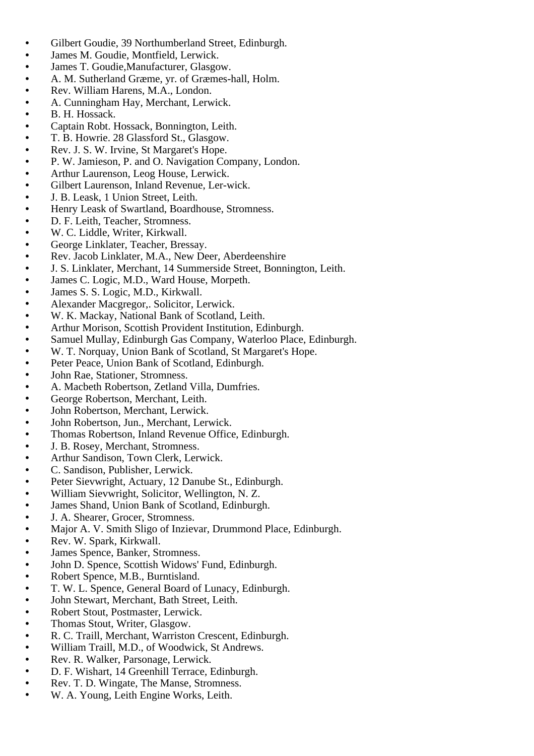- **•** Gilbert Goudie, 39 Northumberland Street, Edinburgh.
- **•** James M. Goudie, Montfield, Lerwick.
- **•** James T. Goudie,Manufacturer, Glasgow.
- **•** A. M. Sutherland Græme, yr. of Græmes-hall, Holm.
- **•** Rev. William Harens, M.A., London.
- **•** A. Cunningham Hay, Merchant, Lerwick.
- **•** B. H. Hossack.
- **•** Captain Robt. Hossack, Bonnington, Leith.
- **•** T. B. Howrie. 28 Glassford St., Glasgow.
- **•** Rev. J. S. W. Irvine, St Margaret's Hope.
- **•** P. W. Jamieson, P. and O. Navigation Company, London.
- **•** Arthur Laurenson, Leog House, Lerwick.
- **•** Gilbert Laurenson, Inland Revenue, Ler-wick.
- **•** J. B. Leask, 1 Union Street, Leith.
- **•** Henry Leask of Swartland, Boardhouse, Stromness.
- **•** D. F. Leith, Teacher, Stromness.
- **•** W. C. Liddle, Writer, Kirkwall.
- **•** George Linklater, Teacher, Bressay.
- **•** Rev. Jacob Linklater, M.A., New Deer, Aberdeenshire
- **•** J. S. Linklater, Merchant, 14 Summerside Street, Bonnington, Leith.
- **•** James C. Logic, M.D., Ward House, Morpeth.
- **•** James S. S. Logic, M.D., Kirkwall.
- **•** Alexander Macgregor,. Solicitor, Lerwick.
- **•** W. K. Mackay, National Bank of Scotland, Leith.
- Arthur Morison, Scottish Provident Institution, Edinburgh.<br>• Samuel Mullay Edinburgh Gas Company Waterloo Place.
- **•** Samuel Mullay, Edinburgh Gas Company, Waterloo Place, Edinburgh.
- **•** W. T. Norquay, Union Bank of Scotland, St Margaret's Hope.
- **•** Peter Peace, Union Bank of Scotland, Edinburgh.
- **•** John Rae, Stationer, Stromness.
- **•** A. Macbeth Robertson, Zetland Villa, Dumfries.
- **•** George Robertson, Merchant, Leith.
- **•** John Robertson, Merchant, Lerwick.
- **•** John Robertson, Jun., Merchant, Lerwick.
- **•** Thomas Robertson, Inland Revenue Office, Edinburgh.
- **•** J. B. Rosey, Merchant, Stromness.
- **•** Arthur Sandison, Town Clerk, Lerwick.
- **•** C. Sandison, Publisher, Lerwick.
- **•** Peter Sievwright, Actuary, 12 Danube St., Edinburgh.
- **•** William Sievwright, Solicitor, Wellington, N. Z.
- **•** James Shand, Union Bank of Scotland, Edinburgh.
- **•** J. A. Shearer, Grocer, Stromness.
- **•** Major A. V. Smith Sligo of Inzievar, Drummond Place, Edinburgh.
- **•** Rev. W. Spark, Kirkwall.
- **•** James Spence, Banker, Stromness.
- **•** John D. Spence, Scottish Widows' Fund, Edinburgh.
- **•** Robert Spence, M.B., Burntisland.
- **•** T. W. L. Spence, General Board of Lunacy, Edinburgh.
- **•** John Stewart, Merchant, Bath Street, Leith.
- **•** Robert Stout, Postmaster, Lerwick.
- **•** Thomas Stout, Writer, Glasgow.
- **•** R. C. Traill, Merchant, Warriston Crescent, Edinburgh.
- **•** William Traill, M.D., of Woodwick, St Andrews.
- Rev. R. Walker, Parsonage, Lerwick.
- D. F. Wishart, 14 Greenhill Terrace, Edinburgh.<br>• Rev. T. D. Wingate. The Manse. Stromness.
- **•** Rev. T. D. Wingate, The Manse, Stromness.
- **•** W. A. Young, Leith Engine Works, Leith.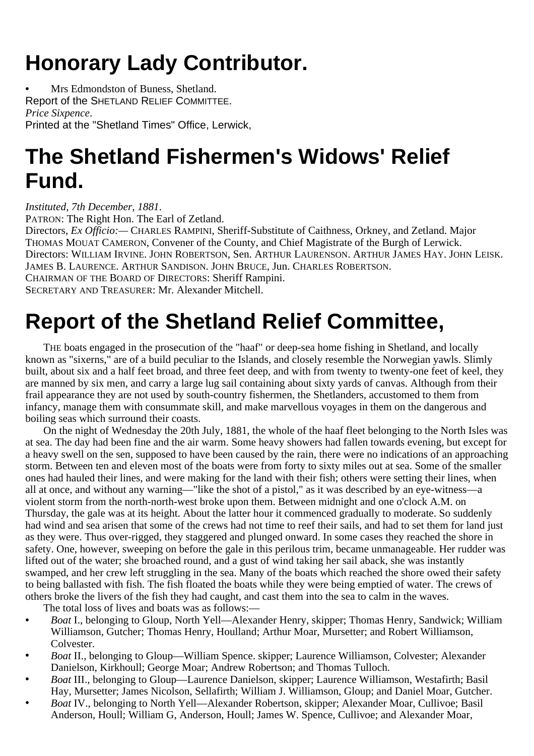# **Honorary Lady Contributor.**

**•** Mrs Edmondston of Buness, Shetland.

Report of the SHETLAND RELIEF COMMITTEE.

*Price Sixpence*.

Printed at the "Shetland Times" Office, Lerwick,

## **The Shetland Fishermen's Widows' Relief Fund.**

*Instituted, 7th December, 1881*.

PATRON: The Right Hon. The Earl of Zetland.

Directors, *Ex Officio:—* CHARLES RAMPINI, Sheriff-Substitute of Caithness, Orkney, and Zetland. Major THOMAS MOUAT CAMERON, Convener of the County, and Chief Magistrate of the Burgh of Lerwick. Directors: WILLIAM IRVINE. JOHN ROBERTSON, Sen. ARTHUR LAURENSON. ARTHUR JAMES HAY. JOHN LEISK. JAMES B. LAURENCE. ARTHUR SANDISON. JOHN BRUCE, Jun. CHARLES ROBERTSON. CHAIRMAN OF THE BOARD OF DIRECTORS: Sheriff Rampini. SECRETARY AND TREASURER: Mr. Alexander Mitchell.

### **Report of the Shetland Relief Committee,**

THE boats engaged in the prosecution of the "haaf" or deep-sea home fishing in Shetland, and locally known as "sixerns," are of a build peculiar to the Islands, and closely resemble the Norwegian yawls. Slimly built, about six and a half feet broad, and three feet deep, and with from twenty to twenty-one feet of keel, they are manned by six men, and carry a large lug sail containing about sixty yards of canvas. Although from their frail appearance they are not used by south-country fishermen, the Shetlanders, accustomed to them from infancy, manage them with consummate skill, and make marvellous voyages in them on the dangerous and boiling seas which surround their coasts.

On the night of Wednesday the 20th July, 1881, the whole of the haaf fleet belonging to the North Isles was at sea. The day had been fine and the air warm. Some heavy showers had fallen towards evening, but except for a heavy swell on the sen, supposed to have been caused by the rain, there were no indications of an approaching storm. Between ten and eleven most of the boats were from forty to sixty miles out at sea. Some of the smaller ones had hauled their lines, and were making for the land with their fish; others were setting their lines, when all at once, and without any warning—"like the shot of a pistol," as it was described by an eye-witness—a violent storm from the north-north-west broke upon them. Between midnight and one o'clock A.M. on Thursday, the gale was at its height. About the latter hour it commenced gradually to moderate. So suddenly had wind and sea arisen that some of the crews had not time to reef their sails, and had to set them for land just as they were. Thus over-rigged, they staggered and plunged onward. In some cases they reached the shore in safety. One, however, sweeping on before the gale in this perilous trim, became unmanageable. Her rudder was lifted out of the water; she broached round, and a gust of wind taking her sail aback, she was instantly swamped, and her crew left struggling in the sea. Many of the boats which reached the shore owed their safety to being ballasted with fish. The fish floated the boats while they were being emptied of water. The crews of others broke the livers of the fish they had caught, and cast them into the sea to calm in the waves.

The total loss of lives and boats was as follows:—

- **•** *Boat* I., belonging to Gloup, North Yell—Alexander Henry, skipper; Thomas Henry, Sandwick; William Williamson, Gutcher; Thomas Henry, Houlland; Arthur Moar, Mursetter; and Robert Williamson, Colvester.
- **•** *Boat* II., belonging to Gloup—William Spence. skipper; Laurence Williamson, Colvester; Alexander Danielson, Kirkhoull; George Moar; Andrew Robertson; and Thomas Tulloch.
- **•** *Boat* III., belonging to Gloup—Laurence Danielson, skipper; Laurence Williamson, Westafirth; Basil Hay, Mursetter; James Nicolson, Sellafirth; William J. Williamson, Gloup; and Daniel Moar, Gutcher.
- **•** *Boat* IV., belonging to North Yell—Alexander Robertson, skipper; Alexander Moar, Cullivoe; Basil Anderson, Houll; William G, Anderson, Houll; James W. Spence, Cullivoe; and Alexander Moar,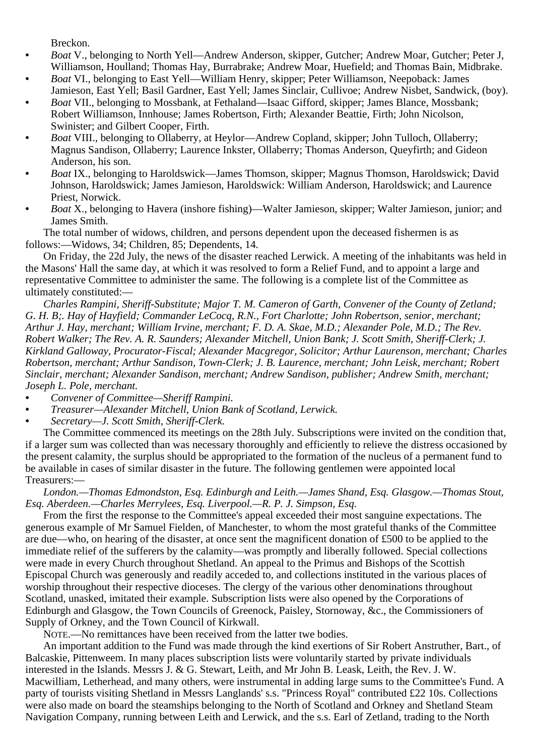Breckon.

- **•** *Boat* V., belonging to North Yell—Andrew Anderson, skipper, Gutcher; Andrew Moar, Gutcher; Peter J, Williamson, Houlland; Thomas Hay, Burrabrake; Andrew Moar, Huefield; and Thomas Bain, Midbrake.
- **•** *Boat* VI., belonging to East Yell—William Henry, skipper; Peter Williamson, Neepoback: James Jamieson, East Yell; Basil Gardner, East Yell; James Sinclair, Cullivoe; Andrew Nisbet, Sandwick, (boy).
- **•** *Boat* VII., belonging to Mossbank, at Fethaland—Isaac Gifford, skipper; James Blance, Mossbank; Robert Williamson, Innhouse; James Robertson, Firth; Alexander Beattie, Firth; John Nicolson, Swinister; and Gilbert Cooper, Firth.
- **•** *Boat* VIII., belonging to Ollaberry, at Heylor—Andrew Copland, skipper; John Tulloch, Ollaberry; Magnus Sandison, Ollaberry; Laurence Inkster, Ollaberry; Thomas Anderson, Queyfirth; and Gideon Anderson, his son.
- **•** *Boat* IX., belonging to Haroldswick—James Thomson, skipper; Magnus Thomson, Haroldswick; David Johnson, Haroldswick; James Jamieson, Haroldswick: William Anderson, Haroldswick; and Laurence Priest, Norwick.
- **•** *Boat* X., belonging to Havera (inshore fishing)—Walter Jamieson, skipper; Walter Jamieson, junior; and James Smith.

The total number of widows, children, and persons dependent upon the deceased fishermen is as follows:—Widows, 34; Children, 85; Dependents, 14.

On Friday, the 22d July, the news of the disaster reached Lerwick. A meeting of the inhabitants was held in the Masons' Hall the same day, at which it was resolved to form a Relief Fund, and to appoint a large and representative Committee to administer the same. The following is a complete list of the Committee as ultimately constituted:—

*Charles Rampini, Sheriff-Substitute; Major T. M. Cameron of Garth, Convener of the County of Zetland; G. H. B;. Hay of Hayfield; Commander LeCocq, R.N., Fort Charlotte; John Robertson, senior, merchant; Arthur J. Hay, merchant; William Irvine, merchant; F. D. A. Skae, M.D.; Alexander Pole, M.D.; The Rev. Robert Walker; The Rev. A. R. Saunders; Alexander Mitchell, Union Bank; J. Scott Smith, Sheriff-Clerk; J. Kirkland Galloway, Procurator-Fiscal; Alexander Macgregor, Solicitor; Arthur Laurenson, merchant; Charles Robertson, merchant; Arthur Sandison, Town-Clerk; J. B. Laurence, merchant; John Leisk, merchant; Robert Sinclair, merchant; Alexander Sandison, merchant; Andrew Sandison, publisher; Andrew Smith, merchant; Joseph L. Pole, merchant.*

- *• Convener of Committee—Sheriff Rampini.*
- *• Treasurer—Alexander Mitchell, Union Bank of Scotland, Lerwick.*
- *• Secretary—J. Scott Smith, Sheriff-Clerk.*

The Committee commenced its meetings on the 28th July. Subscriptions were invited on the condition that, if a larger sum was collected than was necessary thoroughly and efficiently to relieve the distress occasioned by the present calamity, the surplus should be appropriated to the formation of the nucleus of a permanent fund to be available in cases of similar disaster in the future. The following gentlemen were appointed local Treasurers:—

*London.—Thomas Edmondston, Esq. Edinburgh and Leith.—James Shand, Esq. Glasgow.—Thomas Stout, Esq. Aberdeen.—Charles Merrylees, Esq. Liverpool.—R. P. J. Simpson, Esq.*

From the first the response to the Committee's appeal exceeded their most sanguine expectations. The generous example of Mr Samuel Fielden, of Manchester, to whom the most grateful thanks of the Committee are due—who, on hearing of the disaster, at once sent the magnificent donation of £500 to be applied to the immediate relief of the sufferers by the calamity—was promptly and liberally followed. Special collections were made in every Church throughout Shetland. An appeal to the Primus and Bishops of the Scottish Episcopal Church was generously and readily acceded to, and collections instituted in the various places of worship throughout their respective dioceses. The clergy of the various other denominations throughout Scotland, unasked, imitated their example. Subscription lists were also opened by the Corporations of Edinburgh and Glasgow, the Town Councils of Greenock, Paisley, Stornoway, &c., the Commissioners of Supply of Orkney, and the Town Council of Kirkwall.

NOTE.—No remittances have been received from the latter twe bodies.

An important addition to the Fund was made through the kind exertions of Sir Robert Anstruther, Bart., of Balcaskie, Pittenweem. In many places subscription lists were voluntarily started by private individuals interested in the Islands. Messrs J. & G. Stewart, Leith, and Mr John B. Leask, Leith, the Rev. J. W. Macwilliam, Letherhead, and many others, were instrumental in adding large sums to the Committee's Fund. A party of tourists visiting Shetland in Messrs Langlands' s.s. "Princess Royal" contributed £22 10s. Collections were also made on board the steamships belonging to the North of Scotland and Orkney and Shetland Steam Navigation Company, running between Leith and Lerwick, and the s.s. Earl of Zetland, trading to the North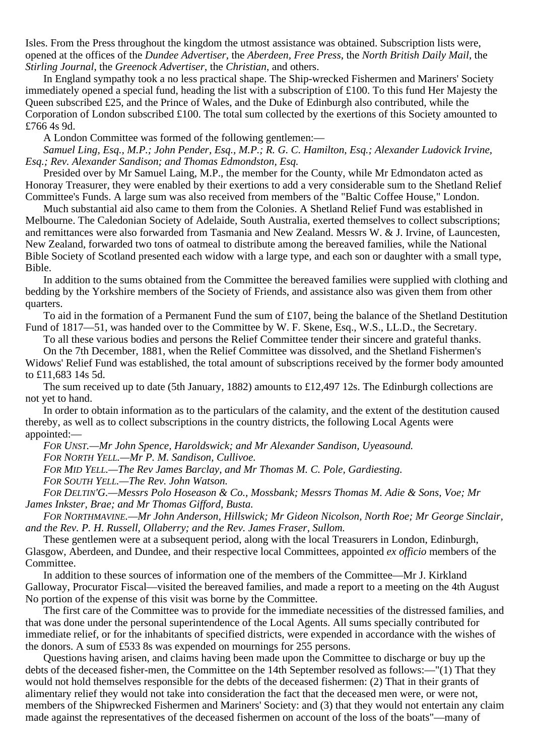Isles. From the Press throughout the kingdom the utmost assistance was obtained. Subscription lists were, opened at the offices of the *Dundee Advertiser*, the *Aberdeen, Free Press*, the *North British Daily Mail*, the *Stirling Journal*, the *Greenock Advertiser*, the *Christian*, and others.

In England sympathy took a no less practical shape. The Ship-wrecked Fishermen and Mariners' Society immediately opened a special fund, heading the list with a subscription of £100. To this fund Her Majesty the Queen subscribed £25, and the Prince of Wales, and the Duke of Edinburgh also contributed, while the Corporation of London subscribed £100. The total sum collected by the exertions of this Society amounted to £766 4s 9d.

A London Committee was formed of the following gentlemen:—

*Samuel Ling, Esq., M.P.; John Pender, Esq., M.P.; R. G. C. Hamilton, Esq.; Alexander Ludovick Irvine, Esq.; Rev. Alexander Sandison; and Thomas Edmondston, Esq.*

Presided over by Mr Samuel Laing, M.P., the member for the County, while Mr Edmondaton acted as Honoray Treasurer, they were enabled by their exertions to add a very considerable sum to the Shetland Relief Committee's Funds. A large sum was also received from members of the "Baltic Coffee House," London.

Much substantial aid also came to them from the Colonies. A Shetland Relief Fund was established in Melbourne. The Caledonian Society of Adelaide, South Australia, exerted themselves to collect subscriptions; and remittances were also forwarded from Tasmania and New Zealand. Messrs W. & J. Irvine, of Launcesten, New Zealand, forwarded two tons of oatmeal to distribute among the bereaved families, while the National Bible Society of Scotland presented each widow with a large type, and each son or daughter with a small type, Bible.

In addition to the sums obtained from the Committee the bereaved families were supplied with clothing and bedding by the Yorkshire members of the Society of Friends, and assistance also was given them from other quarters.

To aid in the formation of a Permanent Fund the sum of £107, being the balance of the Shetland Destitution Fund of 1817—51, was handed over to the Committee by W. F. Skene, Esq., W.S., LL.D., the Secretary.

To all these various bodies and persons the Relief Committee tender their sincere and grateful thanks. On the 7th December, 1881, when the Relief Committee was dissolved, and the Shetland Fishermen's Widows' Relief Fund was established, the total amount of subscriptions received by the former body amounted to £11,683 14s 5d.

The sum received up to date (5th January, 1882) amounts to £12,497 12s. The Edinburgh collections are not yet to hand.

In order to obtain information as to the particulars of the calamity, and the extent of the destitution caused thereby, as well as to collect subscriptions in the country districts, the following Local Agents were appointed:—

*FOR UNST.—Mr John Spence, Haroldswick; and Mr Alexander Sandison, Uyeasound.*

*FOR NORTH YELL.—Mr P. M. Sandison, Cullivoe.*

*FOR MID YELL.—The Rev James Barclay, and Mr Thomas M. C. Pole, Gardiesting.*

*FOR SOUTH YELL.—The Rev. John Watson.*

*FOR DELTIN'G.—Messrs Polo Hoseason & Co., Mossbank; Messrs Thomas M. Adie & Sons, Voe; Mr James Inkster, Brae; and Mr Thomas Gifford, Busta.*

*FOR NORTHMAVINE.—Mr John Anderson, Hillswick; Mr Gideon Nicolson, North Roe; Mr George Sinclair, and the Rev. P. H. Russell, Ollaberry; and the Rev. James Fraser, Sullom.*

These gentlemen were at a subsequent period, along with the local Treasurers in London, Edinburgh, Glasgow, Aberdeen, and Dundee, and their respective local Committees, appointed *ex officio* members of the Committee.

In addition to these sources of information one of the members of the Committee—Mr J. Kirkland Galloway, Procurator Fiscal—visited the bereaved families, and made a report to a meeting on the 4th August No portion of the expense of this visit was borne by the Committee.

The first care of the Committee was to provide for the immediate necessities of the distressed families, and that was done under the personal superintendence of the Local Agents. All sums specially contributed for immediate relief, or for the inhabitants of specified districts, were expended in accordance with the wishes of the donors. A sum of £533 8s was expended on mournings for 255 persons.

Questions having arisen, and claims having been made upon the Committee to discharge or buy up the debts of the deceased fisher-men, the Committee on the 14th September resolved as follows:—"(1) That they would not hold themselves responsible for the debts of the deceased fishermen: (2) That in their grants of alimentary relief they would not take into consideration the fact that the deceased men were, or were not, members of the Shipwrecked Fishermen and Mariners' Society: and (3) that they would not entertain any claim made against the representatives of the deceased fishermen on account of the loss of the boats"—many of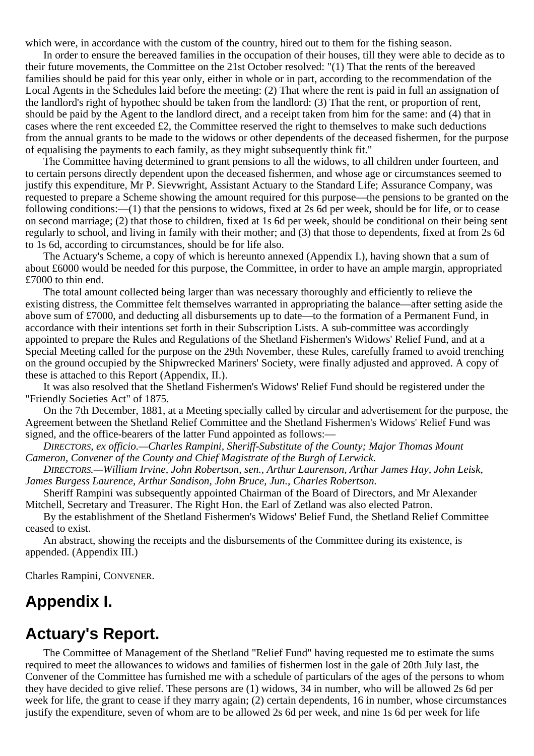which were, in accordance with the custom of the country, hired out to them for the fishing season.

In order to ensure the bereaved families in the occupation of their houses, till they were able to decide as to their future movements, the Committee on the 21st October resolved: "(1) That the rents of the bereaved families should be paid for this year only, either in whole or in part, according to the recommendation of the Local Agents in the Schedules laid before the meeting: (2) That where the rent is paid in full an assignation of the landlord's right of hypothec should be taken from the landlord: (3) That the rent, or proportion of rent, should be paid by the Agent to the landlord direct, and a receipt taken from him for the same: and (4) that in cases where the rent exceeded £2, the Committee reserved the right to themselves to make such deductions from the annual grants to be made to the widows or other dependents of the deceased fishermen, for the purpose of equalising the payments to each family, as they might subsequently think fit."

The Committee having determined to grant pensions to all the widows, to all children under fourteen, and to certain persons directly dependent upon the deceased fishermen, and whose age or circumstances seemed to justify this expenditure, Mr P. Sievwright, Assistant Actuary to the Standard Life; Assurance Company, was requested to prepare a Scheme showing the amount required for this purpose—the pensions to be granted on the following conditions:—(1) that the pensions to widows, fixed at 2s 6d per week, should be for life, or to cease on second marriage; (2) that those to children, fixed at 1s 6d per week, should be conditional on their being sent regularly to school, and living in family with their mother; and (3) that those to dependents, fixed at from 2s 6d to 1s 6d, according to circumstances, should be for life also.

The Actuary's Scheme, a copy of which is hereunto annexed (Appendix I.), having shown that a sum of about £6000 would be needed for this purpose, the Committee, in order to have an ample margin, appropriated £7000 to thin end.

The total amount collected being larger than was necessary thoroughly and efficiently to relieve the existing distress, the Committee felt themselves warranted in appropriating the balance—after setting aside the above sum of £7000, and deducting all disbursements up to date—to the formation of a Permanent Fund, in accordance with their intentions set forth in their Subscription Lists. A sub-committee was accordingly appointed to prepare the Rules and Regulations of the Shetland Fishermen's Widows' Relief Fund, and at a Special Meeting called for the purpose on the 29th November, these Rules, carefully framed to avoid trenching on the ground occupied by the Shipwrecked Mariners' Society, were finally adjusted and approved. A copy of these is attached to this Report (Appendix, II.).

It was also resolved that the Shetland Fishermen's Widows' Relief Fund should be registered under the "Friendly Societies Act" of 1875.

On the 7th December, 1881, at a Meeting specially called by circular and advertisement for the purpose, the Agreement between the Shetland Relief Committee and the Shetland Fishermen's Widows' Relief Fund was signed, and the office-bearers of the latter Fund appointed as follows:—

*DIRECTORS, ex officio.—Charles Rampini, Sheriff-Substitute of the County; Major Thomas Mount Cameron, Convener of the County and Chief Magistrate of the Burgh of Lerwick.*

*DIRECTORS.—William Irvine, John Robertson, sen., Arthur Laurenson, Arthur James Hay, John Leisk, James Burgess Laurence, Arthur Sandison, John Bruce, Jun., Charles Robertson.*

Sheriff Rampini was subsequently appointed Chairman of the Board of Directors, and Mr Alexander Mitchell, Secretary and Treasurer. The Right Hon. the Earl of Zetland was also elected Patron.

By the establishment of the Shetland Fishermen's Widows' Belief Fund, the Shetland Relief Committee ceased to exist.

An abstract, showing the receipts and the disbursements of the Committee during its existence, is appended. (Appendix III.)

Charles Rampini, CONVENER.

### **Appendix I.**

#### **Actuary's Report.**

The Committee of Management of the Shetland "Relief Fund" having requested me to estimate the sums required to meet the allowances to widows and families of fishermen lost in the gale of 20th July last, the Convener of the Committee has furnished me with a schedule of particulars of the ages of the persons to whom they have decided to give relief. These persons are (1) widows, 34 in number, who will be allowed 2s 6d per week for life, the grant to cease if they marry again; (2) certain dependents, 16 in number, whose circumstances justify the expenditure, seven of whom are to be allowed 2s 6d per week, and nine 1s 6d per week for life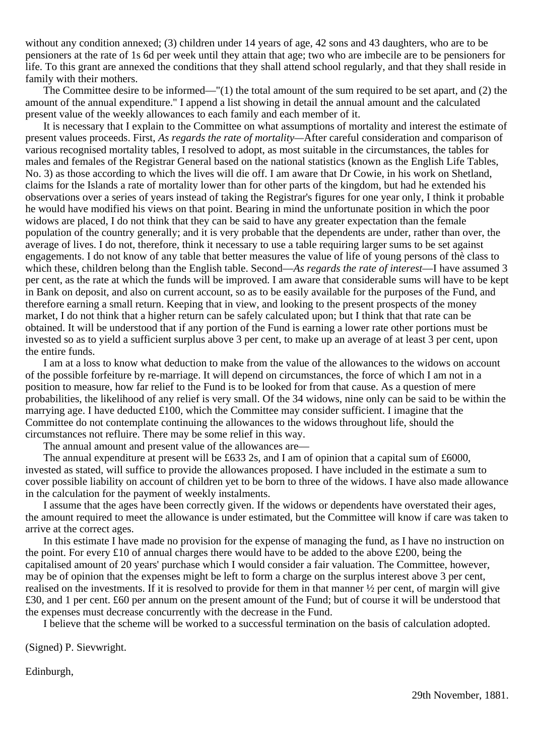without any condition annexed; (3) children under 14 years of age, 42 sons and 43 daughters, who are to be pensioners at the rate of 1s 6d per week until they attain that age; two who are imbecile are to be pensioners for life. To this grant are annexed the conditions that they shall attend school regularly, and that they shall reside in family with their mothers.

The Committee desire to be informed—"(1) the total amount of the sum required to be set apart, and (2) the amount of the annual expenditure." I append a list showing in detail the annual amount and the calculated present value of the weekly allowances to each family and each member of it.

It is necessary that I explain to the Committee on what assumptions of mortality and interest the estimate of present values proceeds. First, *As regards the rate of mortality—*After careful consideration and comparison of various recognised mortality tables, I resolved to adopt, as most suitable in the circumstances, the tables for males and females of the Registrar General based on the national statistics (known as the English Life Tables, No. 3) as those according to which the lives will die off. I am aware that Dr Cowie, in his work on Shetland, claims for the Islands a rate of mortality lower than for other parts of the kingdom, but had he extended his observations over a series of years instead of taking the Registrar's figures for one year only, I think it probable he would have modified his views on that point. Bearing in mind the unfortunate position in which the poor widows are placed. I do not think that they can be said to have any greater expectation than the female population of the country generally; and it is very probable that the dependents are under, rather than over, the average of lives. I do not, therefore, think it necessary to use a table requiring larger sums to be set against engagements. I do not know of any table that better measures the value of life of young persons of thè class to which these, children belong than the English table. Second—*As regards the rate of interest*—I have assumed 3 per cent, as the rate at which the funds will be improved. I am aware that considerable sums will have to be kept in Bank on deposit, and also on current account, so as to be easily available for the purposes of the Fund, and therefore earning a small return. Keeping that in view, and looking to the present prospects of the money market, I do not think that a higher return can be safely calculated upon; but I think that that rate can be obtained. It will be understood that if any portion of the Fund is earning a lower rate other portions must be invested so as to yield a sufficient surplus above 3 per cent, to make up an average of at least 3 per cent, upon the entire funds.

I am at a loss to know what deduction to make from the value of the allowances to the widows on account of the possible forfeiture by re-marriage. It will depend on circumstances, the force of which I am not in a position to measure, how far relief to the Fund is to be looked for from that cause. As a question of mere probabilities, the likelihood of any relief is very small. Of the 34 widows, nine only can be said to be within the marrying age. I have deducted  $\pounds$ 100, which the Committee may consider sufficient. I imagine that the Committee do not contemplate continuing the allowances to the widows throughout life, should the circumstances not refluire. There may be some relief in this way.

The annual amount and present value of the allowances are—

The annual expenditure at present will be £633 2s, and I am of opinion that a capital sum of £6000. invested as stated, will suffice to provide the allowances proposed. I have included in the estimate a sum to cover possible liability on account of children yet to be born to three of the widows. I have also made allowance in the calculation for the payment of weekly instalments.

I assume that the ages have been correctly given. If the widows or dependents have overstated their ages, the amount required to meet the allowance is under estimated, but the Committee will know if care was taken to arrive at the correct ages.

In this estimate I have made no provision for the expense of managing the fund, as I have no instruction on the point. For every £10 of annual charges there would have to be added to the above £200, being the capitalised amount of 20 years' purchase which I would consider a fair valuation. The Committee, however, may be of opinion that the expenses might be left to form a charge on the surplus interest above 3 per cent, realised on the investments. If it is resolved to provide for them in that manner ½ per cent, of margin will give £30, and 1 per cent. £60 per annum on the present amount of the Fund; but of course it will be understood that the expenses must decrease concurrently with the decrease in the Fund.

I believe that the scheme will be worked to a successful termination on the basis of calculation adopted.

(Signed) P. Sievwright.

Edinburgh,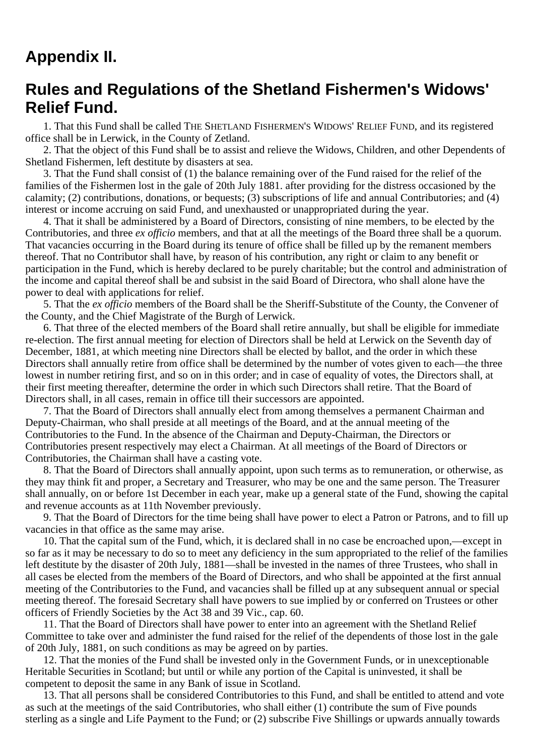#### **Appendix II.**

### **Rules and Regulations of the Shetland Fishermen's Widows' Relief Fund.**

1. That this Fund shall be called THE SHETLAND FISHERMEN'S WIDOWS' RELIEF FUND, and its registered office shall be in Lerwick, in the County of Zetland.

2. That the object of this Fund shall be to assist and relieve the Widows, Children, and other Dependents of Shetland Fishermen, left destitute by disasters at sea.

3. That the Fund shall consist of (1) the balance remaining over of the Fund raised for the relief of the families of the Fishermen lost in the gale of 20th July 1881. after providing for the distress occasioned by the calamity; (2) contributions, donations, or bequests; (3) subscriptions of life and annual Contributories; and (4) interest or income accruing on said Fund, and unexhausted or unappropriated during the year.

4. That it shall be administered by a Board of Directors, consisting of nine members, to be elected by the Contributories, and three *ex officio* members, and that at all the meetings of the Board three shall be a quorum. That vacancies occurring in the Board during its tenure of office shall be filled up by the remanent members thereof. That no Contributor shall have, by reason of his contribution, any right or claim to any benefit or participation in the Fund, which is hereby declared to be purely charitable; but the control and administration of the income and capital thereof shall be and subsist in the said Board of Directora, who shall alone have the power to deal with applications for relief.

5. That the *ex officio* members of the Board shall be the Sheriff-Substitute of the County, the Convener of the County, and the Chief Magistrate of the Burgh of Lerwick.

6. That three of the elected members of the Board shall retire annually, but shall be eligible for immediate re-election. The first annual meeting for election of Directors shall be held at Lerwick on the Seventh day of December, 1881, at which meeting nine Directors shall be elected by ballot, and the order in which these Directors shall annually retire from office shall be determined by the number of votes given to each—the three lowest in number retiring first, and so on in this order; and in case of equality of votes, the Directors shall, at their first meeting thereafter, determine the order in which such Directors shall retire. That the Board of Directors shall, in all cases, remain in office till their successors are appointed.

7. That the Board of Directors shall annually elect from among themselves a permanent Chairman and Deputy-Chairman, who shall preside at all meetings of the Board, and at the annual meeting of the Contributories to the Fund. In the absence of the Chairman and Deputy-Chairman, the Directors or Contributories present respectively may elect a Chairman. At all meetings of the Board of Directors or Contributories, the Chairman shall have a casting vote.

8. That the Board of Directors shall annually appoint, upon such terms as to remuneration, or otherwise, as they may think fit and proper, a Secretary and Treasurer, who may be one and the same person. The Treasurer shall annually, on or before 1st December in each year, make up a general state of the Fund, showing the capital and revenue accounts as at 11th November previously.

9. That the Board of Directors for the time being shall have power to elect a Patron or Patrons, and to fill up vacancies in that office as the same may arise.

10. That the capital sum of the Fund, which, it is declared shall in no case be encroached upon,—except in so far as it may be necessary to do so to meet any deficiency in the sum appropriated to the relief of the families left destitute by the disaster of 20th July, 1881—shall be invested in the names of three Trustees, who shall in all cases be elected from the members of the Board of Directors, and who shall be appointed at the first annual meeting of the Contributories to the Fund, and vacancies shall be filled up at any subsequent annual or special meeting thereof. The foresaid Secretary shall have powers to sue implied by or conferred on Trustees or other officers of Friendly Societies by the Act 38 and 39 Vic., cap. 60.

11. That the Board of Directors shall have power to enter into an agreement with the Shetland Relief Committee to take over and administer the fund raised for the relief of the dependents of those lost in the gale of 20th July, 1881, on such conditions as may be agreed on by parties.

12. That the monies of the Fund shall be invested only in the Government Funds, or in unexceptionable Heritable Securities in Scotland; but until or while any portion of the Capital is uninvested, it shall be competent to deposit the same in any Bank of issue in Scotland.

13. That all persons shall be considered Contributories to this Fund, and shall be entitled to attend and vote as such at the meetings of the said Contributories, who shall either (1) contribute the sum of Five pounds sterling as a single and Life Payment to the Fund; or (2) subscribe Five Shillings or upwards annually towards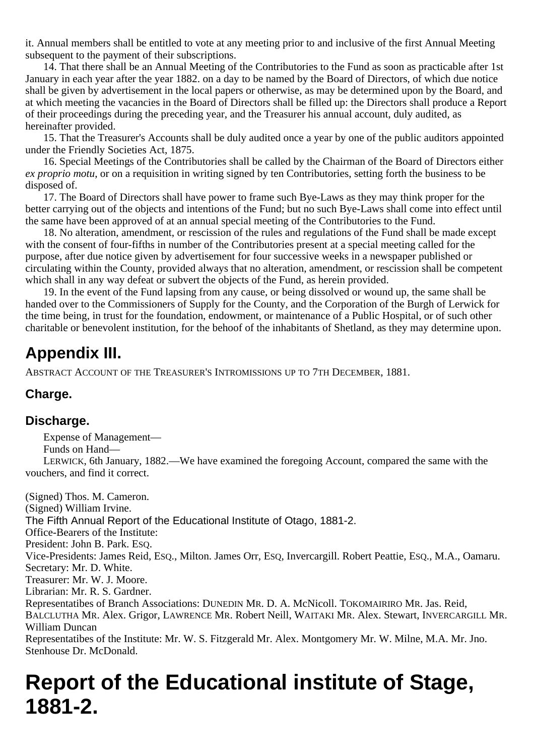it. Annual members shall be entitled to vote at any meeting prior to and inclusive of the first Annual Meeting subsequent to the payment of their subscriptions.

14. That there shall be an Annual Meeting of the Contributories to the Fund as soon as practicable after 1st January in each year after the year 1882. on a day to be named by the Board of Directors, of which due notice shall be given by advertisement in the local papers or otherwise, as may be determined upon by the Board, and at which meeting the vacancies in the Board of Directors shall be filled up: the Directors shall produce a Report of their proceedings during the preceding year, and the Treasurer his annual account, duly audited, as hereinafter provided.

15. That the Treasurer's Accounts shall be duly audited once a year by one of the public auditors appointed under the Friendly Societies Act, 1875.

16. Special Meetings of the Contributories shall be called by the Chairman of the Board of Directors either *ex proprio motu*, or on a requisition in writing signed by ten Contributories, setting forth the business to be disposed of.

17. The Board of Directors shall have power to frame such Bye-Laws as they may think proper for the better carrying out of the objects and intentions of the Fund; but no such Bye-Laws shall come into effect until the same have been approved of at an annual special meeting of the Contributories to the Fund.

18. No alteration, amendment, or rescission of the rules and regulations of the Fund shall be made except with the consent of four-fifths in number of the Contributories present at a special meeting called for the purpose, after due notice given by advertisement for four successive weeks in a newspaper published or circulating within the County, provided always that no alteration, amendment, or rescission shall be competent which shall in any way defeat or subvert the objects of the Fund, as herein provided.

19. In the event of the Fund lapsing from any cause, or being dissolved or wound up, the same shall be handed over to the Commissioners of Supply for the County, and the Corporation of the Burgh of Lerwick for the time being, in trust for the foundation, endowment, or maintenance of a Public Hospital, or of such other charitable or benevolent institution, for the behoof of the inhabitants of Shetland, as they may determine upon.

## **Appendix III.**

ABSTRACT ACCOUNT OF THE TREASURER'S INTROMISSIONS UP TO 7TH DECEMBER, 1881.

### **Charge.**

### **Discharge.**

Expense of Management— Funds on Hand— LERWICK, 6th January, 1882.—We have examined the foregoing Account, compared the same with the vouchers, and find it correct.

(Signed) Thos. M. Cameron. (Signed) William Irvine. The Fifth Annual Report of the Educational Institute of Otago, 1881-2. Office-Bearers of the Institute: President: John B. Park. ESQ. Vice-Presidents: James Reid, ESQ., Milton. James Orr, ESQ, Invercargill. Robert Peattie, ESQ., M.A., Oamaru. Secretary: Mr. D. White. Treasurer: Mr. W. J. Moore. Librarian: Mr. R. S. Gardner. Representatibes of Branch Associations: DUNEDIN MR. D. A. McNicoll. TOKOMAIRIRO MR. Jas. Reid, BALCLUTHA MR. Alex. Grigor, LAWRENCE MR. Robert Neill, WAITAKI MR. Alex. Stewart, INVERCARGILL MR. William Duncan Representatibes of the Institute: Mr. W. S. Fitzgerald Mr. Alex. Montgomery Mr. W. Milne, M.A. Mr. Jno. Stenhouse Dr. McDonald.

# **Report of the Educational institute of Stage, 1881-2.**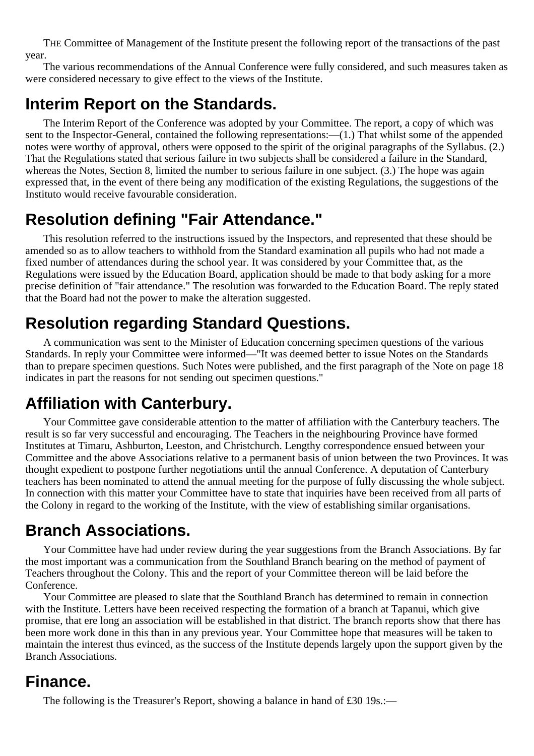THE Committee of Management of the Institute present the following report of the transactions of the past year.

The various recommendations of the Annual Conference were fully considered, and such measures taken as were considered necessary to give effect to the views of the Institute.

## **Interim Report on the Standards.**

The Interim Report of the Conference was adopted by your Committee. The report, a copy of which was sent to the Inspector-General, contained the following representations:—(1.) That whilst some of the appended notes were worthy of approval, others were opposed to the spirit of the original paragraphs of the Syllabus. (2.) That the Regulations stated that serious failure in two subjects shall be considered a failure in the Standard, whereas the Notes, Section 8, limited the number to serious failure in one subject. (3.) The hope was again expressed that, in the event of there being any modification of the existing Regulations, the suggestions of the Instituto would receive favourable consideration.

## **Resolution defining "Fair Attendance."**

This resolution referred to the instructions issued by the Inspectors, and represented that these should be amended so as to allow teachers to withhold from the Standard examination all pupils who had not made a fixed number of attendances during the school year. It was considered by your Committee that, as the Regulations were issued by the Education Board, application should be made to that body asking for a more precise definition of "fair attendance." The resolution was forwarded to the Education Board. The reply stated that the Board had not the power to make the alteration suggested.

# **Resolution regarding Standard Questions.**

A communication was sent to the Minister of Education concerning specimen questions of the various Standards. In reply your Committee were informed—"It was deemed better to issue Notes on the Standards than to prepare specimen questions. Such Notes were published, and the first paragraph of the Note on page 18 indicates in part the reasons for not sending out specimen questions."

## **Affiliation with Canterbury.**

Your Committee gave considerable attention to the matter of affiliation with the Canterbury teachers. The result is so far very successful and encouraging. The Teachers in the neighbouring Province have formed Institutes at Timaru, Ashburton, Leeston, and Christchurch. Lengthy correspondence ensued between your Committee and the above Associations relative to a permanent basis of union between the two Provinces. It was thought expedient to postpone further negotiations until the annual Conference. A deputation of Canterbury teachers has been nominated to attend the annual meeting for the purpose of fully discussing the whole subject. In connection with this matter your Committee have to state that inquiries have been received from all parts of the Colony in regard to the working of the Institute, with the view of establishing similar organisations.

## **Branch Associations.**

Your Committee have had under review during the year suggestions from the Branch Associations. By far the most important was a communication from the Southland Branch bearing on the method of payment of Teachers throughout the Colony. This and the report of your Committee thereon will be laid before the Conference.

Your Committee are pleased to slate that the Southland Branch has determined to remain in connection with the Institute. Letters have been received respecting the formation of a branch at Tapanui, which give promise, that ere long an association will be established in that district. The branch reports show that there has been more work done in this than in any previous year. Your Committee hope that measures will be taken to maintain the interest thus evinced, as the success of the Institute depends largely upon the support given by the Branch Associations.

## **Finance.**

The following is the Treasurer's Report, showing a balance in hand of £30 19s.:—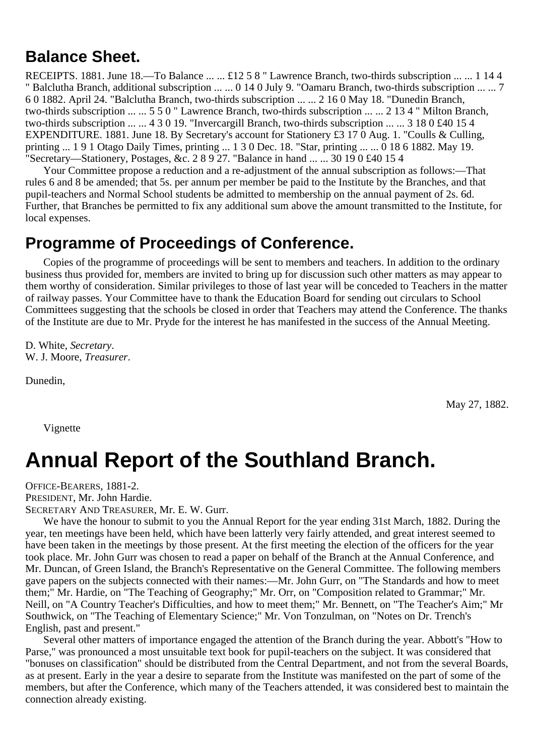## **Balance Sheet.**

RECEIPTS. 1881. June 18.—To Balance ... ... £12 5 8 " Lawrence Branch, two-thirds subscription ... ... 1 14 4 " Balclutha Branch, additional subscription ... ... 0 14 0 July 9. "Oamaru Branch, two-thirds subscription ... ... 7 6 0 1882. April 24. "Balclutha Branch, two-thirds subscription ... ... 2 16 0 May 18. "Dunedin Branch, two-thirds subscription ... ... 5 5 0 " Lawrence Branch, two-thirds subscription ... ... 2 13 4 " Milton Branch, two-thirds subscription ... ... 4 3 0 19. "Invercargill Branch, two-thirds subscription ... ... 3 18 0 £40 15 4 EXPENDITURE. 1881. June 18. By Secretary's account for Stationery £3 17 0 Aug. 1. "Coulls & Culling, printing ... 1 9 1 Otago Daily Times, printing ... 1 3 0 Dec. 18. "Star, printing ... ... 0 18 6 1882. May 19. "Secretary—Stationery, Postages, &c. 2 8 9 27. "Balance in hand ... ... 30 19 0 £40 15 4

Your Committee propose a reduction and a re-adjustment of the annual subscription as follows:—That rules 6 and 8 be amended; that 5s. per annum per member be paid to the Institute by the Branches, and that pupil-teachers and Normal School students be admitted to membership on the annual payment of 2s. 6d. Further, that Branches be permitted to fix any additional sum above the amount transmitted to the Institute, for local expenses.

## **Programme of Proceedings of Conference.**

Copies of the programme of proceedings will be sent to members and teachers. In addition to the ordinary business thus provided for, members are invited to bring up for discussion such other matters as may appear to them worthy of consideration. Similar privileges to those of last year will be conceded to Teachers in the matter of railway passes. Your Committee have to thank the Education Board for sending out circulars to School Committees suggesting that the schools be closed in order that Teachers may attend the Conference. The thanks of the Institute are due to Mr. Pryde for the interest he has manifested in the success of the Annual Meeting.

D. White, *Secretary*. W. J. Moore, *Treasurer*.

Dunedin,

May 27, 1882.

Vignette

# **Annual Report of the Southland Branch.**

OFFICE-BEARERS, 1881-2. PRESIDENT, Mr. John Hardie. SECRETARY AND TREASURER, Mr. E. W. Gurr.

We have the honour to submit to you the Annual Report for the year ending 31st March, 1882. During the year, ten meetings have been held, which have been latterly very fairly attended, and great interest seemed to have been taken in the meetings by those present. At the first meeting the election of the officers for the year took place. Mr. John Gurr was chosen to read a paper on behalf of the Branch at the Annual Conference, and Mr. Duncan, of Green Island, the Branch's Representative on the General Committee. The following members gave papers on the subjects connected with their names:—Mr. John Gurr, on "The Standards and how to meet them;" Mr. Hardie, on "The Teaching of Geography;" Mr. Orr, on "Composition related to Grammar;" Mr. Neill, on "A Country Teacher's Difficulties, and how to meet them;" Mr. Bennett, on "The Teacher's Aim;" Mr Southwick, on "The Teaching of Elementary Science;" Mr. Von Tonzulman, on "Notes on Dr. Trench's English, past and present."

Several other matters of importance engaged the attention of the Branch during the year. Abbott's "How to Parse," was pronounced a most unsuitable text book for pupil-teachers on the subject. It was considered that "bonuses on classification" should be distributed from the Central Department, and not from the several Boards, as at present. Early in the year a desire to separate from the Institute was manifested on the part of some of the members, but after the Conference, which many of the Teachers attended, it was considered best to maintain the connection already existing.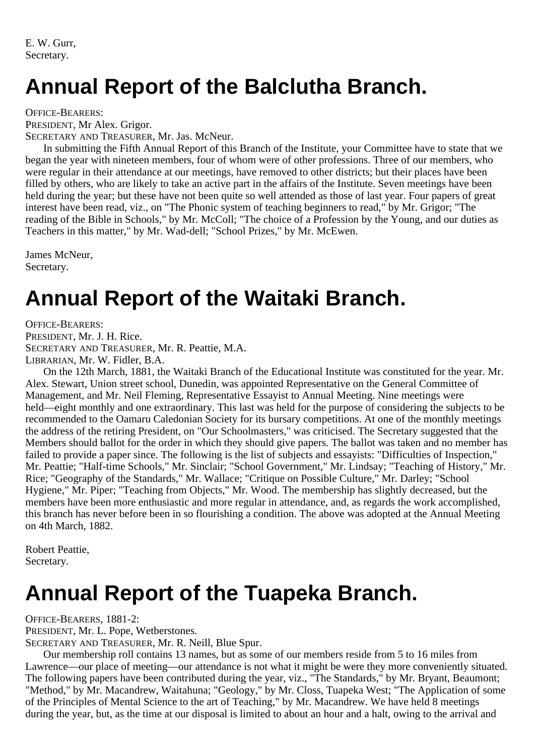# **Annual Report of the Balclutha Branch.**

OFFICE-BEARERS: PRESIDENT, Mr Alex. Grigor. SECRETARY AND TREASURER, Mr. Jas. McNeur.

In submitting the Fifth Annual Report of this Branch of the Institute, your Committee have to state that we began the year with nineteen members, four of whom were of other professions. Three of our members, who were regular in their attendance at our meetings, have removed to other districts; but their places have been filled by others, who are likely to take an active part in the affairs of the Institute. Seven meetings have been held during the year; but these have not been quite so well attended as those of last year. Four papers of great interest have been read, viz., on "The Phonic system of teaching beginners to read," by Mr. Grigor; "The reading of the Bible in Schools," by Mr. McColl; "The choice of a Profession by the Young, and our duties as Teachers in this matter," by Mr. Wad-dell; "School Prizes," by Mr. McEwen.

James McNeur, Secretary.

# **Annual Report of the Waitaki Branch.**

OFFICE-BEARERS: PRESIDENT, Mr. J. H. Rice. SECRETARY AND TREASURER, Mr. R. Peattie, M.A. LIBRARIAN, Mr. W. Fidler, B.A.

On the 12th March, 1881, the Waitaki Branch of the Educational Institute was constituted for the year. Mr. Alex. Stewart, Union street school, Dunedin, was appointed Representative on the General Committee of Management, and Mr. Neil Fleming, Representative Essayist to Annual Meeting. Nine meetings were held—eight monthly and one extraordinary. This last was held for the purpose of considering the subjects to be recommended to the Oamaru Caledonian Society for its bursary competitions. At one of the monthly meetings the address of the retiring President, on "Our Schoolmasters," was criticised. The Secretary suggested that the Members should ballot for the order in which they should give papers. The ballot was taken and no member has failed to provide a paper since. The following is the list of subjects and essayists: "Difficulties of Inspection," Mr. Peattie; "Half-time Schools," Mr. Sinclair; "School Government," Mr. Lindsay; "Teaching of History," Mr. Rice; "Geography of the Standards," Mr. Wallace; "Critique on Possible Culture," Mr. Darley; "School Hygiene," Mr. Piper; "Teaching from Objects," Mr. Wood. The membership has slightly decreased, but the members have been more enthusiastic and more regular in attendance, and, as regards the work accomplished, this branch has never before been in so flourishing a condition. The above was adopted at the Annual Meeting on 4th March, 1882.

Robert Peattie, Secretary.

# **Annual Report of the Tuapeka Branch.**

OFFICE-BEARERS, 1881-2:

PRESIDENT, Mr. L. Pope, Wetberstones.

SECRETARY AND TREASURER, Mr. R. Neill, Blue Spur.

Our membership roll contains 13 names, but as some of our members reside from 5 to 16 miles from Lawrence—our place of meeting—our attendance is not what it might be were they more conveniently situated. The following papers have been contributed during the year, viz., "The Standards," by Mr. Bryant, Beaumont; "Method," by Mr. Macandrew, Waitahuna; "Geology," by Mr. Closs, Tuapeka West; "The Application of some of the Principles of Mental Science to the art of Teaching," by Mr. Macandrew. We have held 8 meetings during the year, but, as the time at our disposal is limited to about an hour and a halt, owing to the arrival and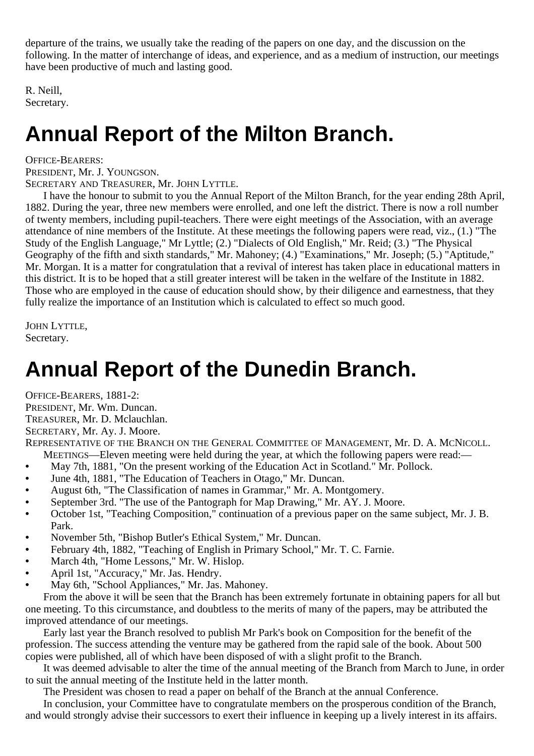departure of the trains, we usually take the reading of the papers on one day, and the discussion on the following. In the matter of interchange of ideas, and experience, and as a medium of instruction, our meetings have been productive of much and lasting good.

R. Neill, Secretary.

# **Annual Report of the Milton Branch.**

OFFICE-BEARERS:

PRESIDENT, Mr. J. YOUNGSON. SECRETARY AND TREASURER, Mr. JOHN LYTTLE.

I have the honour to submit to you the Annual Report of the Milton Branch, for the year ending 28th April, 1882. During the year, three new members were enrolled, and one left the district. There is now a roll number of twenty members, including pupil-teachers. There were eight meetings of the Association, with an average attendance of nine members of the Institute. At these meetings the following papers were read, viz., (1.) "The Study of the English Language," Mr Lyttle; (2.) "Dialects of Old English," Mr. Reid; (3.) "The Physical Geography of the fifth and sixth standards," Mr. Mahoney; (4.) "Examinations," Mr. Joseph; (5.) "Aptitude," Mr. Morgan. It is a matter for congratulation that a revival of interest has taken place in educational matters in this district. It is to be hoped that a still greater interest will be taken in the welfare of the Institute in 1882. Those who are employed in the cause of education should show, by their diligence and earnestness, that they fully realize the importance of an Institution which is calculated to effect so much good.

JOHN LYTTLE, Secretary.

# **Annual Report of the Dunedin Branch.**

OFFICE-BEARERS, 1881-2:

PRESIDENT, Mr. Wm. Duncan.

TREASURER, Mr. D. Mclauchlan.

SECRETARY, Mr. Ay. J. Moore.

REPRESENTATIVE OF THE BRANCH ON THE GENERAL COMMITTEE OF MANAGEMENT, Mr. D. A. MCNICOLL. MEETINGS—Eleven meeting were held during the year, at which the following papers were read:—

- **•** May 7th, 1881, "On the present working of the Education Act in Scotland." Mr. Pollock.
- **•** June 4th, 1881, "The Education of Teachers in Otago," Mr. Duncan.
- **•** August 6th, "The Classification of names in Grammar," Mr. A. Montgomery.
- **•** September 3rd. "The use of the Pantograph for Map Drawing," Mr. AY. J. Moore.
- **•** October 1st, "Teaching Composition," continuation of a previous paper on the same subject, Mr. J. B. Park.
- November 5th, "Bishop Butler's Ethical System," Mr. Duncan.<br>• February 4th 1882. "Teaching of English in Primary School."
- **•** February 4th, 1882, "Teaching of English in Primary School," Mr. T. C. Farnie.
- **•** March 4th, "Home Lessons," Mr. W. Hislop.
- **•** April 1st, "Accuracy," Mr. Jas. Hendry.
- **•** May 6th, "School Appliances," Mr. Jas. Mahoney.

From the above it will be seen that the Branch has been extremely fortunate in obtaining papers for all but one meeting. To this circumstance, and doubtless to the merits of many of the papers, may be attributed the improved attendance of our meetings.

Early last year the Branch resolved to publish Mr Park's book on Composition for the benefit of the profession. The success attending the venture may be gathered from the rapid sale of the book. About 500 copies were published, all of which have been disposed of with a slight profit to the Branch.

It was deemed advisable to alter the time of the annual meeting of the Branch from March to June, in order to suit the annual meeting of the Institute held in the latter month.

The President was chosen to read a paper on behalf of the Branch at the annual Conference.

In conclusion, your Committee have to congratulate members on the prosperous condition of the Branch, and would strongly advise their successors to exert their influence in keeping up a lively interest in its affairs.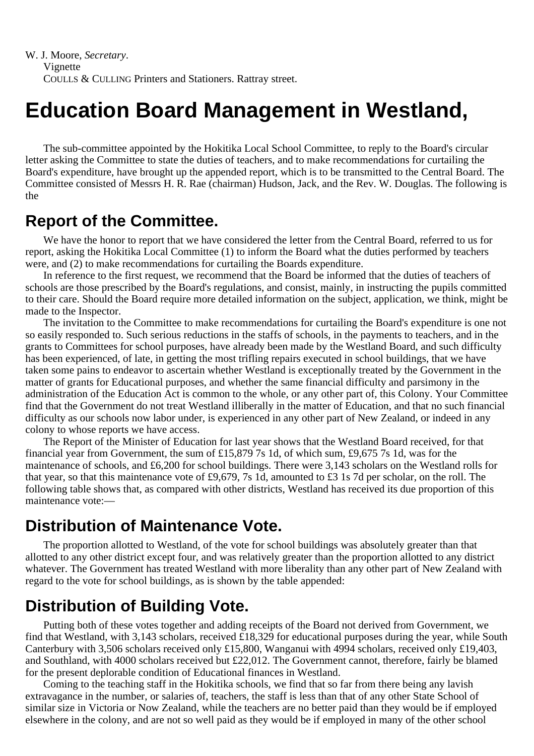W. J. Moore, *Secretary*. Vignette COULLS & CULLING Printers and Stationers. Rattray street.

# **Education Board Management in Westland,**

The sub-committee appointed by the Hokitika Local School Committee, to reply to the Board's circular letter asking the Committee to state the duties of teachers, and to make recommendations for curtailing the Board's expenditure, have brought up the appended report, which is to be transmitted to the Central Board. The Committee consisted of Messrs H. R. Rae (chairman) Hudson, Jack, and the Rev. W. Douglas. The following is the

### **Report of the Committee.**

We have the honor to report that we have considered the letter from the Central Board, referred to us for report, asking the Hokitika Local Committee (1) to inform the Board what the duties performed by teachers were, and (2) to make recommendations for curtailing the Boards expenditure.

In reference to the first request, we recommend that the Board be informed that the duties of teachers of schools are those prescribed by the Board's regulations, and consist, mainly, in instructing the pupils committed to their care. Should the Board require more detailed information on the subject, application, we think, might be made to the Inspector.

The invitation to the Committee to make recommendations for curtailing the Board's expenditure is one not so easily responded to. Such serious reductions in the staffs of schools, in the payments to teachers, and in the grants to Committees for school purposes, have already been made by the Westland Board, and such difficulty has been experienced, of late, in getting the most trifling repairs executed in school buildings, that we have taken some pains to endeavor to ascertain whether Westland is exceptionally treated by the Government in the matter of grants for Educational purposes, and whether the same financial difficulty and parsimony in the administration of the Education Act is common to the whole, or any other part of, this Colony. Your Committee find that the Government do not treat Westland illiberally in the matter of Education, and that no such financial difficulty as our schools now labor under, is experienced in any other part of New Zealand, or indeed in any colony to whose reports we have access.

The Report of the Minister of Education for last year shows that the Westland Board received, for that financial year from Government, the sum of £15,879 7s 1d, of which sum, £9,675 7s 1d, was for the maintenance of schools, and £6,200 for school buildings. There were 3,143 scholars on the Westland rolls for that year, so that this maintenance vote of £9,679, 7s 1d, amounted to £3 1s 7d per scholar, on the roll. The following table shows that, as compared with other districts, Westland has received its due proportion of this maintenance vote:—

## **Distribution of Maintenance Vote.**

The proportion allotted to Westland, of the vote for school buildings was absolutely greater than that allotted to any other district except four, and was relatively greater than the proportion allotted to any district whatever. The Government has treated Westland with more liberality than any other part of New Zealand with regard to the vote for school buildings, as is shown by the table appended:

## **Distribution of Building Vote.**

Putting both of these votes together and adding receipts of the Board not derived from Government, we find that Westland, with 3,143 scholars, received £18,329 for educational purposes during the year, while South Canterbury with 3,506 scholars received only £15,800, Wanganui with 4994 scholars, received only £19,403, and Southland, with 4000 scholars received but £22,012. The Government cannot, therefore, fairly be blamed for the present deplorable condition of Educational finances in Westland.

Coming to the teaching staff in the Hokitika schools, we find that so far from there being any lavish extravagance in the number, or salaries of, teachers, the staff is less than that of any other State School of similar size in Victoria or Now Zealand, while the teachers are no better paid than they would be if employed elsewhere in the colony, and are not so well paid as they would be if employed in many of the other school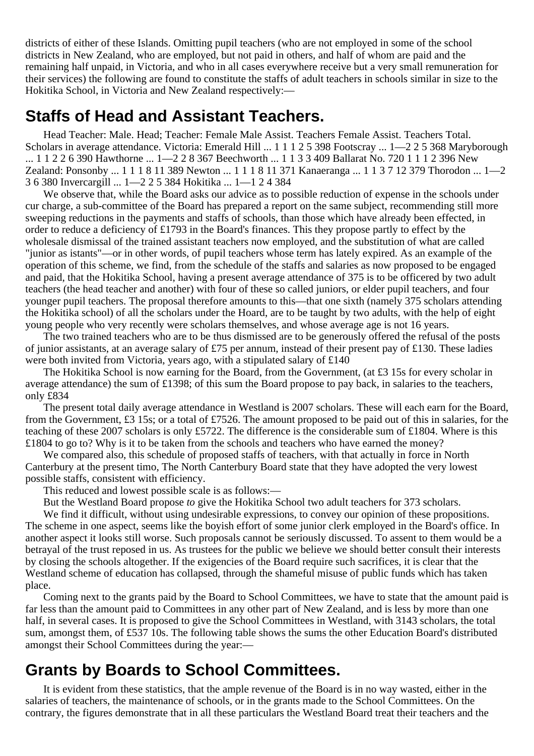districts of either of these Islands. Omitting pupil teachers (who are not employed in some of the school districts in New Zealand, who are employed, but not paid in others, and half of whom are paid and the remaining half unpaid, in Victoria, and who in all cases everywhere receive but a very small remuneration for their services) the following are found to constitute the staffs of adult teachers in schools similar in size to the Hokitika School, in Victoria and New Zealand respectively:—

## **Staffs of Head and Assistant Teachers.**

Head Teacher: Male. Head; Teacher: Female Male Assist. Teachers Female Assist. Teachers Total. Scholars in average attendance. Victoria: Emerald Hill ... 1 1 1 2 5 398 Footscray ... 1—2 2 5 368 Maryborough ... 1 1 2 2 6 390 Hawthorne ... 1—2 2 8 367 Beechworth ... 1 1 3 3 409 Ballarat No. 720 1 1 1 2 396 New Zealand: Ponsonby ... 1 1 1 8 11 389 Newton ... 1 1 1 8 11 371 Kanaeranga ... 1 1 3 7 12 379 Thorodon ... 1—2 3 6 380 Invercargill ... 1—2 2 5 384 Hokitika ... 1—1 2 4 384

We observe that, while the Board asks our advice as to possible reduction of expense in the schools under cur charge, a sub-committee of the Board has prepared a report on the same subject, recommending still more sweeping reductions in the payments and staffs of schools, than those which have already been effected, in order to reduce a deficiency of £1793 in the Board's finances. This they propose partly to effect by the wholesale dismissal of the trained assistant teachers now employed, and the substitution of what are called "junior as istants"—or in other words, of pupil teachers whose term has lately expired. As an example of the operation of this scheme, we find, from the schedule of the staffs and salaries as now proposed to be engaged and paid, that the Hokitika School, having a present average attendance of 375 is to be officered by two adult teachers (the head teacher and another) with four of these so called juniors, or elder pupil teachers, and four younger pupil teachers. The proposal therefore amounts to this—that one sixth (namely 375 scholars attending the Hokitika school) of all the scholars under the Hoard, are to be taught by two adults, with the help of eight young people who very recently were scholars themselves, and whose average age is not 16 years.

The two trained teachers who are to be thus dismissed are to be generously offered the refusal of the posts of junior assistants, at an average salary of £75 per annum, instead of their present pay of £130. These ladies were both invited from Victoria, years ago, with a stipulated salary of £140

The Hokitika School is now earning for the Board, from the Government, (at £3 15s for every scholar in average attendance) the sum of £1398; of this sum the Board propose to pay back, in salaries to the teachers, only £834

The present total daily average attendance in Westland is 2007 scholars. These will each earn for the Board, from the Government, £3 15s; or a total of £7526. The amount proposed to be paid out of this in salaries, for the teaching of these 2007 scholars is only £5722. The difference is the considerable sum of £1804. Where is this £1804 to go to? Why is it to be taken from the schools and teachers who have earned the money?

We compared also, this schedule of proposed staffs of teachers, with that actually in force in North Canterbury at the present timo, The North Canterbury Board state that they have adopted the very lowest possible staffs, consistent with efficiency.

This reduced and lowest possible scale is as follows:—

But the Westland Board propose *to* give the Hokitika School two adult teachers for 373 scholars.

We find it difficult, without using undesirable expressions, to convey our opinion of these propositions. The scheme in one aspect, seems like the boyish effort of some junior clerk employed in the Board's office. In another aspect it looks still worse. Such proposals cannot be seriously discussed. To assent to them would be a betrayal of the trust reposed in us. As trustees for the public we believe we should better consult their interests by closing the schools altogether. If the exigencies of the Board require such sacrifices, it is clear that the Westland scheme of education has collapsed, through the shameful misuse of public funds which has taken place.

Coming next to the grants paid by the Board to School Committees, we have to state that the amount paid is far less than the amount paid to Committees in any other part of New Zealand, and is less by more than one half, in several cases. It is proposed to give the School Committees in Westland, with 3143 scholars, the total sum, amongst them, of £537 10s. The following table shows the sums the other Education Board's distributed amongst their School Committees during the year:—

## **Grants by Boards to School Committees.**

It is evident from these statistics, that the ample revenue of the Board is in no way wasted, either in the salaries of teachers, the maintenance of schools, or in the grants made to the School Committees. On the contrary, the figures demonstrate that in all these particulars the Westland Board treat their teachers and the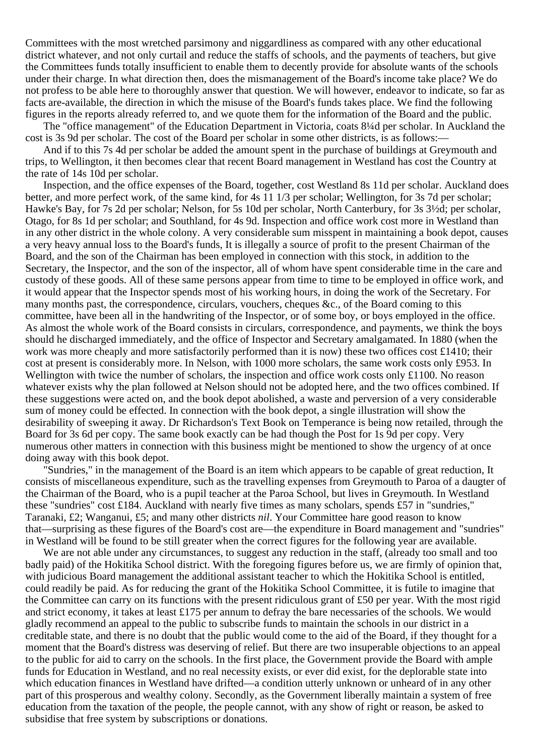Committees with the most wretched parsimony and niggardliness as compared with any other educational district whatever, and not only curtail and reduce the staffs of schools, and the payments of teachers, but give the Committees funds totally insufficient to enable them to decently provide for absolute wants of the schools under their charge. In what direction then, does the mismanagement of the Board's income take place? We do not profess to be able here to thoroughly answer that question. We will however, endeavor to indicate, so far as facts are-available, the direction in which the misuse of the Board's funds takes place. We find the following figures in the reports already referred to, and we quote them for the information of the Board and the public.

The "office management" of the Education Department in Victoria, coats 8¼d per scholar. In Auckland the cost is 3s 9d per scholar. The cost of the Board per scholar in some other districts, is as follows:—

And if to this 7s 4d per scholar be added the amount spent in the purchase of buildings at Greymouth and trips, to Wellington, it then becomes clear that recent Board management in Westland has cost the Country at the rate of 14s 10d per scholar.

Inspection, and the office expenses of the Board, together, cost Westland 8s 11d per scholar. Auckland does better, and more perfect work, of the same kind, for 4s 11 1/3 per scholar; Wellington, for 3s 7d per scholar; Hawke's Bay, for 7s 2d per scholar; Nelson, for 5s 10d per scholar, North Canterbury, for 3s 3½d; per scholar, Otago, for 8s 1d per scholar; and Southland, for 4s 9d. Inspection and office work cost more in Westland than in any other district in the whole colony. A very considerable sum misspent in maintaining a book depot, causes a very heavy annual loss to the Board's funds, It is illegally a source of profit to the present Chairman of the Board, and the son of the Chairman has been employed in connection with this stock, in addition to the Secretary, the Inspector, and the son of the inspector, all of whom have spent considerable time in the care and custody of these goods. All of these same persons appear from time to time to be employed in office work, and it would appear that the Inspector spends most of his working hours, in doing the work of the Secretary. For many months past, the correspondence, circulars, vouchers, cheques &c., of the Board coming to this committee, have been all in the handwriting of the Inspector, or of some boy, or boys employed in the office. As almost the whole work of the Board consists in circulars, correspondence, and payments, we think the boys should he discharged immediately, and the office of Inspector and Secretary amalgamated. In 1880 (when the work was more cheaply and more satisfactorily performed than it is now) these two offices cost £1410; their cost at present is considerably more. In Nelson, with 1000 more scholars, the same work costs only £953. In Wellington with twice the number of scholars, the inspection and office work costs only £1100. No reason whatever exists why the plan followed at Nelson should not be adopted here, and the two offices combined. If these suggestions were acted on, and the book depot abolished, a waste and perversion of a very considerable sum of money could be effected. In connection with the book depot, a single illustration will show the desirability of sweeping it away. Dr Richardson's Text Book on Temperance is being now retailed, through the Board for 3s 6d per copy. The same book exactly can be had though the Post for 1s 9d per copy. Very numerous other matters in connection with this business might be mentioned to show the urgency of at once doing away with this book depot.

"Sundries," in the management of the Board is an item which appears to be capable of great reduction, It consists of miscellaneous expenditure, such as the travelling expenses from Greymouth to Paroa of a daugter of the Chairman of the Board, who is a pupil teacher at the Paroa School, but lives in Greymouth. In Westland these "sundries" cost £184. Auckland with nearly five times as many scholars, spends £57 in "sundries," Taranaki, £2; Wanganui, £5; and many other districts *nil*. Your Committee hare good reason to know that—surprising as these figures of the Board's cost are—the expenditure in Board management and "sundries" in Westland will be found to be still greater when the correct figures for the following year are available.

We are not able under any circumstances, to suggest any reduction in the staff, (already too small and too badly paid) of the Hokitika School district. With the foregoing figures before us, we are firmly of opinion that, with judicious Board management the additional assistant teacher to which the Hokitika School is entitled, could readily be paid. As for reducing the grant of the Hokitika School Committee, it is futile to imagine that the Committee can carry on its functions with the present ridiculous grant of £50 per year. With the most rigid and strict economy, it takes at least £175 per annum to defray the bare necessaries of the schools. We would gladly recommend an appeal to the public to subscribe funds to maintain the schools in our district in a creditable state, and there is no doubt that the public would come to the aid of the Board, if they thought for a moment that the Board's distress was deserving of relief. But there are two insuperable objections to an appeal to the public for aid to carry on the schools. In the first place, the Government provide the Board with ample funds for Education in Westland, and no real necessity exists, or ever did exist, for the deplorable state into which education finances in Westland have drifted—a condition utterly unknown or unheard of in any other part of this prosperous and wealthy colony. Secondly, as the Government liberally maintain a system of free education from the taxation of the people, the people cannot, with any show of right or reason, be asked to subsidise that free system by subscriptions or donations.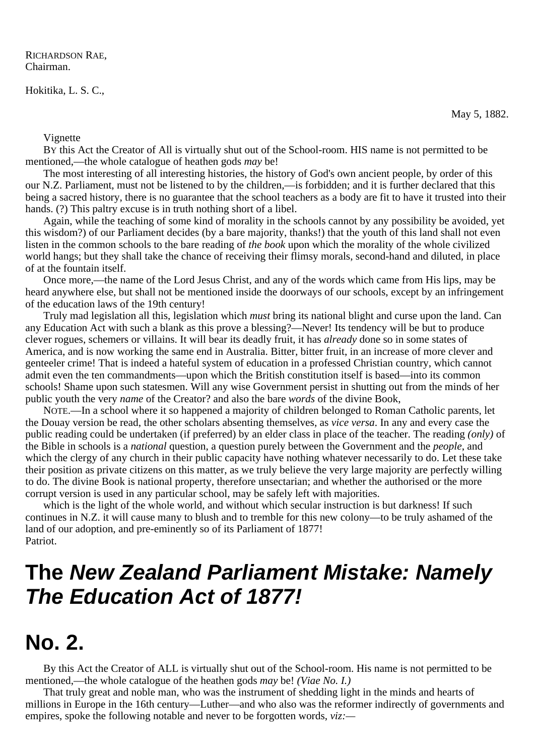### Hokitika, L. S. C.,

May 5, 1882.

Vignette

BY this Act the Creator of All is virtually shut out of the School-room. HIS name is not permitted to be mentioned,—the whole catalogue of heathen gods *may* be!

The most interesting of all interesting histories, the history of God's own ancient people, by order of this our N.Z. Parliament, must not be listened to by the children,—is forbidden; and it is further declared that this being a sacred history, there is no guarantee that the school teachers as a body are fit to have it trusted into their hands. (?) This paltry excuse is in truth nothing short of a libel.

Again, while the teaching of some kind of morality in the schools cannot by any possibility be avoided, yet this wisdom?) of our Parliament decides (by a bare majority, thanks!) that the youth of this land shall not even listen in the common schools to the bare reading of *the book* upon which the morality of the whole civilized world hangs; but they shall take the chance of receiving their flimsy morals, second-hand and diluted, in place of at the fountain itself.

Once more,—the name of the Lord Jesus Christ, and any of the words which came from His lips, may be heard anywhere else, but shall not be mentioned inside the doorways of our schools, except by an infringement of the education laws of the 19th century!

Truly mad legislation all this, legislation which *must* bring its national blight and curse upon the land. Can any Education Act with such a blank as this prove a blessing?—Never! Its tendency will be but to produce clever rogues, schemers or villains. It will bear its deadly fruit, it has *already* done so in some states of America, and is now working the same end in Australia. Bitter, bitter fruit, in an increase of more clever and genteeler crime! That is indeed a hateful system of education in a professed Christian country, which cannot admit even the ten commandments—upon which the British constitution itself is based—into its common schools! Shame upon such statesmen. Will any wise Government persist in shutting out from the minds of her public youth the very *name* of the Creator? and also the bare *words* of the divine Book,

NOTE.—In a school where it so happened a majority of children belonged to Roman Catholic parents, let the Douay version be read, the other scholars absenting themselves, as *vice versa*. In any and every case the public reading could be undertaken (if preferred) by an elder class in place of the teacher. The reading *(only)* of the Bible in schools is a *national* question, a question purely between the Government and the *people*, and which the clergy of any church in their public capacity have nothing whatever necessarily to do. Let these take their position as private citizens on this matter, as we truly believe the very large majority are perfectly willing to do. The divine Book is national property, therefore unsectarian; and whether the authorised or the more corrupt version is used in any particular school, may be safely left with majorities.

which is the light of the whole world, and without which secular instruction is but darkness! If such continues in N.Z. it will cause many to blush and to tremble for this new colony—to be truly ashamed of the land of our adoption, and pre-eminently so of its Parliament of 1877! Patriot.

# **The New Zealand Parliament Mistake: Namely The Education Act of 1877!**

# **No. 2.**

By this Act the Creator of ALL is virtually shut out of the School-room. His name is not permitted to be mentioned,—the whole catalogue of the heathen gods *may* be! *(Viae No. I.)*

That truly great and noble man, who was the instrument of shedding light in the minds and hearts of millions in Europe in the 16th century—Luther—and who also was the reformer indirectly of governments and empires, spoke the following notable and never to be forgotten words, *viz:—*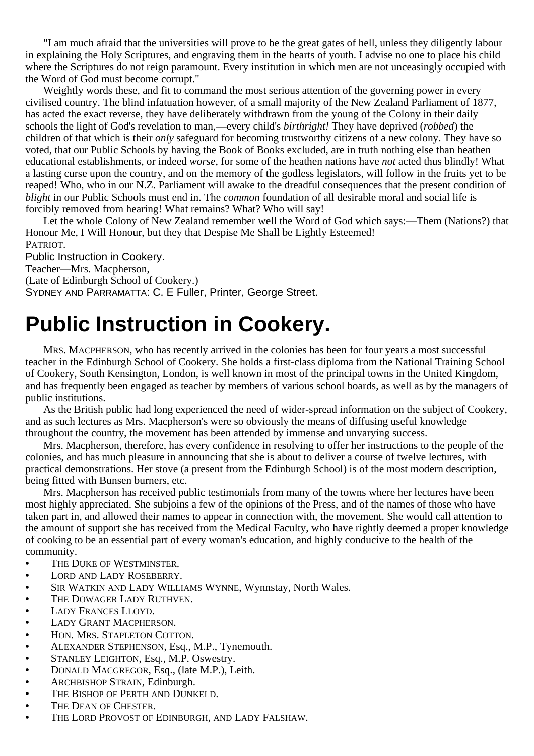"I am much afraid that the universities will prove to be the great gates of hell, unless they diligently labour in explaining the Holy Scriptures, and engraving them in the hearts of youth. I advise no one to place his child where the Scriptures do not reign paramount. Every institution in which men are not unceasingly occupied with the Word of God must become corrupt."

Weightly words these, and fit to command the most serious attention of the governing power in every civilised country. The blind infatuation however, of a small majority of the New Zealand Parliament of 1877, has acted the exact reverse, they have deliberately withdrawn from the young of the Colony in their daily schools the light of God's revelation to man,—every child's *birthright!* They have deprived (*robbed*) the children of that which is their *only* safeguard for becoming trustworthy citizens of a new colony. They have so voted, that our Public Schools by having the Book of Books excluded, are in truth nothing else than heathen educational establishments, or indeed *worse*, for some of the heathen nations have *not* acted thus blindly! What a lasting curse upon the country, and on the memory of the godless legislators, will follow in the fruits yet to be reaped! Who, who in our N.Z. Parliament will awake to the dreadful consequences that the present condition of *blight* in our Public Schools must end in. The *common* foundation of all desirable moral and social life is forcibly removed from hearing! What remains? What? Who will say!

Let the whole Colony of New Zealand remember well the Word of God which says:—Them (Nations?) that Honour Me, I Will Honour, but they that Despise Me Shall be Lightly Esteemed! PATRIOT.

Public Instruction in Cookery. Teacher—Mrs. Macpherson, (Late of Edinburgh School of Cookery.) SYDNEY AND PARRAMATTA: C. E Fuller, Printer, George Street.

# **Public Instruction in Cookery.**

MRS. MACPHERSON, who has recently arrived in the colonies has been for four years a most successful teacher in the Edinburgh School of Cookery. She holds a first-class diploma from the National Training School of Cookery, South Kensington, London, is well known in most of the principal towns in the United Kingdom, and has frequently been engaged as teacher by members of various school boards, as well as by the managers of public institutions.

As the British public had long experienced the need of wider-spread information on the subject of Cookery, and as such lectures as Mrs. Macpherson's were so obviously the means of diffusing useful knowledge throughout the country, the movement has been attended by immense and unvarying success.

Mrs. Macpherson, therefore, has every confidence in resolving to offer her instructions to the people of the colonies, and has much pleasure in announcing that she is about to deliver a course of twelve lectures, with practical demonstrations. Her stove (a present from the Edinburgh School) is of the most modern description, being fitted with Bunsen burners, etc.

Mrs. Macpherson has received public testimonials from many of the towns where her lectures have been most highly appreciated. She subjoins a few of the opinions of the Press, and of the names of those who have taken part in, and allowed their names to appear in connection with, the movement. She would call attention to the amount of support she has received from the Medical Faculty, who have rightly deemed a proper knowledge of cooking to be an essential part of every woman's education, and highly conducive to the health of the community.

- **•** THE DUKE OF WESTMINSTER.
- **•** LORD AND LADY ROSEBERRY.
- **•** SIR WATKIN AND LADY WILLIAMS WYNNE, Wynnstay, North Wales.
- THE DOWAGER LADY RUTHVEN.
- **•** LADY FRANCES LLOYD.
- **•** LADY GRANT MACPHERSON.
- **•** HON. MRS. STAPLETON COTTON.
- **•** ALEXANDER STEPHENSON, Esq., M.P., Tynemouth.
- **•** STANLEY LEIGHTON, Esq., M.P. Oswestry.
- **•** DONALD MACGREGOR, Esq., (late M.P.), Leith.
- ARCHBISHOP STRAIN, Edinburgh.<br>• THE BISHOP OF PERTH AND DUNE
- THE BISHOP OF PERTH AND DUNKELD.
- **•** THE DEAN OF CHESTER.
- **•** THE LORD PROVOST OF EDINBURGH, AND LADY FALSHAW.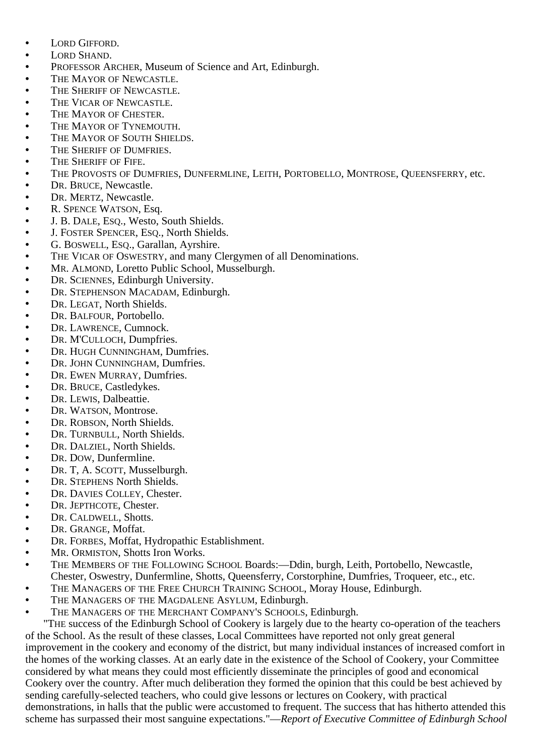- **•** LORD GIFFORD.
- **•** LORD SHAND.
- **•** PROFESSOR ARCHER, Museum of Science and Art, Edinburgh.
- **•** THE MAYOR OF NEWCASTLE.
- THE SHERIFF OF NEWCASTLE.
- THE VICAR OF NEWCASTLE.
- **•** THE MAYOR OF CHESTER.
- **•** THE MAYOR OF TYNEMOUTH.
- **•** THE MAYOR OF SOUTH SHIELDS.
- **•** THE SHERIFF OF DUMFRIES.
- **•** THE SHERIFF OF FIFE.
- **•** THE PROVOSTS OF DUMFRIES, DUNFERMLINE, LEITH, PORTOBELLO, MONTROSE, QUEENSFERRY, etc.
- **•** DR. BRUCE, Newcastle.
- **•** DR. MERTZ, Newcastle.
- **•** R. SPENCE WATSON, Esq.
- **•** J. B. DALE, ESQ., Westo, South Shields.
- **•** J. FOSTER SPENCER, ESQ., North Shields.
- **•** G. BOSWELL, ESQ., Garallan, Ayrshire.
- THE VICAR OF OSWESTRY, and many Clergymen of all Denominations.
- **•** MR. ALMOND, Loretto Public School, Musselburgh.
- DR. SCIENNES, Edinburgh University.
- **•** DR. STEPHENSON MACADAM, Edinburgh.
- **•** DR. LEGAT, North Shields.
- **•** DR. BALFOUR, Portobello.
- DR. LAWRENCE, Cumnock.
- DR. M'CULLOCH, Dumpfries.
- **•** DR. HUGH CUNNINGHAM, Dumfries.
- DR. JOHN CUNNINGHAM, Dumfries.
- **•** DR. EWEN MURRAY, Dumfries.
- **•** DR. BRUCE, Castledykes.
- **•** DR. LEWIS, Dalbeattie.
- DR. WATSON, Montrose.
- **•** DR. ROBSON, North Shields.
- **•** DR. TURNBULL, North Shields.
- **•** DR. DALZIEL, North Shields.
- DR. Dow. Dunfermline.
- **•** DR. T, A. SCOTT, Musselburgh.
- **•** DR. STEPHENS North Shields.
- DR. DAVIES COLLEY, Chester.
- DR. JEPTHCOTE, Chester.
- **•** DR. CALDWELL, Shotts.
- **•** DR. GRANGE, Moffat.
- **•** DR. FORBES, Moffat, Hydropathic Establishment.
- **•** MR. ORMISTON, Shotts Iron Works.
- **•** THE MEMBERS OF THE FOLLOWING SCHOOL Boards:—Ddin, burgh, Leith, Portobello, Newcastle, Chester, Oswestry, Dunfermline, Shotts, Queensferry, Corstorphine, Dumfries, Troqueer, etc., etc.
- **•** THE MANAGERS OF THE FREE CHURCH TRAINING SCHOOL, Moray House, Edinburgh.
- **•** THE MANAGERS OF THE MAGDALENE ASYLUM, Edinburgh.
- **•** THE MANAGERS OF THE MERCHANT COMPANY'S SCHOOLS, Edinburgh.

"THE success of the Edinburgh School of Cookery is largely due to the hearty co-operation of the teachers of the School. As the result of these classes, Local Committees have reported not only great general improvement in the cookery and economy of the district, but many individual instances of increased comfort in the homes of the working classes. At an early date in the existence of the School of Cookery, your Committee considered by what means they could most efficiently disseminate the principles of good and economical Cookery over the country. After much deliberation they formed the opinion that this could be best achieved by sending carefully-selected teachers, who could give lessons or lectures on Cookery, with practical demonstrations, in halls that the public were accustomed to frequent. The success that has hitherto attended this scheme has surpassed their most sanguine expectations."—*Report of Executive Committee of Edinburgh School*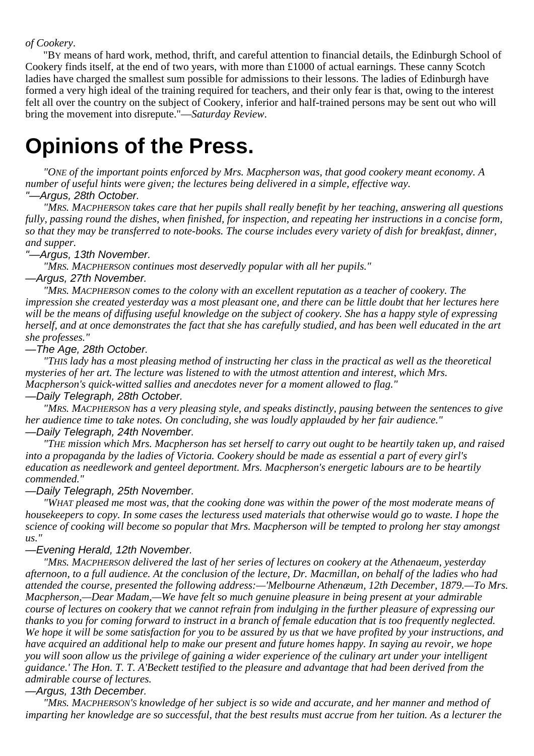### *of Cookery*.

"BY means of hard work, method, thrift, and careful attention to financial details, the Edinburgh School of Cookery finds itself, at the end of two years, with more than £1000 of actual earnings. These canny Scotch ladies have charged the smallest sum possible for admissions to their lessons. The ladies of Edinburgh have formed a very high ideal of the training required for teachers, and their only fear is that, owing to the interest felt all over the country on the subject of Cookery, inferior and half-trained persons may be sent out who will bring the movement into disrepute."—*Saturday Review*.

# **Opinions of the Press.**

*"ONE of the important points enforced by Mrs. Macpherson was, that good cookery meant economy. A number of useful hints were given; the lectures being delivered in a simple, effective way.*

### "—Argus, 28th October.

*"MRS. MACPHERSON takes care that her pupils shall really benefit by her teaching, answering all questions fully, passing round the dishes, when finished, for inspection, and repeating her instructions in a concise form, so that they may be transferred to note-books. The course includes every variety of dish for breakfast, dinner, and supper.*

### "—Argus, 13th November.

*"MRS. MACPHERSON continues most deservedly popular with all her pupils."*

### —Argus, 27th November.

*"MRS. MACPHERSON comes to the colony with an excellent reputation as a teacher of cookery. The impression she created yesterday was a most pleasant one, and there can be little doubt that her lectures here will be the means of diffusing useful knowledge on the subject of cookery. She has a happy style of expressing herself, and at once demonstrates the fact that she has carefully studied, and has been well educated in the art she professes."*

### —The Age, 28th October.

*"THIS lady has a most pleasing method of instructing her class in the practical as well as the theoretical mysteries of her art. The lecture was listened to with the utmost attention and interest, which Mrs. Macpherson's quick-witted sallies and anecdotes never for a moment allowed to flag."*

—Daily Telegraph, 28th October.

*"MRS. MACPHERSON has a very pleasing style, and speaks distinctly, pausing between the sentences to give her audience time to take notes. On concluding, she was loudly applauded by her fair audience."* —Daily Telegraph, 24th November.

*"THE mission which Mrs. Macpherson has set herself to carry out ought to be heartily taken up, and raised into a propaganda by the ladies of Victoria. Cookery should be made as essential a part of every girl's education as needlework and genteel deportment. Mrs. Macpherson's energetic labours are to be heartily commended."*

### —Daily Telegraph, 25th November.

*"WHAT pleased me most was, that the cooking done was within the power of the most moderate means of housekeepers to copy. In some cases the lecturess used materials that otherwise would go to waste. I hope the science of cooking will become so popular that Mrs. Macpherson will be tempted to prolong her stay amongst us."*

### —Evening Herald, 12th November.

*"MRS. MACPHERSON delivered the last of her series of lectures on cookery at the Athenaeum, yesterday afternoon, to a full audience. At the conclusion of the lecture, Dr. Macmillan, on behalf of the ladies who had attended the course, presented the following address:—'Melbourne Athenæum, 12th December, 1879.—To Mrs. Macpherson,—Dear Madam,—We have felt so much genuine pleasure in being present at your admirable course of lectures on cookery that we cannot refrain from indulging in the further pleasure of expressing our thanks to you for coming forward to instruct in a branch of female education that is too frequently neglected. We hope it will be some satisfaction for you to be assured by us that we have profited by your instructions, and have acquired an additional help to make our present and future homes happy. In saying au revoir, we hope you will soon allow us the privilege of gaining a wider experience of the culinary art under your intelligent guidance.' The Hon. T. T. A'Beckett testified to the pleasure and advantage that had been derived from the admirable course of lectures.*

### —Argus, 13th December.

*"MRS. MACPHERSON'S knowledge of her subject is so wide and accurate, and her manner and method of imparting her knowledge are so successful, that the best results must accrue from her tuition. As a lecturer the*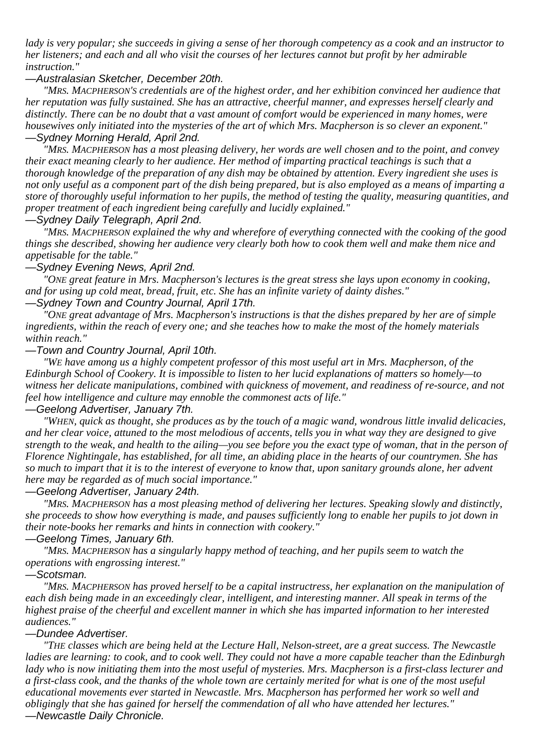*lady is very popular; she succeeds in giving a sense of her thorough competency as a cook and an instructor to her listeners; and each and all who visit the courses of her lectures cannot but profit by her admirable instruction."*

### —Australasian Sketcher, December 20th.

*"MRS. MACPHERSON'S credentials are of the highest order, and her exhibition convinced her audience that her reputation was fully sustained. She has an attractive, cheerful manner, and expresses herself clearly and distinctly. There can be no doubt that a vast amount of comfort would be experienced in many homes, were housewives only initiated into the mysteries of the art of which Mrs. Macpherson is so clever an exponent."* —Sydney Morning Herald, April 2nd.

*"MRS. MACPHERSON has a most pleasing delivery, her words are well chosen and to the point, and convey their exact meaning clearly to her audience. Her method of imparting practical teachings is such that a thorough knowledge of the preparation of any dish may be obtained by attention. Every ingredient she uses is not only useful as a component part of the dish being prepared, but is also employed as a means of imparting a store of thoroughly useful information to her pupils, the method of testing the quality, measuring quantities, and proper treatment of each ingredient being carefully and lucidly explained."*

### —Sydney Daily Telegraph, April 2nd.

*"MRS. MACPHERSON explained the why and wherefore of everything connected with the cooking of the good things she described, showing her audience very clearly both how to cook them well and make them nice and appetisable for the table."*

### —Sydney Evening News, April 2nd.

*"ONE great feature in Mrs. Macpherson's lectures is the great stress she lays upon economy in cooking, and for using up cold meat, bread, fruit, etc. She has an infinite variety of dainty dishes."* —Sydney Town and Country Journal, April 17th.

*"ONE great advantage of Mrs. Macpherson's instructions is that the dishes prepared by her are of simple ingredients, within the reach of every one; and she teaches how to make the most of the homely materials within reach."*

### —Town and Country Journal, April 10th.

*"WE have among us a highly competent professor of this most useful art in Mrs. Macpherson, of the Edinburgh School of Cookery. It is impossible to listen to her lucid explanations of matters so homely—to witness her delicate manipulations, combined with quickness of movement, and readiness of re-source, and not feel how intelligence and culture may ennoble the commonest acts of life."*

### —Geelong Advertiser, January 7th.

*"WHEN, quick as thought, she produces as by the touch of a magic wand, wondrous little invalid delicacies, and her clear voice, attuned to the most melodious of accents, tells you in what way they are designed to give strength to the weak, and health to the ailing—you see before you the exact type of woman, that in the person of Florence Nightingale, has established, for all time, an abiding place in the hearts of our countrymen. She has so much to impart that it is to the interest of everyone to know that, upon sanitary grounds alone, her advent here may be regarded as of much social importance."*

#### —Geelong Advertiser, January 24th.

*"MRS. MACPHERSON has a most pleasing method of delivering her lectures. Speaking slowly and distinctly, she proceeds to show how everything is made, and pauses sufficiently long to enable her pupils to jot down in their note-books her remarks and hints in connection with cookery."*

### —Geelong Times, January 6th.

*"MRS. MACPHERSON has a singularly happy method of teaching, and her pupils seem to watch the operations with engrossing interest."*

### —Scotsman.

*"MRS. MACPHERSON has proved herself to be a capital instructress, her explanation on the manipulation of each dish being made in an exceedingly clear, intelligent, and interesting manner. All speak in terms of the highest praise of the cheerful and excellent manner in which she has imparted information to her interested audiences."*

### —Dundee Advertiser.

*"THE classes which are being held at the Lecture Hall, Nelson-street, are a great success. The Newcastle ladies are learning: to cook, and to cook well. They could not have a more capable teacher than the Edinburgh lady who is now initiating them into the most useful of mysteries. Mrs. Macpherson is a first-class lecturer and a first-class cook, and the thanks of the whole town are certainly merited for what is one of the most useful educational movements ever started in Newcastle. Mrs. Macpherson has performed her work so well and obligingly that she has gained for herself the commendation of all who have attended her lectures."* —Newcastle Daily Chronicle.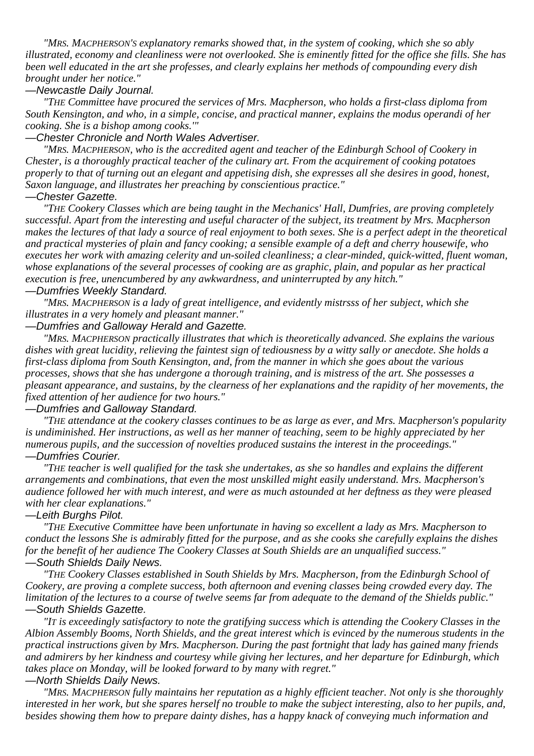*"MRS. MACPHERSON'S explanatory remarks showed that, in the system of cooking, which she so ably illustrated, economy and cleanliness were not overlooked. She is eminently fitted for the office she fills. She has been well educated in the art she professes, and clearly explains her methods of compounding every dish brought under her notice."*

### —Newcastle Daily Journal.

*"THE Committee have procured the services of Mrs. Macpherson, who holds a first-class diploma from South Kensington, and who, in a simple, concise, and practical manner, explains the modus operandi of her cooking. She is a bishop among cooks.'"*

### —Chester Chronicle and North Wales Advertiser.

*"MRS. MACPHERSON, who is the accredited agent and teacher of the Edinburgh School of Cookery in Chester, is a thoroughly practical teacher of the culinary art. From the acquirement of cooking potatoes properly to that of turning out an elegant and appetising dish, she expresses all she desires in good, honest, Saxon language, and illustrates her preaching by conscientious practice."*

### —Chester Gazette.

*"THE Cookery Classes which are being taught in the Mechanics' Hall, Dumfries, are proving completely successful. Apart from the interesting and useful character of the subject, its treatment by Mrs. Macpherson makes the lectures of that lady a source of real enjoyment to both sexes. She is a perfect adept in the theoretical and practical mysteries of plain and fancy cooking; a sensible example of a deft and cherry housewife, who executes her work with amazing celerity and un-soiled cleanliness; a clear-minded, quick-witted, fluent woman, whose explanations of the several processes of cooking are as graphic, plain, and popular as her practical execution is free, unencumbered by any awkwardness, and uninterrupted by any hitch."*

### —Dumfries Weekly Standard.

*"MRS. MACPHERSON is a lady of great intelligence, and evidently mistrsss of her subject, which she illustrates in a very homely and pleasant manner."*

### —Dumfries and Galloway Herald and Gazette.

*"MRS. MACPHERSON practically illustrates that which is theoretically advanced. She explains the various dishes with great lucidity, relieving the faintest sign of tediousness by a witty sally or anecdote. She holds a first-class diploma from South Kensington, and, from the manner in which she goes about the various processes, shows that she has undergone a thorough training, and is mistress of the art. She possesses a pleasant appearance, and sustains, by the clearness of her explanations and the rapidity of her movements, the fixed attention of her audience for two hours."*

### —Dumfries and Galloway Standard.

*"THE attendance at the cookery classes continues to be as large as ever, and Mrs. Macpherson's popularity is undiminished. Her instructions, as well as her manner of teaching, seem to be highly appreciated by her numerous pupils, and the succession of novelties produced sustains the interest in the proceedings."* —Dumfries Courier.

*"THE teacher is well qualified for the task she undertakes, as she so handles and explains the different arrangements and combinations, that even the most unskilled might easily understand. Mrs. Macpherson's audience followed her with much interest, and were as much astounded at her deftness as they were pleased with her clear explanations."*

### —Leith Burghs Pilot.

*"THE Executive Committee have been unfortunate in having so excellent a lady as Mrs. Macpherson to conduct the lessons She is admirably fitted for the purpose, and as she cooks she carefully explains the dishes for the benefit of her audience The Cookery Classes at South Shields are an unqualified success."* —South Shields Daily News.

*"THE Cookery Classes established in South Shields by Mrs. Macpherson, from the Edinburgh School of Cookery, are proving a complete success, both afternoon and evening classes being crowded every day. The limitation of the lectures to a course of twelve seems far from adequate to the demand of the Shields public."* —South Shields Gazette.

*"IT is exceedingly satisfactory to note the gratifying success which is attending the Cookery Classes in the Albion Assembly Booms, North Shields, and the great interest which is evinced by the numerous students in the practical instructions given by Mrs. Macpherson. During the past fortnight that lady has gained many friends and admirers by her kindness and courtesy while giving her lectures, and her departure for Edinburgh, which takes place on Monday, will be looked forward to by many with regret."*

### —North Shields Daily News.

*"MRS. MACPHERSON fully maintains her reputation as a highly efficient teacher. Not only is she thoroughly interested in her work, but she spares herself no trouble to make the subject interesting, also to her pupils, and, besides showing them how to prepare dainty dishes, has a happy knack of conveying much information and*